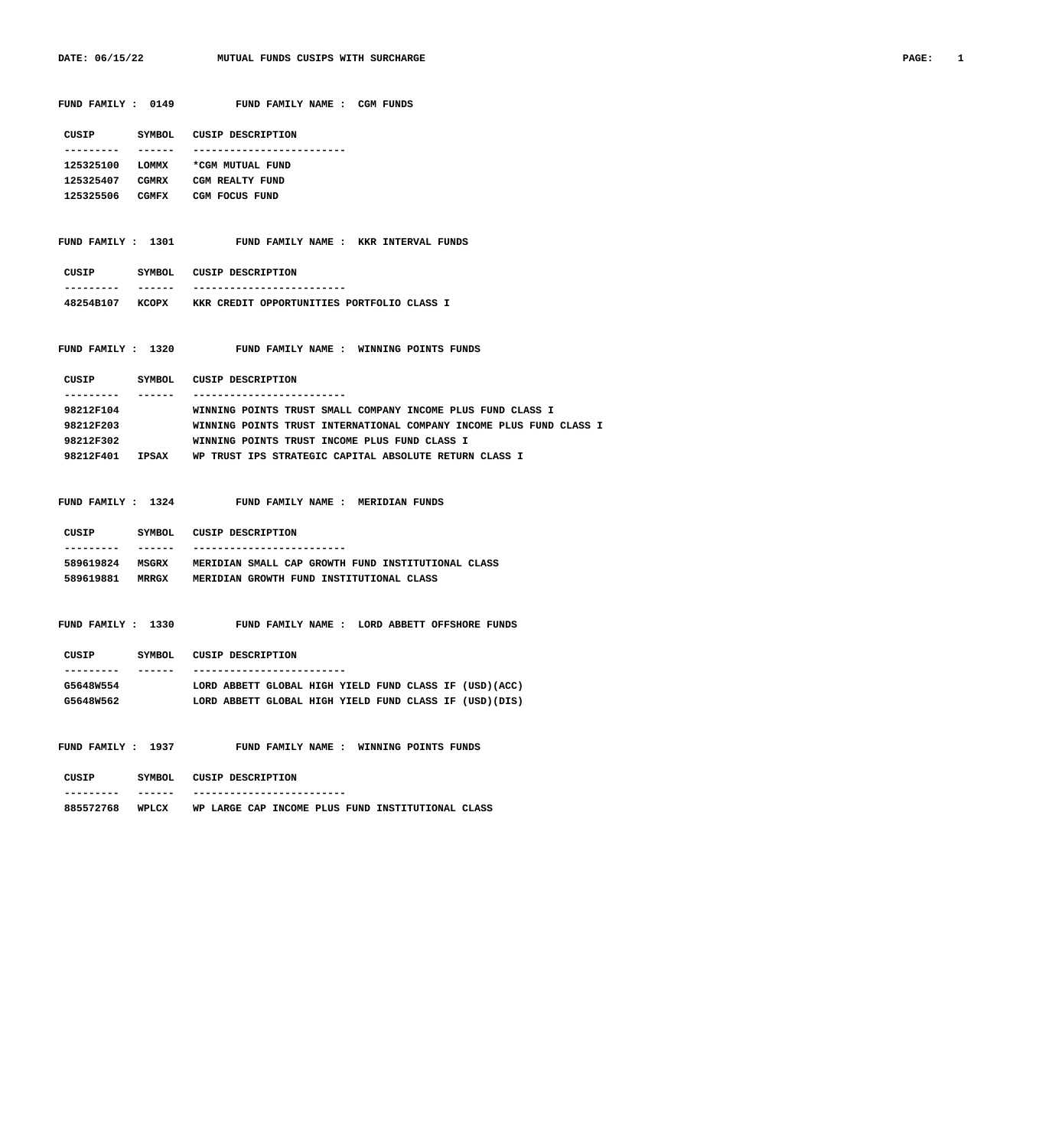| FUND FAMILY : 0149      | FUND FAMILY NAME : CGM FUNDS                                                                                        |
|-------------------------|---------------------------------------------------------------------------------------------------------------------|
|                         | CUSIP SYMBOL CUSIP DESCRIPTION                                                                                      |
| _______<br>. <u>.</u> . | -------------------------                                                                                           |
|                         | 125325100 LOMMX *CGM MUTUAL FUND                                                                                    |
|                         | 125325407 CGMRX CGM REALTY FUND                                                                                     |
|                         | 125325506 CGMFX CGM FOCUS FUND                                                                                      |
|                         | FUND FAMILY : 1301 FUND FAMILY NAME : KKR INTERVAL FUNDS                                                            |
|                         | CUSIP SYMBOL CUSIP DESCRIPTION<br>-------------------------                                                         |
|                         | 48254B107 KCOPX KKR CREDIT OPPORTUNITIES PORTFOLIO CLASS I                                                          |
|                         |                                                                                                                     |
|                         | FUND FAMILY : 1320 FUND FAMILY NAME : WINNING POINTS FUNDS                                                          |
|                         | CUSIP SYMBOL CUSIP DESCRIPTION<br>-------------------------                                                         |
| 98212F104               | WINNING POINTS TRUST SMALL COMPANY INCOME PLUS FUND CLASS I                                                         |
| 98212F203               | WINNING POINTS TRUST INTERNATIONAL COMPANY INCOME PLUS FUND CLASS I                                                 |
| 98212F302               | WINNING POINTS TRUST INCOME PLUS FUND CLASS I                                                                       |
|                         | 98212F401 IPSAX WP TRUST IPS STRATEGIC CAPITAL ABSOLUTE RETURN CLASS I                                              |
| _______<br>. <u>.</u> . | FUND FAMILY : 1324 FUND FAMILY NAME : MERIDIAN FUNDS<br>CUSIP SYMBOL CUSIP DESCRIPTION<br>------------------------- |
|                         | 589619824 MSGRX MERIDIAN SMALL CAP GROWTH FUND INSTITUTIONAL CLASS                                                  |
|                         | 589619881 MRRGX MERIDIAN GROWTH FUND INSTITUTIONAL CLASS                                                            |
|                         | FUND FAMILY: 1330 FUND FAMILY NAME: LORD ABBETT OFFSHORE FUNDS                                                      |
|                         | CUSIP SYMBOL CUSIP DESCRIPTION                                                                                      |
| ---------<br>________   | -------------------------                                                                                           |
| G5648W554               | LORD ABBETT GLOBAL HIGH YIELD FUND CLASS IF (USD)(ACC)                                                              |
|                         | G5648W562 LORD ABBETT GLOBAL HIGH YIELD FUND CLASS IF (USD) (DIS)                                                   |
|                         | FUND FAMILY : 1937 FUND FAMILY NAME : WINNING POINTS FUNDS                                                          |
|                         | CUSIP SYMBOL CUSIP DESCRIPTION<br>-----------------------                                                           |
| -------<br>---------    | 885572768 WPLCX WP LARGE CAP INCOME PLUS FUND INSTITUTIONAL CLASS                                                   |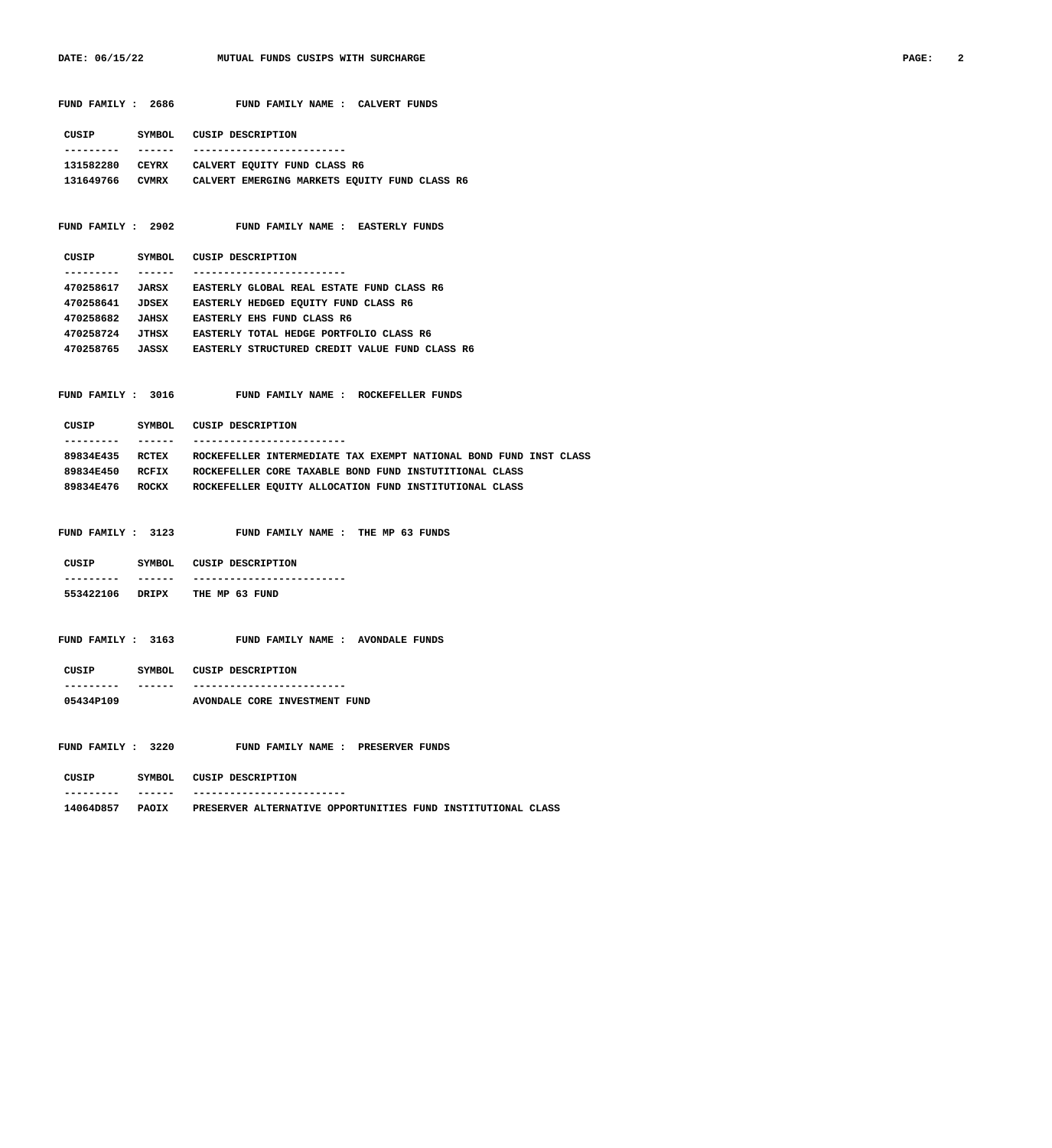| FUND FAMILY : 2686             | FUND FAMILY NAME : CALVERT FUNDS                                             |
|--------------------------------|------------------------------------------------------------------------------|
|                                | CUSIP SYMBOL CUSIP DESCRIPTION                                               |
| ---------<br>-------           | -------------------------                                                    |
|                                | 131582280 CEYRX CALVERT EQUITY FUND CLASS R6                                 |
|                                | 131649766 CVMRX CALVERT EMERGING MARKETS EQUITY FUND CLASS R6                |
|                                |                                                                              |
| FUND FAMILY : 2902             | <b>FUND FAMILY NAME : EASTERLY FUNDS</b>                                     |
|                                | CUSIP SYMBOL CUSIP DESCRIPTION                                               |
| ---------<br>-------           | -------------------------                                                    |
|                                | 470258617 JARSX EASTERLY GLOBAL REAL ESTATE FUND CLASS R6                    |
|                                | 470258641 JDSEX EASTERLY HEDGED EQUITY FUND CLASS R6                         |
|                                | 470258682 JAHSX EASTERLY EHS FUND CLASS R6                                   |
|                                | 470258724 JTHSX EASTERLY TOTAL HEDGE PORTFOLIO CLASS R6                      |
|                                | 470258765 JASSX EASTERLY STRUCTURED CREDIT VALUE FUND CLASS R6               |
|                                |                                                                              |
|                                | FUND FAMILY : 3016 FUND FAMILY NAME : ROCKEFELLER FUNDS                      |
|                                | CUSIP SYMBOL CUSIP DESCRIPTION                                               |
| ---------<br>-------           | -------------------------                                                    |
| 89834E435 RCTEX                | ROCKEFELLER INTERMEDIATE TAX EXEMPT NATIONAL BOND FUND INST CLASS            |
| 89834E450 RCFIX                | ROCKEFELLER CORE TAXABLE BOND FUND INSTUTITIONAL CLASS                       |
| 89834E476 ROCKX                | ROCKEFELLER EQUITY ALLOCATION FUND INSTITUTIONAL CLASS                       |
|                                |                                                                              |
|                                | FUND FAMILY : 3123 FUND FAMILY NAME : THE MP 63 FUNDS                        |
|                                | CUSIP SYMBOL CUSIP DESCRIPTION                                               |
|                                | -------------------------                                                    |
| 553422106 DRIPX THE MP 63 FUND |                                                                              |
|                                |                                                                              |
| FUND FAMILY : 3163             | FUND FAMILY NAME : AVONDALE FUNDS                                            |
| CUSIP                          |                                                                              |
| ----------<br>-------          | SYMBOL CUSIP DESCRIPTION<br>--------------------------                       |
| 05434P109                      | <b>AVONDALE CORE INVESTMENT FUND</b>                                         |
|                                |                                                                              |
|                                | FUND FAMILY : 3220 FUND FAMILY NAME : PRESERVER FUNDS                        |
|                                | CUSIP SYMBOL CUSIP DESCRIPTION<br>-------------------------                  |
|                                | 14064D857 PAOIX PRESERVER ALTERNATIVE OPPORTUNITIES FUND INSTITUTIONAL CLASS |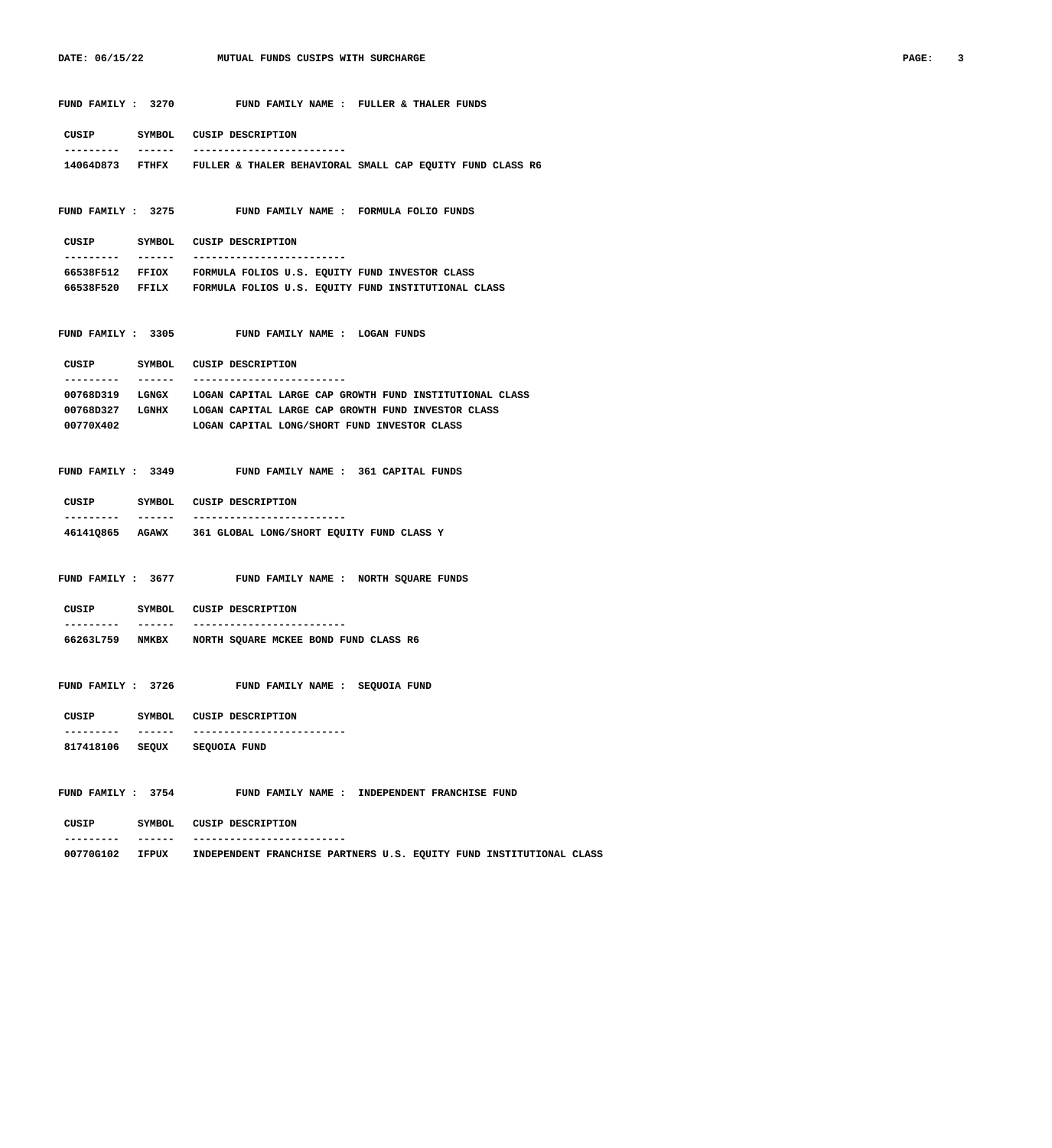|                                        | FUND FAMILY : 3270 FUND FAMILY NAME : FULLER & THALER FUNDS               |
|----------------------------------------|---------------------------------------------------------------------------|
| CUSIP SYMBOL CUSIP DESCRIPTION         |                                                                           |
| -------                                | ---------------------------                                               |
|                                        | 14064D873 FTHFX FULLER & THALER BEHAVIORAL SMALL CAP EQUITY FUND CLASS R6 |
|                                        | FUND FAMILY : 3275 FUND FAMILY NAME : FORMULA FOLIO FUNDS                 |
| CUSIP SYMBOL CUSIP DESCRIPTION         |                                                                           |
| -------                                | -------------------------                                                 |
|                                        | 66538F512 FFIOX FORMULA FOLIOS U.S. EQUITY FUND INVESTOR CLASS            |
|                                        | 66538F520 FFILX FORMULA FOLIOS U.S. EQUITY FUND INSTITUTIONAL CLASS       |
|                                        | FUND FAMILY : 3305 FUND FAMILY NAME : LOGAN FUNDS                         |
| CUSIP SYMBOL CUSIP DESCRIPTION         |                                                                           |
| -------<br>---------                   | --------------------------                                                |
|                                        | 00768D319 LGNGX LOGAN CAPITAL LARGE CAP GROWTH FUND INSTITUTIONAL CLASS   |
|                                        | 00768D327 LGNHX LOGAN CAPITAL LARGE CAP GROWTH FUND INVESTOR CLASS        |
| 00770X402                              | LOGAN CAPITAL LONG/SHORT FUND INVESTOR CLASS                              |
|                                        |                                                                           |
|                                        | FUND FAMILY : 3349 FUND FAMILY NAME : 361 CAPITAL FUNDS                   |
| CUSIP SYMBOL CUSIP DESCRIPTION         |                                                                           |
| -------                                | -------------------------                                                 |
|                                        | 46141Q865 AGAWX 361 GLOBAL LONG/SHORT EQUITY FUND CLASS Y                 |
|                                        |                                                                           |
|                                        |                                                                           |
|                                        | FUND FAMILY : 3677 FUND FAMILY NAME : NORTH SQUARE FUNDS                  |
| CUSIP SYMBOL CUSIP DESCRIPTION         |                                                                           |
| -------                                | -------------------------                                                 |
|                                        | 66263L759 NMKBX NORTH SQUARE MCKEE BOND FUND CLASS R6                     |
|                                        |                                                                           |
| FUND FAMILY : 3726                     | FUND FAMILY NAME : SEQUOIA FUND                                           |
| CUSIP SYMBOL                           | CUSIP DESCRIPTION                                                         |
| ------<br>817418106 SEQUX SEQUOIA FUND |                                                                           |
|                                        |                                                                           |
| FUND FAMILY : 3754                     | FUND FAMILY NAME : INDEPENDENT FRANCHISE FUND                             |

| --------- | ------ | ------------------------- |
|-----------|--------|---------------------------|

|  | 00770G102 | IFPUX |  |  |  |  |  |  | INDEPENDENT FRANCHISE PARTNERS U.S. EQUITY FUND INSTITUTIONAL CLASS |  |
|--|-----------|-------|--|--|--|--|--|--|---------------------------------------------------------------------|--|
|--|-----------|-------|--|--|--|--|--|--|---------------------------------------------------------------------|--|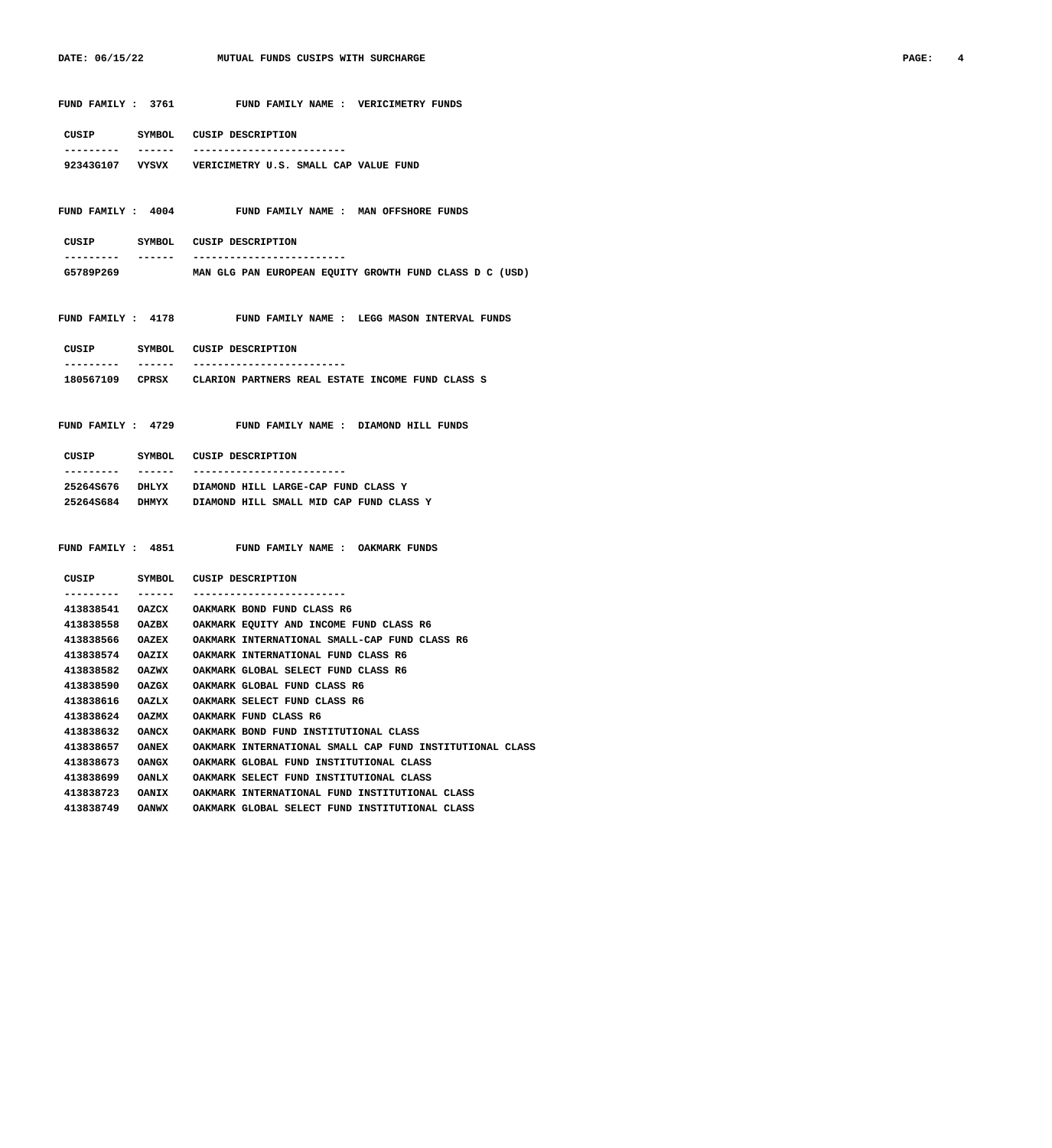| FUND FAMILY : 3761        | FUND FAMILY NAME : VERICIMETRY FUNDS                             |
|---------------------------|------------------------------------------------------------------|
| CUSIP                     | SYMBOL CUSIP DESCRIPTION                                         |
| -------<br>----------     | --------------------------                                       |
|                           | 92343G107 VYSVX VERICIMETRY U.S. SMALL CAP VALUE FUND            |
| FUND FAMILY: 4004         | FUND FAMILY NAME : MAN OFFSHORE FUNDS                            |
|                           |                                                                  |
| CUSIP                     | SYMBOL CUSIP DESCRIPTION                                         |
| ------<br>---------       | --------------------------                                       |
| G5789P269                 | MAN GLG PAN EUROPEAN EQUITY GROWTH FUND CLASS D C (USD)          |
| FUND FAMILY : 4178        | FUND FAMILY NAME : LEGG MASON INTERVAL FUNDS                     |
|                           |                                                                  |
| CUSIP                     | SYMBOL CUSIP DESCRIPTION                                         |
| -------<br>---------      | -------------------------                                        |
|                           | 180567109 CPRSX CLARION PARTNERS REAL ESTATE INCOME FUND CLASS S |
|                           |                                                                  |
| FUND FAMILY : 4729        | FUND FAMILY NAME : DIAMOND HILL FUNDS                            |
| CUSIP                     | SYMBOL CUSIP DESCRIPTION                                         |
| ---------<br>-------      | -------------------------                                        |
|                           | 25264S676 DHLYX DIAMOND HILL LARGE-CAP FUND CLASS Y              |
|                           | 25264S684 DHMYX DIAMOND HILL SMALL MID CAP FUND CLASS Y          |
|                           |                                                                  |
|                           |                                                                  |
| <b>FUND FAMILY : 4851</b> | FUND FAMILY NAME : OAKMARK FUNDS                                 |
|                           |                                                                  |
| CUSIP                     | SYMBOL CUSIP DESCRIPTION                                         |
| ---------<br>------       | ---------------------                                            |
|                           | 413838541 OAZCX OAKMARK BOND FUND CLASS R6                       |
| 413838558                 | OAZBX OAKMARK EQUITY AND INCOME FUND CLASS R6                    |
|                           | 413838566 OAZEX OAKMARK INTERNATIONAL SMALL-CAP FUND CLASS R6    |
| 413838574<br><b>OAZIX</b> | OAKMARK INTERNATIONAL FUND CLASS R6                              |
| 413838582<br><b>OAZWX</b> | OAKMARK GLOBAL SELECT FUND CLASS R6                              |
| 413838590<br>OAZGX        | OAKMARK GLOBAL FUND CLASS R6                                     |
| 413838616<br>OAZLX        | OAKMARK SELECT FUND CLASS R6                                     |
| 413838624<br>OAZMX        | OAKMARK FUND CLASS R6                                            |
| 413838632<br>OANCX        | OAKMARK BOND FUND INSTITUTIONAL CLASS                            |
| 413838657<br><b>OANEX</b> | OAKMARK INTERNATIONAL SMALL CAP FUND INSTITUTIONAL CLASS         |
| 413838673<br>OANGX        | OAKMARK GLOBAL FUND INSTITUTIONAL CLASS                          |
| 413838699<br><b>OANLX</b> | OAKMARK SELECT FUND INSTITUTIONAL CLASS                          |
| 413838723<br><b>OANIX</b> | OAKMARK INTERNATIONAL FUND INSTITUTIONAL CLASS                   |
| 413838749<br><b>OANWX</b> | OAKMARK GLOBAL SELECT FUND INSTITUTIONAL CLASS                   |
|                           |                                                                  |

DATE: 06/15/22 MUTUAL FUNDS CUSIPS WITH SURCHARGE **PAGE: 4**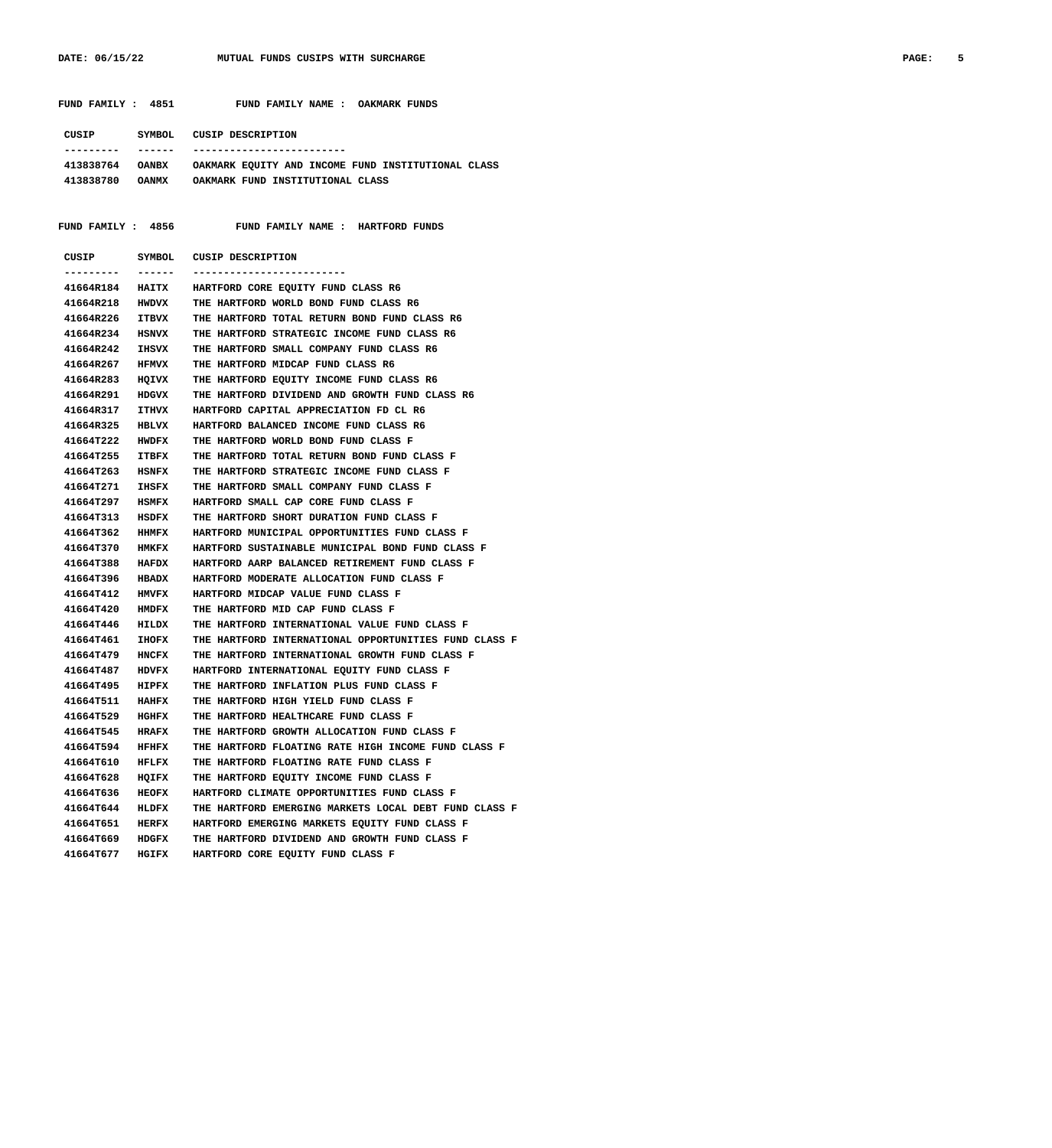| FUND FAMILY : 4851        |              | FUND FAMILY NAME : OAKMARK FUNDS                                   |
|---------------------------|--------------|--------------------------------------------------------------------|
|                           |              |                                                                    |
| CUSIP                     |              | SYMBOL CUSIP DESCRIPTION                                           |
|                           |              | -------------------------                                          |
|                           |              | 413838764 OANBX OAKMARK EQUITY AND INCOME FUND INSTITUTIONAL CLASS |
| 413838780 OANMX           |              | OAKMARK FUND INSTITUTIONAL CLASS                                   |
|                           |              |                                                                    |
|                           |              |                                                                    |
| <b>FUND FAMILY : 4856</b> |              | FUND FAMILY NAME : HARTFORD FUNDS                                  |
|                           |              |                                                                    |
| CUSIP                     |              | SYMBOL CUSIP DESCRIPTION                                           |
|                           |              | -------------------------                                          |
| 41664R184                 | <b>HAITX</b> | HARTFORD CORE EQUITY FUND CLASS R6                                 |
| 41664R218                 | HWDVX        | THE HARTFORD WORLD BOND FUND CLASS R6                              |
| 41664R226                 | <b>ITBVX</b> | THE HARTFORD TOTAL RETURN BOND FUND CLASS R6                       |
| 41664R234                 | <b>HSNVX</b> | THE HARTFORD STRATEGIC INCOME FUND CLASS R6                        |
| 41664R242                 | IHSVX        | THE HARTFORD SMALL COMPANY FUND CLASS R6                           |
| 41664R267                 | <b>HFMVX</b> | THE HARTFORD MIDCAP FUND CLASS R6                                  |
| 41664R283                 | HQIVX        | THE HARTFORD EQUITY INCOME FUND CLASS R6                           |
| 41664R291                 | HDGVX        | THE HARTFORD DIVIDEND AND GROWTH FUND CLASS R6                     |
| 41664R317                 | <b>ITHVX</b> | HARTFORD CAPITAL APPRECIATION FD CL R6                             |
| 41664R325                 | HBLVX        | HARTFORD BALANCED INCOME FUND CLASS R6                             |
| 41664T222                 | HWDFX        | THE HARTFORD WORLD BOND FUND CLASS F                               |
| 41664T255                 | ITBFX        | THE HARTFORD TOTAL RETURN BOND FUND CLASS F                        |
| 41664T263                 | HSNFX        | THE HARTFORD STRATEGIC INCOME FUND CLASS F                         |
| 41664T271                 | IHSFX        | THE HARTFORD SMALL COMPANY FUND CLASS F                            |
| 41664T297                 | HSMFX        | HARTFORD SMALL CAP CORE FUND CLASS F                               |
| 41664T313                 | HSDFX        | THE HARTFORD SHORT DURATION FUND CLASS F                           |
| 41664T362                 | <b>HHMFX</b> | HARTFORD MUNICIPAL OPPORTUNITIES FUND CLASS F                      |
| 41664T370                 | <b>HMKFX</b> | HARTFORD SUSTAINABLE MUNICIPAL BOND FUND CLASS F                   |
| 41664T388                 | HAFDX        | HARTFORD AARP BALANCED RETIREMENT FUND CLASS F                     |
| 41664T396                 | HBADX        | HARTFORD MODERATE ALLOCATION FUND CLASS F                          |
| 41664T412                 | <b>HMVFX</b> | HARTFORD MIDCAP VALUE FUND CLASS F                                 |
| 41664T420                 | <b>HMDFX</b> | THE HARTFORD MID CAP FUND CLASS F                                  |
| 41664T446                 | HILDX        | THE HARTFORD INTERNATIONAL VALUE FUND CLASS F                      |
| 41664T461                 | IHOFX        | THE HARTFORD INTERNATIONAL OPPORTUNITIES FUND CLASS F              |
| 41664T479                 | HNCFX        | THE HARTFORD INTERNATIONAL GROWTH FUND CLASS F                     |
| 41664T487                 | <b>HDVFX</b> | HARTFORD INTERNATIONAL EOUITY FUND CLASS F                         |
|                           |              | 41664T495 HIPFX THE HARTFORD INFLATION PLUS FUND CLASS F           |
| 41664T511 HAHFX           |              | THE HARTFORD HIGH YIELD FUND CLASS F                               |
| 41664T529 HGHFX           |              | THE HARTFORD HEALTHCARE FUND CLASS F                               |
| 41664T545 HRAFX           |              | THE HARTFORD GROWTH ALLOCATION FUND CLASS F                        |
| 41664T594 HFHFX           |              | THE HARTFORD FLOATING RATE HIGH INCOME FUND CLASS F                |
| 41664T610 HFLFX           |              | THE HARTFORD FLOATING RATE FUND CLASS F                            |
| 41664T628 HQIFX           |              | THE HARTFORD EQUITY INCOME FUND CLASS F                            |
| 41664T636 HEOFX           |              | HARTFORD CLIMATE OPPORTUNITIES FUND CLASS F                        |
| 41664T644 HLDFX           |              | THE HARTFORD EMERGING MARKETS LOCAL DEBT FUND CLASS F              |
| 41664T651 HERFX           |              | HARTFORD EMERGING MARKETS EQUITY FUND CLASS F                      |
| 41664T669 HDGFX           |              | THE HARTFORD DIVIDEND AND GROWTH FUND CLASS F                      |
|                           |              | 41664T677 HGIFX HARTFORD CORE EQUITY FUND CLASS F                  |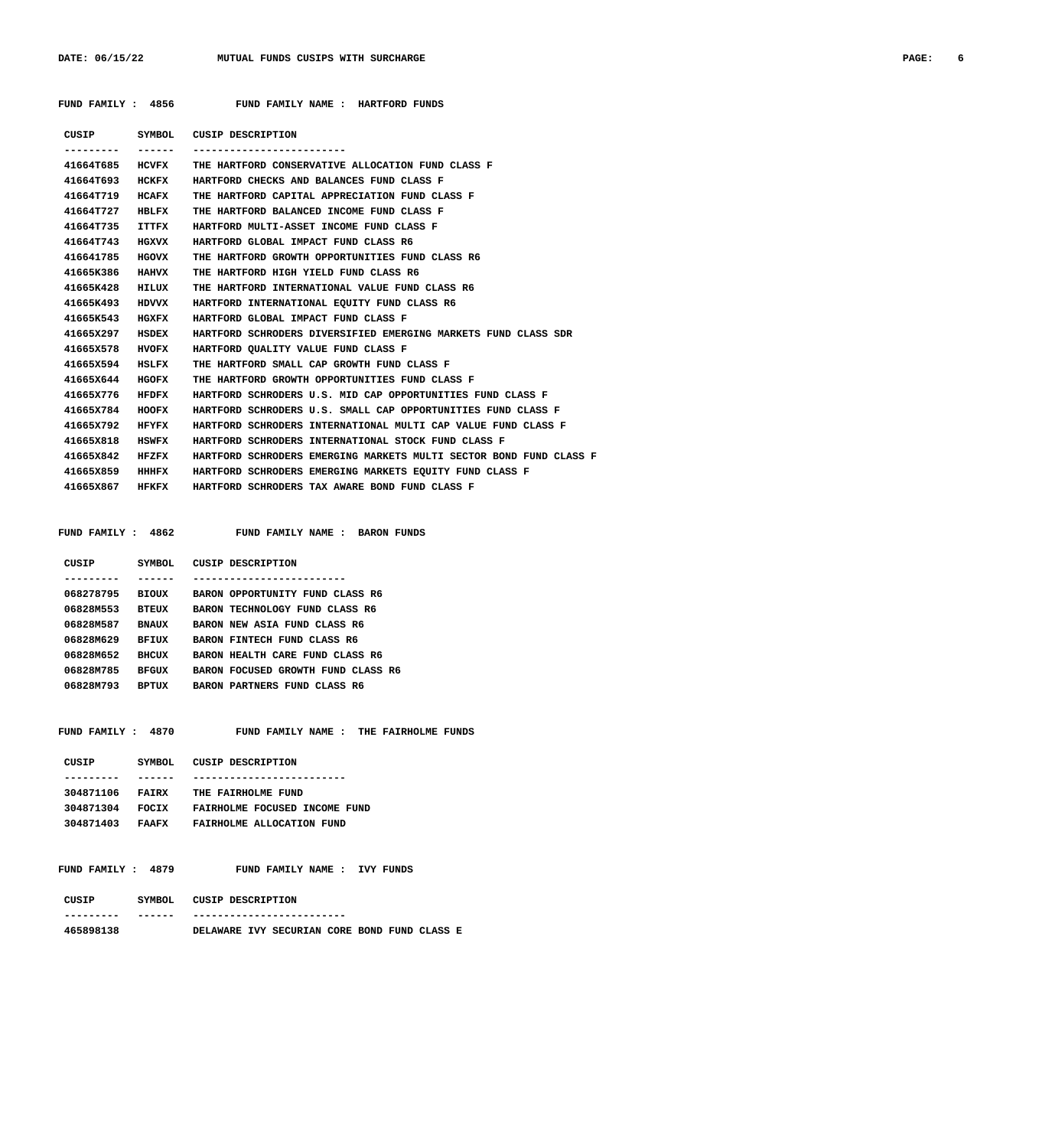### FUND FAMILY : 4856 FUND FAMILY NAME : HARTFORD FUNDS

| CUSIP           | SYMBOL       | CUSIP DESCRIPTION                                                  |
|-----------------|--------------|--------------------------------------------------------------------|
|                 | ------       |                                                                    |
| 41664T685       | HCVFX        | THE HARTFORD CONSERVATIVE ALLOCATION FUND CLASS F                  |
| 41664T693       | HCKFX        | HARTFORD CHECKS AND BALANCES FUND CLASS F                          |
| 41664T719       | HCAFX        | THE HARTFORD CAPITAL APPRECIATION FUND CLASS F                     |
| 41664T727 HBLFX |              | THE HARTFORD BALANCED INCOME FUND CLASS F                          |
| 41664T735       | ITTFX        | HARTFORD MULTI-ASSET INCOME FUND CLASS F                           |
| 41664T743       | <b>HGXVX</b> | HARTFORD GLOBAL IMPACT FUND CLASS R6                               |
| 416641785       | HGOVX        | THE HARTFORD GROWTH OPPORTUNITIES FUND CLASS R6                    |
| 41665K386       | <b>HAHVX</b> | THE HARTFORD HIGH YIELD FUND CLASS R6                              |
| 41665K428       | HILUX        | THE HARTFORD INTERNATIONAL VALUE FUND CLASS R6                     |
| 41665K493       | HDVVX        | HARTFORD INTERNATIONAL EOUITY FUND CLASS R6                        |
| 41665K543       | <b>HGXFX</b> | HARTFORD GLOBAL IMPACT FUND CLASS F                                |
| 41665X297       | HSDEX        | HARTFORD SCHRODERS DIVERSIFIED EMERGING MARKETS FUND CLASS SDR     |
| 41665X578       | <b>HVOFX</b> | HARTFORD OUALITY VALUE FUND CLASS F                                |
| 41665X594       | HSLFX        | THE HARTFORD SMALL CAP GROWTH FUND CLASS F                         |
| 41665X644       | <b>HGOFX</b> | THE HARTFORD GROWTH OPPORTUNITIES FUND CLASS F                     |
| 41665X776       | HFDFX        | HARTFORD SCHRODERS U.S. MID CAP OPPORTUNITIES FUND CLASS F         |
| 41665X784       | HOOFX        | HARTFORD SCHRODERS U.S. SMALL CAP OPPORTUNITIES FUND CLASS F       |
| 41665X792       | <b>HFYFX</b> | HARTFORD SCHRODERS INTERNATIONAL MULTI CAP VALUE FUND CLASS F      |
| 41665X818       | <b>HSWFX</b> | HARTFORD SCHRODERS INTERNATIONAL STOCK FUND CLASS F                |
| 41665X842       | HFZFX        | HARTFORD SCHRODERS EMERGING MARKETS MULTI SECTOR BOND FUND CLASS F |
| 41665X859       | HHHFX        | HARTFORD SCHRODERS EMERGING MARKETS EOUITY FUND CLASS F            |
| 41665X867 HFKFX |              | HARTFORD SCHRODERS TAX AWARE BOND FUND CLASS F                     |
|                 |              |                                                                    |

 **FUND FAMILY : 4862 FUND FAMILY NAME : BARON FUNDS**

| CUSIP     | SYMBOL       |              | CUSIP DESCRIPTION               |
|-----------|--------------|--------------|---------------------------------|
|           |              |              |                                 |
| 068278795 | <b>BIOUX</b> |              | BARON OPPORTUNITY FUND CLASS R6 |
| 06828M553 | <b>BTEUX</b> |              | BARON TECHNOLOGY FUND CLASS R6  |
| 06828M587 | <b>BNAUX</b> |              | BARON NEW ASIA FUND CLASS R6    |
| 06828M629 | BFIUX        |              | BARON FINTECH FUND CLASS R6     |
| 06828M652 | BHCUX        |              | BARON HEALTH CARE FUND CLASS R6 |
| 06828M785 | <b>BFGUX</b> | <b>BARON</b> | GROWTH FUND CLASS R6<br>FOCUSED |
| 06828M793 | <b>BPTUX</b> | <b>BARON</b> | PARTNERS FUND<br>CLASS R6       |
|           |              |              |                                 |

FUND FAMILY : 4870 FUND FAMILY NAME : THE FAIRHOLME FUNDS

| CUSIP     | SYMBOL.      | CUSIP DESCRIPTION             |
|-----------|--------------|-------------------------------|
|           |              |                               |
| 304871106 | <b>FATRX</b> | THE FAIRHOLME FUND            |
| 304871304 | <b>FOCTX</b> | FAIRHOLME FOCUSED INCOME FUND |
| 304871403 | <b>FAAFX</b> | FAIRHOLME ALLOCATION FUND     |
|           |              |                               |

### FUND FAMILY : 4879 FUND FAMILY NAME : IVY FUNDS

| CUSIP     | SYMBOL | CUSIP DESCRIPTION |                                              |  |  |  |
|-----------|--------|-------------------|----------------------------------------------|--|--|--|
|           |        |                   |                                              |  |  |  |
| 465898138 |        |                   | DELAWARE IVY SECURIAN CORE BOND FUND CLASS E |  |  |  |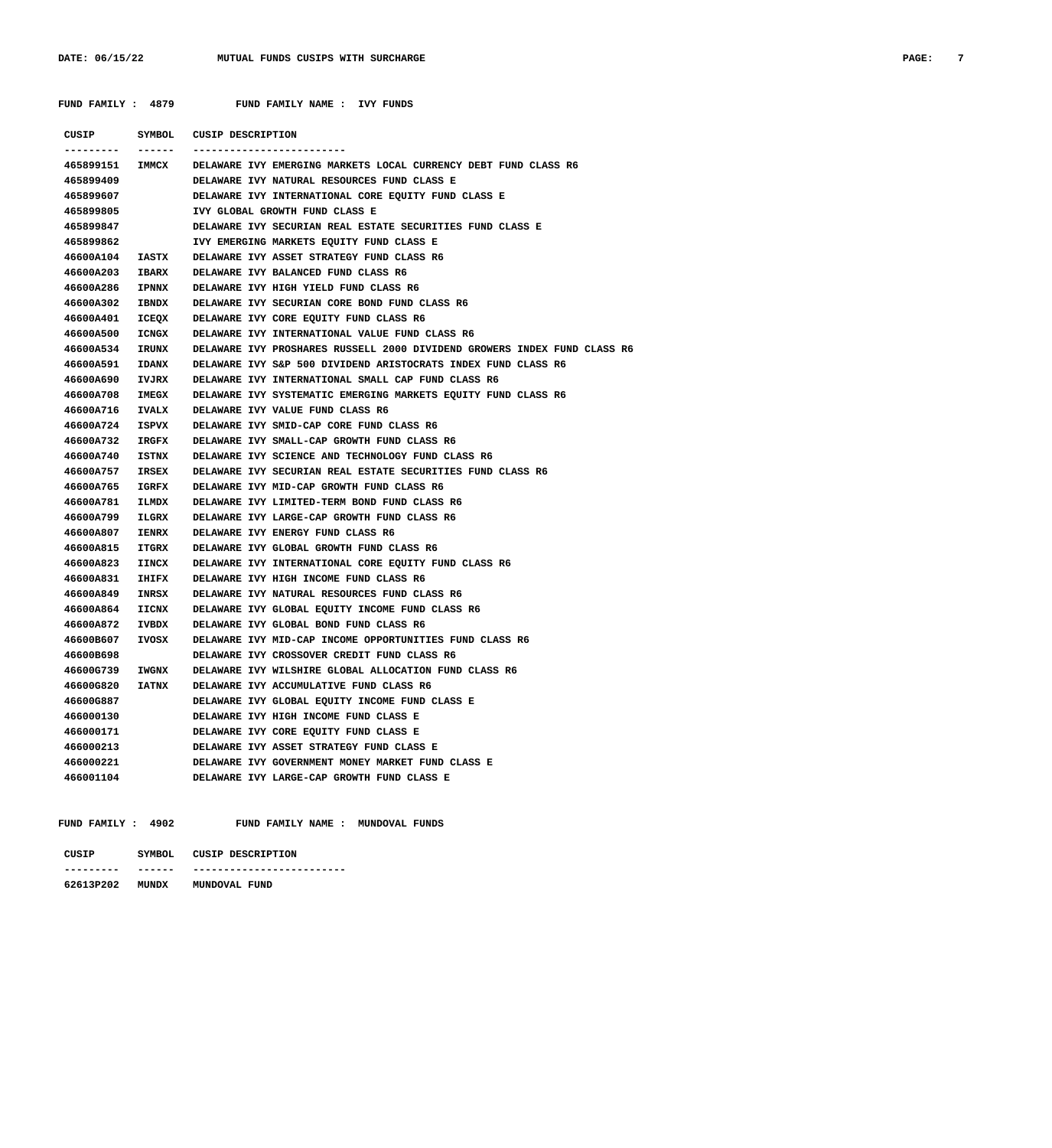FUND FAMILY : 4879 FUND FAMILY NAME : IVY FUNDS

| CUSIP<br>------- | SYMBOL<br>------- | CUSIP DESCRIPTION                                                        |
|------------------|-------------------|--------------------------------------------------------------------------|
| 465899151 IMMCX  |                   | DELAWARE IVY EMERGING MARKETS LOCAL CURRENCY DEBT FUND CLASS R6          |
| 465899409        |                   | DELAWARE IVY NATURAL RESOURCES FUND CLASS E                              |
| 465899607        |                   | DELAWARE IVY INTERNATIONAL CORE EQUITY FUND CLASS E                      |
| 465899805        |                   | IVY GLOBAL GROWTH FUND CLASS E                                           |
| 465899847        |                   | DELAWARE IVY SECURIAN REAL ESTATE SECURITIES FUND CLASS E                |
| 465899862        |                   | IVY EMERGING MARKETS EQUITY FUND CLASS E                                 |
| 46600A104        | IASTX             | DELAWARE IVY ASSET STRATEGY FUND CLASS R6                                |
| 46600A203        | <b>IBARX</b>      | DELAWARE IVY BALANCED FUND CLASS R6                                      |
| 46600A286        | <b>IPNNX</b>      | DELAWARE IVY HIGH YIELD FUND CLASS R6                                    |
| 46600A302        | <b>IBNDX</b>      | DELAWARE IVY SECURIAN CORE BOND FUND CLASS R6                            |
| 46600A401        | ICEQX             | DELAWARE IVY CORE EQUITY FUND CLASS R6                                   |
| 46600A500        | ICNGX             | DELAWARE IVY INTERNATIONAL VALUE FUND CLASS R6                           |
| 46600A534        | IRUNX             | DELAWARE IVY PROSHARES RUSSELL 2000 DIVIDEND GROWERS INDEX FUND CLASS R6 |
| 46600A591        | <b>IDANX</b>      | DELAWARE IVY S&P 500 DIVIDEND ARISTOCRATS INDEX FUND CLASS R6            |
| 46600A690        | IVJRX             | DELAWARE IVY INTERNATIONAL SMALL CAP FUND CLASS R6                       |
| 46600A708        | <b>IMEGX</b>      | DELAWARE IVY SYSTEMATIC EMERGING MARKETS EQUITY FUND CLASS R6            |
| 46600A716        | <b>IVALX</b>      | DELAWARE IVY VALUE FUND CLASS R6                                         |
| 46600A724        | ISPVX             | DELAWARE IVY SMID-CAP CORE FUND CLASS R6                                 |
| 46600A732        | <b>IRGFX</b>      | DELAWARE IVY SMALL-CAP GROWTH FUND CLASS R6                              |
| 46600A740        | ISTNX             | DELAWARE IVY SCIENCE AND TECHNOLOGY FUND CLASS R6                        |
| 46600A757        | IRSEX             | DELAWARE IVY SECURIAN REAL ESTATE SECURITIES FUND CLASS R6               |
| 46600A765        | IGRFX             | DELAWARE IVY MID-CAP GROWTH FUND CLASS R6                                |
| 46600A781        | ILMDX             | DELAWARE IVY LIMITED-TERM BOND FUND CLASS R6                             |
| 46600A799        | ILGRX             | DELAWARE IVY LARGE-CAP GROWTH FUND CLASS R6                              |
| 46600A807        | <b>IENRX</b>      | DELAWARE IVY ENERGY FUND CLASS R6                                        |
| 46600A815        | <b>ITGRX</b>      | DELAWARE IVY GLOBAL GROWTH FUND CLASS R6                                 |
| 46600A823        | <b>IINCX</b>      | DELAWARE IVY INTERNATIONAL CORE EQUITY FUND CLASS R6                     |
| 46600A831        | <b>IHIFX</b>      | DELAWARE IVY HIGH INCOME FUND CLASS R6                                   |
| 46600A849        | INRSX             | DELAWARE IVY NATURAL RESOURCES FUND CLASS R6                             |
| 46600A864        | IICNX             | DELAWARE IVY GLOBAL EQUITY INCOME FUND CLASS R6                          |
| 46600A872        | IVBDX             | DELAWARE IVY GLOBAL BOND FUND CLASS R6                                   |
| 46600B607        | IVOSX             | DELAWARE IVY MID-CAP INCOME OPPORTUNITIES FUND CLASS R6                  |
| 46600B698        |                   | DELAWARE IVY CROSSOVER CREDIT FUND CLASS R6                              |
| 46600G739        | <b>IWGNX</b>      | DELAWARE IVY WILSHIRE GLOBAL ALLOCATION FUND CLASS R6                    |
| 46600G820        | <b>IATNX</b>      | DELAWARE IVY ACCUMULATIVE FUND CLASS R6                                  |
| 46600G887        |                   | DELAWARE IVY GLOBAL EQUITY INCOME FUND CLASS E                           |
| 466000130        |                   | DELAWARE IVY HIGH INCOME FUND CLASS E                                    |
| 466000171        |                   | DELAWARE IVY CORE EQUITY FUND CLASS E                                    |
| 466000213        |                   | DELAWARE IVY ASSET STRATEGY FUND CLASS E                                 |
| 466000221        |                   | DELAWARE IVY GOVERNMENT MONEY MARKET FUND CLASS E                        |
| 466001104        |                   | DELAWARE IVY LARGE-CAP GROWTH FUND CLASS E                               |
|                  |                   |                                                                          |

 **FUND FAMILY : 4902 FUND FAMILY NAME : MUNDOVAL FUNDS**

| סדדי     |             | CUSIP DESCRIPTION         |
|----------|-------------|---------------------------|
| -------- | ----<br>--- | ------------------------- |

### **62613P202 MUNDX MUNDOVAL FUND**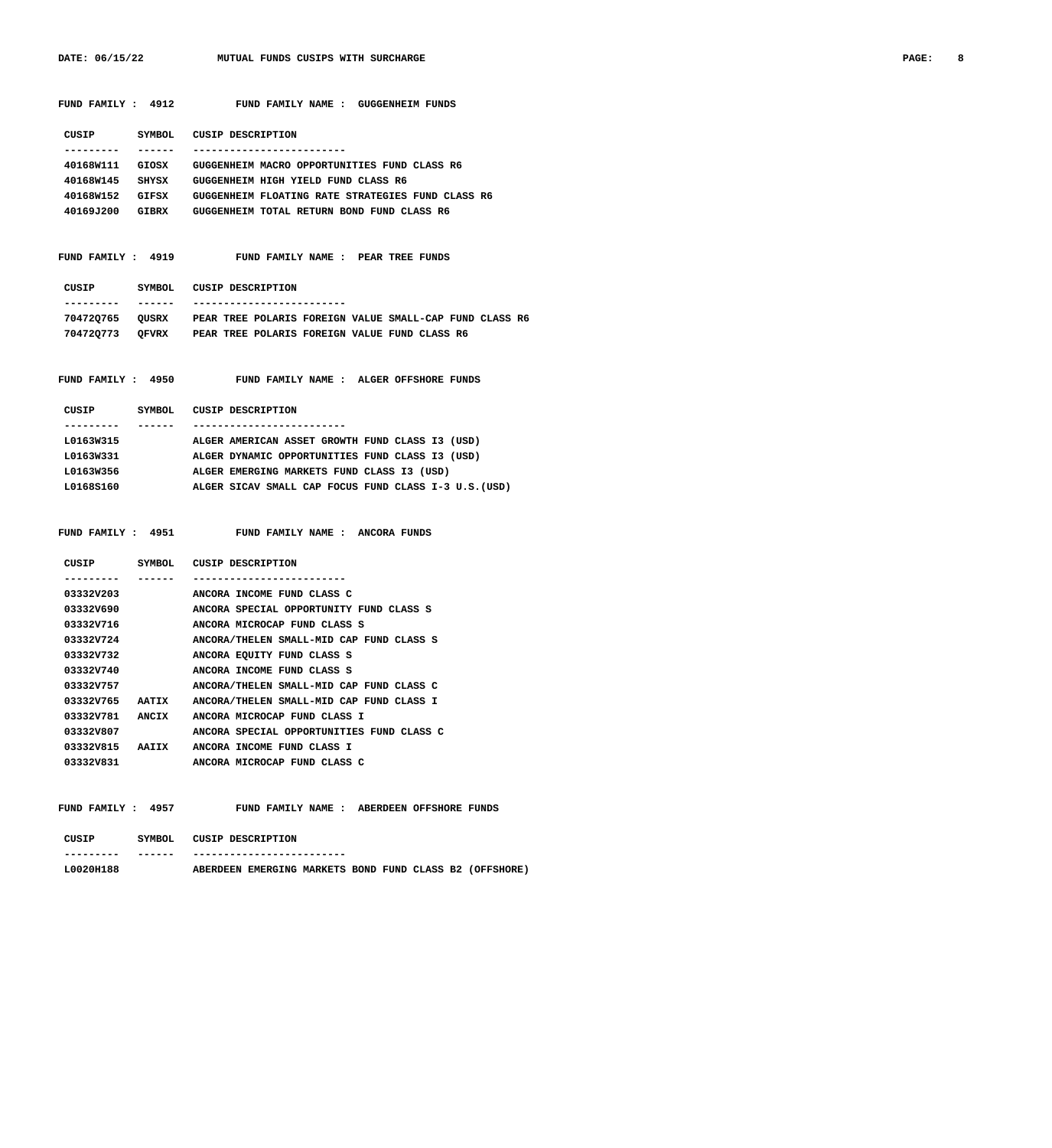**FUND FAMILY : 4912 FUND FAMILY NAME : GUGGENHEIM FUNDS**

|                    |         | CUSIP SYMBOL CUSIP DESCRIPTION                                          |
|--------------------|---------|-------------------------------------------------------------------------|
| ----------         | ------- | -------------------------                                               |
| 40168W111          |         | GIOSX GUGGENHEIM MACRO OPPORTUNITIES FUND CLASS R6                      |
|                    |         | 40168W145 SHYSX GUGGENHEIM HIGH YIELD FUND CLASS R6                     |
|                    |         | 40168W152 GIFSX GUGGENHEIM FLOATING RATE STRATEGIES FUND CLASS R6       |
|                    |         | 40169J200 GIBRX GUGGENHEIM TOTAL RETURN BOND FUND CLASS R6              |
|                    |         |                                                                         |
|                    |         |                                                                         |
|                    |         | FUND FAMILY : 4919 FUND FAMILY NAME : PEAR TREE FUNDS                   |
|                    |         |                                                                         |
|                    |         | CUSIP SYMBOL CUSIP DESCRIPTION                                          |
| ----------         |         | _______ __________________________                                      |
|                    |         | 704720765 QUSRX PEAR TREE POLARIS FOREIGN VALUE SMALL-CAP FUND CLASS R6 |
|                    |         | 704720773 OFVRX PEAR TREE POLARIS FOREIGN VALUE FUND CLASS R6           |
|                    |         |                                                                         |
|                    |         |                                                                         |
|                    |         | FUND FAMILY : 4950 FUND FAMILY NAME : ALGER OFFSHORE FUNDS              |
|                    |         |                                                                         |
|                    |         | CUSIP SYMBOL CUSIP DESCRIPTION                                          |
| ---------- ------- |         | ___________________________                                             |
| L0163W315          |         | ALGER AMERICAN ASSET GROWTH FUND CLASS I3 (USD)                         |
|                    |         | L0163W331 ALGER DYNAMIC OPPORTUNITIES FUND CLASS I3 (USD)               |
| L0163W356          |         | ALGER EMERGING MARKETS FUND CLASS I3 (USD)                              |
|                    |         | L0168S160 ALGER SICAV SMALL CAP FOCUS FUND CLASS I-3 U.S. (USD)         |
|                    |         |                                                                         |
|                    |         |                                                                         |
|                    |         | FUND FAMILY : 4951 FUND FAMILY NAME : ANCORA FUNDS                      |
|                    |         |                                                                         |
|                    |         | CUSIP SYMBOL CUSIP DESCRIPTION                                          |
|                    | ------  | -----------------                                                       |

| --------  |              |                                           |
|-----------|--------------|-------------------------------------------|
| 03332V203 |              | ANCORA INCOME FUND CLASS C                |
| 03332V690 |              | ANCORA SPECIAL OPPORTUNITY FUND CLASS S   |
| 03332V716 |              | ANCORA MICROCAP FUND CLASS S              |
| 03332V724 |              | ANCORA/THELEN SMALL-MID CAP FUND CLASS S  |
| 03332V732 |              | ANCORA EQUITY FUND CLASS S                |
| 03332V740 |              | ANCORA INCOME FUND CLASS S                |
| 03332V757 |              | ANCORA/THELEN SMALL-MID CAP FUND CLASS C  |
| 03332V765 | <b>AATTX</b> | ANCORA/THELEN SMALL-MID CAP FUND CLASS I  |
| 03332V781 | ANCIX        | ANCORA MICROCAP FUND CLASS I              |
| 03332V807 |              | ANCORA SPECIAL OPPORTUNITIES FUND CLASS C |
| 03332V815 | <b>AATTX</b> | ANCORA INCOME FUND CLASS I                |
| 03332V831 |              | ANCORA MICROCAP FUND CLASS C              |

FUND FAMILY : 4957 FUND FAMILY NAME : ABERDEEN OFFSHORE FUNDS  **CUSIP SYMBOL CUSIP DESCRIPTION**

| --------- | ------ |                 | ------------------------- |  |  |                                                |
|-----------|--------|-----------------|---------------------------|--|--|------------------------------------------------|
| L0020H188 |        | <b>ABERDEEN</b> |                           |  |  | EMERGING MARKETS BOND FUND CLASS B2 (OFFSHORE) |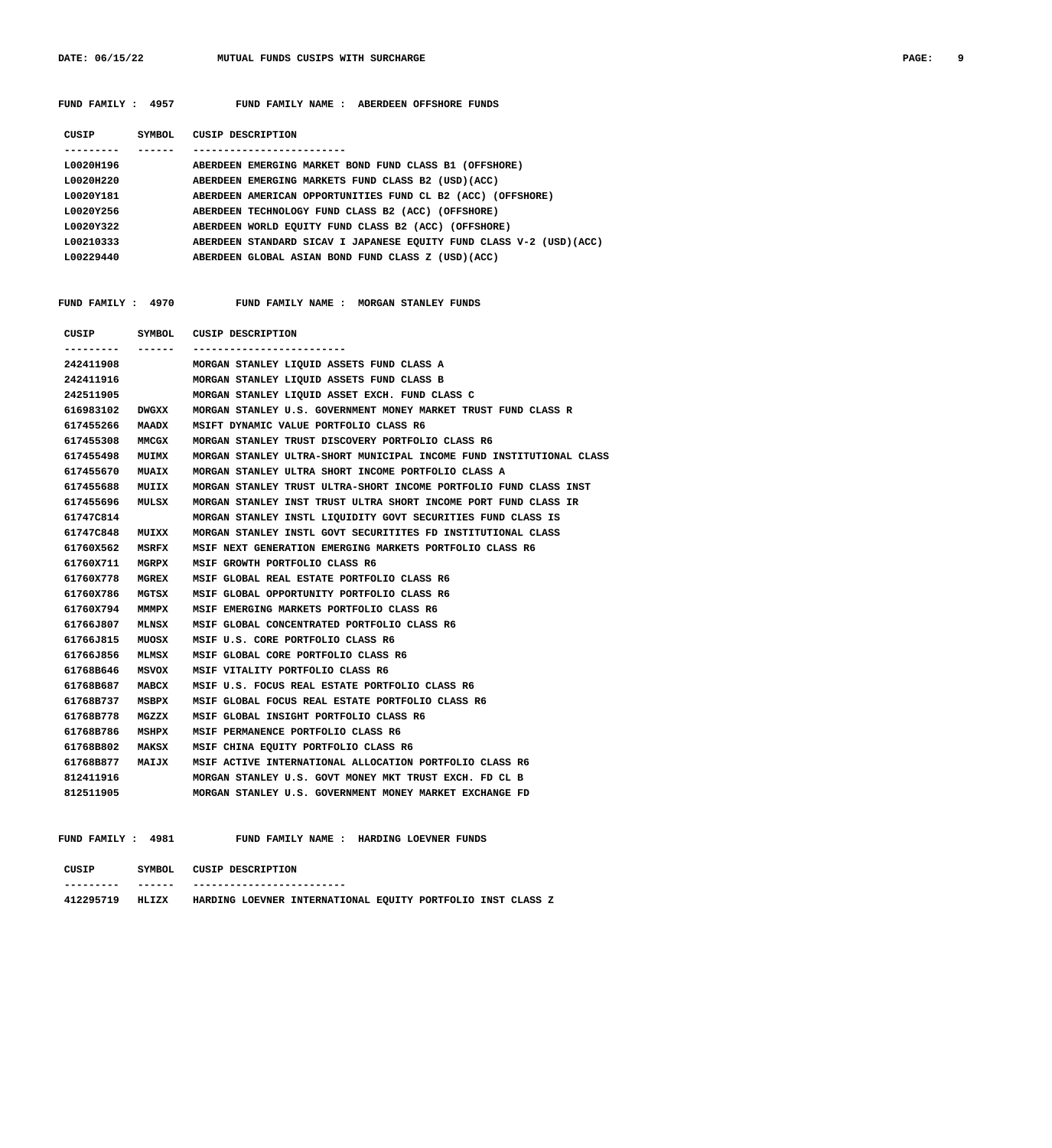**FUND FAMILY : 4957 FUND FAMILY NAME : ABERDEEN OFFSHORE FUNDS**

| CUSIP             | SYMBOL | CUSIP DESCRIPTION                                                    |
|-------------------|--------|----------------------------------------------------------------------|
|                   |        |                                                                      |
| L0020H196         |        | ABERDEEN EMERGING MARKET BOND FUND CLASS B1 (OFFSHORE)               |
| L0020H220         |        | ABERDEEN EMERGING MARKETS FUND CLASS B2 (USD) (ACC)                  |
| <b>1.0020Y181</b> |        | ABERDEEN AMERICAN OPPORTUNITIES FUND CL B2 (ACC) (OFFSHORE)          |
| L0020Y256         |        | ABERDEEN TECHNOLOGY FUND CLASS B2 (ACC) (OFFSHORE)                   |
| L0020Y322         |        | ABERDEEN WORLD EQUITY FUND CLASS B2 (ACC) (OFFSHORE)                 |
| L00210333         |        | ABERDEEN STANDARD SICAV I JAPANESE EOUITY FUND CLASS V-2 (USD) (ACC) |
| L00229440         |        | ABERDEEN GLOBAL ASIAN BOND FUND CLASS Z (USD) (ACC)                  |
|                   |        |                                                                      |

FUND FAMILY : 4970 FUND FAMILY NAME : MORGAN STANLEY FUNDS

| CUSIP     |              | SYMBOL CUSIP DESCRIPTION                                             |
|-----------|--------------|----------------------------------------------------------------------|
|           | ------       | -----------------------                                              |
| 242411908 |              | MORGAN STANLEY LIOUID ASSETS FUND CLASS A                            |
| 242411916 |              | MORGAN STANLEY LIQUID ASSETS FUND CLASS B                            |
| 242511905 |              | MORGAN STANLEY LIQUID ASSET EXCH. FUND CLASS C                       |
| 616983102 | <b>DWGXX</b> | MORGAN STANLEY U.S. GOVERNMENT MONEY MARKET TRUST FUND CLASS R       |
| 617455266 | MAADX        | MSIFT DYNAMIC VALUE PORTFOLIO CLASS R6                               |
| 617455308 | MMCGX        | MORGAN STANLEY TRUST DISCOVERY PORTFOLIO CLASS R6                    |
| 617455498 | <b>MUIMX</b> | MORGAN STANLEY ULTRA-SHORT MUNICIPAL INCOME FUND INSTITUTIONAL CLASS |
| 617455670 | <b>MUAIX</b> | MORGAN STANLEY ULTRA SHORT INCOME PORTFOLIO CLASS A                  |
| 617455688 | MUIIX        | MORGAN STANLEY TRUST ULTRA-SHORT INCOME PORTFOLIO FUND CLASS INST    |
| 617455696 | MULSX        | MORGAN STANLEY INST TRUST ULTRA SHORT INCOME PORT FUND CLASS IR      |
| 61747C814 |              | MORGAN STANLEY INSTL LIQUIDITY GOVT SECURITIES FUND CLASS IS         |
| 61747C848 | MUIXX        | MORGAN STANLEY INSTL GOVT SECURITITES FD INSTITUTIONAL CLASS         |
| 61760X562 | MSRFX        | MSIF NEXT GENERATION EMERGING MARKETS PORTFOLIO CLASS R6             |
| 61760X711 | MGRPX        | MSIF GROWTH PORTFOLIO CLASS R6                                       |
| 61760X778 | MGREX        | MSIF GLOBAL REAL ESTATE PORTFOLIO CLASS R6                           |
| 61760X786 | MGTSX        | MSIF GLOBAL OPPORTUNITY PORTFOLIO CLASS R6                           |
| 61760x794 | MMMPX        | MSIF EMERGING MARKETS PORTFOLIO CLASS R6                             |
| 61766J807 | MLNSX        | MSIF GLOBAL CONCENTRATED PORTFOLIO CLASS R6                          |
| 61766J815 | MUOSX        | MSIF U.S. CORE PORTFOLIO CLASS R6                                    |
| 61766J856 | MLMSX        | MSIF GLOBAL CORE PORTFOLIO CLASS R6                                  |
| 61768B646 | MSVOX        | MSIF VITALITY PORTFOLIO CLASS R6                                     |
| 61768B687 | MABCX        | MSIF U.S. FOCUS REAL ESTATE PORTFOLIO CLASS R6                       |
| 61768B737 | MSBPX        | MSIF GLOBAL FOCUS REAL ESTATE PORTFOLIO CLASS R6                     |
| 61768B778 | MGZZX        | MSIF GLOBAL INSIGHT PORTFOLIO CLASS R6                               |
| 61768B786 | MSHPX        | MSIF PERMANENCE PORTFOLIO CLASS R6                                   |
| 61768B802 | MAKSX        | MSIF CHINA EQUITY PORTFOLIO CLASS R6                                 |
| 61768B877 | MAIJX        | MSIF ACTIVE INTERNATIONAL ALLOCATION PORTFOLIO CLASS R6              |
| 812411916 |              | MORGAN STANLEY U.S. GOVT MONEY MKT TRUST EXCH. FD CL B               |
| 812511905 |              | MORGAN STANLEY U.S. GOVERNMENT MONEY MARKET EXCHANGE FD              |

FUND FAMILY : 4981 FUND FAMILY NAME : HARDING LOEVNER FUNDS

| CUSIP     | SYMBOL        | CUSIP DESCRIPTION         |  |                                                             |  |  |  |  |  |  |  |
|-----------|---------------|---------------------------|--|-------------------------------------------------------------|--|--|--|--|--|--|--|
| --------- | ------        | ------------------------- |  |                                                             |  |  |  |  |  |  |  |
| 412295719 | <b>HT.TZX</b> |                           |  | HARDING LOEVNER INTERNATIONAL EQUITY PORTFOLIO INST CLASS Z |  |  |  |  |  |  |  |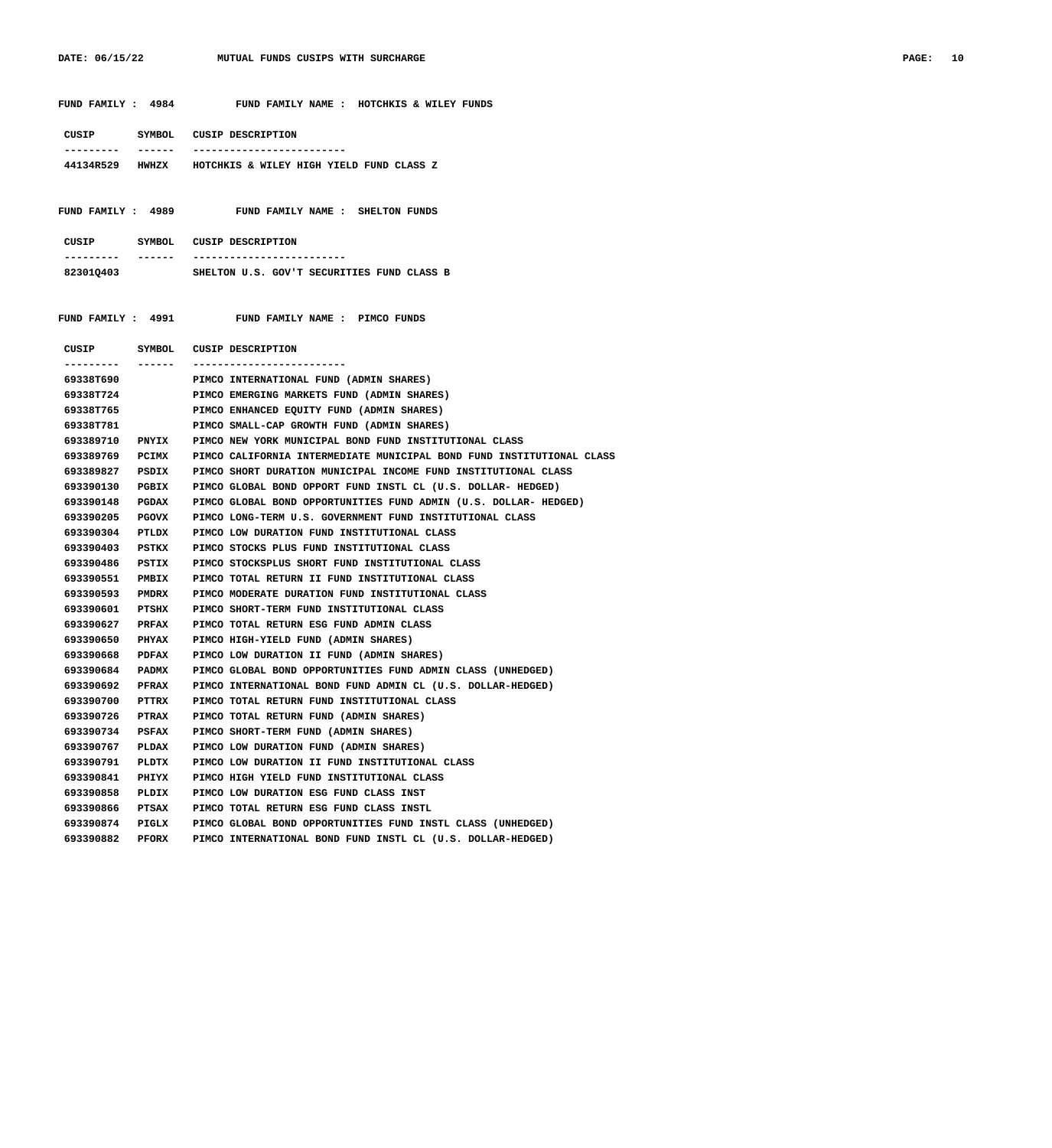|                        |                | FUND FAMILY : 4984 FUND FAMILY NAME : HOTCHKIS & WILEY FUNDS                          |
|------------------------|----------------|---------------------------------------------------------------------------------------|
| --------- ------       |                | CUSIP SYMBOL CUSIP DESCRIPTION<br>---------------------------                         |
|                        |                | 44134R529 HWHZX HOTCHKIS & WILEY HIGH YIELD FUND CLASS Z                              |
|                        |                |                                                                                       |
|                        |                | FUND FAMILY : 4989 FUND FAMILY NAME : SHELTON FUNDS                                   |
| ---------- ------      |                | CUSIP SYMBOL CUSIP DESCRIPTION<br>--------------------------                          |
|                        |                | 823010403 SHELTON U.S. GOV'T SECURITIES FUND CLASS B                                  |
|                        |                | FUND FAMILY : 4991 FUND FAMILY NAME : PIMCO FUNDS                                     |
| --------- ------       |                | CUSIP SYMBOL CUSIP DESCRIPTION<br>-------------------------                           |
| 69338T690              |                | PIMCO INTERNATIONAL FUND (ADMIN SHARES)                                               |
|                        |                | 69338T724 PIMCO EMERGING MARKETS FUND (ADMIN SHARES)                                  |
|                        |                |                                                                                       |
| 69338T781              |                | PIMCO SMALL-CAP GROWTH FUND (ADMIN SHARES)                                            |
|                        |                | 693389710 PNYIX PIMCO NEW YORK MUNICIPAL BOND FUND INSTITUTIONAL CLASS                |
|                        |                | 693389769 PCIMX PIMCO CALIFORNIA INTERMEDIATE MUNICIPAL BOND FUND INSTITUTIONAL CLASS |
|                        |                | 693389827 PSDIX PIMCO SHORT DURATION MUNICIPAL INCOME FUND INSTITUTIONAL CLASS        |
| 693390130              |                | PGBIX PIMCO GLOBAL BOND OPPORT FUND INSTL CL (U.S. DOLLAR- HEDGED)                    |
| 693390148              |                | PGDAX PIMCO GLOBAL BOND OPPORTUNITIES FUND ADMIN (U.S. DOLLAR- HEDGED)                |
| 693390205              |                | PGOVX PIMCO LONG-TERM U.S. GOVERNMENT FUND INSTITUTIONAL CLASS                        |
| 693390304              |                | PTLDX PIMCO LOW DURATION FUND INSTITUTIONAL CLASS                                     |
| 693390403              |                | PSTKX PIMCO STOCKS PLUS FUND INSTITUTIONAL CLASS                                      |
| 693390486              |                | PSTIX PIMCO STOCKSPLUS SHORT FUND INSTITUTIONAL CLASS                                 |
| 693390551              |                | PMBIX PIMCO TOTAL RETURN II FUND INSTITUTIONAL CLASS                                  |
| 693390593              |                | PMDRX PIMCO MODERATE DURATION FUND INSTITUTIONAL CLASS                                |
| 693390601              |                | PTSHX PIMCO SHORT-TERM FUND INSTITUTIONAL CLASS                                       |
| 693390627              |                | PRFAX PIMCO TOTAL RETURN ESG FUND ADMIN CLASS                                         |
|                        |                | 693390650 PHYAX PIMCO HIGH-YIELD FUND (ADMIN SHARES)                                  |
|                        |                | 693390668 PDFAX PIMCO LOW DURATION II FUND (ADMIN SHARES)                             |
| 693390684              | <b>PADMX</b>   | PIMCO GLOBAL BOND OPPORTUNITIES FUND ADMIN CLASS (UNHEDGED)                           |
| 693390692              | PFRAX          | PIMCO INTERNATIONAL BOND FUND ADMIN CL (U.S. DOLLAR-HEDGED)                           |
| 693390700<br>693390726 | PTTRX<br>PTRAX | PIMCO TOTAL RETURN FUND INSTITUTIONAL CLASS<br>PIMCO TOTAL RETURN FUND (ADMIN SHARES) |
| 693390734              | PSFAX          | PIMCO SHORT-TERM FUND (ADMIN SHARES)                                                  |
| 693390767              | PLDAX          | PIMCO LOW DURATION FUND (ADMIN SHARES)                                                |
| 693390791              | PLDTX          | PIMCO LOW DURATION II FUND INSTITUTIONAL CLASS                                        |
| 693390841              | PHIYX          | PIMCO HIGH YIELD FUND INSTITUTIONAL CLASS                                             |
| 693390858              | PLDIX          | PIMCO LOW DURATION ESG FUND CLASS INST                                                |
| 693390866              | PTSAX          | PIMCO TOTAL RETURN ESG FUND CLASS INSTL                                               |
| 693390874              | PIGLX          | PIMCO GLOBAL BOND OPPORTUNITIES FUND INSTL CLASS (UNHEDGED)                           |

 **693390882 PFORX PIMCO INTERNATIONAL BOND FUND INSTL CL (U.S. DOLLAR-HEDGED)**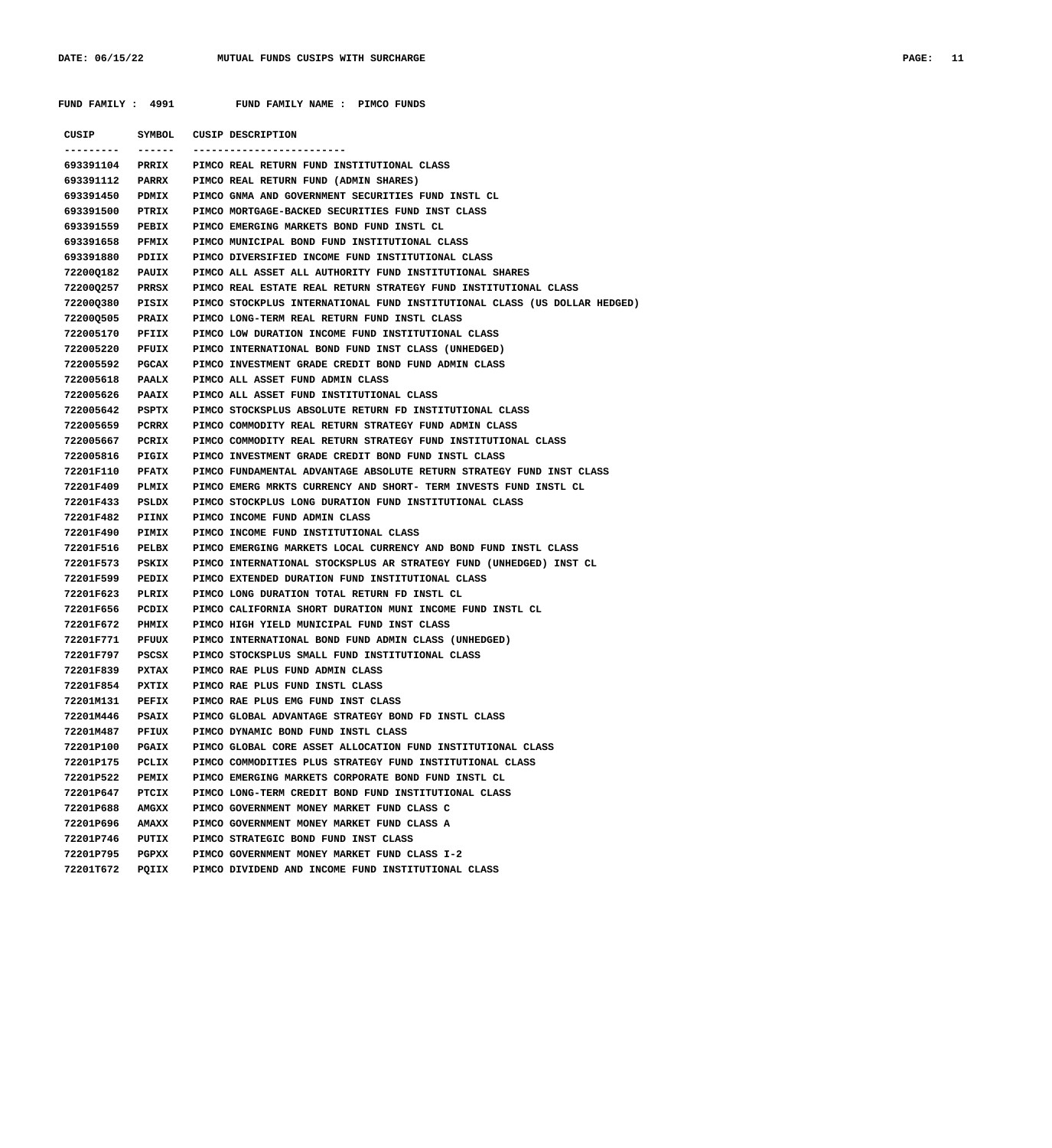| FUND FAMILY : 4991 |              | FUND FAMILY NAME : PIMCO FUNDS                                            |
|--------------------|--------------|---------------------------------------------------------------------------|
|                    |              | CUSIP SYMBOL CUSIP DESCRIPTION                                            |
| ----------         | -------      | -------------------------                                                 |
| 693391104          |              | PRRIX PIMCO REAL RETURN FUND INSTITUTIONAL CLASS                          |
| 693391112          |              | PARRX PIMCO REAL RETURN FUND (ADMIN SHARES)                               |
| 693391450          | PDMIX        | PIMCO GNMA AND GOVERNMENT SECURITIES FUND INSTL CL                        |
| 693391500          | <b>PTRIX</b> | PIMCO MORTGAGE-BACKED SECURITIES FUND INST CLASS                          |
| 693391559          | <b>PEBIX</b> | PIMCO EMERGING MARKETS BOND FUND INSTL CL                                 |
| 693391658          | <b>PFMIX</b> | PIMCO MUNICIPAL BOND FUND INSTITUTIONAL CLASS                             |
| 693391880          | PDIIX        | PIMCO DIVERSIFIED INCOME FUND INSTITUTIONAL CLASS                         |
| 72200Q182          | <b>PAUIX</b> | PIMCO ALL ASSET ALL AUTHORITY FUND INSTITUTIONAL SHARES                   |
| 72200Q257 PRRSX    |              | PIMCO REAL ESTATE REAL RETURN STRATEGY FUND INSTITUTIONAL CLASS           |
| 72200Q380          | <b>PISIX</b> | PIMCO STOCKPLUS INTERNATIONAL FUND INSTITUTIONAL CLASS (US DOLLAR HEDGED) |
| 72200Q505          | <b>PRAIX</b> | PIMCO LONG-TERM REAL RETURN FUND INSTL CLASS                              |
| 722005170          | PFIIX        | PIMCO LOW DURATION INCOME FUND INSTITUTIONAL CLASS                        |
| 722005220          | PFUIX        | PIMCO INTERNATIONAL BOND FUND INST CLASS (UNHEDGED)                       |
| 722005592          | <b>PGCAX</b> | PIMCO INVESTMENT GRADE CREDIT BOND FUND ADMIN CLASS                       |
| 722005618          | <b>PAALX</b> | PIMCO ALL ASSET FUND ADMIN CLASS                                          |
| 722005626          | <b>PAAIX</b> | PIMCO ALL ASSET FUND INSTITUTIONAL CLASS                                  |
| 722005642          | PSPTX        | PIMCO STOCKSPLUS ABSOLUTE RETURN FD INSTITUTIONAL CLASS                   |
| 722005659          | PCRRX        | PIMCO COMMODITY REAL RETURN STRATEGY FUND ADMIN CLASS                     |
| 722005667          | PCRIX        | PIMCO COMMODITY REAL RETURN STRATEGY FUND INSTITUTIONAL CLASS             |
| 722005816          | <b>PIGIX</b> | PIMCO INVESTMENT GRADE CREDIT BOND FUND INSTL CLASS                       |
| 72201F110          | <b>PFATX</b> | PIMCO FUNDAMENTAL ADVANTAGE ABSOLUTE RETURN STRATEGY FUND INST CLASS      |
| 72201F409          | <b>PLMIX</b> | PIMCO EMERG MRKTS CURRENCY AND SHORT- TERM INVESTS FUND INSTL CL          |
| 72201F433          | PSLDX        | PIMCO STOCKPLUS LONG DURATION FUND INSTITUTIONAL CLASS                    |
| 72201F482          | PIINX        | PIMCO INCOME FUND ADMIN CLASS                                             |
| 72201F490          | <b>PIMIX</b> | PIMCO INCOME FUND INSTITUTIONAL CLASS                                     |
| 72201F516          | PELBX        | PIMCO EMERGING MARKETS LOCAL CURRENCY AND BOND FUND INSTL CLASS           |
| 72201F573          | PSKIX        | PIMCO INTERNATIONAL STOCKSPLUS AR STRATEGY FUND (UNHEDGED) INST CL        |
| 72201F599          | <b>PEDIX</b> | PIMCO EXTENDED DURATION FUND INSTITUTIONAL CLASS                          |
| 72201F623          | PLRIX        | PIMCO LONG DURATION TOTAL RETURN FD INSTL CL                              |
| 72201F656          | PCDIX        | PIMCO CALIFORNIA SHORT DURATION MUNI INCOME FUND INSTL CL                 |
| 72201F672          | PHMIX        | PIMCO HIGH YIELD MUNICIPAL FUND INST CLASS                                |
| 72201F771          | PFUUX        | PIMCO INTERNATIONAL BOND FUND ADMIN CLASS (UNHEDGED)                      |
| 72201F797          | PSCSX        | PIMCO STOCKSPLUS SMALL FUND INSTITUTIONAL CLASS                           |
| 72201F839          | PXTAX        | PIMCO RAE PLUS FUND ADMIN CLASS                                           |
| 72201F854          | PXTIX        | PIMCO RAE PLUS FUND INSTL CLASS                                           |
| 72201M131          | PEFIX        | PIMCO RAE PLUS EMG FUND INST CLASS                                        |
| 72201M446          | PSAIX        | PIMCO GLOBAL ADVANTAGE STRATEGY BOND FD INSTL CLASS                       |
| 72201M487          | PFIUX        | PIMCO DYNAMIC BOND FUND INSTL CLASS                                       |
| 72201P100          | <b>PGAIX</b> | PIMCO GLOBAL CORE ASSET ALLOCATION FUND INSTITUTIONAL CLASS               |
| 72201P175          | PCLIX        | PIMCO COMMODITIES PLUS STRATEGY FUND INSTITUTIONAL CLASS                  |
| 72201P522          | PEMIX        | PIMCO EMERGING MARKETS CORPORATE BOND FUND INSTL CL                       |
| 72201P647          | PTCIX        | PIMCO LONG-TERM CREDIT BOND FUND INSTITUTIONAL CLASS                      |
| 72201P688          | AMGXX        | PIMCO GOVERNMENT MONEY MARKET FUND CLASS C                                |
| 72201P696          | AMAXX        | PIMCO GOVERNMENT MONEY MARKET FUND CLASS A                                |
| 72201P746          | PUTIX        | PIMCO STRATEGIC BOND FUND INST CLASS                                      |
| 72201P795          | PGPXX        | PIMCO GOVERNMENT MONEY MARKET FUND CLASS I-2                              |
| 72201T672          | PQIIX        | PIMCO DIVIDEND AND INCOME FUND INSTITUTIONAL CLASS                        |
|                    |              |                                                                           |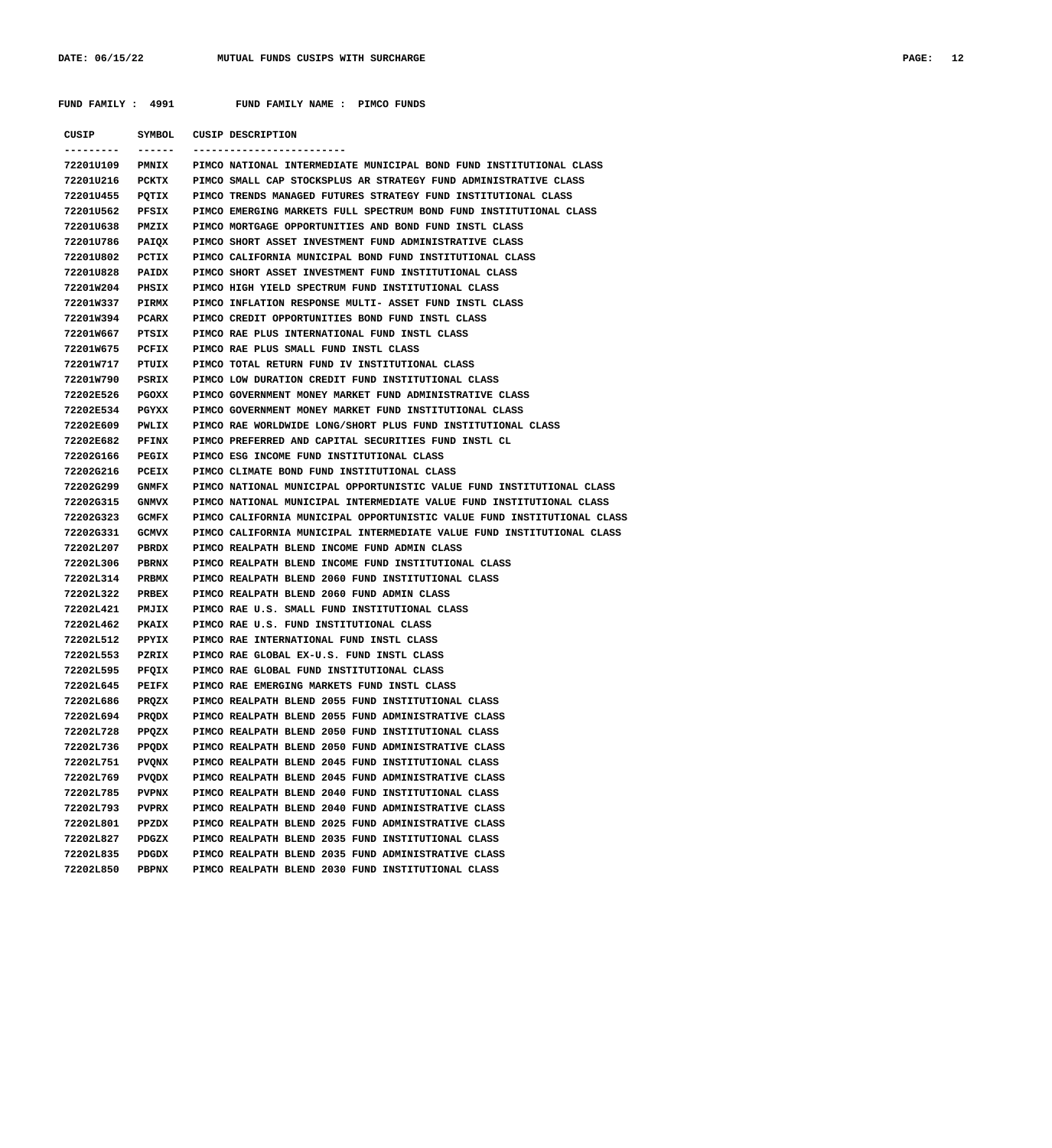|                        |                       | FUND FAMILY : 4991 FUND FAMILY NAME : PIMCO FUNDS                                                 |
|------------------------|-----------------------|---------------------------------------------------------------------------------------------------|
|                        |                       |                                                                                                   |
|                        |                       | CUSIP SYMBOL CUSIP DESCRIPTION                                                                    |
| ---------<br>72201U109 | -------               | --------------------------                                                                        |
|                        |                       | PMNIX PIMCO NATIONAL INTERMEDIATE MUNICIPAL BOND FUND INSTITUTIONAL CLASS                         |
|                        |                       | 72201U216 PCKTX PIMCO SMALL CAP STOCKSPLUS AR STRATEGY FUND ADMINISTRATIVE CLASS                  |
|                        |                       | 72201U455 PQTIX PIMCO TRENDS MANAGED FUTURES STRATEGY FUND INSTITUTIONAL CLASS                    |
|                        |                       | 72201U562 PFSIX PIMCO EMERGING MARKETS FULL SPECTRUM BOND FUND INSTITUTIONAL CLASS                |
|                        |                       | 72201U638 PMZIX PIMCO MORTGAGE OPPORTUNITIES AND BOND FUND INSTL CLASS                            |
|                        |                       | 72201U786 PAIQX PIMCO SHORT ASSET INVESTMENT FUND ADMINISTRATIVE CLASS                            |
|                        |                       | 72201U802 PCTIX PIMCO CALIFORNIA MUNICIPAL BOND FUND INSTITUTIONAL CLASS                          |
|                        |                       | 72201U828 PAIDX PIMCO SHORT ASSET INVESTMENT FUND INSTITUTIONAL CLASS                             |
|                        |                       | 72201W204 PHSIX PIMCO HIGH YIELD SPECTRUM FUND INSTITUTIONAL CLASS                                |
|                        |                       | 72201W337 PIRMX PIMCO INFLATION RESPONSE MULTI- ASSET FUND INSTL CLASS                            |
|                        |                       | 72201W394 PCARX PIMCO CREDIT OPPORTUNITIES BOND FUND INSTL CLASS                                  |
|                        |                       | 72201W667 PTSIX PIMCO RAE PLUS INTERNATIONAL FUND INSTL CLASS                                     |
|                        |                       | 72201W675 PCFIX PIMCO RAE PLUS SMALL FUND INSTL CLASS                                             |
|                        |                       | 72201W717 PTUIX PIMCO TOTAL RETURN FUND IV INSTITUTIONAL CLASS                                    |
|                        |                       | 72201W790 PSRIX PIMCO LOW DURATION CREDIT FUND INSTITUTIONAL CLASS                                |
|                        |                       | 72202E526 PGOXX PIMCO GOVERNMENT MONEY MARKET FUND ADMINISTRATIVE CLASS                           |
|                        |                       | 72202E534 PGYXX PIMCO GOVERNMENT MONEY MARKET FUND INSTITUTIONAL CLASS                            |
|                        |                       | 72202E609 PWLIX PIMCO RAE WORLDWIDE LONG/SHORT PLUS FUND INSTITUTIONAL CLASS                      |
|                        |                       | 72202E682 PFINX PIMCO PREFERRED AND CAPITAL SECURITIES FUND INSTL CL                              |
|                        |                       | 72202G166 PEGIX PIMCO ESG INCOME FUND INSTITUTIONAL CLASS                                         |
|                        |                       | 72202G216 PCEIX PIMCO CLIMATE BOND FUND INSTITUTIONAL CLASS                                       |
|                        |                       | 72202G299 GNMFX PIMCO NATIONAL MUNICIPAL OPPORTUNISTIC VALUE FUND INSTITUTIONAL CLASS             |
|                        |                       | 72202G315 GNMVX PIMCO NATIONAL MUNICIPAL INTERMEDIATE VALUE FUND INSTITUTIONAL CLASS              |
|                        |                       | 72202G323 GCMFX PIMCO CALIFORNIA MUNICIPAL OPPORTUNISTIC VALUE FUND INSTITUTIONAL CLASS           |
|                        |                       | 72202G331 GCMVX PIMCO CALIFORNIA MUNICIPAL INTERMEDIATE VALUE FUND INSTITUTIONAL CLASS            |
| 72202L207 PBRDX        |                       | PIMCO REALPATH BLEND INCOME FUND ADMIN CLASS                                                      |
| 72202L306 PBRNX        |                       | PIMCO REALPATH BLEND INCOME FUND INSTITUTIONAL CLASS                                              |
|                        |                       | 72202L314 PRBMX PIMCO REALPATH BLEND 2060 FUND INSTITUTIONAL CLASS                                |
|                        |                       | 72202L322 PRBEX PIMCO REALPATH BLEND 2060 FUND ADMIN CLASS                                        |
|                        |                       | 72202L421 PMJIX PIMCO RAE U.S. SMALL FUND INSTITUTIONAL CLASS                                     |
|                        |                       | 72202L462 PKAIX PIMCO RAE U.S. FUND INSTITUTIONAL CLASS                                           |
|                        |                       | 72202L512 PPYIX PIMCO RAE INTERNATIONAL FUND INSTL CLASS                                          |
|                        |                       | 72202L553 PZRIX PIMCO RAE GLOBAL EX-U.S. FUND INSTL CLASS                                         |
| 72202L595<br>72202L645 | PFQIX                 | PIMCO RAE GLOBAL FUND INSTITUTIONAL CLASS                                                         |
|                        | PEIFX                 | PIMCO RAE EMERGING MARKETS FUND INSTL CLASS<br>PIMCO REALPATH BLEND 2055 FUND INSTITUTIONAL CLASS |
| 72202L686              | PRQZX<br>PRODX        | PIMCO REALPATH BLEND 2055 FUND ADMINISTRATIVE CLASS                                               |
| 72202L694              |                       | PIMCO REALPATH BLEND 2050 FUND INSTITUTIONAL CLASS                                                |
| 72202L728<br>72202L736 | PPQZX                 | PIMCO REALPATH BLEND 2050 FUND ADMINISTRATIVE CLASS                                               |
| 72202L751              | PPQDX                 | PIMCO REALPATH BLEND 2045 FUND INSTITUTIONAL CLASS                                                |
|                        | PVQNX<br><b>PVODX</b> | PIMCO REALPATH BLEND 2045 FUND ADMINISTRATIVE CLASS                                               |
| 72202L769<br>72202L785 | PVPNX                 | PIMCO REALPATH BLEND 2040 FUND INSTITUTIONAL CLASS                                                |
| 72202L793              | PVPRX                 | PIMCO REALPATH BLEND 2040 FUND ADMINISTRATIVE CLASS                                               |
| 72202L801              | PPZDX                 | PIMCO REALPATH BLEND 2025 FUND ADMINISTRATIVE CLASS                                               |
| 72202L827              | PDGZX                 | PIMCO REALPATH BLEND 2035 FUND INSTITUTIONAL CLASS                                                |
| 72202L835              | PDGDX                 | PIMCO REALPATH BLEND 2035 FUND ADMINISTRATIVE CLASS                                               |
|                        |                       |                                                                                                   |
| 72202L850              | PBPNX                 | PIMCO REALPATH BLEND 2030 FUND INSTITUTIONAL CLASS                                                |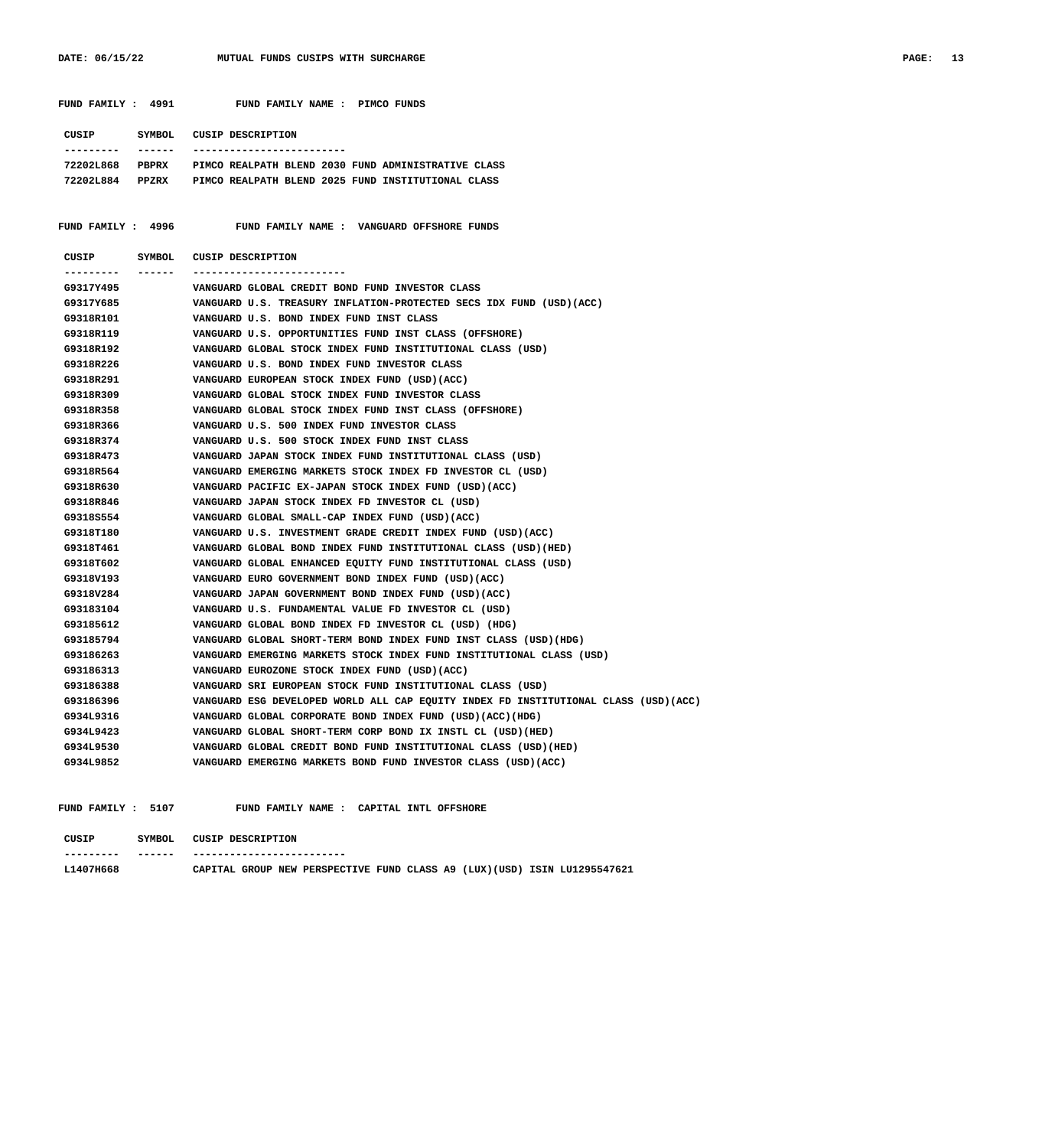|                                                    | FUND FAMILY : 4991 FUND FAMILY NAME : PIMCO FUNDS                                                                                                                                                                                          |
|----------------------------------------------------|--------------------------------------------------------------------------------------------------------------------------------------------------------------------------------------------------------------------------------------------|
| CUSIP SYMBOL CUSIP DESCRIPTION<br>--------- ------ | -----------------------                                                                                                                                                                                                                    |
|                                                    | 72202L868 PBPRX PIMCO REALPATH BLEND 2030 FUND ADMINISTRATIVE CLASS                                                                                                                                                                        |
|                                                    | 72202L884 PPZRX PIMCO REALPATH BLEND 2025 FUND INSTITUTIONAL CLASS                                                                                                                                                                         |
|                                                    |                                                                                                                                                                                                                                            |
|                                                    |                                                                                                                                                                                                                                            |
|                                                    | FUND FAMILY : 4996 FUND FAMILY NAME : VANGUARD OFFSHORE FUNDS                                                                                                                                                                              |
| CUSIP SYMBOL CUSIP DESCRIPTION                     |                                                                                                                                                                                                                                            |
|                                                    |                                                                                                                                                                                                                                            |
| G9317Y495                                          | VANGUARD GLOBAL CREDIT BOND FUND INVESTOR CLASS                                                                                                                                                                                            |
| G9317Y685                                          | VANGUARD U.S. TREASURY INFLATION-PROTECTED SECS IDX FUND (USD)(ACC)                                                                                                                                                                        |
| G9318R101                                          | VANGUARD U.S. TREASURY INFLATION-PROTECTED SECS IDX FUND (U<br>VANGUARD U.S. BOND INDEX FUND INST CLASS<br>VANGUARD U.S. OPPORTUNITIES FUND INST CLASS (OFFSHORE)<br>VANGUARD GLOBAL STOCK INDEX FUND INSTITUTIONAL CLASS (USD)<br>VANGUAR |
| G9318R119                                          |                                                                                                                                                                                                                                            |
| G9318R192                                          |                                                                                                                                                                                                                                            |
| G9318R226                                          |                                                                                                                                                                                                                                            |
| G9318R291                                          |                                                                                                                                                                                                                                            |
| G9318R309                                          |                                                                                                                                                                                                                                            |
| G9318R358                                          |                                                                                                                                                                                                                                            |
| G9318R366                                          |                                                                                                                                                                                                                                            |
| G9318R374                                          |                                                                                                                                                                                                                                            |
| G9318R473                                          |                                                                                                                                                                                                                                            |
| G9318R564                                          |                                                                                                                                                                                                                                            |
| G9318R630                                          | VANGUARD PACIFIC EX-JAPAN STOCK INDEX FUND (USD)(ACC)<br>VANGUARD JAPAN STOCK INDEX FD INVESTOR CL (USD)<br>VANGUARD GLOBAL SMALL-CAP INDEX FUND (USD)(ACC)<br>VANGUARD U.S. INVESTMENT CRADE GREDIT INDEX EUND (USD)                      |
| G9318R846                                          |                                                                                                                                                                                                                                            |
| G9318S554                                          |                                                                                                                                                                                                                                            |
| G9318T180                                          | VANGUARD U.S. INVESTMENT GRADE CREDIT INDEX FUND (USD) (ACC)                                                                                                                                                                               |
| G9318T461                                          | VANGUARD GLOBAL BOND INDEX FUND INSTITUTIONAL CLASS (USD) (HED)                                                                                                                                                                            |
| G9318T602                                          | VANGUARD GLOBAL ENHANCED EQUITY FUND INSTITUTIONAL CLASS (USD)                                                                                                                                                                             |
| G9318V193                                          | VANGUARD EURO GOVERNMENT BOND INDEX FUND (USD)(ACC)                                                                                                                                                                                        |
| G9318V284                                          | VANGUARD JAPAN GOVERNMENT BOND INDEX FUND (USD) (ACC)                                                                                                                                                                                      |
| G93183104                                          | VANGUARD U.S. FUNDAMENTAL VALUE FD INVESTOR CL (USD)                                                                                                                                                                                       |
| G93185612                                          | VANGUARD GLOBAL BOND INDEX FD INVESTOR CL (USD) (HDG)                                                                                                                                                                                      |
| G93185794                                          | VANGUARD GLOBAL SHORT-TERM BOND INDEX FUND INST CLASS (USD) (HDG)                                                                                                                                                                          |
| G93186263                                          | VANGUARD EMERGING MARKETS STOCK INDEX FUND INSTITUTIONAL CLASS (USD)                                                                                                                                                                       |
| G93186313                                          | VANGUARD EUROZONE STOCK INDEX FUND (USD)(ACC)                                                                                                                                                                                              |
| G93186388                                          | VANGUARD SRI EUROPEAN STOCK FUND INSTITUTIONAL CLASS (USD)                                                                                                                                                                                 |
| G93186396                                          | VANGUARD ESG DEVELOPED WORLD ALL CAP EQUITY INDEX FD INSTITUTIONAL CLASS (USD)(ACC)                                                                                                                                                        |
| G934L9316                                          | VANGUARD GLOBAL CORPORATE BOND INDEX FUND (USD) (ACC) (HDG)                                                                                                                                                                                |
| G934L9423                                          | VANGUARD GLOBAL SHORT-TERM CORP BOND IX INSTL CL (USD) (HED)                                                                                                                                                                               |
| G934L9530                                          | VANGUARD GLOBAL CREDIT BOND FUND INSTITUTIONAL CLASS (USD) (HED)                                                                                                                                                                           |
| G934L9852                                          | VANGUARD EMERGING MARKETS BOND FUND INVESTOR CLASS (USD) (ACC)                                                                                                                                                                             |

FUND FAMILY : 5107 FUND FAMILY NAME : CAPITAL INTL OFFSHORE

| CUSIP     | SYMBOL. | CUSIP DESCRIPTION |  |  |                       |  |  |  |  |  |                                                                           |
|-----------|---------|-------------------|--|--|-----------------------|--|--|--|--|--|---------------------------------------------------------------------------|
| --------- | ------  |                   |  |  | --------------------- |  |  |  |  |  |                                                                           |
| L1407H668 |         |                   |  |  |                       |  |  |  |  |  | CAPITAL GROUP NEW PERSPECTIVE FUND CLASS A9 (LUX) (USD) ISIN LU1295547621 |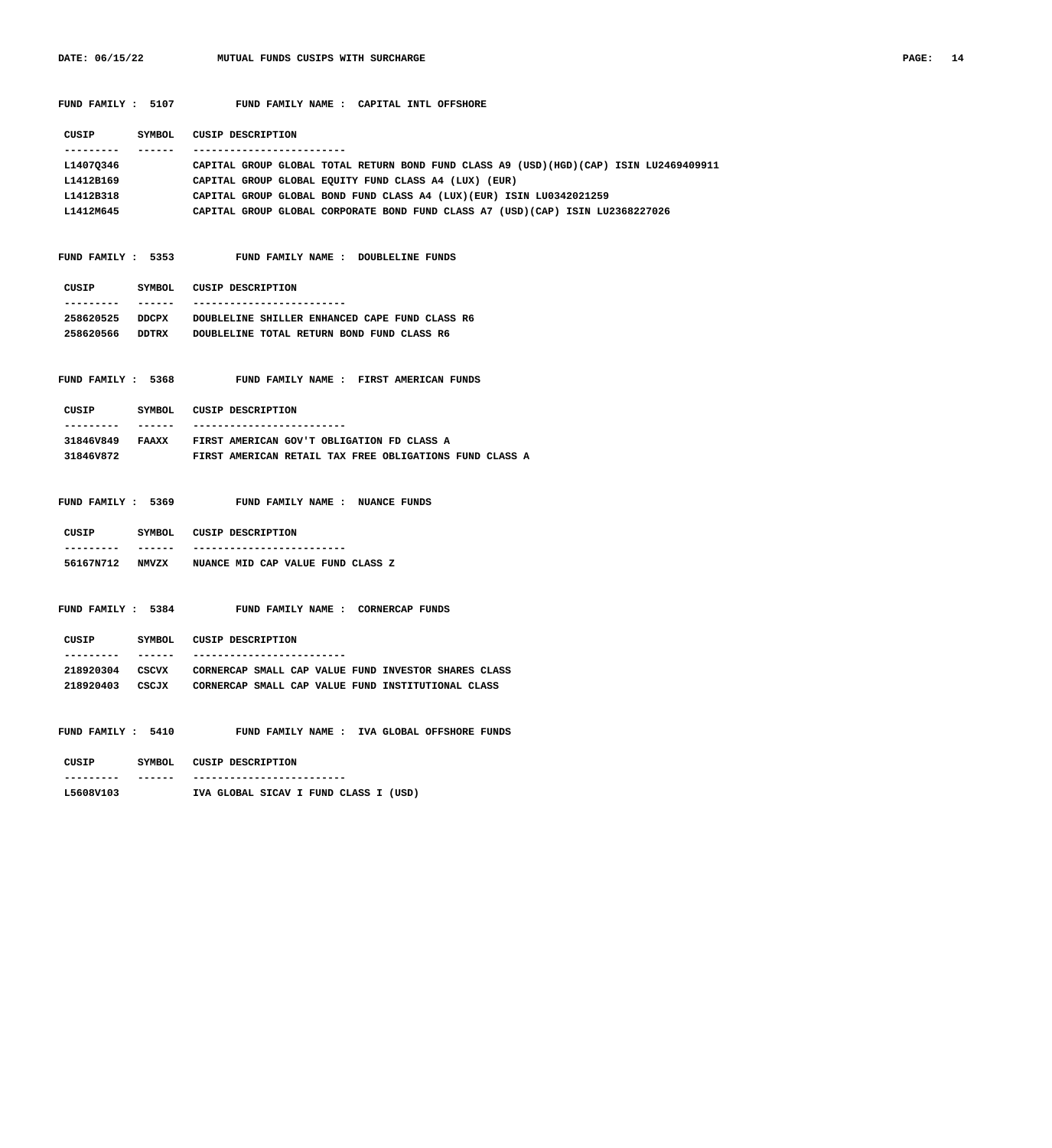**CUSIP SYMBOL CUSIP DESCRIPTION**

FUND FAMILY : 5107 FUND FAMILY NAME : CAPITAL INTL OFFSHORE

| ----------<br>------- | -------------------------                                                              |
|-----------------------|----------------------------------------------------------------------------------------|
| L1407Q346             | CAPITAL GROUP GLOBAL TOTAL RETURN BOND FUND CLASS A9 (USD)(HGD)(CAP) ISIN LU2469409911 |
| L1412B169             | CAPITAL GROUP GLOBAL EQUITY FUND CLASS A4 (LUX) (EUR)                                  |
| L1412B318             | CAPITAL GROUP GLOBAL BOND FUND CLASS A4 (LUX) (EUR) ISIN LU0342021259                  |
| L1412M645             | CAPITAL GROUP GLOBAL CORPORATE BOND FUND CLASS A7 (USD)(CAP) ISIN LU2368227026         |
|                       |                                                                                        |
|                       |                                                                                        |
| FUND FAMILY : 5353    | FUND FAMILY NAME : DOUBLELINE FUNDS                                                    |
|                       |                                                                                        |
|                       | CUSIP SYMBOL CUSIP DESCRIPTION                                                         |
| ----------<br>_______ | --------------------------                                                             |
|                       | 258620525 DDCPX DOUBLELINE SHILLER ENHANCED CAPE FUND CLASS R6                         |
|                       | 258620566 DDTRX DOUBLELINE TOTAL RETURN BOND FUND CLASS R6                             |
|                       |                                                                                        |
| FUND FAMILY : 5368    | FUND FAMILY NAME : FIRST AMERICAN FUNDS                                                |
|                       |                                                                                        |
|                       | CUSIP SYMBOL CUSIP DESCRIPTION                                                         |
| ----------            | _____________________________________                                                  |
|                       | 31846V849 FAAXX FIRST AMERICAN GOV'T OBLIGATION FD CLASS A                             |
| 31846V872             | FIRST AMERICAN RETAIL TAX FREE OBLIGATIONS FUND CLASS A                                |
|                       |                                                                                        |
|                       |                                                                                        |
| FUND FAMILY : 5369    | FUND FAMILY NAME : NUANCE FUNDS                                                        |
|                       |                                                                                        |
|                       | CUSIP SYMBOL CUSIP DESCRIPTION<br>_____________________________________                |
| ---------             | 56167N712 NMVZX NUANCE MID CAP VALUE FUND CLASS Z                                      |
|                       |                                                                                        |
|                       |                                                                                        |
| FUND FAMILY : 5384    | FUND FAMILY NAME : CORNERCAP FUNDS                                                     |
|                       |                                                                                        |
| CUSIP                 | SYMBOL CUSIP DESCRIPTION                                                               |
| --------- ------      | --------------------------                                                             |
|                       | 218920304 CSCVX CORNERCAP SMALL CAP VALUE FUND INVESTOR SHARES CLASS                   |
|                       | 218920403 CSCJX CORNERCAP SMALL CAP VALUE FUND INSTITUTIONAL CLASS                     |
|                       |                                                                                        |
|                       |                                                                                        |
| FUND FAMILY : 5410    | FUND FAMILY NAME : IVA GLOBAL OFFSHORE FUNDS                                           |
|                       |                                                                                        |
| CUSIP                 | SYMBOL CUSIP DESCRIPTION                                                               |
| ----------            | ______________________________________                                                 |
| L5608V103             | IVA GLOBAL SICAV I FUND CLASS I (USD)                                                  |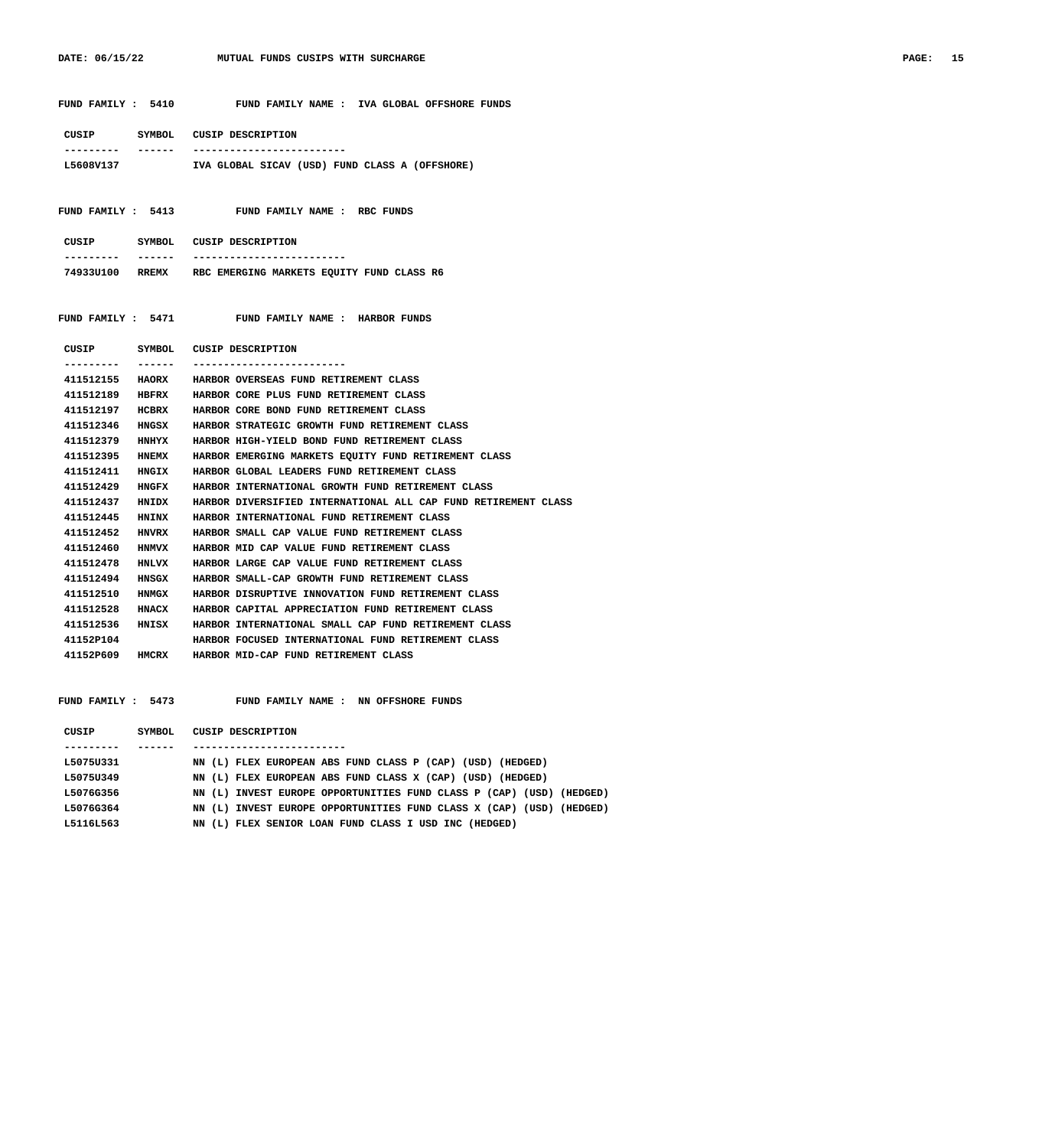**FUND FAMILY : 5410 FUND FAMILY NAME : IVA GLOBAL OFFSHORE FUNDS**

|                 |              | CUSIP SYMBOL CUSIP DESCRIPTION                                 |
|-----------------|--------------|----------------------------------------------------------------|
|                 |              |                                                                |
| L5608V137       |              | IVA GLOBAL SICAV (USD) FUND CLASS A (OFFSHORE)                 |
|                 |              |                                                                |
|                 |              |                                                                |
|                 |              | FUND FAMILY : 5413 FUND FAMILY NAME : RBC FUNDS                |
|                 |              |                                                                |
|                 |              | CUSIP SYMBOL CUSIP DESCRIPTION                                 |
| . <u>.</u> .    | _______      | ---------------------------                                    |
|                 |              | 74933U100 RREMX RBC EMERGING MARKETS EQUITY FUND CLASS R6      |
|                 |              |                                                                |
|                 |              |                                                                |
|                 |              | FUND FAMILY : 5471 FUND FAMILY NAME : HARBOR FUNDS             |
|                 |              |                                                                |
|                 |              | CUSIP SYMBOL CUSIP DESCRIPTION                                 |
| . <u>.</u>      | -------      |                                                                |
|                 |              | 411512155 HAORX HARBOR OVERSEAS FUND RETIREMENT CLASS          |
|                 |              | 411512189 HBFRX HARBOR CORE PLUS FUND RETIREMENT CLASS         |
|                 |              | 411512197 HCBRX HARBOR CORE BOND FUND RETIREMENT CLASS         |
|                 |              | 411512346 HNGSX HARBOR STRATEGIC GROWTH FUND RETIREMENT CLASS  |
| 411512379 HNHYX |              | HARBOR HIGH-YIELD BOND FUND RETIREMENT CLASS                   |
| 411512395       | <b>HNEMX</b> | HARBOR EMERGING MARKETS EQUITY FUND RETIREMENT CLASS           |
| 411512411       | <b>HNGIX</b> | HARBOR GLOBAL LEADERS FUND RETIREMENT CLASS                    |
| 411512429       | HNGFX        | HARBOR INTERNATIONAL GROWTH FUND RETIREMENT CLASS              |
| 411512437 HNIDX |              | HARBOR DIVERSIFIED INTERNATIONAL ALL CAP FUND RETIREMENT CLASS |
|                 |              | 411512445 HNINX HARBOR INTERNATIONAL FUND RETIREMENT CLASS     |
| 411512452 HNVRX |              | HARBOR SMALL CAP VALUE FUND RETIREMENT CLASS                   |
| 411512460 HNMVX |              | HARBOR MID CAP VALUE FUND RETIREMENT CLASS                     |
| 411512478 HNLVX |              | HARBOR LARGE CAP VALUE FUND RETIREMENT CLASS                   |
| 411512494 HNSGX |              | HARBOR SMALL-CAP GROWTH FUND RETIREMENT CLASS                  |
| 411512510 HNMGX |              | HARBOR DISRUPTIVE INNOVATION FUND RETIREMENT CLASS             |
| 411512528 HNACX |              | HARBOR CAPITAL APPRECIATION FUND RETIREMENT CLASS              |
| 411512536 HNISX |              | HARBOR INTERNATIONAL SMALL CAP FUND RETIREMENT CLASS           |
| 41152P104       |              | HARBOR FOCUSED INTERNATIONAL FUND RETIREMENT CLASS             |
| 41152P609 HMCRX |              | HARBOR MID-CAP FUND RETIREMENT CLASS                           |

 **FUND FAMILY : 5473 FUND FAMILY NAME : NN OFFSHORE FUNDS**

| CUSIP     | SYMBOL | CUSIP DESCRIPTION                                                    |
|-----------|--------|----------------------------------------------------------------------|
|           |        |                                                                      |
| L5075U331 |        | NN (L) FLEX EUROPEAN ABS FUND CLASS P (CAP) (USD) (HEDGED)           |
| L5075U349 |        | NN (L) FLEX EUROPEAN ABS FUND CLASS X (CAP) (USD) (HEDGED)           |
| L5076G356 |        | NN (L) INVEST EUROPE OPPORTUNITIES FUND CLASS P (CAP) (USD) (HEDGED) |
| L5076G364 |        | NN (L) INVEST EUROPE OPPORTUNITIES FUND CLASS X (CAP) (USD) (HEDGED) |
| L5116L563 |        | NN (L) FLEX SENIOR LOAN FUND CLASS I USD INC (HEDGED)                |
|           |        |                                                                      |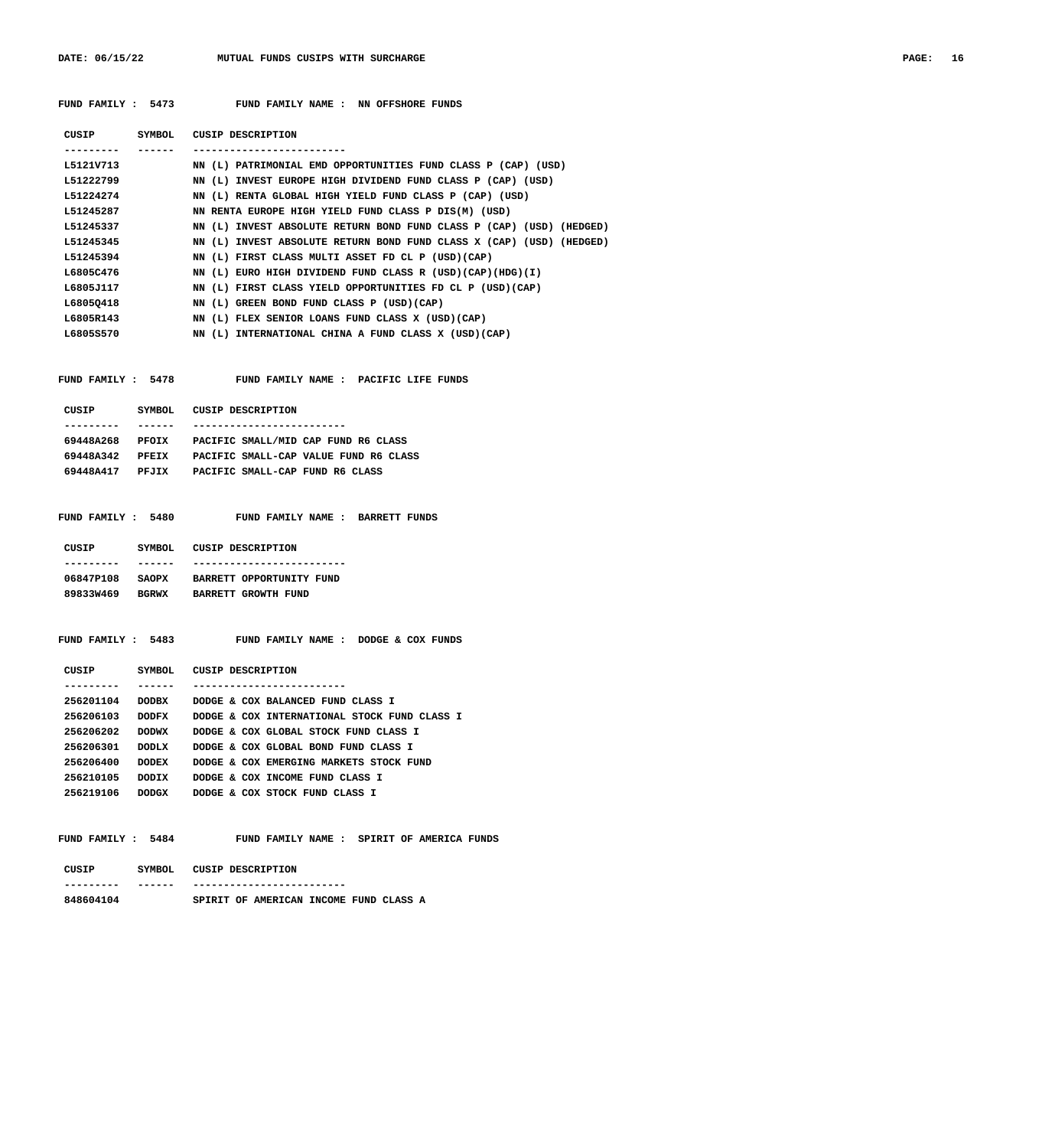| PAGE: | 16 |
|-------|----|
|-------|----|

| FUND FAMILY : 5473 | FUND FAMILY NAME : NN OFFSHORE FUNDS |
|--------------------|--------------------------------------|
|--------------------|--------------------------------------|

| CUSIP     | SYMBOL | CUSIP DESCRIPTION                                                    |
|-----------|--------|----------------------------------------------------------------------|
| --------  |        |                                                                      |
| L5121V713 |        | NN (L) PATRIMONIAL EMD OPPORTUNITIES FUND CLASS P (CAP) (USD)        |
| L51222799 |        | NN (L) INVEST EUROPE HIGH DIVIDEND FUND CLASS P (CAP) (USD)          |
| L51224274 |        | NN (L) RENTA GLOBAL HIGH YIELD FUND CLASS P (CAP) (USD)              |
| L51245287 |        | NN RENTA EUROPE HIGH YIELD FUND CLASS P DIS(M) (USD)                 |
| L51245337 |        | NN (L) INVEST ABSOLUTE RETURN BOND FUND CLASS P (CAP) (USD) (HEDGED) |
| L51245345 |        | NN (L) INVEST ABSOLUTE RETURN BOND FUND CLASS X (CAP) (USD) (HEDGED) |
| L51245394 |        | NN (L) FIRST CLASS MULTI ASSET FD CL P (USD) (CAP)                   |
| L6805C476 |        | NN (L) EURO HIGH DIVIDEND FUND CLASS R (USD)(CAP)(HDG)(I)            |
| L6805J117 |        | NN (L) FIRST CLASS YIELD OPPORTUNITIES FD CL P (USD)(CAP)            |
| L68050418 |        | NN (L) GREEN BOND FUND CLASS P (USD)(CAP)                            |
| L6805R143 |        | NN (L) FLEX SENIOR LOANS FUND CLASS X (USD) (CAP)                    |
| L6805S570 |        | NN (L) INTERNATIONAL CHINA A FUND CLASS X (USD) (CAP)                |
|           |        |                                                                      |

| <b>DIAD DAMILY</b> |  |
|--------------------|--|

 **FUND FAMILY : 5478 FUND FAMILY NAME : PACIFIC LIFE FUNDS**

| CUSIP     | SYMBOL. | CUSIP DESCRIPTION                     |
|-----------|---------|---------------------------------------|
|           |         |                                       |
| 69448A268 | PFOIX   | PACIFIC SMALL/MID CAP FUND R6 CLASS   |
| 69448A342 | PFRTX   | PACIFIC SMALL-CAP VALUE FUND R6 CLASS |
| 69448A417 | PEJTX   | PACIFIC SMALL-CAP FUND R6 CLASS       |
|           |         |                                       |

|  | FUND FAMILY: 5480 |  |  |  | FUND FAMILY NAME : BARRETT FUNDS |  |
|--|-------------------|--|--|--|----------------------------------|--|
|  |                   |  |  |  |                                  |  |

| CUSIP     | SYMBOL.      | CUSIP DESCRIPTION        |
|-----------|--------------|--------------------------|
|           |              |                          |
| 06847P108 | <b>SAOPX</b> | BARRETT OPPORTUNITY FUND |
| 89833W469 | <b>BGRWX</b> | BARRETT GROWTH FUND      |

### **FUND FAMILY : 5483 FUND FAMILY NAME : DODGE & COX FUNDS**

| CUSIP     | SYMBOL       | CUSIP DESCRIPTION                            |
|-----------|--------------|----------------------------------------------|
|           |              |                                              |
| 256201104 | <b>DODBX</b> | DODGE & COX BALANCED FUND CLASS T            |
| 256206103 | איזמסמ       | DODGE & COX INTERNATIONAL STOCK FUND CLASS I |
| 256206202 | <b>DODWX</b> | DODGE & COX GLOBAL STOCK FUND CLASS I        |
| 256206301 | <b>DODLX</b> | DODGE & COX GLOBAL BOND FUND CLASS I         |
| 256206400 | <b>DODEX</b> | DODGE & COX EMERGING MARKETS STOCK FUND      |
| 256210105 | DODIX        | DODGE & COX INCOME FUND CLASS I              |
| 256219106 | <b>DODGX</b> | DODGE & COX STOCK FUND CLASS I               |

 **FUND FAMILY : 5484 FUND FAMILY NAME : SPIRIT OF AMERICA FUNDS**

| CUSIP     | SYMBOL | CUSIP DESCRIPTION |                                        |  |  |
|-----------|--------|-------------------|----------------------------------------|--|--|
| --------- | ------ |                   | ----------------                       |  |  |
| 848604104 |        |                   | SPIRIT OF AMERICAN INCOME FUND CLASS A |  |  |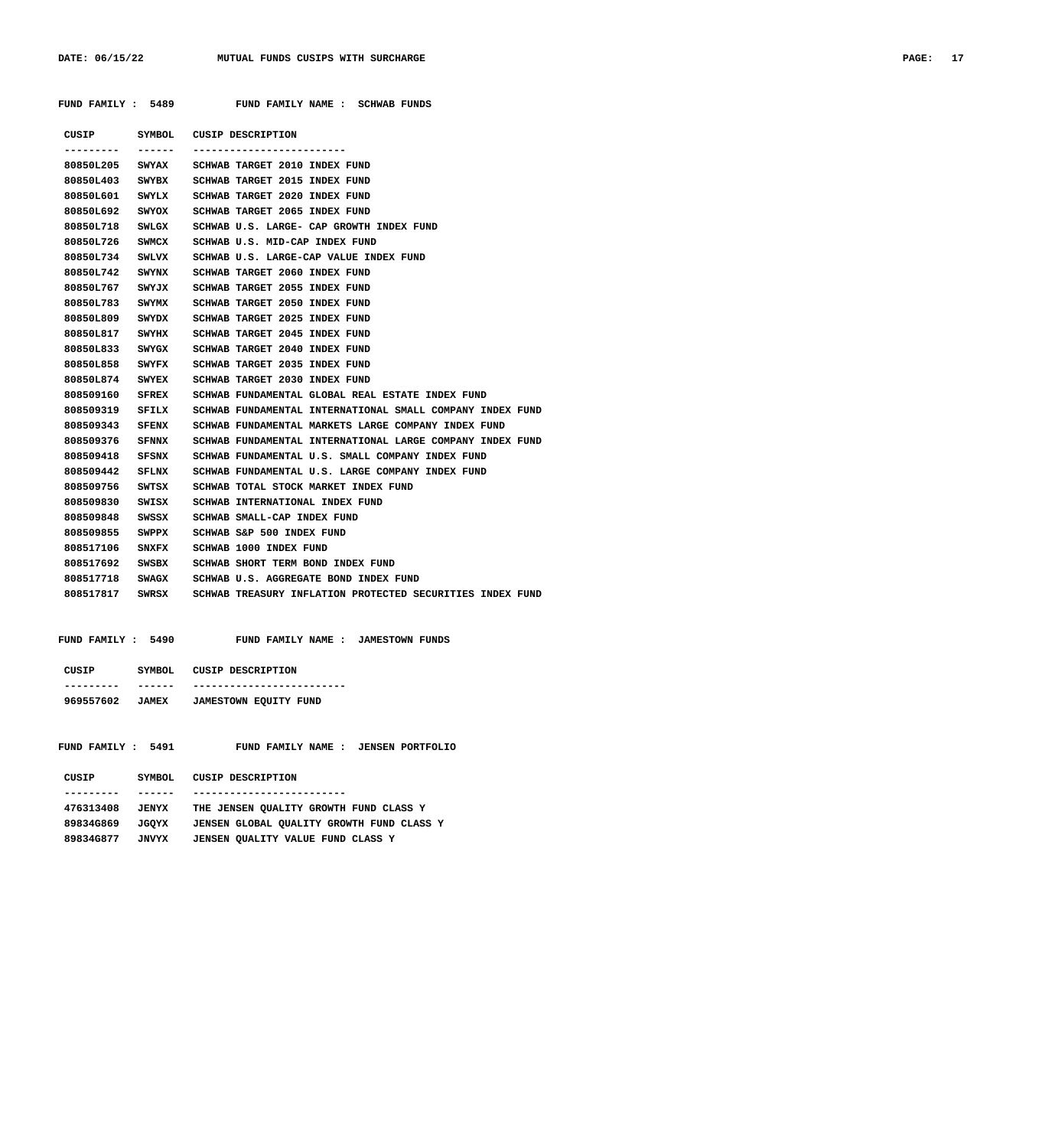**FUND FAMILY : 5489 FUND FAMILY NAME : SCHWAB FUNDS**

| <b>PAGE:</b> | 17 |
|--------------|----|
|--------------|----|

| --------        | ------- | CUSIP SYMBOL CUSIP DESCRIPTION                                            |
|-----------------|---------|---------------------------------------------------------------------------|
| 80850L205 SWYAX |         | SCHWAB TARGET 2010 INDEX FUND                                             |
|                 |         | 80850L403 SWYBX SCHWAB TARGET 2015 INDEX FUND                             |
|                 |         | 80850L601 SWYLX SCHWAB TARGET 2020 INDEX FUND                             |
| 80850L692       |         | SWYOX SCHWAB TARGET 2065 INDEX FUND                                       |
| 80850L718 SWLGX |         | SCHWAB U.S. LARGE- CAP GROWTH INDEX FUND                                  |
| 80850L726 SWMCX |         | SCHWAB U.S. MID-CAP INDEX FUND                                            |
| 80850L734 SWLVX |         | SCHWAB U.S. LARGE-CAP VALUE INDEX FUND                                    |
| 80850L742 SWYNX |         | SCHWAB TARGET 2060 INDEX FUND                                             |
| 80850L767 SWYJX |         | SCHWAB TARGET 2055 INDEX FUND                                             |
| 80850L783       | SWYMX   | SCHWAB TARGET 2050 INDEX FUND                                             |
| 80850L809 SWYDX |         | SCHWAB TARGET 2025 INDEX FUND                                             |
| 80850L817 SWYHX |         | SCHWAB TARGET 2045 INDEX FUND                                             |
| 80850L833 SWYGX |         | SCHWAB TARGET 2040 INDEX FUND                                             |
|                 |         | 80850L858 SWYFX SCHWAB TARGET 2035 INDEX FUND                             |
| 80850L874 SWYEX |         | SCHWAB TARGET 2030 INDEX FUND                                             |
| 808509160 SFREX |         | SCHWAB FUNDAMENTAL GLOBAL REAL ESTATE INDEX FUND                          |
| 808509319 SFILX |         | SCHWAB FUNDAMENTAL INTERNATIONAL SMALL COMPANY INDEX FUND                 |
| 808509343 SFENX |         | SCHWAB FUNDAMENTAL MARKETS LARGE COMPANY INDEX FUND                       |
|                 |         | 808509376 SFNNX SCHWAB FUNDAMENTAL INTERNATIONAL LARGE COMPANY INDEX FUND |
| 808509418 SFSNX |         | SCHWAB FUNDAMENTAL U.S. SMALL COMPANY INDEX FUND                          |
| 808509442       |         | SFLNX SCHWAB FUNDAMENTAL U.S. LARGE COMPANY INDEX FUND                    |
| 808509756 SWTSX |         | SCHWAB TOTAL STOCK MARKET INDEX FUND                                      |
| 808509830 SWISX |         | SCHWAB INTERNATIONAL INDEX FUND                                           |
| 808509848 SWSSX |         | SCHWAB SMALL-CAP INDEX FUND                                               |
| 808509855 SWPPX |         | SCHWAB S&P 500 INDEX FUND                                                 |
| 808517106 SNXFX |         | SCHWAB 1000 INDEX FUND                                                    |
| 808517692       | SWSBX   | SCHWAB SHORT TERM BOND INDEX FUND                                         |
| 808517718 SWAGX |         | SCHWAB U.S. AGGREGATE BOND INDEX FUND                                     |
| 808517817 SWRSX |         | SCHWAB TREASURY INFLATION PROTECTED SECURITIES INDEX FUND                 |

| FUND FAMILY: 5490         | FUND FAMILY NAME:<br>JAMESTOWN FUNDS                           |
|---------------------------|----------------------------------------------------------------|
| CUSIP<br>SYMBOL           | CUSIP DESCRIPTION                                              |
| 969557602<br><b>JAMEX</b> | <b>JAMESTOWN EQUITY FUND</b>                                   |
| FUND FAMILY: 5491         | <b>JENSEN PORTFOLIO</b><br><b>FAMILY NAME :</b><br><b>FUND</b> |
| <b>SYMBOL</b><br>CUSIP    | CUSIP DESCRIPTION                                              |
|                           |                                                                |
| 476313408<br><b>JENYX</b> | THE JENSEN OUALITY GROWTH FUND<br>CLASS Y                      |

| 476313408 | JENYX | THE JENSEN OUALITY GROWTH FUND CLASS Y    |
|-----------|-------|-------------------------------------------|
| 89834G869 | JGOYX | JENSEN GLOBAL OUALITY GROWTH FUND CLASS Y |
| 89834G877 | JNVYX | JENSEN QUALITY VALUE FUND CLASS Y         |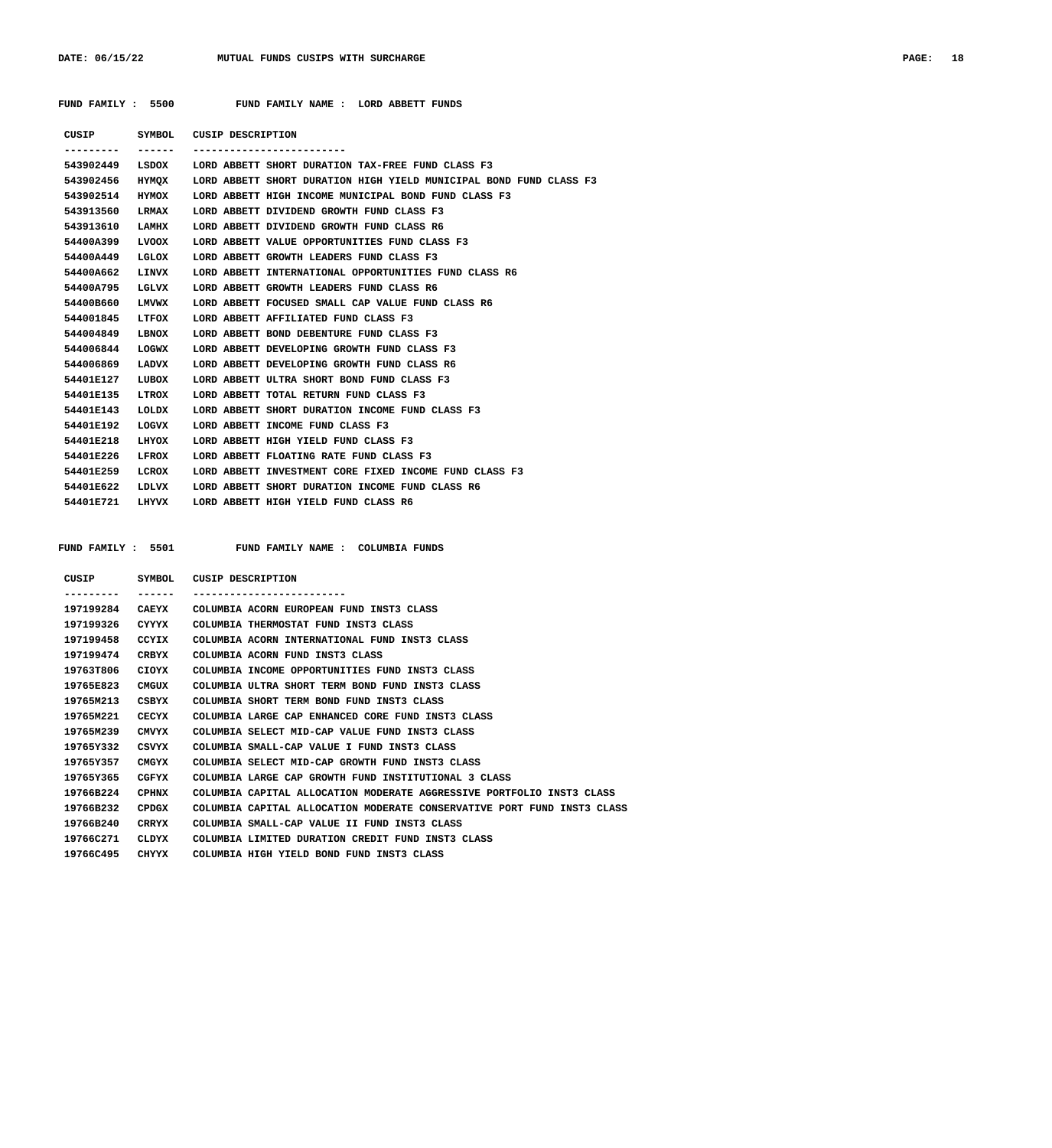| <b>PAGE:</b> | 18 |
|--------------|----|
|--------------|----|

| FUND FAMILY : | 5500 | FUND FAMILY NAME |  | LORD ABBETT FUNDS |  |
|---------------|------|------------------|--|-------------------|--|
|               |      |                  |  |                   |  |

| CUSIP           | SYMBOL       | CUSIP DESCRIPTION |                                                                    |
|-----------------|--------------|-------------------|--------------------------------------------------------------------|
|                 | ------       |                   | --------------------------                                         |
| 543902449       |              |                   | LSDOX LORD ABBETT SHORT DURATION TAX-FREE FUND CLASS F3            |
| 543902456       | HYMOX        |                   | LORD ABBETT SHORT DURATION HIGH YIELD MUNICIPAL BOND FUND CLASS F3 |
| 543902514       | HYMOX        |                   | LORD ABBETT HIGH INCOME MUNICIPAL BOND FUND CLASS F3               |
| 543913560       | LRMAX        |                   | LORD ABBETT DIVIDEND GROWTH FUND CLASS F3                          |
| 543913610       | LAMHX        |                   | LORD ABBETT DIVIDEND GROWTH FUND CLASS R6                          |
| 54400A399       | <b>LVOOX</b> |                   | LORD ABBETT VALUE OPPORTUNITIES FUND CLASS F3                      |
| 54400A449       | LGLOX        |                   | LORD ABBETT GROWTH LEADERS FUND CLASS F3                           |
| 54400A662       | LINVX        |                   | LORD ABBETT INTERNATIONAL OPPORTUNITIES FUND CLASS R6              |
| 54400A795       | LGLVX        |                   | LORD ABBETT GROWTH LEADERS FUND CLASS R6                           |
| 54400B660       | LMVWX        |                   | LORD ABBETT FOCUSED SMALL CAP VALUE FUND CLASS R6                  |
| 544001845       | LTFOX        |                   | LORD ABBETT AFFILIATED FUND CLASS F3                               |
| 544004849       | LBNOX        |                   | LORD ABBETT BOND DEBENTURE FUND CLASS F3                           |
| 544006844       | LOGWX        |                   | LORD ABBETT DEVELOPING GROWTH FUND CLASS F3                        |
| 544006869       | LADVX        |                   | LORD ABBETT DEVELOPING GROWTH FUND CLASS R6                        |
| 54401E127       | LUBOX        |                   | LORD ABBETT ULTRA SHORT BOND FUND CLASS F3                         |
| 54401E135       | LTROX        |                   | LORD ABBETT TOTAL RETURN FUND CLASS F3                             |
| 54401E143       | LOLDX        |                   | LORD ABBETT SHORT DURATION INCOME FUND CLASS F3                    |
| 54401E192       | LOGVX        |                   | LORD ABBETT INCOME FUND CLASS F3                                   |
| 54401E218       | LHYOX        |                   | LORD ABBETT HIGH YIELD FUND CLASS F3                               |
| 54401E226       | LFROX        |                   | LORD ABBETT FLOATING RATE FUND CLASS F3                            |
| 54401E259       | LCROX        |                   | LORD ABBETT INVESTMENT CORE FIXED INCOME FUND CLASS F3             |
| 54401E622       | LDLVX        |                   | LORD ABBETT SHORT DURATION INCOME FUND CLASS R6                    |
| 54401E721 LHYVX |              |                   | LORD ABBETT HIGH YIELD FUND CLASS R6                               |
|                 |              |                   |                                                                    |

FUND FAMILY : 5501 FUND FAMILY NAME : COLUMBIA FUNDS

| CUSIP     | SYMBOL       | CUSIP DESCRIPTION                                                       |
|-----------|--------------|-------------------------------------------------------------------------|
|           |              | --------------------------                                              |
| 197199284 | CAEYX        | COLUMBIA ACORN EUROPEAN FUND INST3 CLASS                                |
| 197199326 | CYYYX        | COLUMBIA THERMOSTAT FUND INST3 CLASS                                    |
| 197199458 | CCYIX        | COLUMBIA ACORN INTERNATIONAL FUND INST3 CLASS                           |
| 197199474 | CRBYX        | COLUMBIA ACORN FUND INST3 CLASS                                         |
| 19763T806 | CIOYX        | COLUMBIA INCOME OPPORTUNITIES FUND INST3 CLASS                          |
| 19765E823 | CMGUX        | COLUMBIA ULTRA SHORT TERM BOND FUND INST3 CLASS                         |
| 19765M213 | CSBYX        | COLUMBIA SHORT TERM BOND FUND INST3 CLASS                               |
| 19765M221 | CECYX        | COLUMBIA LARGE CAP ENHANCED CORE FUND INST3 CLASS                       |
| 19765M239 | CMVYX        | COLUMBIA SELECT MID-CAP VALUE FUND INST3 CLASS                          |
| 19765Y332 | CSVYX        | COLUMBIA SMALL-CAP VALUE I FUND INST3 CLASS                             |
| 19765Y357 | CMGYX        | COLUMBIA SELECT MID-CAP GROWTH FUND INST3 CLASS                         |
| 19765Y365 | CGFYX        | COLUMBIA LARGE CAP GROWTH FUND INSTITUTIONAL 3 CLASS                    |
| 19766B224 | <b>CPHNX</b> | COLUMBIA CAPITAL ALLOCATION MODERATE AGGRESSIVE PORTFOLIO INST3 CLASS   |
| 19766B232 | CPDGX        | COLUMBIA CAPITAL ALLOCATION MODERATE CONSERVATIVE PORT FUND INST3 CLASS |
| 19766B240 | <b>CRRYX</b> | COLUMBIA SMALL-CAP VALUE II FUND INST3 CLASS                            |
| 19766C271 | CLDYX        | COLUMBIA LIMITED DURATION CREDIT FUND INST3 CLASS                       |
| 19766C495 | <b>CHYYX</b> | COLUMBIA HIGH YIELD BOND FUND INST3 CLASS                               |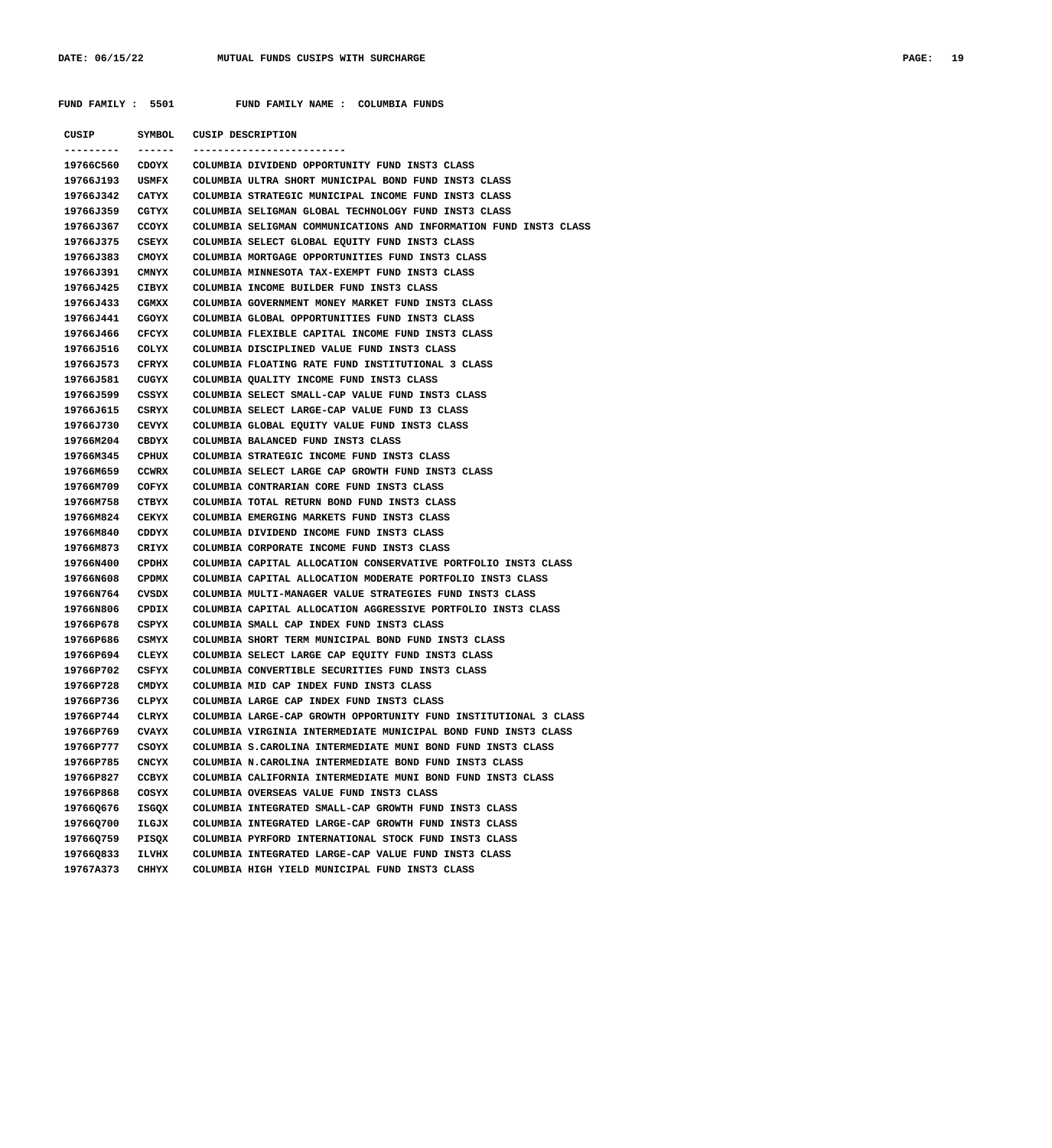**FUND FAMILY : 5501 FUND FAMILY NAME : COLUMBIA FUNDS**

| CUSIP            | SYMBOL       | CUSIP DESCRIPTION                                                 |
|------------------|--------------|-------------------------------------------------------------------|
| --------         | ------       | ------------------------                                          |
| 19766C560        | <b>CDOYX</b> | COLUMBIA DIVIDEND OPPORTUNITY FUND INST3 CLASS                    |
| 19766J193        | USMFX        | COLUMBIA ULTRA SHORT MUNICIPAL BOND FUND INST3 CLASS              |
| 19766J342        | CATYX        | COLUMBIA STRATEGIC MUNICIPAL INCOME FUND INST3 CLASS              |
| 19766J359        | CGTYX        | COLUMBIA SELIGMAN GLOBAL TECHNOLOGY FUND INST3 CLASS              |
| 19766J367        | CCOYX        | COLUMBIA SELIGMAN COMMUNICATIONS AND INFORMATION FUND INST3 CLASS |
| 19766J375        | CSEYX        | COLUMBIA SELECT GLOBAL EQUITY FUND INST3 CLASS                    |
| 19766J383        | CMOYX        | COLUMBIA MORTGAGE OPPORTUNITIES FUND INST3 CLASS                  |
| 19766J391        | CMNYX        | COLUMBIA MINNESOTA TAX-EXEMPT FUND INST3 CLASS                    |
| 19766J425        | CIBYX        | COLUMBIA INCOME BUILDER FUND INST3 CLASS                          |
| 19766J433        | CGMXX        | COLUMBIA GOVERNMENT MONEY MARKET FUND INST3 CLASS                 |
| 19766J441        | CGOYX        | COLUMBIA GLOBAL OPPORTUNITIES FUND INST3 CLASS                    |
| 19766J466        | CFCYX        | COLUMBIA FLEXIBLE CAPITAL INCOME FUND INST3 CLASS                 |
| 19766J516        | COLYX        | COLUMBIA DISCIPLINED VALUE FUND INST3 CLASS                       |
| 19766J573        | CFRYX        | COLUMBIA FLOATING RATE FUND INSTITUTIONAL 3 CLASS                 |
| 19766J581        | CUGYX        | COLUMBIA QUALITY INCOME FUND INST3 CLASS                          |
| 19766J599        | CSSYX        | COLUMBIA SELECT SMALL-CAP VALUE FUND INST3 CLASS                  |
| 19766J615        | CSRYX        | COLUMBIA SELECT LARGE-CAP VALUE FUND I3 CLASS                     |
| 19766J730        | CEVYX        | COLUMBIA GLOBAL EQUITY VALUE FUND INST3 CLASS                     |
| 19766M204        | CBDYX        | COLUMBIA BALANCED FUND INST3 CLASS                                |
| 19766М345        | CPHUX        | COLUMBIA STRATEGIC INCOME FUND INST3 CLASS                        |
| 19766М659        | <b>CCWRX</b> | COLUMBIA SELECT LARGE CAP GROWTH FUND INST3 CLASS                 |
| 19766М709        | COFYX        | COLUMBIA CONTRARIAN CORE FUND INST3 CLASS                         |
| 19766М758        | CTBYX        | COLUMBIA TOTAL RETURN BOND FUND INST3 CLASS                       |
| 19766M824        | CEKYX        | COLUMBIA EMERGING MARKETS FUND INST3 CLASS                        |
| 19766M840        | CDDYX        | COLUMBIA DIVIDEND INCOME FUND INST3 CLASS                         |
| 19766M873        | CRIYX        | COLUMBIA CORPORATE INCOME FUND INST3 CLASS                        |
| 19766N400        | <b>CPDHX</b> | COLUMBIA CAPITAL ALLOCATION CONSERVATIVE PORTFOLIO INST3 CLASS    |
| 19766N608        | <b>CPDMX</b> | COLUMBIA CAPITAL ALLOCATION MODERATE PORTFOLIO INST3 CLASS        |
| 19766N764        | CVSDX        | COLUMBIA MULTI-MANAGER VALUE STRATEGIES FUND INST3 CLASS          |
| <b>19766N806</b> | <b>CPDIX</b> | COLUMBIA CAPITAL ALLOCATION AGGRESSIVE PORTFOLIO INST3 CLASS      |
| 19766P678        | CSPYX        | COLUMBIA SMALL CAP INDEX FUND INST3 CLASS                         |
| 19766P686        | CSMYX        | COLUMBIA SHORT TERM MUNICIPAL BOND FUND INST3 CLASS               |
| 19766P694        | CLEYX        | COLUMBIA SELECT LARGE CAP EQUITY FUND INST3 CLASS                 |
| 19766P702        | CSFYX        | COLUMBIA CONVERTIBLE SECURITIES FUND INST3 CLASS                  |
| 19766P728        | <b>CMDYX</b> | COLUMBIA MID CAP INDEX FUND INST3 CLASS                           |
| 19766P736        | <b>CLPYX</b> | COLUMBIA LARGE CAP INDEX FUND INST3 CLASS                         |
| 19766P744        | CLRYX        | COLUMBIA LARGE-CAP GROWTH OPPORTUNITY FUND INSTITUTIONAL 3 CLASS  |
| 19766P769        | CVAYX        | COLUMBIA VIRGINIA INTERMEDIATE MUNICIPAL BOND FUND INST3 CLASS    |
| 19766P777        | CSOYX        | COLUMBIA S.CAROLINA INTERMEDIATE MUNI BOND FUND INST3 CLASS       |
| 19766P785        | CNCYX        | COLUMBIA N.CAROLINA INTERMEDIATE BOND FUND INST3 CLASS            |
| 19766P827        | <b>CCBYX</b> | COLUMBIA CALIFORNIA INTERMEDIATE MUNI BOND FUND INST3 CLASS       |
| 19766P868        | COSYX        | COLUMBIA OVERSEAS VALUE FUND INST3 CLASS                          |
| 19766Q676        | ISGQX        | COLUMBIA INTEGRATED SMALL-CAP GROWTH FUND INST3 CLASS             |
| 19766Q700        | ILGJX        | COLUMBIA INTEGRATED LARGE-CAP GROWTH FUND INST3 CLASS             |
| 19766Q759        | PISQX        | COLUMBIA PYRFORD INTERNATIONAL STOCK FUND INST3 CLASS             |
| 19766Q833        | <b>ILVHX</b> | COLUMBIA INTEGRATED LARGE-CAP VALUE FUND INST3 CLASS              |
| 19767A373        | CHHYX        | COLUMBIA HIGH YIELD MUNICIPAL FUND INST3 CLASS                    |
|                  |              |                                                                   |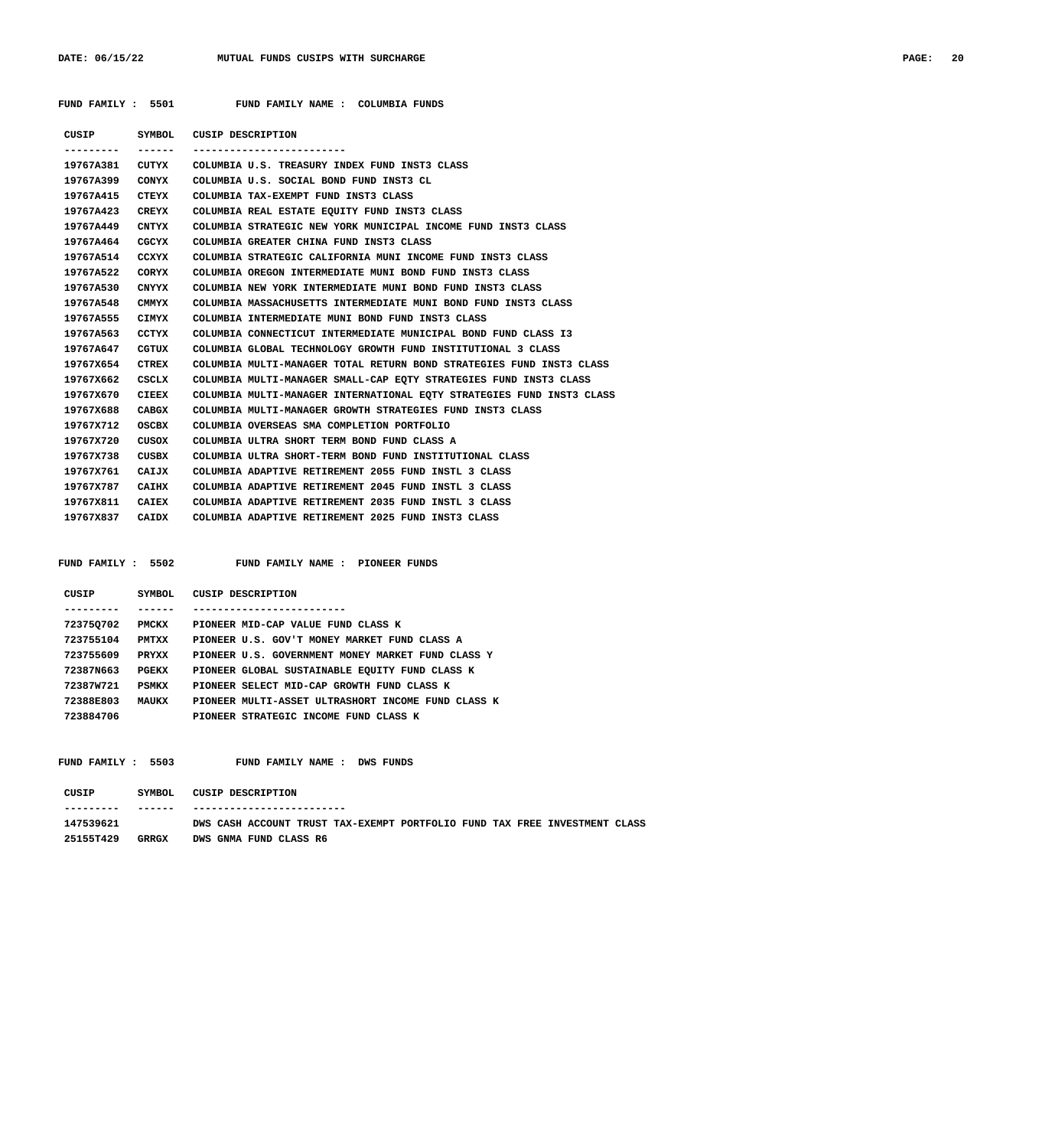## **FUND FAMILY : 5501 FUND FAMILY NAME : COLUMBIA FUNDS**

| CUSIP     |              | SYMBOL CUSIP DESCRIPTION                                              |
|-----------|--------------|-----------------------------------------------------------------------|
|           | ------       |                                                                       |
| 19767A381 |              | CUTYX COLUMBIA U.S. TREASURY INDEX FUND INST3 CLASS                   |
| 19767A399 | CONYX        | COLUMBIA U.S. SOCIAL BOND FUND INST3 CL                               |
| 19767A415 | CTEYX        | COLUMBIA TAX-EXEMPT FUND INST3 CLASS                                  |
| 19767A423 | CREYX        | COLUMBIA REAL ESTATE EOUITY FUND INST3 CLASS                          |
| 19767A449 | CNTYX        | COLUMBIA STRATEGIC NEW YORK MUNICIPAL INCOME FUND INST3 CLASS         |
| 19767A464 | CGCYX        | COLUMBIA GREATER CHINA FUND INST3 CLASS                               |
| 19767A514 | CCXYX        | COLUMBIA STRATEGIC CALIFORNIA MUNI INCOME FUND INST3 CLASS            |
| 19767A522 | CORYX        | COLUMBIA OREGON INTERMEDIATE MUNI BOND FUND INST3 CLASS               |
| 19767A530 | CNYYX        | COLUMBIA NEW YORK INTERMEDIATE MUNI BOND FUND INST3 CLASS             |
| 19767A548 | CMMYX        | COLUMBIA MASSACHUSETTS INTERMEDIATE MUNI BOND FUND INST3 CLASS        |
| 19767A555 | CIMYX        | COLUMBIA INTERMEDIATE MUNI BOND FUND INST3 CLASS                      |
| 19767A563 | CCTYX        | COLUMBIA CONNECTICUT INTERMEDIATE MUNICIPAL BOND FUND CLASS I3        |
| 19767A647 | CGTUX        | COLUMBIA GLOBAL TECHNOLOGY GROWTH FUND INSTITUTIONAL 3 CLASS          |
| 19767X654 | CTREX        | COLUMBIA MULTI-MANAGER TOTAL RETURN BOND STRATEGIES FUND INST3 CLASS  |
| 19767X662 | CSCLX        | COLUMBIA MULTI-MANAGER SMALL-CAP EQTY STRATEGIES FUND INST3 CLASS     |
| 19767X670 | <b>CIEEX</b> | COLUMBIA MULTI-MANAGER INTERNATIONAL EQTY STRATEGIES FUND INST3 CLASS |
| 19767X688 | CABGX        | COLUMBIA MULTI-MANAGER GROWTH STRATEGIES FUND INST3 CLASS             |
| 19767X712 | OSCBX        | COLUMBIA OVERSEAS SMA COMPLETION PORTFOLIO                            |
| 19767X720 | CUSOX        | COLUMBIA ULTRA SHORT TERM BOND FUND CLASS A                           |
| 19767X738 | CUSBX        | COLUMBIA ULTRA SHORT-TERM BOND FUND INSTITUTIONAL CLASS               |
| 19767X761 | CAIJX        | COLUMBIA ADAPTIVE RETIREMENT 2055 FUND INSTL 3 CLASS                  |
| 19767x787 | CAIHX        | COLUMBIA ADAPTIVE RETIREMENT 2045 FUND INSTL 3 CLASS                  |
| 19767X811 | CAIEX        | COLUMBIA ADAPTIVE RETIREMENT 2035 FUND INSTL 3 CLASS                  |
| 19767X837 | CAIDX        | COLUMBIA ADAPTIVE RETIREMENT 2025 FUND INST3 CLASS                    |
|           |              |                                                                       |

FUND FAMILY : 5502 FUND FAMILY NAME : PIONEER FUNDS

| CUSIP     | SYMBOL       | CUSIP DESCRIPTION                                  |
|-----------|--------------|----------------------------------------------------|
|           |              |                                                    |
| 723750702 | <b>PMCKX</b> | PIONEER MID-CAP VALUE FUND CLASS K                 |
| 723755104 | PMTXX        | PIONEER U.S. GOV'T MONEY MARKET FUND CLASS A       |
| 723755609 | <b>PRYXX</b> | PIONEER U.S. GOVERNMENT MONEY MARKET FUND CLASS Y  |
| 72387N663 | PGEKX        | PIONEER GLOBAL SUSTAINABLE EOUITY FUND CLASS K     |
| 72387W721 | PSMKX        | PIONEER SELECT MID-CAP GROWTH FUND CLASS K         |
| 72388E803 | MAUKX        | PIONEER MULTI-ASSET ULTRASHORT INCOME FUND CLASS K |
| 723884706 |              | PIONEER STRATEGIC INCOME FUND CLASS K              |

FUND FAMILY : 5503 FUND FAMILY NAME : DWS FUNDS

| CUSIP     | SYMBOL. | CUSIP DESCRIPTION                                                          |
|-----------|---------|----------------------------------------------------------------------------|
| --------- | ------  | -------------------------                                                  |
| 147539621 |         | DWS CASH ACCOUNT TRUST TAX-EXEMPT PORTFOLIO FUND TAX FREE INVESTMENT CLASS |
| 251557429 | GRRGX   | DWS GNMA FUND CLASS R6                                                     |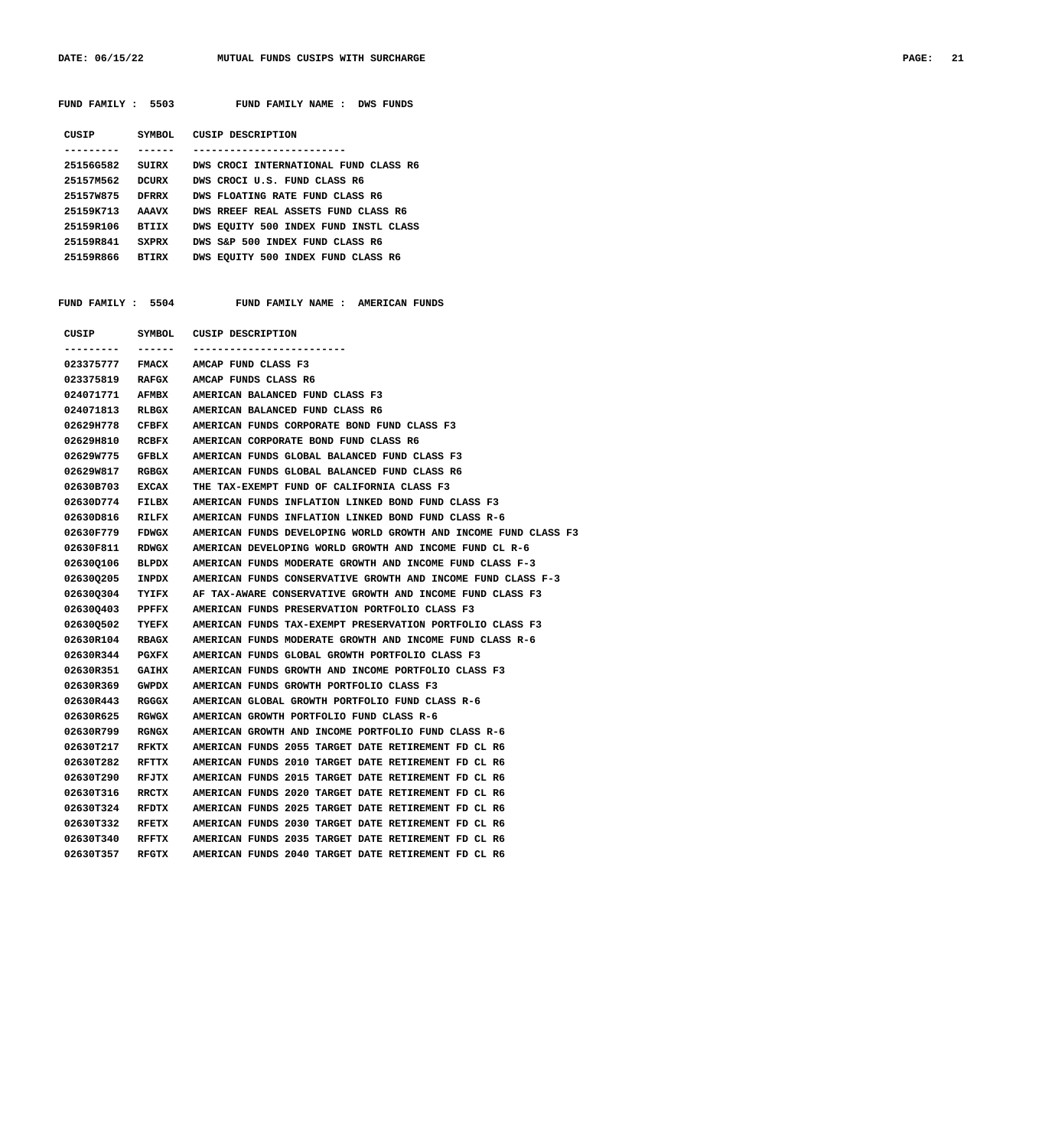DATE: 06/15/22 MUTUAL FUNDS CUSIPS WITH SURCHARGE **PAGE: 21** 

| FUND FAMILY : 5503        | FUND FAMILY NAME : DWS FUNDS          |
|---------------------------|---------------------------------------|
| CUSIP<br>SYMBOL.          | CUSIP DESCRIPTION                     |
|                           |                                       |
| 25156G582<br>SUIRX        | DWS CROCI INTERNATIONAL FUND CLASS R6 |
| 25157M562<br><b>DCURX</b> | DWS CROCI U.S. FUND CLASS R6          |
| 25157W875<br><b>DFRRX</b> | DWS FLOATING RATE FUND CLASS R6       |
| 25159K713<br><b>AAAVX</b> | DWS RREEF REAL ASSETS FUND CLASS R6   |
| 25159R106<br><b>BTTTX</b> | DWS EQUITY 500 INDEX FUND INSTL CLASS |
| 25159R841<br><b>SXPRX</b> | DWS S&P 500 INDEX FUND CLASS R6       |
| 25159R866<br>BTIRX        | DWS EQUITY 500 INDEX FUND CLASS R6    |
|                           |                                       |
|                           |                                       |
| FUND FAMILY : 5504        | AMERICAN FUNDS<br>FUND FAMILY NAME :  |
|                           |                                       |

| CUSIP      | SYMBOL       | <b>CUSIP DESCRIPTION</b>                                        |
|------------|--------------|-----------------------------------------------------------------|
| ---------  | ------       |                                                                 |
| 023375777  | FMACX        | AMCAP FUND CLASS F3                                             |
| 023375819  |              | RAFGX AMCAP FUNDS CLASS R6                                      |
| 024071771  | AFMBX        | AMERICAN BALANCED FUND CLASS F3                                 |
| 024071813  | RLBGX        | AMERICAN BALANCED FUND CLASS R6                                 |
| 02629H778  | CFBFX        | AMERICAN FUNDS CORPORATE BOND FUND CLASS F3                     |
| 0262911810 | RCBFX        | AMERICAN CORPORATE BOND FUND CLASS R6                           |
| 02629W775  | GFBLX        | AMERICAN FUNDS GLOBAL BALANCED FUND CLASS F3                    |
| 02629W817  | RGBGX        | AMERICAN FUNDS GLOBAL BALANCED FUND CLASS R6                    |
| 02630B703  | EXCAX        | THE TAX-EXEMPT FUND OF CALIFORNIA CLASS F3                      |
| 02630D774  | FILBX        | AMERICAN FUNDS INFLATION LINKED BOND FUND CLASS F3              |
| 02630D816  | RILFX        | AMERICAN FUNDS INFLATION LINKED BOND FUND CLASS R-6             |
| 02630F779  | <b>FDWGX</b> | AMERICAN FUNDS DEVELOPING WORLD GROWTH AND INCOME FUND CLASS F3 |
| 02630F811  | RDWGX        | AMERICAN DEVELOPING WORLD GROWTH AND INCOME FUND CL R-6         |
| 026300106  | BLPDX        | AMERICAN FUNDS MODERATE GROWTH AND INCOME FUND CLASS F-3        |
| 026300205  | INPDX        | AMERICAN FUNDS CONSERVATIVE GROWTH AND INCOME FUND CLASS F-3    |
| 026300304  | TYIFX        | AF TAX-AWARE CONSERVATIVE GROWTH AND INCOME FUND CLASS F3       |
| 026300403  | PPFFX        | AMERICAN FUNDS PRESERVATION PORTFOLIO CLASS F3                  |
| 026300502  | TYEFX        | AMERICAN FUNDS TAX-EXEMPT PRESERVATION PORTFOLIO CLASS F3       |
| 02630R104  | <b>RBAGX</b> | AMERICAN FUNDS MODERATE GROWTH AND INCOME FUND CLASS R-6        |
| 02630R344  | PGXFX        | AMERICAN FUNDS GLOBAL GROWTH PORTFOLIO CLASS F3                 |
| 02630R351  | GAIHX        | AMERICAN FUNDS GROWTH AND INCOME PORTFOLIO CLASS F3             |
| 02630R369  | <b>GWPDX</b> | AMERICAN FUNDS GROWTH PORTFOLIO CLASS F3                        |
| 02630R443  | RGGGX        | AMERICAN GLOBAL GROWTH PORTFOLIO FUND CLASS R-6                 |
| 02630R625  | RGWGX        | AMERICAN GROWTH PORTFOLIO FUND CLASS R-6                        |
| 02630R799  | RGNGX        | AMERICAN GROWTH AND INCOME PORTFOLIO FUND CLASS R-6             |
| 02630T217  | RFKTX        | AMERICAN FUNDS 2055 TARGET DATE RETIREMENT FD CL R6             |
| 02630T282  | RFTTX        | AMERICAN FUNDS 2010 TARGET DATE RETIREMENT FD CL R6             |
| 02630T290  | RFJTX        | AMERICAN FUNDS 2015 TARGET DATE RETIREMENT FD CL R6             |
| 02630T316  | RRCTX        | AMERICAN FUNDS 2020 TARGET DATE RETIREMENT FD CL R6             |
| 02630T324  | RFDTX        | AMERICAN FUNDS 2025 TARGET DATE RETIREMENT FD CL R6             |
| 02630T332  | RFETX        | AMERICAN FUNDS 2030 TARGET DATE RETIREMENT FD CL R6             |
| 02630T340  | <b>RFFTX</b> | AMERICAN FUNDS 2035 TARGET DATE RETIREMENT FD CL R6             |
| 02630T357  | RFGTX        | AMERICAN FUNDS 2040 TARGET DATE RETIREMENT FD CL R6             |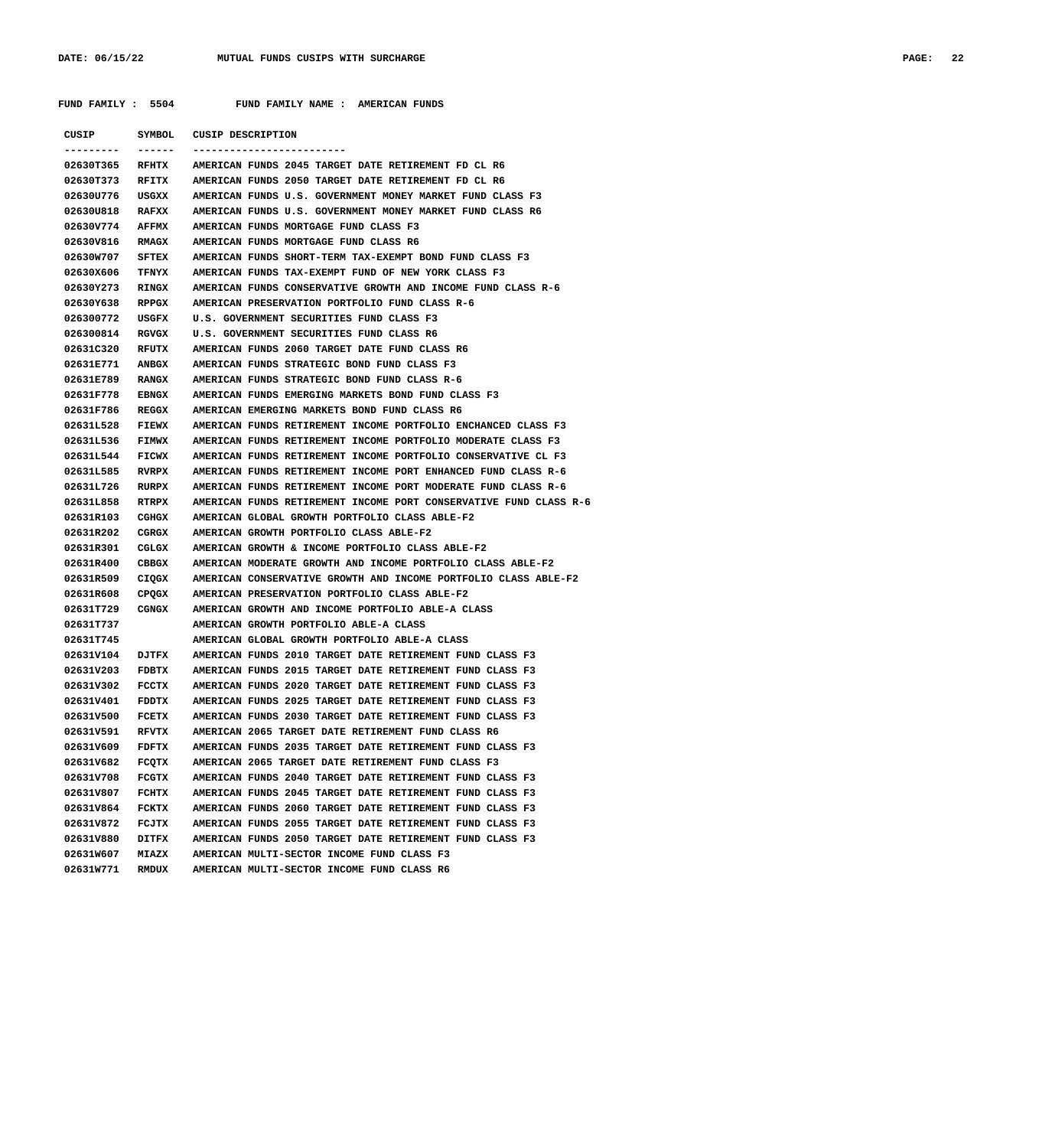**FUND FAMILY : 5504 FUND FAMILY NAME : AMERICAN FUNDS**

| CUSIP           | SYMBOL       | CUSIP DESCRIPTION                                                 |
|-----------------|--------------|-------------------------------------------------------------------|
| . <u>.</u> .    |              |                                                                   |
| 02630T365       | RFHTX        | AMERICAN FUNDS 2045 TARGET DATE RETIREMENT FD CL R6               |
| 02630T373       | RFITX        | AMERICAN FUNDS 2050 TARGET DATE RETIREMENT FD CL R6               |
| 02630U776       | USGXX        | AMERICAN FUNDS U.S. GOVERNMENT MONEY MARKET FUND CLASS F3         |
| 02630U818       | RAFXX        | AMERICAN FUNDS U.S. GOVERNMENT MONEY MARKET FUND CLASS R6         |
| 02630V774       | <b>AFFMX</b> | AMERICAN FUNDS MORTGAGE FUND CLASS F3                             |
| 02630V816       | RMAGX        | AMERICAN FUNDS MORTGAGE FUND CLASS R6                             |
| 02630W707       | SFTEX        | AMERICAN FUNDS SHORT-TERM TAX-EXEMPT BOND FUND CLASS F3           |
| 02630X606       | TFNYX        | AMERICAN FUNDS TAX-EXEMPT FUND OF NEW YORK CLASS F3               |
| 02630Y273       | RINGX        | AMERICAN FUNDS CONSERVATIVE GROWTH AND INCOME FUND CLASS R-6      |
| 02630Y638       | RPPGX        | AMERICAN PRESERVATION PORTFOLIO FUND CLASS R-6                    |
| 026300772       | USGFX        | U.S. GOVERNMENT SECURITIES FUND CLASS F3                          |
| 026300814       | RGVGX        | U.S. GOVERNMENT SECURITIES FUND CLASS R6                          |
| 02631C320       | RFUTX        | AMERICAN FUNDS 2060 TARGET DATE FUND CLASS R6                     |
| 02631E771       | ANBGX        | AMERICAN FUNDS STRATEGIC BOND FUND CLASS F3                       |
| 02631E789       | RANGX        | AMERICAN FUNDS STRATEGIC BOND FUND CLASS R-6                      |
| 02631F778       | EBNGX        | AMERICAN FUNDS EMERGING MARKETS BOND FUND CLASS F3                |
| 02631F786       | REGGX        | AMERICAN EMERGING MARKETS BOND FUND CLASS R6                      |
| 02631L528 FIEWX |              | AMERICAN FUNDS RETIREMENT INCOME PORTFOLIO ENCHANCED CLASS F3     |
| 02631L536 FIMWX |              | AMERICAN FUNDS RETIREMENT INCOME PORTFOLIO MODERATE CLASS F3      |
| 02631L544 FICWX |              | AMERICAN FUNDS RETIREMENT INCOME PORTFOLIO CONSERVATIVE CL F3     |
| 02631L585       | RVRPX        | AMERICAN FUNDS RETIREMENT INCOME PORT ENHANCED FUND CLASS R-6     |
| 02631L726       | RURPX        | AMERICAN FUNDS RETIREMENT INCOME PORT MODERATE FUND CLASS R-6     |
| 02631L858       | RTRPX        | AMERICAN FUNDS RETIREMENT INCOME PORT CONSERVATIVE FUND CLASS R-6 |
| 02631R103       | CGHGX        | AMERICAN GLOBAL GROWTH PORTFOLIO CLASS ABLE-F2                    |
| 02631R202       | CGRGX        | AMERICAN GROWTH PORTFOLIO CLASS ABLE-F2                           |
| 02631R301       | CGLGX        | AMERICAN GROWTH & INCOME PORTFOLIO CLASS ABLE-F2                  |
| 02631R400       | CBBGX        | AMERICAN MODERATE GROWTH AND INCOME PORTFOLIO CLASS ABLE-F2       |
| 02631R509       | CIQGX        | AMERICAN CONSERVATIVE GROWTH AND INCOME PORTFOLIO CLASS ABLE-F2   |
| 02631R608       | CPQGX        | AMERICAN PRESERVATION PORTFOLIO CLASS ABLE-F2                     |
| 02631T729       | CGNGX        | AMERICAN GROWTH AND INCOME PORTFOLIO ABLE-A CLASS                 |
| 02631T737       |              | AMERICAN GROWTH PORTFOLIO ABLE-A CLASS                            |
| 02631T745       |              | AMERICAN GLOBAL GROWTH PORTFOLIO ABLE-A CLASS                     |
| 02631V104 DJTFX |              | AMERICAN FUNDS 2010 TARGET DATE RETIREMENT FUND CLASS F3          |
| 02631V203 FDBTX |              | AMERICAN FUNDS 2015 TARGET DATE RETIREMENT FUND CLASS F3          |
| 02631V302 FCCTX |              | AMERICAN FUNDS 2020 TARGET DATE RETIREMENT FUND CLASS F3          |
| 02631V401       | <b>FDDTX</b> | AMERICAN FUNDS 2025 TARGET DATE RETIREMENT FUND CLASS F3          |
| 02631V500       | FCETX        | AMERICAN FUNDS 2030 TARGET DATE RETIREMENT FUND CLASS F3          |
| 02631V591       | RFVTX        | AMERICAN 2065 TARGET DATE RETIREMENT FUND CLASS R6                |
| 02631V609       | <b>FDFTX</b> | AMERICAN FUNDS 2035 TARGET DATE RETIREMENT FUND CLASS F3          |
| 02631V682       | FCQTX        | AMERICAN 2065 TARGET DATE RETIREMENT FUND CLASS F3                |
| 02631V708       | <b>FCGTX</b> | AMERICAN FUNDS 2040 TARGET DATE RETIREMENT FUND CLASS F3          |
| 02631V807       | FCHTX        | AMERICAN FUNDS 2045 TARGET DATE RETIREMENT FUND CLASS F3          |
| 02631V864       | FCKTX        | AMERICAN FUNDS 2060 TARGET DATE RETIREMENT FUND CLASS F3          |
| 02631V872       | FCJTX        | AMERICAN FUNDS 2055 TARGET DATE RETIREMENT FUND CLASS F3          |
| 02631V880       | <b>DITFX</b> | AMERICAN FUNDS 2050 TARGET DATE RETIREMENT FUND CLASS F3          |
| 02631W607       | <b>MIAZX</b> | AMERICAN MULTI-SECTOR INCOME FUND CLASS F3                        |
| 02631W771       | RMDUX        | AMERICAN MULTI-SECTOR INCOME FUND CLASS R6                        |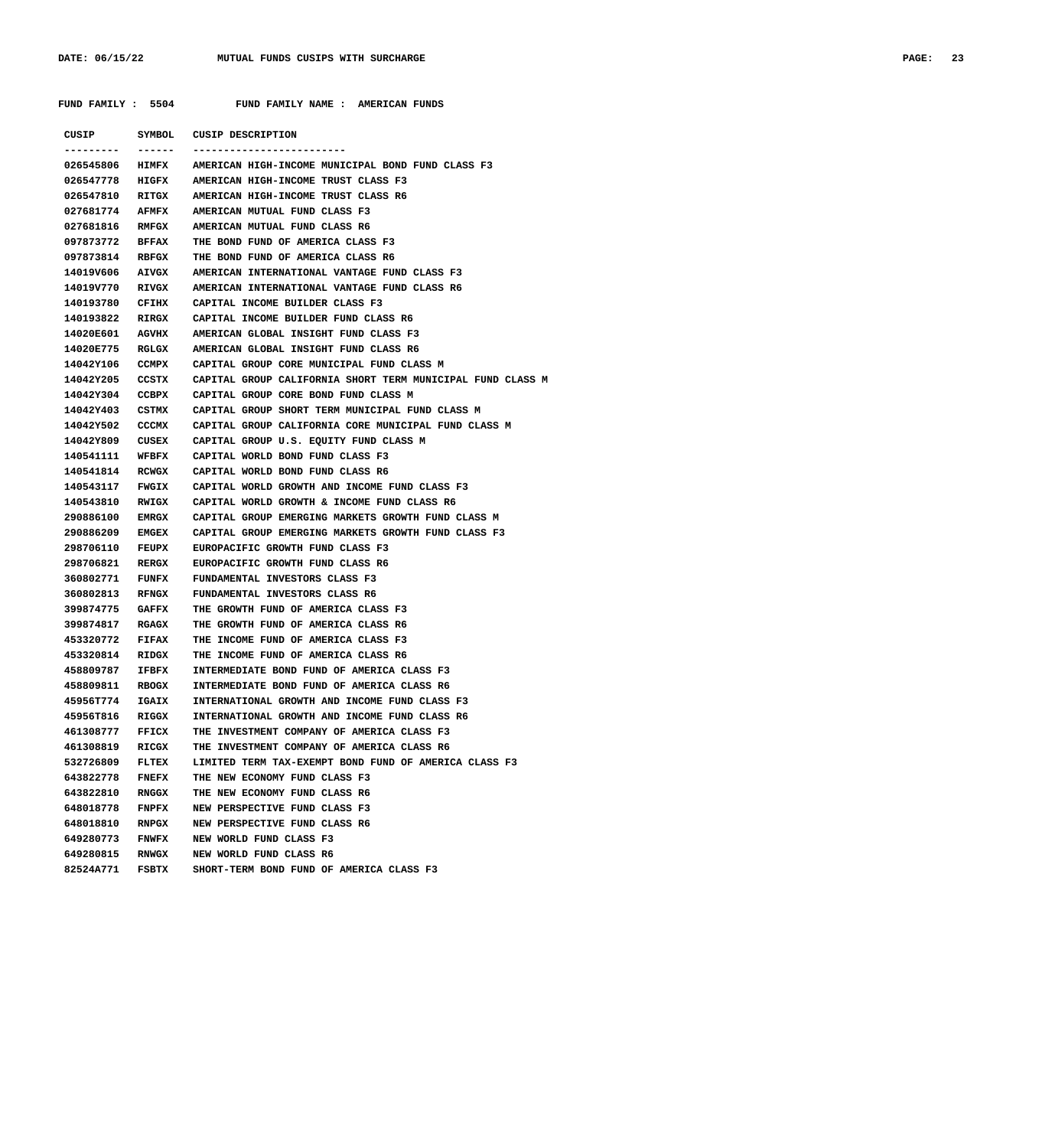**FUND FAMILY : 5504 FUND FAMILY NAME : AMERICAN FUNDS**

|                 |              | CUSIP SYMBOL CUSIP DESCRIPTION                             |
|-----------------|--------------|------------------------------------------------------------|
|                 | ------       |                                                            |
| 026545806 HIMFX |              | AMERICAN HIGH-INCOME MUNICIPAL BOND FUND CLASS F3          |
| 026547778 HIGFX |              | AMERICAN HIGH-INCOME TRUST CLASS F3                        |
| 026547810 RITGX |              | AMERICAN HIGH-INCOME TRUST CLASS R6                        |
| 027681774 AFMFX |              | AMERICAN MUTUAL FUND CLASS F3                              |
| 027681816 RMFGX |              | AMERICAN MUTUAL FUND CLASS R6                              |
| 097873772 BFFAX |              | THE BOND FUND OF AMERICA CLASS F3                          |
| 097873814 RBFGX |              | THE BOND FUND OF AMERICA CLASS R6                          |
| 14019V606 AIVGX |              | AMERICAN INTERNATIONAL VANTAGE FUND CLASS F3               |
| 14019V770 RIVGX |              | AMERICAN INTERNATIONAL VANTAGE FUND CLASS R6               |
| 140193780 CFIHX |              | CAPITAL INCOME BUILDER CLASS F3                            |
| 140193822 RIRGX |              | CAPITAL INCOME BUILDER FUND CLASS R6                       |
| 14020E601 AGVHX |              | AMERICAN GLOBAL INSIGHT FUND CLASS F3                      |
| 14020E775 RGLGX |              | AMERICAN GLOBAL INSIGHT FUND CLASS R6                      |
| 14042Y106 CCMPX |              | CAPITAL GROUP CORE MUNICIPAL FUND CLASS M                  |
| 14042Y205 CCSTX |              | CAPITAL GROUP CALIFORNIA SHORT TERM MUNICIPAL FUND CLASS M |
| 14042Y304 CCBPX |              | CAPITAL GROUP CORE BOND FUND CLASS M                       |
| 14042Y403       | CSTMX        | CAPITAL GROUP SHORT TERM MUNICIPAL FUND CLASS M            |
| 14042Y502 CCCMX |              | CAPITAL GROUP CALIFORNIA CORE MUNICIPAL FUND CLASS M       |
| 14042Y809 CUSEX |              | CAPITAL GROUP U.S. EQUITY FUND CLASS M                     |
| 140541111 WFBFX |              | CAPITAL WORLD BOND FUND CLASS F3                           |
| 140541814 RCWGX |              | CAPITAL WORLD BOND FUND CLASS R6                           |
| 140543117 FWGIX |              | CAPITAL WORLD GROWTH AND INCOME FUND CLASS F3              |
| 140543810 RWIGX |              | CAPITAL WORLD GROWTH & INCOME FUND CLASS R6                |
| 290886100 EMRGX |              | CAPITAL GROUP EMERGING MARKETS GROWTH FUND CLASS M         |
| 290886209 EMGEX |              | CAPITAL GROUP EMERGING MARKETS GROWTH FUND CLASS F3        |
| 298706110 FEUPX |              | EUROPACIFIC GROWTH FUND CLASS F3                           |
| 298706821 RERGX |              | EUROPACIFIC GROWTH FUND CLASS R6                           |
| 360802771 FUNFX |              | FUNDAMENTAL INVESTORS CLASS F3                             |
| 360802813 RFNGX |              | FUNDAMENTAL INVESTORS CLASS R6                             |
| 399874775 GAFFX |              | THE GROWTH FUND OF AMERICA CLASS F3                        |
| 399874817 RGAGX |              | THE GROWTH FUND OF AMERICA CLASS R6                        |
| 453320772 FIFAX |              | THE INCOME FUND OF AMERICA CLASS F3                        |
| 453320814 RIDGX |              | THE INCOME FUND OF AMERICA CLASS R6                        |
| 458809787       | IFBFX        | INTERMEDIATE BOND FUND OF AMERICA CLASS F3                 |
| 458809811       | RBOGX        | INTERMEDIATE BOND FUND OF AMERICA CLASS R6                 |
| 45956T774       | IGAIX        | INTERNATIONAL GROWTH AND INCOME FUND CLASS F3              |
| 45956T816       | RIGGX        | INTERNATIONAL GROWTH AND INCOME FUND CLASS R6              |
| 461308777       | <b>FFICX</b> | THE INVESTMENT COMPANY OF AMERICA CLASS F3                 |
| 461308819       | RICGX        | THE INVESTMENT COMPANY OF AMERICA CLASS R6                 |
| 532726809       | FLTEX        | LIMITED TERM TAX-EXEMPT BOND FUND OF AMERICA CLASS F3      |
| 643822778       | <b>FNEFX</b> | THE NEW ECONOMY FUND CLASS F3                              |
| 643822810       | RNGGX        | THE NEW ECONOMY FUND CLASS R6                              |
| 648018778       | <b>FNPFX</b> | NEW PERSPECTIVE FUND CLASS F3                              |
| 648018810       | <b>RNPGX</b> | NEW PERSPECTIVE FUND CLASS R6                              |
| 649280773       | <b>FNWFX</b> | NEW WORLD FUND CLASS F3                                    |
| 649280815       | <b>RNWGX</b> | NEW WORLD FUND CLASS R6                                    |
| 82524A771       | FSBTX        | SHORT-TERM BOND FUND OF AMERICA CLASS F3                   |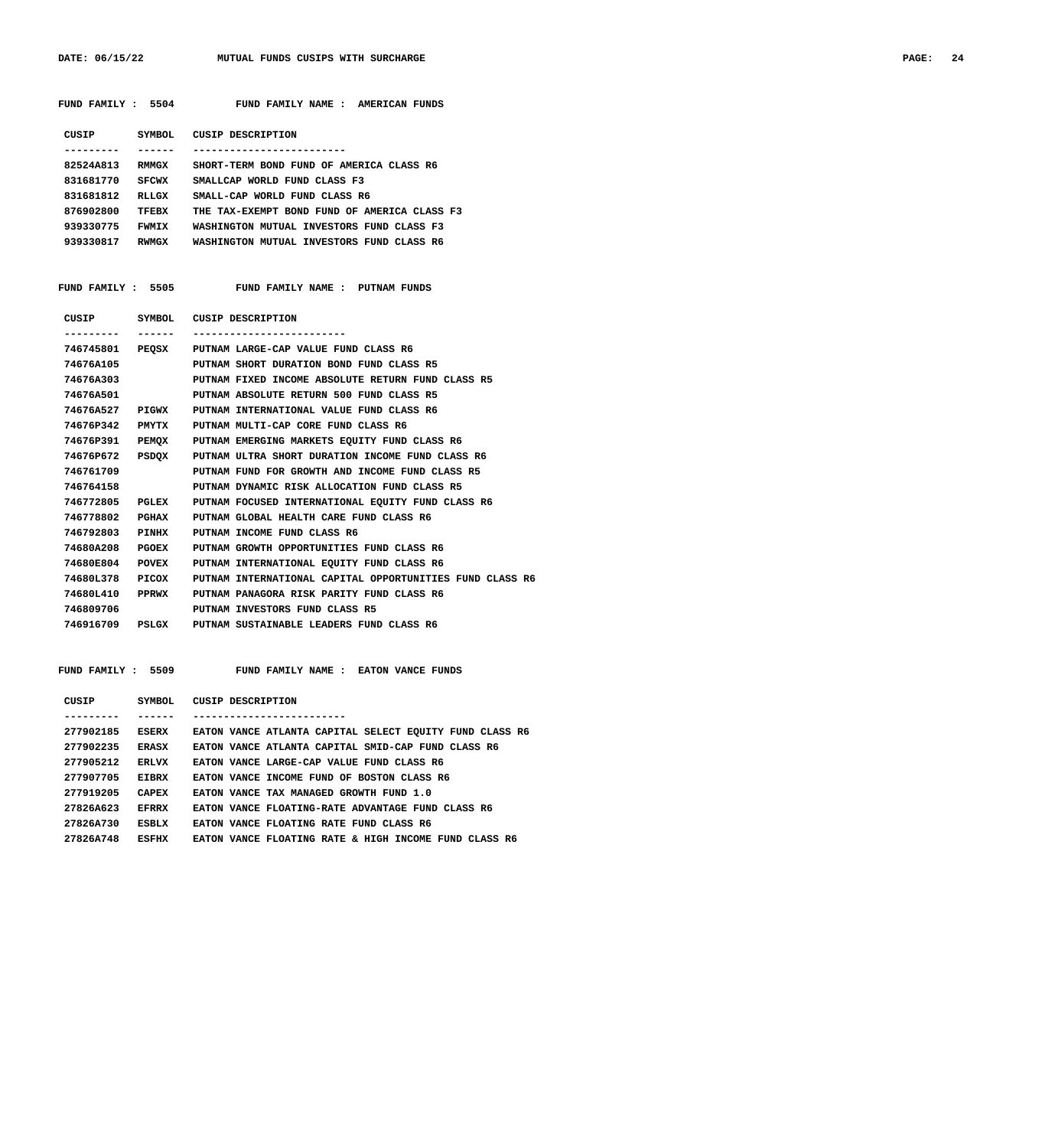DATE: 06/15/22 MUTUAL FUNDS CUSIPS WITH SURCHARGE **PAGE: 24** 

| CUSIP     | SYMBOL.      | CUSIP DESCRIPTION                            |
|-----------|--------------|----------------------------------------------|
|           |              |                                              |
| 82524A813 | <b>RMMGX</b> | SHORT-TERM BOND FUND OF AMERICA CLASS R6     |
| 831681770 | <b>SFCWX</b> | SMALLCAP WORLD FUND CLASS F3                 |
| 831681812 | RLLGX        | SMALL-CAP WORLD FUND CLASS R6                |
| 876902800 | TFEBX        | THE TAX-EXEMPT BOND FUND OF AMERICA CLASS F3 |
| 939330775 | <b>FWMTX</b> | WASHINGTON MUTUAL INVESTORS FUND CLASS F3    |
| 939330817 | <b>RWMGX</b> | WASHINGTON MUTUAL INVESTORS FUND CLASS R6    |

 **FUND FAMILY : 5504 FUND FAMILY NAME : AMERICAN FUNDS**

 **FUND FAMILY : 5505 FUND FAMILY NAME : PUTNAM FUNDS**

| CUSIP           |       | SYMBOL CUSIP DESCRIPTION                                 |
|-----------------|-------|----------------------------------------------------------|
|                 |       |                                                          |
|                 |       | 746745801 PEQSX PUTNAM LARGE-CAP VALUE FUND CLASS R6     |
| 74676A105       |       | PUTNAM SHORT DURATION BOND FUND CLASS R5                 |
| 74676A303       |       | PUTNAM FIXED INCOME ABSOLUTE RETURN FUND CLASS R5        |
| 74676A501       |       | PUTNAM ABSOLUTE RETURN 500 FUND CLASS R5                 |
| 74676A527 PIGWX |       | PUTNAM INTERNATIONAL VALUE FUND CLASS R6                 |
| 74676P342       | PMYTX | PUTNAM MULTI-CAP CORE FUND CLASS R6                      |
| 74676P391       |       | PEMOX PUTNAM EMERGING MARKETS EOUITY FUND CLASS R6       |
| 74676P672       | PSDOX | PUTNAM ULTRA SHORT DURATION INCOME FUND CLASS R6         |
| 746761709       |       | PUTNAM FUND FOR GROWTH AND INCOME FUND CLASS R5          |
| 746764158       |       | PUTNAM DYNAMIC RISK ALLOCATION FUND CLASS R5             |
| 746772805       | PGLEX | PUTNAM FOCUSED INTERNATIONAL EOUITY FUND CLASS R6        |
| 746778802       | PGHAX | PUTNAM GLOBAL HEALTH CARE FUND CLASS R6                  |
| 746792803 PINHX |       | PUTNAM INCOME FUND CLASS R6                              |
| 74680A208       | PGOEX | PUTNAM GROWTH OPPORTUNITIES FUND CLASS R6                |
| 74680E804       | POVEX | PUTNAM INTERNATIONAL EOUITY FUND CLASS R6                |
| 74680L378       | PICOX | PUTNAM INTERNATIONAL CAPITAL OPPORTUNITIES FUND CLASS R6 |
| 74680L410 PPRWX |       | PUTNAM PANAGORA RISK PARITY FUND CLASS R6                |
| 746809706       |       | PUTNAM INVESTORS FUND CLASS R5                           |
| 746916709 PSLGX |       | PUTNAM SUSTAINABLE LEADERS FUND CLASS R6                 |
|                 |       |                                                          |

FUND FAMILY : 5509 FUND FAMILY NAME : EATON VANCE FUNDS

| CUSIP     | SYMBOL        | CUSIP DESCRIPTION                                        |
|-----------|---------------|----------------------------------------------------------|
|           |               |                                                          |
| 277902185 | ESERX         | EATON VANCE ATLANTA CAPITAL SELECT EQUITY FUND CLASS R6  |
| 277902235 | ERASX         | EATON VANCE ATLANTA CAPITAL SMID-CAP FUND CLASS R6       |
| 277905212 | <b>FRI.VX</b> | EATON VANCE LARGE-CAP VALUE FUND CLASS R6                |
| 277907705 | <b>EIBRX</b>  | EATON VANCE INCOME FUND OF BOSTON CLASS R6               |
| 277919205 | <b>CAPEX</b>  | EATON VANCE TAX MANAGED GROWTH FUND 1.0                  |
| 27826A623 | <b>EFRRX</b>  | EATON VANCE FLOATING-RATE ADVANTAGE FUND CLASS R6        |
| 27826A730 | <b>ESBLX</b>  | EATON VANCE FLOATING RATE FUND CLASS R6                  |
| 27826A748 | ESFIIX        | EATON VANCE FLOATING RATE & HIGH INCOME FUND<br>CLASS R6 |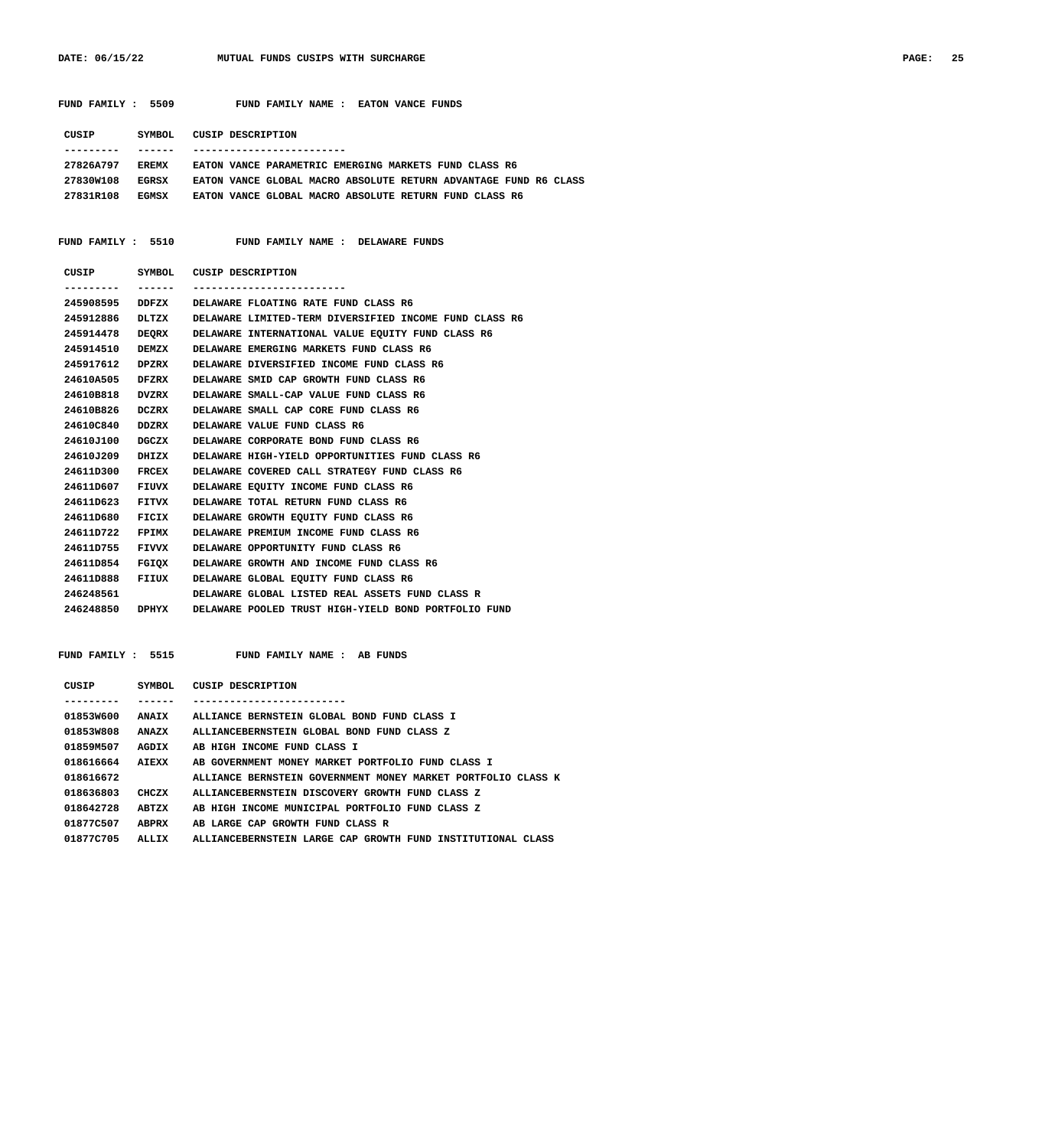DATE: 06/15/22 **MUTUAL FUNDS CUSIPS WITH SURCHARGE** 

| PAGE: | 25 |
|-------|----|
|-------|----|

 **FUND FAMILY : 5509 FUND FAMILY NAME : EATON VANCE FUNDS**

| CUSIP     | SYMBOL.      | CUSIP DESCRIPTION                                                |
|-----------|--------------|------------------------------------------------------------------|
|           |              |                                                                  |
| 27826A797 | <b>FREMX</b> | EATON VANCE PARAMETRIC EMERGING MARKETS FUND CLASS R6            |
| 27830W108 | <b>EGRSX</b> | EATON VANCE GLOBAL MACRO ABSOLUTE RETURN ADVANTAGE FUND R6 CLASS |
| 27831R108 | <b>ECMSX</b> | EATON VANCE GLOBAL MACRO ABSOLUTE RETURN FUND CLASS R6           |

FUND FAMILY : 5510 FUND FAMILY NAME : DELAWARE FUNDS

| CUSIP     |              | SYMBOL CUSIP DESCRIPTION                               |
|-----------|--------------|--------------------------------------------------------|
|           | -------      |                                                        |
| 245908595 | DDFZX        | DELAWARE FLOATING RATE FUND CLASS R6                   |
| 245912886 | DLTZX        | DELAWARE LIMITED-TERM DIVERSIFIED INCOME FUND CLASS R6 |
| 245914478 | <b>DEORX</b> | DELAWARE INTERNATIONAL VALUE EOUITY FUND CLASS R6      |
| 245914510 | DEMZX        | DELAWARE EMERGING MARKETS FUND CLASS R6                |
| 245917612 | DPZRX        | DELAWARE DIVERSIFIED INCOME FUND CLASS R6              |
| 24610A505 | DFZRX        | DELAWARE SMID CAP GROWTH FUND CLASS R6                 |
| 24610B818 | DVZRX        | DELAWARE SMALL-CAP VALUE FUND CLASS R6                 |
| 24610B826 | DCZRX        | DELAWARE SMALL CAP CORE FUND CLASS R6                  |
| 24610C840 | DDZRX        | DELAWARE VALUE FUND CLASS R6                           |
| 24610J100 | DGCZX        | DELAWARE CORPORATE BOND FUND CLASS R6                  |
| 24610J209 | DHIZX        | DELAWARE HIGH-YIELD OPPORTUNITIES FUND CLASS R6        |
| 24611D300 | FRCEX        | DELAWARE COVERED CALL STRATEGY FUND CLASS R6           |
| 24611D607 | FIUVX        | DELAWARE EOUITY INCOME FUND CLASS R6                   |
| 24611D623 | FITVX        | DELAWARE TOTAL RETURN FUND CLASS R6                    |
| 24611D680 | FICIX        | DELAWARE GROWTH EQUITY FUND CLASS R6                   |
| 24611D722 | FPIMX        | DELAWARE PREMIUM INCOME FUND CLASS R6                  |
| 24611D755 | <b>FIVVX</b> | DELAWARE OPPORTUNITY FUND CLASS R6                     |
| 24611D854 | FGIOX        | DELAWARE GROWTH AND INCOME FUND CLASS R6               |
| 24611D888 | FIIUX        | DELAWARE GLOBAL EOUITY FUND CLASS R6                   |
| 246248561 |              | DELAWARE GLOBAL LISTED REAL ASSETS FUND CLASS R        |
| 246248850 | <b>DPHYX</b> | DELAWARE POOLED TRUST HIGH-YIELD BOND PORTFOLIO FUND   |
|           |              |                                                        |

|  | FUND FAMILY |  | 5515 |
|--|-------------|--|------|
|--|-------------|--|------|

FUND FAMILY NAME : AB FUNDS

| CUSIP     | SYMBOL       | CUSIP DESCRIPTION                                            |
|-----------|--------------|--------------------------------------------------------------|
|           |              |                                                              |
| 01853W600 | <b>ANAIX</b> | ALLIANCE BERNSTEIN GLOBAL BOND FUND CLASS I                  |
| 01853W808 | ANAZX        | ALLIANCEBERNSTEIN GLOBAL BOND FUND CLASS Z                   |
| 01859M507 | AGDIX        | AB HIGH INCOME FUND CLASS I                                  |
| 018616664 | AIEXX        | AB GOVERNMENT MONEY MARKET PORTFOLIO FUND CLASS I            |
| 018616672 |              | ALLIANCE BERNSTEIN GOVERNMENT MONEY MARKET PORTFOLIO CLASS K |
| 018636803 | CHCZX        | ALLIANCEBERNSTEIN DISCOVERY GROWTH FUND CLASS Z              |
| 018642728 | ABTZX        | AB HIGH INCOME MUNICIPAL PORTFOLIO FUND CLASS Z              |
| 01877C507 | <b>ABPRX</b> | AB LARGE CAP GROWTH FUND CLASS R                             |
| 01877C705 | ALLIX        | ALLIANCEBERNSTEIN LARGE CAP GROWTH FUND INSTITUTIONAL CLASS  |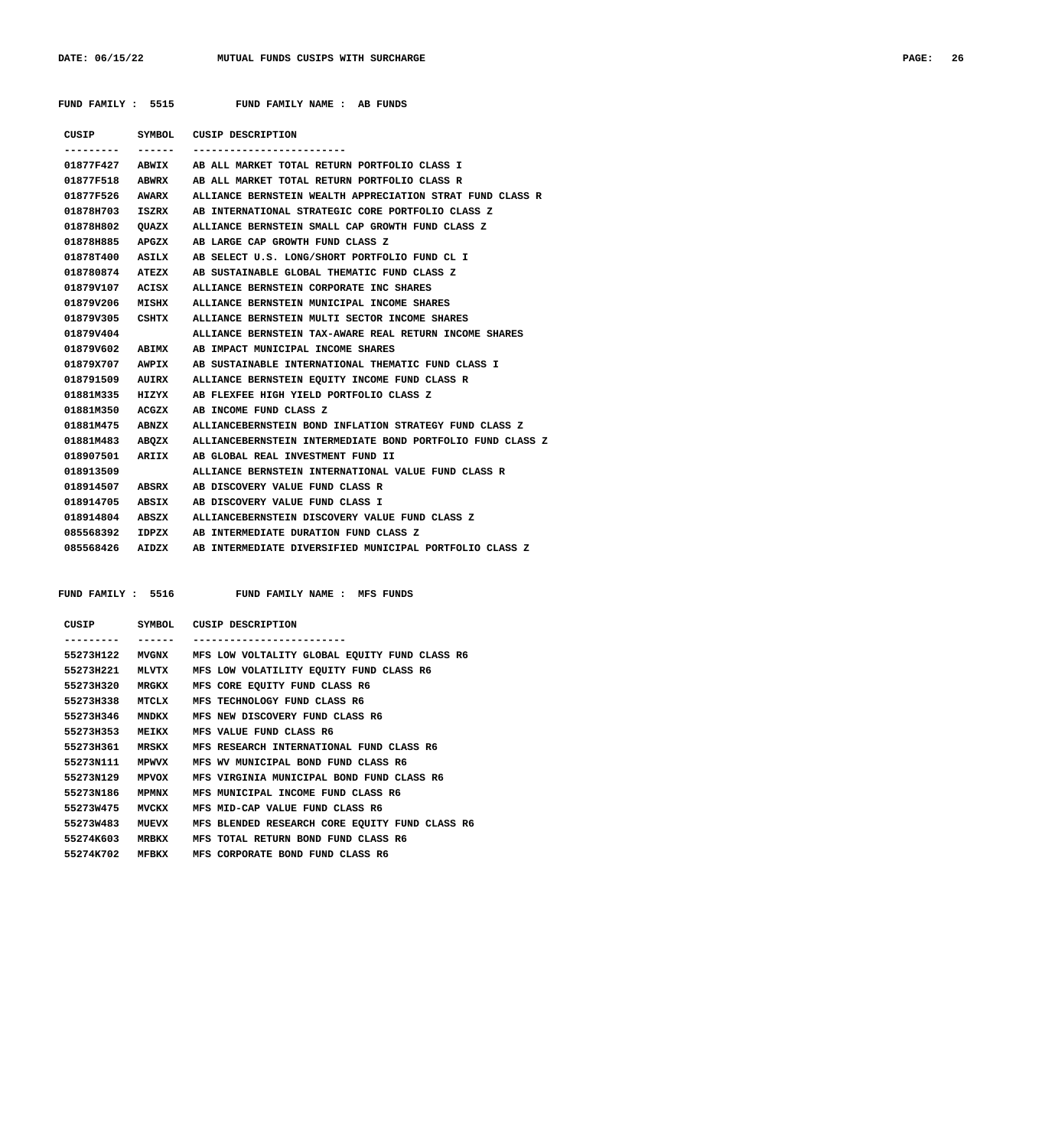|                    | FUND FAMILY : 5515 FUND FAMILY NAME : AB FUNDS                             |
|--------------------|----------------------------------------------------------------------------|
|                    | CUSIP SYMBOL CUSIP DESCRIPTION                                             |
|                    |                                                                            |
|                    | 01877F427 ABWIX AB ALL MARKET TOTAL RETURN PORTFOLIO CLASS I               |
|                    | 01877F518 ABWRX AB ALL MARKET TOTAL RETURN PORTFOLIO CLASS R               |
|                    | 01877F526 AWARX ALLIANCE BERNSTEIN WEALTH APPRECIATION STRAT FUND CLASS R  |
|                    | 01878H703 ISZRX AB INTERNATIONAL STRATEGIC CORE PORTFOLIO CLASS Z          |
|                    | 01878H802 OUAZX ALLIANCE BERNSTEIN SMALL CAP GROWTH FUND CLASS Z           |
| 01878H885 APGZX    | AB LARGE CAP GROWTH FUND CLASS Z                                           |
|                    | 01878T400 ASILX AB SELECT U.S. LONG/SHORT PORTFOLIO FUND CL I              |
| 018780874 ATEZX    | AB SUSTAINABLE GLOBAL THEMATIC FUND CLASS Z                                |
|                    | 01879V107 ACISX ALLIANCE BERNSTEIN CORPORATE INC SHARES                    |
|                    | 01879V206 MISHX ALLIANCE BERNSTEIN MUNICIPAL INCOME SHARES                 |
| 01879V305 CSHTX    | ALLIANCE BERNSTEIN MULTI SECTOR INCOME SHARES                              |
| 01879V404          | ALLIANCE BERNSTEIN TAX-AWARE REAL RETURN INCOME SHARES                     |
| 01879V602 ABIMX    | AB IMPACT MUNICIPAL INCOME SHARES                                          |
| 01879X707 AWPIX    | AB SUSTAINABLE INTERNATIONAL THEMATIC FUND CLASS I                         |
| 018791509 AUIRX    | ALLIANCE BERNSTEIN EQUITY INCOME FUND CLASS R                              |
| 01881M335 HIZYX    | AB FLEXFEE HIGH YIELD PORTFOLIO CLASS Z                                    |
|                    | 01881M350 ACGZX AB INCOME FUND CLASS Z                                     |
|                    | 01881M475 ABNZX ALLIANCEBERNSTEIN BOND INFLATION STRATEGY FUND CLASS Z     |
|                    | 01881M483 ABOZX ALLIANCEBERNSTEIN INTERMEDIATE BOND PORTFOLIO FUND CLASS Z |
| 018907501<br>ARIIX | AB GLOBAL REAL INVESTMENT FUND II                                          |
| 018913509          | ALLIANCE BERNSTEIN INTERNATIONAL VALUE FUND CLASS R                        |
|                    | 018914507 ABSRX AB DISCOVERY VALUE FUND CLASS R                            |
| 018914705 ABSIX    | AB DISCOVERY VALUE FUND CLASS I                                            |
|                    | 018914804 ABSZX ALLIANCEBERNSTEIN DISCOVERY VALUE FUND CLASS Z             |
|                    | 085568392 IDPZX AB INTERMEDIATE DURATION FUND CLASS Z                      |
| 085568426 AIDZX    | AB INTERMEDIATE DIVERSIFIED MUNICIPAL PORTFOLIO CLASS Z                    |

FUND FAMILY : 5516 FUND FAMILY NAME : MFS FUNDS

| CUSIP     | SYMBOL       | CUSIP DESCRIPTION                              |
|-----------|--------------|------------------------------------------------|
|           |              |                                                |
| 55273H122 | <b>MVGNX</b> | MFS LOW VOLTALITY GLOBAL EQUITY FUND CLASS R6  |
| 55273H221 | MLVTX        | MFS LOW VOLATILITY EQUITY FUND CLASS R6        |
| 55273H320 | <b>MRGKX</b> | MFS CORE EQUITY FUND CLASS R6                  |
| 55273H338 | MTCLX        | MFS TECHNOLOGY FUND CLASS R6                   |
| 55273H346 | <b>MNDKX</b> | MFS NEW DISCOVERY FUND CLASS R6                |
| 55273H353 | MEIKX        | MFS VALUE FUND CLASS R6                        |
| 55273H361 | MRSKX        | MFS RESEARCH INTERNATIONAL FUND CLASS R6       |
| 55273N111 | <b>MPWVX</b> | MFS WV MUNICIPAL BOND FUND CLASS R6            |
| 55273N129 | MPVOX        | MFS VIRGINIA MUNICIPAL BOND FUND CLASS R6      |
| 55273N186 | <b>MPMNX</b> | MFS MUNICIPAL INCOME FUND CLASS R6             |
| 55273W475 | MVCKX        | MFS MID-CAP VALUE FUND CLASS R6                |
| 55273W483 | MUEVX        | MFS BLENDED RESEARCH CORE EOUITY FUND CLASS R6 |
| 55274K603 | <b>MRBKX</b> | MFS TOTAL RETURN BOND FUND CLASS R6            |
| 55274K702 | MFBKX        | MFS CORPORATE BOND FUND CLASS R6               |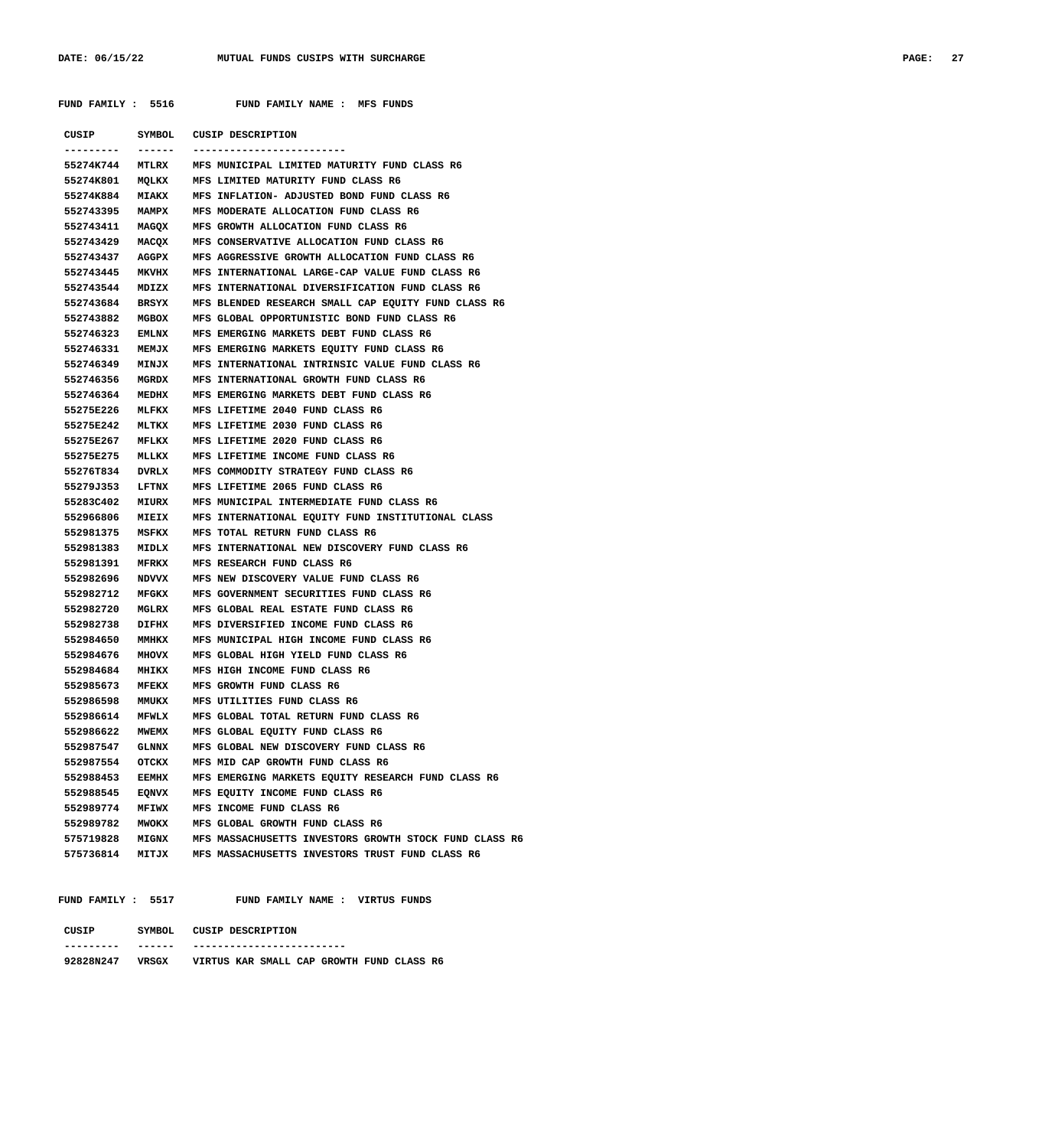| FUND FAMILY : 5516 |              | FUND FAMILY NAME : MFS FUNDS                                 |
|--------------------|--------------|--------------------------------------------------------------|
|                    |              | CUSIP SYMBOL CUSIP DESCRIPTION                               |
| . <b>.</b> .       | -------      | -------------------------                                    |
|                    |              | 55274K744 MTLRX MFS MUNICIPAL LIMITED MATURITY FUND CLASS R6 |
|                    |              | 55274K801 MQLKX MFS LIMITED MATURITY FUND CLASS R6           |
| 55274K884          |              | MIAKX MFS INFLATION- ADJUSTED BOND FUND CLASS R6             |
| 552743395          |              | MAMPX MFS MODERATE ALLOCATION FUND CLASS R6                  |
| 552743411          |              | MAGOX MFS GROWTH ALLOCATION FUND CLASS R6                    |
| 552743429          | MACOX        | MFS CONSERVATIVE ALLOCATION FUND CLASS R6                    |
| 552743437          | AGGPX        | MFS AGGRESSIVE GROWTH ALLOCATION FUND CLASS R6               |
| 552743445          | <b>MKVHX</b> | MFS INTERNATIONAL LARGE-CAP VALUE FUND CLASS R6              |
| 552743544          | MDIZX        | MFS INTERNATIONAL DIVERSIFICATION FUND CLASS R6              |
| 552743684          | BRSYX        | MFS BLENDED RESEARCH SMALL CAP EQUITY FUND CLASS R6          |
| 552743882          | MGBOX        | MFS GLOBAL OPPORTUNISTIC BOND FUND CLASS R6                  |
| 552746323          | <b>EMLNX</b> | MFS EMERGING MARKETS DEBT FUND CLASS R6                      |
| 552746331          | <b>MEMJX</b> | MFS EMERGING MARKETS EQUITY FUND CLASS R6                    |
| 552746349          | <b>MINJX</b> | MFS INTERNATIONAL INTRINSIC VALUE FUND CLASS R6              |
| 552746356          | MGRDX        | MFS INTERNATIONAL GROWTH FUND CLASS R6                       |
| 552746364          | MEDHX        | MFS EMERGING MARKETS DEBT FUND CLASS R6                      |
| 55275E226          | MLFKX        | MFS LIFETIME 2040 FUND CLASS R6                              |
| 55275E242          | MLTKX        | MFS LIFETIME 2030 FUND CLASS R6                              |
| 55275E267          | MFLKX        | MFS LIFETIME 2020 FUND CLASS R6                              |
| 55275E275          | MLLKX        | MFS LIFETIME INCOME FUND CLASS R6                            |
| 55276T834          | DVRLX        | MFS COMMODITY STRATEGY FUND CLASS R6                         |
| 55279J353          | LFTNX        | MFS LIFETIME 2065 FUND CLASS R6                              |
| 55283C402          | MIURX        | MFS MUNICIPAL INTERMEDIATE FUND CLASS R6                     |
| 552966806          | MIEIX        | MFS INTERNATIONAL EQUITY FUND INSTITUTIONAL CLASS            |
| 552981375          | MSFKX        | MFS TOTAL RETURN FUND CLASS R6                               |
| 552981383          | MIDLX        | MFS INTERNATIONAL NEW DISCOVERY FUND CLASS R6                |
| 552981391          | <b>MFRKX</b> | MFS RESEARCH FUND CLASS R6                                   |
| 552982696          | NDVVX        | MFS NEW DISCOVERY VALUE FUND CLASS R6                        |
| 552982712          | MFGKX        | MFS GOVERNMENT SECURITIES FUND CLASS R6                      |
| 552982720          | MGLRX        | MFS GLOBAL REAL ESTATE FUND CLASS R6                         |
| 552982738          | DIFHX        | MFS DIVERSIFIED INCOME FUND CLASS R6                         |
|                    |              | 552984650 MMHKX MFS MUNICIPAL HIGH INCOME FUND CLASS R6      |
|                    |              | 552984676 MHOVX MFS GLOBAL HIGH YIELD FUND CLASS R6          |
| 552984684          | <b>MHIKX</b> | MFS HIGH INCOME FUND CLASS R6                                |
| 552985673          |              | MFEKX MFS GROWTH FUND CLASS R6                               |
| 552986598          |              | MMUKX MFS UTILITIES FUND CLASS R6                            |
| 552986614          |              | MFWLX MFS GLOBAL TOTAL RETURN FUND CLASS R6                  |
| 552986622          |              | MWEMX MFS GLOBAL EQUITY FUND CLASS R6                        |
| 552987547          | <b>GLNNX</b> | MFS GLOBAL NEW DISCOVERY FUND CLASS R6                       |
| 552987554          | OTCKX        | MFS MID CAP GROWTH FUND CLASS R6                             |
| 552988453          | <b>EEMHX</b> | MFS EMERGING MARKETS EQUITY RESEARCH FUND CLASS R6           |
| 552988545          | EQNVX        | MFS EQUITY INCOME FUND CLASS R6                              |
| 552989774          |              | MFIWX MFS INCOME FUND CLASS R6                               |
| 552989782          |              | MWOKX MFS GLOBAL GROWTH FUND CLASS R6                        |
| 575719828          |              | MIGNX MFS MASSACHUSETTS INVESTORS GROWTH STOCK FUND CLASS R6 |
| 575736814          |              | MITJX MFS MASSACHUSETTS INVESTORS TRUST FUND CLASS R6        |
|                    |              |                                                              |

 **FUND FAMILY : 5517 FUND FAMILY NAME : VIRTUS FUNDS CUSIP SYMBOL CUSIP DESCRIPTION**

| --------- | ------ | -------------------------                 |
|-----------|--------|-------------------------------------------|
| 92828N247 | VRSGX  | VIRTUS KAR SMALL CAP GROWTH FUND CLASS R6 |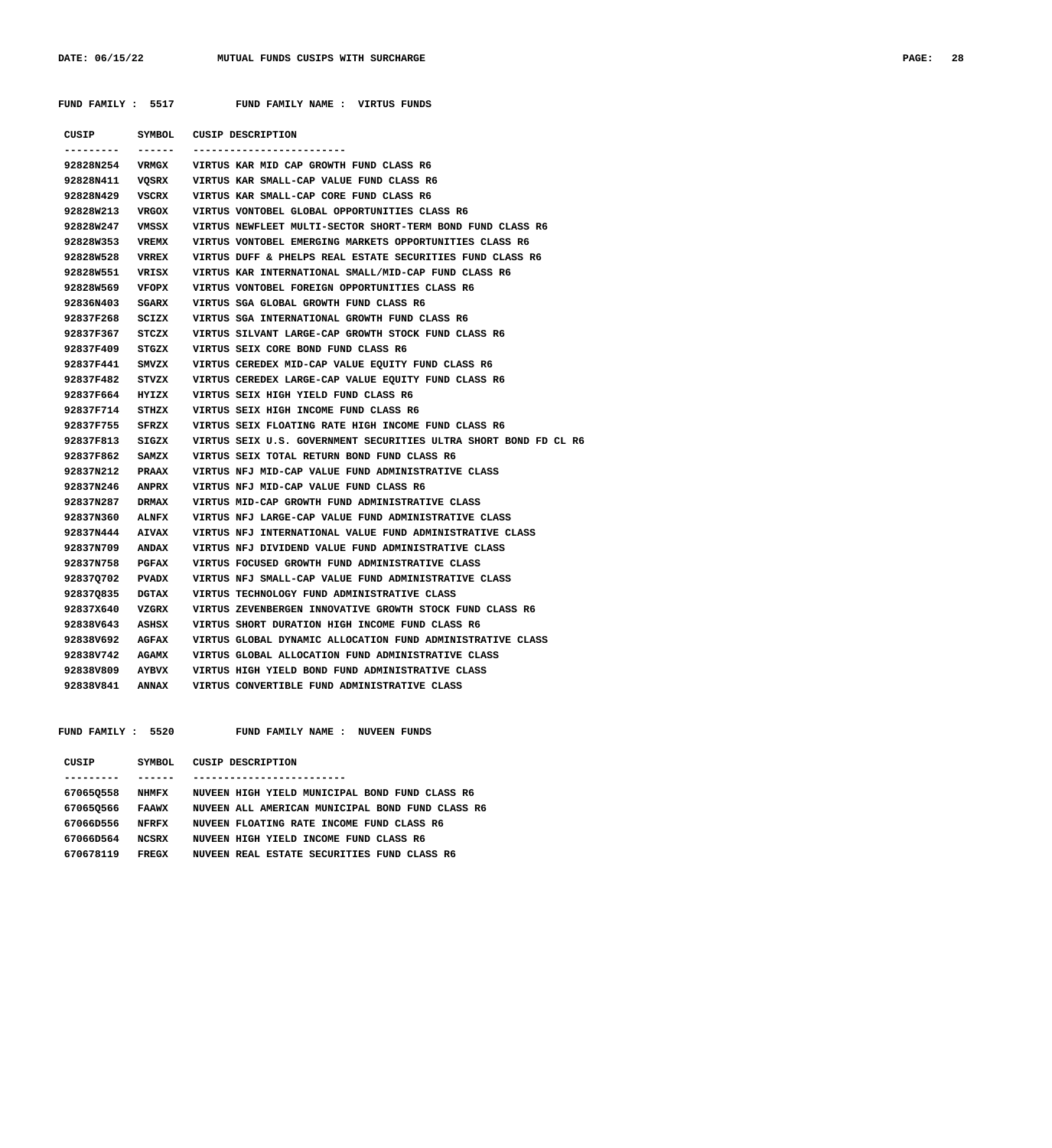**FUND FAMILY : 5517 FUND FAMILY NAME : VIRTUS FUNDS**

| CUSIP     | SYMBOL       | <b>CUSIP DESCRIPTION</b>                                         |
|-----------|--------------|------------------------------------------------------------------|
|           | ------       | --------------------------                                       |
| 92828N254 | VRMGX        | VIRTUS KAR MID CAP GROWTH FUND CLASS R6                          |
| 92828N411 | VOSRX        | VIRTUS KAR SMALL-CAP VALUE FUND CLASS R6                         |
| 92828N429 | <b>VSCRX</b> | VIRTUS KAR SMALL-CAP CORE FUND CLASS R6                          |
| 92828W213 | <b>VRGOX</b> | VIRTUS VONTOBEL GLOBAL OPPORTUNITIES CLASS R6                    |
| 92828W247 | VMSSX        | VIRTUS NEWFLEET MULTI-SECTOR SHORT-TERM BOND FUND CLASS R6       |
| 92828W353 | VREMX        | VIRTUS VONTOBEL EMERGING MARKETS OPPORTUNITIES CLASS R6          |
| 92828W528 | <b>VRREX</b> | VIRTUS DUFF & PHELPS REAL ESTATE SECURITIES FUND CLASS R6        |
| 92828W551 | VRISX        | VIRTUS KAR INTERNATIONAL SMALL/MID-CAP FUND CLASS R6             |
| 92828W569 | <b>VFOPX</b> | VIRTUS VONTOBEL FOREIGN OPPORTUNITIES CLASS R6                   |
| 92836N403 | <b>SGARX</b> | VIRTUS SGA GLOBAL GROWTH FUND CLASS R6                           |
| 92837F268 | SCIZX        | VIRTUS SGA INTERNATIONAL GROWTH FUND CLASS R6                    |
| 92837F367 | STCZX        | VIRTUS SILVANT LARGE-CAP GROWTH STOCK FUND CLASS R6              |
| 92837F409 | STGZX        | VIRTUS SEIX CORE BOND FUND CLASS R6                              |
| 92837F441 | SMVZX        | VIRTUS CEREDEX MID-CAP VALUE EQUITY FUND CLASS R6                |
| 92837F482 | STVZX        | VIRTUS CEREDEX LARGE-CAP VALUE EQUITY FUND CLASS R6              |
| 92837F664 | HYIZX        | VIRTUS SEIX HIGH YIELD FUND CLASS R6                             |
| 92837F714 | STHZX        | VIRTUS SEIX HIGH INCOME FUND CLASS R6                            |
| 92837F755 | <b>SFRZX</b> | VIRTUS SEIX FLOATING RATE HIGH INCOME FUND CLASS R6              |
| 92837F813 | SIGZX        | VIRTUS SEIX U.S. GOVERNMENT SECURITIES ULTRA SHORT BOND FD CL R6 |
| 92837F862 | SAMZX        | VIRTUS SEIX TOTAL RETURN BOND FUND CLASS R6                      |
| 92837N212 | <b>PRAAX</b> | VIRTUS NFJ MID-CAP VALUE FUND ADMINISTRATIVE CLASS               |
| 92837N246 | <b>ANPRX</b> | VIRTUS NFJ MID-CAP VALUE FUND CLASS R6                           |
| 92837N287 | <b>DRMAX</b> | VIRTUS MID-CAP GROWTH FUND ADMINISTRATIVE CLASS                  |
| 92837N360 | <b>ALNFX</b> | VIRTUS NFJ LARGE-CAP VALUE FUND ADMINISTRATIVE CLASS             |
| 92837N444 | <b>AIVAX</b> | VIRTUS NFJ INTERNATIONAL VALUE FUND ADMINISTRATIVE CLASS         |
| 92837N709 | <b>ANDAX</b> | VIRTUS NFJ DIVIDEND VALUE FUND ADMINISTRATIVE CLASS              |
| 92837N758 | PGFAX        | VIRTUS FOCUSED GROWTH FUND ADMINISTRATIVE CLASS                  |
| 928370702 | <b>PVADX</b> | VIRTUS NFJ SMALL-CAP VALUE FUND ADMINISTRATIVE CLASS             |
| 928370835 | DGTAX        | VIRTUS TECHNOLOGY FUND ADMINISTRATIVE CLASS                      |
| 92837X640 | VZGRX        | VIRTUS ZEVENBERGEN INNOVATIVE GROWTH STOCK FUND CLASS R6         |
| 92838V643 | ASHSX        | VIRTUS SHORT DURATION HIGH INCOME FUND CLASS R6                  |
| 92838V692 | AGFAX        | VIRTUS GLOBAL DYNAMIC ALLOCATION FUND ADMINISTRATIVE CLASS       |
| 92838V742 | AGAMX        | VIRTUS GLOBAL ALLOCATION FUND ADMINISTRATIVE CLASS               |
| 92838V809 | <b>AYBVX</b> | VIRTUS HIGH YIELD BOND FUND ADMINISTRATIVE CLASS                 |
| 92838V841 | <b>ANNAX</b> | VIRTUS CONVERTIBLE FUND ADMINISTRATIVE CLASS                     |
|           |              |                                                                  |

 **FUND FAMILY : 5520 FUND FAMILY NAME : NUVEEN FUNDS**

| CUSIP     | SYMBOL.      | CUSIP DESCRIPTION                                     |
|-----------|--------------|-------------------------------------------------------|
|           |              |                                                       |
| 670650558 | <b>NHMFX</b> | NUVEEN HIGH YIELD MUNICIPAL BOND FUND CLASS R6        |
| 670650566 | <b>FAAWX</b> | NUVEEN ALL AMERICAN MUNICIPAL BOND FUND CLASS R6      |
| 67066D556 | NFRFX        | NUVEEN FLOATING RATE INCOME FUND CLASS R6             |
| 67066D564 | NCSRX        | NUVEEN HIGH YIELD INCOME FUND CLASS R6                |
| 670678119 | FRECX        | REAL ESTATE SECURITIES FUND CLASS R6<br><b>NUVEEN</b> |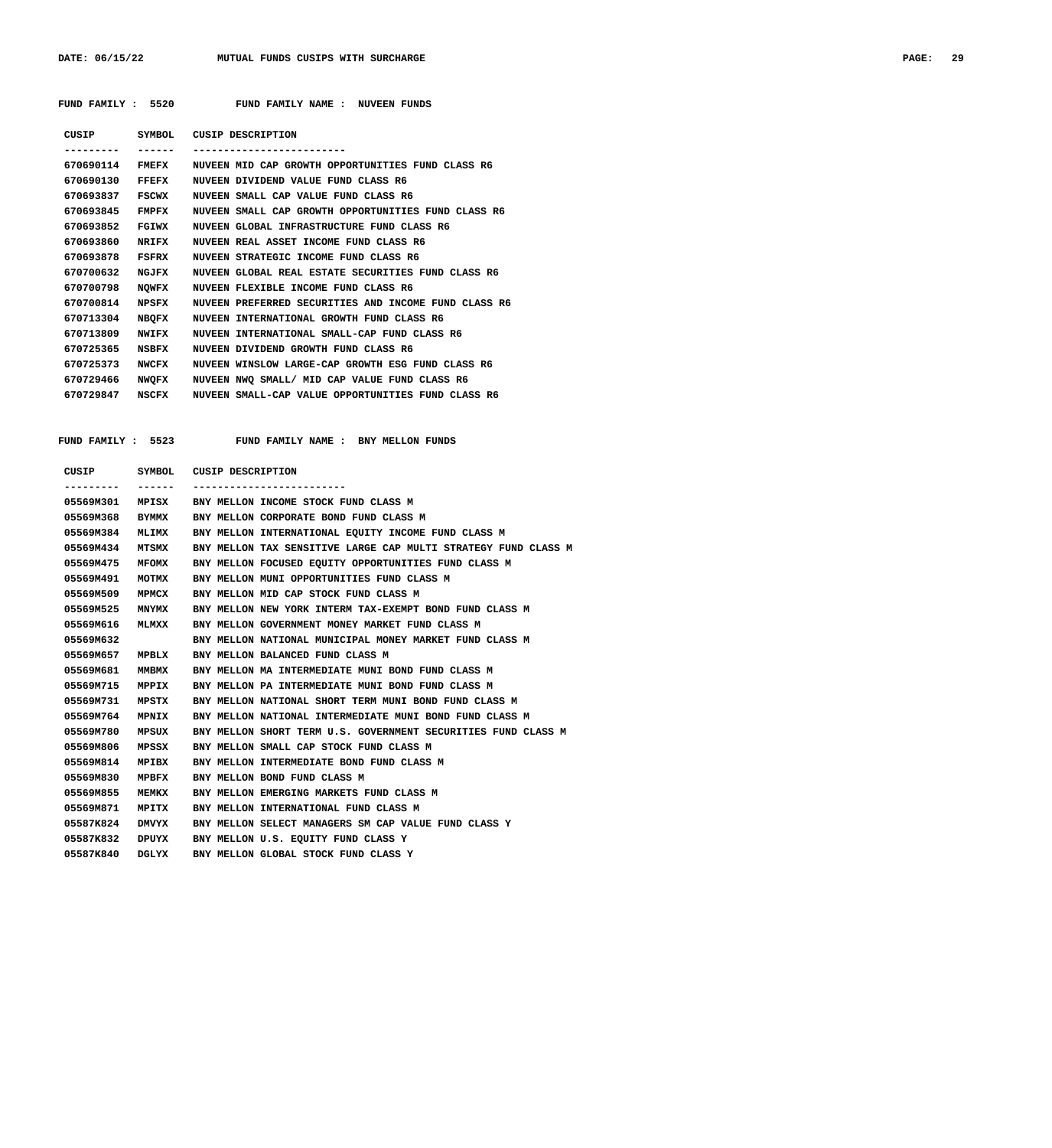| FUND FAMILY : 5520 |              | FUND FAMILY NAME :<br>NUVEEN FUNDS                   |
|--------------------|--------------|------------------------------------------------------|
| CUSIP              | SYMBOL       | CUSIP DESCRIPTION                                    |
|                    |              |                                                      |
| 670690114          | <b>FMEFX</b> | NUVEEN MID CAP GROWTH OPPORTUNITIES FUND CLASS R6    |
| 670690130          | <b>FFEFX</b> | NUVEEN DIVIDEND VALUE FUND CLASS R6                  |
| 670693837          | <b>FSCWX</b> | NUVEEN SMALL CAP VALUE FUND CLASS R6                 |
| 670693845          | <b>FMPFX</b> | NUVEEN SMALL CAP GROWTH OPPORTUNITIES FUND CLASS R6  |
| 670693852          | FGIWX        | NUVEEN GLOBAL INFRASTRUCTURE FUND CLASS R6           |
| 670693860          | <b>NRIFX</b> | NUVEEN REAL ASSET INCOME FUND CLASS R6               |
| 670693878          | FSFRX        | NUVEEN STRATEGIC INCOME FUND CLASS R6                |
| 670700632          | NGJFX        | NUVEEN GLOBAL REAL ESTATE SECURITIES FUND CLASS R6   |
| 670700798          | <b>NOWFX</b> | NUVEEN FLEXIBLE INCOME FUND CLASS R6                 |
| 670700814          | NPSFX        | NUVEEN PREFERRED SECURITIES AND INCOME FUND CLASS R6 |
| 670713304          | <b>NBOFX</b> | NUVEEN INTERNATIONAL GROWTH FUND CLASS R6            |
| 670713809          | <b>NWIFX</b> | NUVEEN INTERNATIONAL SMALL-CAP FUND CLASS R6         |
| 670725365          | <b>NSBFX</b> | NUVEEN DIVIDEND GROWTH FUND CLASS R6                 |
| 670725373          | <b>NWCFX</b> | NUVEEN WINSLOW LARGE-CAP GROWTH ESG FUND CLASS R6    |
| 670729466          | <b>NWOFX</b> | NUVEEN NWO SMALL/ MID CAP VALUE FUND CLASS R6        |
| 670729847          | NSCRY        | MINEEN SMALL-CAP VALUE OPPOPTINITIES FUND CLASS P6   |

| 670725373 | NWCFX | NUVEEN WINSLOW LARGE-CAP GROWTH ESG FUND CLASS R6  |
|-----------|-------|----------------------------------------------------|
| 670729466 | NWOFX | NUVEEN NWO SMALL/ MID CAP VALUE FUND CLASS R6      |
| 670729847 | NSCFX | NUVEEN SMALL-CAP VALUE OPPORTUNITIES FUND CLASS R6 |
|           |       |                                                    |

 **FUND FAMILY : 5523 FUND FAMILY NAME : BNY MELLON FUNDS**

| CUSIP SYMBOL CUSIP DESCRIPTION |              |                                                                |
|--------------------------------|--------------|----------------------------------------------------------------|
|                                |              |                                                                |
| 05569M301                      |              | MPISX BNY MELLON INCOME STOCK FUND CLASS M                     |
| 05569M368                      | BYMMX        | BNY MELLON CORPORATE BOND FUND CLASS M                         |
| 05569M384                      | MLIMX        | BNY MELLON INTERNATIONAL EQUITY INCOME FUND CLASS M            |
| 05569M434                      | MTSMX        | BNY MELLON TAX SENSITIVE LARGE CAP MULTI STRATEGY FUND CLASS M |
| 05569M475                      | MFOMX        | BNY MELLON FOCUSED EOUITY OPPORTUNITIES FUND CLASS M           |
| 05569M491                      | MOTMX        | BNY MELLON MUNI OPPORTUNITIES FUND CLASS M                     |
| 05569M509                      | MPMCX        | BNY MELLON MID CAP STOCK FUND CLASS M                          |
| 05569M525                      | <b>MNYMX</b> | BNY MELLON NEW YORK INTERM TAX-EXEMPT BOND FUND CLASS M        |
| 05569M616                      | <b>MLMXX</b> | BNY MELLON GOVERNMENT MONEY MARKET FUND CLASS M                |
| 05569M632                      |              | BNY MELLON NATIONAL MUNICIPAL MONEY MARKET FUND CLASS M        |
| 05569M657                      | MPBLX        | BNY MELLON BALANCED FUND CLASS M                               |
| 05569M681                      | MMBMX        | BNY MELLON MA INTERMEDIATE MUNI BOND FUND CLASS M              |
| 05569M715                      | MPPIX        | BNY MELLON PA INTERMEDIATE MUNI BOND FUND CLASS M              |
| 05569M731                      | MPSTX        | BNY MELLON NATIONAL SHORT TERM MUNI BOND FUND CLASS M          |
| 05569M764                      | MPNIX        | BNY MELLON NATIONAL INTERMEDIATE MUNI BOND FUND CLASS M        |
| 05569M780                      | MPSUX        | BNY MELLON SHORT TERM U.S. GOVERNMENT SECURITIES FUND CLASS M  |
| 05569M806                      | MPSSX        | BNY MELLON SMALL CAP STOCK FUND CLASS M                        |
| 05569M814                      | MPIBX        | BNY MELLON INTERMEDIATE BOND FUND CLASS M                      |
| 05569M830                      | MPBFX        | BNY MELLON BOND FUND CLASS M                                   |
| 05569M855                      | MEMKX        | BNY MELLON EMERGING MARKETS FUND CLASS M                       |
| 05569M871                      | MPITX        | BNY MELLON INTERNATIONAL FUND CLASS M                          |
| 05587K824                      | <b>DMVYX</b> | BNY MELLON SELECT MANAGERS SM CAP VALUE FUND CLASS Y           |
| 05587K832                      | DPUYX        | BNY MELLON U.S. EOUITY FUND CLASS Y                            |
| 05587K840                      | DGLYX        | BNY MELLON GLOBAL STOCK FUND CLASS Y                           |
|                                |              |                                                                |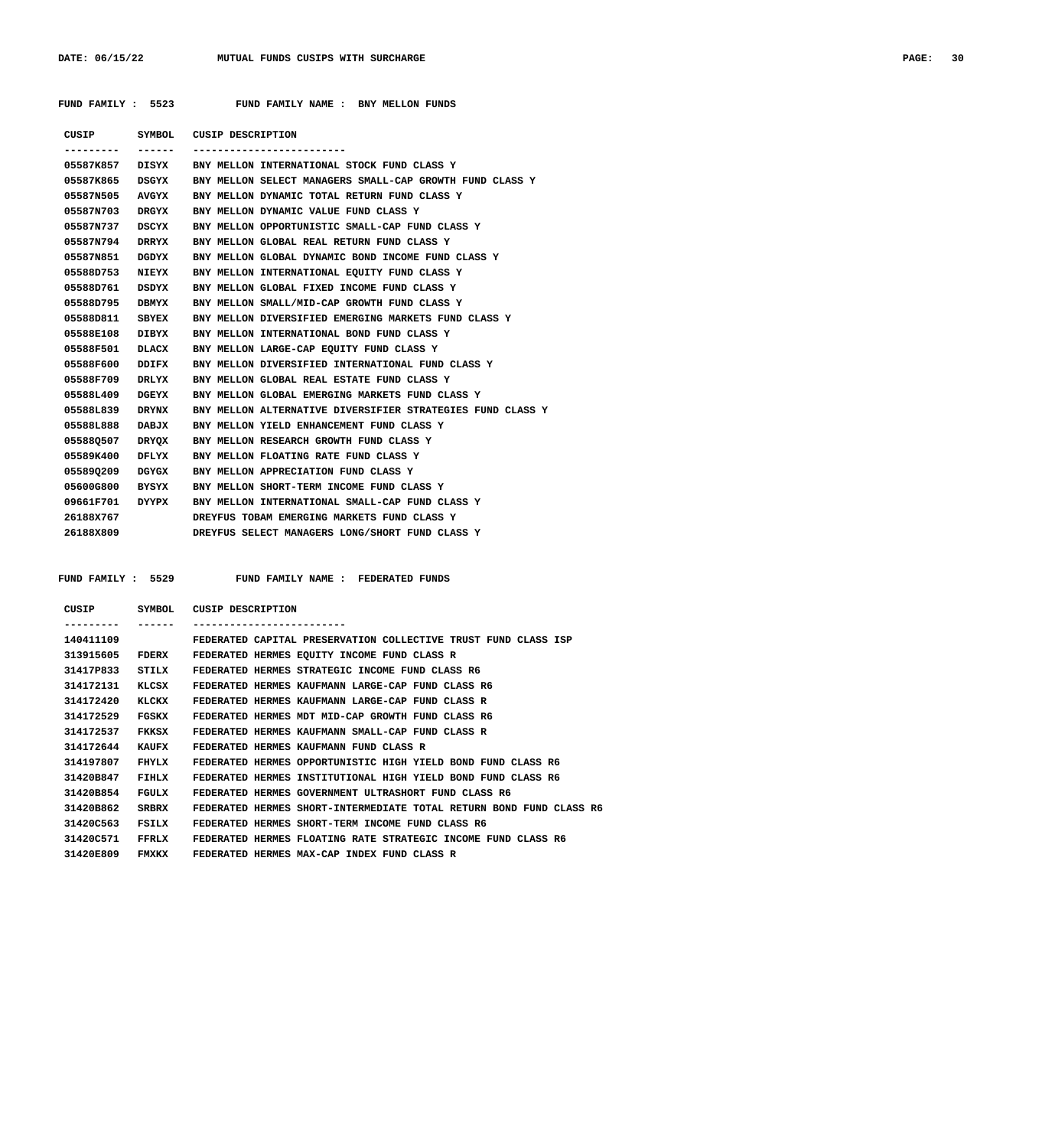## **FUND FAMILY : 5523 FUND FAMILY NAME : BNY MELLON FUNDS**

|                                                                                                      |         | CUSIP SYMBOL CUSIP DESCRIPTION                              |
|------------------------------------------------------------------------------------------------------|---------|-------------------------------------------------------------|
| . _ _ _ _ _ _ _ _                                                                                    | ------- | -------------------------                                   |
|                                                                                                      |         | 05587K857 DISYX BNY MELLON INTERNATIONAL STOCK FUND CLASS Y |
| 05587K865 DSGYX                                                                                      |         | BNY MELLON SELECT MANAGERS SMALL-CAP GROWTH FUND CLASS Y    |
| 05587N505 AVGYX                                                                                      |         | BNY MELLON DYNAMIC TOTAL RETURN FUND CLASS Y                |
| 05587N703 DRGYX                                                                                      |         | BNY MELLON DYNAMIC VALUE FUND CLASS Y                       |
| 05587N737 DSCYX                                                                                      |         | BNY MELLON OPPORTUNISTIC SMALL-CAP FUND CLASS Y             |
| 05587N794 DRRYX                                                                                      |         | BNY MELLON GLOBAL REAL RETURN FUND CLASS Y                  |
| 05587N851                                                                                            | DGDYX   | BNY MELLON GLOBAL DYNAMIC BOND INCOME FUND CLASS Y          |
| 05588D753 NIEYX                                                                                      |         | BNY MELLON INTERNATIONAL EOUITY FUND CLASS Y                |
| 05588D761 DSDYX                                                                                      |         | BNY MELLON GLOBAL FIXED INCOME FUND CLASS Y                 |
| 05588D795 DBMYX                                                                                      |         | BNY MELLON SMALL/MID-CAP GROWTH FUND CLASS Y                |
| 05588D811 SBYEX                                                                                      |         | BNY MELLON DIVERSIFIED EMERGING MARKETS FUND CLASS Y        |
| 05588E108 DIBYX                                                                                      |         | BNY MELLON INTERNATIONAL BOND FUND CLASS Y                  |
| 05588F501 DLACX                                                                                      |         | BNY MELLON LARGE-CAP EOUITY FUND CLASS Y                    |
| 05588F600 DDIFX                                                                                      |         | BNY MELLON DIVERSIFIED INTERNATIONAL FUND CLASS Y           |
| 05588F709 DRLYX                                                                                      |         | BNY MELLON GLOBAL REAL ESTATE FUND CLASS Y                  |
| 05588L409 DGEYX                                                                                      |         | BNY MELLON GLOBAL EMERGING MARKETS FUND CLASS Y             |
| 05588L839 DRYNX                                                                                      |         | BNY MELLON ALTERNATIVE DIVERSIFIER STRATEGIES FUND CLASS Y  |
| 05588L888 DABJX                                                                                      |         | BNY MELLON YIELD ENHANCEMENT FUND CLASS Y                   |
| 055880507 DRYOX                                                                                      |         | BNY MELLON RESEARCH GROWTH FUND CLASS Y                     |
| 05589K400 DFLYX                                                                                      |         | BNY MELLON FLOATING RATE FUND CLASS Y                       |
| 055890209 DGYGX                                                                                      |         | BNY MELLON APPRECIATION FUND CLASS Y                        |
| 05600G800 BYSYX                                                                                      |         | BNY MELLON SHORT-TERM INCOME FUND CLASS Y                   |
| 09661F701 DYYPX                                                                                      |         | BNY MELLON INTERNATIONAL SMALL-CAP FUND CLASS Y             |
| 26188X767                                                                                            |         | DREYFUS TOBAM EMERGING MARKETS FUND CLASS Y                 |
| 26188X809 and the set of the set of the set of the set of the set of the set of the set of the set o |         | DREYFUS SELECT MANAGERS LONG/SHORT FUND CLASS Y             |

FUND FAMILY : 5529 FUND FAMILY NAME : FEDERATED FUNDS

| CUSIP        | <b>SYMBOL</b> | CUSIP DESCRIPTION                                                   |
|--------------|---------------|---------------------------------------------------------------------|
| . <b>.</b> . |               | -----------------------                                             |
| 140411109    |               | FEDERATED CAPITAL PRESERVATION COLLECTIVE TRUST FUND CLASS ISP      |
| 313915605    | FDERX         | FEDERATED HERMES EOUITY INCOME FUND CLASS R                         |
| 31417P833    | STILX         | FEDERATED HERMES STRATEGIC INCOME FUND CLASS R6                     |
| 314172131    | KLCSX         | FEDERATED HERMES KAUFMANN LARGE-CAP FUND CLASS R6                   |
| 314172420    | KLCKX         | FEDERATED HERMES KAUFMANN LARGE-CAP FUND CLASS R                    |
| 314172529    | FGSKX         | FEDERATED HERMES MDT MID-CAP GROWTH FUND CLASS R6                   |
| 314172537    | FKKSX         | FEDERATED HERMES KAUFMANN SMALL-CAP FUND CLASS R                    |
| 314172644    | KAUFX         | FEDERATED HERMES KAUFMANN FUND CLASS R                              |
| 314197807    | FHYLX         | FEDERATED HERMES OPPORTUNISTIC HIGH YIELD BOND FUND CLASS R6        |
| 31420B847    | FIHLX         | FEDERATED HERMES INSTITUTIONAL HIGH YIELD BOND FUND CLASS R6        |
| 31420B854    | FGULX         | FEDERATED HERMES GOVERNMENT ULTRASHORT FUND CLASS R6                |
| 31420B862    | <b>SRBRX</b>  | FEDERATED HERMES SHORT-INTERMEDIATE TOTAL RETURN BOND FUND CLASS R6 |
| 31420C563    | FSILX         | FEDERATED HERMES SHORT-TERM INCOME FUND CLASS R6                    |
| 31420C571    | <b>FFRLX</b>  | FEDERATED HERMES FLOATING RATE STRATEGIC INCOME FUND CLASS R6       |
| 31420E809    | <b>FMXKX</b>  | FEDERATED HERMES MAX-CAP INDEX FUND CLASS R                         |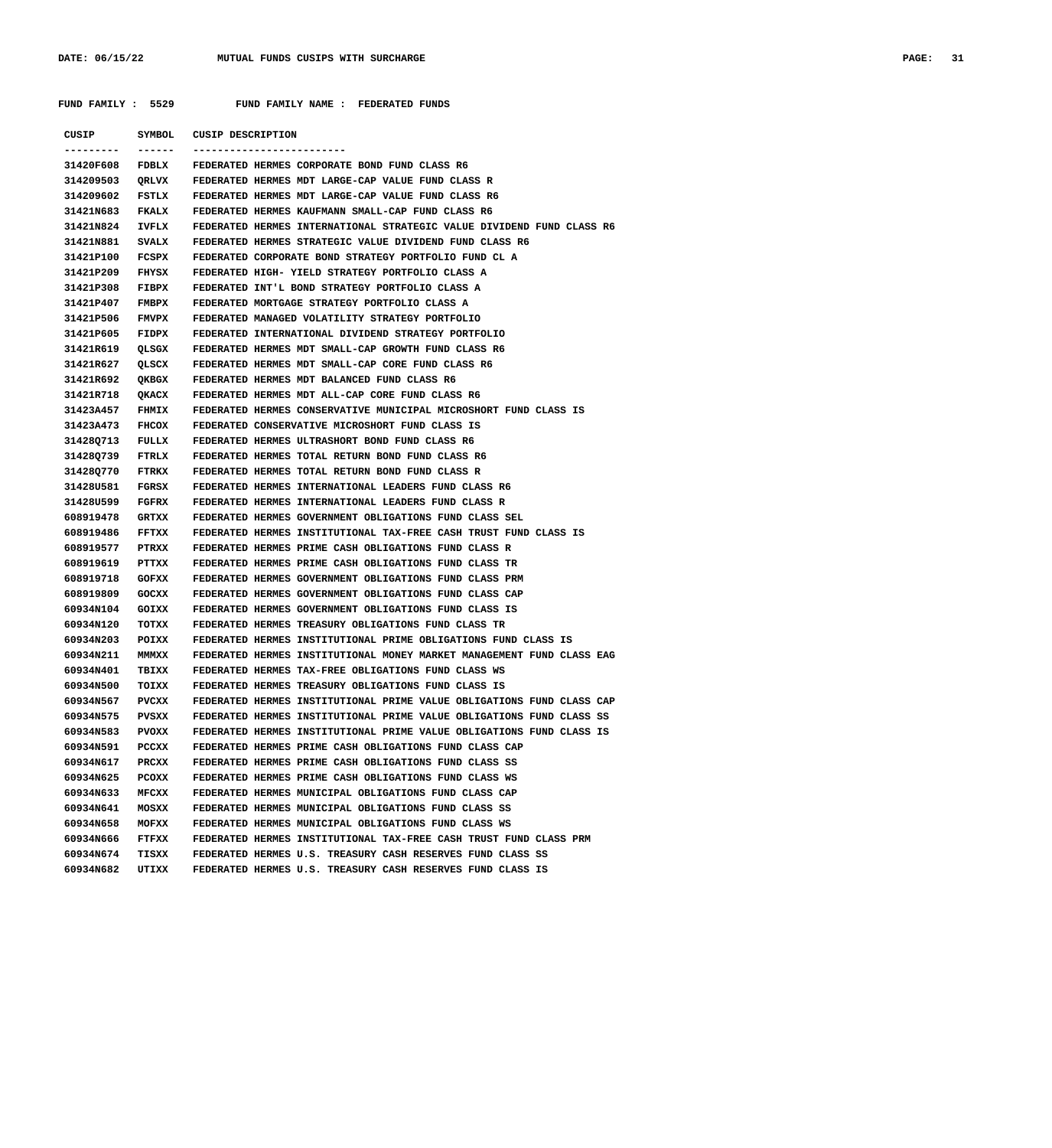**FUND FAMILY : 5529 FUND FAMILY NAME : FEDERATED FUNDS**

| CUSIP                  | SYMBOL         | <b>CUSIP DESCRIPTION</b>                                                                                                 |
|------------------------|----------------|--------------------------------------------------------------------------------------------------------------------------|
| 31420F608              | FDBLX          | FEDERATED HERMES CORPORATE BOND FUND CLASS R6                                                                            |
| 314209503              |                | FEDERATED HERMES MDT LARGE-CAP VALUE FUND CLASS R                                                                        |
| 314209602              | QRLVX          | FEDERATED HERMES MDT LARGE-CAP VALUE FUND CLASS R6                                                                       |
|                        | FSTLX          |                                                                                                                          |
| 31421N683              | <b>FKALX</b>   | FEDERATED HERMES KAUFMANN SMALL-CAP FUND CLASS R6                                                                        |
| 31421N824              | IVFLX          | FEDERATED HERMES INTERNATIONAL STRATEGIC VALUE DIVIDEND FUND CLASS R6                                                    |
| 31421N881              | <b>SVALX</b>   | FEDERATED HERMES STRATEGIC VALUE DIVIDEND FUND CLASS R6                                                                  |
| 31421P100              | FCSPX          | FEDERATED CORPORATE BOND STRATEGY PORTFOLIO FUND CL A                                                                    |
| 31421P209              | FHYSX          | FEDERATED HIGH- YIELD STRATEGY PORTFOLIO CLASS A                                                                         |
| 31421P308              | <b>FIBPX</b>   | FEDERATED INT'L BOND STRATEGY PORTFOLIO CLASS A                                                                          |
| 31421P407              | <b>FMBPX</b>   | FEDERATED MORTGAGE STRATEGY PORTFOLIO CLASS A                                                                            |
| 31421P506              | <b>FMVPX</b>   | FEDERATED MANAGED VOLATILITY STRATEGY PORTFOLIO                                                                          |
| 31421P605              | FIDPX          | FEDERATED INTERNATIONAL DIVIDEND STRATEGY PORTFOLIO                                                                      |
| 31421R619              | QLSGX          | FEDERATED HERMES MDT SMALL-CAP GROWTH FUND CLASS R6                                                                      |
| 31421R627              | QLSCX          | FEDERATED HERMES MDT SMALL-CAP CORE FUND CLASS R6                                                                        |
| 31421R692              | QKBGX          | FEDERATED HERMES MDT BALANCED FUND CLASS R6                                                                              |
| 31421R718              | QKACX          | FEDERATED HERMES MDT ALL-CAP CORE FUND CLASS R6                                                                          |
| 31423A457              | <b>FHMIX</b>   | FEDERATED HERMES CONSERVATIVE MUNICIPAL MICROSHORT FUND CLASS IS                                                         |
| 31423A473              | <b>FHCOX</b>   | FEDERATED CONSERVATIVE MICROSHORT FUND CLASS IS                                                                          |
| 31428Q713              | FULLX          | FEDERATED HERMES ULTRASHORT BOND FUND CLASS R6                                                                           |
| 31428Q739              | FTRLX          | FEDERATED HERMES TOTAL RETURN BOND FUND CLASS R6                                                                         |
| 31428Q770              | FTRKX          | FEDERATED HERMES TOTAL RETURN BOND FUND CLASS R                                                                          |
| 314280581              | FGRSX          | FEDERATED HERMES INTERNATIONAL LEADERS FUND CLASS R6                                                                     |
| 314280599              | FGFRX          | FEDERATED HERMES INTERNATIONAL LEADERS FUND CLASS R                                                                      |
| 608919478              | GRTXX          | FEDERATED HERMES GOVERNMENT OBLIGATIONS FUND CLASS SEL                                                                   |
| 608919486              | FFTXX          | FEDERATED HERMES INSTITUTIONAL TAX-FREE CASH TRUST FUND CLASS IS                                                         |
| 608919577              | PTRXX          | FEDERATED HERMES PRIME CASH OBLIGATIONS FUND CLASS R                                                                     |
| 608919619              | PTTXX          | FEDERATED HERMES PRIME CASH OBLIGATIONS FUND CLASS TR                                                                    |
| 608919718              | GOFXX          | FEDERATED HERMES GOVERNMENT OBLIGATIONS FUND CLASS PRM                                                                   |
| 608919809              | GOCXX          | FEDERATED HERMES GOVERNMENT OBLIGATIONS FUND CLASS CAP                                                                   |
| 60934N104              | GOIXX          | FEDERATED HERMES GOVERNMENT OBLIGATIONS FUND CLASS IS                                                                    |
| 60934N120              | TOTXX          | FEDERATED HERMES TREASURY OBLIGATIONS FUND CLASS TR                                                                      |
| 60934N203              | POIXX          | FEDERATED HERMES INSTITUTIONAL PRIME OBLIGATIONS FUND CLASS IS                                                           |
| 60934N211              | MMMXX          | FEDERATED HERMES INSTITUTIONAL MONEY MARKET MANAGEMENT FUND CLASS EAG                                                    |
| 60934N401              | TBIXX          | FEDERATED HERMES TAX-FREE OBLIGATIONS FUND CLASS WS                                                                      |
| 60934N500              | TOIXX          | FEDERATED HERMES TREASURY OBLIGATIONS FUND CLASS IS                                                                      |
| 60934N567              | PVCXX          | FEDERATED HERMES INSTITUTIONAL PRIME VALUE OBLIGATIONS FUND CLASS CAP                                                    |
| 60934N575              | PVSXX          | FEDERATED HERMES INSTITUTIONAL PRIME VALUE OBLIGATIONS FUND CLASS SS                                                     |
| 60934N583              | PVOXX          | FEDERATED HERMES INSTITUTIONAL PRIME VALUE OBLIGATIONS FUND CLASS IS                                                     |
| 60934N591              | PCCXX          | FEDERATED HERMES PRIME CASH OBLIGATIONS FUND CLASS CAP                                                                   |
| 60934N617              | PRCXX          | FEDERATED HERMES PRIME CASH OBLIGATIONS FUND CLASS SS                                                                    |
| 60934N625              | PCOXX          | FEDERATED HERMES PRIME CASH OBLIGATIONS FUND CLASS WS                                                                    |
| 60934N633              | MFCXX          | FEDERATED HERMES MUNICIPAL OBLIGATIONS FUND CLASS CAP                                                                    |
| 60934N641              | MOSXX          | FEDERATED HERMES MUNICIPAL OBLIGATIONS FUND CLASS SS                                                                     |
| 60934N658              | MOFXX          | FEDERATED HERMES MUNICIPAL OBLIGATIONS FUND CLASS WS                                                                     |
| 60934N666              |                | FEDERATED HERMES INSTITUTIONAL TAX-FREE CASH TRUST FUND CLASS PRM                                                        |
|                        | FTFXX          |                                                                                                                          |
| 60934N674<br>60934N682 | TISXX<br>UTIXX | FEDERATED HERMES U.S. TREASURY CASH RESERVES FUND CLASS SS<br>FEDERATED HERMES U.S. TREASURY CASH RESERVES FUND CLASS IS |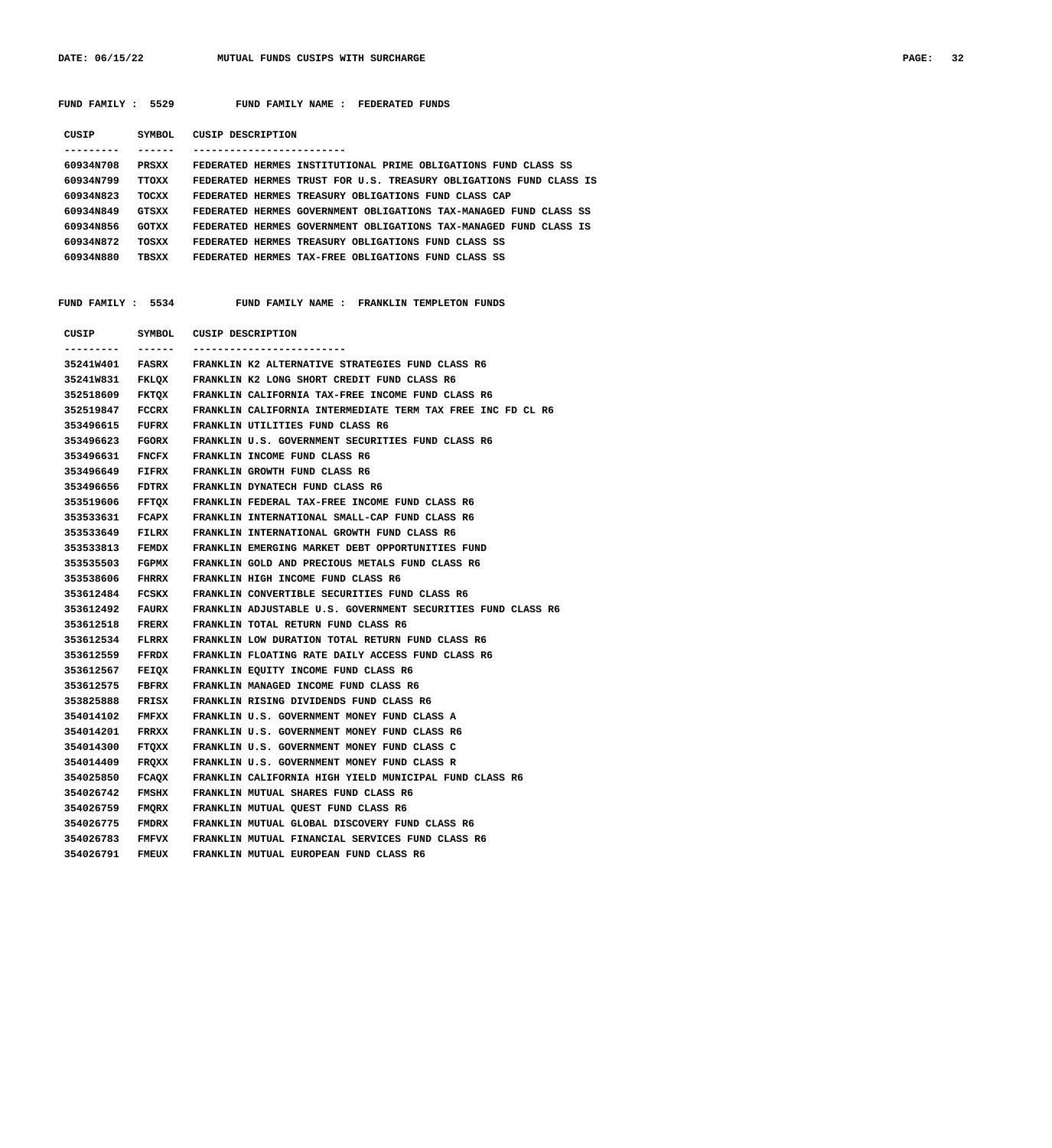DATE: 06/15/22 MUTUAL FUNDS CUSIPS WITH SURCHARGE **PAGE: 32** 

 **FUND FAMILY : 5529 FUND FAMILY NAME : FEDERATED FUNDS**

| CUSIP     | SYMBOL       | CUSIP DESCRIPTION                                                  |
|-----------|--------------|--------------------------------------------------------------------|
|           |              |                                                                    |
| 60934N708 | PRSXX        | FEDERATED HERMES INSTITUTIONAL PRIME OBLIGATIONS FUND CLASS SS     |
| 60934N799 | TTOXX        | FEDERATED HERMES TRUST FOR U.S. TREASURY OBLIGATIONS FUND CLASS IS |
| 60934N823 | TOCXX        | FEDERATED HERMES TREASURY OBLIGATIONS FUND CLASS CAP               |
| 60934N849 | <b>GTSXX</b> | FEDERATED HERMES GOVERNMENT OBLIGATIONS TAX-MANAGED FUND CLASS SS  |
| 60934N856 | <b>GOTXX</b> | FEDERATED HERMES GOVERNMENT OBLIGATIONS TAX-MANAGED FUND CLASS IS  |
| 60934N872 | TOSXX        | FEDERATED HERMES TREASURY OBLIGATIONS FUND CLASS SS                |
| 60934N880 | TBSXX        | HERMES TAX-FREE OBLIGATIONS FUND CLASS SS<br>FEDERATED             |
|           |              |                                                                    |

### **FUND FAMILY : 5534 FUND FAMILY NAME : FRANKLIN TEMPLETON FUNDS**

| CUSIP           | SYMBOL       | CUSIP DESCRIPTION                                                |
|-----------------|--------------|------------------------------------------------------------------|
|                 | -------      |                                                                  |
|                 |              | 35241W401 FASRX FRANKLIN K2 ALTERNATIVE STRATEGIES FUND CLASS R6 |
|                 |              | 35241W831 FKLQX FRANKLIN K2 LONG SHORT CREDIT FUND CLASS R6      |
| 352518609       | FKTQX        | FRANKLIN CALIFORNIA TAX-FREE INCOME FUND CLASS R6                |
| 352519847       | FCCRX        | FRANKLIN CALIFORNIA INTERMEDIATE TERM TAX FREE INC FD CL R6      |
| 353496615       | FUFRX        | FRANKLIN UTILITIES FUND CLASS R6                                 |
| 353496623       | FGORX        | FRANKLIN U.S. GOVERNMENT SECURITIES FUND CLASS R6                |
| 353496631       | <b>FNCFX</b> | FRANKLIN INCOME FUND CLASS R6                                    |
| 353496649       | FIFRX        | FRANKLIN GROWTH FUND CLASS R6                                    |
| 353496656       | FDTRX        | FRANKLIN DYNATECH FUND CLASS R6                                  |
| 353519606       | FFTQX        | FRANKLIN FEDERAL TAX-FREE INCOME FUND CLASS R6                   |
| 353533631       | FCAPX        | FRANKLIN INTERNATIONAL SMALL-CAP FUND CLASS R6                   |
| 353533649       | FILRX        | FRANKLIN INTERNATIONAL GROWTH FUND CLASS R6                      |
| 353533813       | FEMDX        | FRANKLIN EMERGING MARKET DEBT OPPORTUNITIES FUND                 |
| 353535503       | FGPMX        | FRANKLIN GOLD AND PRECIOUS METALS FUND CLASS R6                  |
| 353538606       | <b>FHRRX</b> | FRANKLIN HIGH INCOME FUND CLASS R6                               |
| 353612484 FCSKX |              | FRANKLIN CONVERTIBLE SECURITIES FUND CLASS R6                    |
| 353612492       | FAURX        | FRANKLIN ADJUSTABLE U.S. GOVERNMENT SECURITIES FUND CLASS R6     |
| 353612518       | FRERX        | FRANKLIN TOTAL RETURN FUND CLASS R6                              |
| 353612534       | FLRRX        | FRANKLIN LOW DURATION TOTAL RETURN FUND CLASS R6                 |
| 353612559       | FFRDX        | FRANKLIN FLOATING RATE DAILY ACCESS FUND CLASS R6                |
| 353612567       | <b>FEIQX</b> | FRANKLIN EQUITY INCOME FUND CLASS R6                             |
| 353612575       | FBFRX        | FRANKLIN MANAGED INCOME FUND CLASS R6                            |
| 353825888       | FRISX        | FRANKLIN RISING DIVIDENDS FUND CLASS R6                          |
| 354014102       | FMFXX        | FRANKLIN U.S. GOVERNMENT MONEY FUND CLASS A                      |
| 354014201       | FRRXX        | FRANKLIN U.S. GOVERNMENT MONEY FUND CLASS R6                     |
| 354014300       | FTQXX        | FRANKLIN U.S. GOVERNMENT MONEY FUND CLASS C                      |
| 354014409       | FRQXX        | FRANKLIN U.S. GOVERNMENT MONEY FUND CLASS R                      |
| 354025850       | FCAQX        | FRANKLIN CALIFORNIA HIGH YIELD MUNICIPAL FUND CLASS R6           |
| 354026742       | FMSHX        | FRANKLIN MUTUAL SHARES FUND CLASS R6                             |
| 354026759       | <b>FMQRX</b> | FRANKLIN MUTUAL QUEST FUND CLASS R6                              |
| 354026775       | FMDRX        | FRANKLIN MUTUAL GLOBAL DISCOVERY FUND CLASS R6                   |
| 354026783 FMFVX |              | FRANKLIN MUTUAL FINANCIAL SERVICES FUND CLASS R6                 |
| 354026791       | <b>FMEUX</b> | FRANKLIN MUTUAL EUROPEAN FUND CLASS R6                           |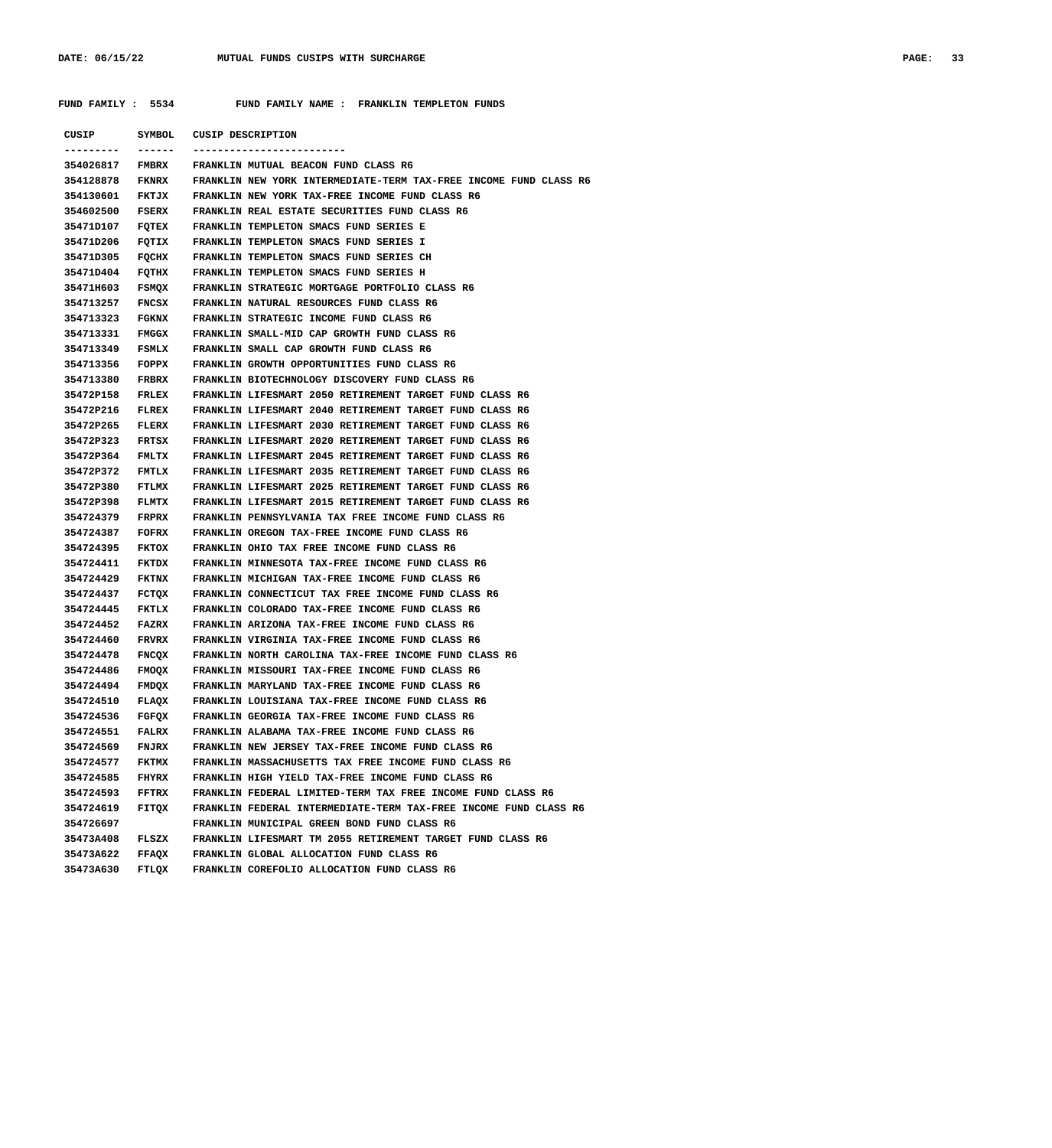# **FUND FAMILY : 5534 FUND FAMILY NAME : FRANKLIN TEMPLETON FUNDS**

| CUSIP           | SYMBOL       | CUSIP DESCRIPTION                                                                |
|-----------------|--------------|----------------------------------------------------------------------------------|
| ---------       | ------       | -------------------------                                                        |
| 354026817       | <b>FMBRX</b> | FRANKLIN MUTUAL BEACON FUND CLASS R6                                             |
| 354128878       | <b>FKNRX</b> | FRANKLIN NEW YORK INTERMEDIATE-TERM TAX-FREE INCOME FUND CLASS R6                |
| 354130601       | FKTJX        | FRANKLIN NEW YORK TAX-FREE INCOME FUND CLASS R6                                  |
| 354602500       | <b>FSERX</b> | FRANKLIN REAL ESTATE SECURITIES FUND CLASS R6                                    |
| 35471D107       | FQTEX        | FRANKLIN TEMPLETON SMACS FUND SERIES E                                           |
| 35471D206       | FQTIX        | FRANKLIN TEMPLETON SMACS FUND SERIES I                                           |
| 35471D305       | FQCHX        | FRANKLIN TEMPLETON SMACS FUND SERIES CH                                          |
| 35471D404       | FQTHX        | FRANKLIN TEMPLETON SMACS FUND SERIES H                                           |
| 35471H603       | FSMQX        | FRANKLIN STRATEGIC MORTGAGE PORTFOLIO CLASS R6                                   |
| 354713257       | FNCSX        | FRANKLIN NATURAL RESOURCES FUND CLASS R6                                         |
| 354713323       | <b>FGKNX</b> | FRANKLIN STRATEGIC INCOME FUND CLASS R6                                          |
| 354713331       | <b>FMGGX</b> | FRANKLIN SMALL-MID CAP GROWTH FUND CLASS R6                                      |
| 354713349       | <b>FSMLX</b> | FRANKLIN SMALL CAP GROWTH FUND CLASS R6                                          |
| 354713356       | FOPPX        | FRANKLIN GROWTH OPPORTUNITIES FUND CLASS R6                                      |
| 354713380       | <b>FRBRX</b> | FRANKLIN BIOTECHNOLOGY DISCOVERY FUND CLASS R6                                   |
| 35472P158       | <b>FRLEX</b> | FRANKLIN LIFESMART 2050 RETIREMENT TARGET FUND CLASS R6                          |
| 35472P216       | FLREX        | FRANKLIN LIFESMART 2040 RETIREMENT TARGET FUND CLASS R6                          |
| 35472P265       | <b>FLERX</b> | FRANKLIN LIFESMART 2030 RETIREMENT TARGET FUND CLASS R6                          |
| 35472P323       | FRTSX        | FRANKLIN LIFESMART 2020 RETIREMENT TARGET FUND CLASS R6                          |
| 35472P364       | <b>FMLTX</b> | FRANKLIN LIFESMART 2045 RETIREMENT TARGET FUND CLASS R6                          |
| 35472P372       | <b>FMTLX</b> | FRANKLIN LIFESMART 2035 RETIREMENT TARGET FUND CLASS R6                          |
| 35472P380       | FTLMX        | FRANKLIN LIFESMART 2025 RETIREMENT TARGET FUND CLASS R6                          |
| 35472P398       | <b>FLMTX</b> | FRANKLIN LIFESMART 2015 RETIREMENT TARGET FUND CLASS R6                          |
| 354724379       | FRPRX        | FRANKLIN PENNSYLVANIA TAX FREE INCOME FUND CLASS R6                              |
| 354724387       | FOFRX        | FRANKLIN OREGON TAX-FREE INCOME FUND CLASS R6                                    |
| 354724395       | <b>FKTOX</b> | FRANKLIN OHIO TAX FREE INCOME FUND CLASS R6                                      |
| 354724411       | <b>FKTDX</b> | FRANKLIN MINNESOTA TAX-FREE INCOME FUND CLASS R6                                 |
| 354724429       | <b>FKTNX</b> | FRANKLIN MICHIGAN TAX-FREE INCOME FUND CLASS R6                                  |
| 354724437       | FCTQX        | FRANKLIN CONNECTICUT TAX FREE INCOME FUND CLASS R6                               |
| 354724445       | FKTLX        | FRANKLIN COLORADO TAX-FREE INCOME FUND CLASS R6                                  |
| 354724452       | <b>FAZRX</b> | FRANKLIN ARIZONA TAX-FREE INCOME FUND CLASS R6                                   |
| 354724460       | FRVRX        | FRANKLIN VIRGINIA TAX-FREE INCOME FUND CLASS R6                                  |
| 354724478       | FNCQX        | FRANKLIN NORTH CAROLINA TAX-FREE INCOME FUND CLASS R6                            |
| 354724486       | FMOQX        | FRANKLIN MISSOURI TAX-FREE INCOME FUND CLASS R6                                  |
| 354724494       | <b>FMDQX</b> | FRANKLIN MARYLAND TAX-FREE INCOME FUND CLASS R6                                  |
| 354724510 FLAQX |              | FRANKLIN LOUISIANA TAX-FREE INCOME FUND CLASS R6                                 |
|                 |              | 354724536 FGFQX FRANKLIN GEORGIA TAX-FREE INCOME FUND CLASS R6                   |
|                 |              | 354724551 FALRX FRANKLIN ALABAMA TAX-FREE INCOME FUND CLASS R6                   |
|                 |              | 354724569 FNJRX FRANKLIN NEW JERSEY TAX-FREE INCOME FUND CLASS R6                |
|                 |              | 354724577 FKTMX FRANKLIN MASSACHUSETTS TAX FREE INCOME FUND CLASS R6             |
|                 |              | 354724585 FHYRX FRANKLIN HIGH YIELD TAX-FREE INCOME FUND CLASS R6                |
|                 |              | 354724593 FFTRX FRANKLIN FEDERAL LIMITED-TERM TAX FREE INCOME FUND CLASS R6      |
|                 |              | 354724619 FITQX FRANKLIN FEDERAL INTERMEDIATE-TERM TAX-FREE INCOME FUND CLASS R6 |
| 354726697       |              | FRANKLIN MUNICIPAL GREEN BOND FUND CLASS R6                                      |
|                 |              | 35473A408 FLSZX FRANKLIN LIFESMART TM 2055 RETIREMENT TARGET FUND CLASS R6       |
|                 |              | 35473A622 FFAQX FRANKLIN GLOBAL ALLOCATION FUND CLASS R6                         |
|                 |              | 35473A630 FTLQX FRANKLIN COREFOLIO ALLOCATION FUND CLASS R6                      |
|                 |              |                                                                                  |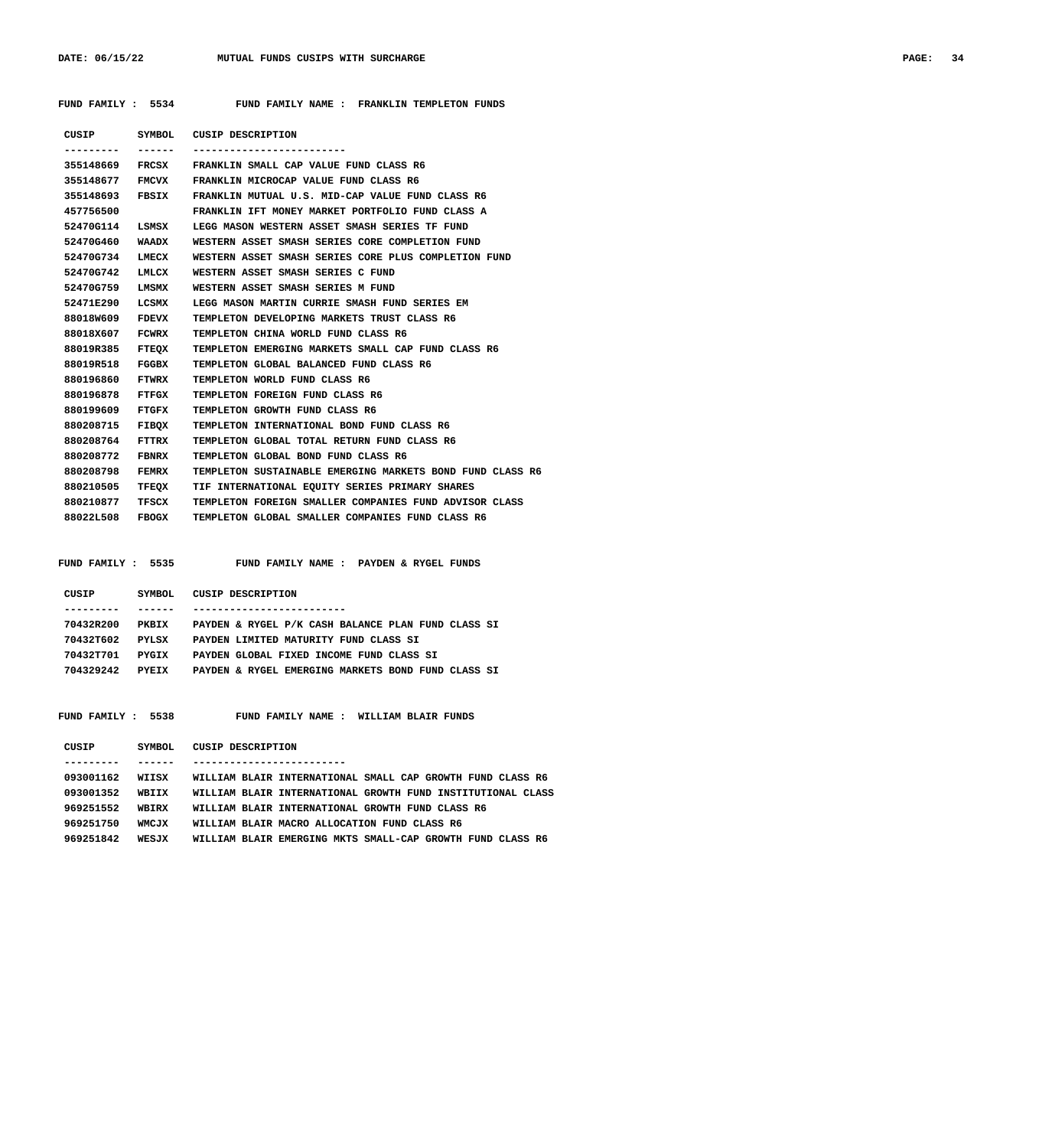**FUND FAMILY : 5534 FUND FAMILY NAME : FRANKLIN TEMPLETON FUNDS**

|                 |              | CUSIP SYMBOL CUSIP DESCRIPTION                            |
|-----------------|--------------|-----------------------------------------------------------|
|                 |              |                                                           |
| 355148669 FRCSX |              | FRANKLIN SMALL CAP VALUE FUND CLASS R6                    |
| 355148677       | FMCVX        | FRANKLIN MICROCAP VALUE FUND CLASS R6                     |
| 355148693 FBSIX |              | FRANKLIN MUTUAL U.S. MID-CAP VALUE FUND CLASS R6          |
| 457756500       |              | FRANKLIN IFT MONEY MARKET PORTFOLIO FUND CLASS A          |
| 52470G114       | LSMSX        | LEGG MASON WESTERN ASSET SMASH SERIES TF FUND             |
| 52470G460 WAADX |              | WESTERN ASSET SMASH SERIES CORE COMPLETION FUND           |
| 52470G734       | LMECX        | WESTERN ASSET SMASH SERIES CORE PLUS COMPLETION FUND      |
| 52470G742 LMLCX |              | WESTERN ASSET SMASH SERIES C FUND                         |
| 52470G759       | LMSMX        | WESTERN ASSET SMASH SERIES M FUND                         |
| 52471E290       | LCSMX        | LEGG MASON MARTIN CURRIE SMASH FUND SERIES EM             |
| 88018W609 FDEVX |              | TEMPLETON DEVELOPING MARKETS TRUST CLASS R6               |
| 88018X607 FCWRX |              | TEMPLETON CHINA WORLD FUND CLASS R6                       |
| 88019R385 FTEQX |              | TEMPLETON EMERGING MARKETS SMALL CAP FUND CLASS R6        |
| 88019R518       | FGGBX        | TEMPLETON GLOBAL BALANCED FUND CLASS R6                   |
| 880196860 FTWRX |              | TEMPLETON WORLD FUND CLASS R6                             |
| 880196878 FTFGX |              | TEMPLETON FOREIGN FUND CLASS R6                           |
| 880199609 FTGFX |              | TEMPLETON GROWTH FUND CLASS R6                            |
| 880208715       | <b>FIBOX</b> | TEMPLETON INTERNATIONAL BOND FUND CLASS R6                |
| 880208764       | FTTRX        | TEMPLETON GLOBAL TOTAL RETURN FUND CLASS R6               |
| 880208772 FBNRX |              | TEMPLETON GLOBAL BOND FUND CLASS R6                       |
| 880208798       | FEMRX        | TEMPLETON SUSTAINABLE EMERGING MARKETS BOND FUND CLASS R6 |
| 880210505 TFEOX |              | TIF INTERNATIONAL EQUITY SERIES PRIMARY SHARES            |
| 880210877       | TFSCX        | TEMPLETON FOREIGN SMALLER COMPANIES FUND ADVISOR CLASS    |
| 88022L508 FBOGX |              | TEMPLETON GLOBAL SMALLER COMPANIES FUND CLASS R6          |
|                 |              |                                                           |

 **FUND FAMILY : 5535 FUND FAMILY NAME : PAYDEN & RYGEL FUNDS**

| CUSIP     | SYMBOL       | CUSIP DESCRIPTION                                  |
|-----------|--------------|----------------------------------------------------|
|           |              |                                                    |
| 70432R200 | PKRTX        | PAYDEN & RYGEL P/K CASH BALANCE PLAN FUND CLASS SI |
| 70432T602 | <b>PYLSX</b> | PAYDEN LIMITED MATURITY FUND CLASS SI              |
| 70432T701 | PYGTX        | PAYDEN GLOBAL FIXED INCOME FUND CLASS SI           |
| 704329242 | PYRTX        | PAYDEN & RYGEL EMERGING MARKETS BOND FUND CLASS SI |
|           |              |                                                    |

 **FUND FAMILY : 5538 FUND FAMILY NAME : WILLIAM BLAIR FUNDS**

| CUSIP     | SYMBOL.      | CUSIP DESCRIPTION                                           |
|-----------|--------------|-------------------------------------------------------------|
|           |              |                                                             |
| 093001162 | WTTSX        | WILLIAM BLAIR INTERNATIONAL SMALL CAP GROWTH FUND CLASS R6  |
| 093001352 | WRTTX        | WILLIAM BLAIR INTERNATIONAL GROWTH FUND INSTITUTIONAL CLASS |
| 969251552 | WRTRX        | WILLIAM BLAIR INTERNATIONAL GROWTH FUND CLASS R6            |
| 969251750 | <b>WMCJX</b> | WILLIAM BLAIR MACRO ALLOCATION FUND CLASS R6                |
| 969251842 | WESJX        | WILLIAM BLAIR EMERGING MKTS SMALL-CAP GROWTH FUND CLASS R6  |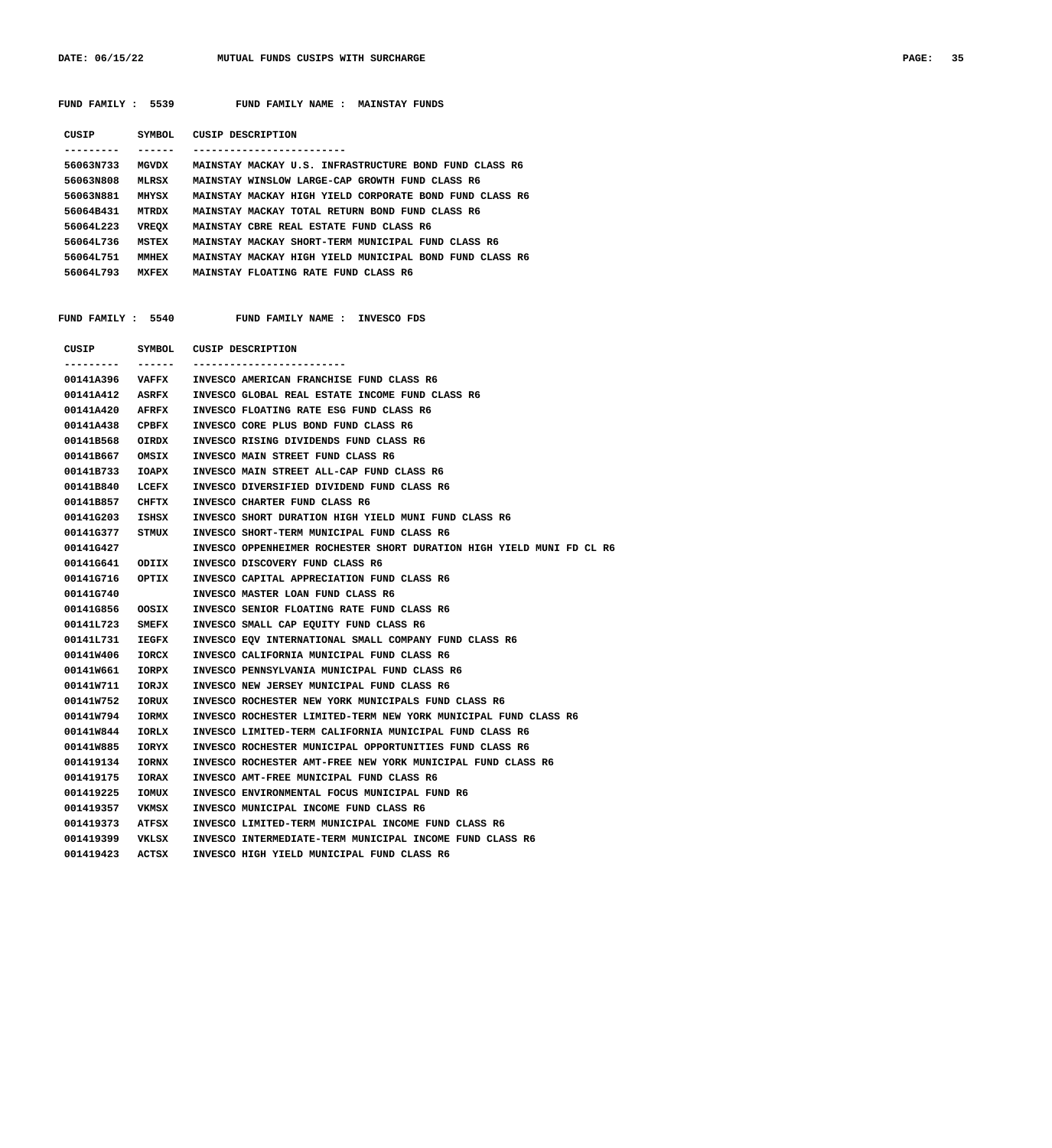DATE: 06/15/22 MUTUAL FUNDS CUSIPS WITH SURCHARGE **PAGE: 35** 

|                 |              | FUND FAMILY : 5539 FUND FAMILY NAME : MAINSTAY FUNDS                  |
|-----------------|--------------|-----------------------------------------------------------------------|
|                 |              | CUSIP SYMBOL CUSIP DESCRIPTION                                        |
| ---------       | -------      | -------------------------                                             |
| 56063N733       | <b>MGVDX</b> | MAINSTAY MACKAY U.S. INFRASTRUCTURE BOND FUND CLASS R6                |
| 56063N808       | <b>MLRSX</b> | MAINSTAY WINSLOW LARGE-CAP GROWTH FUND CLASS R6                       |
| 56063N881       | MHYSX        | MAINSTAY MACKAY HIGH YIELD CORPORATE BOND FUND CLASS R6               |
| 56064B431       | <b>MTRDX</b> | MAINSTAY MACKAY TOTAL RETURN BOND FUND CLASS R6                       |
| 56064L223       | VREQX        | MAINSTAY CBRE REAL ESTATE FUND CLASS R6                               |
| 56064L736       | MSTEX        | MAINSTAY MACKAY SHORT-TERM MUNICIPAL FUND CLASS R6                    |
| 56064L751 MMHEX |              | MAINSTAY MACKAY HIGH YIELD MUNICIPAL BOND FUND CLASS R6               |
| 56064L793 MXFEX |              | MAINSTAY FLOATING RATE FUND CLASS R6                                  |
|                 |              |                                                                       |
|                 |              | FUND FAMILY : 5540 FUND FAMILY NAME : INVESCO FDS                     |
|                 |              | CUSIP SYMBOL CUSIP DESCRIPTION                                        |
| ---------       | -------      | -------------------------                                             |
| 00141A396       | <b>VAFFX</b> | INVESCO AMERICAN FRANCHISE FUND CLASS R6                              |
| 00141A412       | ASRFX        | INVESCO GLOBAL REAL ESTATE INCOME FUND CLASS R6                       |
| 00141A420       | <b>AFRFX</b> | INVESCO FLOATING RATE ESG FUND CLASS R6                               |
| 00141A438       | CPBFX        | INVESCO CORE PLUS BOND FUND CLASS R6                                  |
| 00141B568       | OIRDX        | INVESCO RISING DIVIDENDS FUND CLASS R6                                |
| 00141B667       | OMSIX        | INVESCO MAIN STREET FUND CLASS R6                                     |
| 00141B733       | IOAPX        | INVESCO MAIN STREET ALL-CAP FUND CLASS R6                             |
| 00141B840       | LCEFX        | INVESCO DIVERSIFIED DIVIDEND FUND CLASS R6                            |
| 00141B857       | CHFTX        | INVESCO CHARTER FUND CLASS R6                                         |
| 00141G203       | ISHSX        | INVESCO SHORT DURATION HIGH YIELD MUNI FUND CLASS R6                  |
| 00141G377       | STMUX        | INVESCO SHORT-TERM MUNICIPAL FUND CLASS R6                            |
| 00141G427       |              | INVESCO OPPENHEIMER ROCHESTER SHORT DURATION HIGH YIELD MUNI FD CL R6 |
| 00141G641       | ODIIX        | INVESCO DISCOVERY FUND CLASS R6                                       |
| 00141G716       | OPTIX        | INVESCO CAPITAL APPRECIATION FUND CLASS R6                            |
| 00141G740       |              | INVESCO MASTER LOAN FUND CLASS R6                                     |
| 00141G856       | OOSIX        | INVESCO SENIOR FLOATING RATE FUND CLASS R6                            |
| 00141L723       | SMEFX        | INVESCO SMALL CAP EQUITY FUND CLASS R6                                |
| 00141L731       | <b>IEGFX</b> | INVESCO EQV INTERNATIONAL SMALL COMPANY FUND CLASS R6                 |
| 00141W406       | IORCX        | INVESCO CALIFORNIA MUNICIPAL FUND CLASS R6                            |
| 00141W661       | IORPX        | INVESCO PENNSYLVANIA MUNICIPAL FUND CLASS R6                          |
| 00141W711       | IORJX        | INVESCO NEW JERSEY MUNICIPAL FUND CLASS R6                            |
| 00141W752       | <b>IORUX</b> | INVESCO ROCHESTER NEW YORK MUNICIPALS FUND CLASS R6                   |
| 00141W794       | IORMX        | INVESCO ROCHESTER LIMITED-TERM NEW YORK MUNICIPAL FUND CLASS R6       |
| 00141W844       | IORLX        | INVESCO LIMITED-TERM CALIFORNIA MUNICIPAL FUND CLASS R6               |
| 00141W885       | IORYX        | INVESCO ROCHESTER MUNICIPAL OPPORTUNITIES FUND CLASS R6               |
| 001419134       | <b>IORNX</b> | INVESCO ROCHESTER AMT-FREE NEW YORK MUNICIPAL FUND CLASS R6           |
| 001419175       | <b>IORAX</b> | INVESCO AMT-FREE MUNICIPAL FUND CLASS R6                              |
| 001419225       | IOMUX        | INVESCO ENVIRONMENTAL FOCUS MUNICIPAL FUND R6                         |
| 001419357       | VKMSX        | INVESCO MUNICIPAL INCOME FUND CLASS R6                                |
| 001419373       | ATFSX        | INVESCO LIMITED-TERM MUNICIPAL INCOME FUND CLASS R6                   |
| 001419399       | VKLSX        | INVESCO INTERMEDIATE-TERM MUNICIPAL INCOME FUND CLASS R6              |
| 001419423       | ACTSX        | INVESCO HIGH YIELD MUNICIPAL FUND CLASS R6                            |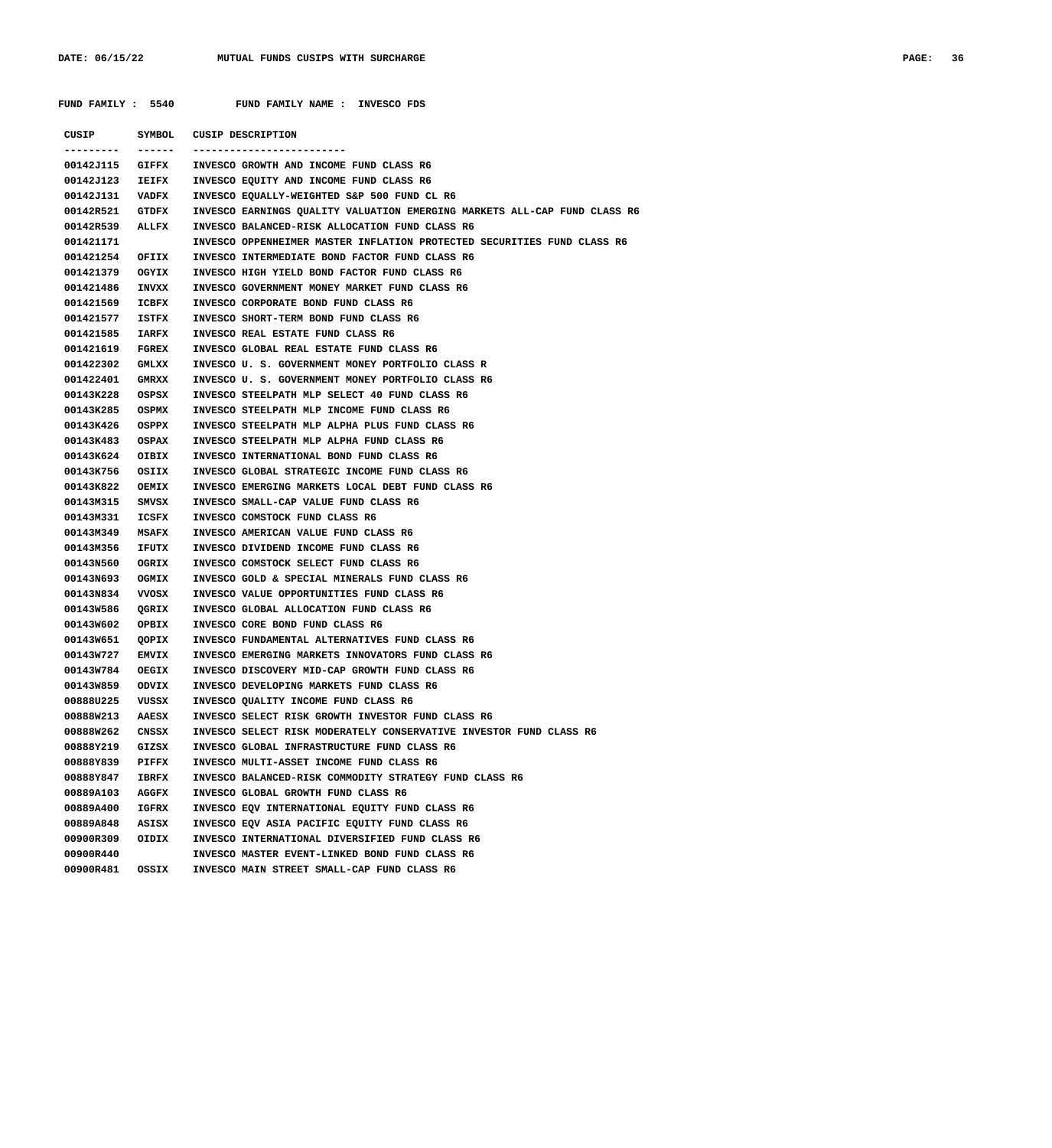**FUND FAMILY : 5540 FUND FAMILY NAME : INVESCO FDS**

|                 |              | CUSIP SYMBOL CUSIP DESCRIPTION                                            |
|-----------------|--------------|---------------------------------------------------------------------------|
| ---------       | -------      |                                                                           |
| 00142J115 GIFFX |              | INVESCO GROWTH AND INCOME FUND CLASS R6                                   |
| 00142J123 IEIFX |              | INVESCO EQUITY AND INCOME FUND CLASS R6                                   |
| 00142J131 VADFX |              | INVESCO EQUALLY-WEIGHTED S&P 500 FUND CL R6                               |
| 00142R521 GTDFX |              | INVESCO EARNINGS QUALITY VALUATION EMERGING MARKETS ALL-CAP FUND CLASS R6 |
| 00142R539 ALLFX |              | INVESCO BALANCED-RISK ALLOCATION FUND CLASS R6                            |
| 001421171       |              | INVESCO OPPENHEIMER MASTER INFLATION PROTECTED SECURITIES FUND CLASS R6   |
| 001421254 OFIIX |              | INVESCO INTERMEDIATE BOND FACTOR FUND CLASS R6                            |
| 001421379       | OGYIX        | INVESCO HIGH YIELD BOND FACTOR FUND CLASS R6                              |
| 001421486       | INVXX        | INVESCO GOVERNMENT MONEY MARKET FUND CLASS R6                             |
| 001421569       | ICBFX        | INVESCO CORPORATE BOND FUND CLASS R6                                      |
| 001421577       | ISTFX        | INVESCO SHORT-TERM BOND FUND CLASS R6                                     |
| 001421585       | <b>IARFX</b> | INVESCO REAL ESTATE FUND CLASS R6                                         |
| 001421619       | <b>FGREX</b> | INVESCO GLOBAL REAL ESTATE FUND CLASS R6                                  |
| 001422302       | GMLXX        | INVESCO U. S. GOVERNMENT MONEY PORTFOLIO CLASS R                          |
| 001422401       | <b>GMRXX</b> | INVESCO U. S. GOVERNMENT MONEY PORTFOLIO CLASS R6                         |
| 00143K228       | OSPSX        | INVESCO STEELPATH MLP SELECT 40 FUND CLASS R6                             |
| 00143K285       | OSPMX        | INVESCO STEELPATH MLP INCOME FUND CLASS R6                                |
| 00143K426 OSPPX |              | INVESCO STEELPATH MLP ALPHA PLUS FUND CLASS R6                            |
| 00143K483       | OSPAX        | INVESCO STEELPATH MLP ALPHA FUND CLASS R6                                 |
| 00143K624 OIBIX |              | INVESCO INTERNATIONAL BOND FUND CLASS R6                                  |
| 00143K756       | OSIIX        | INVESCO GLOBAL STRATEGIC INCOME FUND CLASS R6                             |
| 00143K822       | OEMIX        | INVESCO EMERGING MARKETS LOCAL DEBT FUND CLASS R6                         |
| 00143M315       | SMVSX        | INVESCO SMALL-CAP VALUE FUND CLASS R6                                     |
| 00143M331       | ICSFX        | INVESCO COMSTOCK FUND CLASS R6                                            |
| 00143м349       | <b>MSAFX</b> | INVESCO AMERICAN VALUE FUND CLASS R6                                      |
| 00143M356       | <b>IFUTX</b> | INVESCO DIVIDEND INCOME FUND CLASS R6                                     |
| 00143N560       | OGRIX        | INVESCO COMSTOCK SELECT FUND CLASS R6                                     |
| 00143N693       | OGMIX        | INVESCO GOLD & SPECIAL MINERALS FUND CLASS R6                             |
| 00143N834       | vvosx        | INVESCO VALUE OPPORTUNITIES FUND CLASS R6                                 |
| 00143W586       | QGRIX        | INVESCO GLOBAL ALLOCATION FUND CLASS R6                                   |
| 00143W602       | OPBIX        | INVESCO CORE BOND FUND CLASS R6                                           |
| 00143W651       | QOPIX        | INVESCO FUNDAMENTAL ALTERNATIVES FUND CLASS R6                            |
| 00143W727 EMVIX |              | INVESCO EMERGING MARKETS INNOVATORS FUND CLASS R6                         |
| 00143W784       | OEGIX        | INVESCO DISCOVERY MID-CAP GROWTH FUND CLASS R6                            |
| 00143W859       | ODVIX        | INVESCO DEVELOPING MARKETS FUND CLASS R6                                  |
| 00888U225       | VUSSX        | INVESCO QUALITY INCOME FUND CLASS R6                                      |
| 00888W213       | <b>AAESX</b> | INVESCO SELECT RISK GROWTH INVESTOR FUND CLASS R6                         |
| 00888W262       | CNSSX        | INVESCO SELECT RISK MODERATELY CONSERVATIVE INVESTOR FUND CLASS R6        |
| 00888Y219       | GIZSX        | INVESCO GLOBAL INFRASTRUCTURE FUND CLASS R6                               |
| 00888Y839       | PIFFX        | INVESCO MULTI-ASSET INCOME FUND CLASS R6                                  |
| 00888Y847       | IBRFX        | INVESCO BALANCED-RISK COMMODITY STRATEGY FUND CLASS R6                    |
| 00889A103       | AGGFX        | INVESCO GLOBAL GROWTH FUND CLASS R6                                       |
| 00889A400       | IGFRX        | INVESCO EQV INTERNATIONAL EQUITY FUND CLASS R6                            |
| 00889A848       | ASISX        | INVESCO EQV ASIA PACIFIC EQUITY FUND CLASS R6                             |
| 00900R309       |              | INVESCO INTERNATIONAL DIVERSIFIED FUND CLASS R6                           |
|                 | OIDIX        |                                                                           |
| 00900R440       |              | INVESCO MASTER EVENT-LINKED BOND FUND CLASS R6                            |
| 00900R481       | OSSIX        | INVESCO MAIN STREET SMALL-CAP FUND CLASS R6                               |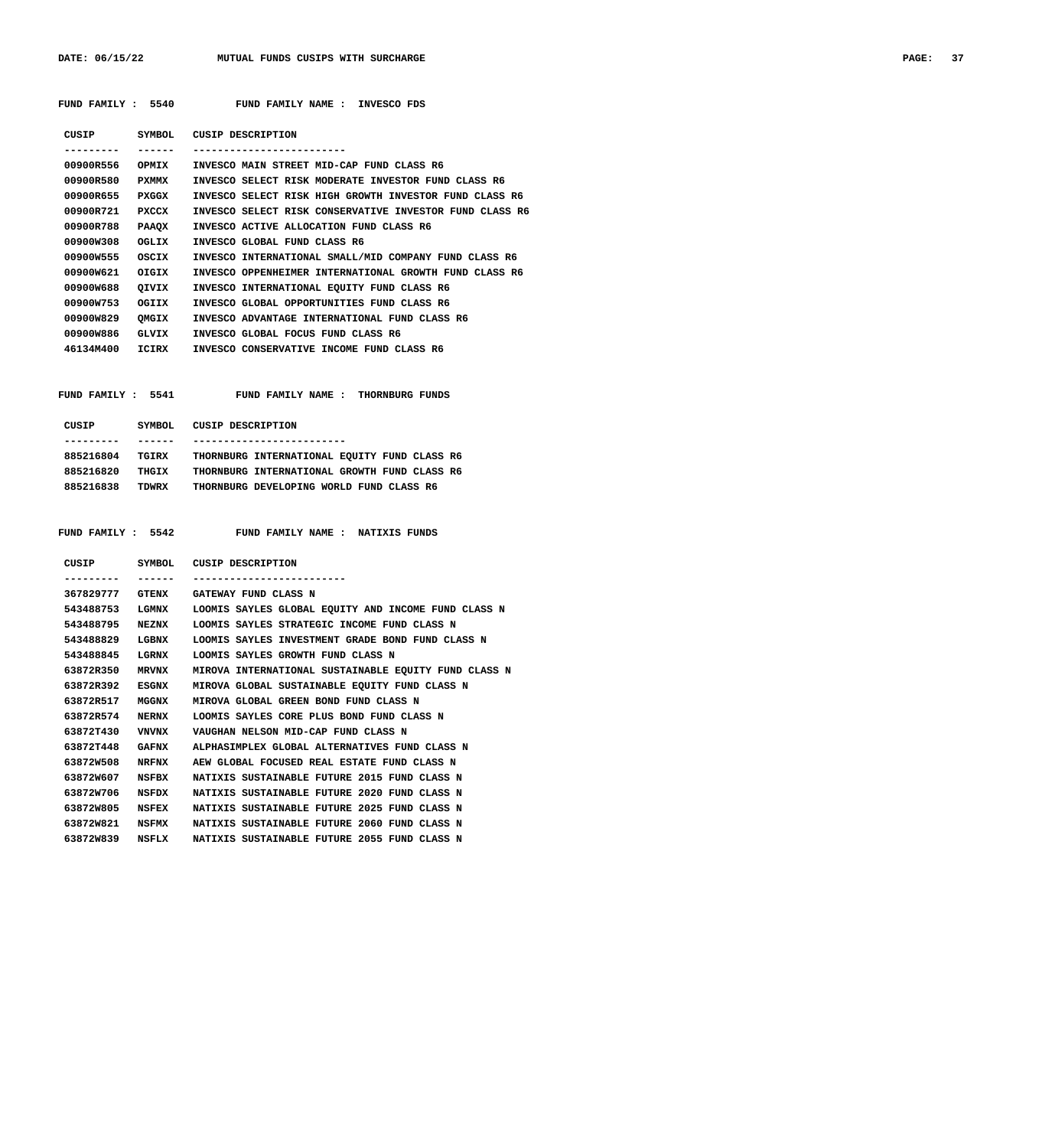|                  |              | FUND FAMILY : 5540 FUND FAMILY NAME : INVESCO FDS            |
|------------------|--------------|--------------------------------------------------------------|
|                  |              | CUSIP SYMBOL CUSIP DESCRIPTION                               |
| --------- ------ |              | ------------------------                                     |
|                  |              | 00900R556 OPMIX INVESCO MAIN STREET MID-CAP FUND CLASS R6    |
| 00900R580        | PXMMX        | INVESCO SELECT RISK MODERATE INVESTOR FUND CLASS R6          |
| 00900R655 PXGGX  |              | INVESCO SELECT RISK HIGH GROWTH INVESTOR FUND CLASS R6       |
| 00900R721 PXCCX  |              | INVESCO SELECT RISK CONSERVATIVE INVESTOR FUND CLASS R6      |
| 00900R788        | <b>PAAQX</b> | INVESCO ACTIVE ALLOCATION FUND CLASS R6                      |
| 00900W308        | OGLIX        | INVESCO GLOBAL FUND CLASS R6                                 |
| 00900W555        | OSCIX        | INVESCO INTERNATIONAL SMALL/MID COMPANY FUND CLASS R6        |
| 00900W621 OIGIX  |              | INVESCO OPPENHEIMER INTERNATIONAL GROWTH FUND CLASS R6       |
| 00900W688        | OIVIX        | INVESCO INTERNATIONAL EOUITY FUND CLASS R6                   |
| 00900W753        | OGIIX        | INVESCO GLOBAL OPPORTUNITIES FUND CLASS R6                   |
| 00900W829        | OMGIX        | INVESCO ADVANTAGE INTERNATIONAL FUND CLASS R6                |
| 00900W886        | GLVIX        | INVESCO GLOBAL FOCUS FUND CLASS R6                           |
| 46134M400 ICIRX  |              | INVESCO CONSERVATIVE INCOME FUND CLASS R6                    |
|                  |              |                                                              |
|                  |              |                                                              |
|                  |              | FUND FAMILY : 5541 FUND FAMILY NAME : THORNBURG FUNDS        |
|                  |              |                                                              |
|                  |              | CUSIP SYMBOL CUSIP DESCRIPTION                               |
|                  | -------      | -------------------------                                    |
|                  |              | 885216804 TGIRX THORNBURG INTERNATIONAL EQUITY FUND CLASS R6 |
| 885216820 THGIX  |              | THORNBURG INTERNATIONAL GROWTH FUND CLASS R6                 |
| 885216838 TDWRX  |              | THORNBURG DEVELOPING WORLD FUND CLASS R6                     |
|                  |              |                                                              |

## **FUND FAMILY : 5542 FUND FAMILY NAME : NATIXIS FUNDS**

| CUSIP           | SYMBOL       | CUSIP DESCRIPTION                                    |
|-----------------|--------------|------------------------------------------------------|
|                 |              |                                                      |
| 367829777 GTENX |              | GATEWAY FUND CLASS N                                 |
| 543488753       | LGMNX        | LOOMIS SAYLES GLOBAL EOUITY AND INCOME FUND CLASS N  |
| 543488795       | NEZNX        | LOOMIS SAYLES STRATEGIC INCOME FUND CLASS N          |
| 543488829       | LGBNX        | LOOMIS SAYLES INVESTMENT GRADE BOND FUND CLASS N     |
| 543488845       | LGRNX        | LOOMIS SAYLES GROWTH FUND CLASS N                    |
| 63872R350       | <b>MRVNX</b> | MIROVA INTERNATIONAL SUSTAINABLE EOUITY FUND CLASS N |
| 63872R392       | ESGNX        | MIROVA GLOBAL SUSTAINABLE EOUITY FUND CLASS N        |
| 63872R517       | MGGNX        | MIROVA GLOBAL GREEN BOND FUND CLASS N                |
| 63872R574       | <b>NERNX</b> | LOOMIS SAYLES CORE PLUS BOND FUND CLASS N            |
| 63872T430       | VNVNX        | VAUGHAN NELSON MID-CAP FUND CLASS N                  |
| 63872T448       | GAFNX        | ALPHASIMPLEX GLOBAL ALTERNATIVES FUND CLASS N        |
| 63872W508       | NRFNX        | AEW GLOBAL FOCUSED REAL ESTATE FUND CLASS N          |
| 63872W607       | NSFBX        | NATIXIS SUSTAINABLE FUTURE 2015 FUND CLASS N         |
| 63872W706       | NSFDX        | NATIXIS SUSTAINABLE FUTURE 2020 FUND CLASS N         |
| 63872W805       | NSFEX        | NATIXIS SUSTAINABLE FUTURE 2025 FUND CLASS N         |
| 63872W821       | NSFMX        | NATIXIS SUSTAINABLE FUTURE 2060 FUND CLASS N         |
| 63872W839 NSFLX |              | NATIXIS SUSTAINABLE FUTURE 2055 FUND CLASS N         |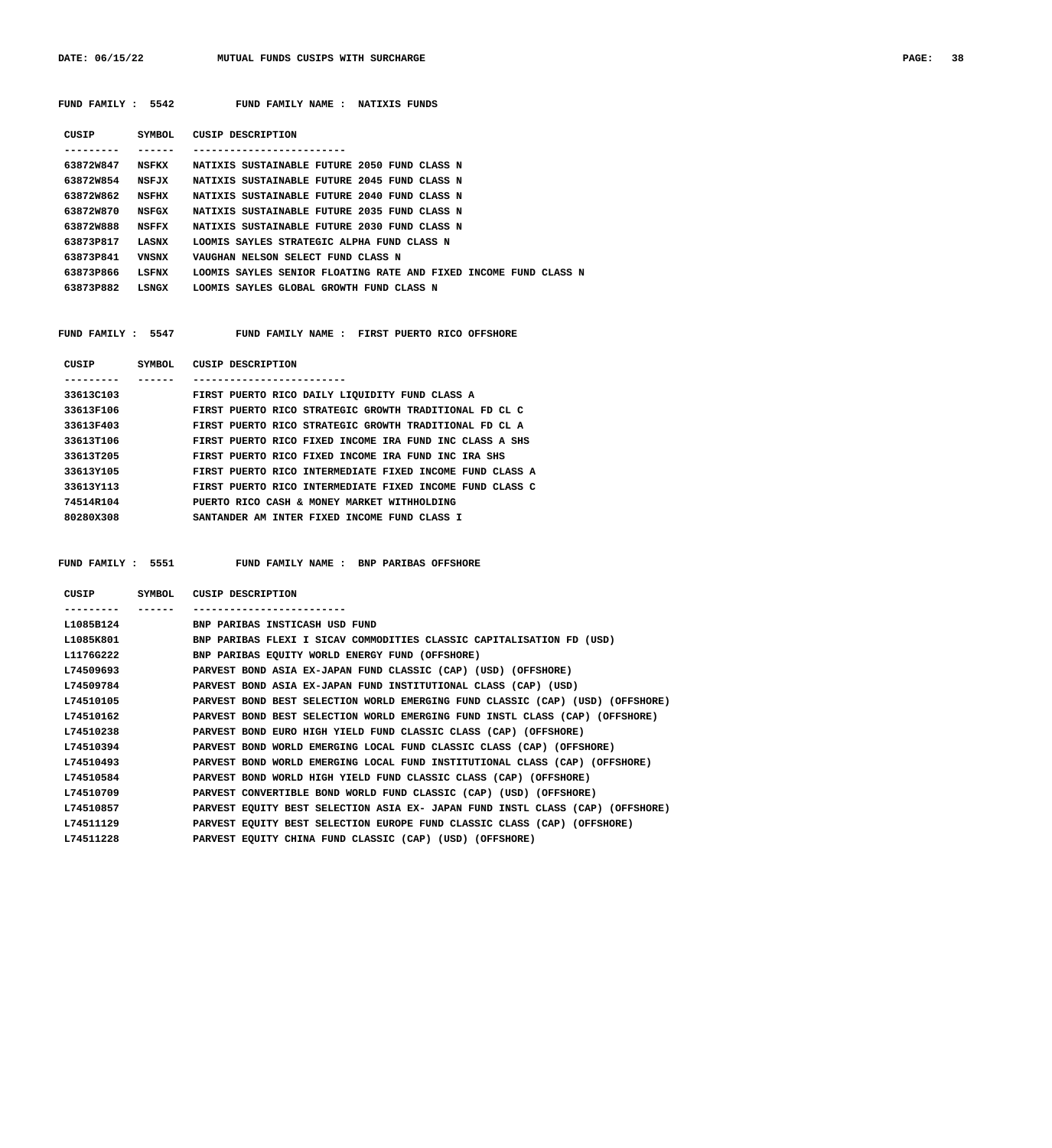DATE: 06/15/22 MUTUAL FUNDS CUSIPS WITH SURCHARGE **PAGE: 38** 

|                                                                                                      |         | FUND FAMILY : 5542 FUND FAMILY NAME : NATIXIS FUNDS                                                   |
|------------------------------------------------------------------------------------------------------|---------|-------------------------------------------------------------------------------------------------------|
|                                                                                                      |         | CUSIP SYMBOL CUSIP DESCRIPTION                                                                        |
| . <u>.</u> .                                                                                         | ------- | --------------------------                                                                            |
| 63872W847                                                                                            |         | NSFKX MATIXIS SUSTAINABLE FUTURE 2050 FUND CLASS N                                                    |
| 63872W854                                                                                            | NSFJX   | NATIXIS SUSTAINABLE FUTURE 2045 FUND CLASS N                                                          |
| 63872W862                                                                                            | NSFHX   | NATIXIS SUSTAINABLE FUTURE 2040 FUND CLASS N                                                          |
| 63872W870                                                                                            | NSFGX   | NATIXIS SUSTAINABLE FUTURE 2035 FUND CLASS N                                                          |
| 63872W888                                                                                            | NSFFX   | NATIXIS SUSTAINABLE FUTURE 2030 FUND CLASS N                                                          |
| 63873P817                                                                                            | LASNX   | LOOMIS SAYLES STRATEGIC ALPHA FUND CLASS N                                                            |
| 63873P841                                                                                            | VNSNX   | VAUGHAN NELSON SELECT FUND CLASS N                                                                    |
|                                                                                                      | LSFNX   | LOOMIS SAYLES SENIOR FLOATING RATE AND FIXED INCOME FUND CLASS N                                      |
| 63873P866                                                                                            |         |                                                                                                       |
|                                                                                                      |         | 63873P882 LSNGX LOOMIS SAYLES GLOBAL GROWTH FUND CLASS N                                              |
|                                                                                                      |         | FUND FAMILY : 5547 FUND FAMILY NAME : FIRST PUERTO RICO OFFSHORE                                      |
|                                                                                                      |         | CUSIP SYMBOL CUSIP DESCRIPTION                                                                        |
|                                                                                                      | ------- |                                                                                                       |
|                                                                                                      |         | 33613C103 FIRST PUERTO RICO DAILY LIQUIDITY FUND CLASS A                                              |
|                                                                                                      |         | 33613F106 FIRST PUERTO RICO STRATEGIC GROWTH TRADITIONAL FD CL C                                      |
|                                                                                                      |         | 33613F403 FIRST PUERTO RICO STRATEGIC GROWTH TRADITIONAL FD CL A                                      |
|                                                                                                      |         | 33613T106 FIRST PUERTO RICO FIXED INCOME IRA FUND INC CLASS A SHS                                     |
|                                                                                                      |         | 33613T205 FIRST PUERTO RICO FIXED INCOME IRA FUND INC IRA SHS                                         |
| 33613Y105                                                                                            |         | FIRST PUERTO RICO INTERMEDIATE FIXED INCOME FUND CLASS A                                              |
|                                                                                                      |         | 33613Y113 FIRST PUERTO RICO INTERMEDIATE FIXED INCOME FUND CLASS C                                    |
| 80280X308 and the set of the set of the set of the set of the set of the set of the set of the set o |         | 74514R104 PUERTO RICO CASH & MONEY MARKET WITHHOLDING<br>SANTANDER AM INTER FIXED INCOME FUND CLASS I |

 **FUND FAMILY : 5551 FUND FAMILY NAME : BNP PARIBAS OFFSHORE**

| CUSIP     | <b>SYMBOL</b> | CUSIP DESCRIPTION                                                              |
|-----------|---------------|--------------------------------------------------------------------------------|
| --------  |               |                                                                                |
| L1085B124 |               | BNP PARIBAS INSTICASH USD FUND                                                 |
| L1085K801 |               | BNP PARIBAS FLEXI I SICAV COMMODITIES CLASSIC CAPITALISATION FD (USD)          |
| L1176G222 |               | BNP PARIBAS EQUITY WORLD ENERGY FUND (OFFSHORE)                                |
| L74509693 |               | PARVEST BOND ASIA EX-JAPAN FUND CLASSIC (CAP) (USD) (OFFSHORE)                 |
| L74509784 |               | PARVEST BOND ASIA EX-JAPAN FUND INSTITUTIONAL CLASS (CAP) (USD)                |
| L74510105 |               | PARVEST BOND BEST SELECTION WORLD EMERGING FUND CLASSIC (CAP) (USD) (OFFSHORE) |
| L74510162 |               | PARVEST BOND BEST SELECTION WORLD EMERGING FUND INSTL CLASS (CAP) (OFFSHORE)   |
| L74510238 |               | PARVEST BOND EURO HIGH YIELD FUND CLASSIC CLASS (CAP) (OFFSHORE)               |
| L74510394 |               | PARVEST BOND WORLD EMERGING LOCAL FUND CLASSIC CLASS (CAP) (OFFSHORE)          |
| L74510493 |               | PARVEST BOND WORLD EMERGING LOCAL FUND INSTITUTIONAL CLASS (CAP) (OFFSHORE)    |
| L74510584 |               | PARVEST BOND WORLD HIGH YIELD FUND CLASSIC CLASS (CAP) (OFFSHORE)              |
| L74510709 |               | PARVEST CONVERTIBLE BOND WORLD FUND CLASSIC (CAP) (USD) (OFFSHORE)             |
| L74510857 |               | PARVEST EQUITY BEST SELECTION ASIA EX- JAPAN FUND INSTL CLASS (CAP) (OFFSHORE) |
| L74511129 |               | PARVEST EQUITY BEST SELECTION EUROPE FUND CLASSIC CLASS (CAP) (OFFSHORE)       |
| L74511228 |               | PARVEST EQUITY CHINA FUND CLASSIC (CAP) (USD) (OFFSHORE)                       |
|           |               |                                                                                |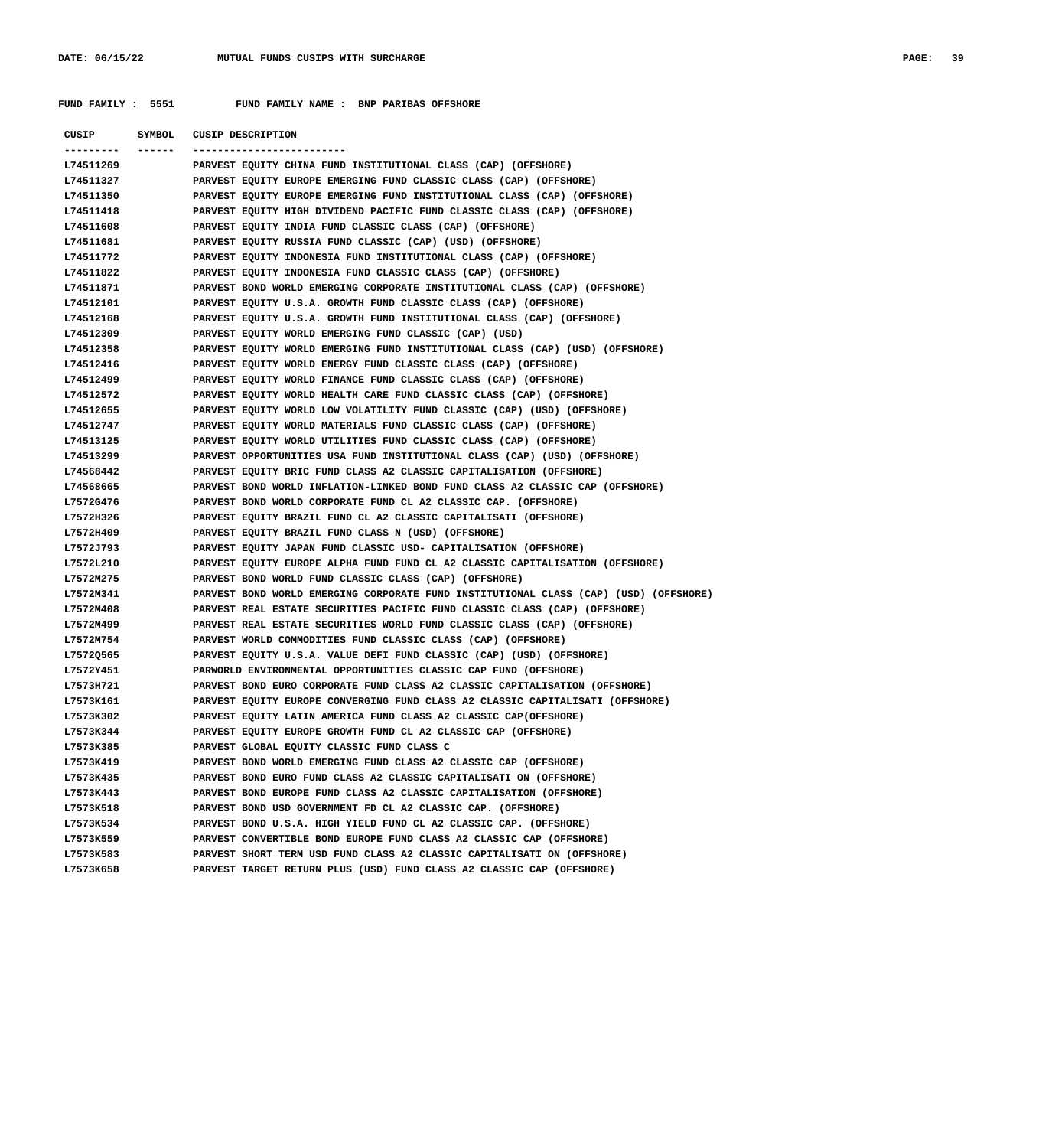**FUND FAMILY : 5551 FUND FAMILY NAME : BNP PARIBAS OFFSHORE**

| <b>CUSIP</b>      | SYMBOL | <b>CUSIP DESCRIPTION</b>                                                              |
|-------------------|--------|---------------------------------------------------------------------------------------|
| ---------- ------ |        | ----------------------                                                                |
| L74511269         |        | PARVEST EQUITY CHINA FUND INSTITUTIONAL CLASS (CAP) (OFFSHORE)                        |
| L74511327         |        | PARVEST EQUITY EUROPE EMERGING FUND CLASSIC CLASS (CAP) (OFFSHORE)                    |
| L74511350         |        | PARVEST EQUITY EUROPE EMERGING FUND INSTITUTIONAL CLASS (CAP) (OFFSHORE)              |
| L74511418         |        | PARVEST EQUITY HIGH DIVIDEND PACIFIC FUND CLASSIC CLASS (CAP) (OFFSHORE)              |
| L74511608         |        | PARVEST EQUITY INDIA FUND CLASSIC CLASS (CAP) (OFFSHORE)                              |
| L74511681         |        | PARVEST EQUITY RUSSIA FUND CLASSIC (CAP) (USD) (OFFSHORE)                             |
| L74511772         |        | PARVEST EQUITY INDONESIA FUND INSTITUTIONAL CLASS (CAP) (OFFSHORE)                    |
| L74511822         |        | PARVEST EQUITY INDONESIA FUND CLASSIC CLASS (CAP) (OFFSHORE)                          |
| L74511871         |        | PARVEST BOND WORLD EMERGING CORPORATE INSTITUTIONAL CLASS (CAP) (OFFSHORE)            |
| L74512101         |        | PARVEST EQUITY U.S.A. GROWTH FUND CLASSIC CLASS (CAP) (OFFSHORE)                      |
| L74512168         |        | PARVEST EQUITY U.S.A. GROWTH FUND INSTITUTIONAL CLASS (CAP) (OFFSHORE)                |
| L74512309         |        | PARVEST EQUITY WORLD EMERGING FUND CLASSIC (CAP) (USD)                                |
| L74512358         |        | PARVEST EQUITY WORLD EMERGING FUND INSTITUTIONAL CLASS (CAP) (USD) (OFFSHORE)         |
| L74512416         |        | PARVEST EQUITY WORLD ENERGY FUND CLASSIC CLASS (CAP) (OFFSHORE)                       |
| L74512499         |        | PARVEST EQUITY WORLD FINANCE FUND CLASSIC CLASS (CAP) (OFFSHORE)                      |
| L74512572         |        | PARVEST EQUITY WORLD HEALTH CARE FUND CLASSIC CLASS (CAP) (OFFSHORE)                  |
| L74512655         |        | PARVEST EQUITY WORLD LOW VOLATILITY FUND CLASSIC (CAP) (USD) (OFFSHORE)               |
| L74512747         |        | PARVEST EQUITY WORLD MATERIALS FUND CLASSIC CLASS (CAP) (OFFSHORE)                    |
| L74513125         |        | PARVEST EQUITY WORLD UTILITIES FUND CLASSIC CLASS (CAP) (OFFSHORE)                    |
| L74513299         |        | PARVEST OPPORTUNITIES USA FUND INSTITUTIONAL CLASS (CAP) (USD) (OFFSHORE)             |
| L74568442         |        | PARVEST EQUITY BRIC FUND CLASS A2 CLASSIC CAPITALISATION (OFFSHORE)                   |
| L74568665         |        | PARVEST BOND WORLD INFLATION-LINKED BOND FUND CLASS A2 CLASSIC CAP (OFFSHORE)         |
| L7572G476         |        | PARVEST BOND WORLD CORPORATE FUND CL A2 CLASSIC CAP. (OFFSHORE)                       |
| L7572H326         |        | PARVEST EQUITY BRAZIL FUND CL A2 CLASSIC CAPITALISATI (OFFSHORE)                      |
| L7572H409         |        | PARVEST EQUITY BRAZIL FUND CLASS N (USD) (OFFSHORE)                                   |
| L7572J793         |        | PARVEST EQUITY JAPAN FUND CLASSIC USD- CAPITALISATION (OFFSHORE)                      |
| L7572L210         |        | PARVEST EQUITY EUROPE ALPHA FUND FUND CL A2 CLASSIC CAPITALISATION (OFFSHORE)         |
| L7572M275         |        | PARVEST BOND WORLD FUND CLASSIC CLASS (CAP) (OFFSHORE)                                |
| L7572M341         |        | PARVEST BOND WORLD EMERGING CORPORATE FUND INSTITUTIONAL CLASS (CAP) (USD) (OFFSHORE) |
| L7572M408         |        | PARVEST REAL ESTATE SECURITIES PACIFIC FUND CLASSIC CLASS (CAP) (OFFSHORE)            |
| L7572M499         |        | PARVEST REAL ESTATE SECURITIES WORLD FUND CLASSIC CLASS (CAP) (OFFSHORE)              |
| L7572M754         |        | PARVEST WORLD COMMODITIES FUND CLASSIC CLASS (CAP) (OFFSHORE)                         |
| L7572Q565         |        | PARVEST EQUITY U.S.A. VALUE DEFI FUND CLASSIC (CAP) (USD) (OFFSHORE)                  |
| L7572Y451         |        | PARWORLD ENVIRONMENTAL OPPORTUNITIES CLASSIC CAP FUND (OFFSHORE)                      |
| L7573H721         |        | PARVEST BOND EURO CORPORATE FUND CLASS A2 CLASSIC CAPITALISATION (OFFSHORE)           |
| L7573K161         |        | PARVEST EQUITY EUROPE CONVERGING FUND CLASS A2 CLASSIC CAPITALISATI (OFFSHORE)        |
| L7573K302         |        | PARVEST EQUITY LATIN AMERICA FUND CLASS A2 CLASSIC CAP(OFFSHORE)                      |
| L7573K344         |        | PARVEST EQUITY EUROPE GROWTH FUND CL A2 CLASSIC CAP (OFFSHORE)                        |
| L7573K385         |        | PARVEST GLOBAL EQUITY CLASSIC FUND CLASS C                                            |
| L7573K419         |        | PARVEST BOND WORLD EMERGING FUND CLASS A2 CLASSIC CAP (OFFSHORE)                      |
| L7573K435         |        | PARVEST BOND EURO FUND CLASS A2 CLASSIC CAPITALISATI ON (OFFSHORE)                    |
| L7573K443         |        | PARVEST BOND EUROPE FUND CLASS A2 CLASSIC CAPITALISATION (OFFSHORE)                   |
| L7573K518         |        | PARVEST BOND USD GOVERNMENT FD CL A2 CLASSIC CAP. (OFFSHORE)                          |
| L7573K534         |        | PARVEST BOND U.S.A. HIGH YIELD FUND CL A2 CLASSIC CAP. (OFFSHORE)                     |
| L7573K559         |        | PARVEST CONVERTIBLE BOND EUROPE FUND CLASS A2 CLASSIC CAP (OFFSHORE)                  |
| L7573K583         |        | PARVEST SHORT TERM USD FUND CLASS A2 CLASSIC CAPITALISATI ON (OFFSHORE)               |
| L7573K658         |        | PARVEST TARGET RETURN PLUS (USD) FUND CLASS A2 CLASSIC CAP (OFFSHORE)                 |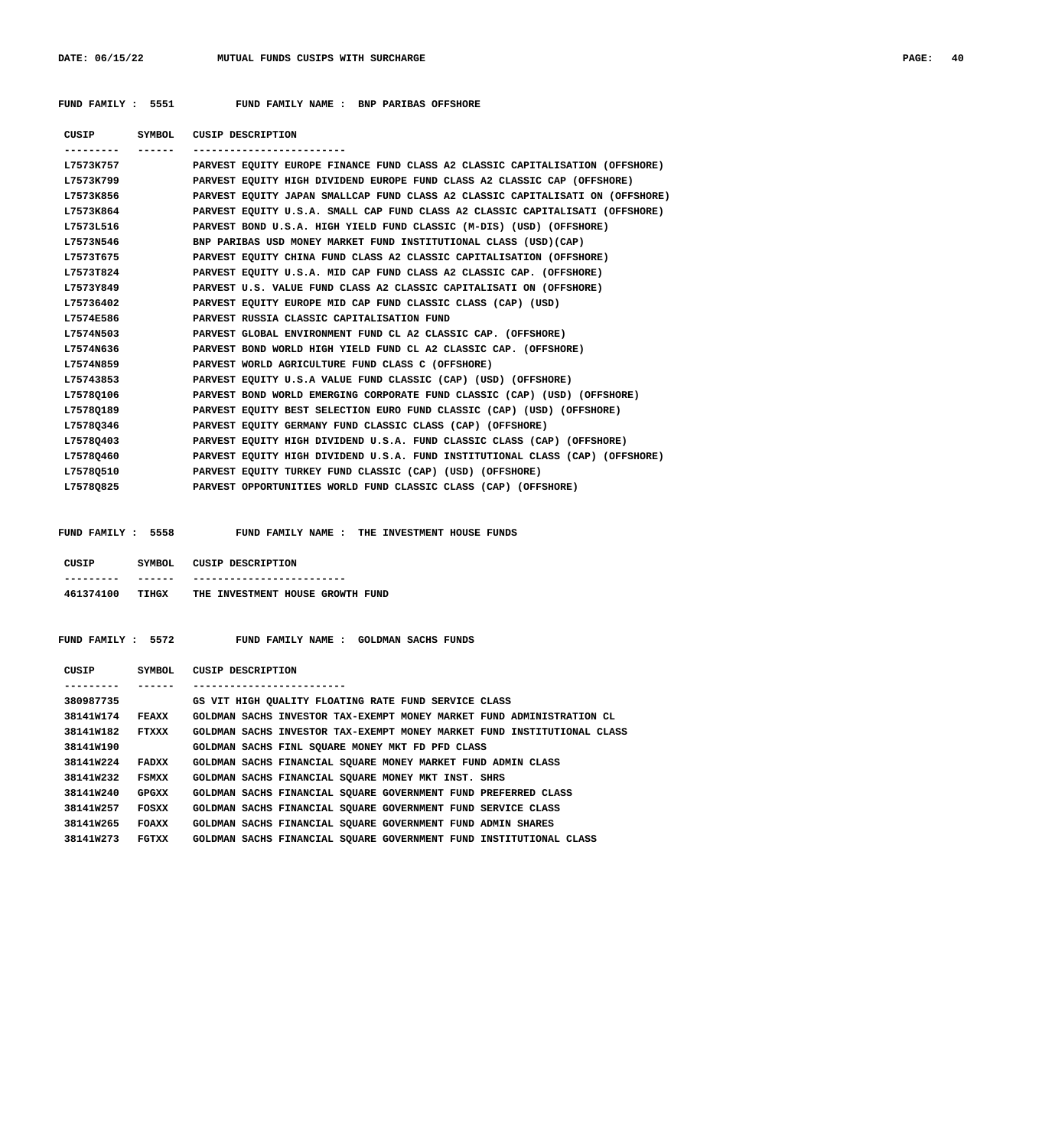## **FUND FAMILY : 5551 FUND FAMILY NAME : BNP PARIBAS OFFSHORE**

 **CUSIP SYMBOL CUSIP DESCRIPTION --------- ------ ------------------------- L7573K757 PARVEST EQUITY EUROPE FINANCE FUND CLASS A2 CLASSIC CAPITALISATION (OFFSHORE) L7573K799 PARVEST EQUITY HIGH DIVIDEND EUROPE FUND CLASS A2 CLASSIC CAP (OFFSHORE)**

| L7573K856 | PARVEST EQUITY JAPAN SMALLCAP FUND CLASS A2 CLASSIC CAPITALISATI ON (OFFSHORE) |
|-----------|--------------------------------------------------------------------------------|
| L7573K864 | PARVEST EQUITY U.S.A. SMALL CAP FUND CLASS A2 CLASSIC CAPITALISATI (OFFSHORE)  |
| L7573L516 | PARVEST BOND U.S.A. HIGH YIELD FUND CLASSIC (M-DIS) (USD) (OFFSHORE)           |
| L7573N546 | BNP PARIBAS USD MONEY MARKET FUND INSTITUTIONAL CLASS (USD) (CAP)              |
| L7573T675 | PARVEST EQUITY CHINA FUND CLASS A2 CLASSIC CAPITALISATION (OFFSHORE)           |
| L7573T824 | PARVEST EQUITY U.S.A. MID CAP FUND CLASS A2 CLASSIC CAP. (OFFSHORE)            |
| L7573Y849 | PARVEST U.S. VALUE FUND CLASS A2 CLASSIC CAPITALISATI ON (OFFSHORE)            |
| L75736402 | PARVEST EQUITY EUROPE MID CAP FUND CLASSIC CLASS (CAP) (USD)                   |
| L7574E586 | PARVEST RUSSIA CLASSIC CAPITALISATION FUND                                     |
| L7574N503 | PARVEST GLOBAL ENVIRONMENT FUND CL A2 CLASSIC CAP. (OFFSHORE)                  |
| L7574N636 | PARVEST BOND WORLD HIGH YIELD FUND CL A2 CLASSIC CAP. (OFFSHORE)               |
| L7574N859 | PARVEST WORLD AGRICULTURE FUND CLASS C (OFFSHORE)                              |
| L75743853 | PARVEST EQUITY U.S.A VALUE FUND CLASSIC (CAP) (USD) (OFFSHORE)                 |
| L75780106 | PARVEST BOND WORLD EMERGING CORPORATE FUND CLASSIC (CAP) (USD) (OFFSHORE)      |
| L7578Q189 | PARVEST EQUITY BEST SELECTION EURO FUND CLASSIC (CAP) (USD) (OFFSHORE)         |
| L7578Q346 | PARVEST EQUITY GERMANY FUND CLASSIC CLASS (CAP) (OFFSHORE)                     |
| L7578Q403 | PARVEST EQUITY HIGH DIVIDEND U.S.A. FUND CLASSIC CLASS (CAP) (OFFSHORE)        |
| L75780460 | PARVEST EOUITY HIGH DIVIDEND U.S.A. FUND INSTITUTIONAL CLASS (CAP) (OFFSHORE)  |
| L7578Q510 | PARVEST EOUITY TURKEY FUND CLASSIC (CAP) (USD) (OFFSHORE)                      |
| L7578Q825 | PARVEST OPPORTUNITIES WORLD FUND CLASSIC CLASS (CAP) (OFFSHORE)                |

 **FUND FAMILY : 5558 FUND FAMILY NAME : THE INVESTMENT HOUSE FUNDS**

| CUSIP     | SYMBOL. | CUSIP DESCRIPTION                |
|-----------|---------|----------------------------------|
|           |         |                                  |
| 461374100 | TTHCX   | THE INVESTMENT HOUSE GROWTH FUND |

 **FUND FAMILY : 5572 FUND FAMILY NAME : GOLDMAN SACHS FUNDS**

| CUSIP     | SYMBOL | CUSIP DESCRIPTION                                                       |
|-----------|--------|-------------------------------------------------------------------------|
|           |        |                                                                         |
| 380987735 |        | GS VIT HIGH OUALITY FLOATING RATE FUND SERVICE CLASS                    |
| 38141W174 | FEAXX  | GOLDMAN SACHS INVESTOR TAX-EXEMPT MONEY MARKET FUND ADMINISTRATION CL   |
| 38141W182 | FTXXX  | GOLDMAN SACHS INVESTOR TAX-EXEMPT MONEY MARKET FUND INSTITUTIONAL CLASS |
| 38141W190 |        | GOLDMAN SACHS FINL SOUARE MONEY MKT FD PFD CLASS                        |
| 38141W224 | FADXX  | GOLDMAN SACHS FINANCIAL SOUARE MONEY MARKET FUND ADMIN CLASS            |
| 38141W232 | FSMXX  | GOLDMAN SACHS FINANCIAL SOUARE MONEY MKT INST. SHRS                     |
| 38141W240 | GPGXX  | GOLDMAN SACHS FINANCIAL SOUARE GOVERNMENT FUND PREFERRED CLASS          |
| 38141W257 | FOSXX  | GOLDMAN SACHS FINANCIAL SOUARE GOVERNMENT FUND SERVICE CLASS            |
| 38141W265 | FOAXX  | GOLDMAN SACHS FINANCIAL SOUARE GOVERNMENT FUND ADMIN SHARES             |
| 38141W273 | FGTXX  | GOLDMAN SACHS FINANCIAL SOUARE GOVERNMENT FUND INSTITUTIONAL CLASS      |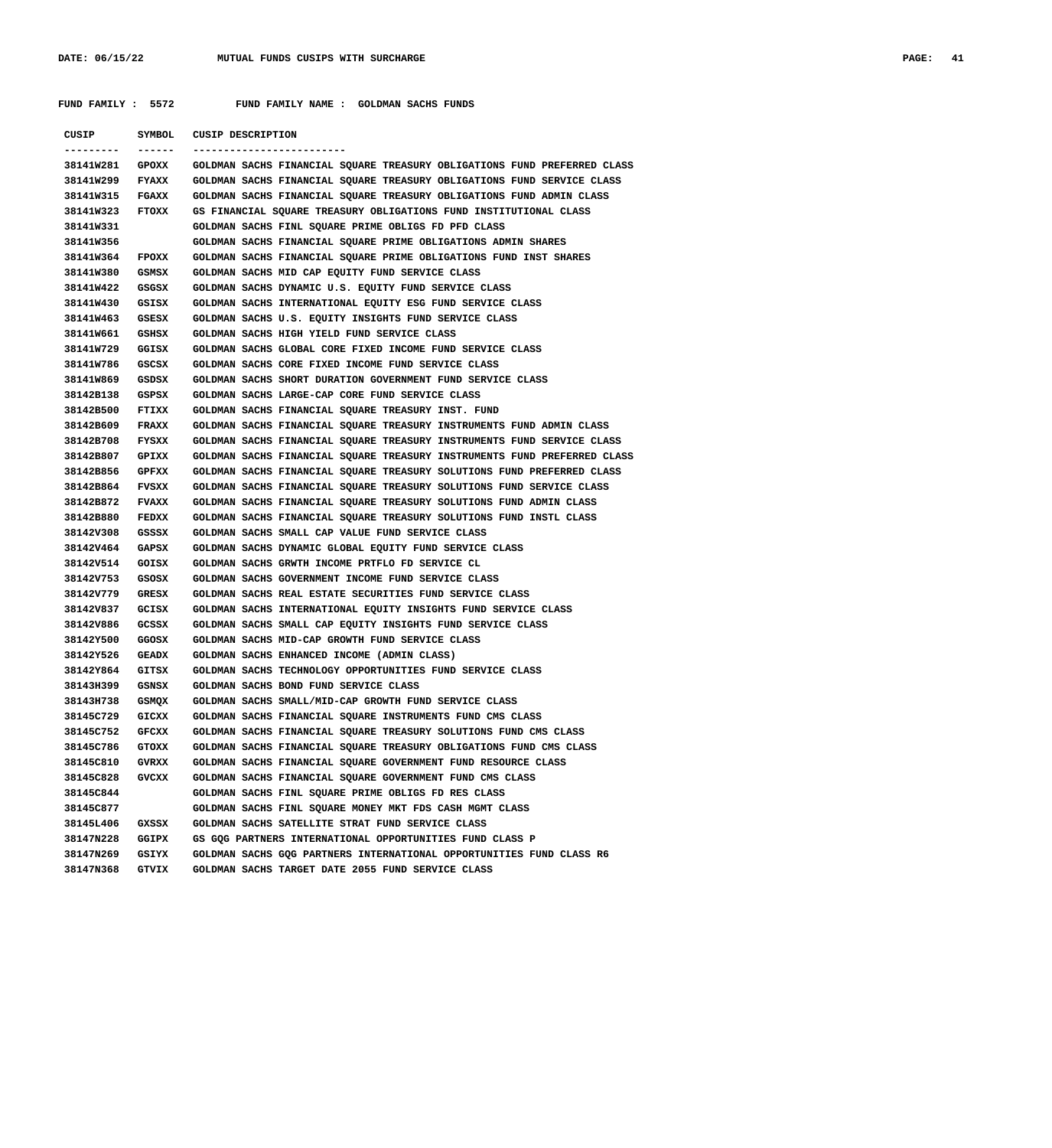**FUND FAMILY : 5572 FUND FAMILY NAME : GOLDMAN SACHS FUNDS**

| CUSIP           | SYMBOL       | <b>CUSIP DESCRIPTION</b>                                                 |
|-----------------|--------------|--------------------------------------------------------------------------|
| ---------       | ------       | _________________________                                                |
| 38141W281       | GPOXX        | GOLDMAN SACHS FINANCIAL SQUARE TREASURY OBLIGATIONS FUND PREFERRED CLASS |
| 38141w299       | <b>FYAXX</b> | GOLDMAN SACHS FINANCIAL SQUARE TREASURY OBLIGATIONS FUND SERVICE CLASS   |
| 38141W315       | FGAXX        | GOLDMAN SACHS FINANCIAL SQUARE TREASURY OBLIGATIONS FUND ADMIN CLASS     |
| 38141W323       | FTOXX        | GS FINANCIAL SQUARE TREASURY OBLIGATIONS FUND INSTITUTIONAL CLASS        |
| 38141W331       |              | GOLDMAN SACHS FINL SQUARE PRIME OBLIGS FD PFD CLASS                      |
| 38141W356       |              | GOLDMAN SACHS FINANCIAL SQUARE PRIME OBLIGATIONS ADMIN SHARES            |
| 38141W364       | FPOXX        | GOLDMAN SACHS FINANCIAL SQUARE PRIME OBLIGATIONS FUND INST SHARES        |
| 38141W380       | GSMSX        | GOLDMAN SACHS MID CAP EQUITY FUND SERVICE CLASS                          |
| 38141W422       | GSGSX        | GOLDMAN SACHS DYNAMIC U.S. EQUITY FUND SERVICE CLASS                     |
| 38141W430       | GSISX        | GOLDMAN SACHS INTERNATIONAL EQUITY ESG FUND SERVICE CLASS                |
| 38141W463       | GSESX        | GOLDMAN SACHS U.S. EQUITY INSIGHTS FUND SERVICE CLASS                    |
| 38141W661       | GSHSX        | GOLDMAN SACHS HIGH YIELD FUND SERVICE CLASS                              |
| 38141W729       | GGISX        | GOLDMAN SACHS GLOBAL CORE FIXED INCOME FUND SERVICE CLASS                |
| 38141W786       | GSCSX        | GOLDMAN SACHS CORE FIXED INCOME FUND SERVICE CLASS                       |
| 38141W869       | GSDSX        | GOLDMAN SACHS SHORT DURATION GOVERNMENT FUND SERVICE CLASS               |
| 38142B138       | GSPSX        | GOLDMAN SACHS LARGE-CAP CORE FUND SERVICE CLASS                          |
| 38142B500       | FTIXX        | GOLDMAN SACHS FINANCIAL SQUARE TREASURY INST. FUND                       |
| 38142B609       | <b>FRAXX</b> | GOLDMAN SACHS FINANCIAL SQUARE TREASURY INSTRUMENTS FUND ADMIN CLASS     |
| 38142B708       | FYSXX        | GOLDMAN SACHS FINANCIAL SQUARE TREASURY INSTRUMENTS FUND SERVICE CLASS   |
| 38142B807       | GPIXX        | GOLDMAN SACHS FINANCIAL SQUARE TREASURY INSTRUMENTS FUND PREFERRED CLASS |
| 38142B856       | GPFXX        | GOLDMAN SACHS FINANCIAL SQUARE TREASURY SOLUTIONS FUND PREFERRED CLASS   |
| 38142B864       | FVSXX        | GOLDMAN SACHS FINANCIAL SQUARE TREASURY SOLUTIONS FUND SERVICE CLASS     |
| 38142B872       | <b>FVAXX</b> | GOLDMAN SACHS FINANCIAL SQUARE TREASURY SOLUTIONS FUND ADMIN CLASS       |
| 38142B880       | <b>FEDXX</b> | GOLDMAN SACHS FINANCIAL SQUARE TREASURY SOLUTIONS FUND INSTL CLASS       |
| 38142V308       | GSSSX        | GOLDMAN SACHS SMALL CAP VALUE FUND SERVICE CLASS                         |
| 38142V464       | GAPSX        | GOLDMAN SACHS DYNAMIC GLOBAL EQUITY FUND SERVICE CLASS                   |
| 38142V514       | GOISX        | GOLDMAN SACHS GRWTH INCOME PRTFLO FD SERVICE CL                          |
| 38142V753       | GSOSX        | GOLDMAN SACHS GOVERNMENT INCOME FUND SERVICE CLASS                       |
| 38142V779       | GRESX        | GOLDMAN SACHS REAL ESTATE SECURITIES FUND SERVICE CLASS                  |
| 38142V837       | GCISX        | GOLDMAN SACHS INTERNATIONAL EQUITY INSIGHTS FUND SERVICE CLASS           |
| 38142V886       | GCSSX        | GOLDMAN SACHS SMALL CAP EQUITY INSIGHTS FUND SERVICE CLASS               |
| 38142Y500       | GGOSX        | GOLDMAN SACHS MID-CAP GROWTH FUND SERVICE CLASS                          |
| 38142Y526       | GEADX        | GOLDMAN SACHS ENHANCED INCOME (ADMIN CLASS)                              |
| 38142Y864       | GITSX        | GOLDMAN SACHS TECHNOLOGY OPPORTUNITIES FUND SERVICE CLASS                |
| 38143H399       | GSNSX        | GOLDMAN SACHS BOND FUND SERVICE CLASS                                    |
| 38143H738 GSMQX |              | GOLDMAN SACHS SMALL/MID-CAP GROWTH FUND SERVICE CLASS                    |
| 38145C729       | GICXX        | GOLDMAN SACHS FINANCIAL SQUARE INSTRUMENTS FUND CMS CLASS                |
| 38145C752       | GFCXX        | GOLDMAN SACHS FINANCIAL SQUARE TREASURY SOLUTIONS FUND CMS CLASS         |
| 38145C786       | GTOXX        | GOLDMAN SACHS FINANCIAL SQUARE TREASURY OBLIGATIONS FUND CMS CLASS       |
| 38145C810       | GVRXX        | GOLDMAN SACHS FINANCIAL SQUARE GOVERNMENT FUND RESOURCE CLASS            |
| 38145C828       | GVCXX        | GOLDMAN SACHS FINANCIAL SQUARE GOVERNMENT FUND CMS CLASS                 |
| 38145C844       |              | GOLDMAN SACHS FINL SQUARE PRIME OBLIGS FD RES CLASS                      |
| 38145C877       |              | GOLDMAN SACHS FINL SQUARE MONEY MKT FDS CASH MGMT CLASS                  |
| 38145L406       | GXSSX        | GOLDMAN SACHS SATELLITE STRAT FUND SERVICE CLASS                         |
| 38147N228       | <b>GGIPX</b> | GS GOG PARTNERS INTERNATIONAL OPPORTUNITIES FUND CLASS P                 |
| 38147N269       | GSIYX        | GOLDMAN SACHS GOG PARTNERS INTERNATIONAL OPPORTUNITIES FUND CLASS R6     |
| 38147N368 GTVIX |              | GOLDMAN SACHS TARGET DATE 2055 FUND SERVICE CLASS                        |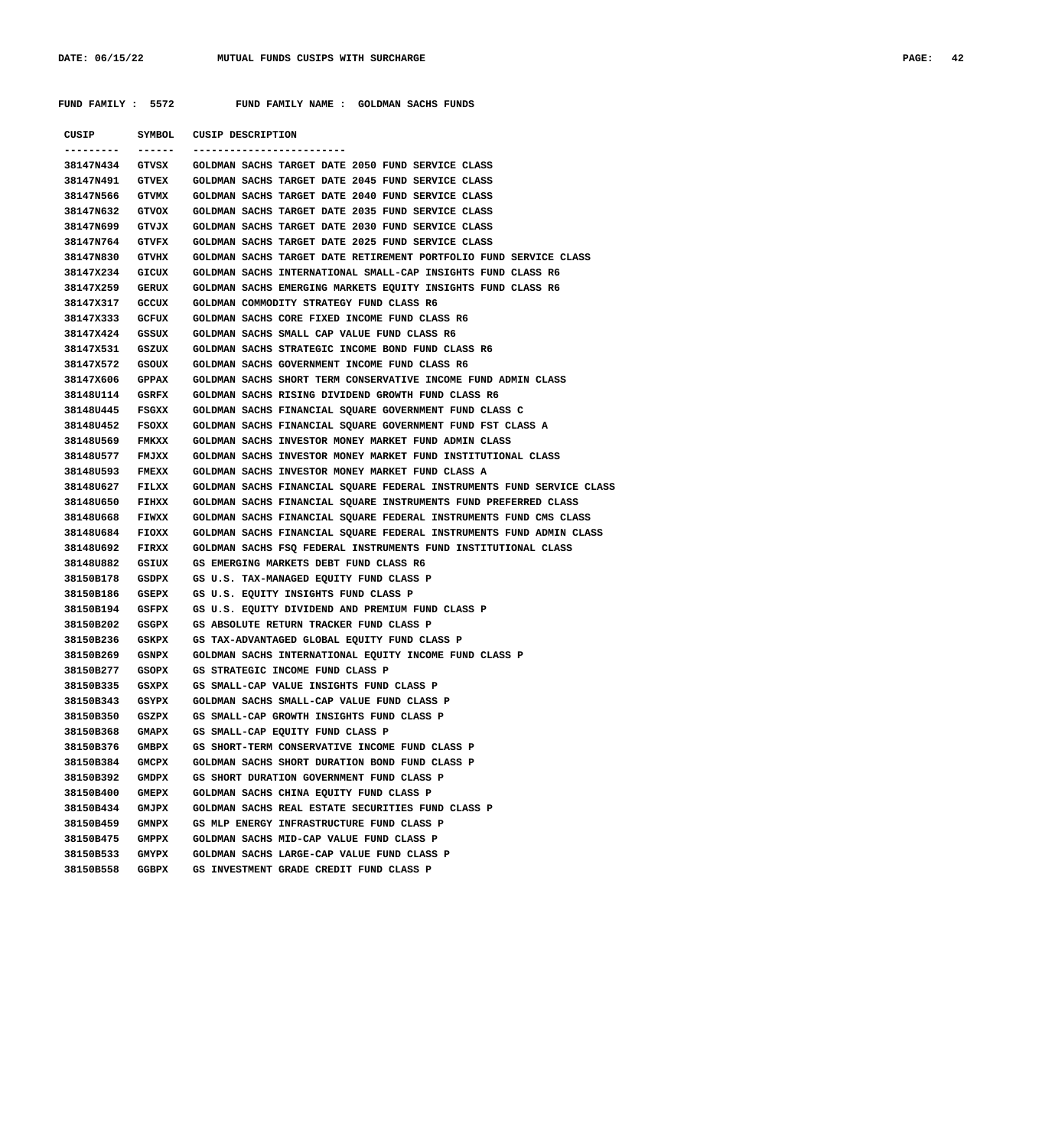**FUND FAMILY : 5572 FUND FAMILY NAME : GOLDMAN SACHS FUNDS**

| CUSIP           | SYMBOL       | <b>CUSIP DESCRIPTION</b>                                              |
|-----------------|--------------|-----------------------------------------------------------------------|
| . <u>.</u> .    | ------       | ------------------------                                              |
| 38147N434 GTVSX |              | GOLDMAN SACHS TARGET DATE 2050 FUND SERVICE CLASS                     |
| 38147N491       | <b>GTVEX</b> | GOLDMAN SACHS TARGET DATE 2045 FUND SERVICE CLASS                     |
| 38147N566       | GTVMX        | GOLDMAN SACHS TARGET DATE 2040 FUND SERVICE CLASS                     |
| 38147N632       | GTVOX        | GOLDMAN SACHS TARGET DATE 2035 FUND SERVICE CLASS                     |
| 38147N699       | GTVJX        | GOLDMAN SACHS TARGET DATE 2030 FUND SERVICE CLASS                     |
| 38147N764       | GTVFX        | GOLDMAN SACHS TARGET DATE 2025 FUND SERVICE CLASS                     |
| 38147N830       | GTVHX        | GOLDMAN SACHS TARGET DATE RETIREMENT PORTFOLIO FUND SERVICE CLASS     |
| 38147x234       | GICUX        | GOLDMAN SACHS INTERNATIONAL SMALL-CAP INSIGHTS FUND CLASS R6          |
| 38147x259       | <b>GERUX</b> | GOLDMAN SACHS EMERGING MARKETS EQUITY INSIGHTS FUND CLASS R6          |
| 38147X317       | GCCUX        | GOLDMAN COMMODITY STRATEGY FUND CLASS R6                              |
| 38147x333       | <b>GCFUX</b> | GOLDMAN SACHS CORE FIXED INCOME FUND CLASS R6                         |
| 38147x424       | GSSUX        | GOLDMAN SACHS SMALL CAP VALUE FUND CLASS R6                           |
| 38147x531       | GSZUX        | GOLDMAN SACHS STRATEGIC INCOME BOND FUND CLASS R6                     |
| 38147x572       | GSOUX        | GOLDMAN SACHS GOVERNMENT INCOME FUND CLASS R6                         |
| 38147X606       | <b>GPPAX</b> | GOLDMAN SACHS SHORT TERM CONSERVATIVE INCOME FUND ADMIN CLASS         |
| 38148U114       | GSRFX        | GOLDMAN SACHS RISING DIVIDEND GROWTH FUND CLASS R6                    |
| 38148U445       | FSGXX        | GOLDMAN SACHS FINANCIAL SQUARE GOVERNMENT FUND CLASS C                |
| 38148U452       | FSOXX        | GOLDMAN SACHS FINANCIAL SQUARE GOVERNMENT FUND FST CLASS A            |
| 38148U569       | <b>FMKXX</b> | GOLDMAN SACHS INVESTOR MONEY MARKET FUND ADMIN CLASS                  |
| 381480577       | FMJXX        | GOLDMAN SACHS INVESTOR MONEY MARKET FUND INSTITUTIONAL CLASS          |
| 38148U593       | <b>FMEXX</b> | GOLDMAN SACHS INVESTOR MONEY MARKET FUND CLASS A                      |
| 38148U627       | FILXX        | GOLDMAN SACHS FINANCIAL SQUARE FEDERAL INSTRUMENTS FUND SERVICE CLASS |
| 38148U650       | FIHXX        | GOLDMAN SACHS FINANCIAL SQUARE INSTRUMENTS FUND PREFERRED CLASS       |
| 381480668       | <b>FIWXX</b> | GOLDMAN SACHS FINANCIAL SQUARE FEDERAL INSTRUMENTS FUND CMS CLASS     |
| 381480684       | FIOXX        | GOLDMAN SACHS FINANCIAL SQUARE FEDERAL INSTRUMENTS FUND ADMIN CLASS   |
| 38148U692       | FIRXX        | GOLDMAN SACHS FSQ FEDERAL INSTRUMENTS FUND INSTITUTIONAL CLASS        |
| 38148U882       | GSIUX        | GS EMERGING MARKETS DEBT FUND CLASS R6                                |
| 38150B178       | GSDPX        | GS U.S. TAX-MANAGED EQUITY FUND CLASS P                               |
| 38150B186       | <b>GSEPX</b> | GS U.S. EQUITY INSIGHTS FUND CLASS P                                  |
| 38150B194       | GSFPX        | GS U.S. EQUITY DIVIDEND AND PREMIUM FUND CLASS P                      |
| 38150B202       | GSGPX        | GS ABSOLUTE RETURN TRACKER FUND CLASS P                               |
| 38150B236       | GSKPX        | GS TAX-ADVANTAGED GLOBAL EQUITY FUND CLASS P                          |
| 38150B269       | GSNPX        | GOLDMAN SACHS INTERNATIONAL EQUITY INCOME FUND CLASS P                |
| 38150B277       | GSOPX        | GS STRATEGIC INCOME FUND CLASS P                                      |
| 38150B335       | GSXPX        | GS SMALL-CAP VALUE INSIGHTS FUND CLASS P                              |
| 38150B343 GSYPX |              | GOLDMAN SACHS SMALL-CAP VALUE FUND CLASS P                            |
| 38150B350       | GSZPX        | GS SMALL-CAP GROWTH INSIGHTS FUND CLASS P                             |
| 38150B368       | <b>GMAPX</b> | GS SMALL-CAP EQUITY FUND CLASS P                                      |
| 38150B376       | GMBPX        | GS SHORT-TERM CONSERVATIVE INCOME FUND CLASS P                        |
| 38150B384       | <b>GMCPX</b> | GOLDMAN SACHS SHORT DURATION BOND FUND CLASS P                        |
| 38150B392       | GMDPX        | GS SHORT DURATION GOVERNMENT FUND CLASS P                             |
| 38150B400       | <b>GMEPX</b> | GOLDMAN SACHS CHINA EQUITY FUND CLASS P                               |
| 38150B434       | <b>GMJPX</b> | GOLDMAN SACHS REAL ESTATE SECURITIES FUND CLASS P                     |
| 38150B459       | <b>GMNPX</b> | GS MLP ENERGY INFRASTRUCTURE FUND CLASS P                             |
| 38150B475       | GMPPX        | GOLDMAN SACHS MID-CAP VALUE FUND CLASS P                              |
| 38150B533       | <b>GMYPX</b> | GOLDMAN SACHS LARGE-CAP VALUE FUND CLASS P                            |
| 38150B558       | GGBPX        | GS INVESTMENT GRADE CREDIT FUND CLASS P                               |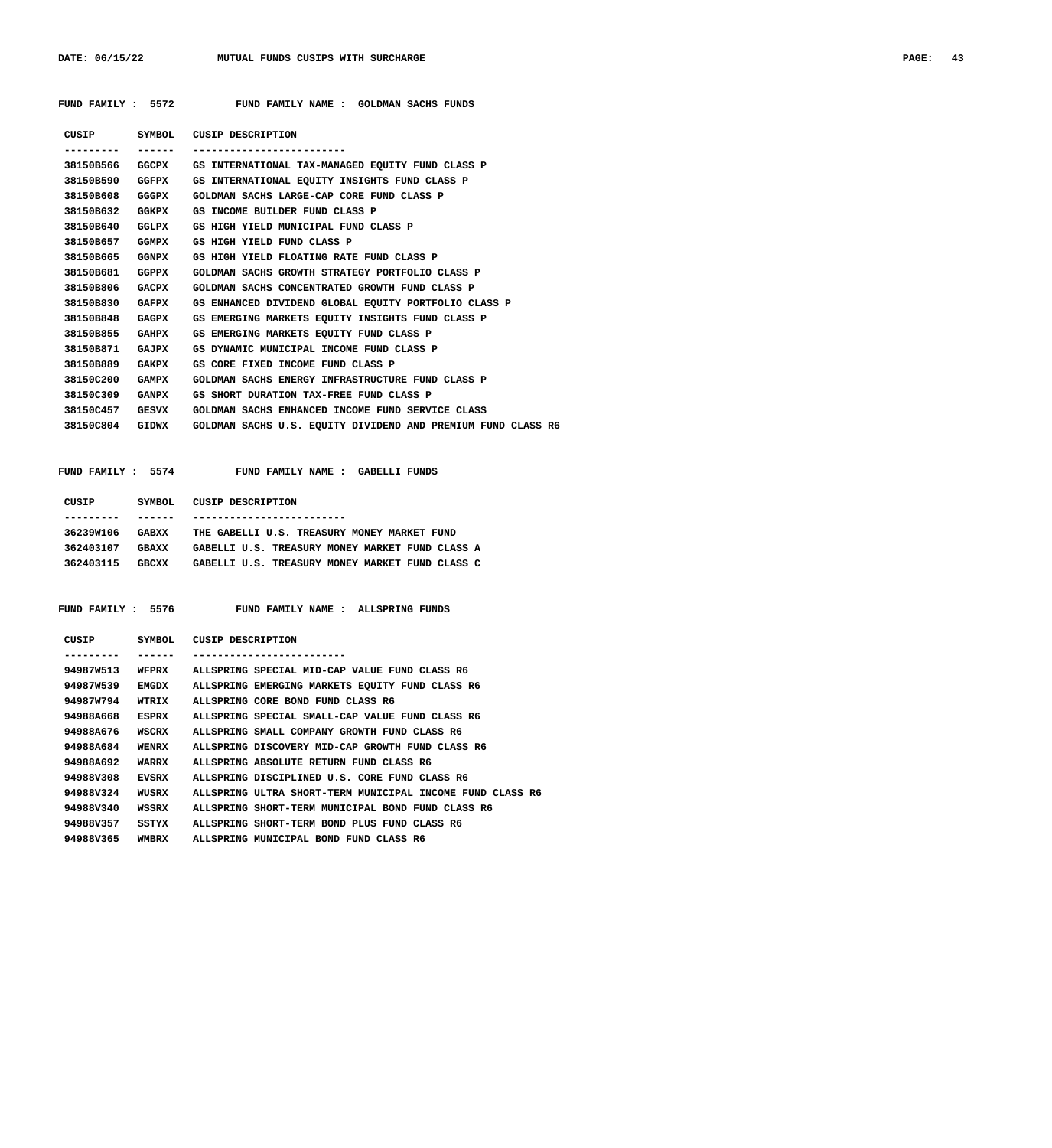| FUND FAMILY : 5572 |  |  |  | FUND FAMILY NAME : GOLDMAN SACHS FUNDS |  |
|--------------------|--|--|--|----------------------------------------|--|
|                    |  |  |  |                                        |  |

|                 |              | CUSIP SYMBOL CUSIP DESCRIPTION                               |
|-----------------|--------------|--------------------------------------------------------------|
|                 |              | -------------------------                                    |
| 38150B566       |              | GGCPX GS INTERNATIONAL TAX-MANAGED EQUITY FUND CLASS P       |
| 38150B590       | <b>GGFPX</b> | GS INTERNATIONAL EQUITY INSIGHTS FUND CLASS P                |
| 38150B608       | GGGPX        | GOLDMAN SACHS LARGE-CAP CORE FUND CLASS P                    |
| 38150B632       | <b>GGKPX</b> | GS INCOME BUILDER FUND CLASS P                               |
| 38150B640       | GGLPX        | GS HIGH YIELD MUNICIPAL FUND CLASS P                         |
| 38150B657       | GGMPX        | GS HIGH YIELD FUND CLASS P                                   |
| 38150B665       | <b>GGNPX</b> | GS HIGH YIELD FLOATING RATE FUND CLASS P                     |
| 38150B681       | GGPPX        | GOLDMAN SACHS GROWTH STRATEGY PORTFOLIO CLASS P              |
| 38150B806       | <b>GACPX</b> | GOLDMAN SACHS CONCENTRATED GROWTH FUND CLASS P               |
| 38150B830       | <b>GAFPX</b> | GS ENHANCED DIVIDEND GLOBAL EOUITY PORTFOLIO CLASS P         |
| 38150B848       | <b>GAGPX</b> | GS EMERGING MARKETS EOUITY INSIGHTS FUND CLASS P             |
| 38150B855       | <b>GAHPX</b> | GS EMERGING MARKETS EOUITY FUND CLASS P                      |
| 38150B871       | <b>GAJPX</b> | GS DYNAMIC MUNICIPAL INCOME FUND CLASS P                     |
| 38150B889       | <b>GAKPX</b> | GS CORE FIXED INCOME FUND CLASS P                            |
| 38150C200       | <b>GAMPX</b> | GOLDMAN SACHS ENERGY INFRASTRUCTURE FUND CLASS P             |
| 38150C309       | <b>GANPX</b> | GS SHORT DURATION TAX-FREE FUND CLASS P                      |
| 38150C457 GESVX |              | GOLDMAN SACHS ENHANCED INCOME FUND SERVICE CLASS             |
| 38150C804       | GIDWX        | GOLDMAN SACHS U.S. EQUITY DIVIDEND AND PREMIUM FUND CLASS R6 |
|                 |              |                                                              |

 **FUND FAMILY : 5574 FUND FAMILY NAME : GABELLI FUNDS**

| CUSIP     | SYMBOL.      | CUSIP DESCRIPTION                               |
|-----------|--------------|-------------------------------------------------|
|           |              |                                                 |
| 36239W106 | GABXX        | THE GABELLI U.S. TREASURY MONEY MARKET FUND     |
| 362403107 | <b>GRAXX</b> | GABELLI U.S. TREASURY MONEY MARKET FUND CLASS A |
| 362403115 | <b>GBCXX</b> | GABELLI U.S. TREASURY MONEY MARKET FUND CLASS C |
|           |              |                                                 |

 **FUND FAMILY : 5576 FUND FAMILY NAME : ALLSPRING FUNDS**

| CUSIP                 | SYMBOL | CUSIP DESCRIPTION                                         |
|-----------------------|--------|-----------------------------------------------------------|
| .                     |        |                                                           |
| 94987W513             | WFPRX  | ALLSPRING SPECIAL MID-CAP VALUE FUND CLASS R6             |
| 94987W539             | EMGDX  | ALLSPRING EMERGING MARKETS EOUITY FUND CLASS R6           |
| 94987 <sub>w794</sub> | WTRIX  | ALLSPRING CORE BOND FUND CLASS R6                         |
| 94988A668             | ESPRX  | ALLSPRING SPECIAL SMALL-CAP VALUE FUND CLASS R6           |
| 94988A676             | WSCRX  | ALLSPRING SMALL COMPANY GROWTH FUND CLASS R6              |
| 94988A684             | WENRX  | ALLSPRING DISCOVERY MID-CAP GROWTH FUND CLASS R6          |
| 94988A692             | WARRX  | ALLSPRING ABSOLUTE RETURN FUND CLASS R6                   |
| 94988V308             | EVSRX  | ALLSPRING DISCIPLINED U.S. CORE FUND CLASS R6             |
| 94988V324             | WUSRX  | ALLSPRING ULTRA SHORT-TERM MUNICIPAL INCOME FUND CLASS R6 |
| 94988V340             | WSSRX  | ALLSPRING SHORT-TERM MUNICIPAL BOND FUND CLASS R6         |
| 94988V357             | SSTYX  | ALLSPRING SHORT-TERM BOND PLUS FUND CLASS R6              |
| 94988V365             | WMBRX  | ALLSPRING MUNICIPAL BOND FUND CLASS R6                    |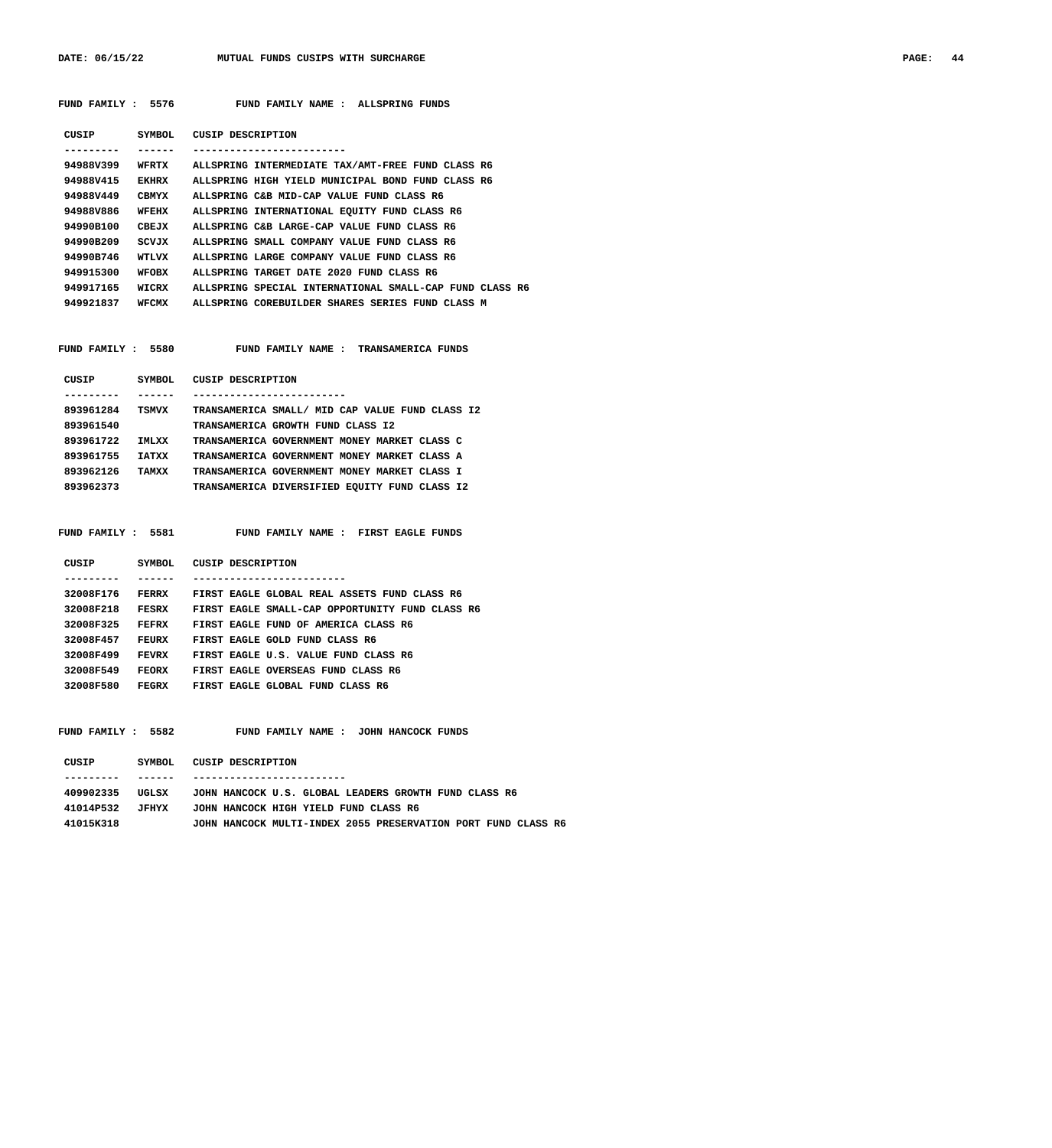DATE: 06/15/22 MUTUAL FUNDS CUSIPS WITH SURCHARGE **PAGE: 44** 

| FUND FAMILY : 5576 |              | FUND FAMILY NAME : ALLSPRING FUNDS                               |
|--------------------|--------------|------------------------------------------------------------------|
| CUSIP<br>--------- | -------      | SYMBOL CUSIP DESCRIPTION<br>-------------------------            |
| 94988V399          |              | WFRTX ALLSPRING INTERMEDIATE TAX/AMT-FREE FUND CLASS R6          |
| 94988V415          | EKHRX        | ALLSPRING HIGH YIELD MUNICIPAL BOND FUND CLASS R6                |
|                    |              | 94988V449 CBMYX ALLSPRING C&B MID-CAP VALUE FUND CLASS R6        |
| 94988V886          |              | WFEHX ALLSPRING INTERNATIONAL EQUITY FUND CLASS R6               |
| 94990B100          |              | CBEJX ALLSPRING C&B LARGE-CAP VALUE FUND CLASS R6                |
| 94990B209          | SCVJX        | ALLSPRING SMALL COMPANY VALUE FUND CLASS R6                      |
| 94990B746          | <b>WTLVX</b> | ALLSPRING LARGE COMPANY VALUE FUND CLASS R6                      |
| 949915300          | WFOBX        | ALLSPRING TARGET DATE 2020 FUND CLASS R6                         |
| 949917165          |              | WICRX ALLSPRING SPECIAL INTERNATIONAL SMALL-CAP FUND CLASS R6    |
|                    |              | 949921837 WFCMX ALLSPRING COREBUILDER SHARES SERIES FUND CLASS M |
|                    |              | CUSIP SYMBOL CUSIP DESCRIPTION                                   |
| . <b>.</b> .       | ------       | -------------------------                                        |
| 893961284          | <b>TSMVX</b> | TRANSAMERICA SMALL/ MID CAP VALUE FUND CLASS I2                  |
| 893961540          |              | TRANSAMERICA GROWTH FUND CLASS I2                                |
| 893961722          | IMLXX        | TRANSAMERICA GOVERNMENT MONEY MARKET CLASS C                     |
|                    |              | 893961755 IATXX TRANSAMERICA GOVERNMENT MONEY MARKET CLASS A     |
|                    |              | 893962126 TAMXX TRANSAMERICA GOVERNMENT MONEY MARKET CLASS I     |
| 893962373          |              | TRANSAMERICA DIVERSIFIED EQUITY FUND CLASS I2                    |
|                    |              |                                                                  |
|                    |              | FUND FAMILY : 5581 FUND FAMILY NAME : FIRST EAGLE FUNDS          |
|                    | -------      | CUSIP SYMBOL CUSIP DESCRIPTION                                   |
|                    |              | 32008F176 FERRX FIRST EAGLE GLOBAL REAL ASSETS FUND CLASS R6     |

| 32008F218 | FESRX | FIRST EAGLE SMALL-CAP OPPORTUNITY FUND CLASS R6 |  |  |
|-----------|-------|-------------------------------------------------|--|--|
| 32008F325 | FEFRX | FIRST EAGLE FUND OF AMERICA CLASS R6            |  |  |
| 32008F457 | FEURX | FIRST EAGLE GOLD FUND CLASS R6                  |  |  |
| 32008F499 | FEVRX | FIRST EAGLE U.S. VALUE FUND CLASS R6            |  |  |
| 32008F549 | FEORX | FIRST EAGLE OVERSEAS FUND CLASS R6              |  |  |
| 32008F580 | FEGRX | FIRST FAGLE GLOBAL FUND CLASS R6                |  |  |
|           |       |                                                 |  |  |

 **FUND FAMILY : 5582 FUND FAMILY NAME : JOHN HANCOCK FUNDS**

| CUSIP     | SYMBOL. | CUSIP DESCRIPTION                                             |
|-----------|---------|---------------------------------------------------------------|
|           |         |                                                               |
| 409902335 | UGLSX   | JOHN HANCOCK U.S. GLOBAL LEADERS GROWTH FUND CLASS R6         |
| 41014P532 | TFHYX.  | JOHN HANCOCK HIGH YIELD FUND CLASS R6                         |
| 410153318 |         | JOHN HANCOCK MULTI-INDEX 2055 PRESERVATION PORT FUND CLASS R6 |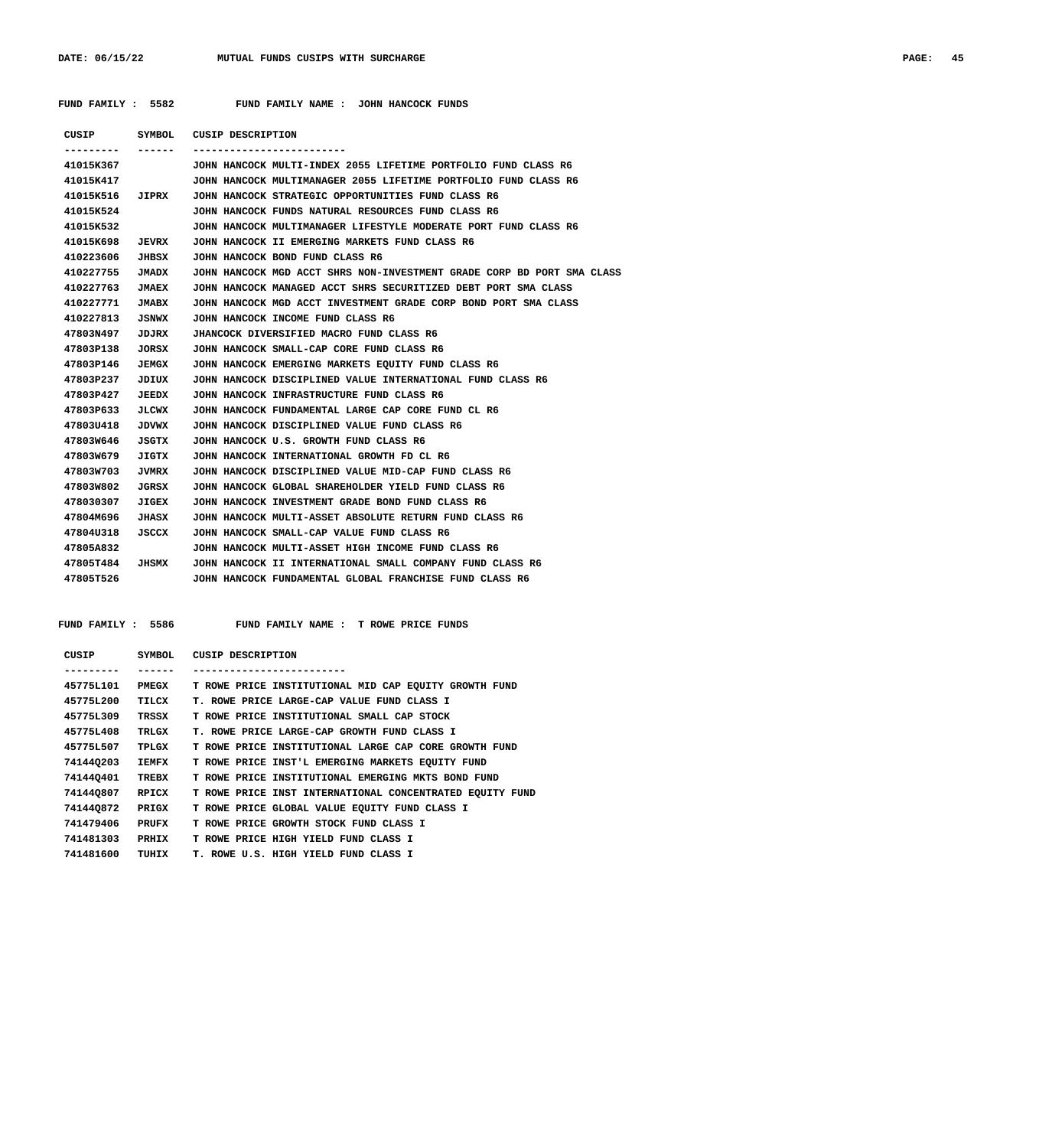|  | FUND FAMILY |  | 5582 |
|--|-------------|--|------|
|--|-------------|--|------|

FUND FAMILY NAME : JOHN HANCOCK FUNDS

|                  |              | CUSIP SYMBOL CUSIP DESCRIPTION                                         |
|------------------|--------------|------------------------------------------------------------------------|
| ---------        | -------      | ------------------------                                               |
| 41015K367        |              | JOHN HANCOCK MULTI-INDEX 2055 LIFETIME PORTFOLIO FUND CLASS R6         |
| 41015K417        |              | JOHN HANCOCK MULTIMANAGER 2055 LIFETIME PORTFOLIO FUND CLASS R6        |
|                  |              | 41015K516 JIPRX JOHN HANCOCK STRATEGIC OPPORTUNITIES FUND CLASS R6     |
| 41015K524        |              | JOHN HANCOCK FUNDS NATURAL RESOURCES FUND CLASS R6                     |
| 41015K532        |              | JOHN HANCOCK MULTIMANAGER LIFESTYLE MODERATE PORT FUND CLASS R6        |
| 41015K698        | <b>JEVRX</b> | JOHN HANCOCK II EMERGING MARKETS FUND CLASS R6                         |
| 410223606        | JHBSX        | JOHN HANCOCK BOND FUND CLASS R6                                        |
| 410227755        | JMADX        | JOHN HANCOCK MGD ACCT SHRS NON-INVESTMENT GRADE CORP BD PORT SMA CLASS |
| 410227763        | <b>JMAEX</b> | JOHN HANCOCK MANAGED ACCT SHRS SECURITIZED DEBT PORT SMA CLASS         |
| 410227771        | <b>JMABX</b> | JOHN HANCOCK MGD ACCT INVESTMENT GRADE CORP BOND PORT SMA CLASS        |
| 410227813        | <b>JSNWX</b> | JOHN HANCOCK INCOME FUND CLASS R6                                      |
| 47803N497        | JDJRX        | JHANCOCK DIVERSIFIED MACRO FUND CLASS R6                               |
| 47803P138        | JORSX        | JOHN HANCOCK SMALL-CAP CORE FUND CLASS R6                              |
| 47803P146        | JEMGX        | JOHN HANCOCK EMERGING MARKETS EQUITY FUND CLASS R6                     |
| 47803P237        | JDIUX        | JOHN HANCOCK DISCIPLINED VALUE INTERNATIONAL FUND CLASS R6             |
| 47803P427        | <b>JEEDX</b> | JOHN HANCOCK INFRASTRUCTURE FUND CLASS R6                              |
| 47803P633        | JLCWX        | JOHN HANCOCK FUNDAMENTAL LARGE CAP CORE FUND CL R6                     |
| 47803U418        | <b>JDVWX</b> | JOHN HANCOCK DISCIPLINED VALUE FUND CLASS R6                           |
| 47803W646        | JSGTX        | JOHN HANCOCK U.S. GROWTH FUND CLASS R6                                 |
| 47803W679        | JIGTX        | JOHN HANCOCK INTERNATIONAL GROWTH FD CL R6                             |
| 47803W703        | <b>JVMRX</b> | JOHN HANCOCK DISCIPLINED VALUE MID-CAP FUND CLASS R6                   |
| 47803W802        | JGRSX        | JOHN HANCOCK GLOBAL SHAREHOLDER YIELD FUND CLASS R6                    |
| 478030307        | <b>JIGEX</b> | JOHN HANCOCK INVESTMENT GRADE BOND FUND CLASS R6                       |
| 47804M696        | JHASX        | JOHN HANCOCK MULTI-ASSET ABSOLUTE RETURN FUND CLASS R6                 |
| 47804U318        | JSCCX        | JOHN HANCOCK SMALL-CAP VALUE FUND CLASS R6                             |
| 47805A832        |              | JOHN HANCOCK MULTI-ASSET HIGH INCOME FUND CLASS R6                     |
| 47805T484 JHSMX  |              | JOHN HANCOCK II INTERNATIONAL SMALL COMPANY FUND CLASS R6              |
| <b>47805T526</b> |              | JOHN HANCOCK FUNDAMENTAL GLOBAL FRANCHISE FUND CLASS R6                |

| CUSIP     | SYMBOL       | CUSIP DESCRIPTION                                        |
|-----------|--------------|----------------------------------------------------------|
|           |              |                                                          |
| 45775L101 | PMEGX        | T ROWE PRICE INSTITUTIONAL MID CAP EOUITY GROWTH FUND    |
| 45775L200 | TILCX        | T. ROWE PRICE LARGE-CAP VALUE FUND CLASS I               |
| 45775L309 | TRSSX        | T ROWE PRICE INSTITUTIONAL SMALL CAP STOCK               |
| 45775L408 | TRLGX        | T. ROWE PRICE LARGE-CAP GROWTH FUND CLASS I              |
| 45775L507 | TPLGX        | T ROWE PRICE INSTITUTIONAL LARGE CAP CORE GROWTH FUND    |
| 741440203 | IEMFX        | T ROWE PRICE INST'L EMERGING MARKETS EOUITY FUND         |
| 741440401 | TREBX        | T ROWE PRICE INSTITUTIONAL EMERGING MKTS BOND FUND       |
| 741440807 | RPICX        | T ROWE PRICE INST INTERNATIONAL CONCENTRATED EOUITY FUND |
| 741440872 | PRIGX        | T ROWE PRICE GLOBAL VALUE EOUITY FUND CLASS I            |
| 741479406 | <b>PRUFX</b> | T ROWE PRICE GROWTH STOCK FUND CLASS I                   |
| 741481303 | PRHIX        | T ROWE PRICE HIGH YIELD FUND CLASS I                     |
| 741481600 | TUHIX        | T. ROWE U.S. HIGH YIELD FUND CLASS I                     |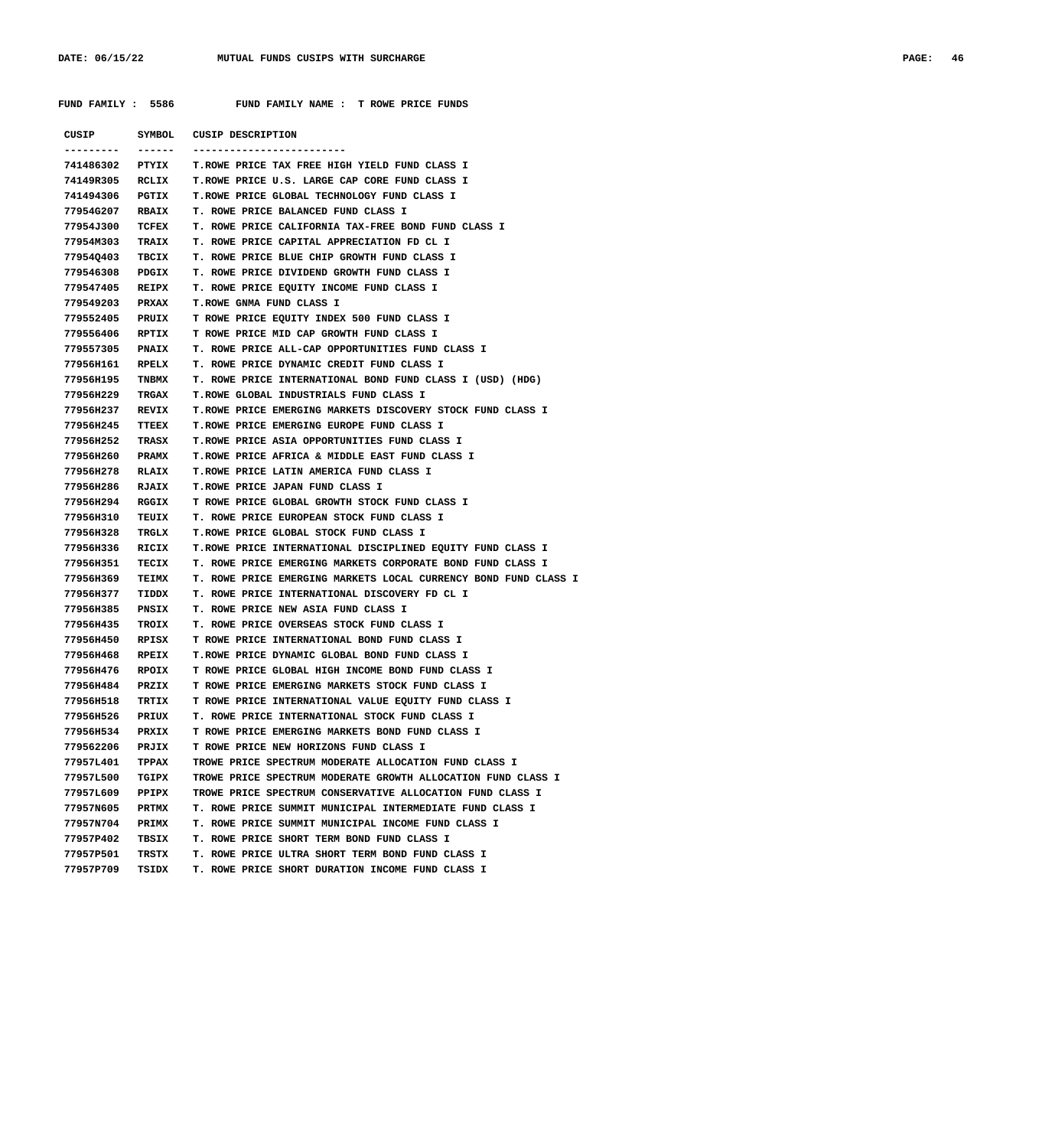| CUSIP      |              | SYMBOL CUSIP DESCRIPTION                                        |
|------------|--------------|-----------------------------------------------------------------|
| --------   | ------       |                                                                 |
| 741486302  | PTYIX        | T. ROWE PRICE TAX FREE HIGH YIELD FUND CLASS I                  |
| 74149R305  | RCLIX        | T.ROWE PRICE U.S. LARGE CAP CORE FUND CLASS I                   |
| 741494306  | PGTIX        | <b>T.ROWE PRICE GLOBAL TECHNOLOGY FUND CLASS I</b>              |
| 77954G207  | <b>RBAIX</b> | T. ROWE PRICE BALANCED FUND CLASS I                             |
| 77954J300  | TCFEX        | T. ROWE PRICE CALIFORNIA TAX-FREE BOND FUND CLASS I             |
| 77954M303  | <b>TRAIX</b> | T. ROWE PRICE CAPITAL APPRECIATION FD CL I                      |
| 77954Q403  | TBCIX        | T. ROWE PRICE BLUE CHIP GROWTH FUND CLASS I                     |
| 779546308  | PDGIX        | T. ROWE PRICE DIVIDEND GROWTH FUND CLASS I                      |
| 779547405  | <b>REIPX</b> | T. ROWE PRICE EQUITY INCOME FUND CLASS I                        |
| 779549203  | PRXAX        | <b>T.ROWE GNMA FUND CLASS I</b>                                 |
| 779552405  | <b>PRUIX</b> | T ROWE PRICE EQUITY INDEX 500 FUND CLASS I                      |
|            |              |                                                                 |
| 779556406  | RPTIX        | T ROWE PRICE MID CAP GROWTH FUND CLASS I                        |
| 779557305  | <b>PNAIX</b> | T. ROWE PRICE ALL-CAP OPPORTUNITIES FUND CLASS I                |
| 77956H161  | RPELX        | T. ROWE PRICE DYNAMIC CREDIT FUND CLASS I                       |
| 77956H195  | <b>TNBMX</b> | T. ROWE PRICE INTERNATIONAL BOND FUND CLASS I (USD) (HDG)       |
| 77956H229  | TRGAX        | T.ROWE GLOBAL INDUSTRIALS FUND CLASS I                          |
| 77956H237  | <b>REVIX</b> | T. ROWE PRICE EMERGING MARKETS DISCOVERY STOCK FUND CLASS I     |
| 77956H245  | TTEEX        | T. ROWE PRICE EMERGING EUROPE FUND CLASS I                      |
| 77956H252  | TRASX        | T.ROWE PRICE ASIA OPPORTUNITIES FUND CLASS I                    |
| 77956H260  | <b>PRAMX</b> | T.ROWE PRICE AFRICA & MIDDLE EAST FUND CLASS I                  |
| 77956H278  | <b>RLAIX</b> | T. ROWE PRICE LATIN AMERICA FUND CLASS I                        |
| 77956H286  | RJAIX        | T.ROWE PRICE JAPAN FUND CLASS I                                 |
| 77956H294  | RGGIX        | T ROWE PRICE GLOBAL GROWTH STOCK FUND CLASS I                   |
| 77956H310  | TEUIX        | T. ROWE PRICE EUROPEAN STOCK FUND CLASS I                       |
| 77956H328  | TRGLX        | T.ROWE PRICE GLOBAL STOCK FUND CLASS I                          |
| 77956н336  | RICIX        | T.ROWE PRICE INTERNATIONAL DISCIPLINED EQUITY FUND CLASS I      |
| 77956H351  | TECIX        | T. ROWE PRICE EMERGING MARKETS CORPORATE BOND FUND CLASS I      |
| 77956H369  | TEIMX        | T. ROWE PRICE EMERGING MARKETS LOCAL CURRENCY BOND FUND CLASS I |
| 77956H377  | TIDDX        | T. ROWE PRICE INTERNATIONAL DISCOVERY FD CL I                   |
| 77956H385  | PNSIX        | T. ROWE PRICE NEW ASIA FUND CLASS I                             |
| 77956H435  | TROIX        | T. ROWE PRICE OVERSEAS STOCK FUND CLASS I                       |
| 77956H450  | RPISX        | T ROWE PRICE INTERNATIONAL BOND FUND CLASS I                    |
| 77956H468  | RPEIX        | T.ROWE PRICE DYNAMIC GLOBAL BOND FUND CLASS I                   |
| 77956H476  | RPOIX        | T ROWE PRICE GLOBAL HIGH INCOME BOND FUND CLASS I               |
| 7795611484 | PRZIX        | T ROWE PRICE EMERGING MARKETS STOCK FUND CLASS I                |
| 77956н518  | TRTIX        | T ROWE PRICE INTERNATIONAL VALUE EQUITY FUND CLASS I            |
| 77956H526  | PRIUX        | T. ROWE PRICE INTERNATIONAL STOCK FUND CLASS I                  |
| 77956H534  | PRXIX        | T ROWE PRICE EMERGING MARKETS BOND FUND CLASS I                 |
| 779562206  | <b>PRJIX</b> | T ROWE PRICE NEW HORIZONS FUND CLASS I                          |
| 77957L401  | TPPAX        | TROWE PRICE SPECTRUM MODERATE ALLOCATION FUND CLASS I           |
| 77957L500  | TGIPX        | TROWE PRICE SPECTRUM MODERATE GROWTH ALLOCATION FUND CLASS I    |
| 77957L609  | PPIPX        | TROWE PRICE SPECTRUM CONSERVATIVE ALLOCATION FUND CLASS I       |
| 77957N605  | <b>PRTMX</b> | T. ROWE PRICE SUMMIT MUNICIPAL INTERMEDIATE FUND CLASS I        |
| 77957N704  | <b>PRIMX</b> | T. ROWE PRICE SUMMIT MUNICIPAL INCOME FUND CLASS I              |
| 77957P402  | TBSIX        | T. ROWE PRICE SHORT TERM BOND FUND CLASS I                      |
| 77957P501  | TRSTX        | T. ROWE PRICE ULTRA SHORT TERM BOND FUND CLASS I                |
|            |              |                                                                 |
| 77957P709  | TSIDX        | T. ROWE PRICE SHORT DURATION INCOME FUND CLASS I                |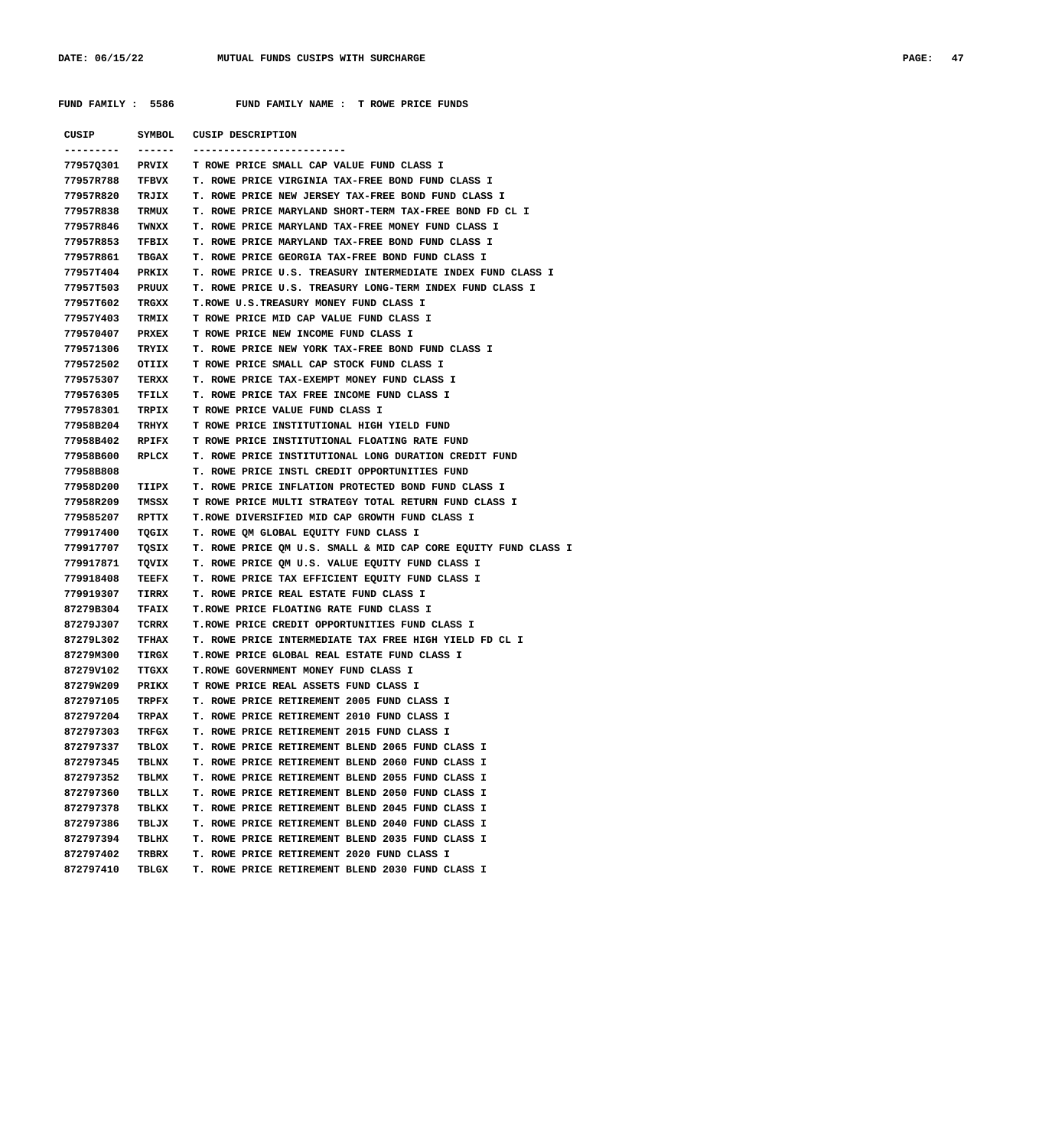| CUSIP     | SYMBOL       | CUSIP DESCRIPTION                                              |
|-----------|--------------|----------------------------------------------------------------|
|           | ------       |                                                                |
| 77957Q301 | <b>PRVIX</b> | <b>T ROWE PRICE SMALL CAP VALUE FUND CLASS I</b>               |
| 77957R788 | TFBVX        | <b>T. ROWE PRICE VIRGINIA TAX-FREE BOND FUND CLASS I</b>       |
| 77957R820 | TRJIX        | T. ROWE PRICE NEW JERSEY TAX-FREE BOND FUND CLASS I            |
| 77957R838 | <b>TRMUX</b> | T. ROWE PRICE MARYLAND SHORT-TERM TAX-FREE BOND FD CL I        |
| 77957R846 | TWNXX        | T. ROWE PRICE MARYLAND TAX-FREE MONEY FUND CLASS I             |
| 77957R853 | TFBIX        | T. ROWE PRICE MARYLAND TAX-FREE BOND FUND CLASS I              |
| 77957R861 | TBGAX        | T. ROWE PRICE GEORGIA TAX-FREE BOND FUND CLASS I               |
| 77957T404 | <b>PRKIX</b> | T. ROWE PRICE U.S. TREASURY INTERMEDIATE INDEX FUND CLASS I    |
| 77957T503 | PRUUX        | T. ROWE PRICE U.S. TREASURY LONG-TERM INDEX FUND CLASS I       |
| 77957T602 | TRGXX        | T.ROWE U.S.TREASURY MONEY FUND CLASS I                         |
| 77957Y403 | <b>TRMIX</b> | T ROWE PRICE MID CAP VALUE FUND CLASS I                        |
| 779570407 | PRXEX        | T ROWE PRICE NEW INCOME FUND CLASS I                           |
| 779571306 | TRYIX        | T. ROWE PRICE NEW YORK TAX-FREE BOND FUND CLASS I              |
| 779572502 | OTIIX        | T ROWE PRICE SMALL CAP STOCK FUND CLASS I                      |
| 779575307 | TERXX        | T. ROWE PRICE TAX-EXEMPT MONEY FUND CLASS I                    |
| 779576305 | TFILX        | T. ROWE PRICE TAX FREE INCOME FUND CLASS I                     |
| 779578301 | TRPIX        | T ROWE PRICE VALUE FUND CLASS I                                |
| 77958B204 | TRHYX        | T ROWE PRICE INSTITUTIONAL HIGH YIELD FUND                     |
| 77958B402 | RPIFX        | T ROWE PRICE INSTITUTIONAL FLOATING RATE FUND                  |
| 77958B600 | RPLCX        | T. ROWE PRICE INSTITUTIONAL LONG DURATION CREDIT FUND          |
| 77958B808 |              | T. ROWE PRICE INSTL CREDIT OPPORTUNITIES FUND                  |
| 77958D200 | TIIPX        | T. ROWE PRICE INFLATION PROTECTED BOND FUND CLASS I            |
| 77958R209 | TMSSX        | T ROWE PRICE MULTI STRATEGY TOTAL RETURN FUND CLASS I          |
| 779585207 | RPTTX        | T.ROWE DIVERSIFIED MID CAP GROWTH FUND CLASS I                 |
| 779917400 | TQGIX        | T. ROWE QM GLOBAL EQUITY FUND CLASS I                          |
| 779917707 | TQSIX        | T. ROWE PRICE QM U.S. SMALL & MID CAP CORE EQUITY FUND CLASS I |
| 779917871 | TQVIX        | T. ROWE PRICE OM U.S. VALUE EQUITY FUND CLASS I                |
| 779918408 | TEEFX        | T. ROWE PRICE TAX EFFICIENT EQUITY FUND CLASS I                |
| 779919307 | TIRRX        | T. ROWE PRICE REAL ESTATE FUND CLASS I                         |
| 87279B304 | TFAIX        | T. ROWE PRICE FLOATING RATE FUND CLASS I                       |
| 87279J307 | TCRRX        | T.ROWE PRICE CREDIT OPPORTUNITIES FUND CLASS I                 |
| 87279L302 | TFHAX        | T. ROWE PRICE INTERMEDIATE TAX FREE HIGH YIELD FD CL I         |
| 87279M300 | TIRGX        | T.ROWE PRICE GLOBAL REAL ESTATE FUND CLASS I                   |
| 87279V102 | TTGXX        | T.ROWE GOVERNMENT MONEY FUND CLASS I                           |
| 87279W209 |              | PRIKX T ROWE PRICE REAL ASSETS FUND CLASS I                    |
| 872797105 | TRPFX        | <b>T. ROWE PRICE RETIREMENT 2005 FUND CLASS I</b>              |
| 872797204 | TRPAX        | T. ROWE PRICE RETIREMENT 2010 FUND CLASS I                     |
| 872797303 | TRFGX        | T. ROWE PRICE RETIREMENT 2015 FUND CLASS I                     |
| 872797337 | TBLOX        | T. ROWE PRICE RETIREMENT BLEND 2065 FUND CLASS I               |
| 872797345 | TBLNX        | T. ROWE PRICE RETIREMENT BLEND 2060 FUND CLASS I               |
| 872797352 | TBLMX        | T. ROWE PRICE RETIREMENT BLEND 2055 FUND CLASS I               |
| 872797360 | TBLLX        | T. ROWE PRICE RETIREMENT BLEND 2050 FUND CLASS I               |
| 872797378 | TBLKX        | T. ROWE PRICE RETIREMENT BLEND 2045 FUND CLASS I               |
| 872797386 | TBLJX        | T. ROWE PRICE RETIREMENT BLEND 2040 FUND CLASS I               |
| 872797394 | TBLHX        | T. ROWE PRICE RETIREMENT BLEND 2035 FUND CLASS I               |
| 872797402 | TRBRX        | T. ROWE PRICE RETIREMENT 2020 FUND CLASS I                     |
|           |              | T. ROWE PRICE RETIREMENT BLEND 2030 FUND CLASS I               |
| 872797410 | TBLGX        |                                                                |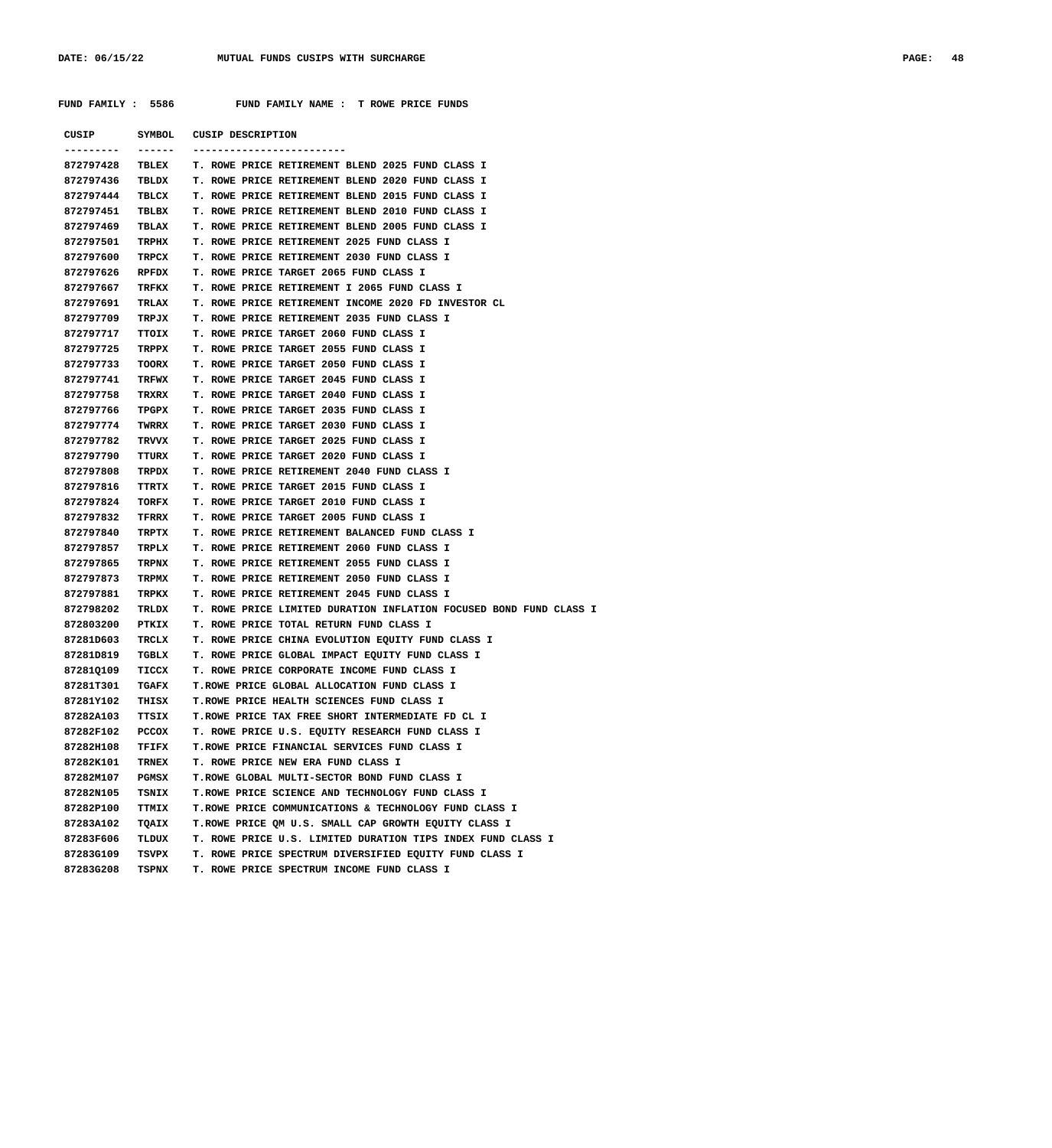| CUSIP     | SYMBOL       | CUSIP DESCRIPTION                                                  |
|-----------|--------------|--------------------------------------------------------------------|
|           |              |                                                                    |
| 872797428 | TBLEX        | T. ROWE PRICE RETIREMENT BLEND 2025 FUND CLASS I                   |
| 872797436 | TBLDX        | T. ROWE PRICE RETIREMENT BLEND 2020 FUND CLASS I                   |
| 872797444 | TBLCX        | T. ROWE PRICE RETIREMENT BLEND 2015 FUND CLASS I                   |
| 872797451 | TBLBX        | T. ROWE PRICE RETIREMENT BLEND 2010 FUND CLASS I                   |
| 872797469 | TBLAX        | T. ROWE PRICE RETIREMENT BLEND 2005 FUND CLASS I                   |
| 872797501 | TRPHX        | T. ROWE PRICE RETIREMENT 2025 FUND CLASS I                         |
| 872797600 | TRPCX        | T. ROWE PRICE RETIREMENT 2030 FUND CLASS I                         |
| 872797626 | RPFDX        | T. ROWE PRICE TARGET 2065 FUND CLASS I                             |
| 872797667 | TRFKX        | T. ROWE PRICE RETIREMENT I 2065 FUND CLASS I                       |
| 872797691 | TRLAX        | T. ROWE PRICE RETIREMENT INCOME 2020 FD INVESTOR CL                |
| 872797709 | TRPJX        | T. ROWE PRICE RETIREMENT 2035 FUND CLASS I                         |
| 872797717 | TTOIX        | T. ROWE PRICE TARGET 2060 FUND CLASS I                             |
| 872797725 | <b>TRPPX</b> | T. ROWE PRICE TARGET 2055 FUND CLASS I                             |
| 872797733 | TOORX        | T. ROWE PRICE TARGET 2050 FUND CLASS I                             |
| 872797741 | TRFWX        | T. ROWE PRICE TARGET 2045 FUND CLASS I                             |
| 872797758 | TRXRX        | T. ROWE PRICE TARGET 2040 FUND CLASS I                             |
| 872797766 | TPGPX        | T. ROWE PRICE TARGET 2035 FUND CLASS I                             |
| 872797774 | TWRRX        | T. ROWE PRICE TARGET 2030 FUND CLASS I                             |
| 872797782 | TRVVX        | T. ROWE PRICE TARGET 2025 FUND CLASS I                             |
| 872797790 | TTURX        | T. ROWE PRICE TARGET 2020 FUND CLASS I                             |
| 872797808 | TRPDX        | T. ROWE PRICE RETIREMENT 2040 FUND CLASS I                         |
| 872797816 | TTRTX        | T. ROWE PRICE TARGET 2015 FUND CLASS I                             |
| 872797824 | TORFX        | T. ROWE PRICE TARGET 2010 FUND CLASS I                             |
| 872797832 | TFRRX        | T. ROWE PRICE TARGET 2005 FUND CLASS I                             |
| 872797840 | TRPTX        | T. ROWE PRICE RETIREMENT BALANCED FUND CLASS I                     |
| 872797857 | TRPLX        | T. ROWE PRICE RETIREMENT 2060 FUND CLASS I                         |
| 872797865 | TRPNX        | T. ROWE PRICE RETIREMENT 2055 FUND CLASS I                         |
| 872797873 | TRPMX        | T. ROWE PRICE RETIREMENT 2050 FUND CLASS I                         |
| 872797881 | TRPKX        | T. ROWE PRICE RETIREMENT 2045 FUND CLASS I                         |
| 872798202 | TRLDX        | T. ROWE PRICE LIMITED DURATION INFLATION FOCUSED BOND FUND CLASS I |
| 872803200 | PTKIX        | T. ROWE PRICE TOTAL RETURN FUND CLASS I                            |
| 87281D603 | TRCLX        | T. ROWE PRICE CHINA EVOLUTION EQUITY FUND CLASS I                  |
| 87281D819 | TGBLX        | T. ROWE PRICE GLOBAL IMPACT EQUITY FUND CLASS I                    |
| 87281Q109 | TICCX        | T. ROWE PRICE CORPORATE INCOME FUND CLASS I                        |
| 87281T301 | TGAFX        | T.ROWE PRICE GLOBAL ALLOCATION FUND CLASS I                        |
| 87281Y102 | THISX        | T. ROWE PRICE HEALTH SCIENCES FUND CLASS I                         |
| 87282A103 | TTSIX        | T.ROWE PRICE TAX FREE SHORT INTERMEDIATE FD CL I                   |
| 87282F102 | PCCOX        | T. ROWE PRICE U.S. EQUITY RESEARCH FUND CLASS I                    |
| 87282H108 | TFIFX        | T.ROWE PRICE FINANCIAL SERVICES FUND CLASS I                       |
| 87282K101 | TRNEX        | T. ROWE PRICE NEW ERA FUND CLASS I                                 |
| 87282M107 | PGMSX        | T.ROWE GLOBAL MULTI-SECTOR BOND FUND CLASS I                       |
| 87282N105 | TSNIX        | T.ROWE PRICE SCIENCE AND TECHNOLOGY FUND CLASS I                   |
| 87282P100 | <b>TTMIX</b> | T.ROWE PRICE COMMUNICATIONS & TECHNOLOGY FUND CLASS I              |
| 87283A102 | TQAIX        | T. ROWE PRICE OM U.S. SMALL CAP GROWTH EQUITY CLASS I              |
| 87283F606 | TLDUX        | T. ROWE PRICE U.S. LIMITED DURATION TIPS INDEX FUND CLASS I        |
| 87283G109 | TSVPX        | T. ROWE PRICE SPECTRUM DIVERSIFIED EQUITY FUND CLASS I             |
| 87283G208 | TSPNX        | T. ROWE PRICE SPECTRUM INCOME FUND CLASS I                         |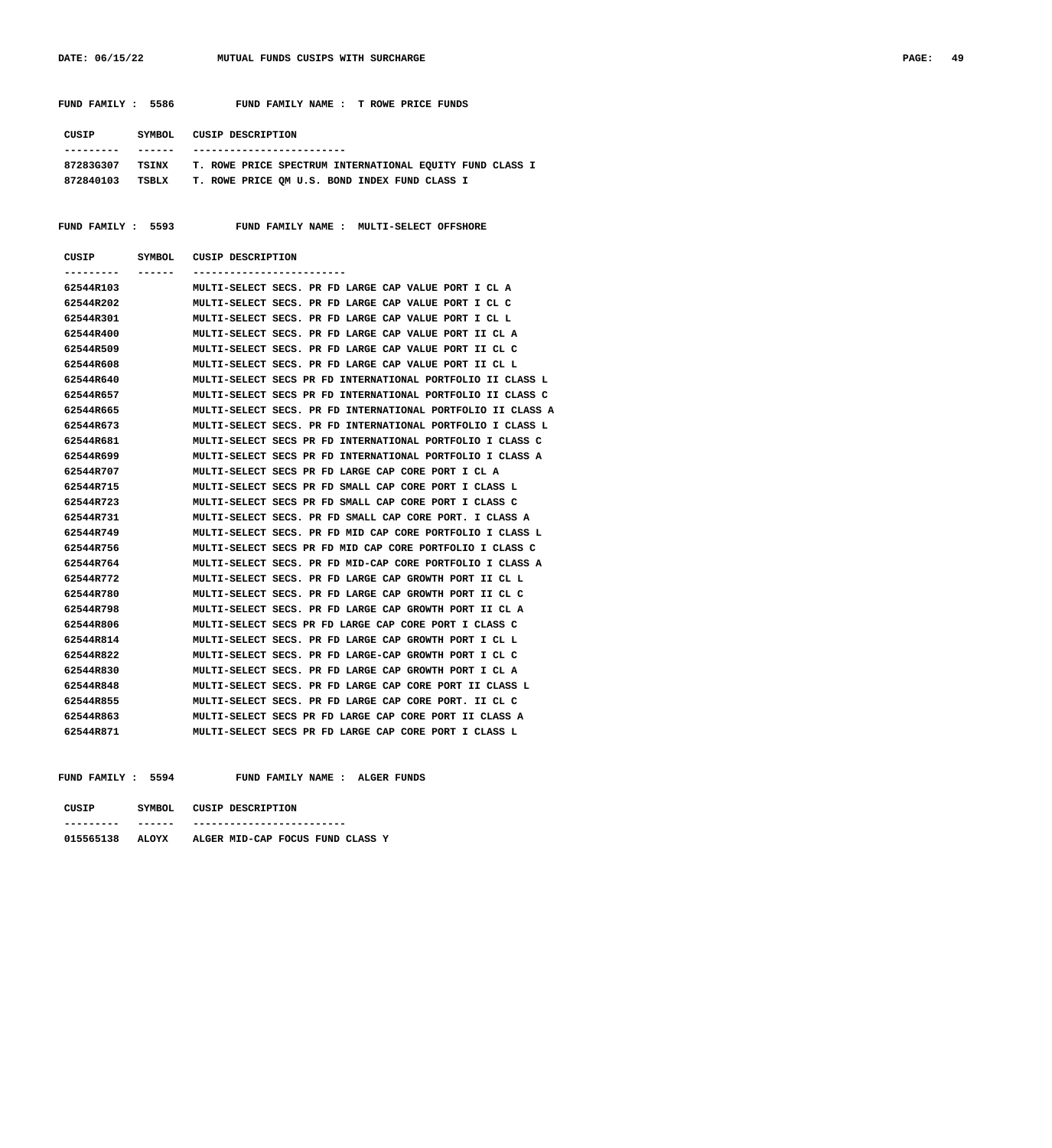| FUND FAMILY : 5586 | FUND FAMILY NAME : T ROWE PRICE FUNDS                           |
|--------------------|-----------------------------------------------------------------|
| CUSIP<br>SYMBOL    | <b>CUSIP DESCRIPTION</b>                                        |
|                    |                                                                 |
| 87283G307<br>TSINX | <b>T. ROWE PRICE SPECTRUM INTERNATIONAL EQUITY FUND CLASS I</b> |
| 872840103<br>TSBLX | T. ROWE PRICE OM U.S. BOND INDEX FUND CLASS I                   |
|                    | FUND FAMILY : 5593 FUND FAMILY NAME : MULTI-SELECT OFFSHORE     |
| CUSIP<br>SYMBOL    | CUSIP DESCRIPTION                                               |
|                    |                                                                 |
| 62544R103          | MULTI-SELECT SECS. PR FD LARGE CAP VALUE PORT I CL A            |
| 62544R202          | MULTI-SELECT SECS. PR FD LARGE CAP VALUE PORT I CL C            |

| 62544R202 | MULTI-SELECT SECS. PR FD LARGE CAP VALUE PORT I CL C        |
|-----------|-------------------------------------------------------------|
| 62544R301 | MULTI-SELECT SECS. PR FD LARGE CAP VALUE PORT I CL L        |
| 62544R400 | MULTI-SELECT SECS. PR FD LARGE CAP VALUE PORT II CL A       |
| 62544R509 | MULTI-SELECT SECS. PR FD LARGE CAP VALUE PORT II CL C       |
| 62544R608 | MULTI-SELECT SECS. PR FD LARGE CAP VALUE PORT II CL L       |
| 62544R640 | MULTI-SELECT SECS PR FD INTERNATIONAL PORTFOLIO II CLASS L  |
| 62544R657 | MULTI-SELECT SECS PR FD INTERNATIONAL PORTFOLIO II CLASS C  |
| 62544R665 | MULTI-SELECT SECS. PR FD INTERNATIONAL PORTFOLIO II CLASS A |
| 62544R673 | MULTI-SELECT SECS. PR FD INTERNATIONAL PORTFOLIO I CLASS L  |
| 62544R681 | MULTI-SELECT SECS PR FD INTERNATIONAL PORTFOLIO I CLASS C   |
| 62544R699 | MULTI-SELECT SECS PR FD INTERNATIONAL PORTFOLIO I CLASS A   |
| 62544R707 | MULTI-SELECT SECS PR FD LARGE CAP CORE PORT I CL A          |
| 62544R715 | MULTI-SELECT SECS PR FD SMALL CAP CORE PORT I CLASS L       |
| 62544R723 | MULTI-SELECT SECS PR FD SMALL CAP CORE PORT I CLASS C       |
| 62544R731 | MULTI-SELECT SECS. PR FD SMALL CAP CORE PORT. I CLASS A     |
| 62544R749 | MULTI-SELECT SECS. PR FD MID CAP CORE PORTFOLIO I CLASS L   |
| 62544R756 | MULTI-SELECT SECS PR FD MID CAP CORE PORTFOLIO I CLASS C    |
| 62544R764 | MULTI-SELECT SECS. PR FD MID-CAP CORE PORTFOLIO I CLASS A   |
| 62544R772 | MULTI-SELECT SECS. PR FD LARGE CAP GROWTH PORT II CL L      |
| 62544R780 | MULTI-SELECT SECS. PR FD LARGE CAP GROWTH PORT II CL C      |
| 62544R798 | MULTI-SELECT SECS. PR FD LARGE CAP GROWTH PORT II CL A      |
| 62544R806 | MULTI-SELECT SECS PR FD LARGE CAP CORE PORT I CLASS C       |
| 62544R814 | MULTI-SELECT SECS. PR FD LARGE CAP GROWTH PORT I CL L       |
| 62544R822 | MULTI-SELECT SECS. PR FD LARGE-CAP GROWTH PORT I CL C       |
| 62544R830 | MULTI-SELECT SECS. PR FD LARGE CAP GROWTH PORT I CL A       |
| 62544R848 | MULTI-SELECT SECS. PR FD LARGE CAP CORE PORT II CLASS L     |
| 62544R855 | MULTI-SELECT SECS. PR FD LARGE CAP CORE PORT. II CL C       |
| 62544R863 | MULTI-SELECT SECS PR FD LARGE CAP CORE PORT II CLASS A      |
| 62544R871 | MULTI-SELECT SECS PR FD LARGE CAP CORE PORT I CLASS L       |

# **FUND FAMILY : 5594 FUND FAMILY NAME : ALGER FUNDS**

| CUSIP     | SYMBOL. | CUSIP DESCRIPTION                |
|-----------|---------|----------------------------------|
|           |         |                                  |
| 015565138 | ALOYX   | ALGER MID-CAP FOCUS FUND CLASS Y |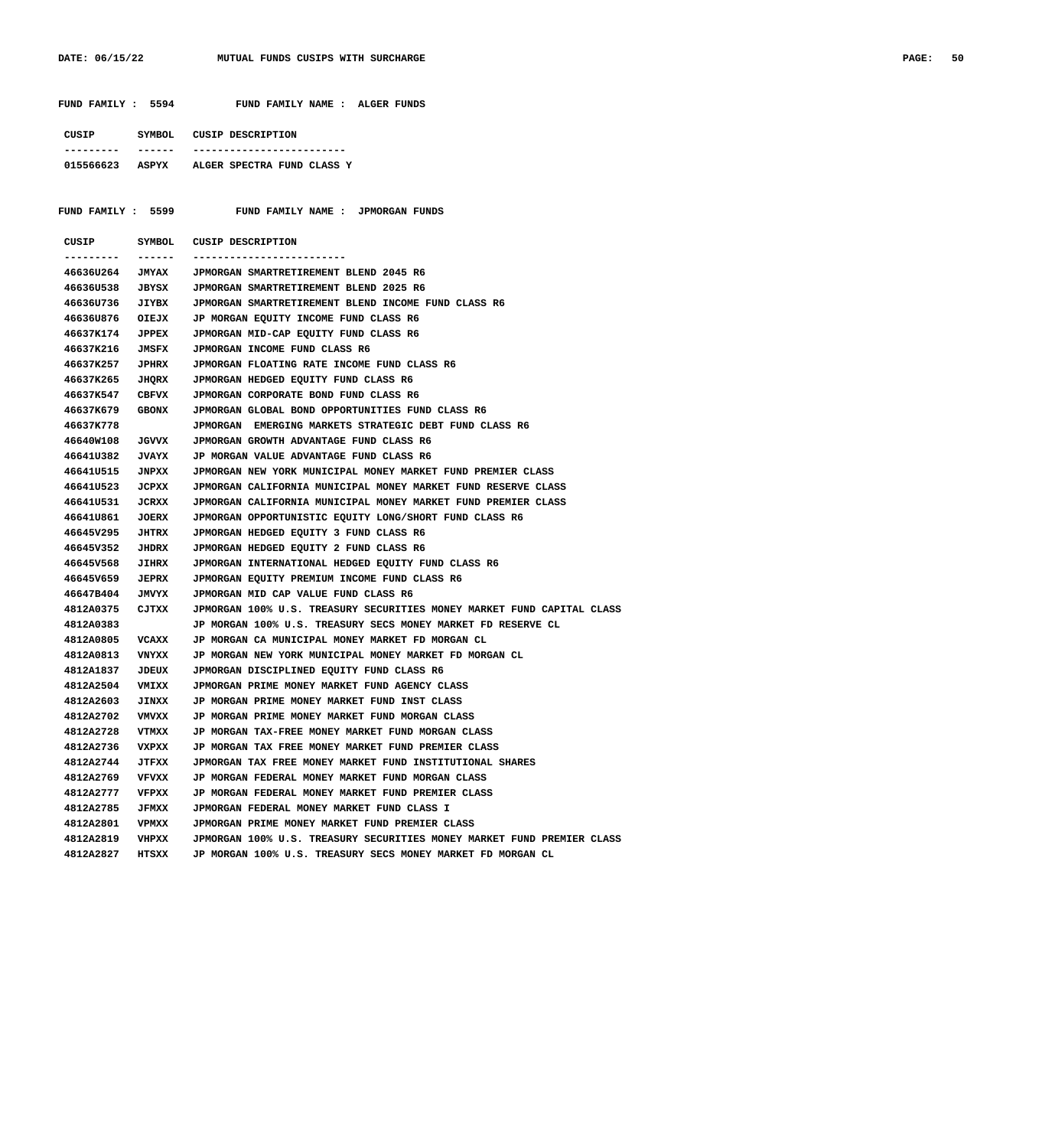|                  |              | FUND FAMILY : 5594 FUND FAMILY NAME : ALGER FUNDS                      |
|------------------|--------------|------------------------------------------------------------------------|
|                  |              | CUSIP SYMBOL CUSIP DESCRIPTION                                         |
| --------- ------ |              | -------------------------                                              |
|                  |              | 015566623 ASPYX ALGER SPECTRA FUND CLASS Y                             |
|                  |              | FUND FAMILY : 5599 FUND FAMILY NAME : JPMORGAN FUNDS                   |
| CUSIP            |              | SYMBOL CUSIP DESCRIPTION                                               |
| ----------       | -------      | -------------------------                                              |
| 466360264        | <b>JMYAX</b> | JPMORGAN SMARTRETIREMENT BLEND 2045 R6                                 |
| 466360538        | JBYSX        | JPMORGAN SMARTRETIREMENT BLEND 2025 R6                                 |
| 46636U736        | JIYBX        | JPMORGAN SMARTRETIREMENT BLEND INCOME FUND CLASS R6                    |
| 466360876        | OIEJX        | JP MORGAN EQUITY INCOME FUND CLASS R6                                  |
| 46637K174        | <b>JPPEX</b> | JPMORGAN MID-CAP EQUITY FUND CLASS R6                                  |
| 46637K216        | JMSFX        | JPMORGAN INCOME FUND CLASS R6                                          |
| 46637K257        | <b>JPHRX</b> | JPMORGAN FLOATING RATE INCOME FUND CLASS R6                            |
| 46637K265        | <b>JHQRX</b> | JPMORGAN HEDGED EQUITY FUND CLASS R6                                   |
| 46637K547        | CBFVX        | JPMORGAN CORPORATE BOND FUND CLASS R6                                  |
| 46637K679        | <b>GBONX</b> | JPMORGAN GLOBAL BOND OPPORTUNITIES FUND CLASS R6                       |
| 46637K778        |              | JPMORGAN EMERGING MARKETS STRATEGIC DEBT FUND CLASS R6                 |
| 46640W108        | <b>JGVVX</b> | JPMORGAN GROWTH ADVANTAGE FUND CLASS R6                                |
| 46641U382        | <b>JVAYX</b> | JP MORGAN VALUE ADVANTAGE FUND CLASS R6                                |
| 46641U515        | JNPXX        | JPMORGAN NEW YORK MUNICIPAL MONEY MARKET FUND PREMIER CLASS            |
| 46641U523        | JCPXX        | JPMORGAN CALIFORNIA MUNICIPAL MONEY MARKET FUND RESERVE CLASS          |
| 46641U531        | JCRXX        | JPMORGAN CALIFORNIA MUNICIPAL MONEY MARKET FUND PREMIER CLASS          |
| 46641U861        | <b>JOERX</b> | JPMORGAN OPPORTUNISTIC EQUITY LONG/SHORT FUND CLASS R6                 |
| 46645V295        | <b>JHTRX</b> | JPMORGAN HEDGED EQUITY 3 FUND CLASS R6                                 |
| 46645V352        | <b>JHDRX</b> | JPMORGAN HEDGED EQUITY 2 FUND CLASS R6                                 |
| 46645V568        | <b>JIHRX</b> | JPMORGAN INTERNATIONAL HEDGED EQUITY FUND CLASS R6                     |
| 46645V659        | <b>JEPRX</b> | JPMORGAN EQUITY PREMIUM INCOME FUND CLASS R6                           |
| 46647B404        | <b>JMVYX</b> | JPMORGAN MID CAP VALUE FUND CLASS R6                                   |
| 4812A0375        | CJTXX        | JPMORGAN 100% U.S. TREASURY SECURITIES MONEY MARKET FUND CAPITAL CLASS |
| 4812A0383        |              | JP MORGAN 100% U.S. TREASURY SECS MONEY MARKET FD RESERVE CL           |
| 4812A0805        | <b>VCAXX</b> | JP MORGAN CA MUNICIPAL MONEY MARKET FD MORGAN CL                       |
| 4812A0813        | VNYXX        | JP MORGAN NEW YORK MUNICIPAL MONEY MARKET FD MORGAN CL                 |
| 4812A1837        | <b>JDEUX</b> | JPMORGAN DISCIPLINED EQUITY FUND CLASS R6                              |
| 4812A2504        | VMIXX        | JPMORGAN PRIME MONEY MARKET FUND AGENCY CLASS                          |
| 4812A2603        | <b>JINXX</b> | JP MORGAN PRIME MONEY MARKET FUND INST CLASS                           |
| 4812A2702        | VMVXX        | JP MORGAN PRIME MONEY MARKET FUND MORGAN CLASS                         |
| 4812A2728        | VTMXX        | JP MORGAN TAX-FREE MONEY MARKET FUND MORGAN CLASS                      |
| 4812A2736        | VXPXX        | JP MORGAN TAX FREE MONEY MARKET FUND PREMIER CLASS                     |
| 4812A2744        | JTFXX        | JPMORGAN TAX FREE MONEY MARKET FUND INSTITUTIONAL SHARES               |
| 4812A2769        | VFVXX        | JP MORGAN FEDERAL MONEY MARKET FUND MORGAN CLASS                       |
| 4812A2777        | VFPXX        | JP MORGAN FEDERAL MONEY MARKET FUND PREMIER CLASS                      |
|                  |              | JPMORGAN FEDERAL MONEY MARKET FUND CLASS I                             |
| 4812A2785        | <b>JFMXX</b> |                                                                        |
| 4812A2801        | VPMXX        | JPMORGAN PRIME MONEY MARKET FUND PREMIER CLASS                         |
| 4812A2819        | VHPXX        | JPMORGAN 100% U.S. TREASURY SECURITIES MONEY MARKET FUND PREMIER CLASS |
| 4812A2827        | HTSXX        | JP MORGAN 100% U.S. TREASURY SECS MONEY MARKET FD MORGAN CL            |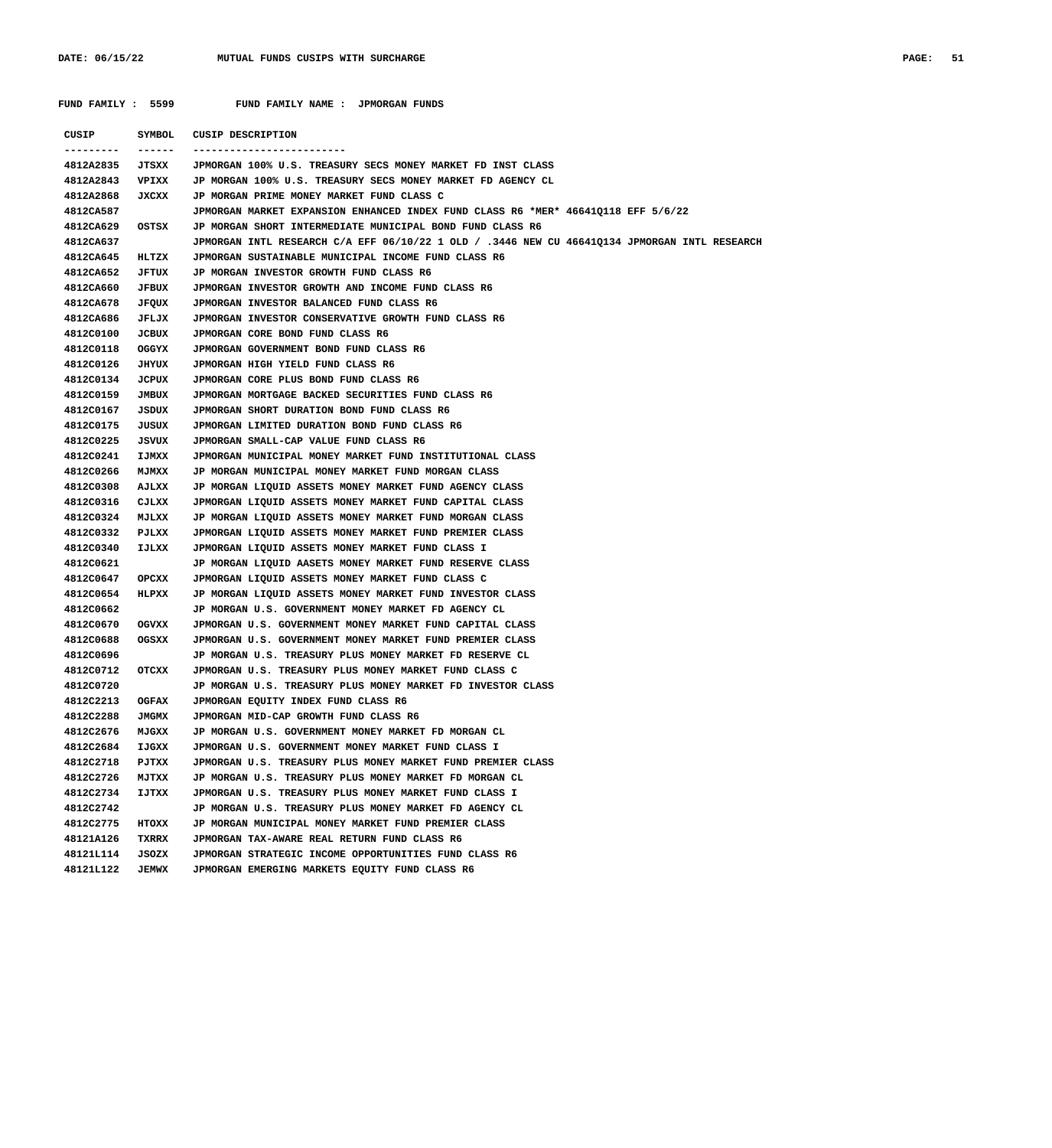FUND FAMILY : 5599 FUND FAMILY NAME : JPMORGAN FUNDS

 **CUSIP SYMBOL CUSIP DESCRIPTION --------- ------ ------------------------- 4812A2835 JTSXX JPMORGAN 100% U.S. TREASURY SECS MONEY MARKET FD INST CLASS 4812A2843 VPIXX JP MORGAN 100% U.S. TREASURY SECS MONEY MARKET FD AGENCY CL 4812A2868 JXCXX JP MORGAN PRIME MONEY MARKET FUND CLASS C 4812CA587 JPMORGAN MARKET EXPANSION ENHANCED INDEX FUND CLASS R6 \*MER\* 46641Q118 EFF 5/6/22 4812CA629 OSTSX JP MORGAN SHORT INTERMEDIATE MUNICIPAL BOND FUND CLASS R6 4812CA637 JPMORGAN INTL RESEARCH C/A EFF 06/10/22 1 OLD / .3446 NEW CU 46641Q134 JPMORGAN INTL RESEARCH 4812CA645 HLTZX JPMORGAN SUSTAINABLE MUNICIPAL INCOME FUND CLASS R6 4812CA652 JFTUX JP MORGAN INVESTOR GROWTH FUND CLASS R6 4812CA660 JFBUX JPMORGAN INVESTOR GROWTH AND INCOME FUND CLASS R6 4812CA678 JFQUX JPMORGAN INVESTOR BALANCED FUND CLASS R6 4812CA686 JFLJX JPMORGAN INVESTOR CONSERVATIVE GROWTH FUND CLASS R6 4812C0100 JCBUX JPMORGAN CORE BOND FUND CLASS R6 4812C0118 OGGYX JPMORGAN GOVERNMENT BOND FUND CLASS R6 4812C0126 JHYUX JPMORGAN HIGH YIELD FUND CLASS R6 4812C0134 JCPUX JPMORGAN CORE PLUS BOND FUND CLASS R6 4812C0159 JMBUX JPMORGAN MORTGAGE BACKED SECURITIES FUND CLASS R6 4812C0167 JSDUX JPMORGAN SHORT DURATION BOND FUND CLASS R6 4812C0175 JUSUX JPMORGAN LIMITED DURATION BOND FUND CLASS R6 4812C0225 JSVUX JPMORGAN SMALL-CAP VALUE FUND CLASS R6 4812C0241 IJMXX JPMORGAN MUNICIPAL MONEY MARKET FUND INSTITUTIONAL CLASS 4812C0266 MJMXX JP MORGAN MUNICIPAL MONEY MARKET FUND MORGAN CLASS 4812C0308 AJLXX JP MORGAN LIQUID ASSETS MONEY MARKET FUND AGENCY CLASS 4812C0316 CJLXX JPMORGAN LIQUID ASSETS MONEY MARKET FUND CAPITAL CLASS 4812C0324 MJLXX JP MORGAN LIQUID ASSETS MONEY MARKET FUND MORGAN CLASS 4812C0332 PJLXX JPMORGAN LIQUID ASSETS MONEY MARKET FUND PREMIER CLASS 4812C0340 IJLXX JPMORGAN LIQUID ASSETS MONEY MARKET FUND CLASS I 4812C0621 JP MORGAN LIQUID AASETS MONEY MARKET FUND RESERVE CLASS 4812C0647 OPCXX JPMORGAN LIQUID ASSETS MONEY MARKET FUND CLASS C 4812C0654 HLPXX JP MORGAN LIQUID ASSETS MONEY MARKET FUND INVESTOR CLASS 4812C0662 JP MORGAN U.S. GOVERNMENT MONEY MARKET FD AGENCY CL 4812C0670 OGVXX JPMORGAN U.S. GOVERNMENT MONEY MARKET FUND CAPITAL CLASS 4812C0688 OGSXX JPMORGAN U.S. GOVERNMENT MONEY MARKET FUND PREMIER CLASS 4812C0696 JP MORGAN U.S. TREASURY PLUS MONEY MARKET FD RESERVE CL 4812C0712 OTCXX JPMORGAN U.S. TREASURY PLUS MONEY MARKET FUND CLASS C 4812C0720 JP MORGAN U.S. TREASURY PLUS MONEY MARKET FD INVESTOR CLASS 4812C2213 OGFAX JPMORGAN EQUITY INDEX FUND CLASS R6 4812C2288 JMGMX JPMORGAN MID-CAP GROWTH FUND CLASS R6 4812C2676 MJGXX JP MORGAN U.S. GOVERNMENT MONEY MARKET FD MORGAN CL 4812C2684 IJGXX JPMORGAN U.S. GOVERNMENT MONEY MARKET FUND CLASS I 4812C2718 PJTXX JPMORGAN U.S. TREASURY PLUS MONEY MARKET FUND PREMIER CLASS 4812C2726 MJTXX JP MORGAN U.S. TREASURY PLUS MONEY MARKET FD MORGAN CL 4812C2734 IJTXX JPMORGAN U.S. TREASURY PLUS MONEY MARKET FUND CLASS I 4812C2742 JP MORGAN U.S. TREASURY PLUS MONEY MARKET FD AGENCY CL 4812C2775 HTOXX JP MORGAN MUNICIPAL MONEY MARKET FUND PREMIER CLASS 48121A126 TXRRX JPMORGAN TAX-AWARE REAL RETURN FUND CLASS R6 48121L114 JSOZX JPMORGAN STRATEGIC INCOME OPPORTUNITIES FUND CLASS R6 48121L122 JEMWX JPMORGAN EMERGING MARKETS EQUITY FUND CLASS R6**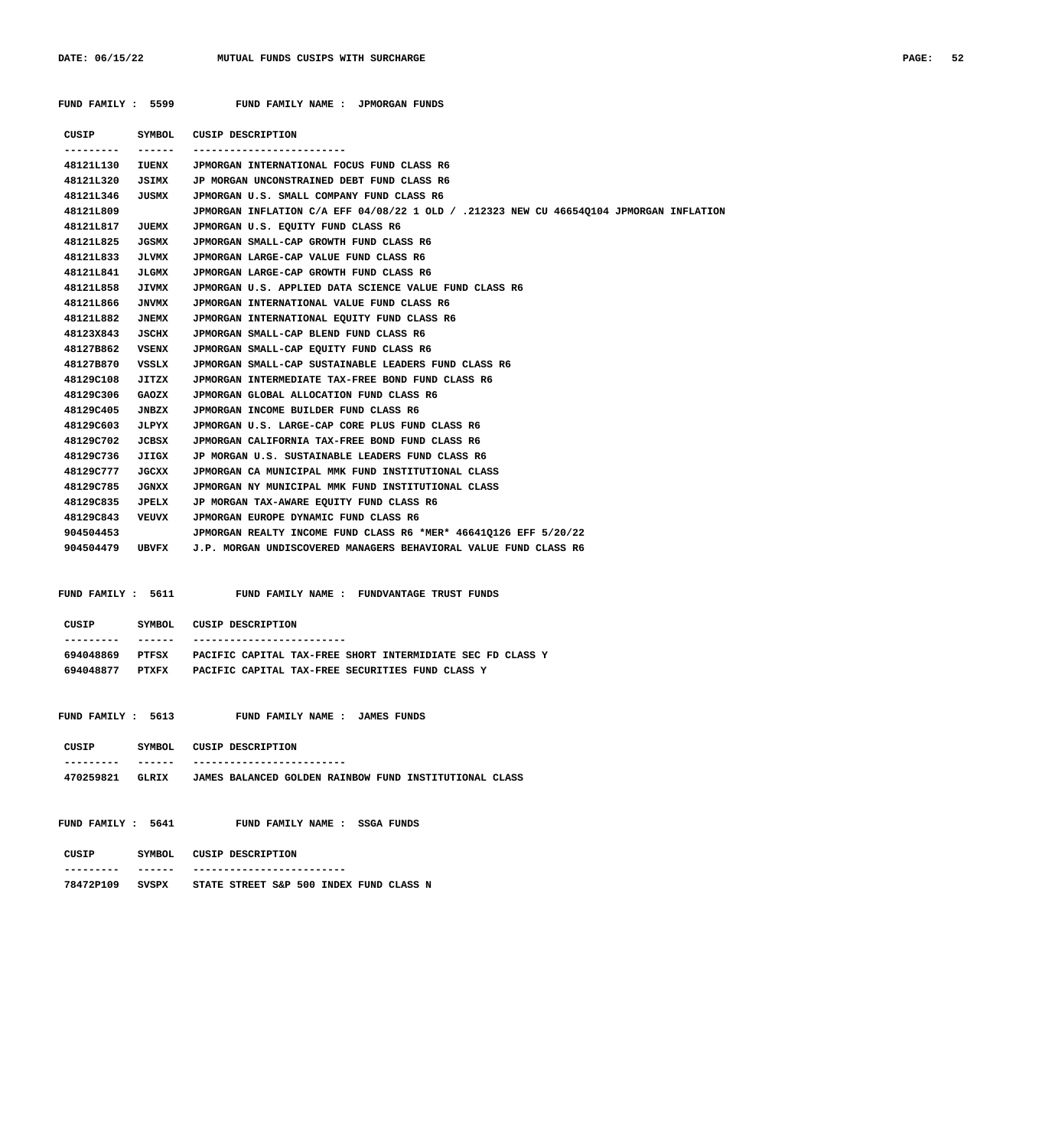| CUSIP SYMBOL<br>--------- | $- - - - - -$ | <b>CUSIP DESCRIPTION</b>                                                                |
|---------------------------|---------------|-----------------------------------------------------------------------------------------|
| 48121L130                 | IUENX         | JPMORGAN INTERNATIONAL FOCUS FUND CLASS R6                                              |
| 48121L320                 | JSIMX         | JP MORGAN UNCONSTRAINED DEBT FUND CLASS R6                                              |
| 48121L346                 | JUSMX         | JPMORGAN U.S. SMALL COMPANY FUND CLASS R6                                               |
| 48121L809                 |               | JPMORGAN INFLATION C/A EFF 04/08/22 1 OLD / .212323 NEW CU 466540104 JPMORGAN INFLATION |
| 48121L817                 | JUEMX         | JPMORGAN U.S. EQUITY FUND CLASS R6                                                      |
| 48121L825                 | JGSMX         | JPMORGAN SMALL-CAP GROWTH FUND CLASS R6                                                 |
| 48121L833                 | <b>JLVMX</b>  | JPMORGAN LARGE-CAP VALUE FUND CLASS R6                                                  |
| 48121L841                 | JLGMX         | JPMORGAN LARGE-CAP GROWTH FUND CLASS R6                                                 |
| 48121L858                 | <b>JIVMX</b>  | JPMORGAN U.S. APPLIED DATA SCIENCE VALUE FUND CLASS R6                                  |
| 48121L866                 | <b>JNVMX</b>  | JPMORGAN INTERNATIONAL VALUE FUND CLASS R6                                              |
| 48121L882                 | <b>JNEMX</b>  | JPMORGAN INTERNATIONAL EQUITY FUND CLASS R6                                             |
| 48123X843                 | JSCIIX        | JPMORGAN SMALL-CAP BLEND FUND CLASS R6                                                  |
| 48127B862                 | <b>VSENX</b>  | JPMORGAN SMALL-CAP EQUITY FUND CLASS R6                                                 |
| 48127B870                 | VSSLX         | JPMORGAN SMALL-CAP SUSTAINABLE LEADERS FUND CLASS R6                                    |
| 48129C108                 | <b>JITZX</b>  | JPMORGAN INTERMEDIATE TAX-FREE BOND FUND CLASS R6                                       |
| 48129C306                 | GAOZX         | JPMORGAN GLOBAL ALLOCATION FUND CLASS R6                                                |
| 48129C405                 | JNBZX         | JPMORGAN INCOME BUILDER FUND CLASS R6                                                   |
| 48129C603                 | JLPYX         | JPMORGAN U.S. LARGE-CAP CORE PLUS FUND CLASS R6                                         |
| 48129C702                 | JCBSX         | JPMORGAN CALIFORNIA TAX-FREE BOND FUND CLASS R6                                         |
| 48129C736                 | JIIGX         | JP MORGAN U.S. SUSTAINABLE LEADERS FUND CLASS R6                                        |
| 48129C777                 | <b>JGCXX</b>  | JPMORGAN CA MUNICIPAL MMK FUND INSTITUTIONAL CLASS                                      |
| 48129C785                 | <b>JGNXX</b>  | JPMORGAN NY MUNICIPAL MMK FUND INSTITUTIONAL CLASS                                      |
| 48129C835                 | JPELX         | JP MORGAN TAX-AWARE EQUITY FUND CLASS R6                                                |
| 48129C843                 | <b>VEUVX</b>  | JPMORGAN EUROPE DYNAMIC FUND CLASS R6                                                   |
| 904504453                 |               | JPMORGAN REALTY INCOME FUND CLASS R6 *MER* 46641Q126 EFF 5/20/22                        |
| 904504479 UBVFX           |               | J.P. MORGAN UNDISCOVERED MANAGERS BEHAVIORAL VALUE FUND CLASS R6                        |
|                           |               | FUND FAMILY: 5611 FUND FAMILY NAME: FUNDVANTAGE TRUST FUNDS                             |
|                           |               |                                                                                         |
|                           |               | CUSIP SYMBOL CUSIP DESCRIPTION                                                          |
| ----------                |               |                                                                                         |
| 694048869                 | PTFSX         | PACIFIC CAPITAL TAX-FREE SHORT INTERMIDIATE SEC FD CLASS Y                              |

| FUND FAMILY : 5613 |  | FUND FAMILY NAME : JAMES FUNDS |  |  |
|--------------------|--|--------------------------------|--|--|
|                    |  |                                |  |  |

| CUSIP     | SYMBOL | CUSIP DESCRIPTION |  |                                                        |  |
|-----------|--------|-------------------|--|--------------------------------------------------------|--|
|           |        |                   |  |                                                        |  |
| 470259821 | GLRTX  |                   |  | JAMES BALANCED GOLDEN RAINBOW FUND INSTITUTIONAL CLASS |  |

 **FUND FAMILY : 5641 FUND FAMILY NAME : SSGA FUNDS**

| CUSIP     | SYMBOL. | CUSIP DESCRIPTION                       |
|-----------|---------|-----------------------------------------|
|           | ------  | ---------------                         |
| 78472P109 | SVSPX   | STATE STREET S&P 500 INDEX FUND CLASS N |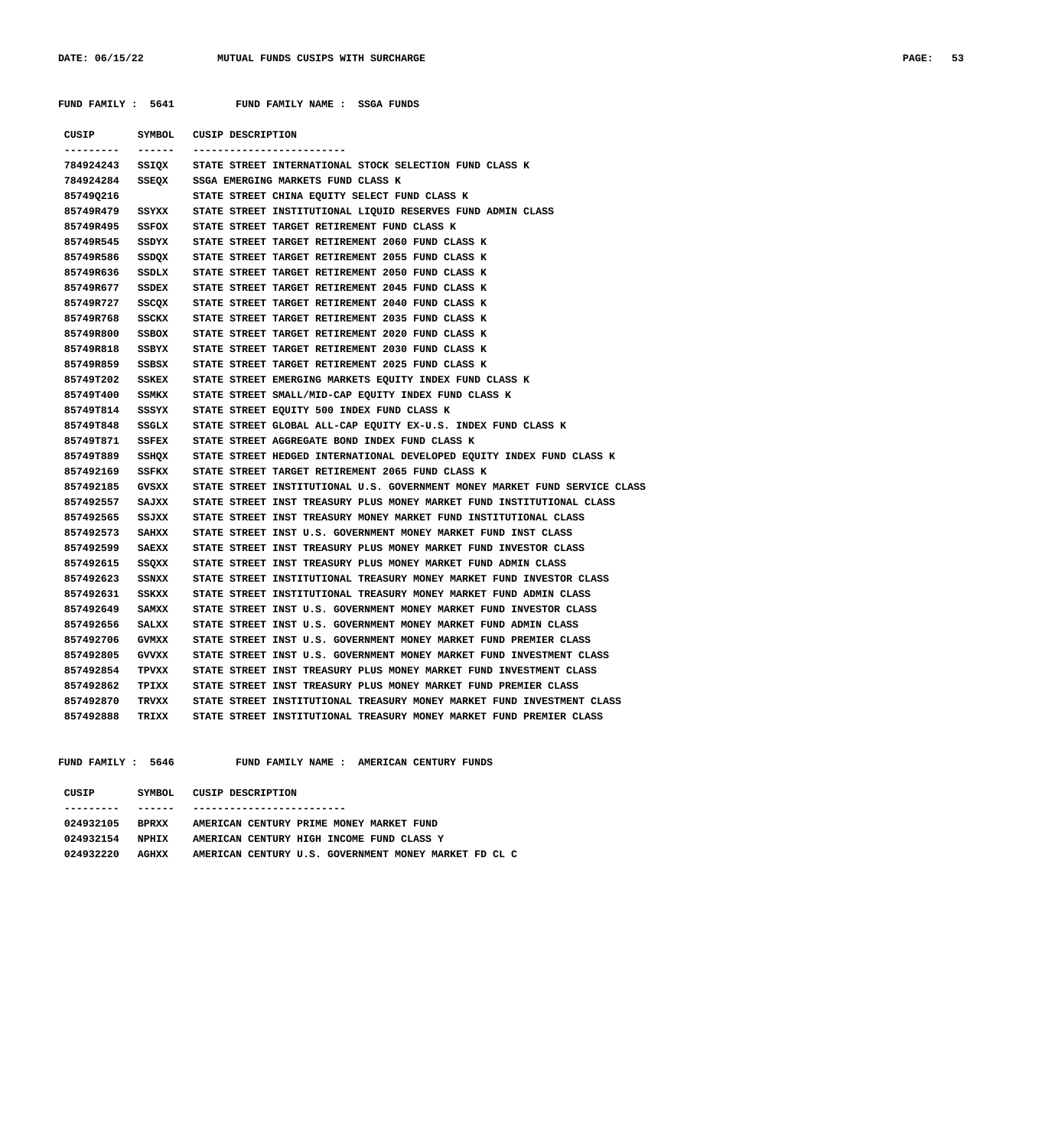| FUND FAMILY : 5641 |              | FUND FAMILY NAME : SSGA FUNDS                                              |
|--------------------|--------------|----------------------------------------------------------------------------|
| CUSIP              |              | SYMBOL CUSIP DESCRIPTION                                                   |
|                    |              | ------------------------                                                   |
| 784924243          |              | SSIQX STATE STREET INTERNATIONAL STOCK SELECTION FUND CLASS K              |
| 784924284          | SSEQX        | SSGA EMERGING MARKETS FUND CLASS K                                         |
| 857490216          |              | STATE STREET CHINA EQUITY SELECT FUND CLASS K                              |
| 85749R479          | SSYXX        | STATE STREET INSTITUTIONAL LIQUID RESERVES FUND ADMIN CLASS                |
| 85749R495          | SSFOX        | STATE STREET TARGET RETIREMENT FUND CLASS K                                |
| 85749R545          | SSDYX        | STATE STREET TARGET RETIREMENT 2060 FUND CLASS K                           |
| 85749R586          |              | SSDQX STATE STREET TARGET RETIREMENT 2055 FUND CLASS K                     |
| 85749R636          | SSDLX        | STATE STREET TARGET RETIREMENT 2050 FUND CLASS K                           |
| 85749R677          | SSDEX        | STATE STREET TARGET RETIREMENT 2045 FUND CLASS K                           |
| 85749R727          | SSCQX        | STATE STREET TARGET RETIREMENT 2040 FUND CLASS K                           |
| 85749R768          | SSCKX        | STATE STREET TARGET RETIREMENT 2035 FUND CLASS K                           |
| 85749R800          | SSBOX        | STATE STREET TARGET RETIREMENT 2020 FUND CLASS K                           |
| 85749R818          | SSBYX        | STATE STREET TARGET RETIREMENT 2030 FUND CLASS K                           |
| 85749R859          | SSBSX        | STATE STREET TARGET RETIREMENT 2025 FUND CLASS K                           |
| 85749T202          | SSKEX        | STATE STREET EMERGING MARKETS EQUITY INDEX FUND CLASS K                    |
| 85749T400          | <b>SSMKX</b> | STATE STREET SMALL/MID-CAP EQUITY INDEX FUND CLASS K                       |
| 85749T814          | SSSYX        | STATE STREET EQUITY 500 INDEX FUND CLASS K                                 |
| 85749T848          | SSGLX        | STATE STREET GLOBAL ALL-CAP EQUITY EX-U.S. INDEX FUND CLASS K              |
| 85749T871          | SSFEX        | STATE STREET AGGREGATE BOND INDEX FUND CLASS K                             |
| 85749T889          | SSHQX        | STATE STREET HEDGED INTERNATIONAL DEVELOPED EQUITY INDEX FUND CLASS K      |
| 857492169          | SSFKX        | STATE STREET TARGET RETIREMENT 2065 FUND CLASS K                           |
| 857492185          | <b>GVSXX</b> | STATE STREET INSTITUTIONAL U.S. GOVERNMENT MONEY MARKET FUND SERVICE CLASS |
| 857492557          | SAJXX        | STATE STREET INST TREASURY PLUS MONEY MARKET FUND INSTITUTIONAL CLASS      |
| 857492565          | SSJXX        | STATE STREET INST TREASURY MONEY MARKET FUND INSTITUTIONAL CLASS           |
| 857492573          | SAIIXX       | STATE STREET INST U.S. GOVERNMENT MONEY MARKET FUND INST CLASS             |
| 857492599          | SAEXX        | STATE STREET INST TREASURY PLUS MONEY MARKET FUND INVESTOR CLASS           |
| 857492615          | SSQXX        | STATE STREET INST TREASURY PLUS MONEY MARKET FUND ADMIN CLASS              |
| 857492623          | SSNXX        | STATE STREET INSTITUTIONAL TREASURY MONEY MARKET FUND INVESTOR CLASS       |
| 857492631          | SSKXX        | STATE STREET INSTITUTIONAL TREASURY MONEY MARKET FUND ADMIN CLASS          |
| 857492649          | SAMXX        | STATE STREET INST U.S. GOVERNMENT MONEY MARKET FUND INVESTOR CLASS         |
| 857492656          | SALXX        | STATE STREET INST U.S. GOVERNMENT MONEY MARKET FUND ADMIN CLASS            |
| 857492706          | <b>GVMXX</b> | STATE STREET INST U.S. GOVERNMENT MONEY MARKET FUND PREMIER CLASS          |
| 857492805          | GVVXX        | STATE STREET INST U.S. GOVERNMENT MONEY MARKET FUND INVESTMENT CLASS       |
| 857492854          | TPVXX        | STATE STREET INST TREASURY PLUS MONEY MARKET FUND INVESTMENT CLASS         |
| 857492862          | TPIXX        | STATE STREET INST TREASURY PLUS MONEY MARKET FUND PREMIER CLASS            |
| 857492870          | TRVXX        | STATE STREET INSTITUTIONAL TREASURY MONEY MARKET FUND INVESTMENT CLASS     |
| 857492888          | TRIXX        | STATE STREET INSTITUTIONAL TREASURY MONEY MARKET FUND PREMIER CLASS        |

 **FUND FAMILY : 5646 FUND FAMILY NAME : AMERICAN CENTURY FUNDS**

| CUSIP     | SYMBOL.      | CUSIP DESCRIPTION                                     |
|-----------|--------------|-------------------------------------------------------|
|           |              |                                                       |
| 024932105 | <b>BPRXX</b> | AMERICAN CENTURY PRIME MONEY MARKET FUND              |
| 024932154 | NPHTX        | AMERICAN CENTURY HIGH INCOME FUND CLASS Y             |
| 024932220 | AGHXX        | AMERICAN CENTURY U.S. GOVERNMENT MONEY MARKET FD CL C |
|           |              |                                                       |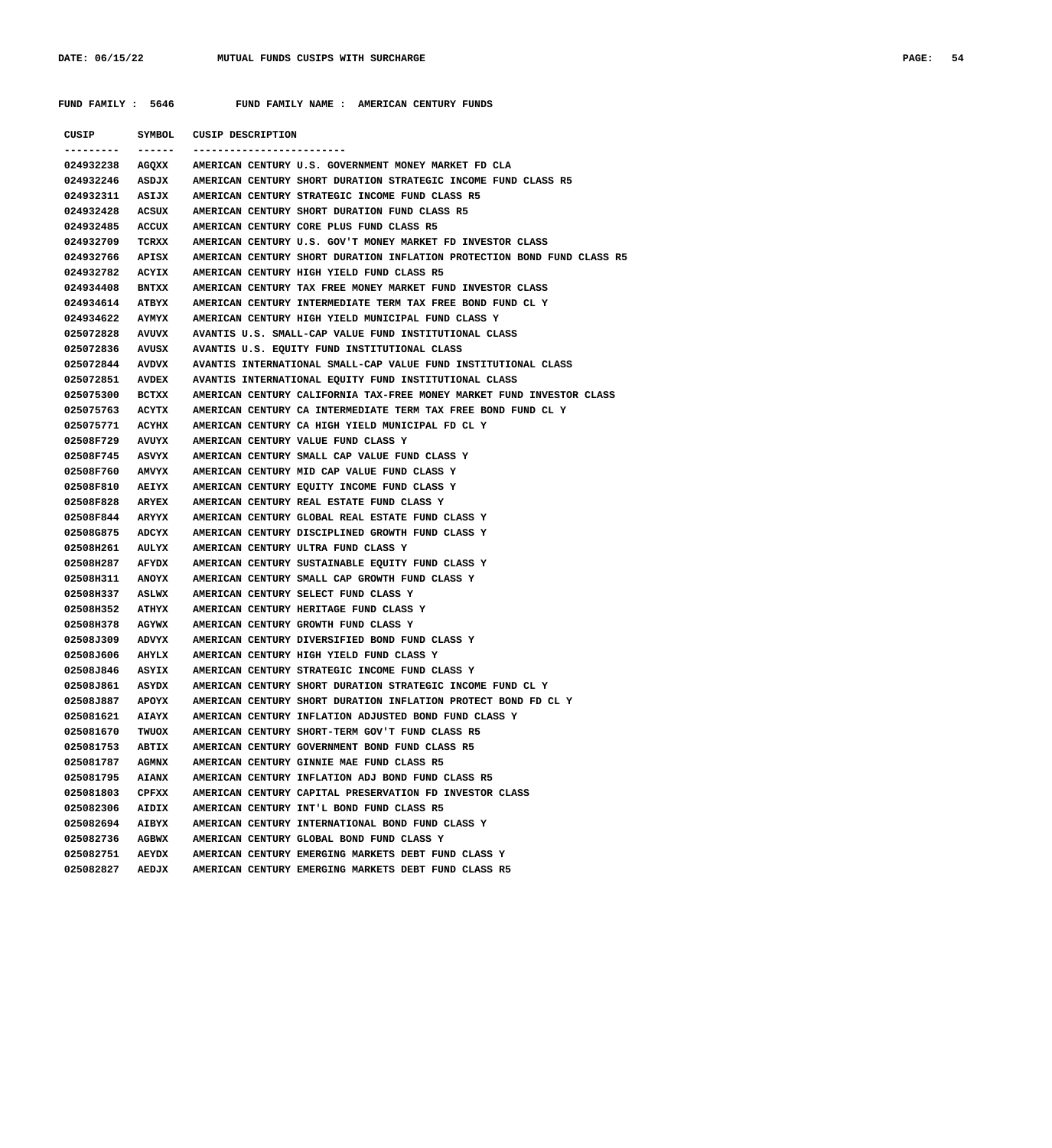**FUND FAMILY : 5646 FUND FAMILY NAME : AMERICAN CENTURY FUNDS**

| CUSIP           | SYMBOL       | CUSIP DESCRIPTION                                                       |
|-----------------|--------------|-------------------------------------------------------------------------|
| 024932238       | AGQXX        | AMERICAN CENTURY U.S. GOVERNMENT MONEY MARKET FD CLA                    |
| 024932246       | <b>ASDJX</b> | AMERICAN CENTURY SHORT DURATION STRATEGIC INCOME FUND CLASS R5          |
| 024932311       | ASIJX        | AMERICAN CENTURY STRATEGIC INCOME FUND CLASS R5                         |
| 024932428       | ACSUX        | AMERICAN CENTURY SHORT DURATION FUND CLASS R5                           |
| 024932485       | ACCUX        | AMERICAN CENTURY CORE PLUS FUND CLASS R5                                |
| 024932709       | TCRXX        | AMERICAN CENTURY U.S. GOV'T MONEY MARKET FD INVESTOR CLASS              |
| 024932766       | APISX        | AMERICAN CENTURY SHORT DURATION INFLATION PROTECTION BOND FUND CLASS R5 |
| 024932782       | ACYIX        | AMERICAN CENTURY HIGH YIELD FUND CLASS R5                               |
| 024934408       | <b>BNTXX</b> | AMERICAN CENTURY TAX FREE MONEY MARKET FUND INVESTOR CLASS              |
| 024934614       | ATBYX        | AMERICAN CENTURY INTERMEDIATE TERM TAX FREE BOND FUND CL Y              |
| 024934622       | <b>AYMYX</b> | AMERICAN CENTURY HIGH YIELD MUNICIPAL FUND CLASS Y                      |
| 025072828       | AVUVX        | AVANTIS U.S. SMALL-CAP VALUE FUND INSTITUTIONAL CLASS                   |
| 025072836       | AVUSX        | AVANTIS U.S. EQUITY FUND INSTITUTIONAL CLASS                            |
| 025072844       | AVDVX        | AVANTIS INTERNATIONAL SMALL-CAP VALUE FUND INSTITUTIONAL CLASS          |
| 025072851       | <b>AVDEX</b> | AVANTIS INTERNATIONAL EQUITY FUND INSTITUTIONAL CLASS                   |
| 025075300       | BCTXX        | AMERICAN CENTURY CALIFORNIA TAX-FREE MONEY MARKET FUND INVESTOR CLASS   |
| 025075763       | ACYTX        | AMERICAN CENTURY CA INTERMEDIATE TERM TAX FREE BOND FUND CL Y           |
| 025075771       | ACYHX        | AMERICAN CENTURY CA HIGH YIELD MUNICIPAL FD CL Y                        |
| 02508F729       | AVUYX        | AMERICAN CENTURY VALUE FUND CLASS Y                                     |
| 02508F745       | ASVYX        | AMERICAN CENTURY SMALL CAP VALUE FUND CLASS Y                           |
| 02508F760       | <b>AMVYX</b> | AMERICAN CENTURY MID CAP VALUE FUND CLASS Y                             |
| 02508F810       | <b>AEIYX</b> | AMERICAN CENTURY EQUITY INCOME FUND CLASS Y                             |
| 02508F828       | <b>ARYEX</b> | AMERICAN CENTURY REAL ESTATE FUND CLASS Y                               |
| 02508F844       | <b>ARYYX</b> | AMERICAN CENTURY GLOBAL REAL ESTATE FUND CLASS Y                        |
| 02508G875       | ADCYX        | AMERICAN CENTURY DISCIPLINED GROWTH FUND CLASS Y                        |
| 02508H261       | AULYX        | AMERICAN CENTURY ULTRA FUND CLASS Y                                     |
| 02508H287       | AFYDX        | AMERICAN CENTURY SUSTAINABLE EQUITY FUND CLASS Y                        |
| 02508H311       | <b>ANOYX</b> | AMERICAN CENTURY SMALL CAP GROWTH FUND CLASS Y                          |
| 02508H337       | <b>ASLWX</b> | AMERICAN CENTURY SELECT FUND CLASS Y                                    |
| 02508H352       | ATHYX        | AMERICAN CENTURY HERITAGE FUND CLASS Y                                  |
| 02508H378       | AGYWX        | AMERICAN CENTURY GROWTH FUND CLASS Y                                    |
| 02508J309       | <b>ADVYX</b> | AMERICAN CENTURY DIVERSIFIED BOND FUND CLASS Y                          |
| 02508J606       | AHYLX        | AMERICAN CENTURY HIGH YIELD FUND CLASS Y                                |
| 02508J846       | ASYIX        | AMERICAN CENTURY STRATEGIC INCOME FUND CLASS Y                          |
| 02508J861       | ASYDX        | AMERICAN CENTURY SHORT DURATION STRATEGIC INCOME FUND CL Y              |
| 02508J887 APOYX |              | AMERICAN CENTURY SHORT DURATION INFLATION PROTECT BOND FD CL Y          |
| 025081621       | <b>AIAYX</b> | AMERICAN CENTURY INFLATION ADJUSTED BOND FUND CLASS Y                   |
| 025081670       | TWUOX        | AMERICAN CENTURY SHORT-TERM GOV'T FUND CLASS R5                         |
| 025081753       | <b>ABTIX</b> | AMERICAN CENTURY GOVERNMENT BOND FUND CLASS R5                          |
| 025081787       | <b>AGMNX</b> | AMERICAN CENTURY GINNIE MAE FUND CLASS R5                               |
| 025081795       | <b>AIANX</b> | AMERICAN CENTURY INFLATION ADJ BOND FUND CLASS R5                       |
| 025081803       | CPFXX        | AMERICAN CENTURY CAPITAL PRESERVATION FD INVESTOR CLASS                 |
| 025082306       | AIDIX        | AMERICAN CENTURY INT'L BOND FUND CLASS R5                               |
| 025082694       | AIBYX        | AMERICAN CENTURY INTERNATIONAL BOND FUND CLASS Y                        |
| 025082736       | <b>AGBWX</b> | AMERICAN CENTURY GLOBAL BOND FUND CLASS Y                               |
| 025082751       | <b>AEYDX</b> | AMERICAN CENTURY EMERGING MARKETS DEBT FUND CLASS Y                     |
| 025082827       | <b>AEDJX</b> | AMERICAN CENTURY EMERGING MARKETS DEBT FUND CLASS R5                    |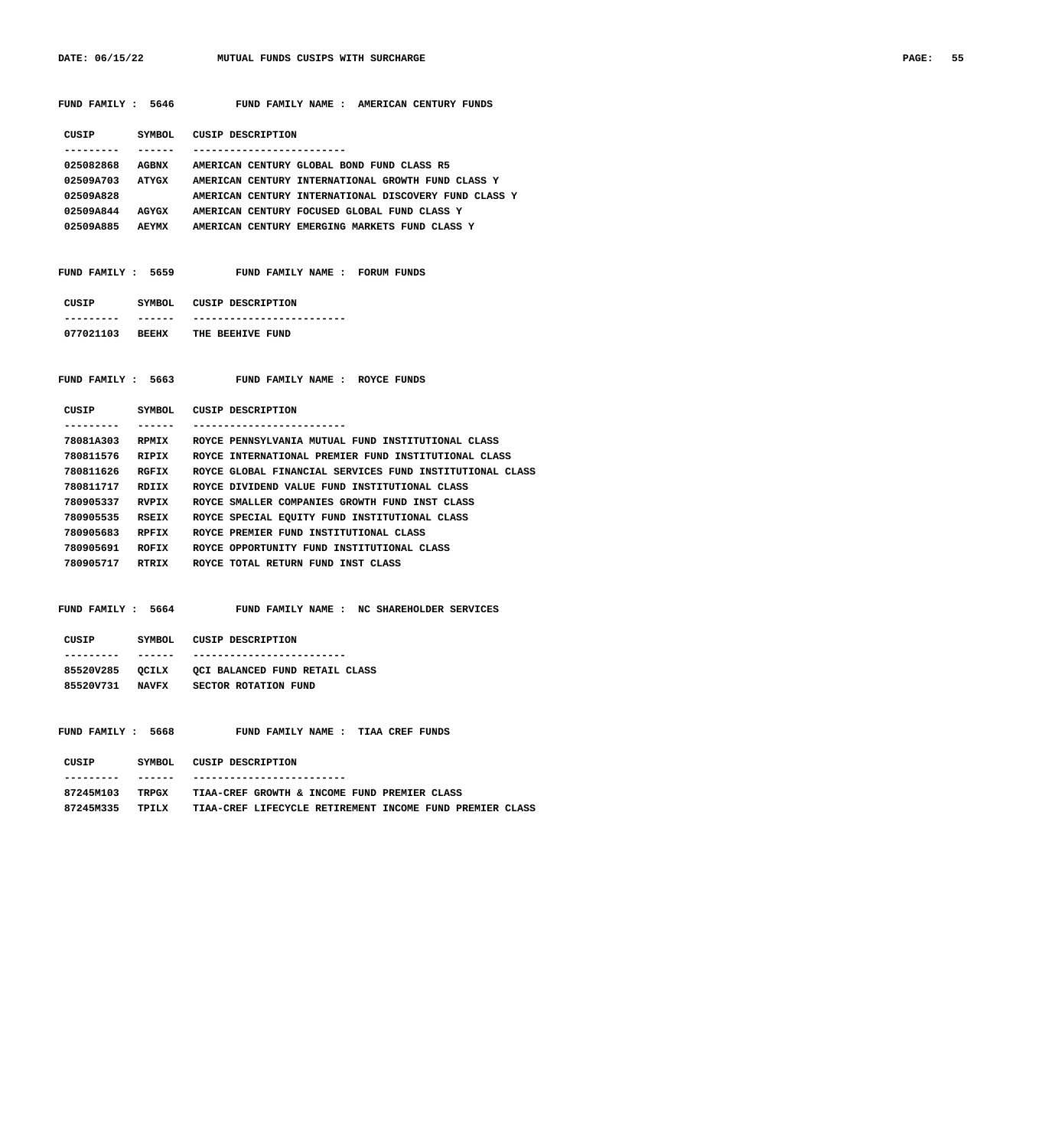DATE: 06/15/22 MUTUAL FUNDS CUSIPS WITH SURCHARGE **PAGE: 55** 

| FUND FAMILY : 5646                                    | FUND FAMILY NAME : AMERICAN CENTURY FUNDS                                                                  |
|-------------------------------------------------------|------------------------------------------------------------------------------------------------------------|
| CUSIP<br>------<br>.                                  | SYMBOL CUSIP DESCRIPTION<br>-------------------------                                                      |
| 025082868                                             | AGBNX AMERICAN CENTURY GLOBAL BOND FUND CLASS R5                                                           |
|                                                       | 02509A703 ATYGX AMERICAN CENTURY INTERNATIONAL GROWTH FUND CLASS Y                                         |
| 02509A828                                             | AMERICAN CENTURY INTERNATIONAL DISCOVERY FUND CLASS Y                                                      |
| 02509A844 AGYGX                                       | AMERICAN CENTURY FOCUSED GLOBAL FUND CLASS Y                                                               |
|                                                       | 02509A885 AEYMX AMERICAN CENTURY EMERGING MARKETS FUND CLASS Y                                             |
| FUND FAMILY : 5659                                    | FUND FAMILY NAME : FORUM FUNDS                                                                             |
| CUSIP SYMBOL CUSIP DESCRIPTION                        |                                                                                                            |
| ------<br>---------                                   | -------------------------                                                                                  |
| 077021103 BEEHX THE BEEHIVE FUND                      |                                                                                                            |
| FUND FAMILY : 5663                                    | FUND FAMILY NAME : ROYCE FUNDS                                                                             |
| CUSIP                                                 | SYMBOL CUSIP DESCRIPTION<br>--------------------------                                                     |
| ------<br>---------                                   |                                                                                                            |
| 78081A303<br><b>RPMIX</b><br>780811576<br>RIPIX       | ROYCE PENNSYLVANIA MUTUAL FUND INSTITUTIONAL CLASS<br>ROYCE INTERNATIONAL PREMIER FUND INSTITUTIONAL CLASS |
| 780811626 RGFIX                                       | ROYCE GLOBAL FINANCIAL SERVICES FUND INSTITUTIONAL CLASS                                                   |
| 780811717 RDIIX                                       | ROYCE DIVIDEND VALUE FUND INSTITUTIONAL CLASS                                                              |
| 780905337 RVPIX                                       | ROYCE SMALLER COMPANIES GROWTH FUND INST CLASS                                                             |
| 780905535<br><b>RSEIX</b>                             | ROYCE SPECIAL EQUITY FUND INSTITUTIONAL CLASS                                                              |
| 780905683<br>RPFIX                                    | ROYCE PREMIER FUND INSTITUTIONAL CLASS                                                                     |
| 780905691 ROFIX                                       | ROYCE OPPORTUNITY FUND INSTITUTIONAL CLASS                                                                 |
|                                                       | 780905717 RTRIX ROYCE TOTAL RETURN FUND INST CLASS                                                         |
|                                                       |                                                                                                            |
| FUND FAMILY : 5664                                    | FUND FAMILY NAME : NC SHAREHOLDER SERVICES                                                                 |
| CUSIP SYMBOL CUSIP DESCRIPTION<br>---------<br>------ | -------------------------                                                                                  |
|                                                       | 85520V285 QCILX QCI BALANCED FUND RETAIL CLASS                                                             |
|                                                       | 85520V731 NAVFX SECTOR ROTATION FUND                                                                       |
|                                                       |                                                                                                            |
|                                                       | FUND FAMILY : 5668 FUND FAMILY NAME : TIAA CREF FUNDS                                                      |
| CUSIP SYMBOL CUSIP DESCRIPTION                        | ------------------------                                                                                   |
| ------<br>----------                                  | 87245M103 TRPGX TIAA-CREF GROWTH & INCOME FUND PREMIER CLASS                                               |
|                                                       | 87245M335 TPILX TIAA-CREF LIFECYCLE RETIREMENT INCOME FUND PREMIER CLASS                                   |
|                                                       |                                                                                                            |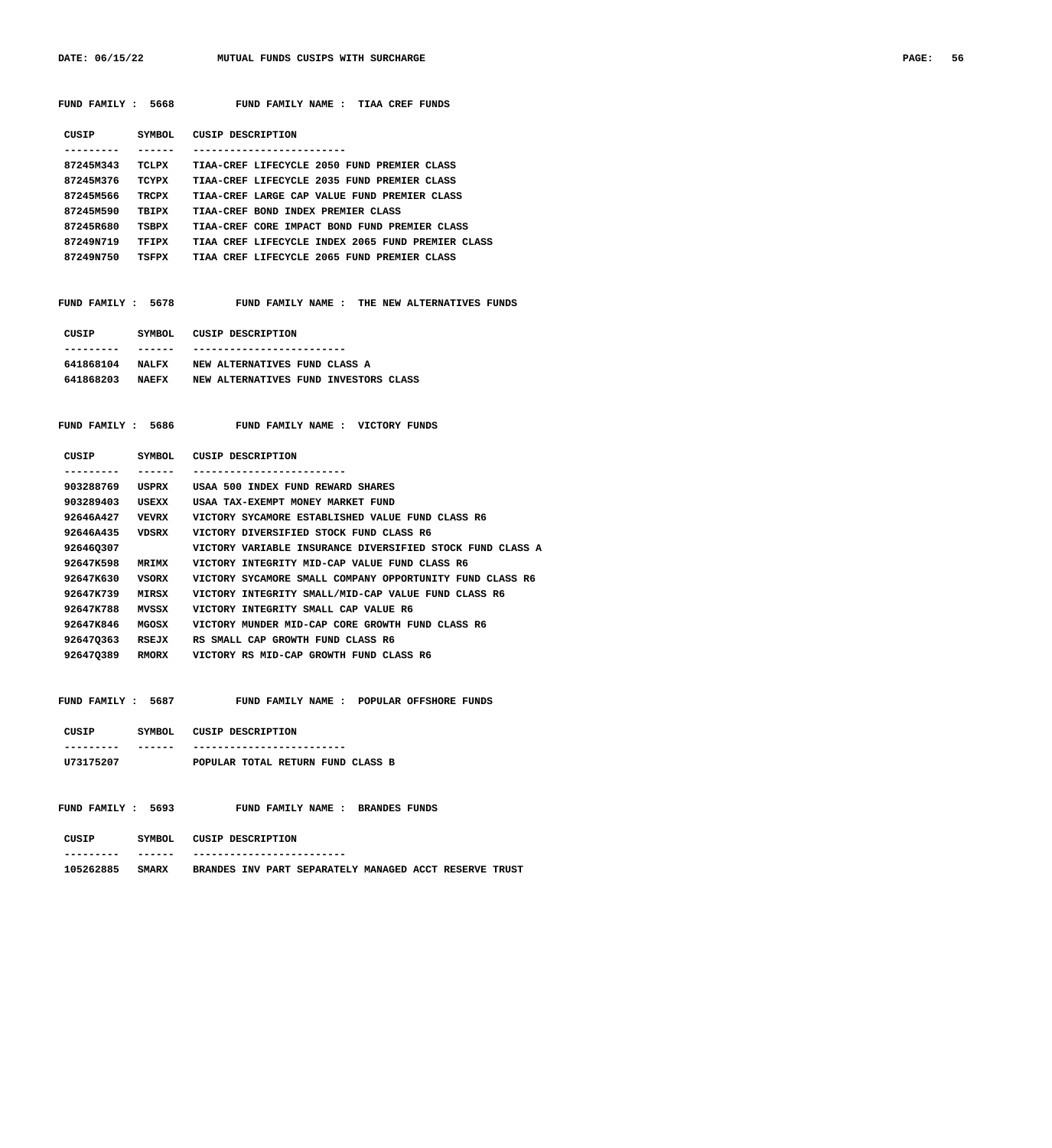DATE: 06/15/22 MUTUAL FUNDS CUSIPS WITH SURCHARGE **PAGE: 56** PAGE: 56

| FUND FAMILY : 5668 |              | FUND FAMILY NAME : TIAA CREF FUNDS                               |
|--------------------|--------------|------------------------------------------------------------------|
|                    |              | CUSIP SYMBOL CUSIP DESCRIPTION                                   |
| . _ _ _ _ _ _ _ .  | ------       |                                                                  |
| 87245M343          | TCLPX        | TIAA-CREF LIFECYCLE 2050 FUND PREMIER CLASS                      |
| 87245M376          | TCYPX        | TIAA-CREF LIFECYCLE 2035 FUND PREMIER CLASS                      |
| 87245M566          | TRCPX        | TIAA-CREF LARGE CAP VALUE FUND PREMIER CLASS                     |
| 87245M590          | TBIPX        | TIAA-CREF BOND INDEX PREMIER CLASS                               |
| 87245R680          | TSBPX        | TIAA-CREF CORE IMPACT BOND FUND PREMIER CLASS                    |
| 87249N719          | TFIPX        | TIAA CREF LIFECYCLE INDEX 2065 FUND PREMIER CLASS                |
|                    |              | 87249N750 TSFPX TIAA CREF LIFECYCLE 2065 FUND PREMIER CLASS      |
|                    |              |                                                                  |
|                    |              | FUND FAMILY : 5678 FUND FAMILY NAME : THE NEW ALTERNATIVES FUNDS |
|                    |              | CUSIP SYMBOL CUSIP DESCRIPTION                                   |
|                    | ------       | -----------------------                                          |
| 641868104 NALFX    |              | NEW ALTERNATIVES FUND CLASS A                                    |
|                    |              | 641868203 NAEFX NEW ALTERNATIVES FUND INVESTORS CLASS            |
|                    |              | FUND FAMILY : 5686 FUND FAMILY NAME : VICTORY FUNDS              |
|                    |              | CUSIP SYMBOL CUSIP DESCRIPTION                                   |
| . <u>.</u> .       | ------       | -----------------------                                          |
| 903288769          | USPRX        | USAA 500 INDEX FUND REWARD SHARES                                |
| 903289403          | USEXX        | USAA TAX-EXEMPT MONEY MARKET FUND                                |
| 92646A427          | <b>VEVRX</b> | VICTORY SYCAMORE ESTABLISHED VALUE FUND CLASS R6                 |
| 92646A435          | VDSRX        | VICTORY DIVERSIFIED STOCK FUND CLASS R6                          |
| 926460307          |              | VICTORY VARIABLE INSURANCE DIVERSIFIED STOCK FUND CLASS A        |
| 92647K598          | <b>MRIMX</b> | VICTORY INTEGRITY MID-CAP VALUE FUND CLASS R6                    |
| 92647K630          | VSORX        | VICTORY SYCAMORE SMALL COMPANY OPPORTUNITY FUND CLASS R6         |
| 92647K739          | MIRSX        | VICTORY INTEGRITY SMALL/MID-CAP VALUE FUND CLASS R6              |
| 92647K788          | MVSSX        | VICTORY INTEGRITY SMALL CAP VALUE R6                             |
| 92647K846          | <b>MGOSX</b> | VICTORY MUNDER MID-CAP CORE GROWTH FUND CLASS R6                 |
| 926470363          | <b>RSEJX</b> | RS SMALL CAP GROWTH FUND CLASS R6                                |
| 926470389 RMORX    |              | VICTORY RS MID-CAP GROWTH FUND CLASS R6                          |
| FUND FAMILY : 5687 |              | FUND FAMILY NAME : POPULAR OFFSHORE FUNDS                        |
| CUSIP SYMBOL       |              | CUSIP DESCRIPTION                                                |
|                    |              |                                                                  |
| U73175207          |              | POPULAR TOTAL RETURN FUND CLASS B                                |
|                    |              |                                                                  |

FUND FAMILY : 5693 FUND FAMILY NAME : BRANDES FUNDS  **CUSIP SYMBOL CUSIP DESCRIPTION**

 **--------- ------ -------------------------**

 **105262885 SMARX BRANDES INV PART SEPARATELY MANAGED ACCT RESERVE TRUST**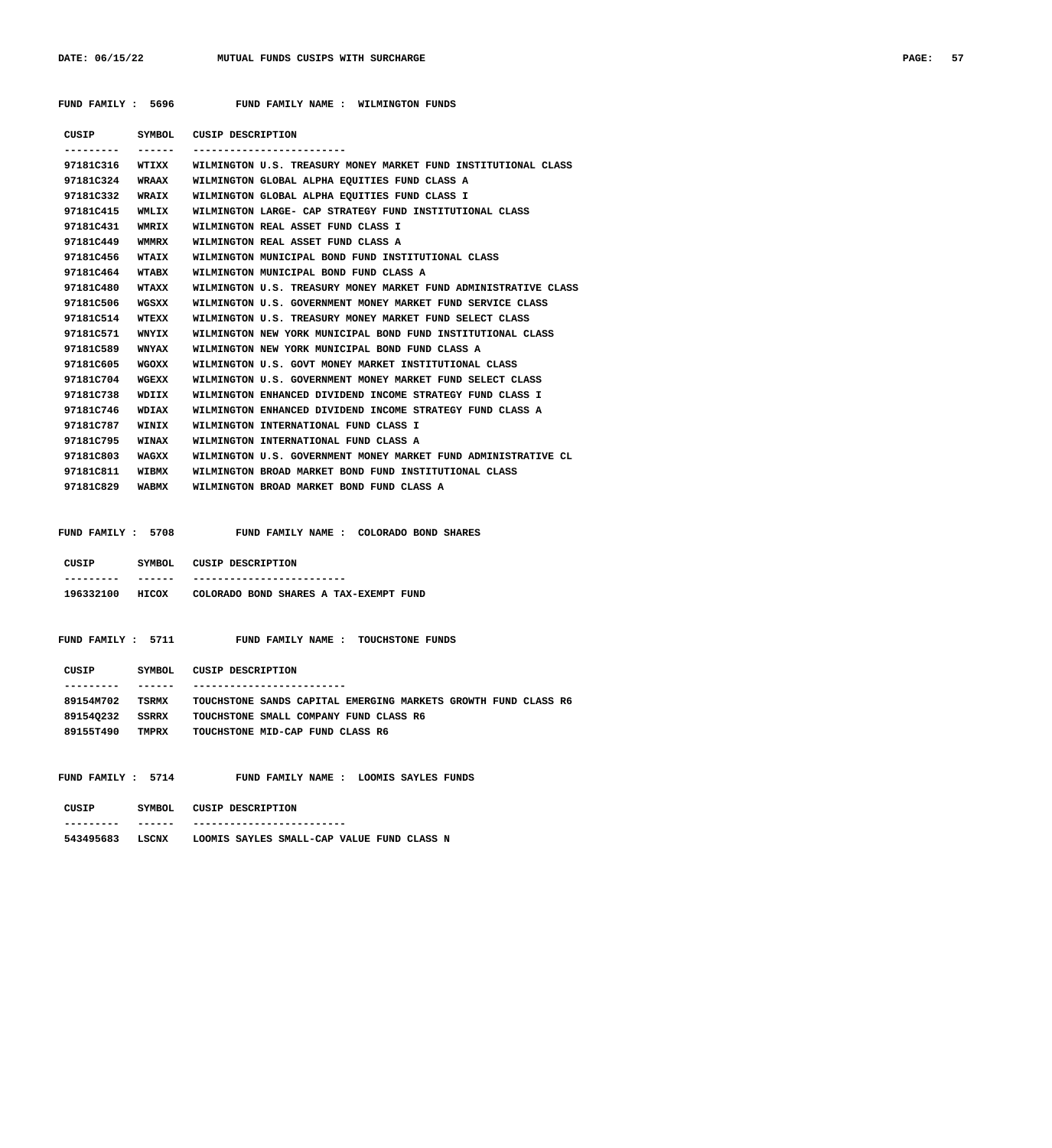| PAGE: | 57 |
|-------|----|
|-------|----|

 **FUND FAMILY : 5696 FUND FAMILY NAME : WILMINGTON FUNDS**

| CUSIP     | SYMBOL       | CUSIP DESCRIPTION                                               |
|-----------|--------------|-----------------------------------------------------------------|
|           |              |                                                                 |
| 97181C316 | WTIXX        | WILMINGTON U.S. TREASURY MONEY MARKET FUND INSTITUTIONAL CLASS  |
| 97181C324 | <b>WRAAX</b> | WILMINGTON GLOBAL ALPHA EOUITIES FUND CLASS A                   |
| 97181C332 | <b>WRAIX</b> | WILMINGTON GLOBAL ALPHA EQUITIES FUND CLASS I                   |
| 97181C415 | WMLIX        | WILMINGTON LARGE- CAP STRATEGY FUND INSTITUTIONAL CLASS         |
| 97181C431 | WMRIX        | WILMINGTON REAL ASSET FUND CLASS I                              |
| 97181C449 | WMMRX        | WILMINGTON REAL ASSET FUND CLASS A                              |
| 97181C456 | WTAIX        | WILMINGTON MUNICIPAL BOND FUND INSTITUTIONAL CLASS              |
| 97181C464 | <b>WTABX</b> | WILMINGTON MUNICIPAL BOND FUND CLASS A                          |
| 97181C480 | <b>WTAXX</b> | WILMINGTON U.S. TREASURY MONEY MARKET FUND ADMINISTRATIVE CLASS |
| 97181C506 | WGSXX        | WILMINGTON U.S. GOVERNMENT MONEY MARKET FUND SERVICE CLASS      |
| 97181C514 | WTEXX        | WILMINGTON U.S. TREASURY MONEY MARKET FUND SELECT CLASS         |
| 97181C571 | WNYIX        | WILMINGTON NEW YORK MUNICIPAL BOND FUND INSTITUTIONAL CLASS     |
| 97181C589 | <b>WNYAX</b> | WILMINGTON NEW YORK MUNICIPAL BOND FUND CLASS A                 |
| 97181C605 | WGOXX        | WILMINGTON U.S. GOVT MONEY MARKET INSTITUTIONAL CLASS           |
| 97181C704 | WGEXX        | WILMINGTON U.S. GOVERNMENT MONEY MARKET FUND SELECT CLASS       |
| 97181C738 | WDIIX        | WILMINGTON ENHANCED DIVIDEND INCOME STRATEGY FUND CLASS I       |
| 97181C746 | WDIAX        | WILMINGTON ENHANCED DIVIDEND INCOME STRATEGY FUND CLASS A       |
| 97181C787 | WINIX        | WILMINGTON INTERNATIONAL FUND CLASS I                           |
| 97181C795 | <b>WINAX</b> | WILMINGTON INTERNATIONAL FUND CLASS A                           |
| 97181C803 | WAGXX        | WILMINGTON U.S. GOVERNMENT MONEY MARKET FUND ADMINISTRATIVE CL  |
| 97181C811 | <b>WIBMX</b> | WILMINGTON BROAD MARKET BOND FUND INSTITUTIONAL CLASS           |
| 97181C829 | WABMX        | WILMINGTON BROAD MARKET BOND FUND CLASS A                       |
|           |              |                                                                 |

 **FUND FAMILY : 5708 FUND FAMILY NAME : COLORADO BOND SHARES**

| CUSIP     | SYMBOL.      | CUSIP DESCRIPTION                      |
|-----------|--------------|----------------------------------------|
| --------- | ------       | -------------                          |
| 196332100 | <b>HTCOX</b> | COLORADO BOND SHARES A TAX-EXEMPT FUND |

| FUND FAMILY : 5711<br>FUND FAMILY NAME : TOUCHSTONE FUNDS |  |
|-----------------------------------------------------------|--|
|-----------------------------------------------------------|--|

| CUSIP     | SYMBOL.      | CUSIP DESCRIPTION                                              |
|-----------|--------------|----------------------------------------------------------------|
|           |              |                                                                |
| 89154M702 | TSRMX        | TOUCHSTONE SANDS CAPITAL EMERGING MARKETS GROWTH FUND CLASS R6 |
| 891540232 | SSRRX        | TOUCHSTONE SMALL COMPANY FUND CLASS R6                         |
| 891557490 | <b>TMPRX</b> | TOUCHSTONE MID-CAP FUND CLASS R6                               |

 **FUND FAMILY : 5714 FUND FAMILY NAME : LOOMIS SAYLES FUNDS**

| CUSIP     | SYMBOL       | CUSIP DESCRIPTION                          |
|-----------|--------------|--------------------------------------------|
| --------- | ------       |                                            |
| 543495683 | <b>LSCNX</b> | LOOMIS SAYLES SMALL-CAP VALUE FUND CLASS N |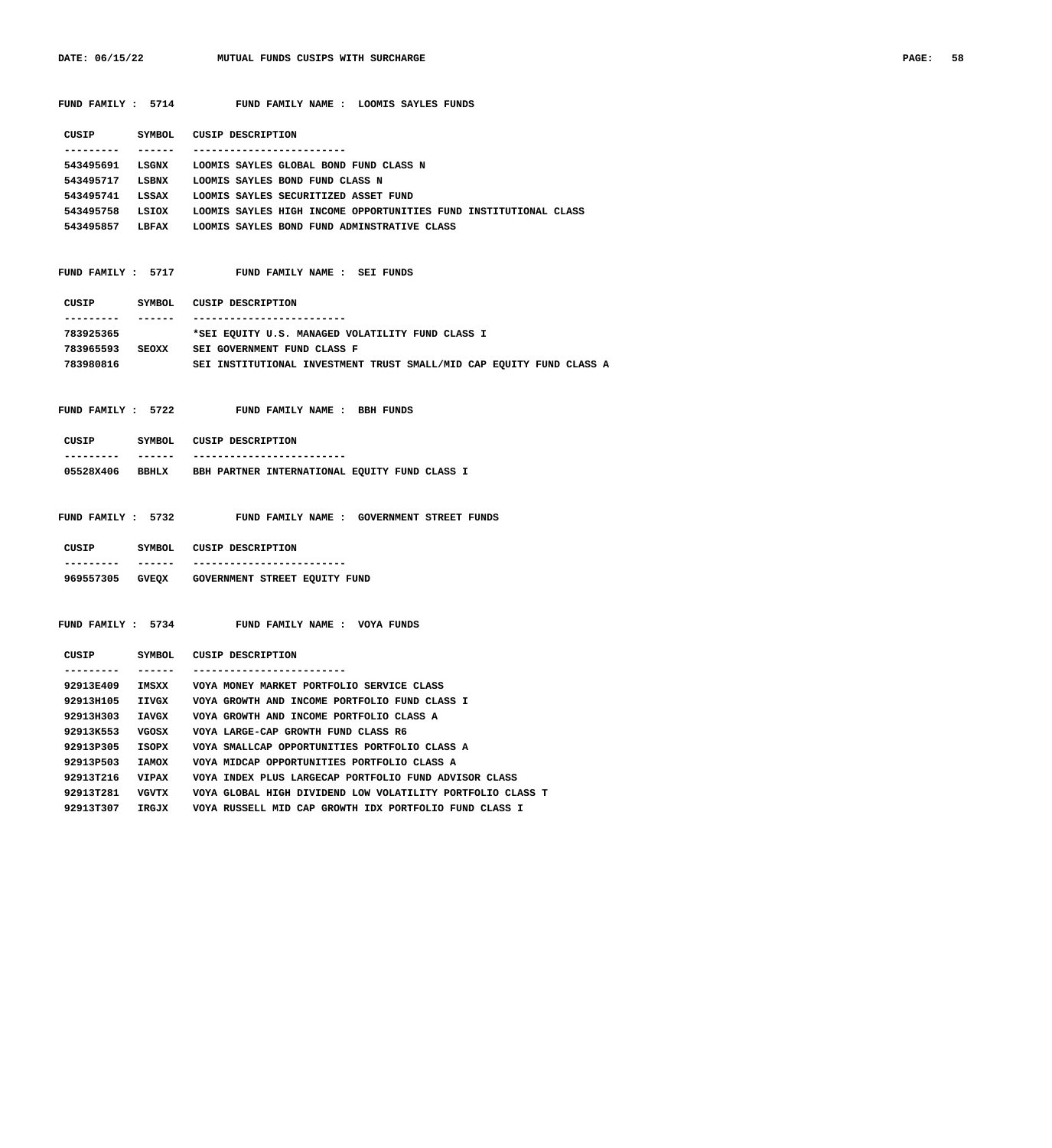**FUND FAMILY : 5714 FUND FAMILY NAME : LOOMIS SAYLES FUNDS**

| CUSIP     | SYMBOL.       | CUSIP DESCRIPTION                                                |
|-----------|---------------|------------------------------------------------------------------|
|           |               |                                                                  |
| 543495691 | LSGNX         | LOOMIS SAYLES GLOBAL BOND FUND CLASS N                           |
| 543495717 | LSBNX         | LOOMIS SAYLES BOND FUND CLASS N                                  |
| 543495741 | LSSAX         | LOOMIS SAYLES SECURITIZED ASSET FUND                             |
| 543495758 | LSIOX         | LOOMIS SAYLES HIGH INCOME OPPORTUNITIES FUND INSTITUTIONAL CLASS |
| 543495857 | <b>T.BFAX</b> | LOOMIS SAYLES BOND FUND ADMINSTRATIVE CLASS                      |
|           |               |                                                                  |

 **FUND FAMILY : 5717 FUND FAMILY NAME : SEI FUNDS**

| CUSIP     | SYMBOL       | CUSIP DESCRIPTION                                |
|-----------|--------------|--------------------------------------------------|
| --------- | ----         |                                                  |
| 783925365 |              | *SEI EOUITY U.S. MANAGED VOLATILITY FUND CLASS I |
| 783965593 | <b>SEOXX</b> | SEI GOVERNMENT FUND CLASS F                      |

 **783980816 SEI INSTITUTIONAL INVESTMENT TRUST SMALL/MID CAP EQUITY FUND CLASS A**

 **FUND FAMILY : 5722 FUND FAMILY NAME : BBH FUNDS**

| CUSIP     | SYMBOL        | CUSIP DESCRIPTION                             |
|-----------|---------------|-----------------------------------------------|
| --------- | ------        | -------------------------                     |
| 05528X406 | <b>BBIILX</b> | BBH PARTNER INTERNATIONAL EOUITY FUND CLASS I |

 **FUND FAMILY : 5732 FUND FAMILY NAME : GOVERNMENT STREET FUNDS**

| CUSIP     | SYMBOL.      | CUSIP DESCRIPTION             |
|-----------|--------------|-------------------------------|
|           |              |                               |
| 969557305 | <b>GVEOX</b> | GOVERNMENT STREET EQUITY FUND |

 **FUND FAMILY : 5734 FUND FAMILY NAME : VOYA FUNDS**

| CUSIP     | SYMBOL       | CUSIP DESCRIPTION                                          |
|-----------|--------------|------------------------------------------------------------|
|           |              |                                                            |
| 92913E409 | TMSXX        | VOYA MONEY MARKET PORTFOLIO SERVICE CLASS                  |
| 92913H105 | IIVGX        | VOYA GROWTH AND INCOME PORTFOLIO FUND CLASS I              |
| 929138303 | <b>IAVGX</b> | VOYA GROWTH AND INCOME PORTFOLIO CLASS A                   |
| 92913K553 | vaosx        | VOYA LARGE-CAP GROWTH FUND CLASS R6                        |
| 92913P305 | TSOPX        | VOYA SMALLCAP OPPORTUNITIES PORTFOLIO CLASS A              |
| 92913P503 | <b>IAMOX</b> | VOYA MIDCAP OPPORTUNITIES PORTFOLIO CLASS A                |
| 929137216 | <b>VTPAX</b> | VOYA INDEX PLUS LARGECAP PORTFOLIO FUND ADVISOR CLASS      |
| 92913T281 | <b>VGVTX</b> | VOYA GLOBAL HIGH DIVIDEND LOW VOLATILITY PORTFOLIO CLASS T |
| 92913T307 | IRGJX        | VOYA RUSSELL MID CAP GROWTH IDX PORTFOLIO FUND CLASS I     |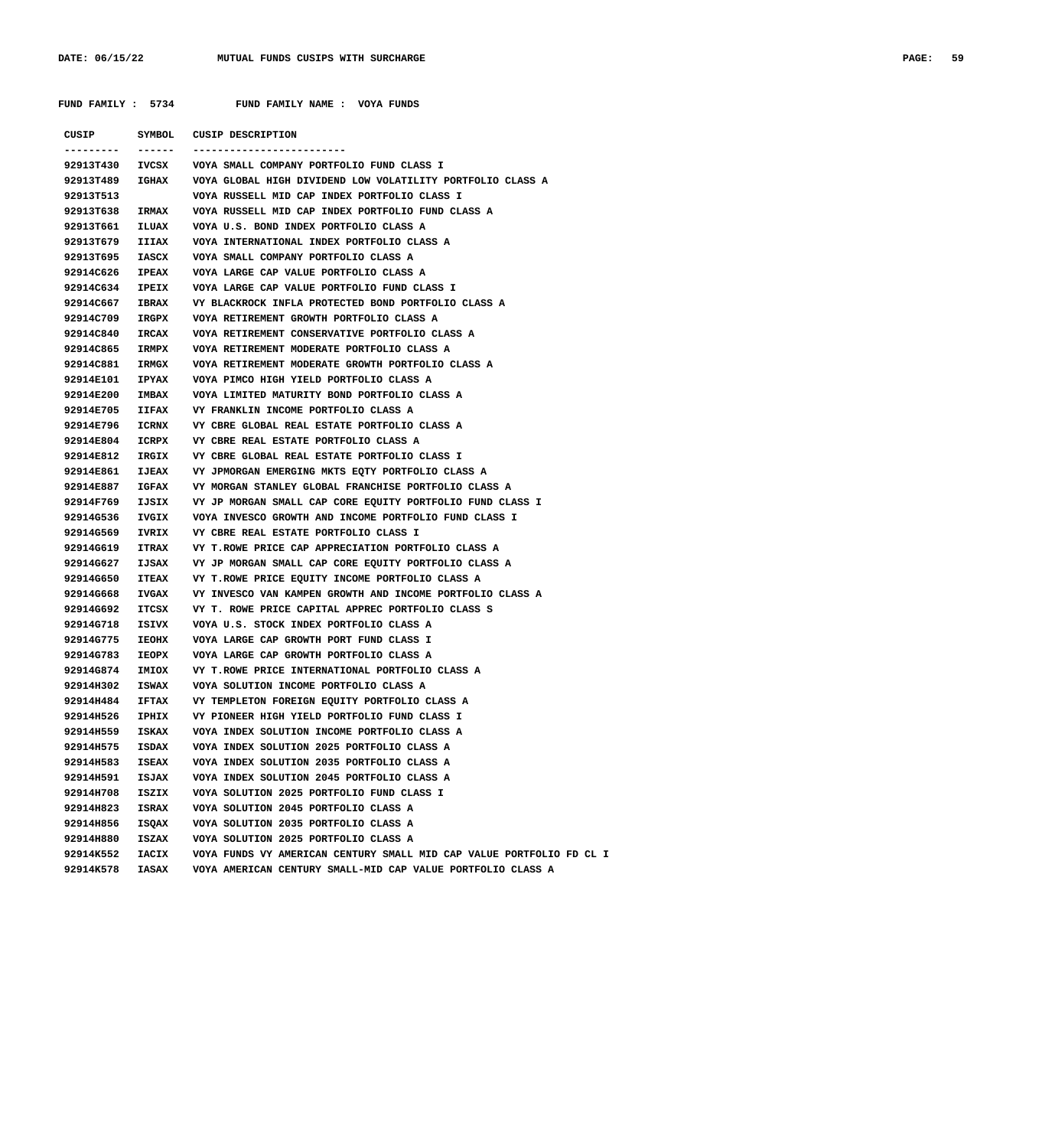| FUND FAMILY : 5734 |              | FUND FAMILY NAME : VOYA FUNDS                                              |
|--------------------|--------------|----------------------------------------------------------------------------|
|                    |              |                                                                            |
|                    |              | CUSIP SYMBOL CUSIP DESCRIPTION                                             |
|                    |              | 92913T430 IVCSX VOYA SMALL COMPANY PORTFOLIO FUND CLASS I                  |
|                    |              | 92913T489 IGHAX VOYA GLOBAL HIGH DIVIDEND LOW VOLATILITY PORTFOLIO CLASS A |
| 92913T513          |              | VOYA RUSSELL MID CAP INDEX PORTFOLIO CLASS I                               |
|                    |              | 92913T638 IRMAX VOYA RUSSELL MID CAP INDEX PORTFOLIO FUND CLASS A          |
|                    |              | 92913T661 ILUAX VOYA U.S. BOND INDEX PORTFOLIO CLASS A                     |
| 92913T679 IIIAX    |              | VOYA INTERNATIONAL INDEX PORTFOLIO CLASS A                                 |
|                    |              | 92913T695 IASCX VOYA SMALL COMPANY PORTFOLIO CLASS A                       |
|                    |              | 92914C626 IPEAX VOYA LARGE CAP VALUE PORTFOLIO CLASS A                     |
| 92914C634 IPEIX    |              | VOYA LARGE CAP VALUE PORTFOLIO FUND CLASS I                                |
| 92914C667 IBRAX    |              | VY BLACKROCK INFLA PROTECTED BOND PORTFOLIO CLASS A                        |
| 92914C709 IRGPX    |              | VOYA RETIREMENT GROWTH PORTFOLIO CLASS A                                   |
| 92914C840 IRCAX    |              | VOYA RETIREMENT CONSERVATIVE PORTFOLIO CLASS A                             |
| 92914C865 IRMPX    |              | VOYA RETIREMENT MODERATE PORTFOLIO CLASS A                                 |
| 92914C881 IRMGX    |              | VOYA RETIREMENT MODERATE GROWTH PORTFOLIO CLASS A                          |
| 92914E101 IPYAX    |              | VOYA PIMCO HIGH YIELD PORTFOLIO CLASS A                                    |
| 92914E200 IMBAX    |              | VOYA LIMITED MATURITY BOND PORTFOLIO CLASS A                               |
| 92914E705 IIFAX    |              | VY FRANKLIN INCOME PORTFOLIO CLASS A                                       |
|                    |              | 92914E796    ICRNX    VY CBRE GLOBAL REAL ESTATE PORTFOLIO CLASS A         |
|                    |              | 92914E804 ICRPX VY CBRE REAL ESTATE PORTFOLIO CLASS A                      |
|                    |              | 92914E812 IRGIX VY CBRE GLOBAL REAL ESTATE PORTFOLIO CLASS I               |
|                    |              | 92914E861 IJEAX VY JPMORGAN EMERGING MKTS EQTY PORTFOLIO CLASS A           |
|                    |              | 92914E887 IGFAX VY MORGAN STANLEY GLOBAL FRANCHISE PORTFOLIO CLASS A       |
|                    |              | 92914F769 IJSIX VY JP MORGAN SMALL CAP CORE EQUITY PORTFOLIO FUND CLASS I  |
| 92914G536 IVGIX    |              | VOYA INVESCO GROWTH AND INCOME PORTFOLIO FUND CLASS I                      |
| 92914G569 IVRIX    |              | VY CBRE REAL ESTATE PORTFOLIO CLASS I                                      |
| 92914G619 ITRAX    |              | VY T.ROWE PRICE CAP APPRECIATION PORTFOLIO CLASS A                         |
|                    |              | 92914G627 IJSAX VY JP MORGAN SMALL CAP CORE EQUITY PORTFOLIO CLASS A       |
| 92914G650 ITEAX    |              | VY T.ROWE PRICE EQUITY INCOME PORTFOLIO CLASS A                            |
| 92914G668 IVGAX    |              | VY INVESCO VAN KAMPEN GROWTH AND INCOME PORTFOLIO CLASS A                  |
| 92914G692 ITCSX    |              | VY T. ROWE PRICE CAPITAL APPREC PORTFOLIO CLASS S                          |
| 92914G718 ISIVX    |              | VOYA U.S. STOCK INDEX PORTFOLIO CLASS A                                    |
|                    |              | 92914G775 IEOHX VOYA LARGE CAP GROWTH PORT FUND CLASS I                    |
|                    |              | 92914G783 IEOPX VOYA LARGE CAP GROWTH PORTFOLIO CLASS A                    |
| 92914G874          | IMIOX        | VY T.ROWE PRICE INTERNATIONAL PORTFOLIO CLASS A                            |
| 92914H302          | ISWAX        | VOYA SOLUTION INCOME PORTFOLIO CLASS A                                     |
| 92914H484          | <b>IFTAX</b> | VY TEMPLETON FOREIGN EQUITY PORTFOLIO CLASS A                              |
| 92914H526          | IPHIX        | VY PIONEER HIGH YIELD PORTFOLIO FUND CLASS I                               |
| 92914H559          | ISKAX        | VOYA INDEX SOLUTION INCOME PORTFOLIO CLASS A                               |
| 92914H575          | ISDAX        | VOYA INDEX SOLUTION 2025 PORTFOLIO CLASS A                                 |
| 92914H583          | <b>ISEAX</b> | VOYA INDEX SOLUTION 2035 PORTFOLIO CLASS A                                 |
| 92914H591          | ISJAX        | VOYA INDEX SOLUTION 2045 PORTFOLIO CLASS A                                 |
| 92914H708          | ISZIX        | VOYA SOLUTION 2025 PORTFOLIO FUND CLASS I                                  |
| 92914H823          | ISRAX        | VOYA SOLUTION 2045 PORTFOLIO CLASS A                                       |
| 92914H856          | ISQAX        | VOYA SOLUTION 2035 PORTFOLIO CLASS A                                       |
| 92914H880          | ISZAX        | VOYA SOLUTION 2025 PORTFOLIO CLASS A                                       |
| 92914K552          | IACIX        | VOYA FUNDS VY AMERICAN CENTURY SMALL MID CAP VALUE PORTFOLIO FD CL I       |
| 92914K578          | IASAX        | VOYA AMERICAN CENTURY SMALL-MID CAP VALUE PORTFOLIO CLASS A                |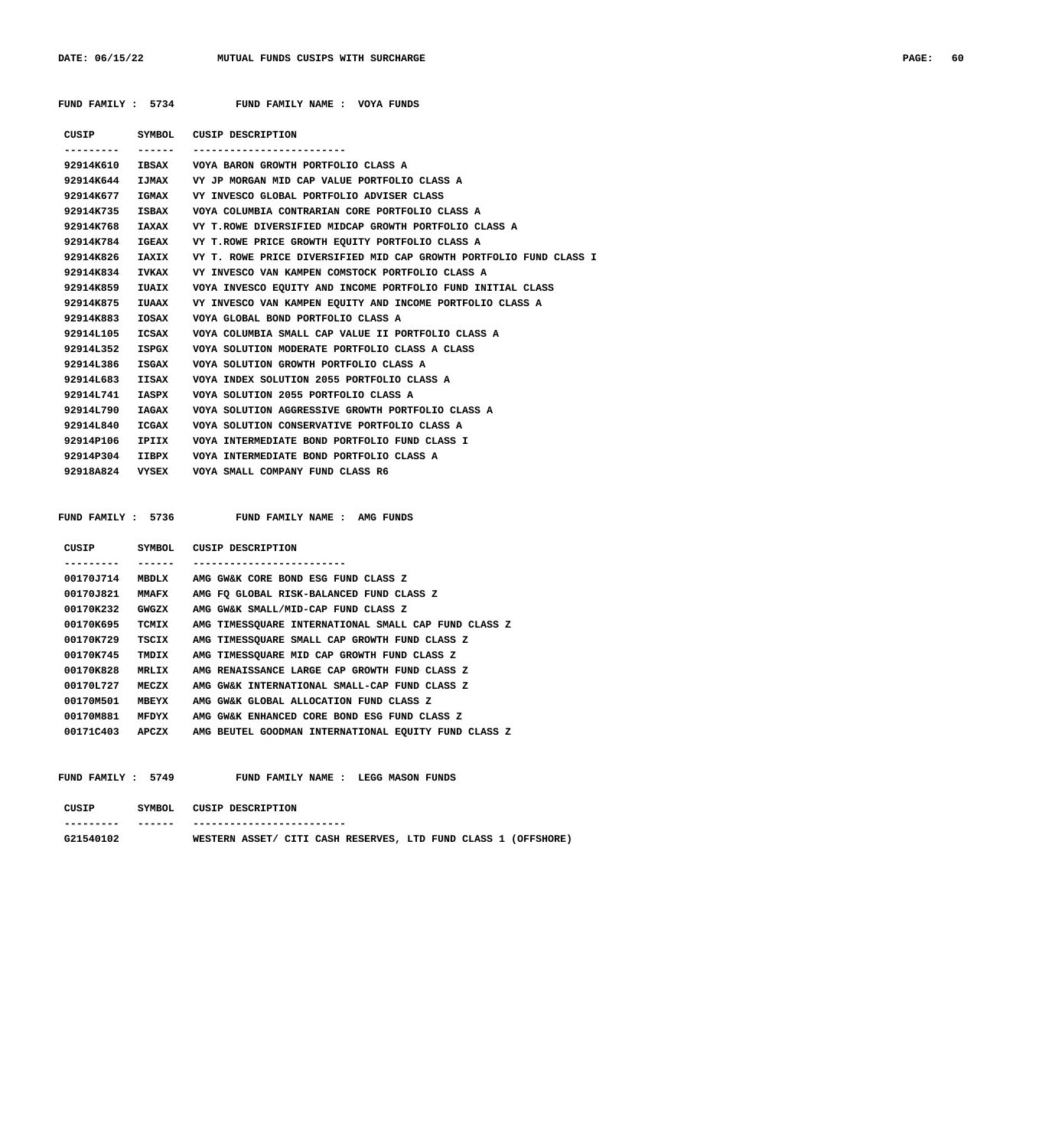|                 |              | FUND FAMILY : 5734 FUND FAMILY NAME : VOYA FUNDS                   |
|-----------------|--------------|--------------------------------------------------------------------|
|                 |              | CUSIP SYMBOL CUSIP DESCRIPTION                                     |
| ---------       |              | --------------------------                                         |
| 92914K610       |              | IBSAX VOYA BARON GROWTH PORTFOLIO CLASS A                          |
| 92914K644       |              | IJMAX VY JP MORGAN MID CAP VALUE PORTFOLIO CLASS A                 |
| 92914K677       | <b>IGMAX</b> | VY INVESCO GLOBAL PORTFOLIO ADVISER CLASS                          |
| 92914K735       |              | ISBAX VOYA COLUMBIA CONTRARIAN CORE PORTFOLIO CLASS A              |
| 92914K768       |              | IAXAX VY T.ROWE DIVERSIFIED MIDCAP GROWTH PORTFOLIO CLASS A        |
| 92914K784       |              | IGEAX VY T.ROWE PRICE GROWTH EOUITY PORTFOLIO CLASS A              |
| 92914K826       | <b>IAXIX</b> | VY T. ROWE PRICE DIVERSIFIED MID CAP GROWTH PORTFOLIO FUND CLASS I |
| 92914K834       | <b>IVKAX</b> | VY INVESCO VAN KAMPEN COMSTOCK PORTFOLIO CLASS A                   |
| 92914K859       | IUAIX        | VOYA INVESCO EQUITY AND INCOME PORTFOLIO FUND INITIAL CLASS        |
| 92914K875       | <b>TUAAX</b> | VY INVESCO VAN KAMPEN EQUITY AND INCOME PORTFOLIO CLASS A          |
| 92914K883       | IOSAX        | VOYA GLOBAL BOND PORTFOLIO CLASS A                                 |
| 92914L105       | ICSAX        | VOYA COLUMBIA SMALL CAP VALUE II PORTFOLIO CLASS A                 |
| 92914L352       | ISPGX        | VOYA SOLUTION MODERATE PORTFOLIO CLASS A CLASS                     |
| 92914L386       | ISGAX        | VOYA SOLUTION GROWTH PORTFOLIO CLASS A                             |
| 92914L683       | IISAX        | VOYA INDEX SOLUTION 2055 PORTFOLIO CLASS A                         |
| 92914L741       | IASPX        | VOYA SOLUTION 2055 PORTFOLIO CLASS A                               |
| 92914L790       | IAGAX        | VOYA SOLUTION AGGRESSIVE GROWTH PORTFOLIO CLASS A                  |
| 92914L840       | ICGAX        | VOYA SOLUTION CONSERVATIVE PORTFOLIO CLASS A                       |
| 92914P106       | IPIIX        | VOYA INTERMEDIATE BOND PORTFOLIO FUND CLASS I                      |
| 92914P304       | IIBPX        | VOYA INTERMEDIATE BOND PORTFOLIO CLASS A                           |
| 92918A824 VYSEX |              | VOYA SMALL COMPANY FUND CLASS R6                                   |
|                 |              |                                                                    |

| CUSIP     | SYMBOL        | CUSIP DESCRIPTION                                    |
|-----------|---------------|------------------------------------------------------|
|           |               |                                                      |
| 00170J714 | MBDLX         | AMG GW&K CORE BOND ESG FUND CLASS Z                  |
| 00170J821 | <b>MMAFX</b>  | AMG FO GLOBAL RISK-BALANCED FUND CLASS Z             |
| 00170K232 | GWGZX         | AMG GW&K SMALL/MID-CAP FUND CLASS Z                  |
| 00170K695 | TCMIX         | AMG TIMESSQUARE INTERNATIONAL SMALL CAP FUND CLASS Z |
| 00170K729 | TSCIX         | AMG TIMESSOUARE SMALL CAP GROWTH FUND CLASS Z        |
| 00170K745 | TMDIX         | AMG TIMESSOUARE MID CAP GROWTH FUND CLASS Z          |
| 00170K828 | <b>MRT.TX</b> | AMG RENAISSANCE LARGE CAP GROWTH FUND CLASS Z        |
| 00170L727 | MECZX         | AMG GW&K INTERNATIONAL SMALL-CAP FUND CLASS Z        |
| 00170M501 | MBEYX         | AMG GW&K GLOBAL ALLOCATION FUND CLASS Z              |
| 00170M881 | MFDYX         | AMG GW&K ENHANCED CORE BOND ESG FUND CLASS Z         |
| 00171C403 | APCZX         | AMG BEUTEL GOODMAN INTERNATIONAL EOUITY FUND CLASS Z |

FUND FAMILY : 5736 FUND FAMILY NAME : AMG FUNDS

FUND FAMILY : 5749 FUND FAMILY NAME : LEGG MASON FUNDS

| CUSIP     | SYMBOL | CUSIP DESCRIPTION         |  |  |  |  |                                                                |
|-----------|--------|---------------------------|--|--|--|--|----------------------------------------------------------------|
| --------- | ------ | ------------------------- |  |  |  |  |                                                                |
| G21540102 |        |                           |  |  |  |  | WESTERN ASSET/ CITI CASH RESERVES, LTD FUND CLASS 1 (OFFSHORE) |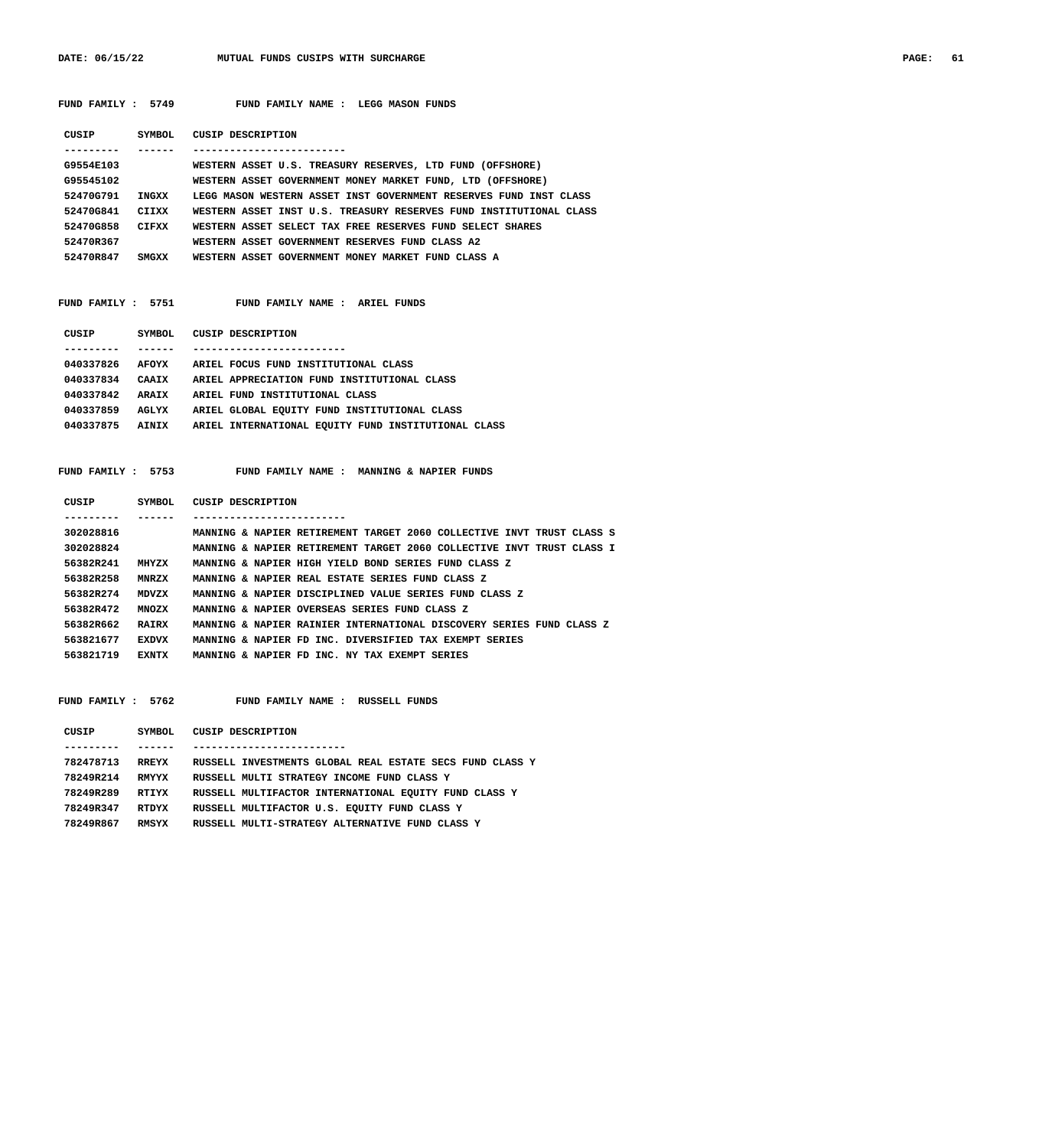FUND FAMILY : 5749 FUND FAMILY NAME : LEGG MASON FUNDS

| CUSIP     | SYMBOL       | CUSIP DESCRIPTION                                                  |
|-----------|--------------|--------------------------------------------------------------------|
|           |              |                                                                    |
| G9554E103 |              | WESTERN ASSET U.S. TREASURY RESERVES, LTD FUND (OFFSHORE)          |
| G95545102 |              | WESTERN ASSET GOVERNMENT MONEY MARKET FUND, LTD (OFFSHORE)         |
| 52470G791 | INGXX        | LEGG MASON WESTERN ASSET INST GOVERNMENT RESERVES FUND INST CLASS  |
| 52470G841 | CIIXX        | WESTERN ASSET INST U.S. TREASURY RESERVES FUND INSTITUTIONAL CLASS |
| 52470G858 | <b>CIFXX</b> | WESTERN ASSET SELECT TAX FREE RESERVES FUND SELECT SHARES          |
| 52470R367 |              | WESTERN ASSET GOVERNMENT RESERVES FUND CLASS A2                    |
| 52470R847 | SMGXX        | WESTERN ASSET GOVERNMENT MONEY MARKET FUND CLASS A                 |

### FUND FAMILY : 5751 FUND FAMILY NAME : ARIEL FUNDS

| CUSIP     | SYMBOL       | CUSIP DESCRIPTION                                   |
|-----------|--------------|-----------------------------------------------------|
|           |              |                                                     |
| 040337826 | AFOYX        | ARIEL FOCUS FUND INSTITUTIONAL CLASS                |
| 040337834 | <b>CAATX</b> | ARIEL APPRECIATION FUND INSTITUTIONAL CLASS         |
| 040337842 | <b>ARATX</b> | ARIEL FUND INSTITUTIONAL CLASS                      |
| 040337859 | AGLYX        | ARIEL GLOBAL EQUITY FUND INSTITUTIONAL CLASS        |
| 040337875 | AINIX        | ARIEL INTERNATIONAL EOUITY FUND INSTITUTIONAL CLASS |
|           |              |                                                     |

 **FUND FAMILY : 5753 FUND FAMILY NAME : MANNING & NAPIER FUNDS**

| SYMBOL       | CUSIP DESCRIPTION                                                     |
|--------------|-----------------------------------------------------------------------|
|              |                                                                       |
|              | MANNING & NAPIER RETIREMENT TARGET 2060 COLLECTIVE INVT TRUST CLASS S |
|              | MANNING & NAPIER RETIREMENT TARGET 2060 COLLECTIVE INVT TRUST CLASS I |
| MHYZX        | MANNING & NAPIER HIGH YIELD BOND SERIES FUND CLASS Z                  |
| <b>MNRZX</b> | MANNING & NAPIER REAL ESTATE SERIES FUND CLASS Z                      |
| <b>MDVZX</b> | MANNING & NAPIER DISCIPLINED VALUE SERIES FUND CLASS Z                |
| <b>MNOZX</b> | MANNING & NAPIER OVERSEAS SERIES FUND CLASS Z                         |
| <b>RAIRX</b> | MANNING & NAPIER RAINIER INTERNATIONAL DISCOVERY SERIES FUND CLASS Z  |
| <b>EXDVX</b> | MANNING & NAPIER FD INC. DIVERSIFIED TAX EXEMPT SERIES                |
| EXNTX        | MANNING & NAPIER FD INC. NY TAX EXEMPT SERIES                         |
|              |                                                                       |

 **FUND FAMILY : 5762 FUND FAMILY NAME : RUSSELL FUNDS CUSIP SYMBOL CUSIP DESCRIPTION --------- ------ ------------------------- 782478713 RREYX RUSSELL INVESTMENTS GLOBAL REAL ESTATE SECS FUND CLASS Y 78249R214 RMYYX RUSSELL MULTI STRATEGY INCOME FUND CLASS Y 78249R289 RTIYX RUSSELL MULTIFACTOR INTERNATIONAL EQUITY FUND CLASS Y 78249R347 RTDYX RUSSELL MULTIFACTOR U.S. EQUITY FUND CLASS Y 78249R867 RMSYX RUSSELL MULTI-STRATEGY ALTERNATIVE FUND CLASS Y**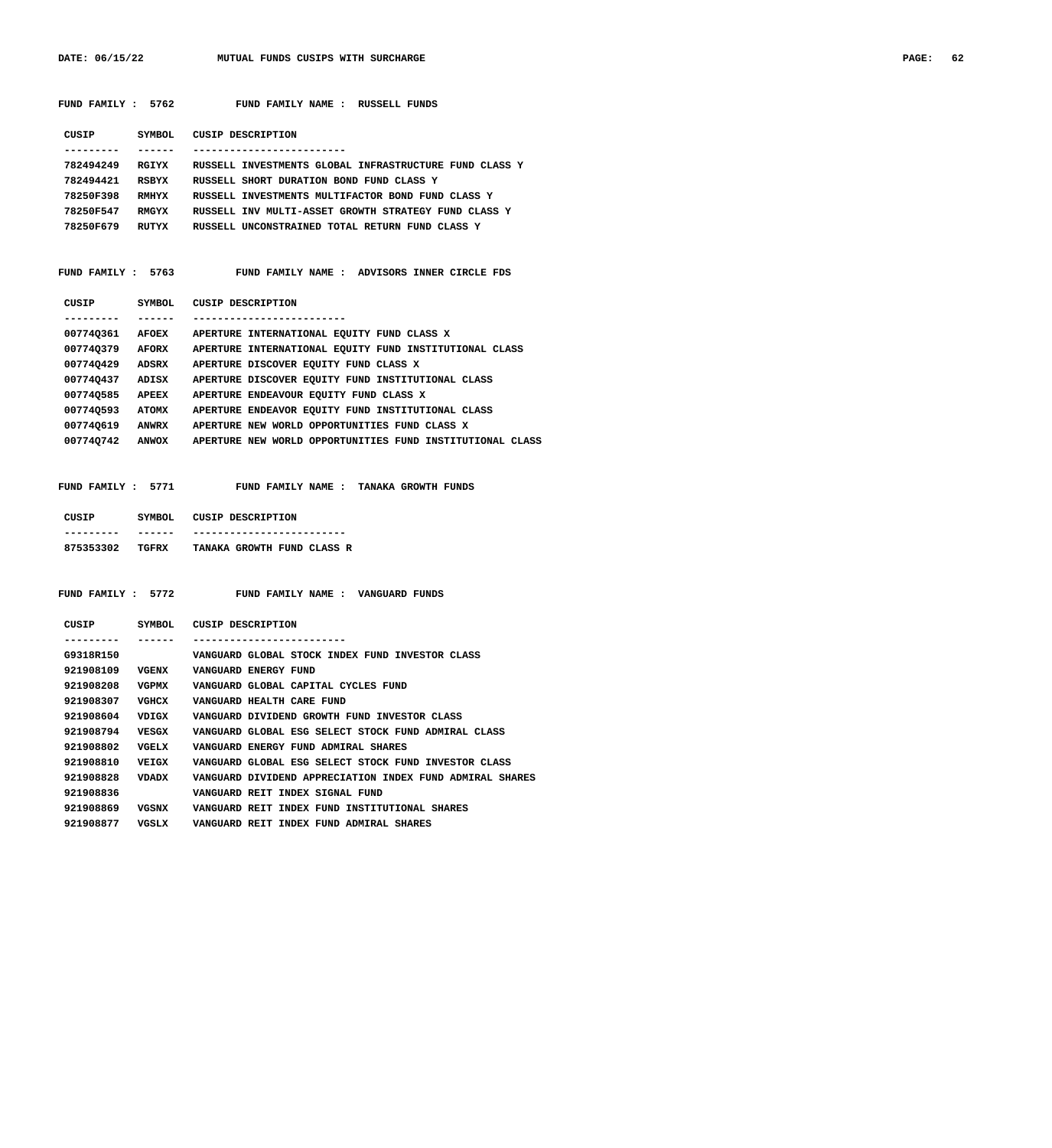DATE: 06/15/22 MUTUAL FUNDS CUSIPS WITH SURCHARGE **PAGE: 62** 

| FUND FAMILY : 5762 |         | FUND FAMILY NAME : RUSSELL FUNDS                                                                                                           |
|--------------------|---------|--------------------------------------------------------------------------------------------------------------------------------------------|
|                    |         | CUSIP SYMBOL CUSIP DESCRIPTION                                                                                                             |
| ----------         | ------- | -------------------------                                                                                                                  |
|                    |         | 782494249 RGIYX RUSSELL INVESTMENTS GLOBAL INFRASTRUCTURE FUND CLASS Y                                                                     |
| 782494421 RSBYX    |         | RUSSELL SHORT DURATION BOND FUND CLASS Y                                                                                                   |
|                    |         | 78250F398 RMHYX RUSSELL INVESTMENTS MULTIFACTOR BOND FUND CLASS Y                                                                          |
|                    |         | 78250F547 RMGYX RUSSELL INV MULTI-ASSET GROWTH STRATEGY FUND CLASS Y                                                                       |
|                    |         | 78250F679 RUTYX RUSSELL UNCONSTRAINED TOTAL RETURN FUND CLASS Y                                                                            |
|                    |         | FUND FAMILY : 5763 FUND FAMILY NAME : ADVISORS INNER CIRCLE FDS                                                                            |
|                    |         | CUSIP SYMBOL CUSIP DESCRIPTION                                                                                                             |
| ----------         |         | ------ --------------------------                                                                                                          |
|                    |         | 00774Q361 AFOEX APERTURE INTERNATIONAL EQUITY FUND CLASS X                                                                                 |
|                    |         | 00774Q379 AFORX APERTURE INTERNATIONAL EQUITY FUND INSTITUTIONAL CLASS                                                                     |
|                    |         | 00774Q429 ADSRX APERTURE DISCOVER EQUITY FUND CLASS X                                                                                      |
|                    |         | 00774Q437 ADISX APERTURE DISCOVER EQUITY FUND INSTITUTIONAL CLASS                                                                          |
|                    |         | 00774Q585 APEEX APERTURE ENDEAVOUR EQUITY FUND CLASS X                                                                                     |
|                    |         | 00774Q593 ATOMX APERTURE ENDEAVOR EQUITY FUND INSTITUTIONAL CLASS                                                                          |
|                    |         | 00774Q619 ANWRX APERTURE NEW WORLD OPPORTUNITIES FUND CLASS X<br>00774Q742 ANWOX APERTURE NEW WORLD OPPORTUNITIES FUND INSTITUTIONAL CLASS |
|                    |         | FUND FAMILY : 5771 FUND FAMILY NAME : TANAKA GROWTH FUNDS<br>CUSIP SYMBOL CUSIP DESCRIPTION                                                |
| ---------          | ------- | -------------------------                                                                                                                  |
|                    |         | 875353302 TGFRX TANAKA GROWTH FUND CLASS R                                                                                                 |
|                    |         |                                                                                                                                            |
|                    |         | FUND FAMILY : 5772 FUND FAMILY NAME : VANGUARD FUNDS                                                                                       |
|                    |         | CUSIP SYMBOL CUSIP DESCRIPTION                                                                                                             |
| ---------          | ------- | -------------------------                                                                                                                  |
| G9318R150          |         | VANGUARD GLOBAL STOCK INDEX FUND INVESTOR CLASS                                                                                            |
| 921908109          | VGENX   | VANGUARD ENERGY FUND                                                                                                                       |
| 921908208          | VGPMX   | VANGUARD GLOBAL CAPITAL CYCLES FUND                                                                                                        |
| 921908307          | VGHCX   | VANGUARD HEALTH CARE FUND                                                                                                                  |
| 921908604          | VDIGX   | VANGUARD DIVIDEND GROWTH FUND INVESTOR CLASS                                                                                               |
| 921908794          | VESGX   | VANGUARD GLOBAL ESG SELECT STOCK FUND ADMIRAL CLASS                                                                                        |
| 921908802          | VGELX   | VANGUARD ENERGY FUND ADMIRAL SHARES                                                                                                        |
| 921908810          | VEIGX   | VANGUARD GLOBAL ESG SELECT STOCK FUND INVESTOR CLASS                                                                                       |
| 921908828          | VDADX   | VANGUARD DIVIDEND APPRECIATION INDEX FUND ADMIRAL SHARES                                                                                   |
| 921908836          |         |                                                                                                                                            |
|                    |         | VANGUARD REIT INDEX SIGNAL FUND<br>VANGUARD REIT INDEX FUND INSTITUTIONAL SHARES                                                           |

 **921908877 VGSLX VANGUARD REIT INDEX FUND ADMIRAL SHARES**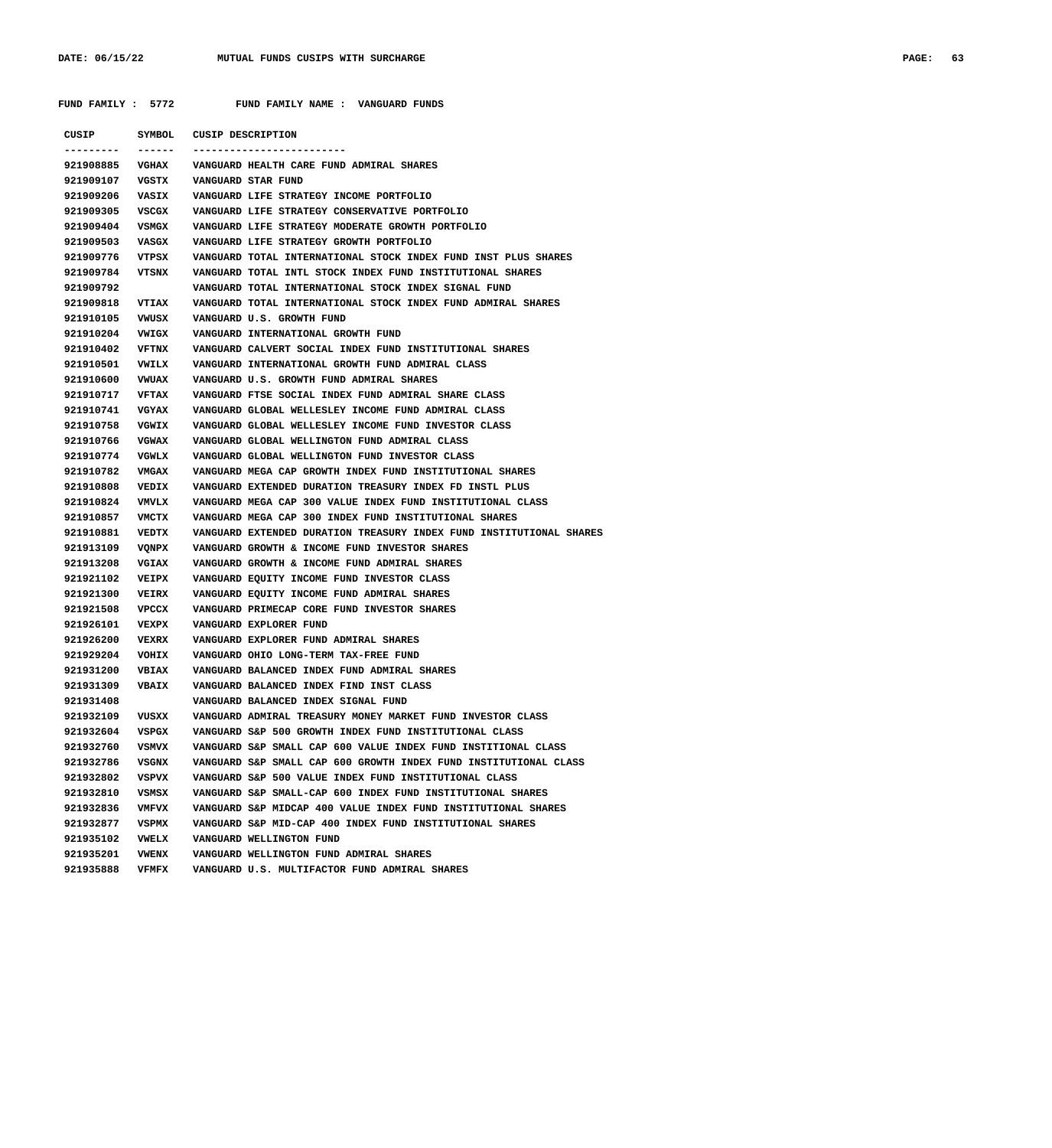|           | FUND FAMILY : 5772 | FUND FAMILY NAME : VANGUARD FUNDS                                          |
|-----------|--------------------|----------------------------------------------------------------------------|
| CUSIP     | SYMBOL             | CUSIP DESCRIPTION                                                          |
|           | 921908885<br>VGHAX | VANGUARD HEALTH CARE FUND ADMIRAL SHARES                                   |
| 921909107 | VGSTX              | VANGUARD STAR FUND                                                         |
| 921909206 | VASIX              | VANGUARD LIFE STRATEGY INCOME PORTFOLIO                                    |
| 921909305 | VSCGX              | VANGUARD LIFE STRATEGY CONSERVATIVE PORTFOLIO                              |
| 921909404 | VSMGX              | VANGUARD LIFE STRATEGY MODERATE GROWTH PORTFOLIO                           |
| 921909503 | VASGX              | VANGUARD LIFE STRATEGY GROWTH PORTFOLIO                                    |
| 921909776 | VTPSX              | VANGUARD TOTAL INTERNATIONAL STOCK INDEX FUND INST PLUS SHARES             |
| 921909784 | VTSNX              | VANGUARD TOTAL INTL STOCK INDEX FUND INSTITUTIONAL SHARES                  |
| 921909792 |                    | VANGUARD TOTAL INTERNATIONAL STOCK INDEX SIGNAL FUND                       |
| 921909818 | <b>VTIAX</b>       | VANGUARD TOTAL INTERNATIONAL STOCK INDEX FUND ADMIRAL SHARES               |
| 921910105 | VWUSX              | VANGUARD U.S. GROWTH FUND                                                  |
| 921910204 | VWIGX              | VANGUARD INTERNATIONAL GROWTH FUND                                         |
| 921910402 | VFTNX              | VANGUARD CALVERT SOCIAL INDEX FUND INSTITUTIONAL SHARES                    |
| 921910501 | VWILX              | VANGUARD INTERNATIONAL GROWTH FUND ADMIRAL CLASS                           |
| 921910600 | <b>VWUAX</b>       | VANGUARD U.S. GROWTH FUND ADMIRAL SHARES                                   |
| 921910717 | VFTAX              | VANGUARD FTSE SOCIAL INDEX FUND ADMIRAL SHARE CLASS                        |
| 921910741 | VGYAX              | VANGUARD GLOBAL WELLESLEY INCOME FUND ADMIRAL CLASS                        |
| 921910758 | VGWIX              | VANGUARD GLOBAL WELLESLEY INCOME FUND INVESTOR CLASS                       |
| 921910766 | <b>VGWAX</b>       | VANGUARD GLOBAL WELLINGTON FUND ADMIRAL CLASS                              |
| 921910774 | VGWLX              | VANGUARD GLOBAL WELLINGTON FUND INVESTOR CLASS                             |
| 921910782 | VMGAX              | VANGUARD MEGA CAP GROWTH INDEX FUND INSTITUTIONAL SHARES                   |
| 921910808 | VEDIX              | VANGUARD EXTENDED DURATION TREASURY INDEX FD INSTL PLUS                    |
| 921910824 | VMVLX              | VANGUARD MEGA CAP 300 VALUE INDEX FUND INSTITUTIONAL CLASS                 |
| 921910857 | VMCTX              | VANGUARD MEGA CAP 300 INDEX FUND INSTITUTIONAL SHARES                      |
| 921910881 | VEDTX              | VANGUARD EXTENDED DURATION TREASURY INDEX FUND INSTITUTIONAL SHARES        |
| 921913109 | VQNPX              | VANGUARD GROWTH & INCOME FUND INVESTOR SHARES                              |
| 921913208 | <b>VGIAX</b>       | VANGUARD GROWTH & INCOME FUND ADMIRAL SHARES                               |
| 921921102 | VEIPX              | VANGUARD EQUITY INCOME FUND INVESTOR CLASS                                 |
| 921921300 | <b>VEIRX</b>       | VANGUARD EQUITY INCOME FUND ADMIRAL SHARES                                 |
| 921921508 | VPCCX              | VANGUARD PRIMECAP CORE FUND INVESTOR SHARES                                |
| 921926101 | VEXPX              | VANGUARD EXPLORER FUND                                                     |
| 921926200 | <b>VEXRX</b>       | VANGUARD EXPLORER FUND ADMIRAL SHARES                                      |
| 921929204 | VOHIX              | VANGUARD OHIO LONG-TERM TAX-FREE FUND                                      |
|           | 921931200 VBIAX    | VANGUARD BALANCED INDEX FUND ADMIRAL SHARES                                |
| 921931309 | <b>VBAIX</b>       | VANGUARD BALANCED INDEX FIND INST CLASS                                    |
| 921931408 |                    | VANGUARD BALANCED INDEX SIGNAL FUND                                        |
| 921932109 | VUSXX              | VANGUARD ADMIRAL TREASURY MONEY MARKET FUND INVESTOR CLASS                 |
| 921932604 | VSPGX              | VANGUARD S&P 500 GROWTH INDEX FUND INSTITUTIONAL CLASS                     |
| 921932760 | <b>VSMVX</b>       | VANGUARD S&P SMALL CAP 600 VALUE INDEX FUND INSTITIONAL CLASS              |
| 921932786 | VSGNX              | VANGUARD S&P SMALL CAP 600 GROWTH INDEX FUND INSTITUTIONAL CLASS           |
| 921932802 | VSPVX              | VANGUARD S&P 500 VALUE INDEX FUND INSTITUTIONAL CLASS                      |
|           |                    | 921932810 VSMSX VANGUARD S&P SMALL-CAP 600 INDEX FUND INSTITUTIONAL SHARES |

 **921932836 VMFVX VANGUARD S&P MIDCAP 400 VALUE INDEX FUND INSTITUTIONAL SHARES 921932877 VSPMX VANGUARD S&P MID-CAP 400 INDEX FUND INSTITUTIONAL SHARES**

 **921935102 VWELX VANGUARD WELLINGTON FUND**

 **921935201 VWENX VANGUARD WELLINGTON FUND ADMIRAL SHARES 921935888 VFMFX VANGUARD U.S. MULTIFACTOR FUND ADMIRAL SHARES**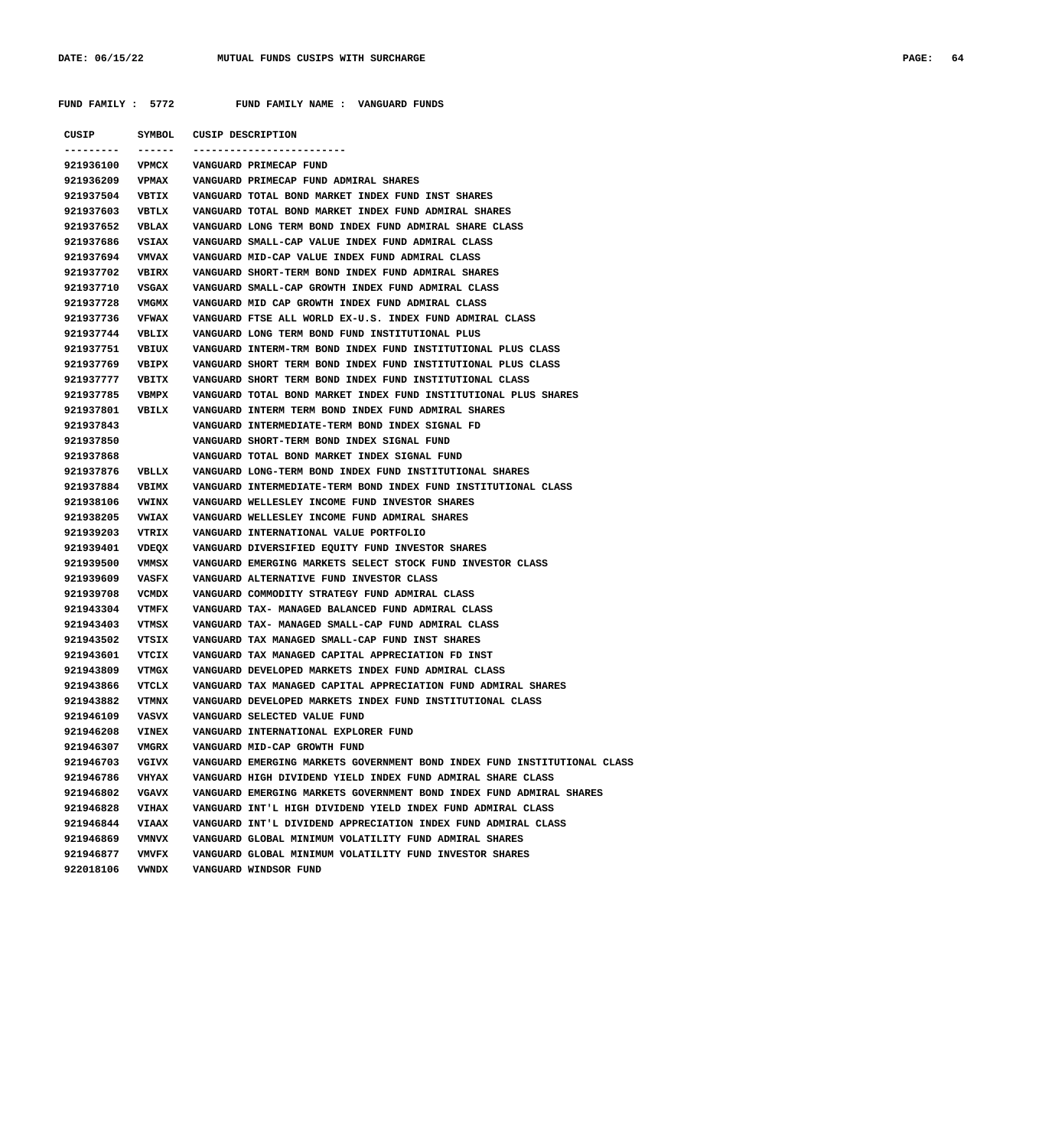|  | <b>PAGE</b> |
|--|-------------|
|  |             |

|                 |              | CUSIP SYMBOL CUSIP DESCRIPTION                                           |
|-----------------|--------------|--------------------------------------------------------------------------|
| . <b>.</b> .    | ------       | -----------------------                                                  |
| 921936100 VPMCX |              | VANGUARD PRIMECAP FUND                                                   |
| 921936209       | <b>VPMAX</b> | VANGUARD PRIMECAP FUND ADMIRAL SHARES                                    |
| 921937504 VBTIX |              | VANGUARD TOTAL BOND MARKET INDEX FUND INST SHARES                        |
| 921937603       | VBTLX        | VANGUARD TOTAL BOND MARKET INDEX FUND ADMIRAL SHARES                     |
| 921937652       | <b>VBLAX</b> | VANGUARD LONG TERM BOND INDEX FUND ADMIRAL SHARE CLASS                   |
| 921937686       | VSIAX        | VANGUARD SMALL-CAP VALUE INDEX FUND ADMIRAL CLASS                        |
| 921937694       | <b>VMVAX</b> | VANGUARD MID-CAP VALUE INDEX FUND ADMIRAL CLASS                          |
| 921937702       | <b>VBIRX</b> | VANGUARD SHORT-TERM BOND INDEX FUND ADMIRAL SHARES                       |
| 921937710       | VSGAX        | VANGUARD SMALL-CAP GROWTH INDEX FUND ADMIRAL CLASS                       |
| 921937728       | VMGMX        | VANGUARD MID CAP GROWTH INDEX FUND ADMIRAL CLASS                         |
| 921937736       | <b>VFWAX</b> | VANGUARD FTSE ALL WORLD EX-U.S. INDEX FUND ADMIRAL CLASS                 |
| 921937744       | VBLIX        | VANGUARD LONG TERM BOND FUND INSTITUTIONAL PLUS                          |
| 921937751       | VBIUX        | VANGUARD INTERM-TRM BOND INDEX FUND INSTITUTIONAL PLUS CLASS             |
| 921937769       | <b>VBIPX</b> | VANGUARD SHORT TERM BOND INDEX FUND INSTITUTIONAL PLUS CLASS             |
| 921937777 VBITX |              | VANGUARD SHORT TERM BOND INDEX FUND INSTITUTIONAL CLASS                  |
| 921937785       | VBMPX        | VANGUARD TOTAL BOND MARKET INDEX FUND INSTITUTIONAL PLUS SHARES          |
| 921937801 VBILX |              | VANGUARD INTERM TERM BOND INDEX FUND ADMIRAL SHARES                      |
| 921937843       |              | VANGUARD INTERMEDIATE-TERM BOND INDEX SIGNAL FD                          |
| 921937850       |              | VANGUARD SHORT-TERM BOND INDEX SIGNAL FUND                               |
| 921937868       |              | VANGUARD TOTAL BOND MARKET INDEX SIGNAL FUND                             |
| 921937876 VBLLX |              | VANGUARD LONG-TERM BOND INDEX FUND INSTITUTIONAL SHARES                  |
| 921937884       | <b>VBIMX</b> | VANGUARD INTERMEDIATE-TERM BOND INDEX FUND INSTITUTIONAL CLASS           |
| 921938106       | <b>VWINX</b> | VANGUARD WELLESLEY INCOME FUND INVESTOR SHARES                           |
| 921938205       | <b>VWIAX</b> | VANGUARD WELLESLEY INCOME FUND ADMIRAL SHARES                            |
| 921939203       | VTRIX        | VANGUARD INTERNATIONAL VALUE PORTFOLIO                                   |
| 921939401       | VDEQX        | VANGUARD DIVERSIFIED EQUITY FUND INVESTOR SHARES                         |
| 921939500       | VMMSX        | VANGUARD EMERGING MARKETS SELECT STOCK FUND INVESTOR CLASS               |
| 921939609       | VASFX        | VANGUARD ALTERNATIVE FUND INVESTOR CLASS                                 |
| 921939708       | VCMDX        | VANGUARD COMMODITY STRATEGY FUND ADMIRAL CLASS                           |
| 921943304       | VTMFX        | VANGUARD TAX- MANAGED BALANCED FUND ADMIRAL CLASS                        |
| 921943403       | VTMSX        | VANGUARD TAX- MANAGED SMALL-CAP FUND ADMIRAL CLASS                       |
| 921943502       | VTSIX        | VANGUARD TAX MANAGED SMALL-CAP FUND INST SHARES                          |
| 921943601       | VTCIX        | VANGUARD TAX MANAGED CAPITAL APPRECIATION FD INST                        |
| 921943809       | VTMGX        | VANGUARD DEVELOPED MARKETS INDEX FUND ADMIRAL CLASS                      |
| 921943866       | VTCLX        | VANGUARD TAX MANAGED CAPITAL APPRECIATION FUND ADMIRAL SHARES            |
| 921943882       | VTMNX        | VANGUARD DEVELOPED MARKETS INDEX FUND INSTITUTIONAL CLASS                |
| 921946109       | VASVX        | VANGUARD SELECTED VALUE FUND                                             |
| 921946208       | <b>VINEX</b> | VANGUARD INTERNATIONAL EXPLORER FUND                                     |
| 921946307       | VMGRX        | VANGUARD MID-CAP GROWTH FUND                                             |
| 921946703       | VGIVX        | VANGUARD EMERGING MARKETS GOVERNMENT BOND INDEX FUND INSTITUTIONAL CLASS |
| 921946786       | <b>VHYAX</b> | VANGUARD HIGH DIVIDEND YIELD INDEX FUND ADMIRAL SHARE CLASS              |
| 921946802       | VGAVX        | VANGUARD EMERGING MARKETS GOVERNMENT BOND INDEX FUND ADMIRAL SHARES      |
| 921946828       | <b>VIHAX</b> |                                                                          |
|                 |              | VANGUARD INT'L HIGH DIVIDEND YIELD INDEX FUND ADMIRAL CLASS              |
| 921946844       | <b>VIAAX</b> | VANGUARD INT'L DIVIDEND APPRECIATION INDEX FUND ADMIRAL CLASS            |
| 921946869       | VMNVX        | VANGUARD GLOBAL MINIMUM VOLATILITY FUND ADMIRAL SHARES                   |
| 921946877       | <b>VMVFX</b> | VANGUARD GLOBAL MINIMUM VOLATILITY FUND INVESTOR SHARES                  |
| 922018106       | VWNDX        | VANGUARD WINDSOR FUND                                                    |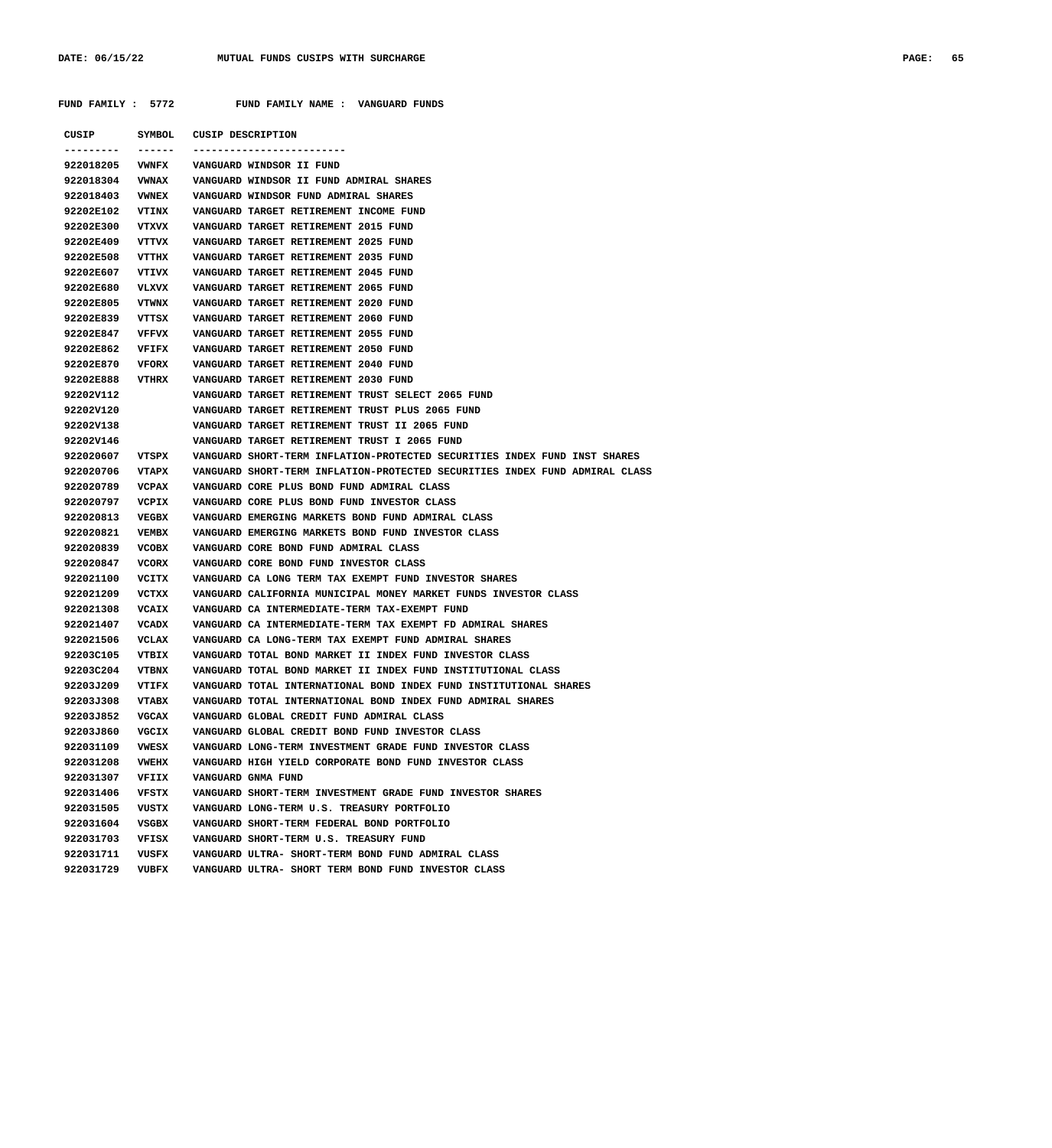**CUSIP SYMBOL CUSIP DESCRIPTION --------- ------ ------------------------- 922018205 VWNFX VANGUARD WINDSOR II FUND 922018304 VWNAX VANGUARD WINDSOR II FUND ADMIRAL SHARES 922018403 VWNEX VANGUARD WINDSOR FUND ADMIRAL SHARES 92202E102 VTINX VANGUARD TARGET RETIREMENT INCOME FUND 92202E300 VTXVX VANGUARD TARGET RETIREMENT 2015 FUND 92202E409 VTTVX VANGUARD TARGET RETIREMENT 2025 FUND 92202E508 VTTHX VANGUARD TARGET RETIREMENT 2035 FUND 92202E607 VTIVX VANGUARD TARGET RETIREMENT 2045 FUND 92202E680 VLXVX VANGUARD TARGET RETIREMENT 2065 FUND 92202E805 VTWNX VANGUARD TARGET RETIREMENT 2020 FUND 92202E839 VTTSX VANGUARD TARGET RETIREMENT 2060 FUND 92202E847 VFFVX VANGUARD TARGET RETIREMENT 2055 FUND 92202E862 VFIFX VANGUARD TARGET RETIREMENT 2050 FUND 92202E870 VFORX VANGUARD TARGET RETIREMENT 2040 FUND 92202E888 VTHRX VANGUARD TARGET RETIREMENT 2030 FUND 92202V112 VANGUARD TARGET RETIREMENT TRUST SELECT 2065 FUND 92202V120 VANGUARD TARGET RETIREMENT TRUST PLUS 2065 FUND 92202V138 VANGUARD TARGET RETIREMENT TRUST II 2065 FUND 92202V146 VANGUARD TARGET RETIREMENT TRUST I 2065 FUND 922020607 VTSPX VANGUARD SHORT-TERM INFLATION-PROTECTED SECURITIES INDEX FUND INST SHARES 922020706 VTAPX VANGUARD SHORT-TERM INFLATION-PROTECTED SECURITIES INDEX FUND ADMIRAL CLASS 922020789 VCPAX VANGUARD CORE PLUS BOND FUND ADMIRAL CLASS 922020797 VCPIX VANGUARD CORE PLUS BOND FUND INVESTOR CLASS 922020813 VEGBX VANGUARD EMERGING MARKETS BOND FUND ADMIRAL CLASS 922020821 VEMBX VANGUARD EMERGING MARKETS BOND FUND INVESTOR CLASS 922020839 VCOBX VANGUARD CORE BOND FUND ADMIRAL CLASS 922020847 VCORX VANGUARD CORE BOND FUND INVESTOR CLASS 922021100 VCITX VANGUARD CA LONG TERM TAX EXEMPT FUND INVESTOR SHARES 922021209 VCTXX VANGUARD CALIFORNIA MUNICIPAL MONEY MARKET FUNDS INVESTOR CLASS 922021308 VCAIX VANGUARD CA INTERMEDIATE-TERM TAX-EXEMPT FUND 922021407 VCADX VANGUARD CA INTERMEDIATE-TERM TAX EXEMPT FD ADMIRAL SHARES 922021506 VCLAX VANGUARD CA LONG-TERM TAX EXEMPT FUND ADMIRAL SHARES 92203C105 VTBIX VANGUARD TOTAL BOND MARKET II INDEX FUND INVESTOR CLASS 92203C204 VTBNX VANGUARD TOTAL BOND MARKET II INDEX FUND INSTITUTIONAL CLASS 92203J209 VTIFX VANGUARD TOTAL INTERNATIONAL BOND INDEX FUND INSTITUTIONAL SHARES 92203J308 VTABX VANGUARD TOTAL INTERNATIONAL BOND INDEX FUND ADMIRAL SHARES 92203J852 VGCAX VANGUARD GLOBAL CREDIT FUND ADMIRAL CLASS 92203J860 VGCIX VANGUARD GLOBAL CREDIT BOND FUND INVESTOR CLASS 922031109 VWESX VANGUARD LONG-TERM INVESTMENT GRADE FUND INVESTOR CLASS 922031208 VWEHX VANGUARD HIGH YIELD CORPORATE BOND FUND INVESTOR CLASS 922031307 VFIIX VANGUARD GNMA FUND 922031406 VFSTX VANGUARD SHORT-TERM INVESTMENT GRADE FUND INVESTOR SHARES 922031505 VUSTX VANGUARD LONG-TERM U.S. TREASURY PORTFOLIO 922031604 VSGBX VANGUARD SHORT-TERM FEDERAL BOND PORTFOLIO 922031703 VFISX VANGUARD SHORT-TERM U.S. TREASURY FUND 922031711 VUSFX VANGUARD ULTRA- SHORT-TERM BOND FUND ADMIRAL CLASS 922031729 VUBFX VANGUARD ULTRA- SHORT TERM BOND FUND INVESTOR CLASS**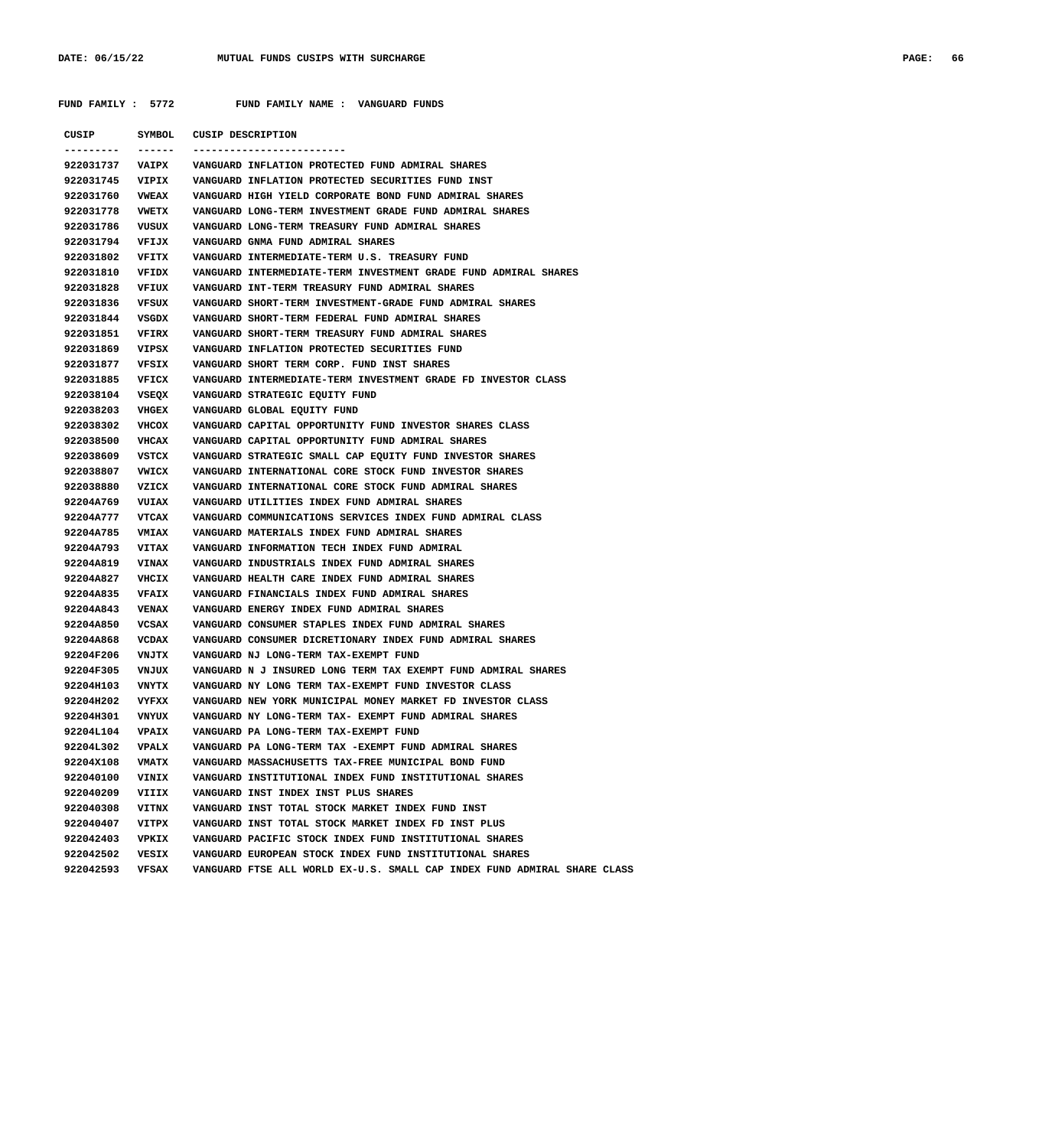| CUSIP           | SYMBOL       | CUSIP DESCRIPTION                                                        |
|-----------------|--------------|--------------------------------------------------------------------------|
|                 | ------       | -----------------------                                                  |
| 922031737       | <b>VAIPX</b> | VANGUARD INFLATION PROTECTED FUND ADMIRAL SHARES                         |
| 922031745 VIPIX |              | VANGUARD INFLATION PROTECTED SECURITIES FUND INST                        |
| 922031760       | <b>VWEAX</b> | VANGUARD HIGH YIELD CORPORATE BOND FUND ADMIRAL SHARES                   |
| 922031778       | <b>VWETX</b> | VANGUARD LONG-TERM INVESTMENT GRADE FUND ADMIRAL SHARES                  |
| 922031786       | VUSUX        | VANGUARD LONG-TERM TREASURY FUND ADMIRAL SHARES                          |
| 922031794       | VFIJX        | VANGUARD GNMA FUND ADMIRAL SHARES                                        |
| 922031802       | VFITX        | VANGUARD INTERMEDIATE-TERM U.S. TREASURY FUND                            |
| 922031810       | VFIDX        | VANGUARD INTERMEDIATE-TERM INVESTMENT GRADE FUND ADMIRAL SHARES          |
| 922031828       | VFIUX        | VANGUARD INT-TERM TREASURY FUND ADMIRAL SHARES                           |
| 922031836       | VFSUX        | VANGUARD SHORT-TERM INVESTMENT-GRADE FUND ADMIRAL SHARES                 |
| 922031844       | VSGDX        | VANGUARD SHORT-TERM FEDERAL FUND ADMIRAL SHARES                          |
| 922031851       | VFIRX        | VANGUARD SHORT-TERM TREASURY FUND ADMIRAL SHARES                         |
| 922031869       | VIPSX        | VANGUARD INFLATION PROTECTED SECURITIES FUND                             |
| 922031877       | VFSIX        | VANGUARD SHORT TERM CORP. FUND INST SHARES                               |
| 922031885       | VFICX        | VANGUARD INTERMEDIATE-TERM INVESTMENT GRADE FD INVESTOR CLASS            |
| 922038104       | VSEQX        | VANGUARD STRATEGIC EQUITY FUND                                           |
| 922038203       | <b>VHGEX</b> | VANGUARD GLOBAL EQUITY FUND                                              |
| 922038302       | VHCOX        | VANGUARD CAPITAL OPPORTUNITY FUND INVESTOR SHARES CLASS                  |
| 922038500       | VHCAX        | VANGUARD CAPITAL OPPORTUNITY FUND ADMIRAL SHARES                         |
| 922038609       | VSTCX        | VANGUARD STRATEGIC SMALL CAP EQUITY FUND INVESTOR SHARES                 |
| 922038807       | VWICX        | VANGUARD INTERNATIONAL CORE STOCK FUND INVESTOR SHARES                   |
| 922038880       |              |                                                                          |
|                 | VZICX        | VANGUARD INTERNATIONAL CORE STOCK FUND ADMIRAL SHARES                    |
| 92204A769       | <b>VUIAX</b> | VANGUARD UTILITIES INDEX FUND ADMIRAL SHARES                             |
| 92204A777       | VTCAX        | VANGUARD COMMUNICATIONS SERVICES INDEX FUND ADMIRAL CLASS                |
| 92204A785       | <b>VMIAX</b> | VANGUARD MATERIALS INDEX FUND ADMIRAL SHARES                             |
| 92204A793       | <b>VITAX</b> | VANGUARD INFORMATION TECH INDEX FUND ADMIRAL                             |
| 92204A819       | <b>VINAX</b> | VANGUARD INDUSTRIALS INDEX FUND ADMIRAL SHARES                           |
| 92204A827       | VHCIX        | VANGUARD HEALTH CARE INDEX FUND ADMIRAL SHARES                           |
| 92204A835       | <b>VFAIX</b> | VANGUARD FINANCIALS INDEX FUND ADMIRAL SHARES                            |
| 92204A843       | <b>VENAX</b> | VANGUARD ENERGY INDEX FUND ADMIRAL SHARES                                |
| 92204A850       | VCSAX        | VANGUARD CONSUMER STAPLES INDEX FUND ADMIRAL SHARES                      |
| 92204A868       | VCDAX        | VANGUARD CONSUMER DICRETIONARY INDEX FUND ADMIRAL SHARES                 |
| 92204F206       | <b>VNJTX</b> | VANGUARD NJ LONG-TERM TAX-EXEMPT FUND                                    |
| 92204F305       | VNJUX        | VANGUARD N J INSURED LONG TERM TAX EXEMPT FUND ADMIRAL SHARES            |
| 92204H103       | VNYTX        | VANGUARD NY LONG TERM TAX-EXEMPT FUND INVESTOR CLASS                     |
| 92204H202       | VYFXX        | VANGUARD NEW YORK MUNICIPAL MONEY MARKET FD INVESTOR CLASS               |
| 92204H301       | VNYUX        | VANGUARD NY LONG-TERM TAX- EXEMPT FUND ADMIRAL SHARES                    |
| 92204L104       | <b>VPAIX</b> | VANGUARD PA LONG-TERM TAX-EXEMPT FUND                                    |
| 92204L302       | VPALX        | VANGUARD PA LONG-TERM TAX -EXEMPT FUND ADMIRAL SHARES                    |
| 92204X108       | VMATX        | VANGUARD MASSACHUSETTS TAX-FREE MUNICIPAL BOND FUND                      |
| 922040100       | VINIX        | VANGUARD INSTITUTIONAL INDEX FUND INSTITUTIONAL SHARES                   |
| 922040209       | VIIIX        | VANGUARD INST INDEX INST PLUS SHARES                                     |
| 922040308       | VITNX        | VANGUARD INST TOTAL STOCK MARKET INDEX FUND INST                         |
| 922040407       | VITPX        | VANGUARD INST TOTAL STOCK MARKET INDEX FD INST PLUS                      |
| 922042403       | VPKIX        | VANGUARD PACIFIC STOCK INDEX FUND INSTITUTIONAL SHARES                   |
| 922042502       | VESIX        | VANGUARD EUROPEAN STOCK INDEX FUND INSTITUTIONAL SHARES                  |
| 922042593       | VFSAX        | VANGUARD FTSE ALL WORLD EX-U.S. SMALL CAP INDEX FUND ADMIRAL SHARE CLASS |
|                 |              |                                                                          |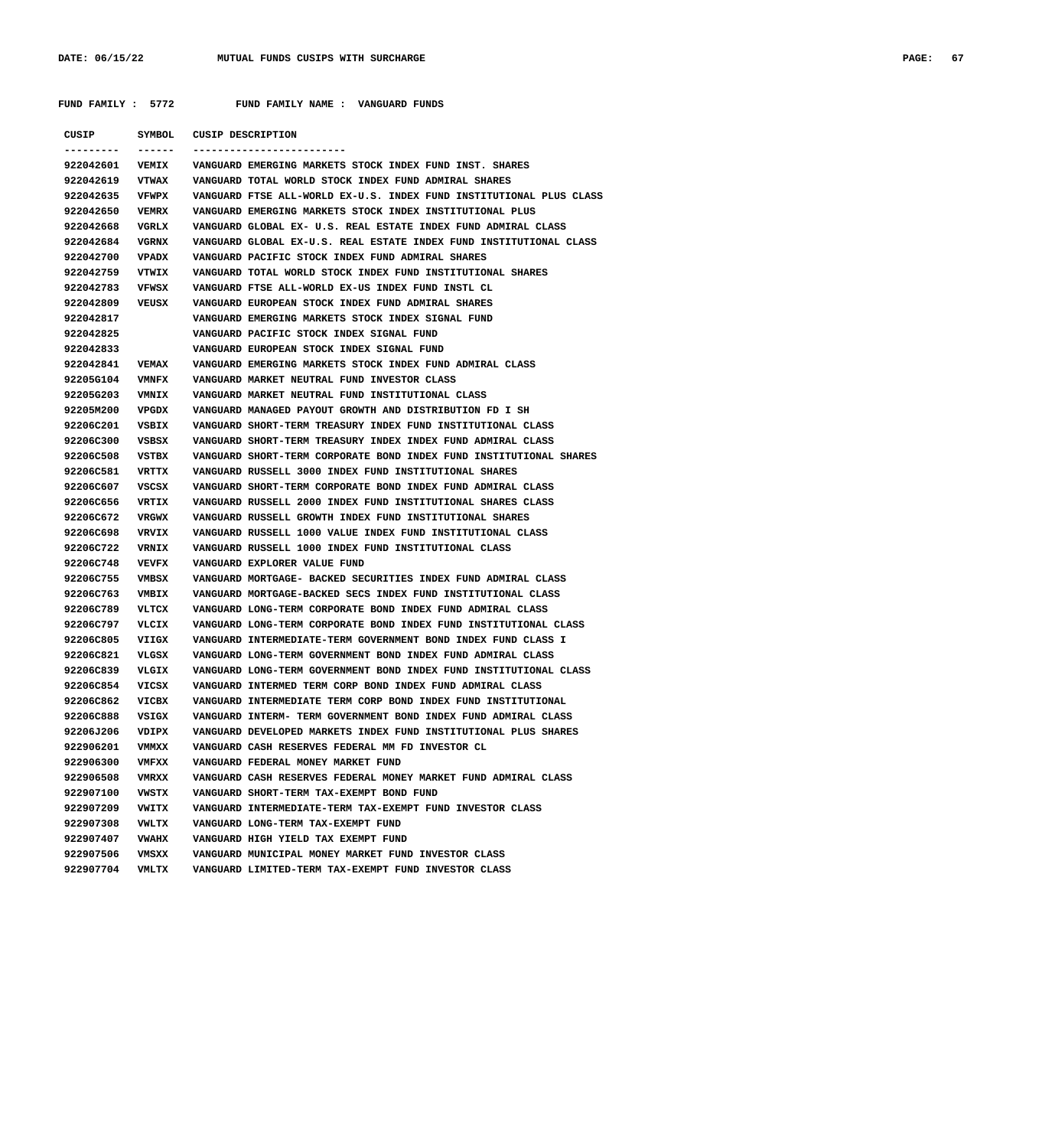| CUSIP                  |                         | SYMBOL CUSIP DESCRIPTION                                                              |
|------------------------|-------------------------|---------------------------------------------------------------------------------------|
| ---------<br>922042601 | -------<br><b>VEMIX</b> | --------------------------<br>VANGUARD EMERGING MARKETS STOCK INDEX FUND INST. SHARES |
| 922042619              |                         | VTWAX VANGUARD TOTAL WORLD STOCK INDEX FUND ADMIRAL SHARES                            |
| 922042635              |                         | VFWPX VANGUARD FTSE ALL-WORLD EX-U.S. INDEX FUND INSTITUTIONAL PLUS CLASS             |
| 922042650              | VEMRX                   | VANGUARD EMERGING MARKETS STOCK INDEX INSTITUTIONAL PLUS                              |
| 922042668              | VGRLX                   | VANGUARD GLOBAL EX- U.S. REAL ESTATE INDEX FUND ADMIRAL CLASS                         |
| 922042684              |                         | VGRNX VANGUARD GLOBAL EX-U.S. REAL ESTATE INDEX FUND INSTITUTIONAL CLASS              |
| 922042700              |                         | VPADX VANGUARD PACIFIC STOCK INDEX FUND ADMIRAL SHARES                                |
| 922042759              |                         | VTWIX VANGUARD TOTAL WORLD STOCK INDEX FUND INSTITUTIONAL SHARES                      |
| 922042783              | <b>VFWSX</b>            | VANGUARD FTSE ALL-WORLD EX-US INDEX FUND INSTL CL                                     |
| 922042809              | VEUSX                   | VANGUARD EUROPEAN STOCK INDEX FUND ADMIRAL SHARES                                     |
| 922042817              |                         | VANGUARD EMERGING MARKETS STOCK INDEX SIGNAL FUND                                     |
| 922042825              |                         | VANGUARD PACIFIC STOCK INDEX SIGNAL FUND                                              |
| 922042833              |                         | VANGUARD EUROPEAN STOCK INDEX SIGNAL FUND                                             |
| 922042841              | <b>VEMAX</b>            | VANGUARD EMERGING MARKETS STOCK INDEX FUND ADMIRAL CLASS                              |
| 92205G104 VMNFX        |                         | VANGUARD MARKET NEUTRAL FUND INVESTOR CLASS                                           |
| 92205G203              | <b>VMNIX</b>            | VANGUARD MARKET NEUTRAL FUND INSTITUTIONAL CLASS                                      |
| 92205M200              |                         |                                                                                       |
| 92206C201              |                         | VSBIX     VANGUARD SHORT-TERM TREASURY INDEX FUND INSTITUTIONAL CLASS                 |
| 92206C300              | VSBSX                   | VANGUARD SHORT-TERM TREASURY INDEX INDEX FUND ADMIRAL CLASS                           |
| 92206C508              |                         | VSTBX VANGUARD SHORT-TERM CORPORATE BOND INDEX FUND INSTITUTIONAL SHARES              |
| 92206C581              | VRTTX                   | VANGUARD RUSSELL 3000 INDEX FUND INSTITUTIONAL SHARES                                 |
| 92206C607              | VSCSX                   | VANGUARD SHORT-TERM CORPORATE BOND INDEX FUND ADMIRAL CLASS                           |
| 92206C656              |                         | VRTIX VANGUARD RUSSELL 2000 INDEX FUND INSTITUTIONAL SHARES CLASS                     |
| 92206C672              | VRGWX                   | VANGUARD RUSSELL GROWTH INDEX FUND INSTITUTIONAL SHARES                               |
| 92206C698              | VRVIX                   | VANGUARD RUSSELL 1000 VALUE INDEX FUND INSTITUTIONAL CLASS                            |
| 92206C722              | <b>VRNIX</b>            | VANGUARD RUSSELL 1000 INDEX FUND INSTITUTIONAL CLASS                                  |
| 92206C748              | VEVFX                   | VANGUARD EXPLORER VALUE FUND                                                          |
| 92206C755              | VMBSX                   | VANGUARD MORTGAGE- BACKED SECURITIES INDEX FUND ADMIRAL CLASS                         |
| 92206C763              | VMBIX                   | VANGUARD MORTGAGE-BACKED SECS INDEX FUND INSTITUTIONAL CLASS                          |
| 92206C789              | VLTCX                   | VANGUARD LONG-TERM CORPORATE BOND INDEX FUND ADMIRAL CLASS                            |
| 92206C797              | VLCIX                   | VANGUARD LONG-TERM CORPORATE BOND INDEX FUND INSTITUTIONAL CLASS                      |
| 92206C805              | VIIGX                   | VANGUARD INTERMEDIATE-TERM GOVERNMENT BOND INDEX FUND CLASS I                         |
| 92206C821              | VLGSX                   | VANGUARD LONG-TERM GOVERNMENT BOND INDEX FUND ADMIRAL CLASS                           |
| 92206C839              |                         | VLGIX VANGUARD LONG-TERM GOVERNMENT BOND INDEX FUND INSTITUTIONAL CLASS               |
|                        |                         | 92206C854 VICSX VANGUARD INTERMED TERM CORP BOND INDEX FUND ADMIRAL CLASS             |
| 92206C862              | VICBX                   | VANGUARD INTERMEDIATE TERM CORP BOND INDEX FUND INSTITUTIONAL                         |
| 92206C888              | VSIGX                   | VANGUARD INTERM- TERM GOVERNMENT BOND INDEX FUND ADMIRAL CLASS                        |
| 92206J206              | VDIPX                   | VANGUARD DEVELOPED MARKETS INDEX FUND INSTITUTIONAL PLUS SHARES                       |
| 922906201              | VMMXX                   | VANGUARD CASH RESERVES FEDERAL MM FD INVESTOR CL                                      |
| 922906300              | VMFXX                   | VANGUARD FEDERAL MONEY MARKET FUND                                                    |
| 922906508              | VMRXX                   | VANGUARD CASH RESERVES FEDERAL MONEY MARKET FUND ADMIRAL CLASS                        |
| 922907100              | VWSTX                   | VANGUARD SHORT-TERM TAX-EXEMPT BOND FUND                                              |
| 922907209              | VWITX                   | VANGUARD INTERMEDIATE-TERM TAX-EXEMPT FUND INVESTOR CLASS                             |
| 922907308              | VWLTX                   | VANGUARD LONG-TERM TAX-EXEMPT FUND                                                    |
| 922907407              | <b>VWAHX</b>            | VANGUARD HIGH YIELD TAX EXEMPT FUND                                                   |
| 922907506              | VMSXX                   | VANGUARD MUNICIPAL MONEY MARKET FUND INVESTOR CLASS                                   |
| 922907704              | VMLTX                   | VANGUARD LIMITED-TERM TAX-EXEMPT FUND INVESTOR CLASS                                  |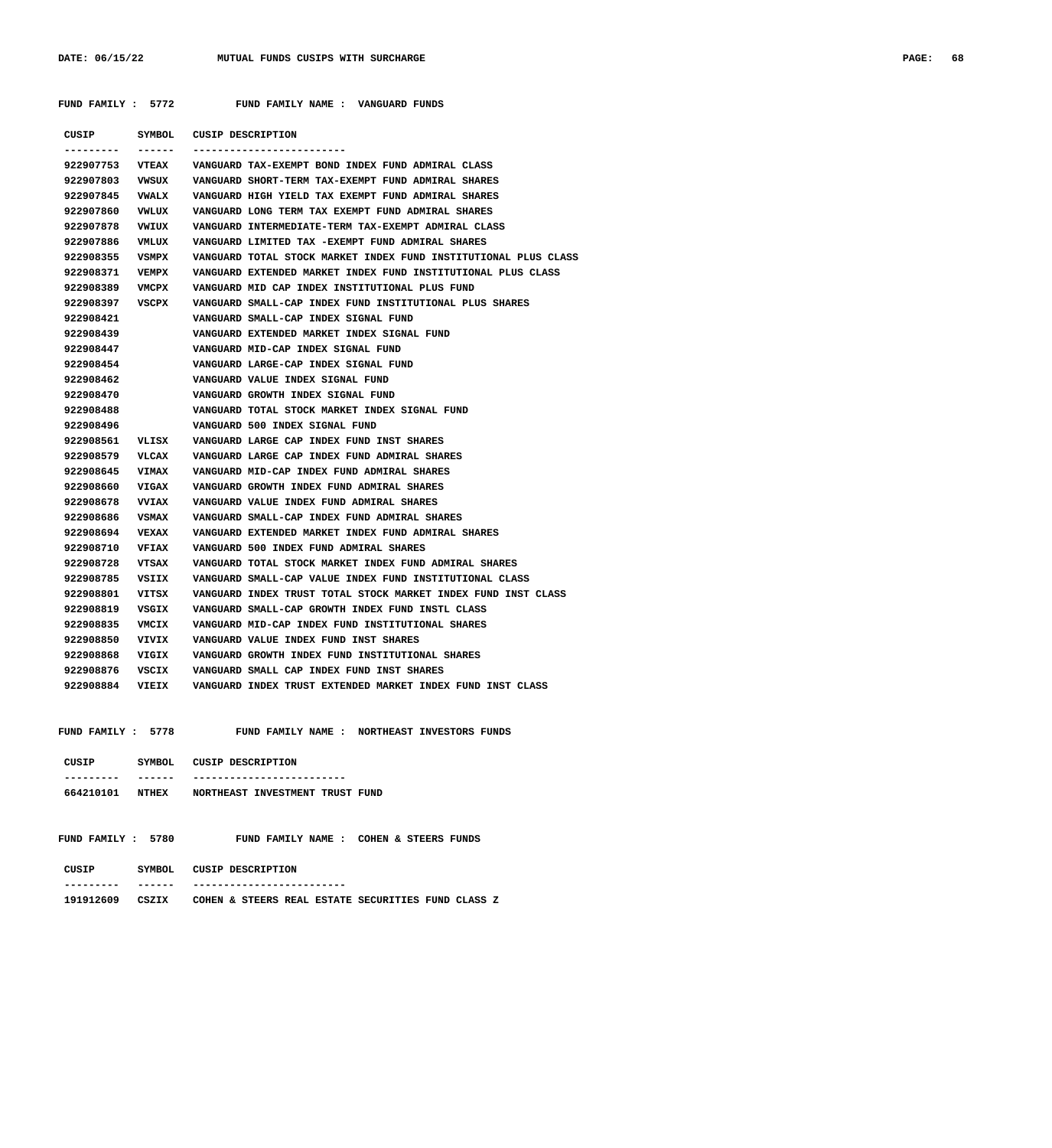| CUSIP     | <b>SYMBOL</b> | CUSIP DESCRIPTION                                               |
|-----------|---------------|-----------------------------------------------------------------|
| --------- | -------       | -------------------------                                       |
| 922907753 | <b>VTEAX</b>  | VANGUARD TAX-EXEMPT BOND INDEX FUND ADMIRAL CLASS               |
| 922907803 | VWSUX         | VANGUARD SHORT-TERM TAX-EXEMPT FUND ADMIRAL SHARES              |
| 922907845 | <b>VWALX</b>  | VANGUARD HIGH YIELD TAX EXEMPT FUND ADMIRAL SHARES              |
| 922907860 | VWLUX         | VANGUARD LONG TERM TAX EXEMPT FUND ADMIRAL SHARES               |
| 922907878 | VWIUX         | VANGUARD INTERMEDIATE-TERM TAX-EXEMPT ADMIRAL CLASS             |
| 922907886 | VMLUX         | VANGUARD LIMITED TAX -EXEMPT FUND ADMIRAL SHARES                |
| 922908355 | VSMPX         | VANGUARD TOTAL STOCK MARKET INDEX FUND INSTITUTIONAL PLUS CLASS |
| 922908371 | VEMPX         | VANGUARD EXTENDED MARKET INDEX FUND INSTITUTIONAL PLUS CLASS    |
| 922908389 | VMCPX         | VANGUARD MID CAP INDEX INSTITUTIONAL PLUS FUND                  |
| 922908397 | VSCPX         | VANGUARD SMALL-CAP INDEX FUND INSTITUTIONAL PLUS SHARES         |
| 922908421 |               | VANGUARD SMALL-CAP INDEX SIGNAL FUND                            |
| 922908439 |               | VANGUARD EXTENDED MARKET INDEX SIGNAL FUND                      |
| 922908447 |               | VANGUARD MID-CAP INDEX SIGNAL FUND                              |
| 922908454 |               | VANGUARD LARGE-CAP INDEX SIGNAL FUND                            |
| 922908462 |               | VANGUARD VALUE INDEX SIGNAL FUND                                |
| 922908470 |               | VANGUARD GROWTH INDEX SIGNAL FUND                               |
| 922908488 |               | VANGUARD TOTAL STOCK MARKET INDEX SIGNAL FUND                   |
| 922908496 |               | VANGUARD 500 INDEX SIGNAL FUND                                  |
| 922908561 |               | VLISX VANGUARD LARGE CAP INDEX FUND INST SHARES                 |
| 922908579 | VLCAX         | VANGUARD LARGE CAP INDEX FUND ADMIRAL SHARES                    |
| 922908645 | <b>VIMAX</b>  | VANGUARD MID-CAP INDEX FUND ADMIRAL SHARES                      |
| 922908660 | <b>VIGAX</b>  | VANGUARD GROWTH INDEX FUND ADMIRAL SHARES                       |
| 922908678 | <b>VVIAX</b>  | VANGUARD VALUE INDEX FUND ADMIRAL SHARES                        |
| 922908686 | VSMAX         | VANGUARD SMALL-CAP INDEX FUND ADMIRAL SHARES                    |
| 922908694 | VEXAX         | VANGUARD EXTENDED MARKET INDEX FUND ADMIRAL SHARES              |
| 922908710 | VFIAX         | VANGUARD 500 INDEX FUND ADMIRAL SHARES                          |
| 922908728 | VTSAX         | VANGUARD TOTAL STOCK MARKET INDEX FUND ADMIRAL SHARES           |
| 922908785 | VSIIX         | VANGUARD SMALL-CAP VALUE INDEX FUND INSTITUTIONAL CLASS         |
| 922908801 | VITSX         | VANGUARD INDEX TRUST TOTAL STOCK MARKET INDEX FUND INST CLASS   |
| 922908819 | VSGIX         | VANGUARD SMALL-CAP GROWTH INDEX FUND INSTL CLASS                |
| 922908835 | VMCIX         | VANGUARD MID-CAP INDEX FUND INSTITUTIONAL SHARES                |
| 922908850 | VIVIX         | VANGUARD VALUE INDEX FUND INST SHARES                           |
| 922908868 | VIGIX         | VANGUARD GROWTH INDEX FUND INSTITUTIONAL SHARES                 |
| 922908876 | VSCIX         | VANGUARD SMALL CAP INDEX FUND INST SHARES                       |
| 922908884 | VIEIX         | VANGUARD INDEX TRUST EXTENDED MARKET INDEX FUND INST CLASS      |
|           |               |                                                                 |

 **FUND FAMILY : 5778 FUND FAMILY NAME : NORTHEAST INVESTORS FUNDS**

| CUSIP             | SYMBOL        | CUSIP DESCRIPTION                                        |
|-------------------|---------------|----------------------------------------------------------|
|                   |               |                                                          |
| 664210101         | NTHEX         | NORTHEAST INVESTMENT TRUST FUND                          |
| FUND FAMILY: 5780 |               | COHEN & STEERS FUNDS<br>FUND FAMILY NAME:                |
| CUSIP             | <b>SYMBOL</b> | CUSIP DESCRIPTION                                        |
|                   |               |                                                          |
| 191912609         | CSZIX         | STEERS REAL ESTATE SECURITIES FUND CLASS Z<br>COHEN<br>s |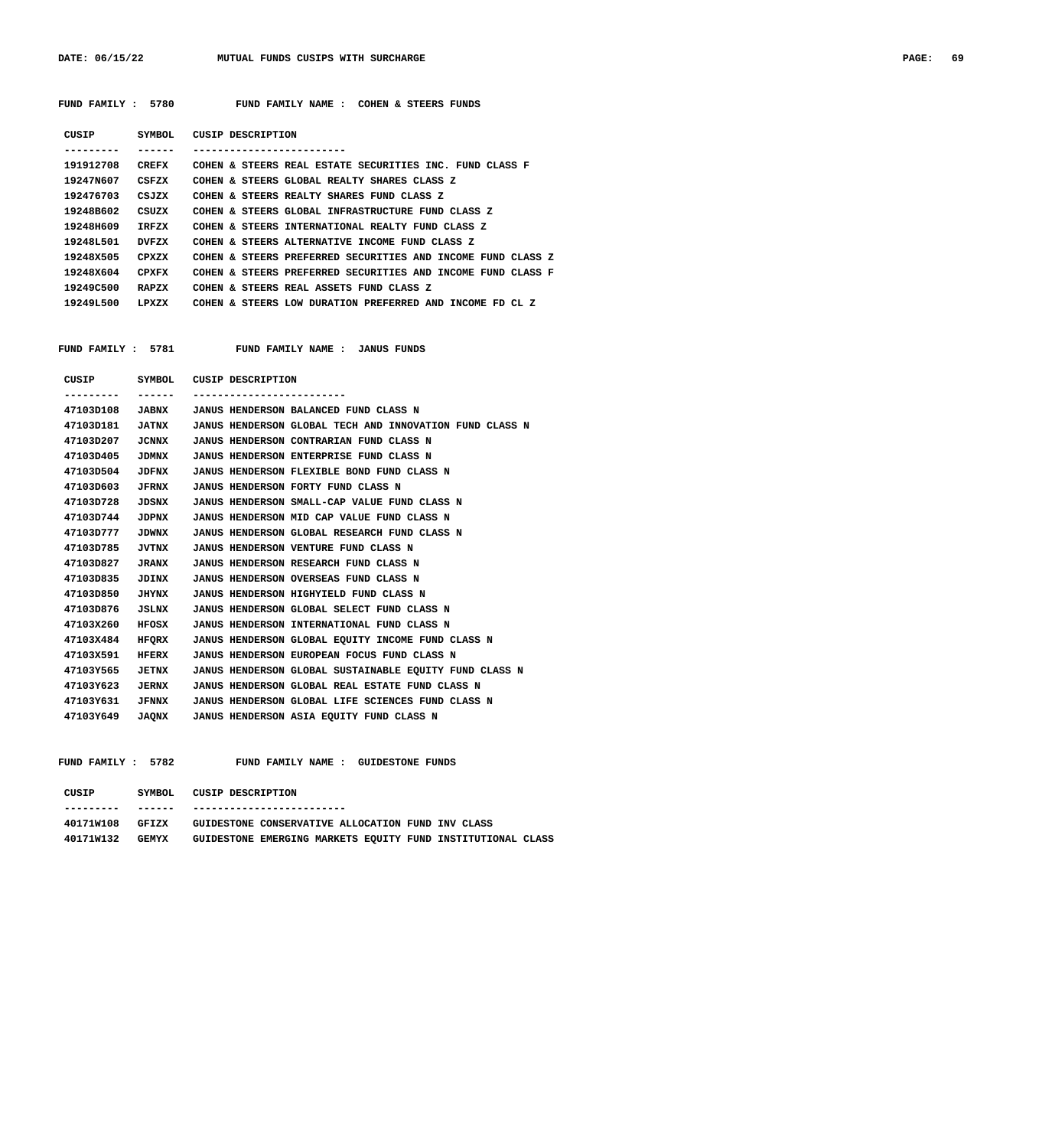DATE: 06/15/22 MUTUAL FUNDS CUSIPS WITH SURCHARGE **PAGE: 69** 

 **FUND FAMILY : 5780 FUND FAMILY NAME : COHEN & STEERS FUNDS**

| CUSIP      | SYMBOL | CUSIP DESCRIPTION                                           |
|------------|--------|-------------------------------------------------------------|
|            |        |                                                             |
| 191912708  | CREFX  | COHEN & STEERS REAL ESTATE SECURITIES INC. FUND CLASS F     |
| 19247N607  | CSFZX  | COHEN & STEERS GLOBAL REALTY SHARES CLASS Z                 |
| 192476703  | CSJZX  | COHEN & STEERS REALTY SHARES FUND CLASS Z                   |
| 19248B602  | CSUZX  | COHEN & STEERS GLOBAL INFRASTRUCTURE FUND CLASS Z           |
| 19248H609  | TRFZX  | COHEN & STEERS INTERNATIONAL REALTY FUND CLASS Z            |
| 192481.501 | DVF7.X | COHEN & STEERS ALTERNATIVE INCOME FUND CLASS Z              |
| 192488505  | CPXZX  | COHEN & STEERS PREFERRED SECURITIES AND INCOME FUND CLASS Z |
| 192488604  | CPXFX  | COHEN & STEERS PREFERRED SECURITIES AND INCOME FUND CLASS F |
| 19249C500  | RAPZX  | COHEN & STEERS REAL ASSETS FUND CLASS Z                     |
| 19249L500  | LPXZX  | COHEN & STEERS LOW DURATION PREFERRED AND INCOME FD CL Z    |
|            |        |                                                             |

FUND FAMILY : 5781 FUND FAMILY NAME : JANUS FUNDS

| CUSIP     |              | SYMBOL CUSIP DESCRIPTION |                                                         |
|-----------|--------------|--------------------------|---------------------------------------------------------|
|           | ------       |                          |                                                         |
| 47103D108 | <b>JABNX</b> |                          | JANUS HENDERSON BALANCED FUND CLASS N                   |
| 47103D181 | <b>JATNX</b> |                          | JANUS HENDERSON GLOBAL TECH AND INNOVATION FUND CLASS N |
| 47103D207 | JCNNX        |                          | JANUS HENDERSON CONTRARIAN FUND CLASS N                 |
| 47103D405 | <b>JDMNX</b> |                          | <b>JANUS HENDERSON ENTERPRISE FUND CLASS N</b>          |
| 47103D504 | JDFNX        |                          | JANUS HENDERSON FLEXIBLE BOND FUND CLASS N              |
| 47103D603 | <b>JFRNX</b> |                          | JANUS HENDERSON FORTY FUND CLASS N                      |
| 47103D728 | JDSNX        |                          | JANUS HENDERSON SMALL-CAP VALUE FUND CLASS N            |
| 47103D744 | JDPNX        |                          | JANUS HENDERSON MID CAP VALUE FUND CLASS N              |
| 47103D777 | <b>JDWNX</b> |                          | JANUS HENDERSON GLOBAL RESEARCH FUND CLASS N            |
| 47103D785 | JVTNX        |                          | JANUS HENDERSON VENTURE FUND CLASS N                    |
| 47103D827 | <b>JRANX</b> |                          | JANUS HENDERSON RESEARCH FUND CLASS N                   |
| 47103D835 | JDINX        |                          | JANUS HENDERSON OVERSEAS FUND CLASS N                   |
| 47103D850 | JHYNX        |                          | JANUS HENDERSON HIGHYIELD FUND CLASS N                  |
| 47103D876 | JSLNX        |                          | JANUS HENDERSON GLOBAL SELECT FUND CLASS N              |
| 47103X260 | HFOSX        |                          | JANUS HENDERSON INTERNATIONAL FUND CLASS N              |
| 47103X484 | HFORX        |                          | JANUS HENDERSON GLOBAL EQUITY INCOME FUND CLASS N       |
| 47103X591 | HFERX        |                          | JANUS HENDERSON EUROPEAN FOCUS FUND CLASS N             |
| 47103Y565 | JETNX        |                          | JANUS HENDERSON GLOBAL SUSTAINABLE EQUITY FUND CLASS N  |
| 47103Y623 | <b>JERNX</b> |                          | JANUS HENDERSON GLOBAL REAL ESTATE FUND CLASS N         |
| 47103Y631 | <b>JFNNX</b> |                          | JANUS HENDERSON GLOBAL LIFE SCIENCES FUND CLASS N       |
| 47103Y649 | <b>JAQNX</b> |                          | JANUS HENDERSON ASIA EQUITY FUND CLASS N                |
|           |              |                          |                                                         |

 **FUND FAMILY : 5782 FUND FAMILY NAME : GUIDESTONE FUNDS**

| CUSIP     | SYMBOL       | CUSIP DESCRIPTION                                 |  |                                                             |  |
|-----------|--------------|---------------------------------------------------|--|-------------------------------------------------------------|--|
|           |              |                                                   |  |                                                             |  |
| 40171W108 | GFTZX        | GUIDESTONE CONSERVATIVE ALLOCATION FUND INV CLASS |  |                                                             |  |
| 40171W132 | <b>GEMYX</b> |                                                   |  | GUIDESTONE EMERGING MARKETS EOUITY FUND INSTITUTIONAL CLASS |  |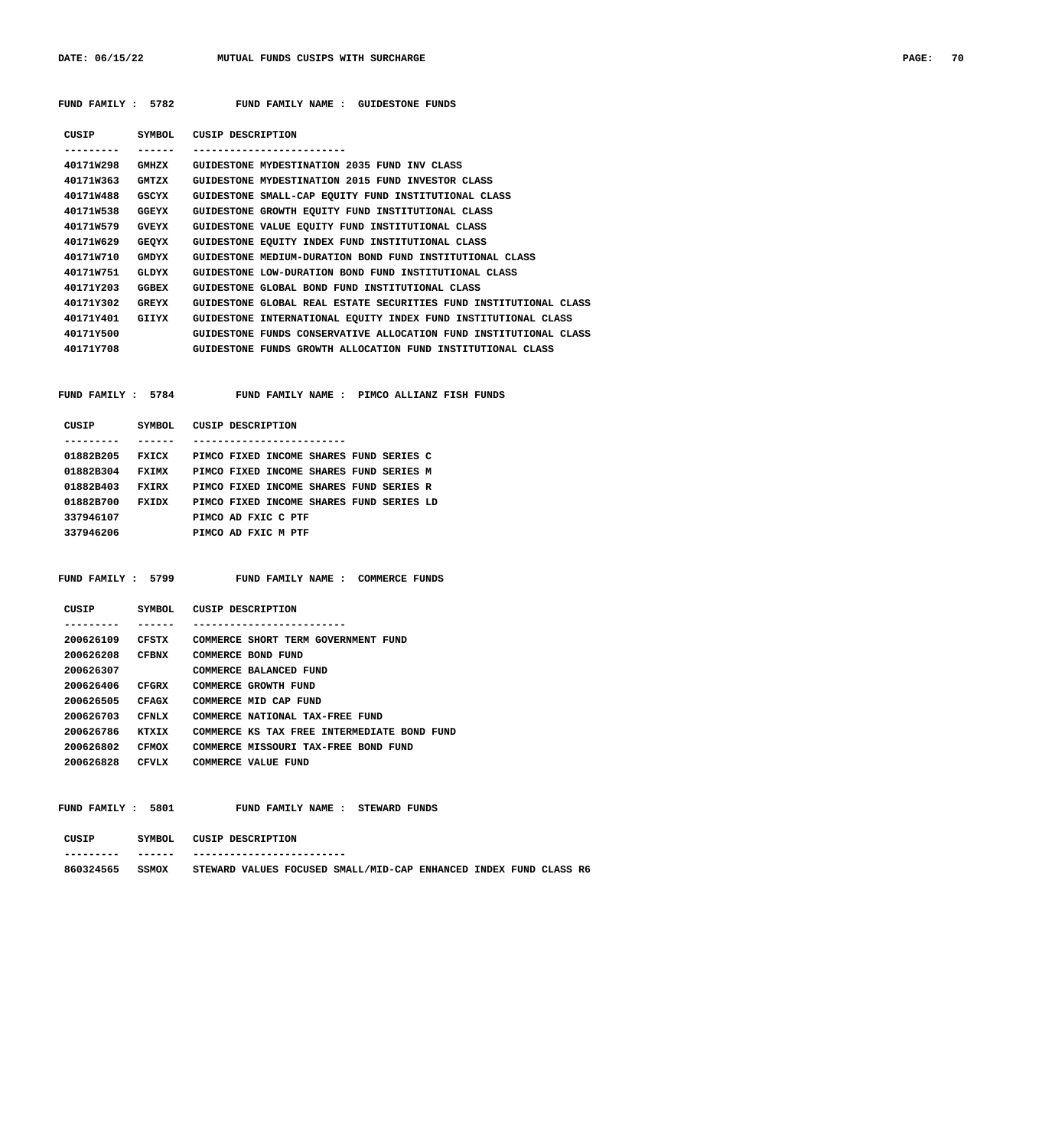DATE: 06/15/22 MUTUAL FUNDS CUSIPS WITH SURCHARGE **PAGE: 70** 

| FUND FAMILY : 5782 |              | FUND FAMILY NAME : GUIDESTONE FUNDS                                               |
|--------------------|--------------|-----------------------------------------------------------------------------------|
|                    |              | CUSIP SYMBOL CUSIP DESCRIPTION<br>-------------------------                       |
|                    |              | 40171W298 GMHZX GUIDESTONE MYDESTINATION 2035 FUND INV CLASS                      |
|                    |              | 40171W363 GMTZX GUIDESTONE MYDESTINATION 2015 FUND INVESTOR CLASS                 |
|                    |              | 40171W488 GSCYX GUIDESTONE SMALL-CAP EQUITY FUND INSTITUTIONAL CLASS              |
|                    |              | 40171W538 GGEYX GUIDESTONE GROWTH EQUITY FUND INSTITUTIONAL CLASS                 |
|                    |              | 40171W579 GVEYX GUIDESTONE VALUE EQUITY FUND INSTITUTIONAL CLASS                  |
|                    |              | 40171W629 GEQYX GUIDESTONE EQUITY INDEX FUND INSTITUTIONAL CLASS                  |
|                    |              | 40171W710 GMDYX GUIDESTONE MEDIUM-DURATION BOND FUND INSTITUTIONAL CLASS          |
|                    |              | 40171W751 GLDYX GUIDESTONE LOW-DURATION BOND FUND INSTITUTIONAL CLASS             |
|                    |              | 40171Y203 GGBEX GUIDESTONE GLOBAL BOND FUND INSTITUTIONAL CLASS                   |
|                    |              | 40171Y302 GREYX GUIDESTONE GLOBAL REAL ESTATE SECURITIES FUND INSTITUTIONAL CLASS |
|                    |              | 40171Y401 GIIYX GUIDESTONE INTERNATIONAL EQUITY INDEX FUND INSTITUTIONAL CLASS    |
| 40171Y500          |              | GUIDESTONE FUNDS CONSERVATIVE ALLOCATION FUND INSTITUTIONAL CLASS                 |
|                    |              | 40171Y708 GUIDESTONE FUNDS GROWTH ALLOCATION FUND INSTITUTIONAL CLASS             |
|                    |              |                                                                                   |
|                    |              | FUND FAMILY: 5784 FUND FAMILY NAME: PIMCO ALLIANZ FISH FUNDS                      |
|                    |              | CUSIP SYMBOL CUSIP DESCRIPTION                                                    |
| . <u>.</u> .       | -------      | -------------------------                                                         |
|                    |              | 01882B205 FXICX PIMCO FIXED INCOME SHARES FUND SERIES C                           |
|                    |              | 01882B304 FXIMX PIMCO FIXED INCOME SHARES FUND SERIES M                           |
|                    |              | 01882B403 FXIRX PIMCO FIXED INCOME SHARES FUND SERIES R                           |
|                    |              | 01882B700 FXIDX PIMCO FIXED INCOME SHARES FUND SERIES LD                          |
| 337946107          |              | PIMCO AD FXIC C PTF                                                               |
|                    |              | 337946206 PIMCO AD FXIC M PTF                                                     |
|                    |              |                                                                                   |
|                    |              | FUND FAMILY : 5799 FUND FAMILY NAME : COMMERCE FUNDS                              |
|                    |              | CUSIP SYMBOL CUSIP DESCRIPTION                                                    |
| . <u>.</u>         | -------      | --------------------------                                                        |
|                    |              | 200626109 CFSTX COMMERCE SHORT TERM GOVERNMENT FUND                               |
|                    |              | 200626208 CFBNX COMMERCE BOND FUND                                                |
| 200626307          |              | COMMERCE BALANCED FUND                                                            |
| 200626406          | CFGRX        | COMMERCE GROWTH FUND                                                              |
| 200626505 CFAGX    |              | COMMERCE MID CAP FUND                                                             |
| 200626703          | CFNLX        | COMMERCE NATIONAL TAX-FREE FUND                                                   |
| 200626786          | KTXIX        | COMMERCE KS TAX FREE INTERMEDIATE BOND FUND                                       |
| 200626802          | <b>CFMOX</b> | COMMERCE MISSOURI TAX-FREE BOND FUND                                              |
| 200626828          | CFVLX        | COMMERCE VALUE FUND                                                               |
|                    |              |                                                                                   |
| FUND FAMILY : 5801 |              | FUND FAMILY NAME : STEWARD FUNDS                                                  |
| CUSIP              | SYMBOL       | <b>CUSIP DESCRIPTION</b>                                                          |

 **--------- ------ -------------------------**

### **860324565 SSMOX STEWARD VALUES FOCUSED SMALL/MID-CAP ENHANCED INDEX FUND CLASS R6**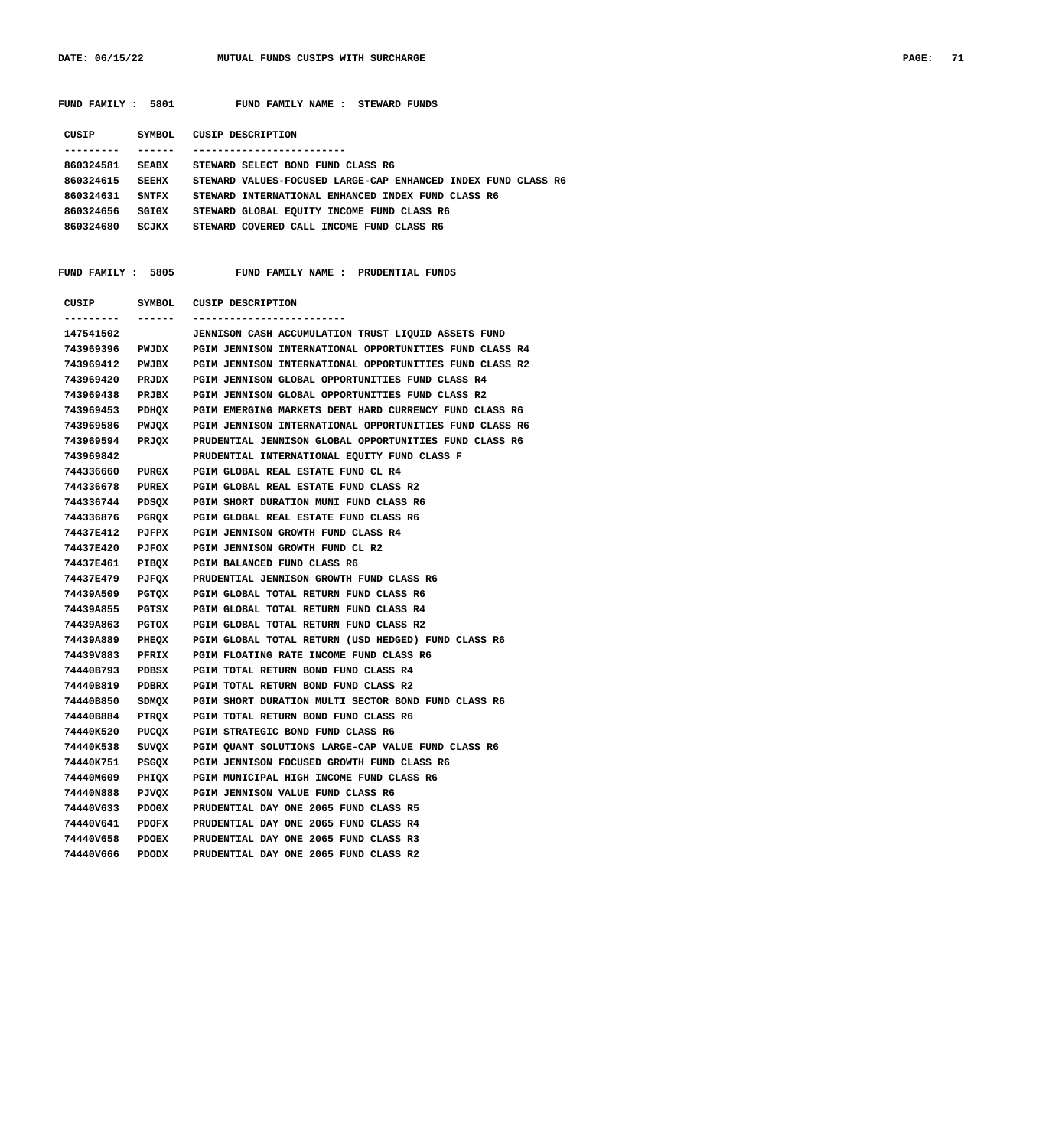| FUND FAMILY : 5801     |               | FUND FAMILY NAME : STEWARD FUNDS                                                                                         |
|------------------------|---------------|--------------------------------------------------------------------------------------------------------------------------|
| CUSIP                  | <b>SYMBOL</b> | <b>CUSIP DESCRIPTION</b>                                                                                                 |
| ---------              | -------       | --------------------------                                                                                               |
| 860324581              |               | SEABX STEWARD SELECT BOND FUND CLASS R6                                                                                  |
| 860324615              |               | SEEHX STEWARD VALUES-FOCUSED LARGE-CAP ENHANCED INDEX FUND CLASS R6                                                      |
| 860324631              | <b>SNTFX</b>  | STEWARD INTERNATIONAL ENHANCED INDEX FUND CLASS R6                                                                       |
| 860324656              | SGIGX         | STEWARD GLOBAL EQUITY INCOME FUND CLASS R6                                                                               |
| 860324680 SCJKX        |               | STEWARD COVERED CALL INCOME FUND CLASS R6                                                                                |
|                        |               |                                                                                                                          |
|                        |               |                                                                                                                          |
| FUND FAMILY : 5805     |               | FUND FAMILY NAME : PRUDENTIAL FUNDS                                                                                      |
|                        |               | CUSIP SYMBOL CUSIP DESCRIPTION                                                                                           |
| ---------              |               | -------------------------                                                                                                |
| 147541502<br>743969396 |               | <b>JENNISON CASH ACCUMULATION TRUST LIQUID ASSETS FUND</b>                                                               |
| 743969412              | PWJBX         | PWJDX PGIM JENNISON INTERNATIONAL OPPORTUNITIES FUND CLASS R4<br>PGIM JENNISON INTERNATIONAL OPPORTUNITIES FUND CLASS R2 |
| 743969420              | PRJDX         | PGIM JENNISON GLOBAL OPPORTUNITIES FUND CLASS R4                                                                         |
| 743969438              |               | PRJBX PGIM JENNISON GLOBAL OPPORTUNITIES FUND CLASS R2                                                                   |
| 743969453              |               | PDHQX PGIM EMERGING MARKETS DEBT HARD CURRENCY FUND CLASS R6                                                             |
| 743969586              |               | PWJQX PGIM JENNISON INTERNATIONAL OPPORTUNITIES FUND CLASS R6                                                            |
| 743969594              | PRJQX         | PRUDENTIAL JENNISON GLOBAL OPPORTUNITIES FUND CLASS R6                                                                   |
| 743969842              |               | PRUDENTIAL INTERNATIONAL EQUITY FUND CLASS F                                                                             |
| 744336660              | PURGX         | PGIM GLOBAL REAL ESTATE FUND CL R4                                                                                       |
| 744336678              | <b>PUREX</b>  | PGIM GLOBAL REAL ESTATE FUND CLASS R2                                                                                    |
| 744336744              | PDSQX         | PGIM SHORT DURATION MUNI FUND CLASS R6                                                                                   |
| 744336876              | PGRQX         | PGIM GLOBAL REAL ESTATE FUND CLASS R6                                                                                    |
| 74437E412              | <b>PJFPX</b>  | PGIM JENNISON GROWTH FUND CLASS R4                                                                                       |
| <b>74437E420</b>       | <b>PJFOX</b>  | PGIM JENNISON GROWTH FUND CL R2                                                                                          |
| 74437E461              | PIBQX         | PGIM BALANCED FUND CLASS R6                                                                                              |
| 74437E479              | PJFQX         | PRUDENTIAL JENNISON GROWTH FUND CLASS R6                                                                                 |
| 74439A509              | PGTQX         | PGIM GLOBAL TOTAL RETURN FUND CLASS R6                                                                                   |
| 74439A855              | PGTSX         | PGIM GLOBAL TOTAL RETURN FUND CLASS R4                                                                                   |
| 74439A863              | PGTOX         | PGIM GLOBAL TOTAL RETURN FUND CLASS R2                                                                                   |
| 74439A889              |               | PHEQX PGIM GLOBAL TOTAL RETURN (USD HEDGED) FUND CLASS R6                                                                |
| 74439V883              | PFRIX         | PGIM FLOATING RATE INCOME FUND CLASS R6                                                                                  |
| 74440B793 PDBSX        |               | PGIM TOTAL RETURN BOND FUND CLASS R4                                                                                     |
| 74440B819              | PDBRX         | PGIM TOTAL RETURN BOND FUND CLASS R2                                                                                     |
| 74440B850              |               | SDMQX PGIM SHORT DURATION MULTI SECTOR BOND FUND CLASS R6                                                                |
| 74440B884              |               | PTRQX PGIM TOTAL RETURN BOND FUND CLASS R6                                                                               |
| 74440K520              |               | PUCQX PGIM STRATEGIC BOND FUND CLASS R6                                                                                  |
| 74440K538              | SUVQX         | PGIM QUANT SOLUTIONS LARGE-CAP VALUE FUND CLASS R6                                                                       |
| 74440K751              | PSGQX         | PGIM JENNISON FOCUSED GROWTH FUND CLASS R6                                                                               |
| 74440M609              | PHIQX         | PGIM MUNICIPAL HIGH INCOME FUND CLASS R6                                                                                 |
| 74440N888              | PJVQX         | PGIM JENNISON VALUE FUND CLASS R6                                                                                        |
| 74440V633              | PDOGX         | PRUDENTIAL DAY ONE 2065 FUND CLASS R5                                                                                    |
| 74440V641              | PDOFX         | PRUDENTIAL DAY ONE 2065 FUND CLASS R4                                                                                    |
| 74440V658              | PDOEX         | PRUDENTIAL DAY ONE 2065 FUND CLASS R3                                                                                    |
| 74440V666              | PDODX         | PRUDENTIAL DAY ONE 2065 FUND CLASS R2                                                                                    |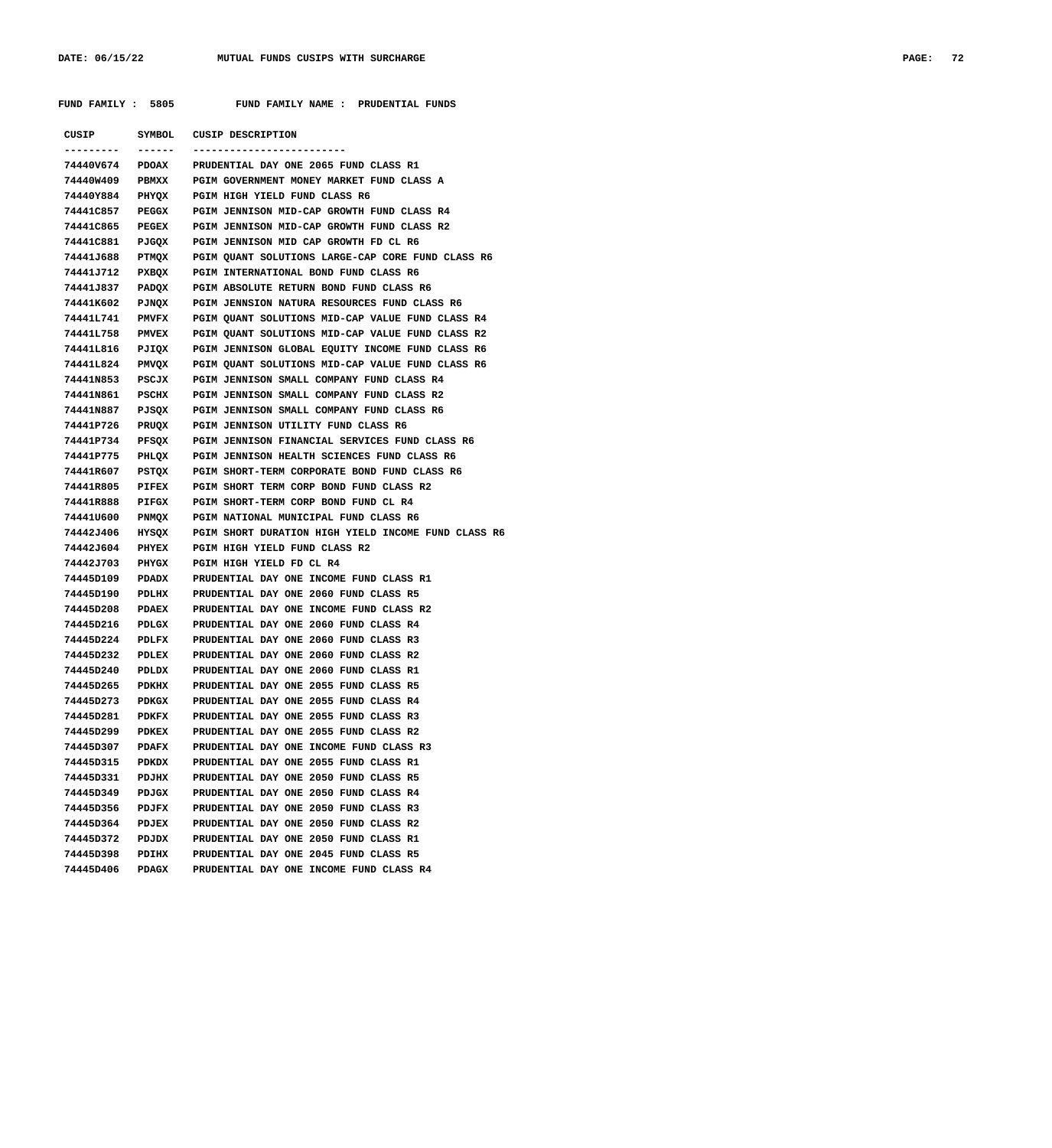**FUND FAMILY : 5805 FUND FAMILY NAME : PRUDENTIAL FUNDS**

| CUSIP             | SYMBOL       | <b>CUSIP DESCRIPTION</b>                            |
|-------------------|--------------|-----------------------------------------------------|
| . _ _ _ _ _ _ _ _ | ------       | ----------------------                              |
| 74440V674         | PDOAX        | PRUDENTIAL DAY ONE 2065 FUND CLASS R1               |
| 74440w409         | PBMXX        | PGIM GOVERNMENT MONEY MARKET FUND CLASS A           |
| 74440Y884         | PHYQX        | PGIM HIGH YIELD FUND CLASS R6                       |
| 74441C857         | PEGGX        | PGIM JENNISON MID-CAP GROWTH FUND CLASS R4          |
| 74441C865         | <b>PEGEX</b> | PGIM JENNISON MID-CAP GROWTH FUND CLASS R2          |
| 74441C881         | PJGQX        | PGIM JENNISON MID CAP GROWTH FD CL R6               |
| 74441J688         | PTMQX        | PGIM QUANT SOLUTIONS LARGE-CAP CORE FUND CLASS R6   |
| 74441J712         | PXBQX        | PGIM INTERNATIONAL BOND FUND CLASS R6               |
| 74441J837         | PADQX        | PGIM ABSOLUTE RETURN BOND FUND CLASS R6             |
| 74441K602         | PJNQX        | PGIM JENNSION NATURA RESOURCES FUND CLASS R6        |
| 74441L741         | <b>PMVFX</b> | PGIM QUANT SOLUTIONS MID-CAP VALUE FUND CLASS R4    |
| 74441L758         | <b>PMVEX</b> | PGIM QUANT SOLUTIONS MID-CAP VALUE FUND CLASS R2    |
| 74441L816         | PJIQX        | PGIM JENNISON GLOBAL EQUITY INCOME FUND CLASS R6    |
| 74441L824         | PMVQX        | PGIM QUANT SOLUTIONS MID-CAP VALUE FUND CLASS R6    |
| 74441N853         | PSCJX        | PGIM JENNISON SMALL COMPANY FUND CLASS R4           |
| 74441N861         | PSCHX        | PGIM JENNISON SMALL COMPANY FUND CLASS R2           |
| 74441N887         | PJSQX        | PGIM JENNISON SMALL COMPANY FUND CLASS R6           |
| 74441P726         | PRUQX        | PGIM JENNISON UTILITY FUND CLASS R6                 |
| 74441P734         | PFSQX        | PGIM JENNISON FINANCIAL SERVICES FUND CLASS R6      |
| 74441P775         | PHLQX        | PGIM JENNISON HEALTH SCIENCES FUND CLASS R6         |
| 74441R607         | PSTQX        | PGIM SHORT-TERM CORPORATE BOND FUND CLASS R6        |
| 74441R805         | PIFEX        | PGIM SHORT TERM CORP BOND FUND CLASS R2             |
| 74441R888         | PIFGX        | PGIM SHORT-TERM CORP BOND FUND CL R4                |
| 74441U600         | PNMQX        | PGIM NATIONAL MUNICIPAL FUND CLASS R6               |
| 74442J406         | HYSQX        | PGIM SHORT DURATION HIGH YIELD INCOME FUND CLASS R6 |
| 74442J604         | PHYEX        | PGIM HIGH YIELD FUND CLASS R2                       |
| 74442J703         | PHYGX        | PGIM HIGH YIELD FD CL R4                            |
| 74445D109         | PDADX        | PRUDENTIAL DAY ONE INCOME FUND CLASS R1             |
| 74445D190         | PDLHX        | PRUDENTIAL DAY ONE 2060 FUND CLASS R5               |
| 74445D208         | <b>PDAEX</b> | PRUDENTIAL DAY ONE INCOME FUND CLASS R2             |
| 74445D216         | PDLGX        | PRUDENTIAL DAY ONE 2060 FUND CLASS R4               |
| 74445D224         | PDLFX        | PRUDENTIAL DAY ONE 2060 FUND CLASS R3               |
| 74445D232         | PDLEX        | PRUDENTIAL DAY ONE 2060 FUND CLASS R2               |
| 74445D240         | PDLDX        | PRUDENTIAL DAY ONE 2060 FUND CLASS R1               |
| 74445D265         | PDKHX        | PRUDENTIAL DAY ONE 2055 FUND CLASS R5               |
| 74445D273         | PDKGX        | PRUDENTIAL DAY ONE 2055 FUND CLASS R4               |
| 74445D281         | PDKFX        | PRUDENTIAL DAY ONE 2055 FUND CLASS R3               |
| 74445D299         | <b>PDKEX</b> | PRUDENTIAL DAY ONE 2055 FUND CLASS R2               |
| 74445D307         | <b>PDAFX</b> | PRUDENTIAL DAY ONE INCOME FUND CLASS R3             |
| 74445D315         | PDKDX        | PRUDENTIAL DAY ONE 2055 FUND CLASS R1               |
| 74445D331         | <b>PDJHX</b> | PRUDENTIAL DAY ONE 2050 FUND CLASS R5               |
| 74445D349         | PDJGX        | PRUDENTIAL DAY ONE 2050 FUND CLASS R4               |
| 74445D356         | <b>PDJFX</b> | PRUDENTIAL DAY ONE 2050 FUND CLASS R3               |
| 74445D364         | PDJEX        | PRUDENTIAL DAY ONE 2050 FUND CLASS R2               |
| 74445D372         | PDJDX        | PRUDENTIAL DAY ONE 2050 FUND CLASS R1               |
| 74445D398         | PDIHX        | PRUDENTIAL DAY ONE 2045 FUND CLASS R5               |
| 74445D406         | PDAGX        | PRUDENTIAL DAY ONE INCOME FUND CLASS R4             |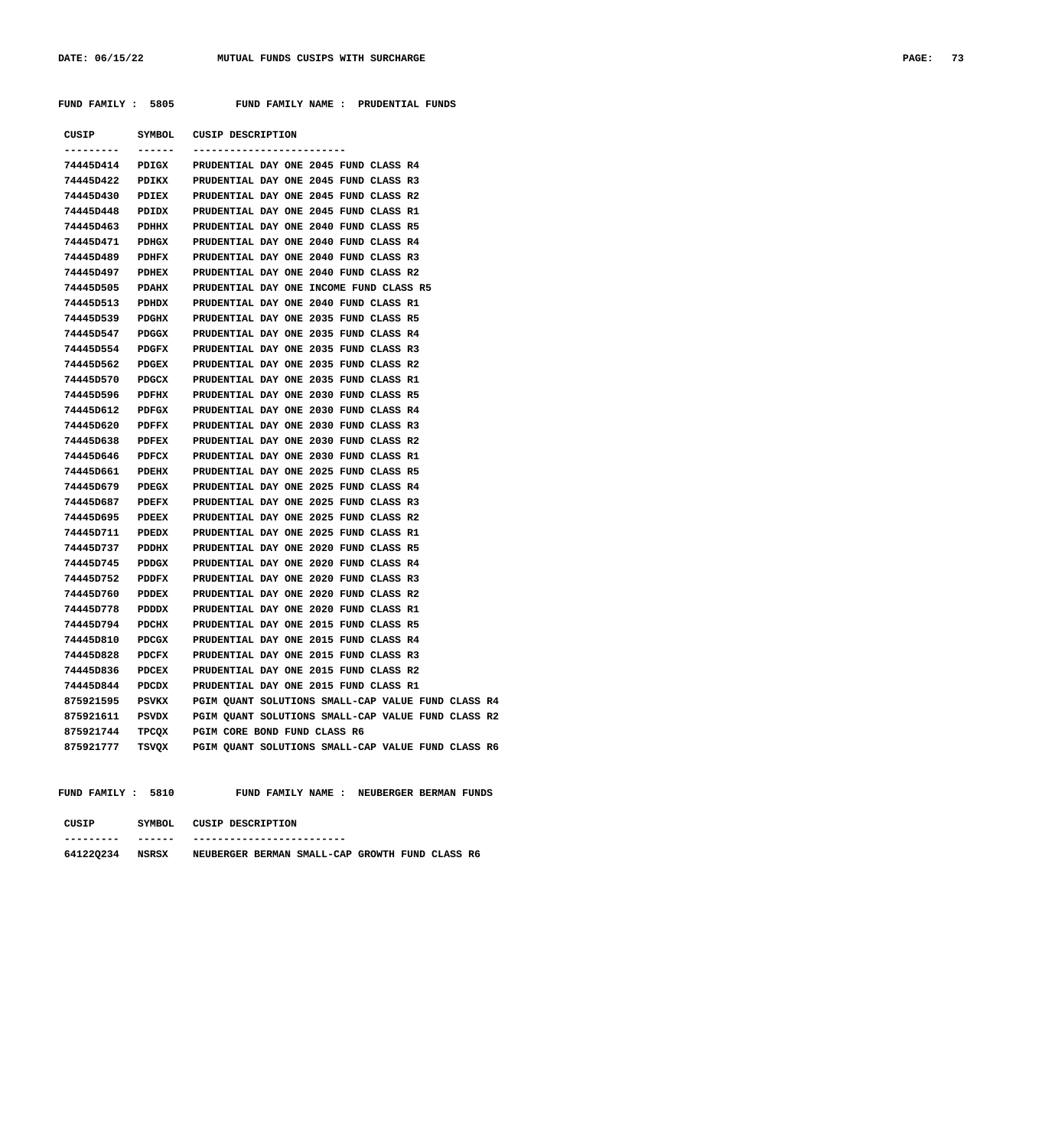**FUND FAMILY : 5805 FUND FAMILY NAME : PRUDENTIAL FUNDS**

| CUSIP     | SYMBOL       | <b>CUSIP DESCRIPTION</b>                           |
|-----------|--------------|----------------------------------------------------|
|           |              |                                                    |
| 74445D414 | PDIGX        | PRUDENTIAL DAY ONE 2045 FUND CLASS R4              |
| 74445D422 | PDIKX        | PRUDENTIAL DAY ONE 2045 FUND CLASS R3              |
| 74445D430 | <b>PDIEX</b> | PRUDENTIAL DAY ONE 2045 FUND CLASS R2              |
| 74445D448 | PDIDX        | PRUDENTIAL DAY ONE 2045 FUND CLASS R1              |
| 74445D463 | PDHHX        | PRUDENTIAL DAY ONE 2040 FUND CLASS R5              |
| 74445D471 | PDHGX        | PRUDENTIAL DAY ONE 2040 FUND CLASS R4              |
| 74445D489 | PDHFX        | PRUDENTIAL DAY ONE 2040 FUND CLASS R3              |
| 74445D497 | PDHEX        | PRUDENTIAL DAY ONE 2040 FUND CLASS R2              |
| 74445D505 | PDAHX        | PRUDENTIAL DAY ONE INCOME FUND CLASS R5            |
| 74445D513 | PDHDX        | PRUDENTIAL DAY ONE 2040 FUND CLASS R1              |
| 74445D539 | PDGHX        | PRUDENTIAL DAY ONE 2035 FUND CLASS R5              |
| 74445D547 | PDGGX        | PRUDENTIAL DAY ONE 2035 FUND CLASS R4              |
| 74445D554 | PDGFX        | PRUDENTIAL DAY ONE 2035 FUND CLASS R3              |
| 74445D562 | PDGEX        | PRUDENTIAL DAY ONE 2035 FUND CLASS R2              |
| 74445D570 | PDGCX        | PRUDENTIAL DAY ONE 2035 FUND CLASS R1              |
| 74445D596 | PDFHX        | PRUDENTIAL DAY ONE 2030 FUND CLASS R5              |
| 74445D612 | PDFGX        | PRUDENTIAL DAY ONE 2030 FUND CLASS R4              |
| 74445D620 | PDFFX        | PRUDENTIAL DAY ONE 2030 FUND CLASS R3              |
| 74445D638 | PDFEX        | PRUDENTIAL DAY ONE 2030 FUND CLASS R2              |
| 74445D646 | PDFCX        | PRUDENTIAL DAY ONE 2030 FUND CLASS R1              |
| 74445D661 | PDEHX        | PRUDENTIAL DAY ONE 2025 FUND CLASS R5              |
| 74445D679 | PDEGX        | PRUDENTIAL DAY ONE 2025 FUND CLASS R4              |
| 74445D687 | PDEFX        | PRUDENTIAL DAY ONE 2025 FUND CLASS R3              |
| 74445D695 | PDEEX        | PRUDENTIAL DAY ONE 2025 FUND CLASS R2              |
| 74445D711 | PDEDX        | PRUDENTIAL DAY ONE 2025 FUND CLASS R1              |
| 74445D737 | PDDHX        | PRUDENTIAL DAY ONE 2020 FUND CLASS R5              |
| 74445D745 | PDDGX        | PRUDENTIAL DAY ONE 2020 FUND CLASS R4              |
| 74445D752 | PDDFX        | PRUDENTIAL DAY ONE 2020 FUND CLASS R3              |
| 74445D760 | PDDEX        | PRUDENTIAL DAY ONE 2020 FUND CLASS R2              |
| 74445D778 | PDDDX        | PRUDENTIAL DAY ONE 2020 FUND CLASS R1              |
| 74445D794 | PDCHX        | PRUDENTIAL DAY ONE 2015 FUND CLASS R5              |
| 74445D810 | PDCGX        | PRUDENTIAL DAY ONE 2015 FUND CLASS R4              |
| 74445D828 | <b>PDCFX</b> | PRUDENTIAL DAY ONE 2015 FUND CLASS R3              |
| 74445D836 | <b>PDCEX</b> | PRUDENTIAL DAY ONE 2015 FUND CLASS R2              |
| 74445D844 | PDCDX        | PRUDENTIAL DAY ONE 2015 FUND CLASS R1              |
| 875921595 | PSVKX        | PGIM QUANT SOLUTIONS SMALL-CAP VALUE FUND CLASS R4 |
| 875921611 | PSVDX        | PGIM QUANT SOLUTIONS SMALL-CAP VALUE FUND CLASS R2 |
| 875921744 | TPCQX        | PGIM CORE BOND FUND CLASS R6                       |
| 875921777 | TSVQX        | PGIM QUANT SOLUTIONS SMALL-CAP VALUE FUND CLASS R6 |

FUND FAMILY : 5810 FUND FAMILY NAME : NEUBERGER BERMAN FUNDS

| CUSIP     | SYMBOL. | CUSIP DESCRIPTION          |                                                 |  |  |
|-----------|---------|----------------------------|-------------------------------------------------|--|--|
| --------- | ------  | -------------------------- |                                                 |  |  |
| 641220234 | NSRSX   |                            | NEUBERGER BERMAN SMALL-CAP GROWTH FUND CLASS R6 |  |  |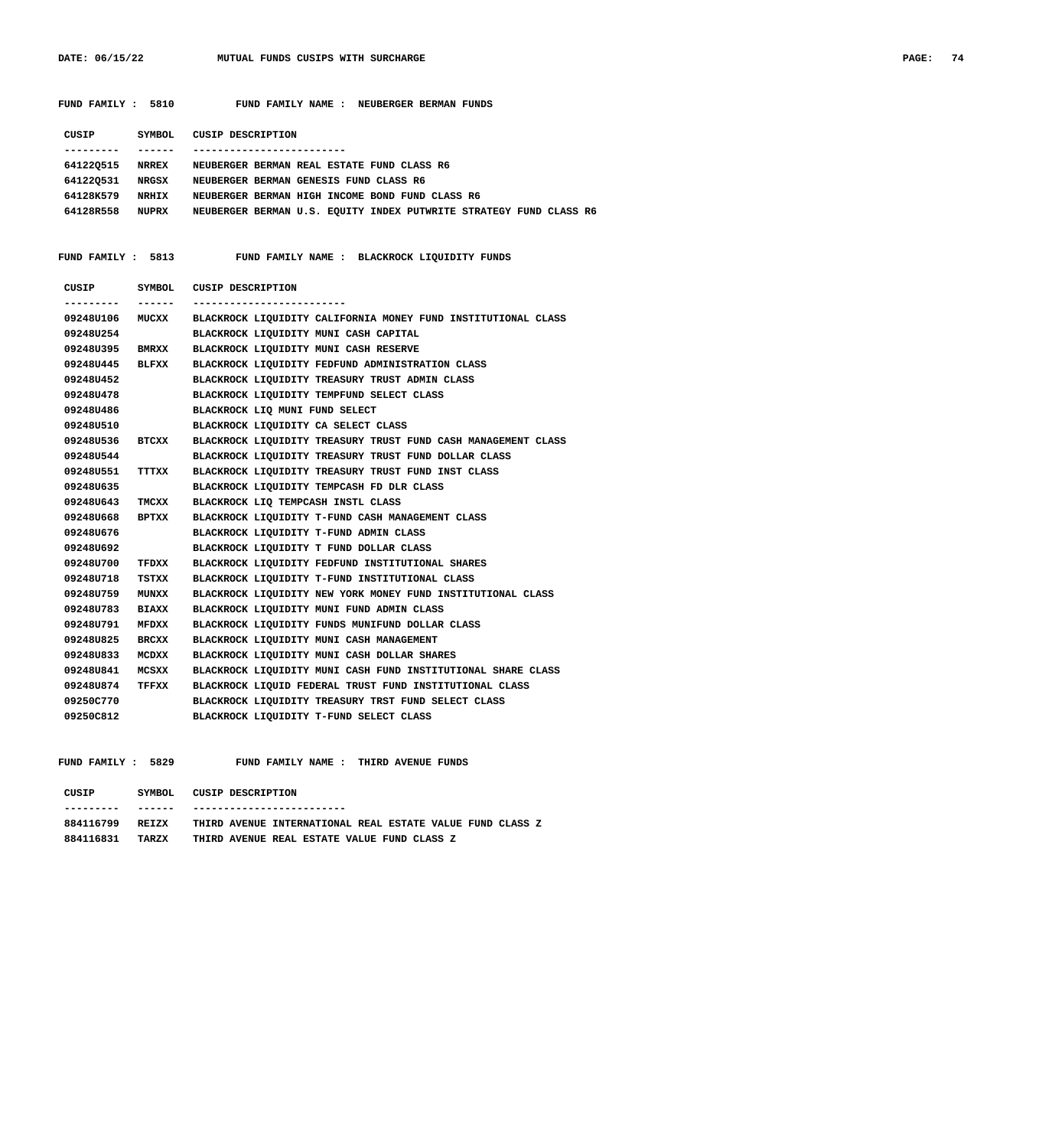| FUND FAMILY : 5810     |               | FUND FAMILY NAME : NEUBERGER BERMAN FUNDS                          |
|------------------------|---------------|--------------------------------------------------------------------|
| CUSIP                  | <b>SYMBOL</b> | <b>CUSIP DESCRIPTION</b>                                           |
| ---------              | -------       | -------------------------                                          |
| <b>641220515 NRREX</b> |               | NEUBERGER BERMAN REAL ESTATE FUND CLASS R6                         |
| 641220531              | NRGSX         | NEUBERGER BERMAN GENESIS FUND CLASS R6                             |
| 64128K579              | <b>NRHIX</b>  | NEUBERGER BERMAN HIGH INCOME BOND FUND CLASS R6                    |
| 64128R558 NUPRX        |               | NEUBERGER BERMAN U.S. EQUITY INDEX PUTWRITE STRATEGY FUND CLASS R6 |
| FUND FAMILY : 5813     |               | FUND FAMILY NAME : BLACKROCK LIQUIDITY FUNDS                       |
| CUSIP                  | SYMBOL        | <b>CUSIP DESCRIPTION</b>                                           |
| ---------              | -------       | -----------------------                                            |
| 09248U106 MUCXX        |               | BLACKROCK LIQUIDITY CALIFORNIA MONEY FUND INSTITUTIONAL CLASS      |
| 09248U254              |               | BLACKROCK LIQUIDITY MUNI CASH CAPITAL                              |
| 09248U395              | <b>BMRXX</b>  | BLACKROCK LIQUIDITY MUNI CASH RESERVE                              |
| 09248U445              | BLFXX         | BLACKROCK LIQUIDITY FEDFUND ADMINISTRATION CLASS                   |
| 09248U452              |               | BLACKROCK LIQUIDITY TREASURY TRUST ADMIN CLASS                     |
| 09248U478              |               | BLACKROCK LIQUIDITY TEMPFUND SELECT CLASS                          |
| 09248U486              |               | BLACKROCK LIQ MUNI FUND SELECT                                     |
| 09248U510              |               | BLACKROCK LIQUIDITY CA SELECT CLASS                                |
| 09248U536              | BTCXX         | BLACKROCK LIQUIDITY TREASURY TRUST FUND CASH MANAGEMENT CLASS      |
| 092480544              |               | BLACKROCK LIQUIDITY TREASURY TRUST FUND DOLLAR CLASS               |
| 09248U551              | TTTXX         | BLACKROCK LIQUIDITY TREASURY TRUST FUND INST CLASS                 |
| 092480635              |               | BLACKROCK LIQUIDITY TEMPCASH FD DLR CLASS                          |
| 09248U643              | TMCXX         | BLACKROCK LIQ TEMPCASH INSTL CLASS                                 |
| 092480668              | BPTXX         | BLACKROCK LIQUIDITY T-FUND CASH MANAGEMENT CLASS                   |
| 092480676              |               | BLACKROCK LIQUIDITY T-FUND ADMIN CLASS                             |
| 09248U692              |               | BLACKROCK LIQUIDITY T FUND DOLLAR CLASS                            |
| 09248U700              | TFDXX         | BLACKROCK LIQUIDITY FEDFUND INSTITUTIONAL SHARES                   |
| 09248U718              | TSTXX         | BLACKROCK LIQUIDITY T-FUND INSTITUTIONAL CLASS                     |
| 09248U759              | <b>MUNXX</b>  | BLACKROCK LIQUIDITY NEW YORK MONEY FUND INSTITUTIONAL CLASS        |
| 09248U783              | BIAXX         | BLACKROCK LIQUIDITY MUNI FUND ADMIN CLASS                          |
| 09248U791              | MFDXX         | BLACKROCK LIQUIDITY FUNDS MUNIFUND DOLLAR CLASS                    |
| 09248U825              | BRCXX         | BLACKROCK LIQUIDITY MUNI CASH MANAGEMENT                           |
| 09248U833              | MCDXX         | BLACKROCK LIQUIDITY MUNI CASH DOLLAR SHARES                        |
| 09248U841              | MCSXX         | BLACKROCK LIQUIDITY MUNI CASH FUND INSTITUTIONAL SHARE CLASS       |
| 09248U874              | TFFXX         | BLACKROCK LIQUID FEDERAL TRUST FUND INSTITUTIONAL CLASS            |

 **FUND FAMILY : 5829 FUND FAMILY NAME : THIRD AVENUE FUNDS**

| CUSIP     | SYMBOL | CUSIP DESCRIPTION                                         |
|-----------|--------|-----------------------------------------------------------|
|           |        |                                                           |
| 884116799 | RETZX  | THIRD AVENUE INTERNATIONAL REAL ESTATE VALUE FUND CLASS Z |
| 884116831 | TARZX  | THIRD AVENUE REAL ESTATE VALUE FUND CLASS Z               |

 **09250C770 BLACKROCK LIQUIDITY TREASURY TRST FUND SELECT CLASS**

 **09250C812 BLACKROCK LIQUIDITY T-FUND SELECT CLASS**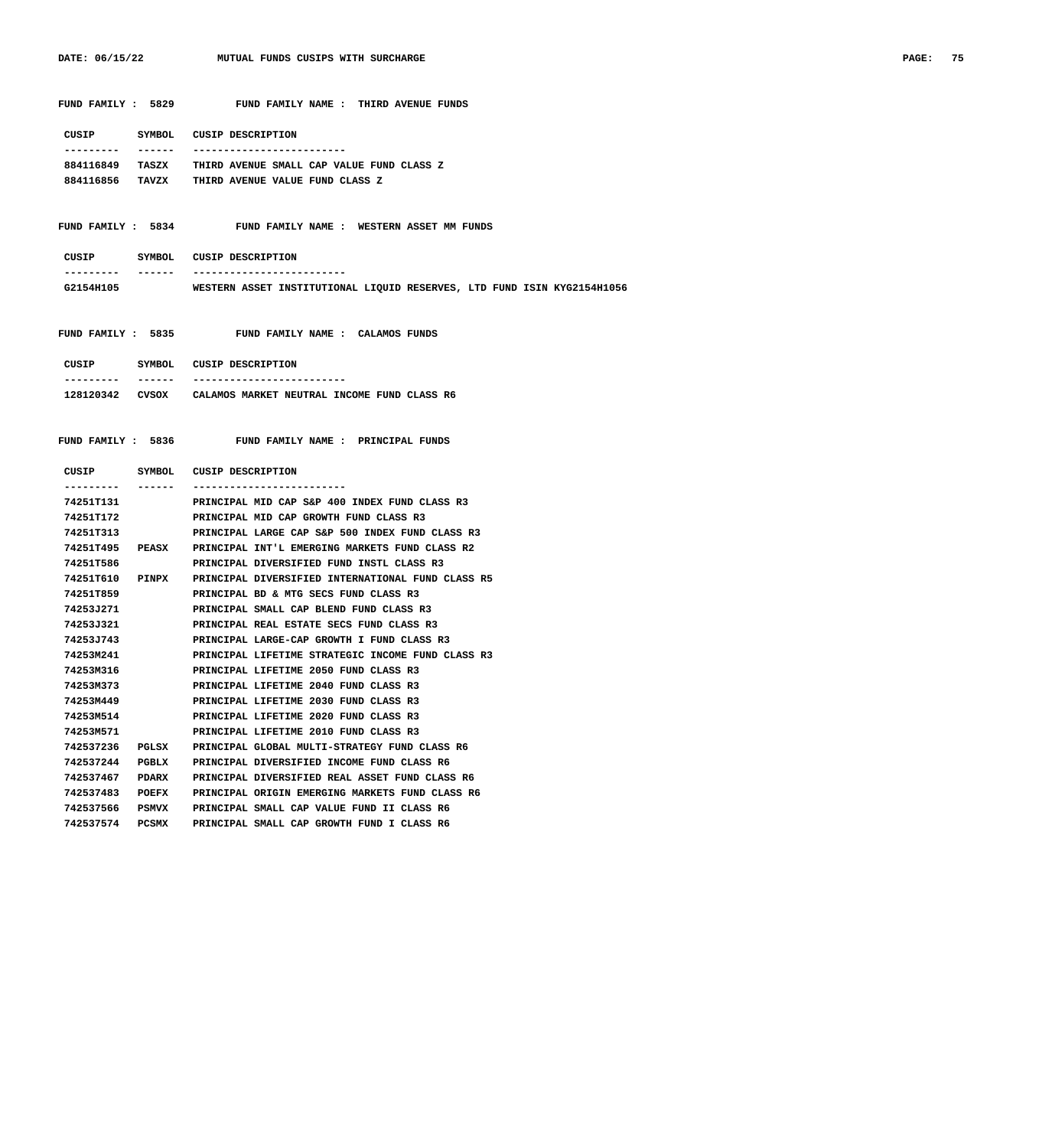| 06/15/22<br><b>DATE:</b><br>the contract of the contract of the contract of the contract of the contract of the contract of the contract of | MUTUAL FUNDS CUSIPS WITH SURCHARGE | PAGE. | 75 |
|---------------------------------------------------------------------------------------------------------------------------------------------|------------------------------------|-------|----|
|                                                                                                                                             |                                    |       |    |

| FUND FAMILY : 5829 |        |  |                   |  | FUND FAMILY NAME : THIRD AVENUE FUNDS |  |
|--------------------|--------|--|-------------------|--|---------------------------------------|--|
| CUSIP              | SYMBOL |  | CUSIP DESCRIPTION |  |                                       |  |

| 884116849 | TASZX | THIRD AVENUE SMALL CAP VALUE FUND CLASS Z |
|-----------|-------|-------------------------------------------|
| 884116856 | TAVZX | THIRD AVENUE VALUE FUND CLASS Z           |

### **FUND FAMILY : 5834 FUND FAMILY NAME : WESTERN ASSET MM FUNDS**

| CUSIP     | SYMBOL. | CUSIP DESCRIPTION |                                                                         |  |  |  |
|-----------|---------|-------------------|-------------------------------------------------------------------------|--|--|--|
| --------- | ------  |                   |                                                                         |  |  |  |
| G2154H105 |         |                   | WESTERN ASSET INSTITUTIONAL LIOUID RESERVES, LTD FUND ISIN KYG2154H1056 |  |  |  |

 **FUND FAMILY : 5835 FUND FAMILY NAME : CALAMOS FUNDS**

| CUSIP     | SYMBOL. | CUSIP DESCRIPTION                           |
|-----------|---------|---------------------------------------------|
| --------- |         | ------------------------                    |
| 128120342 | CVSOX   | CALAMOS MARKET NEUTRAL INCOME FUND CLASS R6 |

FUND FAMILY NAME : PRINCIPAL FUNDS

| CUSIP      | SYMBOL       | CUSIP DESCRIPTION                                 |
|------------|--------------|---------------------------------------------------|
| ---------- | ------       | --------------------------                        |
| 74251T131  |              | PRINCIPAL MID CAP S&P 400 INDEX FUND CLASS R3     |
| 74251T172  |              | PRINCIPAL MID CAP GROWTH FUND CLASS R3            |
| 74251T313  |              | PRINCIPAL LARGE CAP S&P 500 INDEX FUND CLASS R3   |
| 74251T495  | PEASX        | PRINCIPAL INT'L EMERGING MARKETS FUND CLASS R2    |
| 74251T586  |              | PRINCIPAL DIVERSIFIED FUND INSTL CLASS R3         |
| 74251T610  | <b>PINPX</b> | PRINCIPAL DIVERSIFIED INTERNATIONAL FUND CLASS R5 |
| 74251T859  |              | PRINCIPAL BD & MTG SECS FUND CLASS R3             |
| 74253J271  |              | PRINCIPAL SMALL CAP BLEND FUND CLASS R3           |
| 74253J321  |              | PRINCIPAL REAL ESTATE SECS FUND CLASS R3          |
| 74253J743  |              | PRINCIPAL LARGE-CAP GROWTH I FUND CLASS R3        |
| 74253M241  |              | PRINCIPAL LIFETIME STRATEGIC INCOME FUND CLASS R3 |
| 74253M316  |              | PRINCIPAL LIFETIME 2050 FUND CLASS R3             |
| 74253M373  |              | PRINCIPAL LIFETIME 2040 FUND CLASS R3             |
| 74253M449  |              | PRINCIPAL LIFETIME 2030 FUND CLASS R3             |
| 74253M514  |              | PRINCIPAL LIFETIME 2020 FUND CLASS R3             |
| 74253M571  |              | PRINCIPAL LIFETIME 2010 FUND CLASS R3             |
| 742537236  | PGLSX        | PRINCIPAL GLOBAL MULTI-STRATEGY FUND CLASS R6     |
| 742537244  | PGBLX        | PRINCIPAL DIVERSIFIED INCOME FUND CLASS R6        |
| 742537467  | <b>PDARX</b> | PRINCIPAL DIVERSIFIED REAL ASSET FUND CLASS R6    |
| 742537483  | POEFX        | PRINCIPAL ORIGIN EMERGING MARKETS FUND CLASS R6   |
| 742537566  | <b>PSMVX</b> | PRINCIPAL SMALL CAP VALUE FUND II CLASS R6        |
| 742537574  | <b>PCSMX</b> | PRINCIPAL SMALL CAP GROWTH FUND I CLASS R6        |
|            |              |                                                   |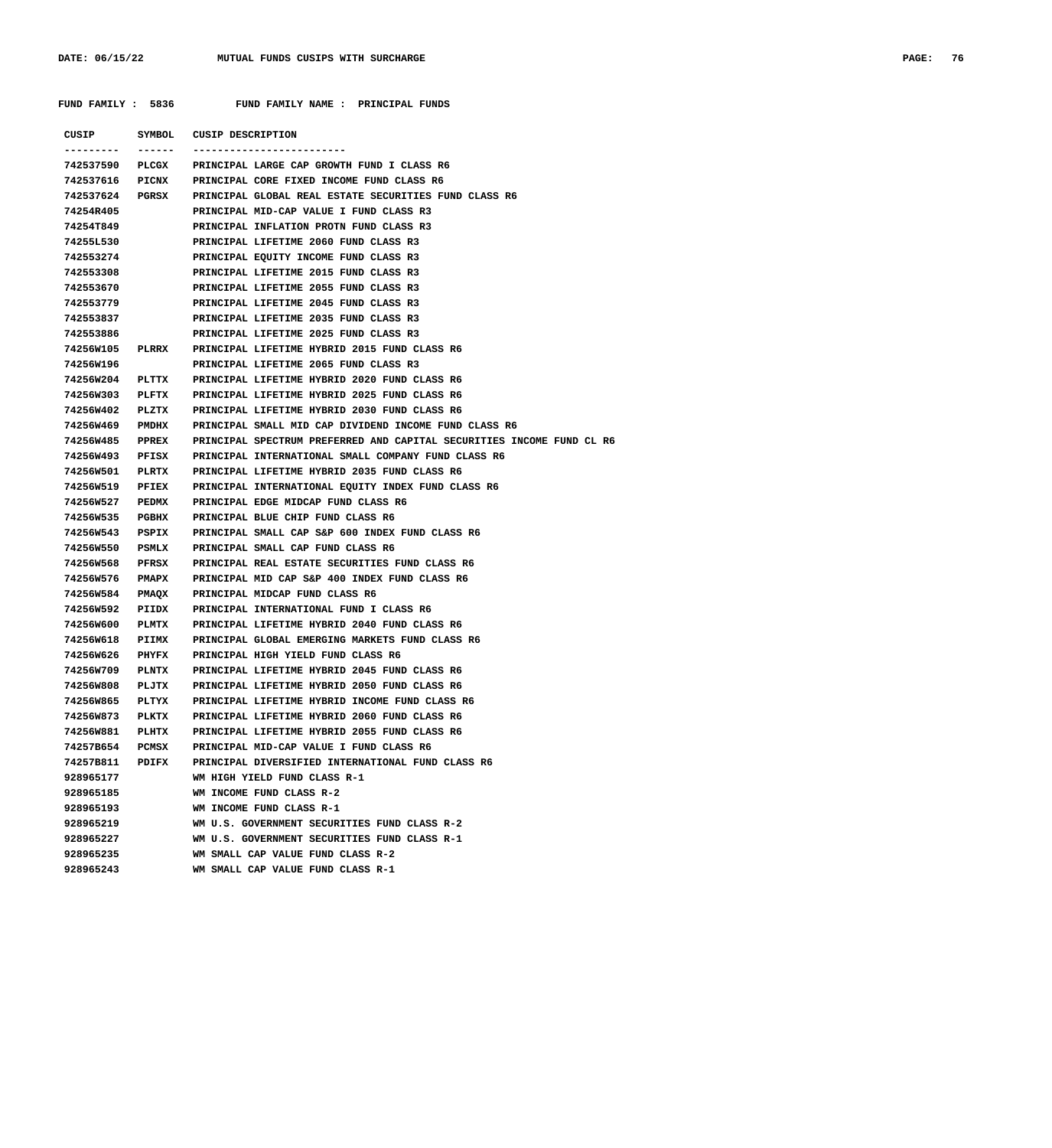## **FUND FAMILY : 5836 FUND FAMILY NAME : PRINCIPAL FUNDS**

|                        |       | CUSIP SYMBOL CUSIP DESCRIPTION                                                               |
|------------------------|-------|----------------------------------------------------------------------------------------------|
|                        |       | 742537590 PLCGX PRINCIPAL LARGE CAP GROWTH FUND I CLASS R6                                   |
|                        |       | 742537616 PICNX PRINCIPAL CORE FIXED INCOME FUND CLASS R6                                    |
|                        |       | 742537624 PGRSX PRINCIPAL GLOBAL REAL ESTATE SECURITIES FUND CLASS R6                        |
| 74254R405              |       | PRINCIPAL MID-CAP VALUE I FUND CLASS R3                                                      |
| <b>74254T849</b>       |       | PRINCIPAL INFLATION PROTN FUND CLASS R3                                                      |
| 74255L530              |       | PRINCIPAL LIFETIME 2060 FUND CLASS R3                                                        |
| 742553274              |       | PRINCIPAL EQUITY INCOME FUND CLASS R3                                                        |
| 742553308              |       | PRINCIPAL LIFETIME 2015 FUND CLASS R3                                                        |
| 742553670              |       | PRINCIPAL LIFETIME 2055 FUND CLASS R3                                                        |
| 742553779              |       | PRINCIPAL LIFETIME 2045 FUND CLASS R3                                                        |
| 742553837              |       | PRINCIPAL LIFETIME 2035 FUND CLASS R3                                                        |
| 742553886              |       | PRINCIPAL LIFETIME 2025 FUND CLASS R3                                                        |
|                        |       | 74256W105 PLRRX PRINCIPAL LIFETIME HYBRID 2015 FUND CLASS R6                                 |
| 74256W196              |       | PRINCIPAL LIFETIME 2065 FUND CLASS R3                                                        |
|                        |       | 74256W204 PLTTX PRINCIPAL LIFETIME HYBRID 2020 FUND CLASS R6                                 |
|                        |       | 74256W303 PLFTX PRINCIPAL LIFETIME HYBRID 2025 FUND CLASS R6                                 |
|                        |       | 74256W402 PLZTX PRINCIPAL LIFETIME HYBRID 2030 FUND CLASS R6                                 |
|                        |       | 74256W469 PMDHX PRINCIPAL SMALL MID CAP DIVIDEND INCOME FUND CLASS R6                        |
|                        |       | 74256W485 PPREX PRINCIPAL SPECTRUM PREFERRED AND CAPITAL SECURITIES INCOME FUND CL R6        |
| 74256W493              |       | PFISX PRINCIPAL INTERNATIONAL SMALL COMPANY FUND CLASS R6                                    |
|                        |       | 74256W501 PLRTX PRINCIPAL LIFETIME HYBRID 2035 FUND CLASS R6                                 |
|                        |       | 74256W519 PFIEX PRINCIPAL INTERNATIONAL EQUITY INDEX FUND CLASS R6                           |
|                        |       | 74256W527 PEDMX PRINCIPAL EDGE MIDCAP FUND CLASS R6                                          |
| 74256W535              |       | PGBHX PRINCIPAL BLUE CHIP FUND CLASS R6                                                      |
| 74256W543              |       | PSPIX PRINCIPAL SMALL CAP S&P 600 INDEX FUND CLASS R6                                        |
| 74256W550              |       | PSMLX PRINCIPAL SMALL CAP FUND CLASS R6                                                      |
| 74256W568              |       | PFRSX PRINCIPAL REAL ESTATE SECURITIES FUND CLASS R6                                         |
|                        |       | 74256W576 PMAPX PRINCIPAL MID CAP S&P 400 INDEX FUND CLASS R6                                |
|                        |       | 74256W584 PMAQX PRINCIPAL MIDCAP FUND CLASS R6                                               |
| 74256W592              |       | PIIDX PRINCIPAL INTERNATIONAL FUND I CLASS R6                                                |
| 74256W600              |       | PLMTX PRINCIPAL LIFETIME HYBRID 2040 FUND CLASS R6                                           |
| 74256W618              |       | PIIMX PRINCIPAL GLOBAL EMERGING MARKETS FUND CLASS R6                                        |
| 74256W626              |       | PHYFX PRINCIPAL HIGH YIELD FUND CLASS R6                                                     |
|                        |       | 74256W709 PLNTX PRINCIPAL LIFETIME HYBRID 2045 FUND CLASS R6                                 |
|                        |       | 74256W808 PLJTX PRINCIPAL LIFETIME HYBRID 2050 FUND CLASS R6                                 |
| 74256W865              | PLTYX | PRINCIPAL LIFETIME HYBRID INCOME FUND CLASS R6                                               |
| 74256W873              |       | PLKTX PRINCIPAL LIFETIME HYBRID 2060 FUND CLASS R6                                           |
| 74256W881              |       | PLHTX PRINCIPAL LIFETIME HYBRID 2055 FUND CLASS R6                                           |
| 74257B654              |       | PCMSX PRINCIPAL MID-CAP VALUE I FUND CLASS R6                                                |
| 74257B811              |       | PDIFX PRINCIPAL DIVERSIFIED INTERNATIONAL FUND CLASS R6                                      |
| 928965177              |       | WM HIGH YIELD FUND CLASS R-1                                                                 |
| 928965185              |       | WM INCOME FUND CLASS R-2                                                                     |
| 928965193              |       | WM INCOME FUND CLASS R-1                                                                     |
| 928965219<br>928965227 |       | WM U.S. GOVERNMENT SECURITIES FUND CLASS R-2<br>WM U.S. GOVERNMENT SECURITIES FUND CLASS R-1 |
| 928965235              |       |                                                                                              |
|                        |       | WM SMALL CAP VALUE FUND CLASS R-2                                                            |
| 928965243              |       | WM SMALL CAP VALUE FUND CLASS R-1                                                            |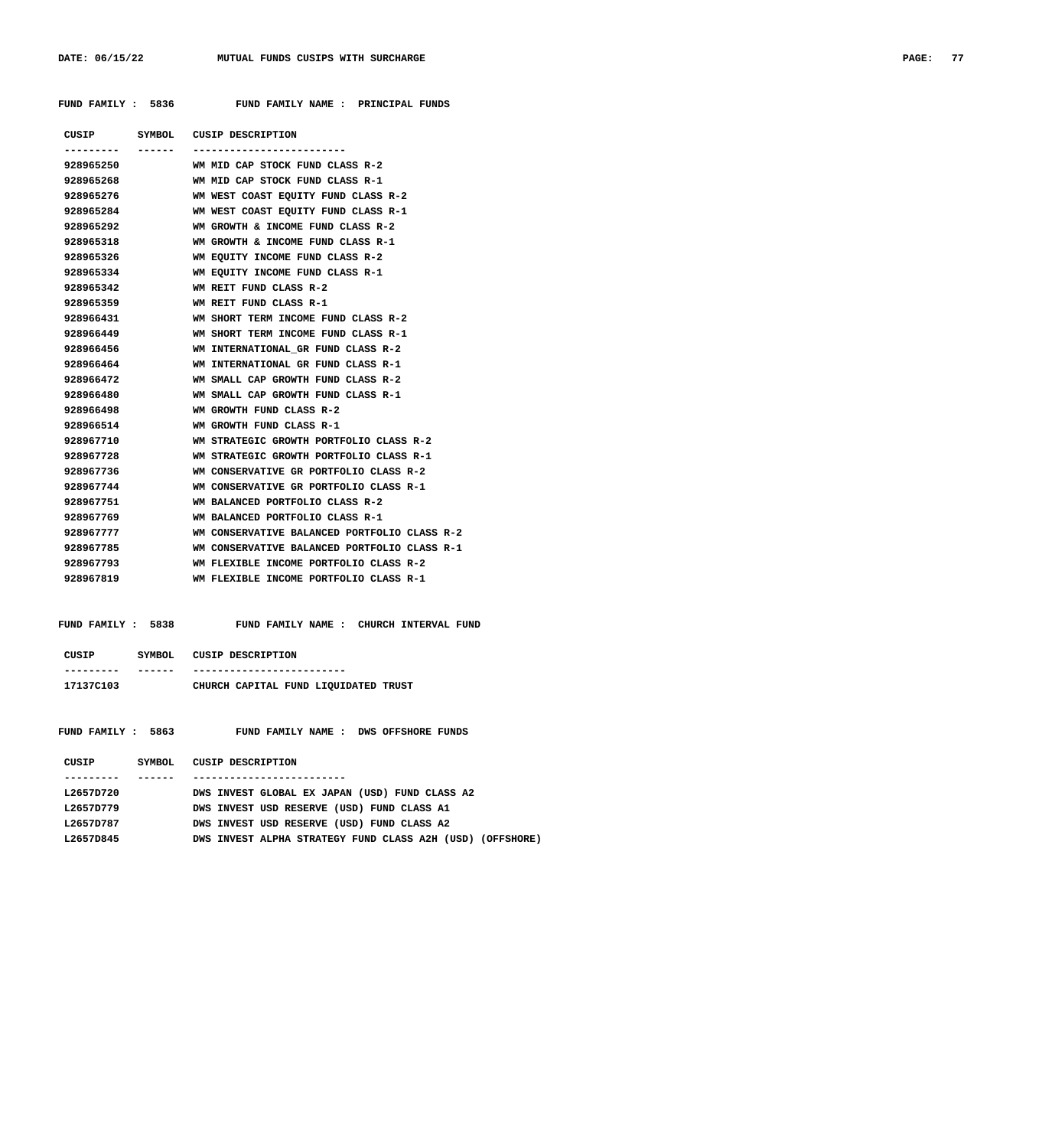FUND FAMILY : 5836 FUND FAMILY NAME : PRINCIPAL FUNDS

|           |         | CUSIP SYMBOL CUSIP DESCRIPTION                    |
|-----------|---------|---------------------------------------------------|
|           | ------- | ------------                                      |
| 928965250 |         | WM MID CAP STOCK FUND CLASS R-2                   |
|           |         | 928965268 WM MID CAP STOCK FUND CLASS R-1         |
| 928965276 |         | WM WEST COAST EQUITY FUND CLASS R-2               |
| 928965284 |         | WM WEST COAST EQUITY FUND CLASS R-1               |
| 928965292 |         | WM GROWTH & INCOME FUND CLASS R-2                 |
| 928965318 |         | WM GROWTH & INCOME FUND CLASS R-1                 |
| 928965326 |         | WM EOUITY INCOME FUND CLASS R-2                   |
| 928965334 |         | WM EOUITY INCOME FUND CLASS R-1                   |
| 928965342 |         | WM REIT FUND CLASS R-2                            |
| 928965359 |         | WM REIT FUND CLASS R-1                            |
|           |         | 928966431 WM SHORT TERM INCOME FUND CLASS R-2     |
| 928966449 |         | WM SHORT TERM INCOME FUND CLASS R-1               |
|           |         |                                                   |
| 928966464 |         | WM INTERNATIONAL GR FUND CLASS R-1                |
|           |         | 928966472 WM SMALL CAP GROWTH FUND CLASS R-2      |
| 928966480 |         | WM SMALL CAP GROWTH FUND CLASS R-1                |
| 928966498 |         | WM GROWTH FUND CLASS R-2                          |
| 928966514 |         | WM GROWTH FUND CLASS R-1                          |
|           |         | 928967710 WM STRATEGIC GROWTH PORTFOLIO CLASS R-2 |
| 928967728 |         | WM STRATEGIC GROWTH PORTFOLIO CLASS R-1           |
| 928967736 |         | WM CONSERVATIVE GR PORTFOLIO CLASS R-2            |
| 928967744 |         | WM CONSERVATIVE GR PORTFOLIO CLASS R-1            |
| 928967751 |         | WM BALANCED PORTFOLIO CLASS R-2                   |
| 928967769 |         | WM BALANCED PORTFOLIO CLASS R-1                   |
| 928967777 |         | WM CONSERVATIVE BALANCED PORTFOLIO CLASS R-2      |
| 928967785 |         | WM CONSERVATIVE BALANCED PORTFOLIO CLASS R-1      |
| 928967793 |         | WM FLEXIBLE INCOME PORTFOLIO CLASS R-2            |
| 928967819 |         | WM FLEXIBLE INCOME PORTFOLIO CLASS R-1            |
|           |         |                                                   |

# FUND FAMILY : 5838 FUND FAMILY NAME : CHURCH INTERVAL FUND  **CUSIP SYMBOL CUSIP DESCRIPTION --------- ------ ------------------------- 17137C103 CHURCH CAPITAL FUND LIQUIDATED TRUST**

| 5863<br>FUND FAMILY: | FUND FAMILY NAME: DWS OFFSHORE FUNDS                      |
|----------------------|-----------------------------------------------------------|
| CUSIP<br>SYMBOL.     | CUSIP DESCRIPTION                                         |
|                      |                                                           |
| L2657D720            | DWS INVEST GLOBAL EX JAPAN (USD) FUND CLASS A2            |
| L2657D779            | DWS INVEST USD RESERVE (USD) FUND CLASS A1                |
| L2657D787            | DWS INVEST USD RESERVE (USD) FUND CLASS A2                |
| L2657D845            | DWS INVEST ALPHA STRATEGY FUND CLASS A2H (USD) (OFFSHORE) |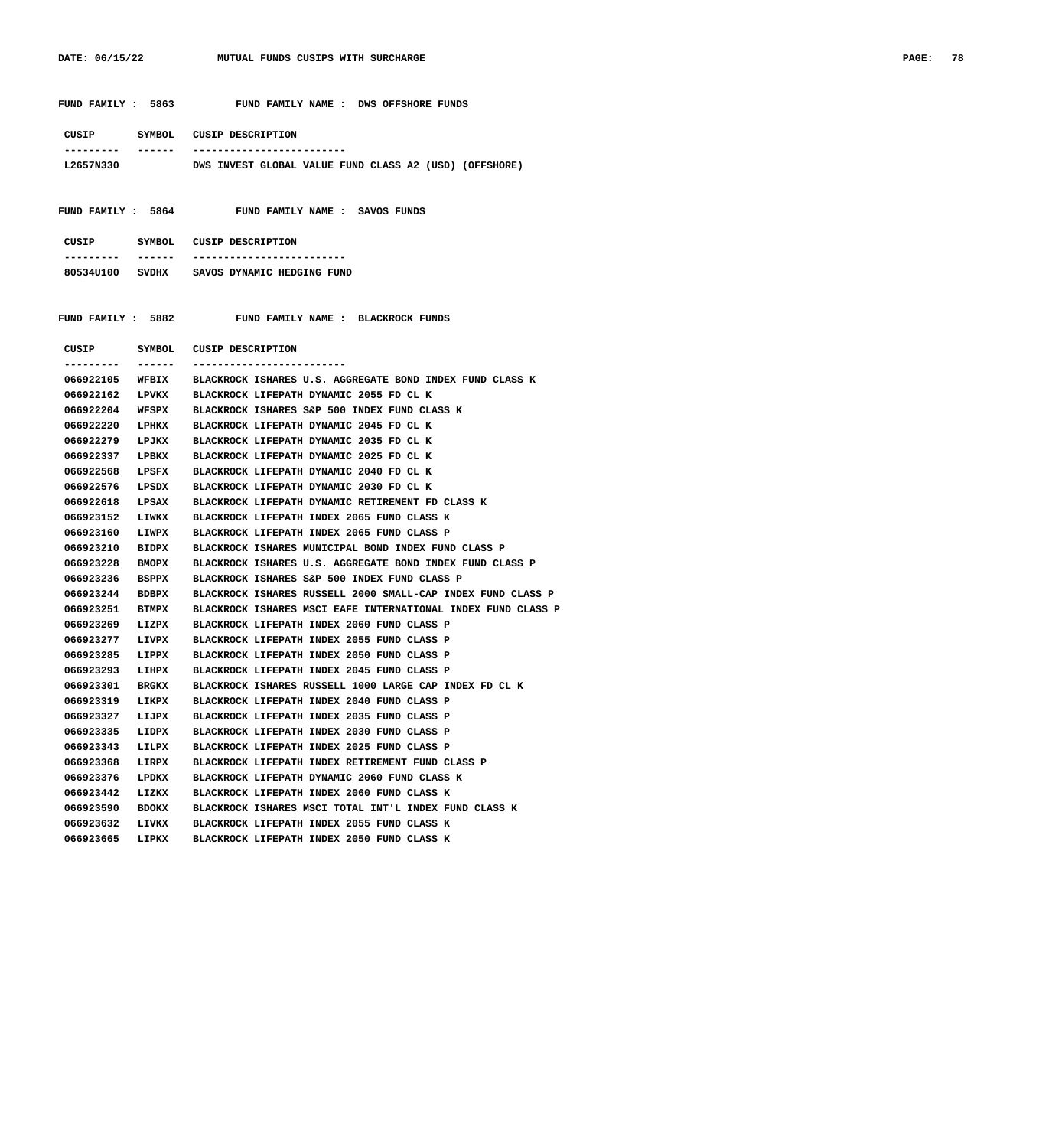| FUND FAMILY : 5863           | FUND FAMILY NAME : DWS OFFSHORE FUNDS                        |
|------------------------------|--------------------------------------------------------------|
| CUSIP                        | SYMBOL CUSIP DESCRIPTION                                     |
| ---------                    | _____________________________________                        |
| L2657N330                    | DWS INVEST GLOBAL VALUE FUND CLASS A2 (USD) (OFFSHORE)       |
|                              | FUND FAMILY: 5864 FUND FAMILY NAME: SAVOS FUNDS              |
| CUSIP                        | SYMBOL CUSIP DESCRIPTION                                     |
| -------<br>. _ _ _ _ _ _ _ _ | -------------------------                                    |
|                              | 80534U100 SVDHX SAVOS DYNAMIC HEDGING FUND                   |
|                              |                                                              |
|                              |                                                              |
|                              | FUND FAMILY : 5882 FUND FAMILY NAME : BLACKROCK FUNDS        |
| CUSIP                        | SYMBOL CUSIP DESCRIPTION                                     |
| -------<br>---------         | --------------------------                                   |
| 066922105<br>WFBIX           | BLACKROCK ISHARES U.S. AGGREGATE BOND INDEX FUND CLASS K     |
| 066922162<br>LPVKX           | BLACKROCK LIFEPATH DYNAMIC 2055 FD CL K                      |
| 066922204<br>WFSPX           | BLACKROCK ISHARES S&P 500 INDEX FUND CLASS K                 |
| 066922220<br>LPHKX           | BLACKROCK LIFEPATH DYNAMIC 2045 FD CL K                      |
| 066922279<br>LPJKX           | BLACKROCK LIFEPATH DYNAMIC 2035 FD CL K                      |
| 066922337<br>LPBKX           | BLACKROCK LIFEPATH DYNAMIC 2025 FD CL K                      |
| 066922568<br>LPSFX           | BLACKROCK LIFEPATH DYNAMIC 2040 FD CL K                      |
| 066922576<br>LPSDX           | BLACKROCK LIFEPATH DYNAMIC 2030 FD CL K                      |
| 066922618<br>LPSAX           | BLACKROCK LIFEPATH DYNAMIC RETIREMENT FD CLASS K             |
| 066923152<br>LIWKX           | BLACKROCK LIFEPATH INDEX 2065 FUND CLASS K                   |
| 066923160<br>LIWPX           | BLACKROCK LIFEPATH INDEX 2065 FUND CLASS P                   |
| 066923210<br>BIDPX           | BLACKROCK ISHARES MUNICIPAL BOND INDEX FUND CLASS P          |
| 066923228<br><b>BMOPX</b>    | BLACKROCK ISHARES U.S. AGGREGATE BOND INDEX FUND CLASS P     |
| 066923236<br>BSPPX           | BLACKROCK ISHARES S&P 500 INDEX FUND CLASS P                 |
| 066923244 BDBPX              | BLACKROCK ISHARES RUSSELL 2000 SMALL-CAP INDEX FUND CLASS P  |
| 066923251<br><b>BTMPX</b>    | BLACKROCK ISHARES MSCI EAFE INTERNATIONAL INDEX FUND CLASS P |
| 066923269 LIZPX              | BLACKROCK LIFEPATH INDEX 2060 FUND CLASS P                   |
| 066923277 LIVPX              | BLACKROCK LIFEPATH INDEX 2055 FUND CLASS P                   |
| 066923285<br>LIPPX           | BLACKROCK LIFEPATH INDEX 2050 FUND CLASS P                   |
| 066923293<br>LIHPX           | BLACKROCK LIFEPATH INDEX 2045 FUND CLASS P                   |

 **066923301 BRGKX BLACKROCK ISHARES RUSSELL 1000 LARGE CAP INDEX FD CL K**

 **066923590 BDOKX BLACKROCK ISHARES MSCI TOTAL INT'L INDEX FUND CLASS K**

 **066923319 LIKPX BLACKROCK LIFEPATH INDEX 2040 FUND CLASS P 066923327 LIJPX BLACKROCK LIFEPATH INDEX 2035 FUND CLASS P 066923335 LIDPX BLACKROCK LIFEPATH INDEX 2030 FUND CLASS P 066923343 LILPX BLACKROCK LIFEPATH INDEX 2025 FUND CLASS P 066923368 LIRPX BLACKROCK LIFEPATH INDEX RETIREMENT FUND CLASS P 066923376 LPDKX BLACKROCK LIFEPATH DYNAMIC 2060 FUND CLASS K 066923442 LIZKX BLACKROCK LIFEPATH INDEX 2060 FUND CLASS K**

 **066923632 LIVKX BLACKROCK LIFEPATH INDEX 2055 FUND CLASS K 066923665 LIPKX BLACKROCK LIFEPATH INDEX 2050 FUND CLASS K**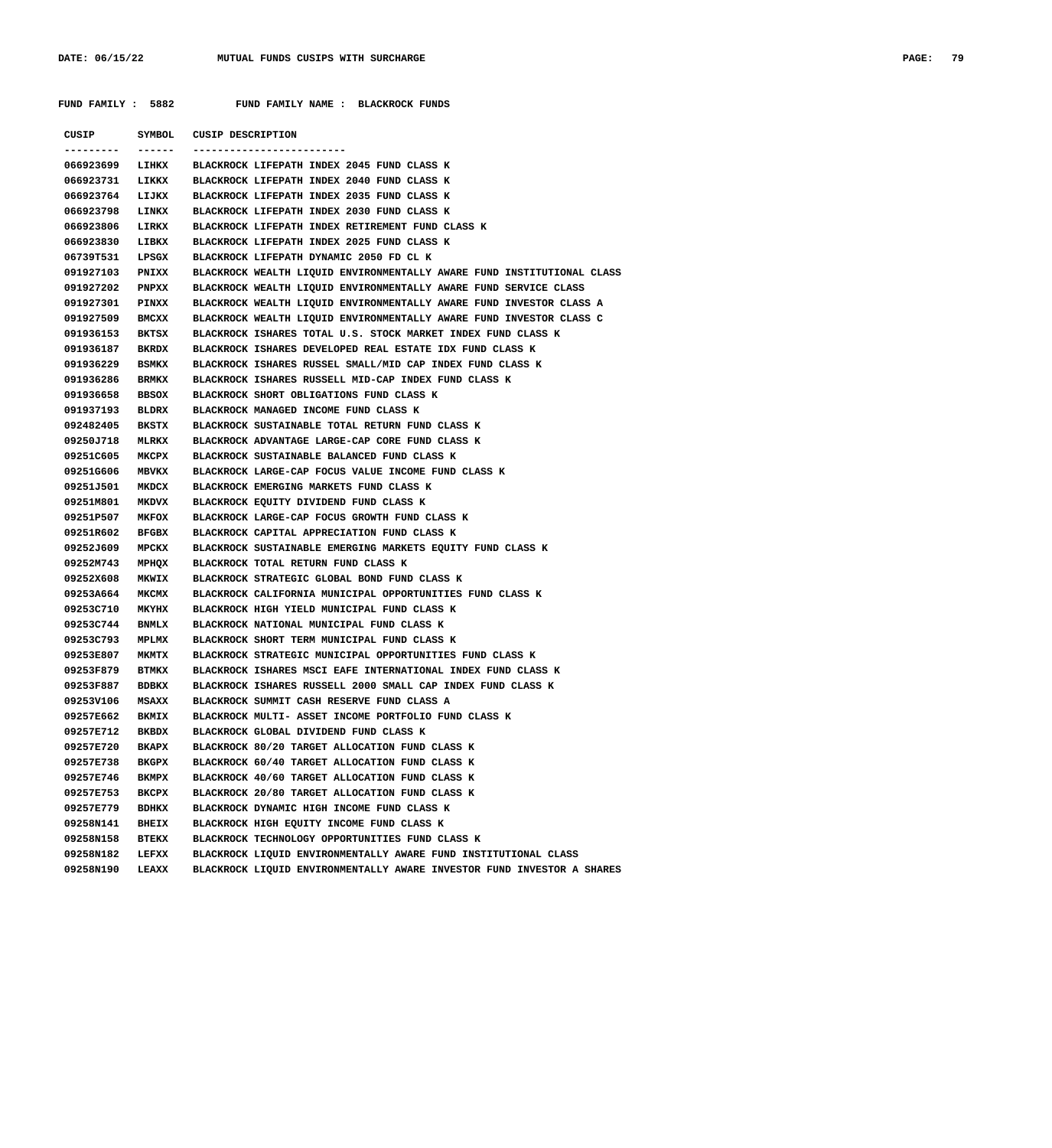FUND FAMILY : 5882 FUND FAMILY NAME : BLACKROCK FUNDS

 **CUSIP SYMBOL CUSIP DESCRIPTION --------- ------ ------------------------- 066923699 LIHKX BLACKROCK LIFEPATH INDEX 2045 FUND CLASS K 066923731 LIKKX BLACKROCK LIFEPATH INDEX 2040 FUND CLASS K 066923764 LIJKX BLACKROCK LIFEPATH INDEX 2035 FUND CLASS K 066923798 LINKX BLACKROCK LIFEPATH INDEX 2030 FUND CLASS K 066923806 LIRKX BLACKROCK LIFEPATH INDEX RETIREMENT FUND CLASS K 066923830 LIBKX BLACKROCK LIFEPATH INDEX 2025 FUND CLASS K 06739T531 LPSGX BLACKROCK LIFEPATH DYNAMIC 2050 FD CL K 091927103 PNIXX BLACKROCK WEALTH LIQUID ENVIRONMENTALLY AWARE FUND INSTITUTIONAL CLASS 091927202 PNPXX BLACKROCK WEALTH LIQUID ENVIRONMENTALLY AWARE FUND SERVICE CLASS 091927301 PINXX BLACKROCK WEALTH LIQUID ENVIRONMENTALLY AWARE FUND INVESTOR CLASS A 091927509 BMCXX BLACKROCK WEALTH LIQUID ENVIRONMENTALLY AWARE FUND INVESTOR CLASS C 091936153 BKTSX BLACKROCK ISHARES TOTAL U.S. STOCK MARKET INDEX FUND CLASS K 091936187 BKRDX BLACKROCK ISHARES DEVELOPED REAL ESTATE IDX FUND CLASS K 091936229 BSMKX BLACKROCK ISHARES RUSSEL SMALL/MID CAP INDEX FUND CLASS K 091936286 BRMKX BLACKROCK ISHARES RUSSELL MID-CAP INDEX FUND CLASS K 091936658 BBSOX BLACKROCK SHORT OBLIGATIONS FUND CLASS K 091937193 BLDRX BLACKROCK MANAGED INCOME FUND CLASS K 092482405 BKSTX BLACKROCK SUSTAINABLE TOTAL RETURN FUND CLASS K 09250J718 MLRKX BLACKROCK ADVANTAGE LARGE-CAP CORE FUND CLASS K 09251C605 MKCPX BLACKROCK SUSTAINABLE BALANCED FUND CLASS K 09251G606 MBVKX BLACKROCK LARGE-CAP FOCUS VALUE INCOME FUND CLASS K 09251J501 MKDCX BLACKROCK EMERGING MARKETS FUND CLASS K 09251M801 MKDVX BLACKROCK EQUITY DIVIDEND FUND CLASS K 09251P507 MKFOX BLACKROCK LARGE-CAP FOCUS GROWTH FUND CLASS K 09251R602 BFGBX BLACKROCK CAPITAL APPRECIATION FUND CLASS K 09252J609 MPCKX BLACKROCK SUSTAINABLE EMERGING MARKETS EQUITY FUND CLASS K 09252M743 MPHQX BLACKROCK TOTAL RETURN FUND CLASS K 09252X608 MKWIX BLACKROCK STRATEGIC GLOBAL BOND FUND CLASS K 09253A664 MKCMX BLACKROCK CALIFORNIA MUNICIPAL OPPORTUNITIES FUND CLASS K 09253C710 MKYHX BLACKROCK HIGH YIELD MUNICIPAL FUND CLASS K 09253C744 BNMLX BLACKROCK NATIONAL MUNICIPAL FUND CLASS K 09253C793 MPLMX BLACKROCK SHORT TERM MUNICIPAL FUND CLASS K 09253E807 MKMTX BLACKROCK STRATEGIC MUNICIPAL OPPORTUNITIES FUND CLASS K 09253F879 BTMKX BLACKROCK ISHARES MSCI EAFE INTERNATIONAL INDEX FUND CLASS K 09253F887 BDBKX BLACKROCK ISHARES RUSSELL 2000 SMALL CAP INDEX FUND CLASS K 09253V106 MSAXX BLACKROCK SUMMIT CASH RESERVE FUND CLASS A 09257E662 BKMIX BLACKROCK MULTI- ASSET INCOME PORTFOLIO FUND CLASS K 09257E712 BKBDX BLACKROCK GLOBAL DIVIDEND FUND CLASS K 09257E720 BKAPX BLACKROCK 80/20 TARGET ALLOCATION FUND CLASS K 09257E738 BKGPX BLACKROCK 60/40 TARGET ALLOCATION FUND CLASS K 09257E746 BKMPX BLACKROCK 40/60 TARGET ALLOCATION FUND CLASS K 09257E753 BKCPX BLACKROCK 20/80 TARGET ALLOCATION FUND CLASS K 09257E779 BDHKX BLACKROCK DYNAMIC HIGH INCOME FUND CLASS K 09258N141 BHEIX BLACKROCK HIGH EQUITY INCOME FUND CLASS K 09258N158 BTEKX BLACKROCK TECHNOLOGY OPPORTUNITIES FUND CLASS K 09258N182 LEFXX BLACKROCK LIQUID ENVIRONMENTALLY AWARE FUND INSTITUTIONAL CLASS 09258N190 LEAXX BLACKROCK LIQUID ENVIRONMENTALLY AWARE INVESTOR FUND INVESTOR A SHARES**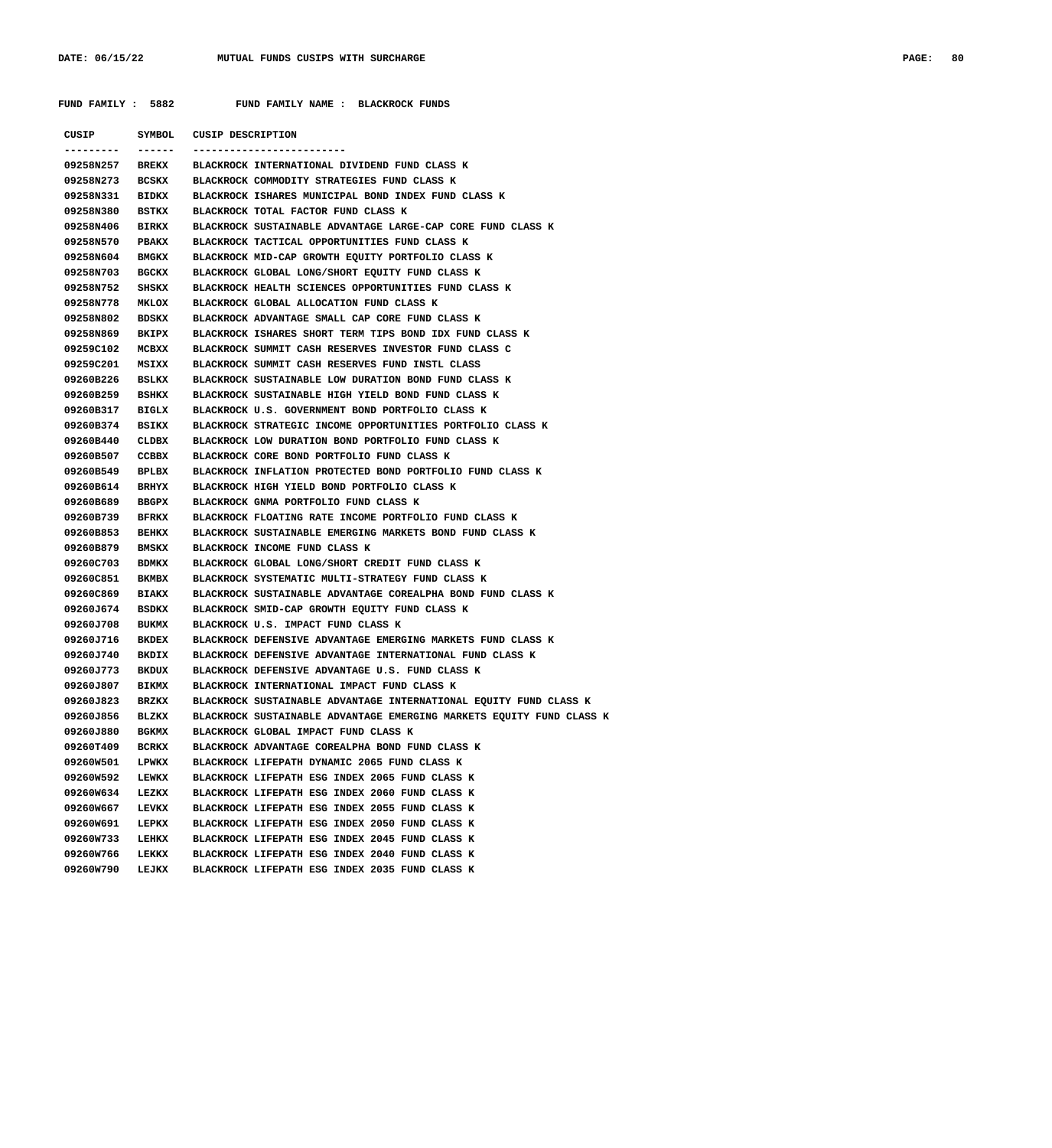**FUND FAMILY : 5882 FUND FAMILY NAME : BLACKROCK FUNDS**

| CUSIP     |              | SYMBOL CUSIP DESCRIPTION                                             |
|-----------|--------------|----------------------------------------------------------------------|
|           | ------       |                                                                      |
| 09258N257 | BREKX        | BLACKROCK INTERNATIONAL DIVIDEND FUND CLASS K                        |
| 09258N273 | BCSKX        | BLACKROCK COMMODITY STRATEGIES FUND CLASS K                          |
| 09258N331 | BIDKX        | BLACKROCK ISHARES MUNICIPAL BOND INDEX FUND CLASS K                  |
| 09258N380 | BSTKX        | BLACKROCK TOTAL FACTOR FUND CLASS K                                  |
| 09258N406 | BIRKX        | BLACKROCK SUSTAINABLE ADVANTAGE LARGE-CAP CORE FUND CLASS K          |
| 09258N570 | PBAKX        | BLACKROCK TACTICAL OPPORTUNITIES FUND CLASS K                        |
| 09258N604 | <b>BMGKX</b> | BLACKROCK MID-CAP GROWTH EQUITY PORTFOLIO CLASS K                    |
| 09258N703 | BGCKX        | BLACKROCK GLOBAL LONG/SHORT EQUITY FUND CLASS K                      |
| 09258N752 | SHSKX        | BLACKROCK HEALTH SCIENCES OPPORTUNITIES FUND CLASS K                 |
| 09258N778 | <b>MKLOX</b> | BLACKROCK GLOBAL ALLOCATION FUND CLASS K                             |
| 09258N802 | BDSKX        | BLACKROCK ADVANTAGE SMALL CAP CORE FUND CLASS K                      |
| 09258N869 | BKIPX        | BLACKROCK ISHARES SHORT TERM TIPS BOND IDX FUND CLASS K              |
| 09259C102 | MCBXX        | BLACKROCK SUMMIT CASH RESERVES INVESTOR FUND CLASS C                 |
| 09259C201 | MSIXX        | BLACKROCK SUMMIT CASH RESERVES FUND INSTL CLASS                      |
| 09260B226 | BSLKX        | BLACKROCK SUSTAINABLE LOW DURATION BOND FUND CLASS K                 |
| 09260B259 | BSHKX        | BLACKROCK SUSTAINABLE HIGH YIELD BOND FUND CLASS K                   |
| 09260B317 | BIGLX        | BLACKROCK U.S. GOVERNMENT BOND PORTFOLIO CLASS K                     |
| 09260B374 | BSIKX        | BLACKROCK STRATEGIC INCOME OPPORTUNITIES PORTFOLIO CLASS K           |
| 09260B440 | CLDBX        | BLACKROCK LOW DURATION BOND PORTFOLIO FUND CLASS K                   |
| 09260B507 | CCBBX        | BLACKROCK CORE BOND PORTFOLIO FUND CLASS K                           |
| 09260B549 | BPLBX        | BLACKROCK INFLATION PROTECTED BOND PORTFOLIO FUND CLASS K            |
| 09260B614 | BRHYX        | BLACKROCK HIGH YIELD BOND PORTFOLIO CLASS K                          |
| 09260B689 | BBGPX        | BLACKROCK GNMA PORTFOLIO FUND CLASS K                                |
| 09260B739 | BFRKX        | BLACKROCK FLOATING RATE INCOME PORTFOLIO FUND CLASS K                |
| 09260B853 | BEHKX        | BLACKROCK SUSTAINABLE EMERGING MARKETS BOND FUND CLASS K             |
| 09260B879 | <b>BMSKX</b> | BLACKROCK INCOME FUND CLASS K                                        |
| 09260C703 | BDMKX        | BLACKROCK GLOBAL LONG/SHORT CREDIT FUND CLASS K                      |
| 09260C851 | BKMBX        | BLACKROCK SYSTEMATIC MULTI-STRATEGY FUND CLASS K                     |
| 09260C869 | <b>BIAKX</b> | BLACKROCK SUSTAINABLE ADVANTAGE COREALPHA BOND FUND CLASS K          |
| 09260J674 | BSDKX        | BLACKROCK SMID-CAP GROWTH EQUITY FUND CLASS K                        |
| 09260J708 | <b>BUKMX</b> | BLACKROCK U.S. IMPACT FUND CLASS K                                   |
| 09260J716 | BKDEX        | BLACKROCK DEFENSIVE ADVANTAGE EMERGING MARKETS FUND CLASS K          |
| 09260J740 | BKDIX        | BLACKROCK DEFENSIVE ADVANTAGE INTERNATIONAL FUND CLASS K             |
| 09260J773 | BKDUX        | BLACKROCK DEFENSIVE ADVANTAGE U.S. FUND CLASS K                      |
| 09260J807 | <b>BIKMX</b> | BLACKROCK INTERNATIONAL IMPACT FUND CLASS K                          |
| 09260J823 | BRZKX        | BLACKROCK SUSTAINABLE ADVANTAGE INTERNATIONAL EQUITY FUND CLASS K    |
| 09260J856 | BLZKX        | BLACKROCK SUSTAINABLE ADVANTAGE EMERGING MARKETS EQUITY FUND CLASS K |
| 09260J880 | <b>BGKMX</b> | BLACKROCK GLOBAL IMPACT FUND CLASS K                                 |
| 09260T409 | <b>BCRKX</b> | BLACKROCK ADVANTAGE COREALPHA BOND FUND CLASS K                      |
| 09260W501 | LPWKX        | BLACKROCK LIFEPATH DYNAMIC 2065 FUND CLASS K                         |
| 09260W592 | LEWKX        | BLACKROCK LIFEPATH ESG INDEX 2065 FUND CLASS K                       |
| 09260W634 | LEZKX        | BLACKROCK LIFEPATH ESG INDEX 2060 FUND CLASS K                       |
| 09260W667 | LEVKX        | BLACKROCK LIFEPATH ESG INDEX 2055 FUND CLASS K                       |
| 09260W691 | LEPKX        | BLACKROCK LIFEPATH ESG INDEX 2050 FUND CLASS K                       |
| 09260W733 | LEHKX        | BLACKROCK LIFEPATH ESG INDEX 2045 FUND CLASS K                       |
| 09260W766 | LEKKX        | BLACKROCK LIFEPATH ESG INDEX 2040 FUND CLASS K                       |
| 09260W790 | LEJKX        | BLACKROCK LIFEPATH ESG INDEX 2035 FUND CLASS K                       |
|           |              |                                                                      |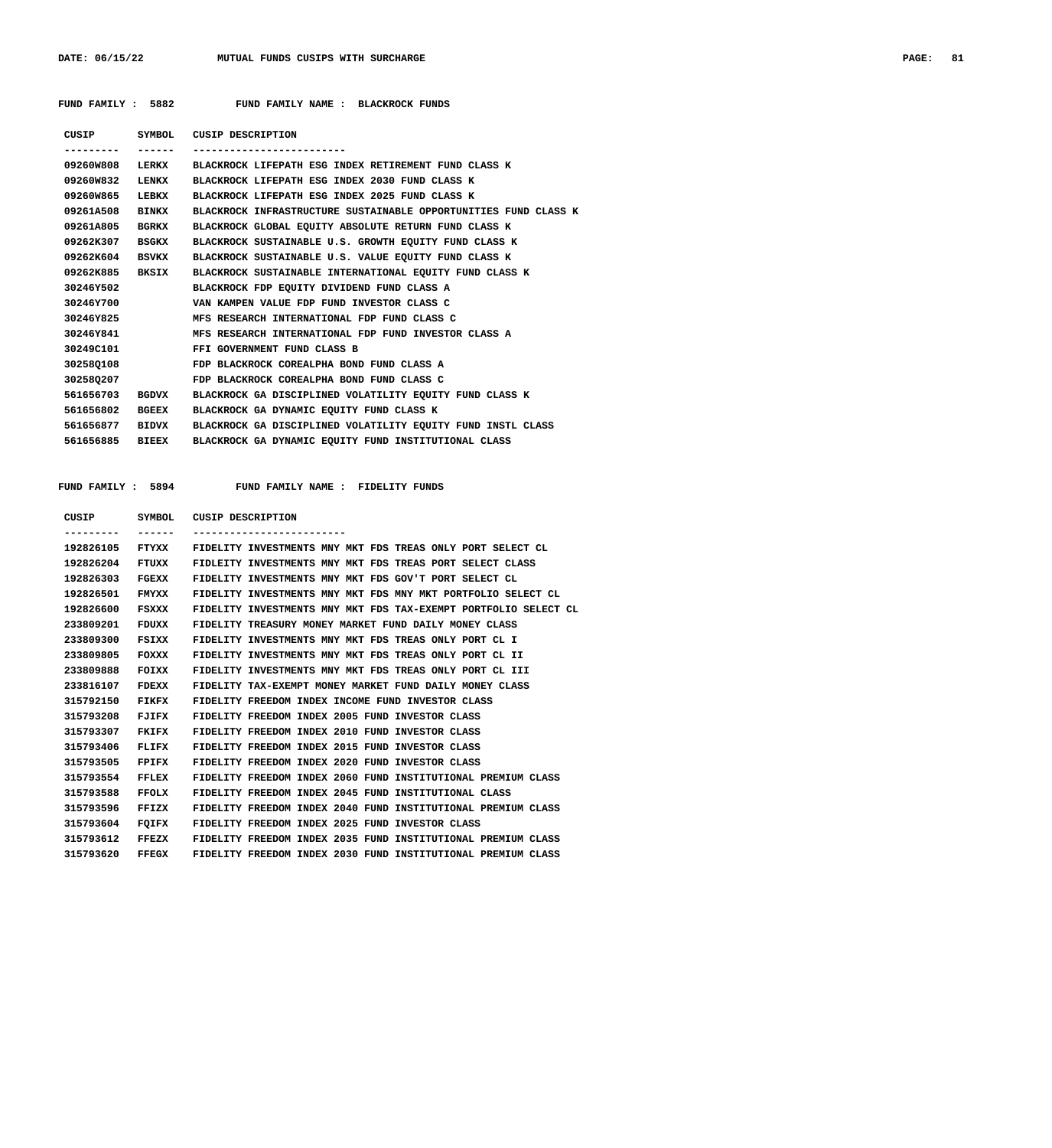## **FUND FAMILY : 5882 FUND FAMILY NAME : BLACKROCK FUNDS**

| CUSIP     |              | SYMBOL CUSIP DESCRIPTION                                        |
|-----------|--------------|-----------------------------------------------------------------|
|           | -------      |                                                                 |
| 09260W808 | LERKX        | BLACKROCK LIFEPATH ESG INDEX RETIREMENT FUND CLASS K            |
| 09260W832 | LENKX        | BLACKROCK LIFEPATH ESG INDEX 2030 FUND CLASS K                  |
| 09260W865 | LEBKX        | BLACKROCK LIFEPATH ESG INDEX 2025 FUND CLASS K                  |
| 09261A508 | <b>BINKX</b> | BLACKROCK INFRASTRUCTURE SUSTAINABLE OPPORTUNITIES FUND CLASS K |
| 09261A805 | <b>BGRKX</b> | BLACKROCK GLOBAL EQUITY ABSOLUTE RETURN FUND CLASS K            |
| 09262K307 | BSGKX        | BLACKROCK SUSTAINABLE U.S. GROWTH EQUITY FUND CLASS K           |
| 09262K604 | <b>BSVKX</b> | BLACKROCK SUSTAINABLE U.S. VALUE EQUITY FUND CLASS K            |
| 09262K885 | <b>BKSIX</b> | BLACKROCK SUSTAINABLE INTERNATIONAL EQUITY FUND CLASS K         |
| 30246Y502 |              | BLACKROCK FDP EQUITY DIVIDEND FUND CLASS A                      |
| 30246Y700 |              | VAN KAMPEN VALUE FDP FUND INVESTOR CLASS C                      |
| 30246Y825 |              | MFS RESEARCH INTERNATIONAL FDP FUND CLASS C                     |
| 30246Y841 |              | MFS RESEARCH INTERNATIONAL FDP FUND INVESTOR CLASS A            |
| 30249C101 |              | FFI GOVERNMENT FUND CLASS B                                     |
| 302580108 |              | FDP BLACKROCK COREALPHA BOND FUND CLASS A                       |
| 302580207 |              | FDP BLACKROCK COREALPHA BOND FUND CLASS C                       |
| 561656703 | <b>BGDVX</b> | BLACKROCK GA DISCIPLINED VOLATILITY EOUITY FUND CLASS K         |
| 561656802 | <b>BGEEX</b> | BLACKROCK GA DYNAMIC EQUITY FUND CLASS K                        |
| 561656877 | BIDVX        | BLACKROCK GA DISCIPLINED VOLATILITY EQUITY FUND INSTL CLASS     |
| 561656885 | <b>BIEEX</b> | BLACKROCK GA DYNAMIC EQUITY FUND INSTITUTIONAL CLASS            |
|           |              |                                                                 |

| CUSIP     | <b>SYMBOL</b> | CUSIP DESCRIPTION                                               |
|-----------|---------------|-----------------------------------------------------------------|
| --------- | ------        |                                                                 |
| 192826105 | FTYXX         | FIDELITY INVESTMENTS MNY MKT FDS TREAS ONLY PORT SELECT CL      |
| 192826204 | FTUXX         | FIDLEITY INVESTMENTS MNY MKT FDS TREAS PORT SELECT CLASS        |
| 192826303 | FGEXX         | FIDELITY INVESTMENTS MNY MKT FDS GOV'T PORT SELECT CL           |
| 192826501 | FMYXX         | FIDELITY INVESTMENTS MNY MKT FDS MNY MKT PORTFOLIO SELECT CL    |
| 192826600 | FSXXX         | FIDELITY INVESTMENTS MNY MKT FDS TAX-EXEMPT PORTFOLIO SELECT CL |
| 233809201 | <b>FDUXX</b>  | FIDELITY TREASURY MONEY MARKET FUND DAILY MONEY CLASS           |
| 233809300 | FSIXX         | FIDELITY INVESTMENTS MNY MKT FDS TREAS ONLY PORT CL I           |
| 233809805 | FOXXX         | FIDELITY INVESTMENTS MNY MKT FDS TREAS ONLY PORT CL II          |
| 233809888 | FOIXX         | FIDELITY INVESTMENTS MNY MKT FDS TREAS ONLY PORT CL III         |
| 233816107 | <b>FDEXX</b>  | FIDELITY TAX-EXEMPT MONEY MARKET FUND DAILY MONEY CLASS         |
| 315792150 | FIKFX         | FIDELITY FREEDOM INDEX INCOME FUND INVESTOR CLASS               |
| 315793208 | FJIFX         | FIDELITY FREEDOM INDEX 2005 FUND INVESTOR CLASS                 |
| 315793307 | FKIFX         | FIDELITY FREEDOM INDEX 2010 FUND INVESTOR CLASS                 |
| 315793406 | FLIFX         | FIDELITY FREEDOM INDEX 2015 FUND INVESTOR CLASS                 |
| 315793505 | <b>FPIFX</b>  | FIDELITY FREEDOM INDEX 2020 FUND INVESTOR CLASS                 |
| 315793554 | <b>FFLEX</b>  | FIDELITY FREEDOM INDEX 2060 FUND INSTITUTIONAL PREMIUM CLASS    |
| 315793588 | FFOLX         | FIDELITY FREEDOM INDEX 2045 FUND INSTITUTIONAL CLASS            |
| 315793596 | FFIZX         | FIDELITY FREEDOM INDEX 2040 FUND INSTITUTIONAL PREMIUM CLASS    |
| 315793604 | FOIFX         | FIDELITY FREEDOM INDEX 2025 FUND INVESTOR CLASS                 |
| 315793612 | FFEZX         | FIDELITY FREEDOM INDEX 2035 FUND INSTITUTIONAL PREMIUM CLASS    |
| 315793620 | <b>FFEGX</b>  | FIDELITY FREEDOM INDEX 2030 FUND INSTITUTIONAL PREMIUM CLASS    |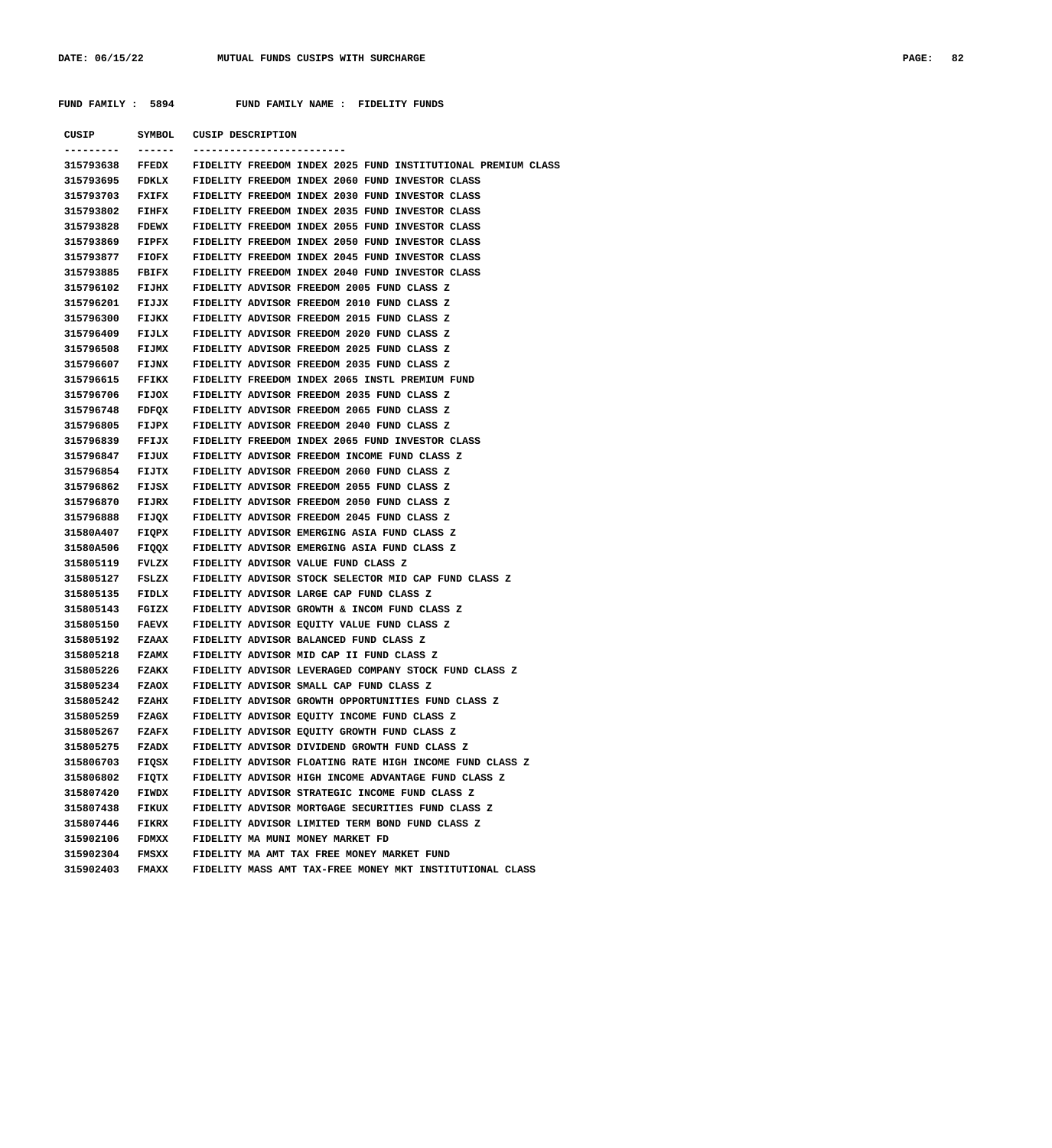| CUSIP                  |                | SYMBOL CUSIP DESCRIPTION                                                           |
|------------------------|----------------|------------------------------------------------------------------------------------|
|                        | -------        |                                                                                    |
| 315793638              | FFEDX          | FIDELITY FREEDOM INDEX 2025 FUND INSTITUTIONAL PREMIUM CLASS                       |
| 315793695              | FDKLX          | FIDELITY FREEDOM INDEX 2060 FUND INVESTOR CLASS                                    |
| 315793703              | FXIFX          | FIDELITY FREEDOM INDEX 2030 FUND INVESTOR CLASS                                    |
| 315793802              | FIHFX          | FIDELITY FREEDOM INDEX 2035 FUND INVESTOR CLASS                                    |
| 315793828              | <b>FDEWX</b>   | FIDELITY FREEDOM INDEX 2055 FUND INVESTOR CLASS                                    |
| 315793869              | FIPFX          | FIDELITY FREEDOM INDEX 2050 FUND INVESTOR CLASS                                    |
| 315793877              | FIOFX          | FIDELITY FREEDOM INDEX 2045 FUND INVESTOR CLASS                                    |
| 315793885              | FBIFX          | FIDELITY FREEDOM INDEX 2040 FUND INVESTOR CLASS                                    |
| 315796102              | FIJHX          | FIDELITY ADVISOR FREEDOM 2005 FUND CLASS Z                                         |
| 315796201              | FIJJX          | FIDELITY ADVISOR FREEDOM 2010 FUND CLASS Z                                         |
| 315796300              | FIJKX          | FIDELITY ADVISOR FREEDOM 2015 FUND CLASS Z                                         |
| 315796409              | FIJLX          | FIDELITY ADVISOR FREEDOM 2020 FUND CLASS Z                                         |
| 315796508              | FIJMX          | FIDELITY ADVISOR FREEDOM 2025 FUND CLASS Z                                         |
| 315796607              | FIJNX          | FIDELITY ADVISOR FREEDOM 2035 FUND CLASS Z                                         |
| 315796615              | FFIKX          | FIDELITY FREEDOM INDEX 2065 INSTL PREMIUM FUND                                     |
| 315796706              | FIJOX          | FIDELITY ADVISOR FREEDOM 2035 FUND CLASS Z                                         |
| 315796748              | FDFOX          | FIDELITY ADVISOR FREEDOM 2065 FUND CLASS Z                                         |
| 315796805              | FIJPX          | FIDELITY ADVISOR FREEDOM 2040 FUND CLASS Z                                         |
| 315796839              | FFIJX          | FIDELITY FREEDOM INDEX 2065 FUND INVESTOR CLASS                                    |
| 315796847              | FIJUX          | FIDELITY ADVISOR FREEDOM INCOME FUND CLASS Z                                       |
| 315796854              | FIJTX          | FIDELITY ADVISOR FREEDOM 2060 FUND CLASS Z                                         |
| 315796862              | FIJSX          | FIDELITY ADVISOR FREEDOM 2055 FUND CLASS Z                                         |
| 315796870              | FIJRX          | FIDELITY ADVISOR FREEDOM 2050 FUND CLASS Z                                         |
| 315796888              | FIJQX          | FIDELITY ADVISOR FREEDOM 2045 FUND CLASS Z                                         |
| 31580A407              | FIQPX          | FIDELITY ADVISOR EMERGING ASIA FUND CLASS Z                                        |
| 31580A506<br>315805119 | FIQQX<br>FVLZX | FIDELITY ADVISOR EMERGING ASIA FUND CLASS Z<br>FIDELITY ADVISOR VALUE FUND CLASS Z |
| 315805127              | FSLZX          | FIDELITY ADVISOR STOCK SELECTOR MID CAP FUND CLASS Z                               |
| 315805135              | FIDLX          | FIDELITY ADVISOR LARGE CAP FUND CLASS Z                                            |
| 315805143              | FGIZX          | FIDELITY ADVISOR GROWTH & INCOM FUND CLASS Z                                       |
| 315805150              | <b>FAEVX</b>   | FIDELITY ADVISOR EQUITY VALUE FUND CLASS Z                                         |
| 315805192              | FZAAX          | FIDELITY ADVISOR BALANCED FUND CLASS Z                                             |
| 315805218              | <b>FZAMX</b>   | FIDELITY ADVISOR MID CAP II FUND CLASS Z                                           |
| 315805226              | <b>FZAKX</b>   | FIDELITY ADVISOR LEVERAGED COMPANY STOCK FUND CLASS Z                              |
| 315805234 FZAOX        |                | FIDELITY ADVISOR SMALL CAP FUND CLASS Z                                            |
| 315805242              | <b>FZAHX</b>   | FIDELITY ADVISOR GROWTH OPPORTUNITIES FUND CLASS Z                                 |
| 315805259              | FZAGX          | FIDELITY ADVISOR EQUITY INCOME FUND CLASS Z                                        |
| 315805267              | <b>FZAFX</b>   | FIDELITY ADVISOR EQUITY GROWTH FUND CLASS Z                                        |
| 315805275              | FZADX          | FIDELITY ADVISOR DIVIDEND GROWTH FUND CLASS Z                                      |
| 315806703              | FIQSX          | FIDELITY ADVISOR FLOATING RATE HIGH INCOME FUND CLASS Z                            |
| 315806802              | FIQTX          | FIDELITY ADVISOR HIGH INCOME ADVANTAGE FUND CLASS Z                                |
| 315807420              | FIWDX          | FIDELITY ADVISOR STRATEGIC INCOME FUND CLASS Z                                     |
| 315807438              | <b>FIKUX</b>   | FIDELITY ADVISOR MORTGAGE SECURITIES FUND CLASS Z                                  |
| 315807446              | <b>FIKRX</b>   | FIDELITY ADVISOR LIMITED TERM BOND FUND CLASS Z                                    |
| 315902106              | <b>FDMXX</b>   | FIDELITY MA MUNI MONEY MARKET FD                                                   |
| 315902304              | <b>FMSXX</b>   | FIDELITY MA AMT TAX FREE MONEY MARKET FUND                                         |
| 315902403              | <b>FMAXX</b>   | FIDELITY MASS AMT TAX-FREE MONEY MKT INSTITUTIONAL CLASS                           |
|                        |                |                                                                                    |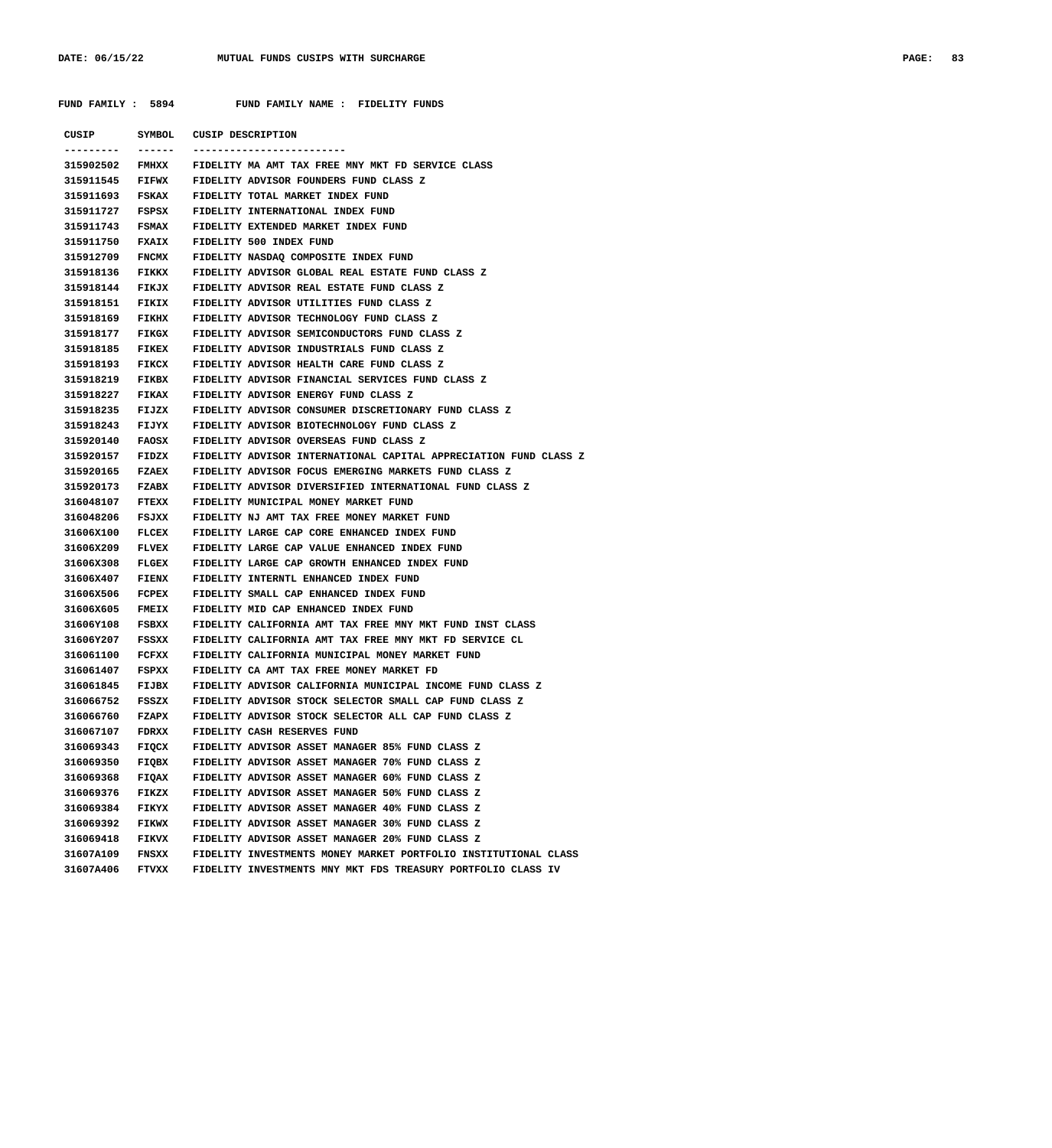| CUSIP           | SYMBOL       | CUSIP DESCRIPTION                                                |
|-----------------|--------------|------------------------------------------------------------------|
|                 |              |                                                                  |
| 315902502 FMHXX |              | FIDELITY MA AMT TAX FREE MNY MKT FD SERVICE CLASS                |
| 315911545       | <b>FIFWX</b> | FIDELITY ADVISOR FOUNDERS FUND CLASS Z                           |
| 315911693       | FSKAX        | FIDELITY TOTAL MARKET INDEX FUND                                 |
| 315911727       | FSPSX        | FIDELITY INTERNATIONAL INDEX FUND                                |
| 315911743       | <b>FSMAX</b> | FIDELITY EXTENDED MARKET INDEX FUND                              |
| 315911750       | <b>FXAIX</b> | FIDELITY 500 INDEX FUND                                          |
| 315912709       | <b>FNCMX</b> | FIDELITY NASDAQ COMPOSITE INDEX FUND                             |
| 315918136       | <b>FIKKX</b> | FIDELITY ADVISOR GLOBAL REAL ESTATE FUND CLASS Z                 |
| 315918144       | <b>FIKJX</b> | FIDELITY ADVISOR REAL ESTATE FUND CLASS Z                        |
| 315918151       | <b>FIKIX</b> | FIDELITY ADVISOR UTILITIES FUND CLASS Z                          |
| 315918169       | <b>FIKHX</b> | FIDELITY ADVISOR TECHNOLOGY FUND CLASS Z                         |
| 315918177       | <b>FIKGX</b> | FIDELITY ADVISOR SEMICONDUCTORS FUND CLASS Z                     |
| 315918185       | <b>FIKEX</b> | FIDELITY ADVISOR INDUSTRIALS FUND CLASS Z                        |
| 315918193       | <b>FIKCX</b> | FIDELTIY ADVISOR HEALTH CARE FUND CLASS Z                        |
| 315918219       | <b>FIKBX</b> | FIDELITY ADVISOR FINANCIAL SERVICES FUND CLASS Z                 |
| 315918227       | <b>FIKAX</b> | FIDELITY ADVISOR ENERGY FUND CLASS Z                             |
| 315918235       | FIJZX        | FIDELITY ADVISOR CONSUMER DISCRETIONARY FUND CLASS Z             |
| 315918243       | FIJYX        | FIDELITY ADVISOR BIOTECHNOLOGY FUND CLASS Z                      |
| 315920140       | <b>FAOSX</b> | FIDELITY ADVISOR OVERSEAS FUND CLASS Z                           |
| 315920157       | FIDZX        | FIDELITY ADVISOR INTERNATIONAL CAPITAL APPRECIATION FUND CLASS Z |
| 315920165       | <b>FZAEX</b> | FIDELITY ADVISOR FOCUS EMERGING MARKETS FUND CLASS Z             |
| 315920173       | <b>FZABX</b> | FIDELITY ADVISOR DIVERSIFIED INTERNATIONAL FUND CLASS Z          |
| 316048107       | <b>FTEXX</b> | FIDELITY MUNICIPAL MONEY MARKET FUND                             |
| 316048206       | FSJXX        | FIDELITY NJ AMT TAX FREE MONEY MARKET FUND                       |
| 31606X100       | FLCEX        | FIDELITY LARGE CAP CORE ENHANCED INDEX FUND                      |
| 31606X209       | <b>FLVEX</b> | FIDELITY LARGE CAP VALUE ENHANCED INDEX FUND                     |
| 31606X308       | <b>FLGEX</b> | FIDELITY LARGE CAP GROWTH ENHANCED INDEX FUND                    |
| 31606X407       | <b>FIENX</b> | FIDELITY INTERNTL ENHANCED INDEX FUND                            |
| 31606X506       | FCPEX        | FIDELITY SMALL CAP ENHANCED INDEX FUND                           |
| 31606X605       | <b>FMEIX</b> | FIDELITY MID CAP ENHANCED INDEX FUND                             |
| 31606Y108       | FSBXX        | FIDELITY CALIFORNIA AMT TAX FREE MNY MKT FUND INST CLASS         |
| 31606Y207       | FSSXX        | FIDELITY CALIFORNIA AMT TAX FREE MNY MKT FD SERVICE CL           |
| 316061100       | FCFXX        | FIDELITY CALIFORNIA MUNICIPAL MONEY MARKET FUND                  |
| 316061407       | FSPXX        | FIDELITY CA AMT TAX FREE MONEY MARKET FD                         |
| 316061845       | FIJBX        | FIDELITY ADVISOR CALIFORNIA MUNICIPAL INCOME FUND CLASS Z        |
| 316066752 FSSZX |              | FIDELITY ADVISOR STOCK SELECTOR SMALL CAP FUND CLASS Z           |
| 316066760       | <b>FZAPX</b> | FIDELITY ADVISOR STOCK SELECTOR ALL CAP FUND CLASS Z             |
| 316067107       | FDRXX        | <b>FIDELITY CASH RESERVES FUND</b>                               |
| 316069343       | FIQCX        | FIDELITY ADVISOR ASSET MANAGER 85% FUND CLASS Z                  |
| 316069350       | FIQBX        | FIDELITY ADVISOR ASSET MANAGER 70% FUND CLASS Z                  |
| 316069368       | FIQAX        | FIDELITY ADVISOR ASSET MANAGER 60% FUND CLASS Z                  |
| 316069376       | FIKZX        | FIDELITY ADVISOR ASSET MANAGER 50% FUND CLASS Z                  |
| 316069384       | <b>FIKYX</b> | FIDELITY ADVISOR ASSET MANAGER 40% FUND CLASS Z                  |
| 316069392       | <b>FIKWX</b> | FIDELITY ADVISOR ASSET MANAGER 30% FUND CLASS Z                  |
| 316069418       | <b>FIKVX</b> | FIDELITY ADVISOR ASSET MANAGER 20% FUND CLASS Z                  |
| 31607A109       | FNSXX        | FIDELITY INVESTMENTS MONEY MARKET PORTFOLIO INSTITUTIONAL CLASS  |
| 31607A406       | FTVXX        | FIDELITY INVESTMENTS MNY MKT FDS TREASURY PORTFOLIO CLASS IV     |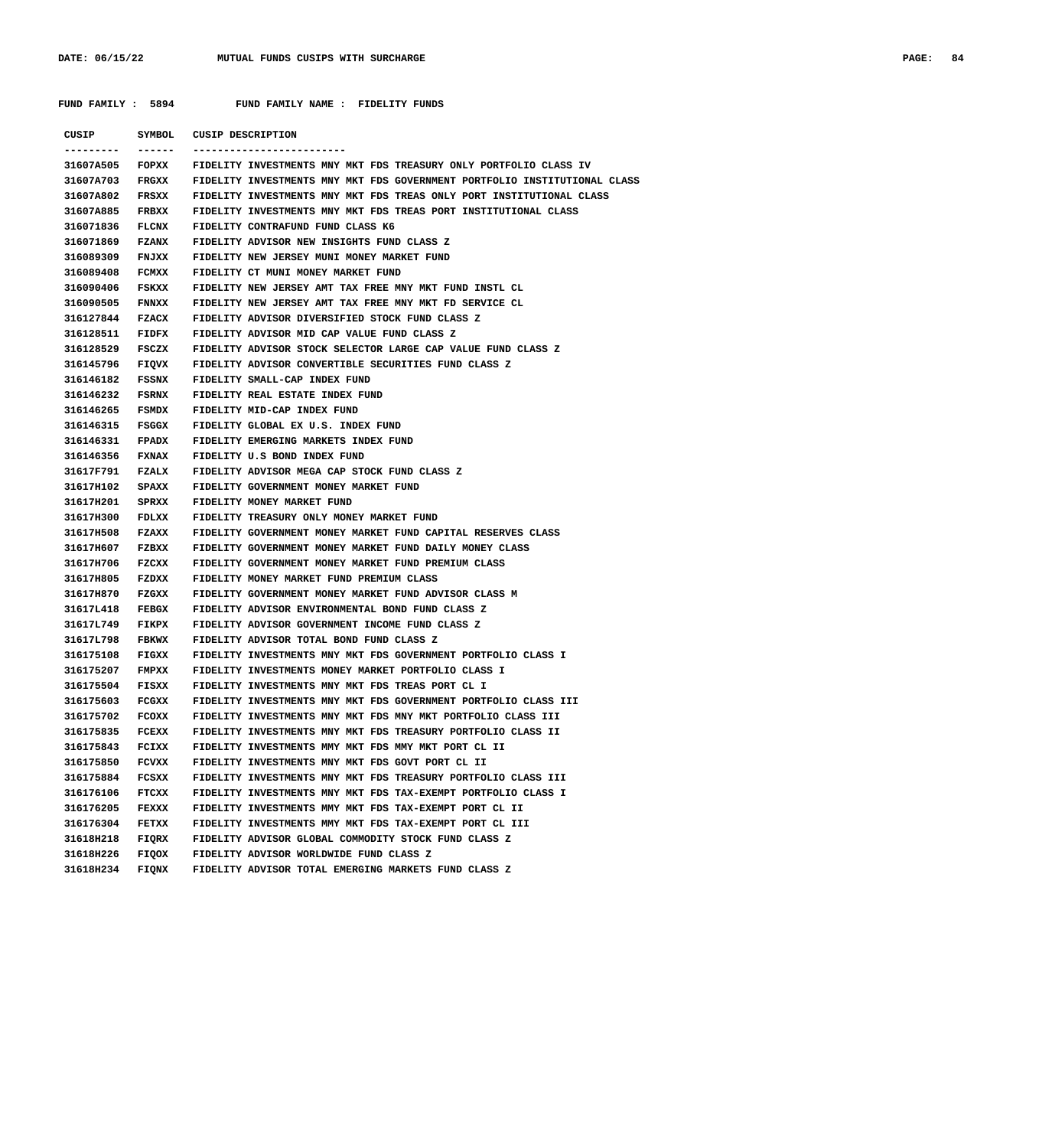| PAGE: | 84 |
|-------|----|
|       |    |

| CUSIP           | SYMBOL       | CUSIP DESCRIPTION                                                         |
|-----------------|--------------|---------------------------------------------------------------------------|
| --------        | ------       |                                                                           |
| 31607A505       | FOPXX        | FIDELITY INVESTMENTS MNY MKT FDS TREASURY ONLY PORTFOLIO CLASS IV         |
| 31607A703       | FRGXX        | FIDELITY INVESTMENTS MNY MKT FDS GOVERNMENT PORTFOLIO INSTITUTIONAL CLASS |
| 31607A802       | FRSXX        | FIDELITY INVESTMENTS MNY MKT FDS TREAS ONLY PORT INSTITUTIONAL CLASS      |
| 31607A885       | FRBXX        | FIDELITY INVESTMENTS MNY MKT FDS TREAS PORT INSTITUTIONAL CLASS           |
| 316071836       | <b>FLCNX</b> | FIDELITY CONTRAFUND FUND CLASS K6                                         |
| 316071869       | <b>FZANX</b> | FIDELITY ADVISOR NEW INSIGHTS FUND CLASS Z                                |
| 316089309       | <b>FNJXX</b> | FIDELITY NEW JERSEY MUNI MONEY MARKET FUND                                |
| 316089408       | FCMXX        | FIDELITY CT MUNI MONEY MARKET FUND                                        |
| 316090406       | FSKXX        | FIDELITY NEW JERSEY AMT TAX FREE MNY MKT FUND INSTL CL                    |
| 316090505       | FNNXX        | FIDELITY NEW JERSEY AMT TAX FREE MNY MKT FD SERVICE CL                    |
| 316127844       | <b>FZACX</b> | FIDELITY ADVISOR DIVERSIFIED STOCK FUND CLASS Z                           |
| 316128511 FIDFX |              | FIDELITY ADVISOR MID CAP VALUE FUND CLASS Z                               |
| 316128529 FSCZX |              | FIDELITY ADVISOR STOCK SELECTOR LARGE CAP VALUE FUND CLASS Z              |
| 316145796 FIQVX |              | FIDELITY ADVISOR CONVERTIBLE SECURITIES FUND CLASS Z                      |
| 316146182 FSSNX |              | FIDELITY SMALL-CAP INDEX FUND                                             |
| 316146232 FSRNX |              | FIDELITY REAL ESTATE INDEX FUND                                           |
| 316146265 FSMDX |              | FIDELITY MID-CAP INDEX FUND                                               |
| 316146315 FSGGX |              | FIDELITY GLOBAL EX U.S. INDEX FUND                                        |
| 316146331 FPADX |              | FIDELITY EMERGING MARKETS INDEX FUND                                      |
| 316146356 FXNAX |              | FIDELITY U.S BOND INDEX FUND                                              |
| 31617F791 FZALX |              | FIDELITY ADVISOR MEGA CAP STOCK FUND CLASS Z                              |
| 31617H102       | <b>SPAXX</b> | FIDELITY GOVERNMENT MONEY MARKET FUND                                     |
| 31617H201       | SPRXX        | FIDELITY MONEY MARKET FUND                                                |
| 31617H300 FDLXX |              | FIDELITY TREASURY ONLY MONEY MARKET FUND                                  |
| 31617H508       | <b>FZAXX</b> | FIDELITY GOVERNMENT MONEY MARKET FUND CAPITAL RESERVES CLASS              |
| 31617H607 FZBXX |              | FIDELITY GOVERNMENT MONEY MARKET FUND DAILY MONEY CLASS                   |
| 31617H706       | FZCXX        | FIDELITY GOVERNMENT MONEY MARKET FUND PREMIUM CLASS                       |
| 31617H805       | FZDXX        | FIDELITY MONEY MARKET FUND PREMIUM CLASS                                  |
| 31617H870       | FZGXX        | FIDELITY GOVERNMENT MONEY MARKET FUND ADVISOR CLASS M                     |
| 31617L418       | <b>FEBGX</b> | FIDELITY ADVISOR ENVIRONMENTAL BOND FUND CLASS Z                          |
| 31617L749       | FIKPX        | FIDELITY ADVISOR GOVERNMENT INCOME FUND CLASS Z                           |
| 31617L798       | <b>FBKWX</b> | FIDELITY ADVISOR TOTAL BOND FUND CLASS Z                                  |
| 316175108       | <b>FIGXX</b> | FIDELITY INVESTMENTS MNY MKT FDS GOVERNMENT PORTFOLIO CLASS I             |
| 316175207 FMPXX |              | FIDELITY INVESTMENTS MONEY MARKET PORTFOLIO CLASS I                       |
| 316175504       | FISXX        | FIDELITY INVESTMENTS MNY MKT FDS TREAS PORT CL I                          |
| 316175603       | FCGXX        | FIDELITY INVESTMENTS MNY MKT FDS GOVERNMENT PORTFOLIO CLASS III           |
| 316175702       | FCOXX        | FIDELITY INVESTMENTS MNY MKT FDS MNY MKT PORTFOLIO CLASS III              |
| 316175835       | FCEXX        | FIDELITY INVESTMENTS MNY MKT FDS TREASURY PORTFOLIO CLASS II              |
| 316175843       | FCIXX        | FIDELITY INVESTMENTS MMY MKT FDS MMY MKT PORT CL II                       |
| 316175850       | FCVXX        | FIDELITY INVESTMENTS MNY MKT FDS GOVT PORT CL II                          |
| 316175884       | FCSXX        | FIDELITY INVESTMENTS MNY MKT FDS TREASURY PORTFOLIO CLASS III             |
| 316176106       | FTCXX        | FIDELITY INVESTMENTS MNY MKT FDS TAX-EXEMPT PORTFOLIO CLASS I             |
| 316176205       | <b>FEXXX</b> | FIDELITY INVESTMENTS MMY MKT FDS TAX-EXEMPT PORT CL II                    |
| 316176304       | FETXX        | FIDELITY INVESTMENTS MMY MKT FDS TAX-EXEMPT PORT CL III                   |
| 31618H218       | FIQRX        | FIDELITY ADVISOR GLOBAL COMMODITY STOCK FUND CLASS Z                      |
| 31618H226 FIQOX |              | FIDELITY ADVISOR WORLDWIDE FUND CLASS Z                                   |
|                 |              | 31618H234 FIQNX FIDELITY ADVISOR TOTAL EMERGING MARKETS FUND CLASS Z      |
|                 |              |                                                                           |
|                 |              |                                                                           |
|                 |              |                                                                           |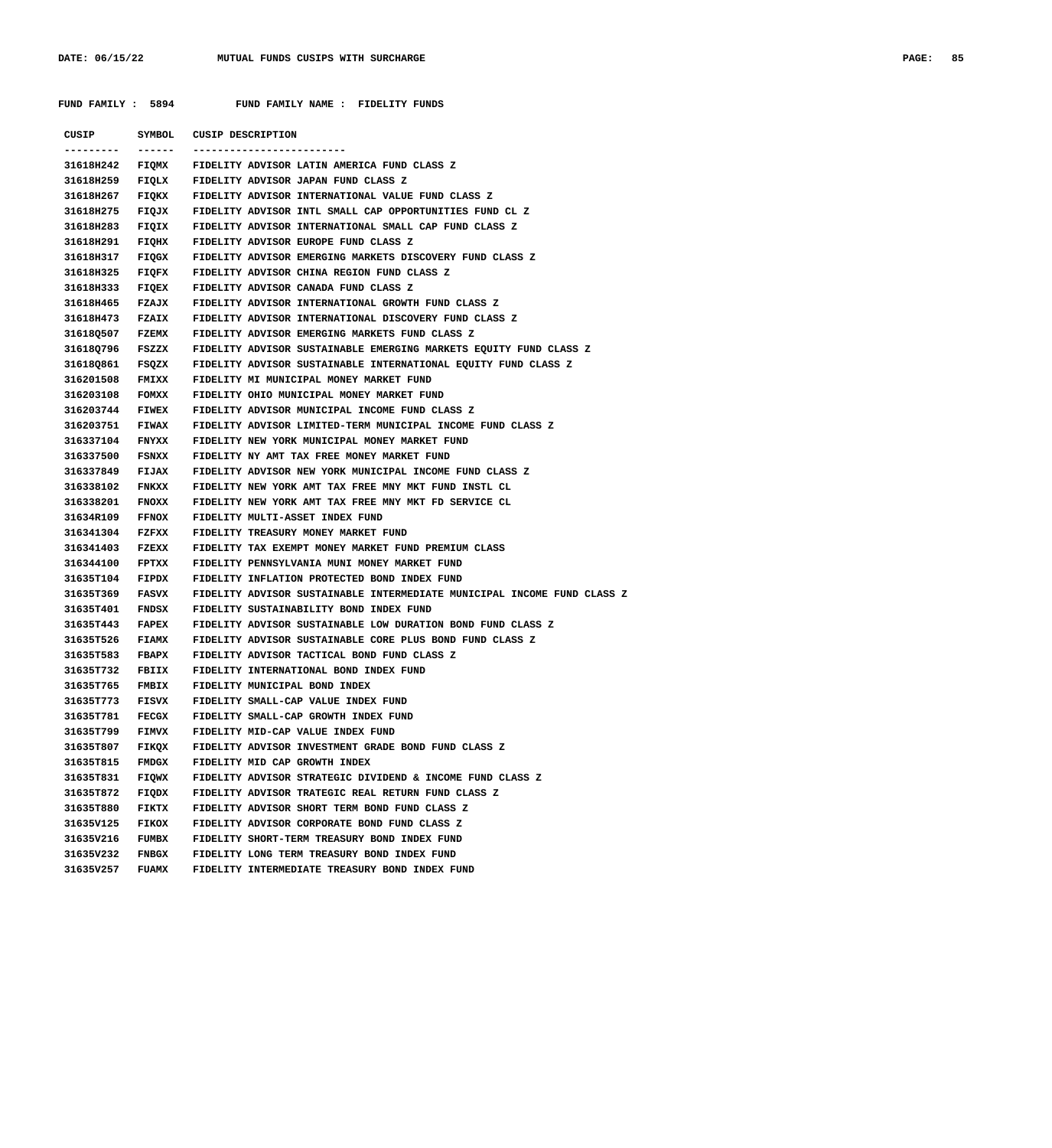| CUSIP                  | SYMBOL       | <b>CUSIP DESCRIPTION</b>                                                       |
|------------------------|--------------|--------------------------------------------------------------------------------|
| ---------<br>31618H242 | -------      | -------------------------<br>FIQMX FIDELITY ADVISOR LATIN AMERICA FUND CLASS Z |
| 31618H259              |              | FIQLX GEIDELITY ADVISOR JAPAN FUND CLASS Z                                     |
| 31618H267              |              | FIQKX - FIDELITY ADVISOR INTERNATIONAL VALUE FUND CLASS Z                      |
| 31618H275              |              | FIQJX - FIDELITY ADVISOR INTL SMALL CAP OPPORTUNITIES FUND CL Z                |
| 31618H283              |              | FIQIX GELECTY ADVISOR INTERNATIONAL SMALL CAP FUND CLASS Z                     |
| 31618H291              | FIQHX        | FIDELITY ADVISOR EUROPE FUND CLASS Z                                           |
| 31618H317              | FIQGX        | FIDELITY ADVISOR EMERGING MARKETS DISCOVERY FUND CLASS Z                       |
| 31618H325              |              | FIQFX FIDELITY ADVISOR CHINA REGION FUND CLASS Z                               |
| 31618H333              | <b>FIQEX</b> | FIDELITY ADVISOR CANADA FUND CLASS Z                                           |
| 31618H465              | <b>FZAJX</b> | FIDELITY ADVISOR INTERNATIONAL GROWTH FUND CLASS Z                             |
| 31618H473              | <b>FZAIX</b> | FIDELITY ADVISOR INTERNATIONAL DISCOVERY FUND CLASS Z                          |
| 31618Q507              | <b>FZEMX</b> | FIDELITY ADVISOR EMERGING MARKETS FUND CLASS Z                                 |
| 31618Q796              | FSZZX        | FIDELITY ADVISOR SUSTAINABLE EMERGING MARKETS EQUITY FUND CLASS Z              |
| 31618Q861              |              | FSQZX - FIDELITY ADVISOR SUSTAINABLE INTERNATIONAL EQUITY FUND CLASS Z         |
| 316201508              | <b>FMIXX</b> | FIDELITY MI MUNICIPAL MONEY MARKET FUND                                        |
| 316203108              | FOMXX        | FIDELITY OHIO MUNICIPAL MONEY MARKET FUND                                      |
| 316203744              | <b>FIWEX</b> | FIDELITY ADVISOR MUNICIPAL INCOME FUND CLASS Z                                 |
| 316203751              | <b>FIWAX</b> | FIDELITY ADVISOR LIMITED-TERM MUNICIPAL INCOME FUND CLASS Z                    |
| 316337104              | <b>FNYXX</b> | FIDELITY NEW YORK MUNICIPAL MONEY MARKET FUND                                  |
| 316337500              | FSNXX        | FIDELITY NY AMT TAX FREE MONEY MARKET FUND                                     |
| 316337849              | <b>FIJAX</b> | FIDELITY ADVISOR NEW YORK MUNICIPAL INCOME FUND CLASS Z                        |
| 316338102              | <b>FNKXX</b> | FIDELITY NEW YORK AMT TAX FREE MNY MKT FUND INSTL CL                           |
| 316338201              | <b>FNOXX</b> | FIDELITY NEW YORK AMT TAX FREE MNY MKT FD SERVICE CL                           |
| 31634R109              | <b>FFNOX</b> | FIDELITY MULTI-ASSET INDEX FUND                                                |
| 316341304              | <b>FZFXX</b> | FIDELITY TREASURY MONEY MARKET FUND                                            |
| 316341403              | FZEXX        | FIDELITY TAX EXEMPT MONEY MARKET FUND PREMIUM CLASS                            |
| 316344100              | <b>FPTXX</b> | FIDELITY PENNSYLVANIA MUNI MONEY MARKET FUND                                   |
| 31635T104              | FIPDX        | FIDELITY INFLATION PROTECTED BOND INDEX FUND                                   |
| 31635T369              | <b>FASVX</b> | FIDELITY ADVISOR SUSTAINABLE INTERMEDIATE MUNICIPAL INCOME FUND CLASS Z        |
| 31635T401              | FNDSX        | FIDELITY SUSTAINABILITY BOND INDEX FUND                                        |
| 31635T443              | <b>FAPEX</b> | FIDELITY ADVISOR SUSTAINABLE LOW DURATION BOND FUND CLASS Z                    |
| 31635T526              | <b>FIAMX</b> | FIDELITY ADVISOR SUSTAINABLE CORE PLUS BOND FUND CLASS Z                       |
| 31635T583              | <b>FBAPX</b> | FIDELITY ADVISOR TACTICAL BOND FUND CLASS Z                                    |
| 31635T732              |              | FBIIX FIDELITY INTERNATIONAL BOND INDEX FUND                                   |
| 31635T765              |              | FMBIX FIDELITY MUNICIPAL BOND INDEX                                            |
| 31635T773              | <b>FISVX</b> | FIDELITY SMALL-CAP VALUE INDEX FUND                                            |
| 31635T781              | FECGX        | FIDELITY SMALL-CAP GROWTH INDEX FUND                                           |
| 31635T799              | <b>FIMVX</b> | FIDELITY MID-CAP VALUE INDEX FUND                                              |
| 31635T807              | FIKQX        | FIDELITY ADVISOR INVESTMENT GRADE BOND FUND CLASS Z                            |
| 31635T815              | <b>FMDGX</b> | FIDELITY MID CAP GROWTH INDEX                                                  |
| 31635T831              | FIQWX        | FIDELITY ADVISOR STRATEGIC DIVIDEND & INCOME FUND CLASS Z                      |
| 31635T872              | FIQDX        | FIDELITY ADVISOR TRATEGIC REAL RETURN FUND CLASS Z                             |
| 31635T880              | FIKTX        | FIDELITY ADVISOR SHORT TERM BOND FUND CLASS Z                                  |
| 31635V125              | <b>FIKOX</b> | FIDELITY ADVISOR CORPORATE BOND FUND CLASS Z                                   |
| 31635V216              | FUMBX        | FIDELITY SHORT-TERM TREASURY BOND INDEX FUND                                   |
| 31635V232              | <b>FNBGX</b> | FIDELITY LONG TERM TREASURY BOND INDEX FUND                                    |
| 31635V257              | <b>FUAMX</b> | FIDELITY INTERMEDIATE TREASURY BOND INDEX FUND                                 |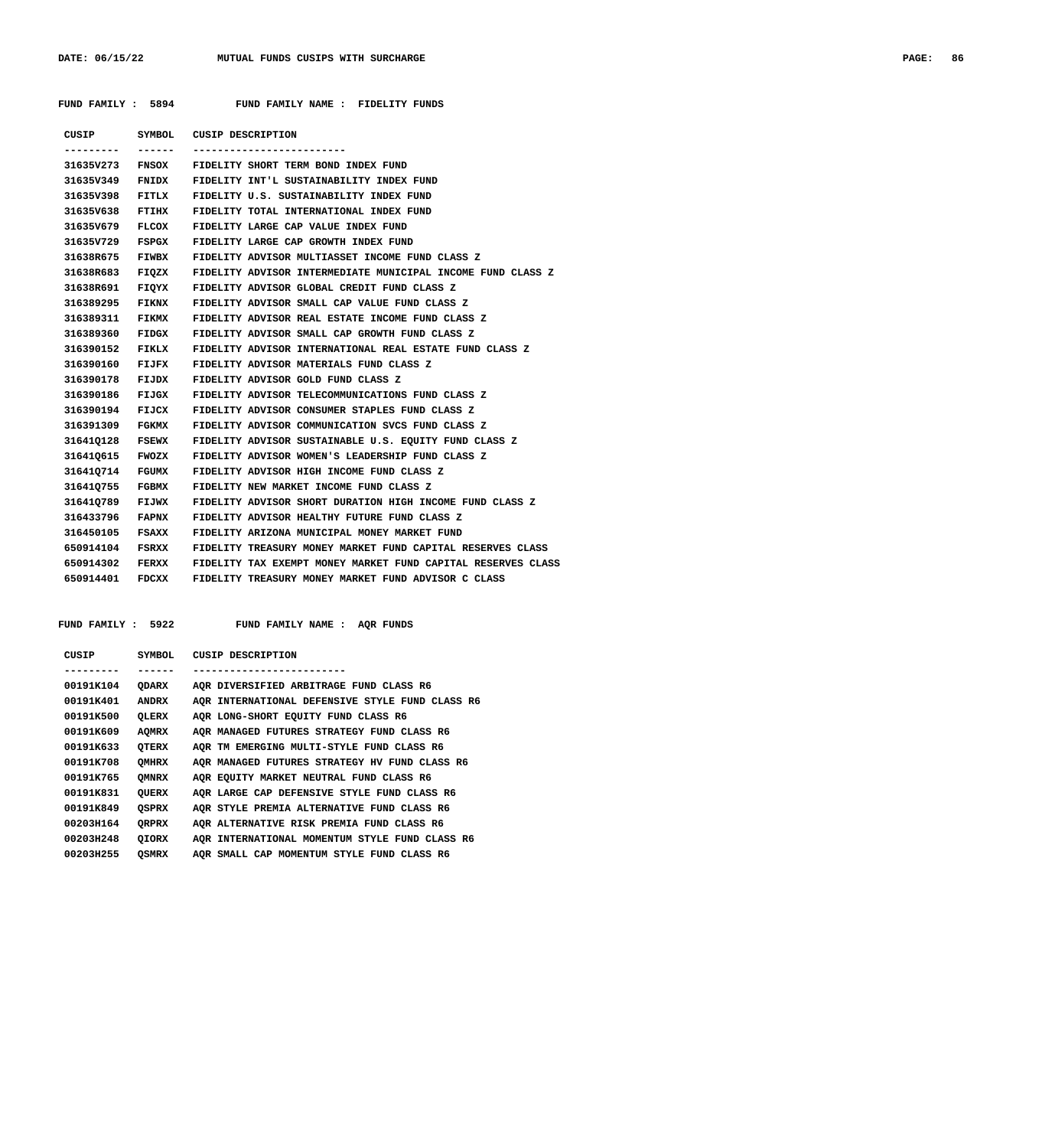|  | FUND FAMILY |  | 5894 |  |
|--|-------------|--|------|--|
|--|-------------|--|------|--|

FUND FAMILY NAME : FIDELITY FUNDS

| CUSIP     | SYMBOL       | <b>CUSIP DESCRIPTION</b>                                     |
|-----------|--------------|--------------------------------------------------------------|
|           |              | --------------------------                                   |
|           |              | 31635V273 FNSOX FIDELITY SHORT TERM BOND INDEX FUND          |
| 31635V349 | FNIDX        | FIDELITY INT'L SUSTAINABILITY INDEX FUND                     |
| 31635V398 | FITLX        | FIDELITY U.S. SUSTAINABILITY INDEX FUND                      |
| 31635V638 | <b>FTIHX</b> | FIDELITY TOTAL INTERNATIONAL INDEX FUND                      |
| 31635V679 | FLCOX        | FIDELITY LARGE CAP VALUE INDEX FUND                          |
| 31635V729 | FSPGX        | FIDELITY LARGE CAP GROWTH INDEX FUND                         |
| 31638R675 | <b>FIWBX</b> | FIDELITY ADVISOR MULTIASSET INCOME FUND CLASS Z              |
| 31638R683 | FIOZX        | FIDELITY ADVISOR INTERMEDIATE MUNICIPAL INCOME FUND CLASS Z  |
| 31638R691 | FIQYX        | FIDELITY ADVISOR GLOBAL CREDIT FUND CLASS Z                  |
| 316389295 | FIKNX        | FIDELITY ADVISOR SMALL CAP VALUE FUND CLASS Z                |
| 316389311 | <b>FIKMX</b> | FIDELITY ADVISOR REAL ESTATE INCOME FUND CLASS Z             |
| 316389360 | FIDGX        | FIDELITY ADVISOR SMALL CAP GROWTH FUND CLASS Z               |
| 316390152 | FIKLX        | FIDELITY ADVISOR INTERNATIONAL REAL ESTATE FUND CLASS Z      |
| 316390160 | FIJFX        | FIDELITY ADVISOR MATERIALS FUND CLASS Z                      |
| 316390178 | FIJDX        | FIDELITY ADVISOR GOLD FUND CLASS Z                           |
| 316390186 | FIJGX        | FIDELITY ADVISOR TELECOMMUNICATIONS FUND CLASS Z             |
| 316390194 | <b>FIJCX</b> | FIDELITY ADVISOR CONSUMER STAPLES FUND CLASS Z               |
| 316391309 | FGKMX        | FIDELITY ADVISOR COMMUNICATION SVCS FUND CLASS Z             |
| 316410128 | FSEWX        | FIDELITY ADVISOR SUSTAINABLE U.S. EQUITY FUND CLASS Z        |
| 316410615 | <b>FWOZX</b> | FIDELITY ADVISOR WOMEN'S LEADERSHIP FUND CLASS Z             |
| 316410714 | FGUMX        | FIDELITY ADVISOR HIGH INCOME FUND CLASS Z                    |
| 316410755 | FGBMX        | FIDELITY NEW MARKET INCOME FUND CLASS Z                      |
| 316410789 | FIJWX        | FIDELITY ADVISOR SHORT DURATION HIGH INCOME FUND CLASS Z     |
| 316433796 | FAPNX        | FIDELITY ADVISOR HEALTHY FUTURE FUND CLASS Z                 |
| 316450105 | FSAXX        | FIDELITY ARIZONA MUNICIPAL MONEY MARKET FUND                 |
| 650914104 | FSRXX        | FIDELITY TREASURY MONEY MARKET FUND CAPITAL RESERVES CLASS   |
| 650914302 | <b>FERXX</b> | FIDELITY TAX EXEMPT MONEY MARKET FUND CAPITAL RESERVES CLASS |
| 650914401 | FDCXX        | FIDELITY TREASURY MONEY MARKET FUND ADVISOR C CLASS          |
|           |              |                                                              |

FUND FAMILY : 5922 FUND FAMILY NAME : AQR FUNDS

| CUSIP     | SYMBOL       | CUSIP DESCRIPTION                                 |
|-----------|--------------|---------------------------------------------------|
|           |              |                                                   |
| 00191K104 | <b>ODARX</b> | AOR DIVERSIFIED ARBITRAGE FUND CLASS R6           |
| 00191K401 | <b>ANDRX</b> | AQR INTERNATIONAL DEFENSIVE STYLE FUND CLASS R6   |
| 00191K500 | OLERX        | AQR LONG-SHORT EQUITY FUND CLASS R6               |
| 00191K609 | <b>AQMRX</b> | AOR MANAGED FUTURES STRATEGY FUND CLASS R6        |
| 00191K633 | OTERX        | AOR TM EMERGING MULTI-STYLE FUND CLASS R6         |
| 00191K708 | OMHRX        | AQR MANAGED FUTURES STRATEGY HV FUND CLASS R6     |
| 00191K765 | <b>OMNRX</b> | AQR EQUITY MARKET NEUTRAL FUND CLASS R6           |
| 00191K831 | <b>OUERX</b> | AOR LARGE CAP DEFENSIVE STYLE FUND CLASS R6       |
| 00191K849 | <b>QSPRX</b> | <b>AQR STYLE PREMIA ALTERNATIVE FUND CLASS R6</b> |
| 00203H164 | ORPRX        | AOR ALTERNATIVE RISK PREMIA FUND CLASS R6         |
| 00203H248 | <b>OIORX</b> | AOR INTERNATIONAL MOMENTUM STYLE FUND CLASS R6    |
| 00203H255 | <b>OSMRX</b> | AQR SMALL CAP MOMENTUM STYLE FUND CLASS R6        |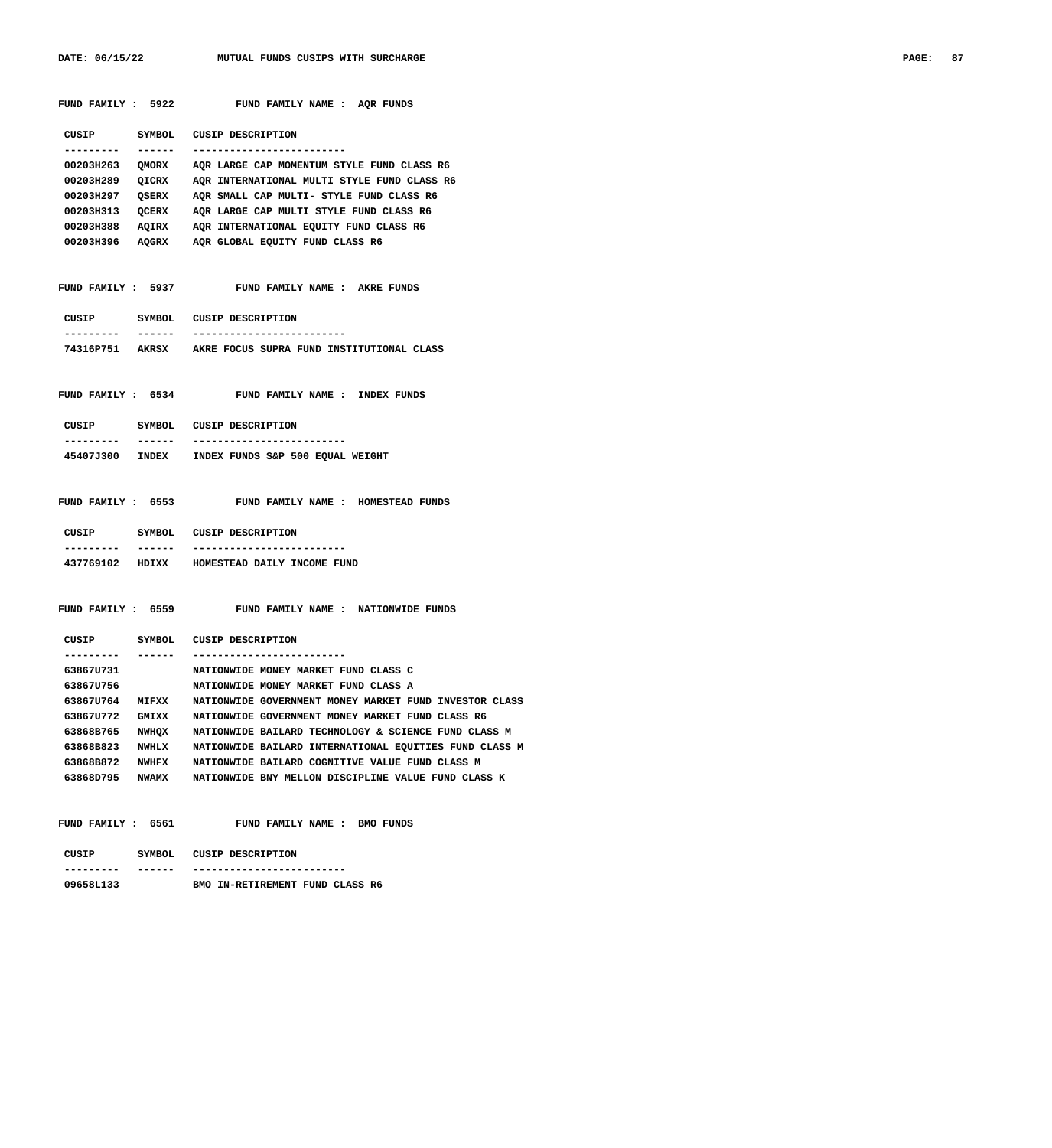DATE: 06/15/22 MUTUAL FUNDS CUSIPS WITH SURCHARGE **PAGE: 87** 

|                        |          | FUND FAMILY : 5922 FUND FAMILY NAME : AQR FUNDS                                        |
|------------------------|----------|----------------------------------------------------------------------------------------|
|                        |          | CUSIP SYMBOL CUSIP DESCRIPTION                                                         |
| ----------             |          | -------------------------                                                              |
|                        |          | 00203H263 QMORX AQR LARGE CAP MOMENTUM STYLE FUND CLASS R6                             |
|                        |          | 00203H289 QICRX AQR INTERNATIONAL MULTI STYLE FUND CLASS R6                            |
|                        |          | 00203H297 QSERX AQR SMALL CAP MULTI- STYLE FUND CLASS R6                               |
|                        |          | 00203H313 QCERX AQR LARGE CAP MULTI STYLE FUND CLASS R6                                |
|                        |          | 00203H388 AQIRX AQR INTERNATIONAL EQUITY FUND CLASS R6                                 |
|                        |          | 00203H396 AQGRX AQR GLOBAL EQUITY FUND CLASS R6                                        |
|                        |          | FUND FAMILY : 5937 FUND FAMILY NAME : AKRE FUNDS                                       |
|                        |          | CUSIP SYMBOL CUSIP DESCRIPTION                                                         |
|                        | _______  | -------------------------<br>74316P751 AKRSX AKRE FOCUS SUPRA FUND INSTITUTIONAL CLASS |
|                        |          | FUND FAMILY : 6534 FUND FAMILY NAME : INDEX FUNDS                                      |
| ----------             | _______  | CUSIP SYMBOL CUSIP DESCRIPTION                                                         |
|                        |          | ---------------------<br>45407J300 INDEX INDEX FUNDS S&P 500 EQUAL WEIGHT              |
|                        |          | FUND FAMILY : 6553 FUND FAMILY NAME : HOMESTEAD FUNDS                                  |
|                        |          | CUSIP SYMBOL CUSIP DESCRIPTION                                                         |
| ----------             | -------- | ---------------------                                                                  |
|                        |          | 437769102 HDIXX HOMESTEAD DAILY INCOME FUND                                            |
|                        |          | FUND FAMILY : 6559 FUND FAMILY NAME : NATIONWIDE FUNDS                                 |
| ---------              | -------  | CUSIP SYMBOL CUSIP DESCRIPTION                                                         |
|                        |          | ---------------------------                                                            |
| 638670731<br>638670756 |          | NATIONWIDE MONEY MARKET FUND CLASS C<br>NATIONWIDE MONEY MARKET FUND CLASS A           |
|                        |          | 63867U764 MIFXX NATIONWIDE GOVERNMENT MONEY MARKET FUND INVESTOR CLASS                 |
|                        |          | 63867U772 GMIXX NATIONWIDE GOVERNMENT MONEY MARKET FUND CLASS R6                       |
|                        |          | 63868B765 NWHOX NATIONWIDE BAILARD TECHNOLOGY & SCIENCE FUND CLASS M                   |
| 63868B823              |          | NWHLX MATIONWIDE BAILARD INTERNATIONAL EQUITIES FUND CLASS M                           |
|                        |          | 63868B872 NWHFX NATIONWIDE BAILARD COGNITIVE VALUE FUND CLASS M                        |
|                        |          | 63868D795 NWAMX NATIONWIDE BNY MELLON DISCIPLINE VALUE FUND CLASS K                    |
|                        |          | FUND FAMILY : 6561 FUND FAMILY NAME : BMO FUNDS                                        |
|                        |          | CUSIP SYMBOL CUSIP DESCRIPTION                                                         |
| . <u>.</u>             | -------  | -----------------------                                                                |
| 09658L133              |          | BMO IN-RETIREMENT FUND CLASS R6                                                        |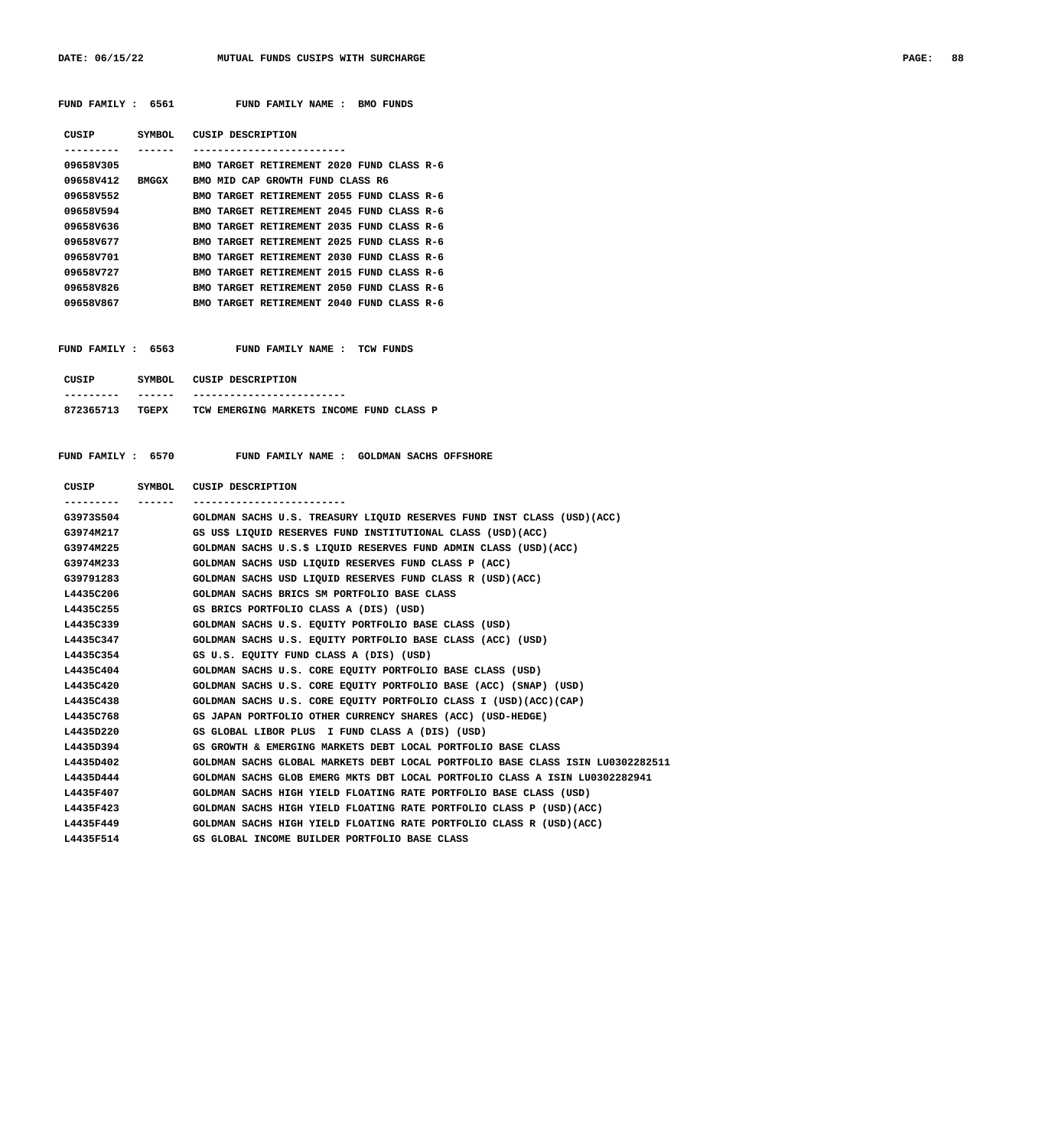DATE: 06/15/22 MUTUAL FUNDS CUSIPS WITH SURCHARGE **PAGE: 88** 

| CUSTP        | SYMBOL.      | CUSTP DESCRIPTION                                   |
|--------------|--------------|-----------------------------------------------------|
|              |              |                                                     |
| 09658V305    |              | BMO TARGET RETTREMENT 2020 FUND CLASS R-6           |
| 096587412    | <b>BMGGX</b> | BMO MID CAP GROWTH FUND CLASS R6                    |
| 096587552    |              | TARGET RETIREMENT 2055 FUND CLASS R-6<br><b>BMO</b> |
| 096587594    |              | TARGET RETIREMENT 2045 FUND CLASS R-6<br><b>BMO</b> |
| 096587636    |              | TARGET RETIREMENT 2035 FUND CLASS R-6<br><b>BMO</b> |
| 096587677    |              | BMO TARGET RETIREMENT 2025 FUND CLASS R-6           |
| 096587701    |              | TARGET RETIREMENT 2030 FUND CLASS R-6<br><b>BMO</b> |
| 09658V727    |              | TARGET RETIREMENT 2015 FUND CLASS R-6<br><b>BMO</b> |
| 09658V826    |              | TARGET RETIREMENT 2050 FUND CLASS R-6<br><b>BMO</b> |
| 09658V867    |              | TARGET RETIREMENT 2040 FUND CLASS R-6<br><b>BMO</b> |
|              |              |                                                     |
|              |              |                                                     |
| FIND FAMILY: | 6563         | TCW FUNDS<br>FUND FAMILY NAME :                     |

 **FUND FAMILY : 6561 FUND FAMILY NAME : BMO FUNDS**

| CUSIP     | SYMBOL. | CUSIP DESCRIPTION                        |
|-----------|---------|------------------------------------------|
|           |         | -----------------------                  |
| 872365713 | TGEPX   | TCW EMERGING MARKETS INCOME FUND CLASS P |

| CUSIP SYMBOL | CUSIP DESCRIPTION                                                              |
|--------------|--------------------------------------------------------------------------------|
|              | ------------------------                                                       |
| G3973S504    | GOLDMAN SACHS U.S. TREASURY LIQUID RESERVES FUND INST CLASS (USD)(ACC)         |
| G3974M217    | GS US\$ LIQUID RESERVES FUND INSTITUTIONAL CLASS (USD)(ACC)                    |
| G3974M225    | GOLDMAN SACHS U.S.S LIQUID RESERVES FUND ADMIN CLASS (USD)(ACC)                |
| G3974M233    | GOLDMAN SACHS USD LIQUID RESERVES FUND CLASS P (ACC)                           |
| G39791283    | GOLDMAN SACHS USD LIQUID RESERVES FUND CLASS R (USD) (ACC)                     |
| L4435C206    | GOLDMAN SACHS BRICS SM PORTFOLIO BASE CLASS                                    |
| L4435C255    | GS BRICS PORTFOLIO CLASS A (DIS) (USD)                                         |
| L4435C339    | GOLDMAN SACHS U.S. EOUITY PORTFOLIO BASE CLASS (USD)                           |
| L4435C347    | GOLDMAN SACHS U.S. EQUITY PORTFOLIO BASE CLASS (ACC) (USD)                     |
| L4435C354    | GS U.S. EOUITY FUND CLASS A (DIS) (USD)                                        |
| L4435C404    | GOLDMAN SACHS U.S. CORE EQUITY PORTFOLIO BASE CLASS (USD)                      |
| L4435C420    | GOLDMAN SACHS U.S. CORE EOUITY PORTFOLIO BASE (ACC) (SNAP) (USD)               |
| L4435C438    | GOLDMAN SACHS U.S. CORE EQUITY PORTFOLIO CLASS I (USD) (ACC) (CAP)             |
| L4435C768    | GS JAPAN PORTFOLIO OTHER CURRENCY SHARES (ACC) (USD-HEDGE)                     |
| L4435D220    | GS GLOBAL LIBOR PLUS I FUND CLASS A (DIS) (USD)                                |
| L4435D394    | GS GROWTH & EMERGING MARKETS DEBT LOCAL PORTFOLIO BASE CLASS                   |
| L4435D402    | GOLDMAN SACHS GLOBAL MARKETS DEBT LOCAL PORTFOLIO BASE CLASS ISIN LU0302282511 |
| L4435D444    | GOLDMAN SACHS GLOB EMERG MKTS DBT LOCAL PORTFOLIO CLASS A ISIN LU0302282941    |
| L4435F407    | GOLDMAN SACHS HIGH YIELD FLOATING RATE PORTFOLIO BASE CLASS (USD)              |
| L4435F423    | GOLDMAN SACHS HIGH YIELD FLOATING RATE PORTFOLIO CLASS P (USD) (ACC)           |
| L4435F449    | GOLDMAN SACHS HIGH YIELD FLOATING RATE PORTFOLIO CLASS R (USD) (ACC)           |
| L4435F514    | GS GLOBAL INCOME BUILDER PORTFOLIO BASE CLASS                                  |
|              |                                                                                |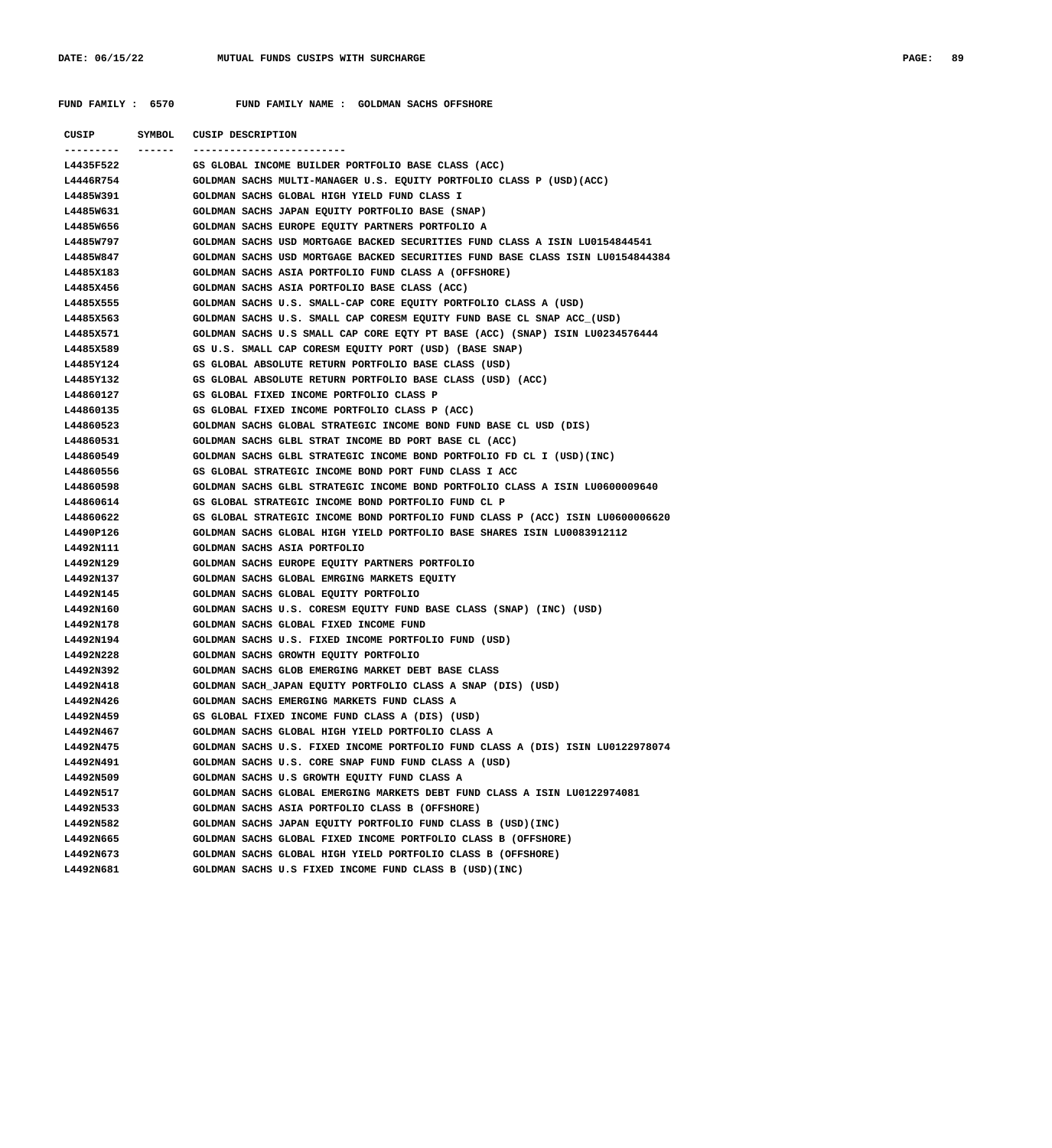|           | CUSIP SYMBOL CUSIP DESCRIPTION                                                 |
|-----------|--------------------------------------------------------------------------------|
|           | -------------------------                                                      |
| L4435F522 | GS GLOBAL INCOME BUILDER PORTFOLIO BASE CLASS (ACC)                            |
| L4446R754 | GOLDMAN SACHS MULTI-MANAGER U.S. EQUITY PORTFOLIO CLASS P (USD) (ACC)          |
| L4485W391 | GOLDMAN SACHS GLOBAL HIGH YIELD FUND CLASS I                                   |
| L4485W631 | GOLDMAN SACHS JAPAN EQUITY PORTFOLIO BASE (SNAP)                               |
| L4485W656 | GOLDMAN SACHS EUROPE EQUITY PARTNERS PORTFOLIO A                               |
| L4485W797 | GOLDMAN SACHS USD MORTGAGE BACKED SECURITIES FUND CLASS A ISIN LU0154844541    |
| L4485W847 | GOLDMAN SACHS USD MORTGAGE BACKED SECURITIES FUND BASE CLASS ISIN LU0154844384 |
| L4485X183 | GOLDMAN SACHS ASIA PORTFOLIO FUND CLASS A (OFFSHORE)                           |
| L4485X456 | GOLDMAN SACHS ASIA PORTFOLIO BASE CLASS (ACC)                                  |
| L4485X555 | GOLDMAN SACHS U.S. SMALL-CAP CORE EQUITY PORTFOLIO CLASS A (USD)               |
| L4485X563 | GOLDMAN SACHS U.S. SMALL CAP CORESM EQUITY FUND BASE CL SNAP ACC (USD)         |
| L4485X571 | GOLDMAN SACHS U.S SMALL CAP CORE EQTY PT BASE (ACC) (SNAP) ISIN LU0234576444   |
| L4485X589 | GS U.S. SMALL CAP CORESM EQUITY PORT (USD) (BASE SNAP)                         |
| L4485Y124 | GS GLOBAL ABSOLUTE RETURN PORTFOLIO BASE CLASS (USD)                           |
| L4485Y132 | GS GLOBAL ABSOLUTE RETURN PORTFOLIO BASE CLASS (USD) (ACC)                     |
| L44860127 | GS GLOBAL FIXED INCOME PORTFOLIO CLASS P                                       |
| L44860135 | GS GLOBAL FIXED INCOME PORTFOLIO CLASS P (ACC)                                 |
| L44860523 | GOLDMAN SACHS GLOBAL STRATEGIC INCOME BOND FUND BASE CL USD (DIS)              |
| L44860531 | GOLDMAN SACHS GLBL STRAT INCOME BD PORT BASE CL (ACC)                          |
| L44860549 | GOLDMAN SACHS GLBL STRATEGIC INCOME BOND PORTFOLIO FD CL I (USD) (INC)         |
| L44860556 | GS GLOBAL STRATEGIC INCOME BOND PORT FUND CLASS I ACC                          |
| L44860598 | GOLDMAN SACHS GLBL STRATEGIC INCOME BOND PORTFOLIO CLASS A ISIN LU0600009640   |
| L44860614 | GS GLOBAL STRATEGIC INCOME BOND PORTFOLIO FUND CL P                            |
| L44860622 | GS GLOBAL STRATEGIC INCOME BOND PORTFOLIO FUND CLASS P (ACC) ISIN LU0600006620 |
| L4490P126 | GOLDMAN SACHS GLOBAL HIGH YIELD PORTFOLIO BASE SHARES ISIN LU0083912112        |
| L4492N111 | GOLDMAN SACHS ASIA PORTFOLIO                                                   |
| L4492N129 | GOLDMAN SACHS EUROPE EQUITY PARTNERS PORTFOLIO                                 |
| L4492N137 | GOLDMAN SACHS GLOBAL EMRGING MARKETS EQUITY                                    |
| L4492N145 | GOLDMAN SACHS GLOBAL EQUITY PORTFOLIO                                          |
| L4492N160 | GOLDMAN SACHS U.S. CORESM EQUITY FUND BASE CLASS (SNAP) (INC) (USD)            |
| L4492N178 | GOLDMAN SACHS GLOBAL FIXED INCOME FUND                                         |
| L4492N194 | GOLDMAN SACHS U.S. FIXED INCOME PORTFOLIO FUND (USD)                           |
| L4492N228 | GOLDMAN SACHS GROWTH EQUITY PORTFOLIO                                          |
| L4492N392 | GOLDMAN SACHS GLOB EMERGING MARKET DEBT BASE CLASS                             |
| L4492N418 | GOLDMAN SACH JAPAN EQUITY PORTFOLIO CLASS A SNAP (DIS) (USD)                   |
| L4492N426 | GOLDMAN SACHS EMERGING MARKETS FUND CLASS A                                    |
| L4492N459 | GS GLOBAL FIXED INCOME FUND CLASS A (DIS) (USD)                                |
| L4492N467 | GOLDMAN SACHS GLOBAL HIGH YIELD PORTFOLIO CLASS A                              |
| L4492N475 | GOLDMAN SACHS U.S. FIXED INCOME PORTFOLIO FUND CLASS A (DIS) ISIN LU0122978074 |
| L4492N491 | GOLDMAN SACHS U.S. CORE SNAP FUND FUND CLASS A (USD)                           |
| L4492N509 | GOLDMAN SACHS U.S GROWTH EQUITY FUND CLASS A                                   |
| L4492N517 | GOLDMAN SACHS GLOBAL EMERGING MARKETS DEBT FUND CLASS A ISIN LU0122974081      |
| L4492N533 | GOLDMAN SACHS ASIA PORTFOLIO CLASS B (OFFSHORE)                                |
| L4492N582 | GOLDMAN SACHS JAPAN EQUITY PORTFOLIO FUND CLASS B (USD)(INC)                   |
| L4492N665 | GOLDMAN SACHS GLOBAL FIXED INCOME PORTFOLIO CLASS B (OFFSHORE)                 |
| L4492N673 | GOLDMAN SACHS GLOBAL HIGH YIELD PORTFOLIO CLASS B (OFFSHORE)                   |
| L4492N681 | GOLDMAN SACHS U.S FIXED INCOME FUND CLASS B (USD)(INC)                         |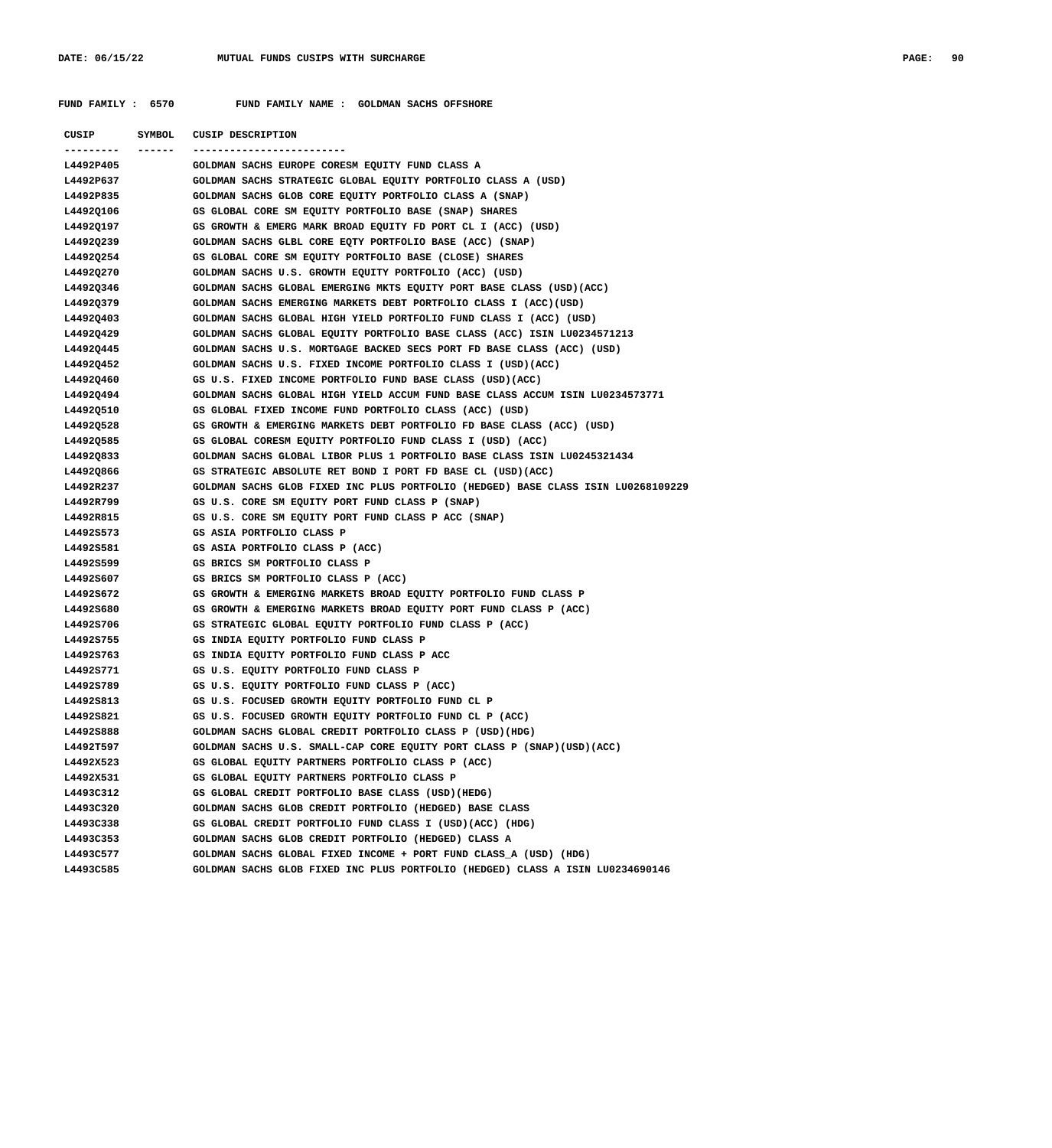| CUSIP                  | SYMBOL | CUSIP DESCRIPTION                                                                                                                   |
|------------------------|--------|-------------------------------------------------------------------------------------------------------------------------------------|
| ---------- ------      |        |                                                                                                                                     |
| L4492P405              |        | GOLDMAN SACHS EUROPE CORESM EQUITY FUND CLASS A                                                                                     |
| L4492P637              |        | GOLDMAN SACHS STRATEGIC GLOBAL EQUITY PORTFOLIO CLASS A (USD)                                                                       |
| L4492P835              |        | GOLDMAN SACHS GLOB CORE EQUITY PORTFOLIO CLASS A (SNAP)                                                                             |
| L4492Q106              |        | GS GLOBAL CORE SM EQUITY PORTFOLIO BASE (SNAP) SHARES                                                                               |
| L4492Q197              |        | GS GROWTH & EMERG MARK BROAD EQUITY FD PORT CL I (ACC) (USD)                                                                        |
| L4492Q239              |        | GOLDMAN SACHS GLBL CORE EQTY PORTFOLIO BASE (ACC) (SNAP)                                                                            |
| L4492Q254              |        | GS GLOBAL CORE SM EQUITY PORTFOLIO BASE (CLOSE) SHARES                                                                              |
| L4492Q270              |        | GOLDMAN SACHS U.S. GROWTH EQUITY PORTFOLIO (ACC) (USD)                                                                              |
| L4492Q346              |        | GOLDMAN SACHS GLOBAL EMERGING MKTS EQUITY PORT BASE CLASS (USD) (ACC)                                                               |
| L4492Q379              |        | GOLDMAN SACHS EMERGING MARKETS DEBT PORTFOLIO CLASS I (ACC) (USD)                                                                   |
| L4492Q403              |        | GOLDMAN SACHS GLOBAL HIGH YIELD PORTFOLIO FUND CLASS I (ACC) (USD)                                                                  |
| L4492Q429              |        | GOLDMAN SACHS GLOBAL EQUITY PORTFOLIO BASE CLASS (ACC) ISIN LU0234571213                                                            |
| L4492Q445              |        | GOLDMAN SACHS U.S. MORTGAGE BACKED SECS PORT FD BASE CLASS (ACC) (USD)                                                              |
| L4492Q452              |        | GOLDMAN SACHS U.S. FIXED INCOME PORTFOLIO CLASS I (USD)(ACC)                                                                        |
| L4492Q460              |        | GS U.S. FIXED INCOME PORTFOLIO FUND BASE CLASS (USD)(ACC)                                                                           |
| L4492Q494              |        | GOLDMAN SACHS GLOBAL HIGH YIELD ACCUM FUND BASE CLASS ACCUM ISIN LU0234573771                                                       |
| L4492Q510              |        | GS GLOBAL FIXED INCOME FUND PORTFOLIO CLASS (ACC) (USD)                                                                             |
| L4492Q528              |        | GS GROWTH & EMERGING MARKETS DEBT PORTFOLIO FD BASE CLASS (ACC) (USD)                                                               |
| L44920585              |        | GS GLOBAL CORESM EQUITY PORTFOLIO FUND CLASS I (USD) (ACC)                                                                          |
| L4492Q833              |        | GOLDMAN SACHS GLOBAL LIBOR PLUS 1 PORTFOLIO BASE CLASS ISIN LU0245321434                                                            |
| L44920866              |        | GS STRATEGIC ABSOLUTE RET BOND I PORT FD BASE CL (USD) (ACC)                                                                        |
| L4492R237              |        | GOLDMAN SACHS GLOB FIXED INC PLUS PORTFOLIO (HEDGED) BASE CLASS ISIN LU0268109229                                                   |
| L4492R799              |        | GS U.S. CORE SM EQUITY PORT FUND CLASS P (SNAP)                                                                                     |
| L4492R815              |        | GS U.S. CORE SM EQUITY PORT FUND CLASS P ACC (SNAP)                                                                                 |
| L4492S573              |        | GS ASIA PORTFOLIO CLASS P                                                                                                           |
| L4492S581              |        | GS ASIA PORTFOLIO CLASS P (ACC)                                                                                                     |
| L4492S599              |        | GS BRICS SM PORTFOLIO CLASS P                                                                                                       |
| L4492S607              |        | GS BRICS SM PORTFOLIO CLASS P (ACC)                                                                                                 |
| L4492S672              |        | GS GROWTH & EMERGING MARKETS BROAD EQUITY PORTFOLIO FUND CLASS P                                                                    |
| L4492S680              |        | GS GROWTH & EMERGING MARKETS BROAD EQUITY PORT FUND CLASS P (ACC)                                                                   |
| L4492S706              |        | GS STRATEGIC GLOBAL EQUITY PORTFOLIO FUND CLASS P (ACC)                                                                             |
| L4492S755              |        | GS INDIA EQUITY PORTFOLIO FUND CLASS P                                                                                              |
| L4492S763              |        | GS INDIA EQUITY PORTFOLIO FUND CLASS P ACC                                                                                          |
| L4492S771<br>L4492S789 |        | GS U.S. EQUITY PORTFOLIO FUND CLASS P                                                                                               |
|                        |        | GS U.S. EQUITY PORTFOLIO FUND CLASS P (ACC)                                                                                         |
| L4492S813              |        | GS U.S. FOCUSED GROWTH EQUITY PORTFOLIO FUND CL P<br>GS U.S. FOCUSED GROWTH EQUITY PORTFOLIO FUND CL P (ACC)                        |
| L4492S821<br>L4492S888 |        |                                                                                                                                     |
| L4492T597              |        | GOLDMAN SACHS GLOBAL CREDIT PORTFOLIO CLASS P (USD) (HDG)<br>GOLDMAN SACHS U.S. SMALL-CAP CORE EQUITY PORT CLASS P (SNAP)(USD)(ACC) |
| L4492X523              |        | GS GLOBAL EQUITY PARTNERS PORTFOLIO CLASS P (ACC)                                                                                   |
| L4492X531              |        | GS GLOBAL EQUITY PARTNERS PORTFOLIO CLASS P                                                                                         |
| L4493C312              |        | GS GLOBAL CREDIT PORTFOLIO BASE CLASS (USD)(HEDG)                                                                                   |
| L4493C320              |        | GOLDMAN SACHS GLOB CREDIT PORTFOLIO (HEDGED) BASE CLASS                                                                             |
| L4493C338              |        | GS GLOBAL CREDIT PORTFOLIO FUND CLASS I (USD)(ACC) (HDG)                                                                            |
| L4493C353              |        | GOLDMAN SACHS GLOB CREDIT PORTFOLIO (HEDGED) CLASS A                                                                                |
| L4493C577              |        | GOLDMAN SACHS GLOBAL FIXED INCOME + PORT FUND CLASS A (USD) (HDG)                                                                   |
| L4493C585              |        | GOLDMAN SACHS GLOB FIXED INC PLUS PORTFOLIO (HEDGED) CLASS A ISIN LU0234690146                                                      |
|                        |        |                                                                                                                                     |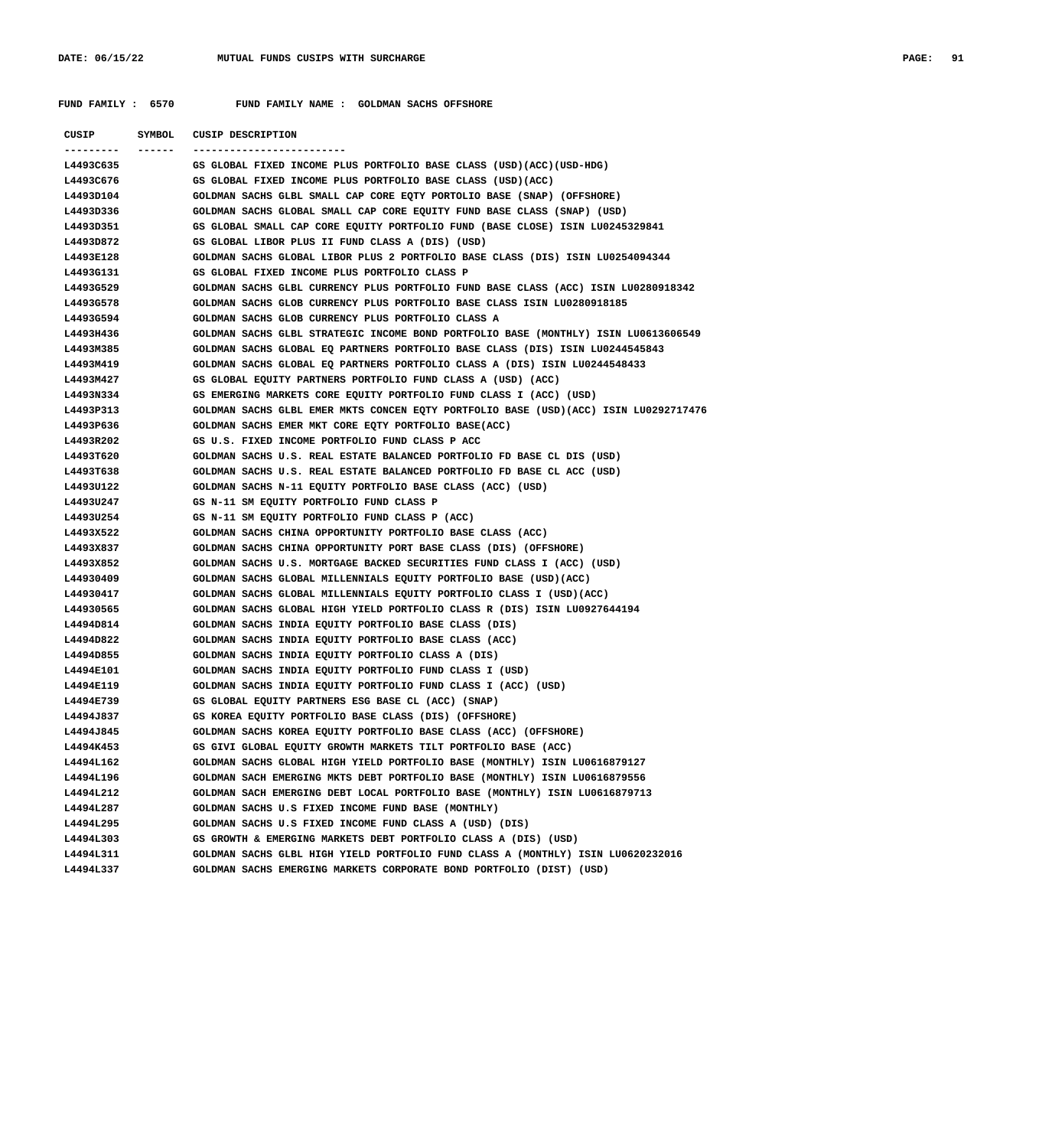| CUSIP<br><b>SYMBOL</b> | CUSIP DESCRIPTION                                                                                 |
|------------------------|---------------------------------------------------------------------------------------------------|
| ---------<br>L4493C635 | -------------------------<br>GS GLOBAL FIXED INCOME PLUS PORTFOLIO BASE CLASS (USD)(ACC)(USD-HDG) |
| L4493C676              | GS GLOBAL FIXED INCOME PLUS PORTFOLIO BASE CLASS (USD)(ACC)                                       |
| L4493D104              | GOLDMAN SACHS GLBL SMALL CAP CORE EQTY PORTOLIO BASE (SNAP) (OFFSHORE)                            |
| L4493D336              | GOLDMAN SACHS GLOBAL SMALL CAP CORE EQUITY FUND BASE CLASS (SNAP) (USD)                           |
| L4493D351              | GS GLOBAL SMALL CAP CORE EQUITY PORTFOLIO FUND (BASE CLOSE) ISIN LU0245329841                     |
| L4493D872              | GS GLOBAL LIBOR PLUS II FUND CLASS A (DIS) (USD)                                                  |
| L4493E128              | GOLDMAN SACHS GLOBAL LIBOR PLUS 2 PORTFOLIO BASE CLASS (DIS) ISIN LU0254094344                    |
| L4493G131              | GS GLOBAL FIXED INCOME PLUS PORTFOLIO CLASS P                                                     |
| L4493G529              | GOLDMAN SACHS GLBL CURRENCY PLUS PORTFOLIO FUND BASE CLASS (ACC) ISIN LU0280918342                |
| L4493G578              | GOLDMAN SACHS GLOB CURRENCY PLUS PORTFOLIO BASE CLASS ISIN LU0280918185                           |
| L4493G594              | GOLDMAN SACHS GLOB CURRENCY PLUS PORTFOLIO CLASS A                                                |
| L4493H436              | GOLDMAN SACHS GLBL STRATEGIC INCOME BOND PORTFOLIO BASE (MONTHLY) ISIN LU0613606549               |
| L4493M385              | GOLDMAN SACHS GLOBAL EQ PARTNERS PORTFOLIO BASE CLASS (DIS) ISIN LU0244545843                     |
| L4493M419              | GOLDMAN SACHS GLOBAL EQ PARTNERS PORTFOLIO CLASS A (DIS) ISIN LU0244548433                        |
| L4493M427              | GS GLOBAL EQUITY PARTNERS PORTFOLIO FUND CLASS A (USD) (ACC)                                      |
| L4493N334              | GS EMERGING MARKETS CORE EQUITY PORTFOLIO FUND CLASS I (ACC) (USD)                                |
| L4493P313              | GOLDMAN SACHS GLBL EMER MKTS CONCEN EQTY PORTFOLIO BASE (USD) (ACC) ISIN LU0292717476             |
| L4493P636              | GOLDMAN SACHS EMER MKT CORE EQTY PORTFOLIO BASE(ACC)                                              |
| L4493R202              | GS U.S. FIXED INCOME PORTFOLIO FUND CLASS P ACC                                                   |
| L4493T620              | GOLDMAN SACHS U.S. REAL ESTATE BALANCED PORTFOLIO FD BASE CL DIS (USD)                            |
| L4493T638              | GOLDMAN SACHS U.S. REAL ESTATE BALANCED PORTFOLIO FD BASE CL ACC (USD)                            |
| L4493U122              | GOLDMAN SACHS N-11 EQUITY PORTFOLIO BASE CLASS (ACC) (USD)                                        |
| L4493U247              | GS N-11 SM EQUITY PORTFOLIO FUND CLASS P                                                          |
| L4493U254              | GS N-11 SM EQUITY PORTFOLIO FUND CLASS P (ACC)                                                    |
| L4493X522              | GOLDMAN SACHS CHINA OPPORTUNITY PORTFOLIO BASE CLASS (ACC)                                        |
| L4493X837              | GOLDMAN SACHS CHINA OPPORTUNITY PORT BASE CLASS (DIS) (OFFSHORE)                                  |
| L4493X852              | GOLDMAN SACHS U.S. MORTGAGE BACKED SECURITIES FUND CLASS I (ACC) (USD)                            |
| L44930409              | GOLDMAN SACHS GLOBAL MILLENNIALS EQUITY PORTFOLIO BASE (USD) (ACC)                                |
| L44930417              | GOLDMAN SACHS GLOBAL MILLENNIALS EQUITY PORTFOLIO CLASS I (USD) (ACC)                             |
| L44930565              | GOLDMAN SACHS GLOBAL HIGH YIELD PORTFOLIO CLASS R (DIS) ISIN LU0927644194                         |
| L4494D814              | GOLDMAN SACHS INDIA EQUITY PORTFOLIO BASE CLASS (DIS)                                             |
| L4494D822              | GOLDMAN SACHS INDIA EQUITY PORTFOLIO BASE CLASS (ACC)                                             |
| L4494D855              | GOLDMAN SACHS INDIA EQUITY PORTFOLIO CLASS A (DIS)                                                |
| L4494E101              | GOLDMAN SACHS INDIA EQUITY PORTFOLIO FUND CLASS I (USD)                                           |
| L4494E119              | GOLDMAN SACHS INDIA EQUITY PORTFOLIO FUND CLASS I (ACC) (USD)                                     |
| L4494E739              | GS GLOBAL EQUITY PARTNERS ESG BASE CL (ACC) (SNAP)                                                |
| L4494J837              | GS KOREA EQUITY PORTFOLIO BASE CLASS (DIS) (OFFSHORE)                                             |
| L4494J845              | GOLDMAN SACHS KOREA EQUITY PORTFOLIO BASE CLASS (ACC) (OFFSHORE)                                  |
| L4494K453              | GS GIVI GLOBAL EQUITY GROWTH MARKETS TILT PORTFOLIO BASE (ACC)                                    |
| L4494L162              | GOLDMAN SACHS GLOBAL HIGH YIELD PORTFOLIO BASE (MONTHLY) ISIN LU0616879127                        |
| L4494L196              | GOLDMAN SACH EMERGING MKTS DEBT PORTFOLIO BASE (MONTHLY) ISIN LU0616879556                        |
| L4494L212              | GOLDMAN SACH EMERGING DEBT LOCAL PORTFOLIO BASE (MONTHLY) ISIN LU0616879713                       |
| L4494L287              | GOLDMAN SACHS U.S FIXED INCOME FUND BASE (MONTHLY)                                                |
| L4494L295              | GOLDMAN SACHS U.S FIXED INCOME FUND CLASS A (USD) (DIS)                                           |
| L4494L303              | GS GROWTH & EMERGING MARKETS DEBT PORTFOLIO CLASS A (DIS) (USD)                                   |
| L4494L311              | GOLDMAN SACHS GLBL HIGH YIELD PORTFOLIO FUND CLASS A (MONTHLY) ISIN LU0620232016                  |
| L4494L337              | GOLDMAN SACHS EMERGING MARKETS CORPORATE BOND PORTFOLIO (DIST) (USD)                              |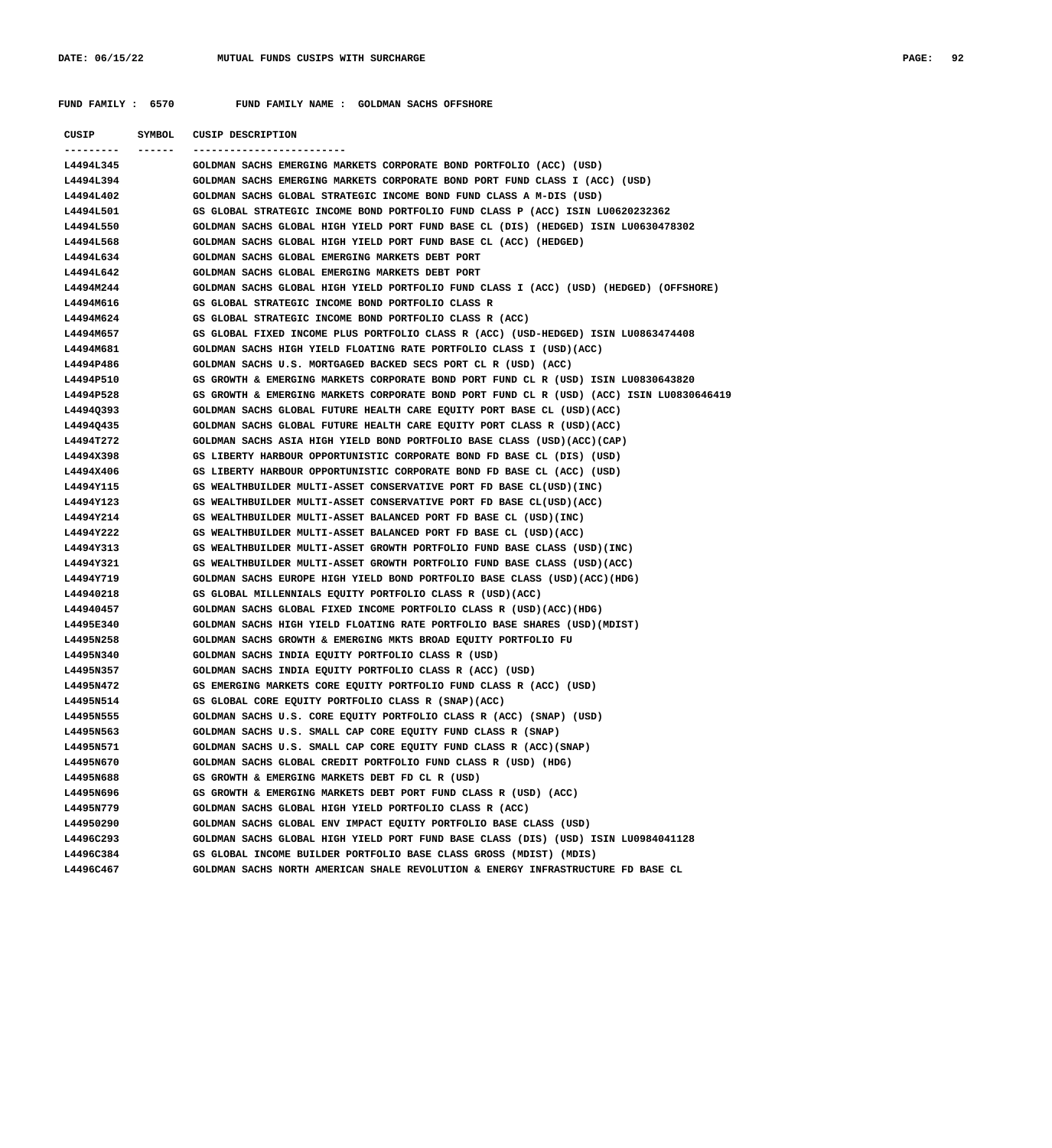| CUSIP     | SYMBOL | CUSIP DESCRIPTION                                                                        |
|-----------|--------|------------------------------------------------------------------------------------------|
|           |        |                                                                                          |
| L4494L345 |        | GOLDMAN SACHS EMERGING MARKETS CORPORATE BOND PORTFOLIO (ACC) (USD)                      |
| L4494L394 |        | GOLDMAN SACHS EMERGING MARKETS CORPORATE BOND PORT FUND CLASS I (ACC) (USD)              |
| L4494L402 |        | GOLDMAN SACHS GLOBAL STRATEGIC INCOME BOND FUND CLASS A M-DIS (USD)                      |
| L4494L501 |        | GS GLOBAL STRATEGIC INCOME BOND PORTFOLIO FUND CLASS P (ACC) ISIN LU0620232362           |
| L4494L550 |        | GOLDMAN SACHS GLOBAL HIGH YIELD PORT FUND BASE CL (DIS) (HEDGED) ISIN LU0630478302       |
| L4494L568 |        | GOLDMAN SACHS GLOBAL HIGH YIELD PORT FUND BASE CL (ACC) (HEDGED)                         |
| L4494L634 |        | GOLDMAN SACHS GLOBAL EMERGING MARKETS DEBT PORT                                          |
| L4494L642 |        | GOLDMAN SACHS GLOBAL EMERGING MARKETS DEBT PORT                                          |
| L4494M244 |        | GOLDMAN SACHS GLOBAL HIGH YIELD PORTFOLIO FUND CLASS I (ACC) (USD) (HEDGED) (OFFSHORE)   |
| L4494M616 |        | GS GLOBAL STRATEGIC INCOME BOND PORTFOLIO CLASS R                                        |
| L4494M624 |        | GS GLOBAL STRATEGIC INCOME BOND PORTFOLIO CLASS R (ACC)                                  |
| L4494M657 |        | GS GLOBAL FIXED INCOME PLUS PORTFOLIO CLASS R (ACC) (USD-HEDGED) ISIN LU0863474408       |
| L4494M681 |        | GOLDMAN SACHS HIGH YIELD FLOATING RATE PORTFOLIO CLASS I (USD) (ACC)                     |
| L4494P486 |        | GOLDMAN SACHS U.S. MORTGAGED BACKED SECS PORT CL R (USD) (ACC)                           |
| L4494P510 |        | GS GROWTH & EMERGING MARKETS CORPORATE BOND PORT FUND CL R (USD) ISIN LU0830643820       |
| L4494P528 |        | GS GROWTH & EMERGING MARKETS CORPORATE BOND PORT FUND CL R (USD) (ACC) ISIN LU0830646419 |
| L4494Q393 |        | GOLDMAN SACHS GLOBAL FUTURE HEALTH CARE EQUITY PORT BASE CL (USD)(ACC)                   |
| L4494Q435 |        | GOLDMAN SACHS GLOBAL FUTURE HEALTH CARE EQUITY PORT CLASS R (USD)(ACC)                   |
| L4494T272 |        | GOLDMAN SACHS ASIA HIGH YIELD BOND PORTFOLIO BASE CLASS (USD)(ACC)(CAP)                  |
| L4494X398 |        | GS LIBERTY HARBOUR OPPORTUNISTIC CORPORATE BOND FD BASE CL (DIS) (USD)                   |
| L4494X406 |        | GS LIBERTY HARBOUR OPPORTUNISTIC CORPORATE BOND FD BASE CL (ACC) (USD)                   |
| L4494Y115 |        | GS WEALTHBUILDER MULTI-ASSET CONSERVATIVE PORT FD BASE CL(USD) (INC)                     |
| L4494Y123 |        | GS WEALTHBUILDER MULTI-ASSET CONSERVATIVE PORT FD BASE CL(USD) (ACC)                     |
| L4494Y214 |        | GS WEALTHBUILDER MULTI-ASSET BALANCED PORT FD BASE CL (USD) (INC)                        |
| L4494Y222 |        | GS WEALTHBUILDER MULTI-ASSET BALANCED PORT FD BASE CL (USD) (ACC)                        |
| L4494Y313 |        | GS WEALTHBUILDER MULTI-ASSET GROWTH PORTFOLIO FUND BASE CLASS (USD)(INC)                 |
| L4494Y321 |        | GS WEALTHBUILDER MULTI-ASSET GROWTH PORTFOLIO FUND BASE CLASS (USD)(ACC)                 |
| L4494Y719 |        | GOLDMAN SACHS EUROPE HIGH YIELD BOND PORTFOLIO BASE CLASS (USD)(ACC)(HDG)                |
| L44940218 |        | GS GLOBAL MILLENNIALS EQUITY PORTFOLIO CLASS R (USD)(ACC)                                |
| L44940457 |        | GOLDMAN SACHS GLOBAL FIXED INCOME PORTFOLIO CLASS R (USD)(ACC)(HDG)                      |
| L4495E340 |        | GOLDMAN SACHS HIGH YIELD FLOATING RATE PORTFOLIO BASE SHARES (USD)(MDIST)                |
| L4495N258 |        | GOLDMAN SACHS GROWTH & EMERGING MKTS BROAD EQUITY PORTFOLIO FU                           |
| L4495N340 |        | GOLDMAN SACHS INDIA EQUITY PORTFOLIO CLASS R (USD)                                       |
| L4495N357 |        | GOLDMAN SACHS INDIA EQUITY PORTFOLIO CLASS R (ACC) (USD)                                 |
| L4495N472 |        | GS EMERGING MARKETS CORE EQUITY PORTFOLIO FUND CLASS R (ACC) (USD)                       |
| L4495N514 |        | GS GLOBAL CORE EQUITY PORTFOLIO CLASS R (SNAP) (ACC)                                     |
| L4495N555 |        | GOLDMAN SACHS U.S. CORE EQUITY PORTFOLIO CLASS R (ACC) (SNAP) (USD)                      |
| L4495N563 |        | GOLDMAN SACHS U.S. SMALL CAP CORE EQUITY FUND CLASS R (SNAP)                             |
| L4495N571 |        | GOLDMAN SACHS U.S. SMALL CAP CORE EQUITY FUND CLASS R (ACC) (SNAP)                       |
| L4495N670 |        | GOLDMAN SACHS GLOBAL CREDIT PORTFOLIO FUND CLASS R (USD) (HDG)                           |
| L4495N688 |        | GS GROWTH & EMERGING MARKETS DEBT FD CL R (USD)                                          |
| L4495N696 |        | GS GROWTH & EMERGING MARKETS DEBT PORT FUND CLASS R (USD) (ACC)                          |
| L4495N779 |        | GOLDMAN SACHS GLOBAL HIGH YIELD PORTFOLIO CLASS R (ACC)                                  |
| L44950290 |        | GOLDMAN SACHS GLOBAL ENV IMPACT EQUITY PORTFOLIO BASE CLASS (USD)                        |
| L4496C293 |        | GOLDMAN SACHS GLOBAL HIGH YIELD PORT FUND BASE CLASS (DIS) (USD) ISIN LU0984041128       |
| L4496C384 |        | GS GLOBAL INCOME BUILDER PORTFOLIO BASE CLASS GROSS (MDIST) (MDIS)                       |
| L4496C467 |        | GOLDMAN SACHS NORTH AMERICAN SHALE REVOLUTION & ENERGY INFRASTRUCTURE FD BASE CL         |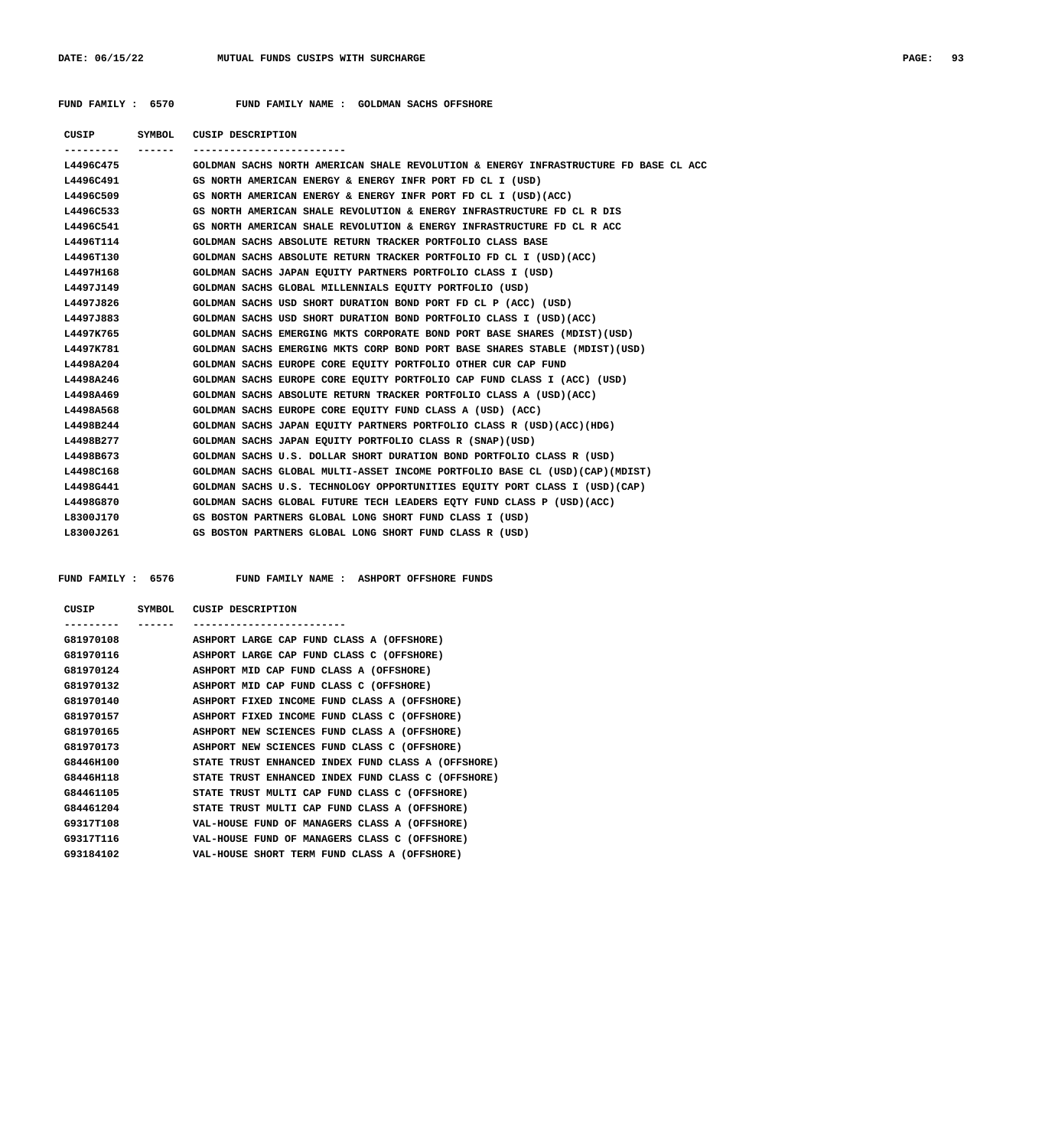**FUND FAMILY : 6570 FUND FAMILY NAME : GOLDMAN SACHS OFFSHORE**

| <b>CUSIP</b> | SYMBOL | <b>CUSIP DESCRIPTION</b>                                                             |
|--------------|--------|--------------------------------------------------------------------------------------|
|              |        | -------------------------                                                            |
| L4496C475    |        | GOLDMAN SACHS NORTH AMERICAN SHALE REVOLUTION & ENERGY INFRASTRUCTURE FD BASE CL ACC |
| L4496C491    |        | GS NORTH AMERICAN ENERGY & ENERGY INFR PORT FD CL I (USD)                            |
| L4496C509    |        | GS NORTH AMERICAN ENERGY & ENERGY INFR PORT FD CL I (USD) (ACC)                      |
| L4496C533    |        | GS NORTH AMERICAN SHALE REVOLUTION & ENERGY INFRASTRUCTURE FD CL R DIS               |
| L4496C541    |        | GS NORTH AMERICAN SHALE REVOLUTION & ENERGY INFRASTRUCTURE FD CL R ACC               |
| L4496T114    |        | GOLDMAN SACHS ABSOLUTE RETURN TRACKER PORTFOLIO CLASS BASE                           |
| L4496T130    |        | GOLDMAN SACHS ABSOLUTE RETURN TRACKER PORTFOLIO FD CL I (USD) (ACC)                  |
| L4497H168    |        | GOLDMAN SACHS JAPAN EQUITY PARTNERS PORTFOLIO CLASS I (USD)                          |
| L4497J149    |        | GOLDMAN SACHS GLOBAL MILLENNIALS EOUITY PORTFOLIO (USD)                              |
| L4497J826    |        | GOLDMAN SACHS USD SHORT DURATION BOND PORT FD CL P (ACC) (USD)                       |
| L4497J883    |        | GOLDMAN SACHS USD SHORT DURATION BOND PORTFOLIO CLASS I (USD)(ACC)                   |
| L4497K765    |        | GOLDMAN SACHS EMERGING MKTS CORPORATE BOND PORT BASE SHARES (MDIST) (USD)            |
| L4497K781    |        | GOLDMAN SACHS EMERGING MKTS CORP BOND PORT BASE SHARES STABLE (MDIST) (USD)          |
| L4498A204    |        | GOLDMAN SACHS EUROPE CORE EQUITY PORTFOLIO OTHER CUR CAP FUND                        |
| L4498A246    |        | GOLDMAN SACHS EUROPE CORE EQUITY PORTFOLIO CAP FUND CLASS I (ACC) (USD)              |
| L4498A469    |        | GOLDMAN SACHS ABSOLUTE RETURN TRACKER PORTFOLIO CLASS A (USD) (ACC)                  |
| L4498A568    |        | GOLDMAN SACHS EUROPE CORE EQUITY FUND CLASS A (USD) (ACC)                            |
| L4498B244    |        | GOLDMAN SACHS JAPAN EQUITY PARTNERS PORTFOLIO CLASS R (USD) (ACC) (HDG)              |
| L4498B277    |        | GOLDMAN SACHS JAPAN EQUITY PORTFOLIO CLASS R (SNAP)(USD)                             |
| L4498B673    |        | GOLDMAN SACHS U.S. DOLLAR SHORT DURATION BOND PORTFOLIO CLASS R (USD)                |
| L4498C168    |        | GOLDMAN SACHS GLOBAL MULTI-ASSET INCOME PORTFOLIO BASE CL (USD)(CAP)(MDIST)          |
| L4498G441    |        | GOLDMAN SACHS U.S. TECHNOLOGY OPPORTUNITIES EQUITY PORT CLASS I (USD) (CAP)          |
| L4498G870    |        | GOLDMAN SACHS GLOBAL FUTURE TECH LEADERS EQTY FUND CLASS P (USD) (ACC)               |
| L8300J170    |        | GS BOSTON PARTNERS GLOBAL LONG SHORT FUND CLASS I (USD)                              |
| L8300J261    |        | GS BOSTON PARTNERS GLOBAL LONG SHORT FUND CLASS R (USD)                              |
|              |        |                                                                                      |

 **FUND FAMILY : 6576 FUND FAMILY NAME : ASHPORT OFFSHORE FUNDS**

| CUSIP     | SYMBOL | CUSIP DESCRIPTION                                  |
|-----------|--------|----------------------------------------------------|
|           |        |                                                    |
| G81970108 |        | ASHPORT LARGE CAP FUND CLASS A (OFFSHORE)          |
| G81970116 |        | ASHPORT LARGE CAP FUND CLASS C (OFFSHORE)          |
| G81970124 |        | ASHPORT MID CAP FUND CLASS A (OFFSHORE)            |
| G81970132 |        | ASHPORT MID CAP FUND CLASS C (OFFSHORE)            |
| G81970140 |        | ASHPORT FIXED INCOME FUND CLASS A (OFFSHORE)       |
| G81970157 |        | ASHPORT FIXED INCOME FUND CLASS C (OFFSHORE)       |
| G81970165 |        | ASHPORT NEW SCIENCES FUND CLASS A (OFFSHORE)       |
| G81970173 |        | ASHPORT NEW SCIENCES FUND CLASS C (OFFSHORE)       |
| G8446H100 |        | STATE TRUST ENHANCED INDEX FUND CLASS A (OFFSHORE) |
| G8446H118 |        | STATE TRUST ENHANCED INDEX FUND CLASS C (OFFSHORE) |
| G84461105 |        | STATE TRUST MULTI CAP FUND CLASS C (OFFSHORE)      |
| G84461204 |        | STATE TRUST MULTI CAP FUND CLASS A (OFFSHORE)      |
| G9317T108 |        | VAL-HOUSE FUND OF MANAGERS CLASS A (OFFSHORE)      |
| G9317T116 |        | VAL-HOUSE FUND OF MANAGERS CLASS C (OFFSHORE)      |
| G93184102 |        | VAL-HOUSE SHORT TERM FUND CLASS A (OFFSHORE)       |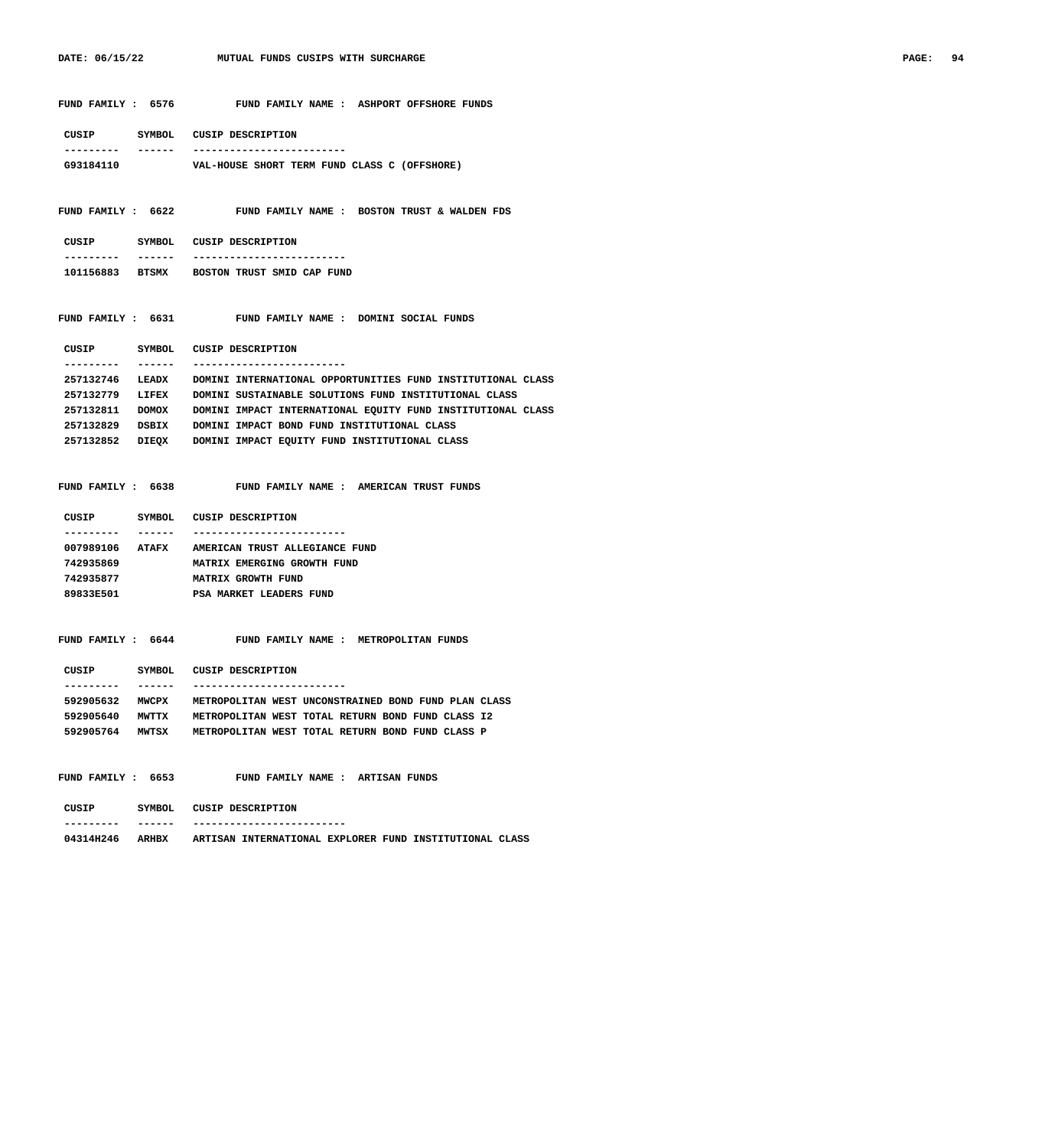|                                | FUND FAMILY : 6576 FUND FAMILY NAME : ASHPORT OFFSHORE FUNDS            |
|--------------------------------|-------------------------------------------------------------------------|
| CUSIP SYMBOL CUSIP DESCRIPTION |                                                                         |
| ------<br>. _ _ _ _ _ _ _ _    | -------------------------                                               |
| G93184110                      | VAL-HOUSE SHORT TERM FUND CLASS C (OFFSHORE)                            |
|                                |                                                                         |
|                                | FUND FAMILY : 6622 FUND FAMILY NAME : BOSTON TRUST & WALDEN FDS         |
|                                |                                                                         |
| CUSIP SYMBOL CUSIP DESCRIPTION |                                                                         |
| -------                        | -------------------------                                               |
|                                | 101156883 BTSMX BOSTON TRUST SMID CAP FUND                              |
|                                | FUND FAMILY : 6631 FUND FAMILY NAME : DOMINI SOCIAL FUNDS               |
| CUSIP SYMBOL CUSIP DESCRIPTION |                                                                         |
| -------<br>. <u>.</u> .        | -------------------------                                               |
| 257132746 LEADX                | DOMINI INTERNATIONAL OPPORTUNITIES FUND INSTITUTIONAL CLASS             |
| 257132779 LIFEX                | DOMINI SUSTAINABLE SOLUTIONS FUND INSTITUTIONAL CLASS                   |
| 257132811 DOMOX                | DOMINI IMPACT INTERNATIONAL EQUITY FUND INSTITUTIONAL CLASS             |
|                                | 257132829 DSBIX DOMINI IMPACT BOND FUND INSTITUTIONAL CLASS             |
|                                | 257132852 DIEQX DOMINI IMPACT EQUITY FUND INSTITUTIONAL CLASS           |
|                                | FUND FAMILY : 6638 FUND FAMILY NAME : AMERICAN TRUST FUNDS              |
| CUSIP SYMBOL CUSIP DESCRIPTION |                                                                         |
| -------<br>. _ _ _ _ _ _ _ _   | -------------------------                                               |
|                                | 007989106 ATAFX AMERICAN TRUST ALLEGIANCE FUND                          |
| 742935869                      | MATRIX EMERGING GROWTH FUND                                             |
| 742935877                      | <b>MATRIX GROWTH FUND</b>                                               |
| 89833E501                      | PSA MARKET LEADERS FUND                                                 |
|                                | FUND FAMILY: 6644 FUND FAMILY NAME: METROPOLITAN FUNDS                  |
| CUSIP<br>SYMBOL                | CUSIP DESCRIPTION                                                       |
| ------                         |                                                                         |
| 592905632 MWCPX                | METROPOLITAN WEST UNCONSTRAINED BOND FUND PLAN CLASS                    |
| 592905640 MWTTX                | METROPOLITAN WEST TOTAL RETURN BOND FUND CLASS I2                       |
|                                | 592905764 MWTSX METROPOLITAN WEST TOTAL RETURN BOND FUND CLASS P        |
| FUND FAMILY : 6653             | FUND FAMILY NAME : ARTISAN FUNDS                                        |
| CUSIP                          | SYMBOL CUSIP DESCRIPTION                                                |
| ------                         |                                                                         |
|                                | 04314H246 ARHBX ARTISAN INTERNATIONAL EXPLORER FUND INSTITUTIONAL CLASS |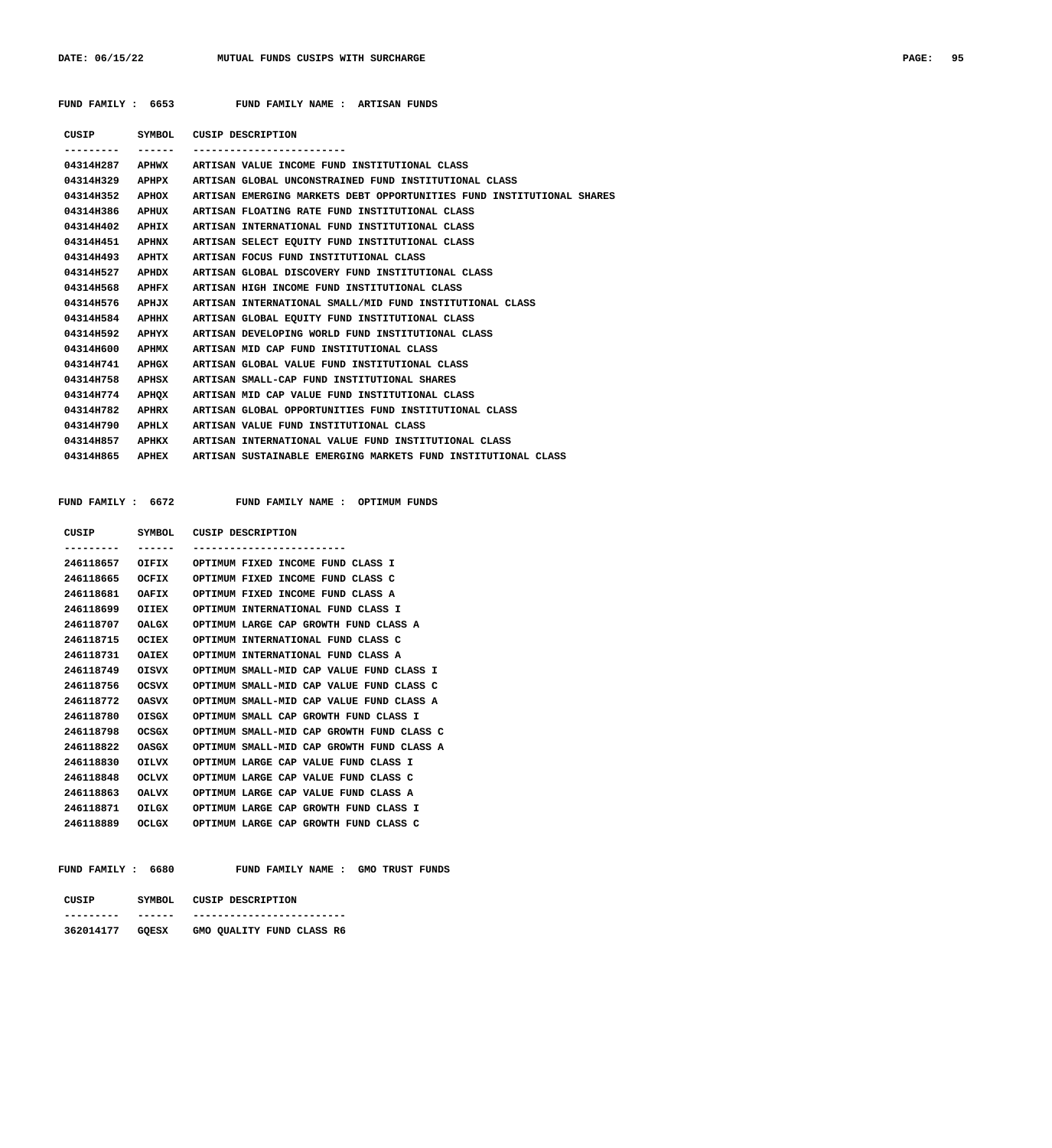## **FUND FAMILY : 6653 FUND FAMILY NAME : ARTISAN FUNDS**

| CUSIP     |              | SYMBOL CUSIP DESCRIPTION                                              |
|-----------|--------------|-----------------------------------------------------------------------|
|           | -------      |                                                                       |
| 04314H287 |              | APHWX ARTISAN VALUE INCOME FUND INSTITUTIONAL CLASS                   |
| 04314H329 | <b>APHPX</b> | ARTISAN GLOBAL UNCONSTRAINED FUND INSTITUTIONAL CLASS                 |
| 04314H352 | APHOX        | ARTISAN EMERGING MARKETS DEBT OPPORTUNITIES FUND INSTITUTIONAL SHARES |
| 04314H386 | APHUX        | ARTISAN FLOATING RATE FUND INSTITUTIONAL CLASS                        |
| 04314H402 | APHIX        | ARTISAN INTERNATIONAL FUND INSTITUTIONAL CLASS                        |
| 04314H451 | APHNX        | ARTISAN SELECT EQUITY FUND INSTITUTIONAL CLASS                        |
| 04314H493 | АРНТХ        | ARTISAN FOCUS FUND INSTITUTIONAL CLASS                                |
| 04314H527 | APHDX        | ARTISAN GLOBAL DISCOVERY FUND INSTITUTIONAL CLASS                     |
| 04314H568 | APHFX        | ARTISAN HIGH INCOME FUND INSTITUTIONAL CLASS                          |
| 04314H576 | APHJX        | ARTISAN INTERNATIONAL SMALL/MID FUND INSTITUTIONAL CLASS              |
| 04314H584 | APHHX        | ARTISAN GLOBAL EOUITY FUND INSTITUTIONAL CLASS                        |
| 04314H592 | <b>APHYX</b> | ARTISAN DEVELOPING WORLD FUND INSTITUTIONAL CLASS                     |
| 04314H600 | <b>APHMX</b> | ARTISAN MID CAP FUND INSTITUTIONAL CLASS                              |
| 04314H741 | <b>APHGX</b> | ARTISAN GLOBAL VALUE FUND INSTITUTIONAL CLASS                         |
| 04314H758 | APHSX        | ARTISAN SMALL-CAP FUND INSTITUTIONAL SHARES                           |
| 04314H774 | APHOX        | ARTISAN MID CAP VALUE FUND INSTITUTIONAL CLASS                        |
| 04314H782 | APIIRX       | ARTISAN GLOBAL OPPORTUNITIES FUND INSTITUTIONAL CLASS                 |
| 04314H790 | APHLX        | ARTISAN VALUE FUND INSTITUTIONAL CLASS                                |
| 04314H857 | APHKX        | ARTISAN INTERNATIONAL VALUE FUND INSTITUTIONAL CLASS                  |
| 04314H865 | APHEX        | ARTISAN SUSTAINABLE EMERGING MARKETS FUND INSTITUTIONAL CLASS         |
|           |              |                                                                       |

FUND FAMILY NAME : OPTIMUM FUNDS

| CUSIP     | SYMBOL.      | CUSIP DESCRIPTION                         |
|-----------|--------------|-------------------------------------------|
| --------  |              | --------------------------                |
| 246118657 | OIFIX        | OPTIMUM FIXED INCOME FUND CLASS I         |
| 246118665 | OCFIX        | OPTIMUM FIXED INCOME FUND CLASS C         |
| 246118681 | OAFIX        | OPTIMUM FIXED INCOME FUND CLASS A         |
| 246118699 | OIIEX        | OPTIMUM INTERNATIONAL FUND CLASS I        |
| 246118707 | <b>OALGX</b> | OPTIMUM LARGE CAP GROWTH FUND CLASS A     |
| 246118715 | <b>OCIEX</b> | OPTIMUM INTERNATIONAL FUND CLASS C        |
| 246118731 | <b>OAIEX</b> | OPTIMUM INTERNATIONAL FUND CLASS A        |
| 246118749 | <b>OISVX</b> | OPTIMUM SMALL-MID CAP VALUE FUND CLASS I  |
| 246118756 | <b>OCSVX</b> | OPTIMIM SMALL-MID CAP VALUE FUND CLASS C  |
| 246118772 | <b>OASVX</b> | OPTIMIM SMALL-MID CAP VALUE FUND CLASS A  |
| 246118780 | <b>OTSGX</b> | OPTIMUM SMALL CAP GROWTH FUND CLASS I     |
| 246118798 | <b>OCSGX</b> | OPTIMUM SMALL-MID CAP GROWTH FUND CLASS C |
| 246118822 | <b>OASGX</b> | OPTIMUM SMALL-MID CAP GROWTH FUND CLASS A |
| 246118830 | <b>OILVX</b> | OPTIMUM LARGE CAP VALUE FUND CLASS I      |
| 246118848 | <b>OCLVX</b> | OPTIMUM LARGE CAP VALUE FUND CLASS C      |
| 246118863 | <b>OALVX</b> | OPTIMUM LARGE CAP VALUE FUND CLASS A      |
| 246118871 | <b>OILGX</b> | OPTIMUM LARGE CAP GROWTH FUND CLASS I     |
| 246118889 | <b>OCLGX</b> | OPTIMUM LARGE CAP GROWTH FUND CLASS C     |

| <b>FUND FAMILY : 6680</b> | FUND FAMILY NAME : |  | GMO TRUST FUNDS |  |
|---------------------------|--------------------|--|-----------------|--|
|---------------------------|--------------------|--|-----------------|--|

| CUSIP           | SYMBOL | CUSIP DESCRIPTION         |
|-----------------|--------|---------------------------|
|                 |        |                           |
| 362014177 GQESX |        | GMO QUALITY FUND CLASS R6 |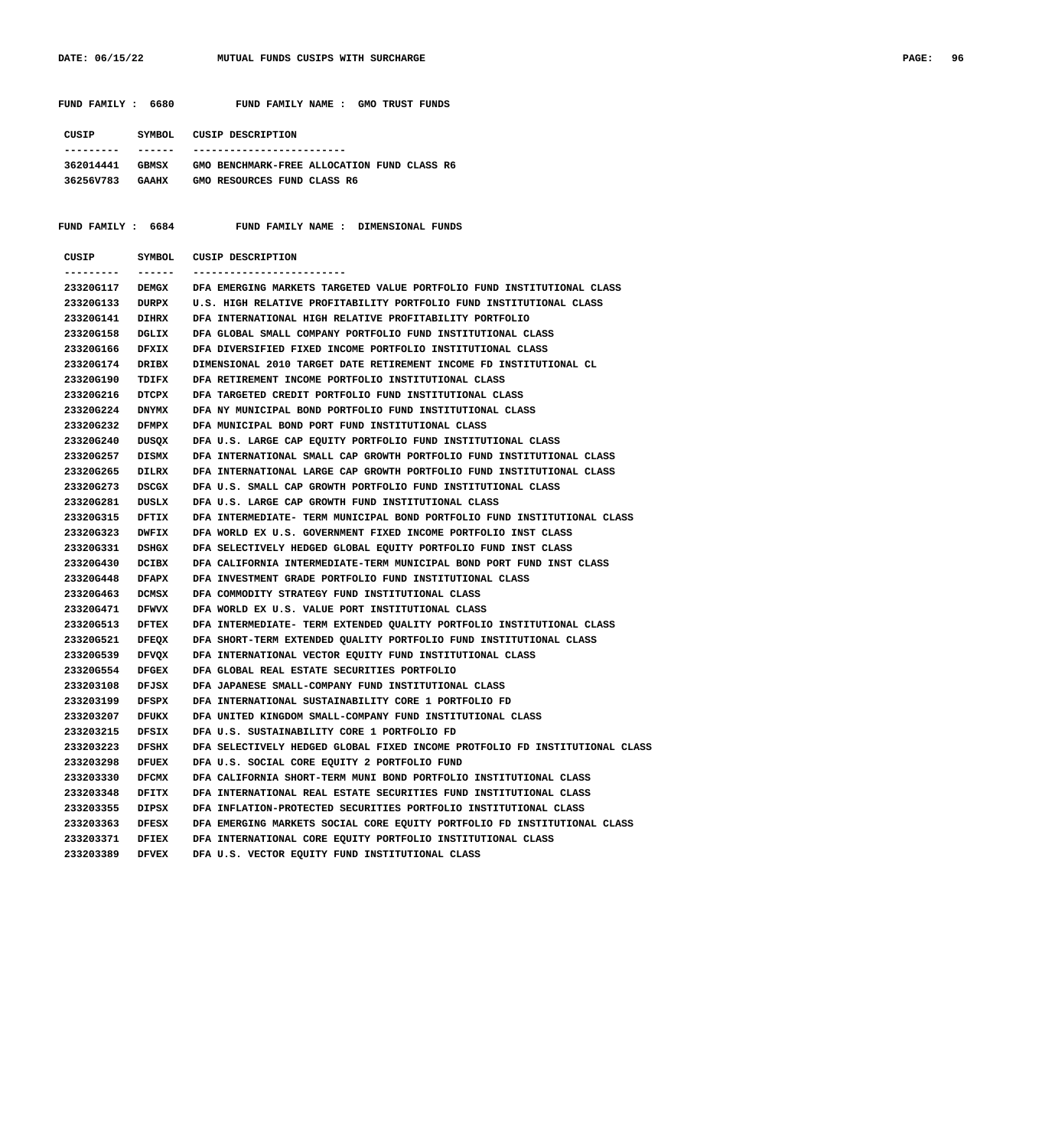FUND FAMILY : 6680 FUND FAMILY NAME : GMO TRUST FUNDS  **CUSIP SYMBOL CUSIP DESCRIPTION --------- ------ ------------------------- 362014441 GBMSX GMO BENCHMARK-FREE ALLOCATION FUND CLASS R6 36256V783 GAAHX GMO RESOURCES FUND CLASS R6 FUND FAMILY : 6684 FUND FAMILY NAME : DIMENSIONAL FUNDS CUSIP SYMBOL CUSIP DESCRIPTION --------- ------ ------------------------- 23320G117 DEMGX DFA EMERGING MARKETS TARGETED VALUE PORTFOLIO FUND INSTITUTIONAL CLASS 23320G133 DURPX U.S. HIGH RELATIVE PROFITABILITY PORTFOLIO FUND INSTITUTIONAL CLASS 23320G141 DIHRX DFA INTERNATIONAL HIGH RELATIVE PROFITABILITY PORTFOLIO 23320G158 DGLIX DFA GLOBAL SMALL COMPANY PORTFOLIO FUND INSTITUTIONAL CLASS 23320G166 DFXIX DFA DIVERSIFIED FIXED INCOME PORTFOLIO INSTITUTIONAL CLASS 23320G174 DRIBX DIMENSIONAL 2010 TARGET DATE RETIREMENT INCOME FD INSTITUTIONAL CL 23320G190 TDIFX DFA RETIREMENT INCOME PORTFOLIO INSTITUTIONAL CLASS 23320G216 DTCPX DFA TARGETED CREDIT PORTFOLIO FUND INSTITUTIONAL CLASS 23320G224 DNYMX DFA NY MUNICIPAL BOND PORTFOLIO FUND INSTITUTIONAL CLASS 23320G232 DFMPX DFA MUNICIPAL BOND PORT FUND INSTITUTIONAL CLASS 23320G240 DUSQX DFA U.S. LARGE CAP EQUITY PORTFOLIO FUND INSTITUTIONAL CLASS 23320G257 DISMX DFA INTERNATIONAL SMALL CAP GROWTH PORTFOLIO FUND INSTITUTIONAL CLASS 23320G265 DILRX DFA INTERNATIONAL LARGE CAP GROWTH PORTFOLIO FUND INSTITUTIONAL CLASS 23320G273 DSCGX DFA U.S. SMALL CAP GROWTH PORTFOLIO FUND INSTITUTIONAL CLASS 23320G281 DUSLX DFA U.S. LARGE CAP GROWTH FUND INSTITUTIONAL CLASS 23320G315 DFTIX DFA INTERMEDIATE- TERM MUNICIPAL BOND PORTFOLIO FUND INSTITUTIONAL CLASS 23320G323 DWFIX DFA WORLD EX U.S. GOVERNMENT FIXED INCOME PORTFOLIO INST CLASS 23320G331 DSHGX DFA SELECTIVELY HEDGED GLOBAL EQUITY PORTFOLIO FUND INST CLASS 23320G430 DCIBX DFA CALIFORNIA INTERMEDIATE-TERM MUNICIPAL BOND PORT FUND INST CLASS 23320G448 DFAPX DFA INVESTMENT GRADE PORTFOLIO FUND INSTITUTIONAL CLASS 23320G463 DCMSX DFA COMMODITY STRATEGY FUND INSTITUTIONAL CLASS 23320G471 DFWVX DFA WORLD EX U.S. VALUE PORT INSTITUTIONAL CLASS 23320G513 DFTEX DFA INTERMEDIATE- TERM EXTENDED QUALITY PORTFOLIO INSTITUTIONAL CLASS 23320G521 DFEQX DFA SHORT-TERM EXTENDED QUALITY PORTFOLIO FUND INSTITUTIONAL CLASS 23320G539 DFVQX DFA INTERNATIONAL VECTOR EQUITY FUND INSTITUTIONAL CLASS 23320G554 DFGEX DFA GLOBAL REAL ESTATE SECURITIES PORTFOLIO 233203108 DFJSX DFA JAPANESE SMALL-COMPANY FUND INSTITUTIONAL CLASS 233203199 DFSPX DFA INTERNATIONAL SUSTAINABILITY CORE 1 PORTFOLIO FD 233203207 DFUKX DFA UNITED KINGDOM SMALL-COMPANY FUND INSTITUTIONAL CLASS 233203215 DFSIX DFA U.S. SUSTAINABILITY CORE 1 PORTFOLIO FD 233203223 DFSHX DFA SELECTIVELY HEDGED GLOBAL FIXED INCOME PROTFOLIO FD INSTITUTIONAL CLASS 233203298 DFUEX DFA U.S. SOCIAL CORE EQUITY 2 PORTFOLIO FUND 233203330 DFCMX DFA CALIFORNIA SHORT-TERM MUNI BOND PORTFOLIO INSTITUTIONAL CLASS 233203348 DFITX DFA INTERNATIONAL REAL ESTATE SECURITIES FUND INSTITUTIONAL CLASS 233203355 DIPSX DFA INFLATION-PROTECTED SECURITIES PORTFOLIO INSTITUTIONAL CLASS 233203363 DFESX DFA EMERGING MARKETS SOCIAL CORE EQUITY PORTFOLIO FD INSTITUTIONAL CLASS 233203371 DFIEX DFA INTERNATIONAL CORE EQUITY PORTFOLIO INSTITUTIONAL CLASS 233203389 DFVEX DFA U.S. VECTOR EQUITY FUND INSTITUTIONAL CLASS**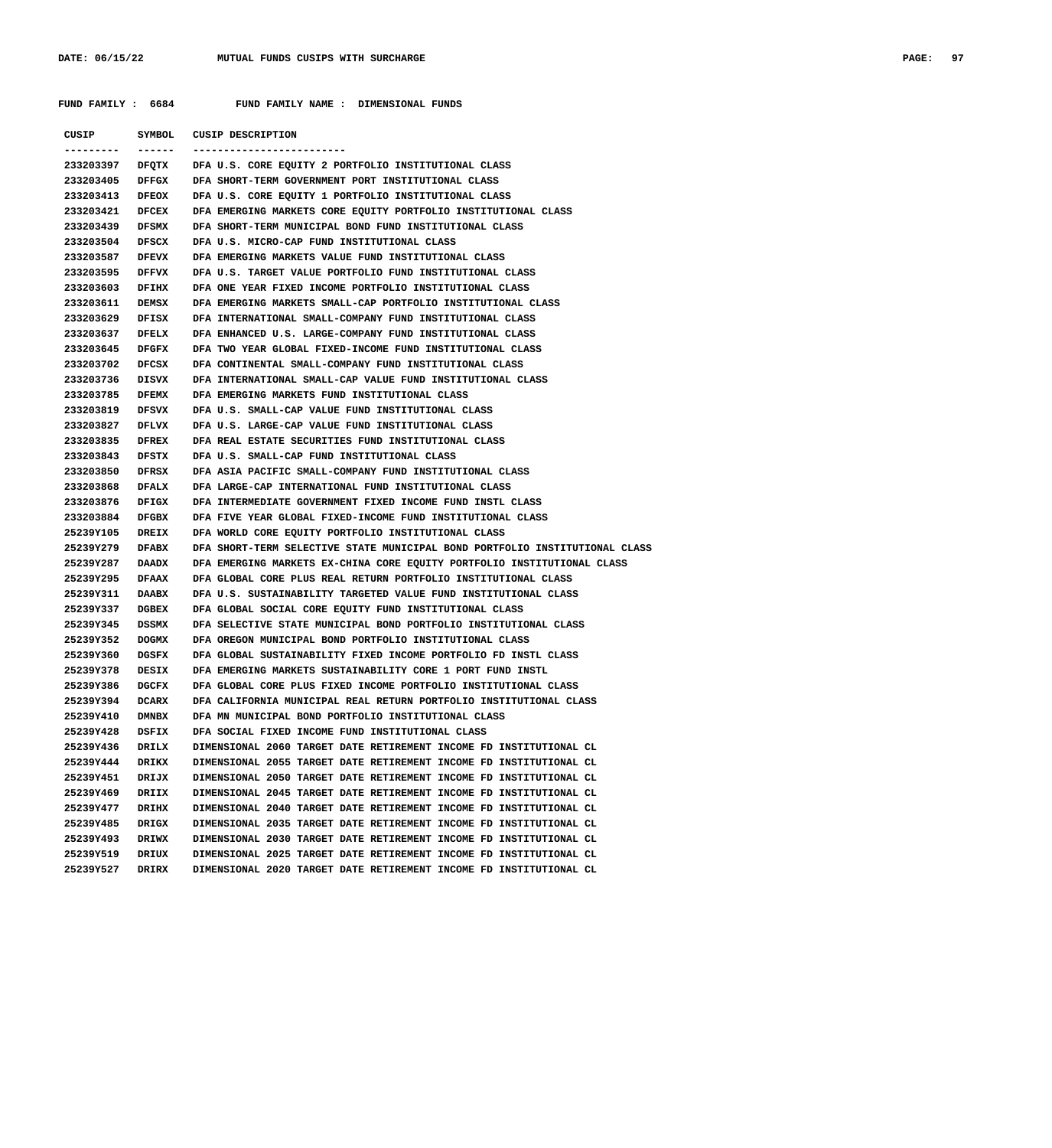**FUND FAMILY : 6684 FUND FAMILY NAME : DIMENSIONAL FUNDS**

| CUSIP                  | SYMBOL          | <b>CUSIP DESCRIPTION</b>                                                                                                      |
|------------------------|-----------------|-------------------------------------------------------------------------------------------------------------------------------|
| ----------             | $- - - - - - -$ | ------------------------                                                                                                      |
|                        |                 | 233203397 DFQTX DFA U.S. CORE EQUITY 2 PORTFOLIO INSTITUTIONAL CLASS                                                          |
| 233203405              | DFFGX           | DFA SHORT-TERM GOVERNMENT PORT INSTITUTIONAL CLASS                                                                            |
| 233203413              | <b>DFEOX</b>    | DFA U.S. CORE EQUITY 1 PORTFOLIO INSTITUTIONAL CLASS                                                                          |
| 233203421              | <b>DFCEX</b>    | DFA EMERGING MARKETS CORE EQUITY PORTFOLIO INSTITUTIONAL CLASS                                                                |
| 233203439              | <b>DFSMX</b>    | DFA SHORT-TERM MUNICIPAL BOND FUND INSTITUTIONAL CLASS                                                                        |
| 233203504              | DFSCX           | DFA U.S. MICRO-CAP FUND INSTITUTIONAL CLASS                                                                                   |
| 233203587              | <b>DFEVX</b>    | DFA EMERGING MARKETS VALUE FUND INSTITUTIONAL CLASS                                                                           |
| 233203595              | <b>DFFVX</b>    | DFA U.S. TARGET VALUE PORTFOLIO FUND INSTITUTIONAL CLASS                                                                      |
| 233203603              | DFIHX           | DFA ONE YEAR FIXED INCOME PORTFOLIO INSTITUTIONAL CLASS                                                                       |
| 233203611              | DEMSX           | DFA EMERGING MARKETS SMALL-CAP PORTFOLIO INSTITUTIONAL CLASS                                                                  |
| 233203629              | DFISX           | DFA INTERNATIONAL SMALL-COMPANY FUND INSTITUTIONAL CLASS                                                                      |
| 233203637              | DFELX           | DFA ENHANCED U.S. LARGE-COMPANY FUND INSTITUTIONAL CLASS                                                                      |
| 233203645              | <b>DFGFX</b>    | DFA TWO YEAR GLOBAL FIXED-INCOME FUND INSTITUTIONAL CLASS                                                                     |
| 233203702              | DFCSX           | DFA CONTINENTAL SMALL-COMPANY FUND INSTITUTIONAL CLASS                                                                        |
| 233203736              | DISVX           | DFA INTERNATIONAL SMALL-CAP VALUE FUND INSTITUTIONAL CLASS                                                                    |
| 233203785              | <b>DFEMX</b>    | DFA EMERGING MARKETS FUND INSTITUTIONAL CLASS                                                                                 |
| 233203819              | DFSVX           | DFA U.S. SMALL-CAP VALUE FUND INSTITUTIONAL CLASS                                                                             |
| 233203827              | DFLVX           | DFA U.S. LARGE-CAP VALUE FUND INSTITUTIONAL CLASS                                                                             |
| 233203835              | <b>DFREX</b>    | DFA REAL ESTATE SECURITIES FUND INSTITUTIONAL CLASS                                                                           |
| 233203843              | DFSTX           | DFA U.S. SMALL-CAP FUND INSTITUTIONAL CLASS                                                                                   |
| 233203850              | DFRSX           | DFA ASIA PACIFIC SMALL-COMPANY FUND INSTITUTIONAL CLASS                                                                       |
| 233203868              | <b>DFALX</b>    | DFA LARGE-CAP INTERNATIONAL FUND INSTITUTIONAL CLASS                                                                          |
| 233203876              | <b>DFIGX</b>    | DFA INTERMEDIATE GOVERNMENT FIXED INCOME FUND INSTL CLASS                                                                     |
| 233203884              | DFGBX           | DFA FIVE YEAR GLOBAL FIXED-INCOME FUND INSTITUTIONAL CLASS                                                                    |
| 25239Y105              | <b>DREIX</b>    | DFA WORLD CORE EQUITY PORTFOLIO INSTITUTIONAL CLASS                                                                           |
| 25239Y279              | <b>DFABX</b>    | DFA SHORT-TERM SELECTIVE STATE MUNICIPAL BOND PORTFOLIO INSTITUTIONAL CLASS                                                   |
| 25239Y287              | DAADX           | DFA EMERGING MARKETS EX-CHINA CORE EQUITY PORTFOLIO INSTITUTIONAL CLASS                                                       |
| 25239Y295              | <b>DFAAX</b>    | DFA GLOBAL CORE PLUS REAL RETURN PORTFOLIO INSTITUTIONAL CLASS                                                                |
| 25239Y311              | DAABX           | DFA U.S. SUSTAINABILITY TARGETED VALUE FUND INSTITUTIONAL CLASS                                                               |
| 25239Y337              | <b>DGBEX</b>    | DFA GLOBAL SOCIAL CORE EQUITY FUND INSTITUTIONAL CLASS                                                                        |
| 25239Y345              | DSSMX           | DFA SELECTIVE STATE MUNICIPAL BOND PORTFOLIO INSTITUTIONAL CLASS                                                              |
| 25239Y352              | <b>DOGMX</b>    | DFA OREGON MUNICIPAL BOND PORTFOLIO INSTITUTIONAL CLASS                                                                       |
| 25239Y360<br>25239Y378 | DGSFX<br>DESIX  | DFA GLOBAL SUSTAINABILITY FIXED INCOME PORTFOLIO FD INSTL CLASS                                                               |
| 25239Y386              | <b>DGCFX</b>    | DFA EMERGING MARKETS SUSTAINABILITY CORE 1 PORT FUND INSTL<br>DFA GLOBAL CORE PLUS FIXED INCOME PORTFOLIO INSTITUTIONAL CLASS |
|                        | 25239Y394 DCARX | DFA CALIFORNIA MUNICIPAL REAL RETURN PORTFOLIO INSTITUTIONAL CLASS                                                            |
| 25239Y410              | <b>DMNBX</b>    | DFA MN MUNICIPAL BOND PORTFOLIO INSTITUTIONAL CLASS                                                                           |
| 25239Y428              | DSFIX           | DFA SOCIAL FIXED INCOME FUND INSTITUTIONAL CLASS                                                                              |
| 25239Y436              | DRILX           | DIMENSIONAL 2060 TARGET DATE RETIREMENT INCOME FD INSTITUTIONAL CL                                                            |
| 25239Y444              | DRIKX           | DIMENSIONAL 2055 TARGET DATE RETIREMENT INCOME FD INSTITUTIONAL CL                                                            |
| 25239Y451              | DRIJX           | DIMENSIONAL 2050 TARGET DATE RETIREMENT INCOME FD INSTITUTIONAL CL                                                            |
| 25239Y469              | DRIIX           | DIMENSIONAL 2045 TARGET DATE RETIREMENT INCOME FD INSTITUTIONAL CL                                                            |
| 25239Y477              | DRIHX           | DIMENSIONAL 2040 TARGET DATE RETIREMENT INCOME FD INSTITUTIONAL CL                                                            |
| 25239Y485              | DRIGX           | DIMENSIONAL 2035 TARGET DATE RETIREMENT INCOME FD INSTITUTIONAL CL                                                            |
| 25239Y493              | DRIWX           | DIMENSIONAL 2030 TARGET DATE RETIREMENT INCOME FD INSTITUTIONAL CL                                                            |
| 25239Y519              | DRIUX           | DIMENSIONAL 2025 TARGET DATE RETIREMENT INCOME FD INSTITUTIONAL CL                                                            |
| 25239Y527              | DRIRX           | DIMENSIONAL 2020 TARGET DATE RETIREMENT INCOME FD INSTITUTIONAL CL                                                            |
|                        |                 |                                                                                                                               |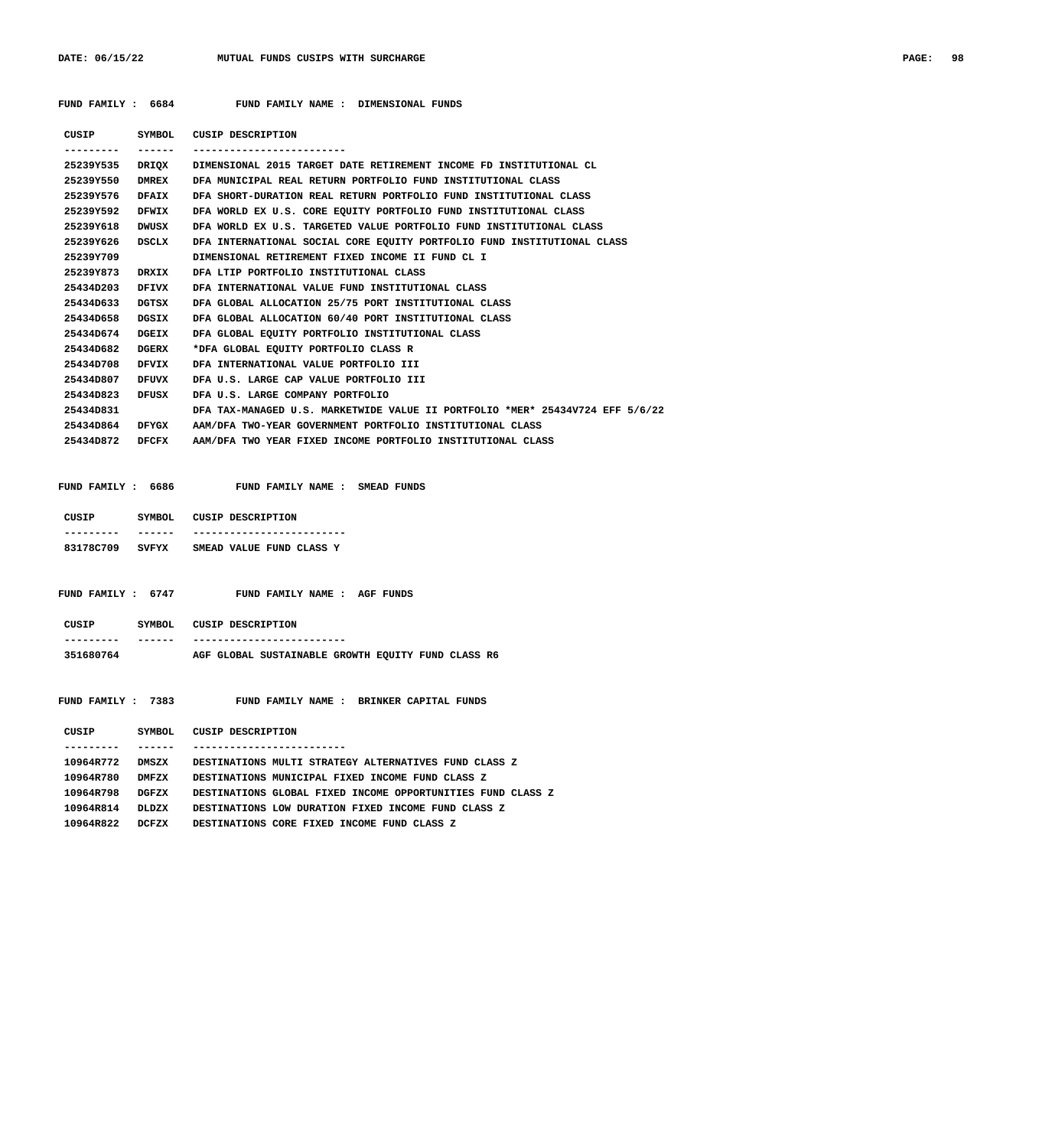| PAGE: | 98 |
|-------|----|
|-------|----|

 **FUND FAMILY : 6684 FUND FAMILY NAME : DIMENSIONAL FUNDS**

| CUSIP        | SYMBOL       | <b>CUSIP DESCRIPTION</b>                                                      |
|--------------|--------------|-------------------------------------------------------------------------------|
| . <u>.</u> . | ------       | -------------------------                                                     |
| 25239Y535    |              | DRIOX DIMENSIONAL 2015 TARGET DATE RETIREMENT INCOME FD INSTITUTIONAL CL      |
| 25239Y550    | <b>DMREX</b> | DFA MUNICIPAL REAL RETURN PORTFOLIO FUND INSTITUTIONAL CLASS                  |
| 25239Y576    | <b>DFAIX</b> | DFA SHORT-DURATION REAL RETURN PORTFOLIO FUND INSTITUTIONAL CLASS             |
| 25239Y592    | DFWIX        | DFA WORLD EX U.S. CORE EOUITY PORTFOLIO FUND INSTITUTIONAL CLASS              |
| 25239Y618    | DWUSX        | DFA WORLD EX U.S. TARGETED VALUE PORTFOLIO FUND INSTITUTIONAL CLASS           |
| 25239Y626    | DSCLX        | DFA INTERNATIONAL SOCIAL CORE EOUITY PORTFOLIO FUND INSTITUTIONAL CLASS       |
| 25239Y709    |              | DIMENSIONAL RETIREMENT FIXED INCOME II FUND CL I                              |
| 25239Y873    | DRXIX        | DFA LTIP PORTFOLIO INSTITUTIONAL CLASS                                        |
| 25434D203    | DFIVX        | DFA INTERNATIONAL VALUE FUND INSTITUTIONAL CLASS                              |
| 25434D633    | DGTSX        | DFA GLOBAL ALLOCATION 25/75 PORT INSTITUTIONAL CLASS                          |
| 25434D658    | DGSIX        | DFA GLOBAL ALLOCATION 60/40 PORT INSTITUTIONAL CLASS                          |
| 25434D674    | DGEIX        | DFA GLOBAL EQUITY PORTFOLIO INSTITUTIONAL CLASS                               |
| 25434D682    | DGERX        | *DFA GLOBAL EOUITY PORTFOLIO CLASS R                                          |
| 25434D708    | DFVIX        | DFA INTERNATIONAL VALUE PORTFOLIO III                                         |
| 25434D807    | DFUVX        | DFA U.S. LARGE CAP VALUE PORTFOLIO III                                        |
| 25434D823    | DFUSX        | DFA U.S. LARGE COMPANY PORTFOLIO                                              |
| 25434D831    |              | DFA TAX-MANAGED U.S. MARKETWIDE VALUE II PORTFOLIO *MER* 25434V724 EFF 5/6/22 |
| 25434D864    | DFYGX        | AAM/DFA TWO-YEAR GOVERNMENT PORTFOLIO INSTITUTIONAL CLASS                     |
| 25434D872    | DFCFX        | AAM/DFA TWO YEAR FIXED INCOME PORTFOLIO INSTITUTIONAL CLASS                   |
|              |              |                                                                               |

| FUND FAMILY: 6686 | FUND FAMILY NAME : |  |  | SMEAD FUNDS |  |
|-------------------|--------------------|--|--|-------------|--|
|-------------------|--------------------|--|--|-------------|--|

| CUSIP SYMBOL CUSIP DESCRIPTION |                                                              |
|--------------------------------|--------------------------------------------------------------|
|                                | 83178C709 SVFYX SMEAD VALUE FUND CLASS Y                     |
|                                | FUND FAMILY: 6747 FUND FAMILY NAME: AGF FUNDS                |
|                                |                                                              |
| CUSIP SYMBOL CUSIP DESCRIPTION |                                                              |
|                                |                                                              |
|                                | 351680764 AGF GLOBAL SUSTAINABLE GROWTH EQUITY FUND CLASS R6 |
|                                | FUND FAMILY: 7383 FUND FAMILY NAME: BRINKER CAPITAL FUNDS    |
| CUSIP SYMBOL CUSIP DESCRIPTION |                                                              |
|                                |                                                              |
| 10964R772<br>DMSZX             | DESTINATIONS MULTI STRATEGY ALTERNATIVES FUND CLASS Z        |
| 10964R780<br>DMFZX             | DESTINATIONS MUNICIPAL FIXED INCOME FUND CLASS Z             |
| 10964R798<br>DGFZX             | DESTINATIONS GLOBAL FIXED INCOME OPPORTUNITIES FUND CLASS Z  |
| 10964R814<br>DLDZX             | DESTINATIONS LOW DURATION FIXED INCOME FUND CLASS Z          |

 **10964R822 DCFZX DESTINATIONS CORE FIXED INCOME FUND CLASS Z**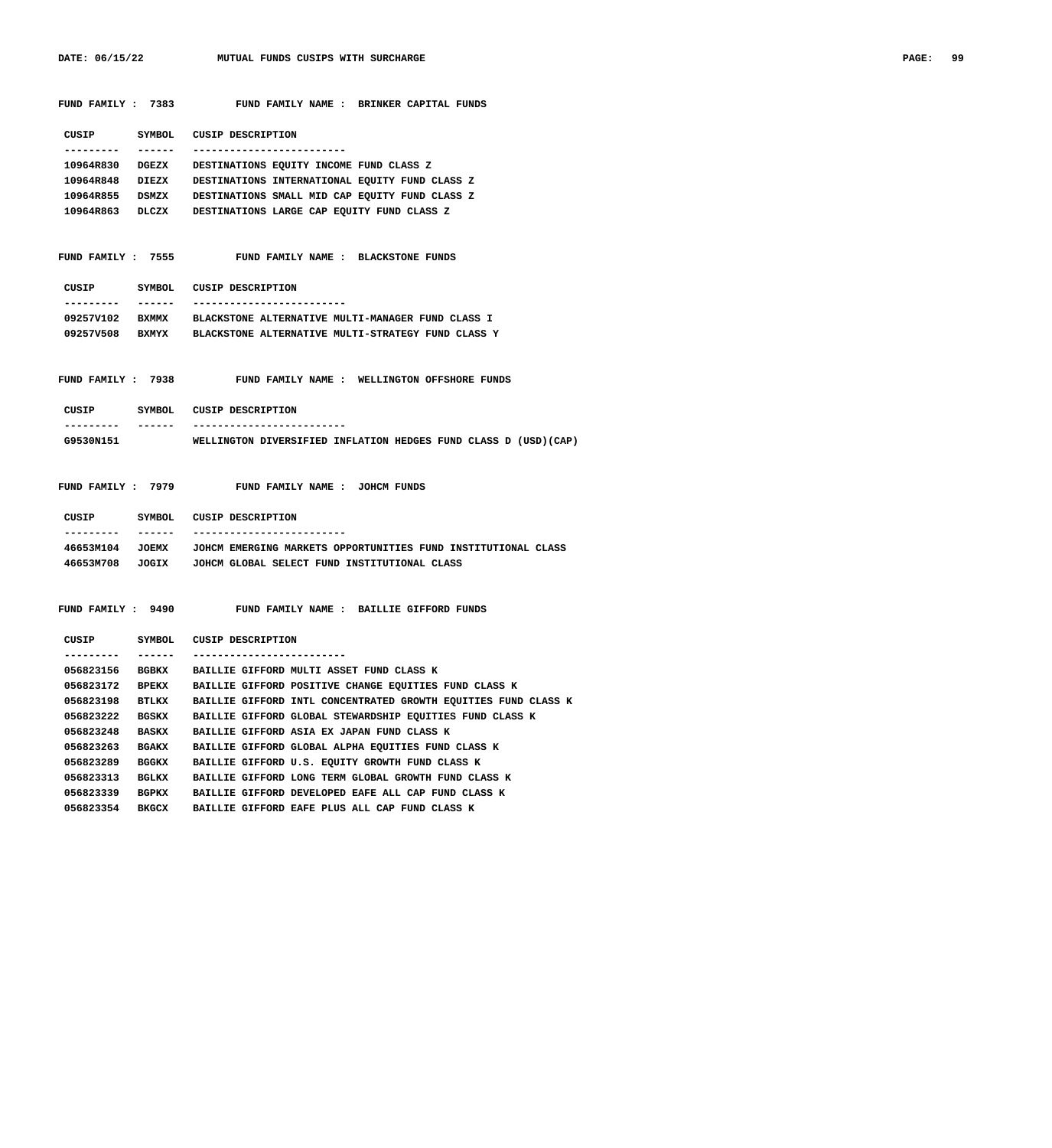| FUND FAMILY : 7383 |              | FUND FAMILY NAME : BRINKER CAPITAL FUNDS                                      |
|--------------------|--------------|-------------------------------------------------------------------------------|
| <b>CUSIP</b>       |              | SYMBOL CUSIP DESCRIPTION                                                      |
| . _ _ _ _ _ _ _ _  | _______      | -------------------------                                                     |
|                    |              | 10964R830 DGEZX DESTINATIONS EQUITY INCOME FUND CLASS Z                       |
|                    |              | 10964R848 DIEZX DESTINATIONS INTERNATIONAL EQUITY FUND CLASS Z                |
|                    |              | 10964R855 DSMZX DESTINATIONS SMALL MID CAP EQUITY FUND CLASS Z                |
|                    |              | 10964R863 DLCZX DESTINATIONS LARGE CAP EQUITY FUND CLASS Z                    |
| FUND FAMILY : 7555 |              | FUND FAMILY NAME : BLACKSTONE FUNDS                                           |
|                    |              |                                                                               |
| CUSIP              |              | SYMBOL CUSIP DESCRIPTION                                                      |
|                    | -------      |                                                                               |
|                    |              | 09257V102 BXMMX BLACKSTONE ALTERNATIVE MULTI-MANAGER FUND CLASS I             |
|                    |              | 09257V508 BXMYX BLACKSTONE ALTERNATIVE MULTI-STRATEGY FUND CLASS Y            |
|                    |              |                                                                               |
| FUND FAMILY : 7938 |              | FUND FAMILY NAME : WELLINGTON OFFSHORE FUNDS                                  |
| CUSIP              |              | SYMBOL CUSIP DESCRIPTION                                                      |
|                    | -------      | ------------------------                                                      |
| G9530N151          |              | WELLINGTON DIVERSIFIED INFLATION HEDGES FUND CLASS D (USD) (CAP)              |
|                    |              |                                                                               |
| FUND FAMILY : 7979 |              | FUND FAMILY NAME : JOHCM FUNDS                                                |
|                    |              | CUSIP SYMBOL CUSIP DESCRIPTION                                                |
|                    | -------      | -------------------------                                                     |
|                    |              | 46653M104 JOEMX JOHCM EMERGING MARKETS OPPORTUNITIES FUND INSTITUTIONAL CLASS |
|                    |              | 46653M708 JOGIX JOHCM GLOBAL SELECT FUND INSTITUTIONAL CLASS                  |
|                    |              |                                                                               |
| FUND FAMILY: 9490  |              | FUND FAMILY NAME : BAILLIE GIFFORD FUNDS                                      |
| CUSIP              |              | SYMBOL CUSIP DESCRIPTION                                                      |
|                    | _______      | -------------------------                                                     |
|                    |              | 056823156 BGBKX BAILLIE GIFFORD MULTI ASSET FUND CLASS K                      |
| 056823172          | <b>BPEKX</b> | BAILLIE GIFFORD POSITIVE CHANGE EQUITIES FUND CLASS K                         |
| 056823198          | BTLKX        | BAILLIE GIFFORD INTL CONCENTRATED GROWTH EQUITIES FUND CLASS K                |
| 056823222          | <b>BGSKX</b> | BAILLIE GIFFORD GLOBAL STEWARDSHIP EQUITIES FUND CLASS K                      |
| 056823248          | <b>BASKX</b> | BAILLIE GIFFORD ASIA EX JAPAN FUND CLASS K                                    |
| 056823263          | <b>BGAKX</b> | BAILLIE GIFFORD GLOBAL ALPHA EQUITIES FUND CLASS K                            |
| 056823289          | <b>BGGKX</b> | BAILLIE GIFFORD U.S. EQUITY GROWTH FUND CLASS K                               |
| 056823313          | BGLKX        | BAILLIE GIFFORD LONG TERM GLOBAL GROWTH FUND CLASS K                          |
| 056823339          | <b>BGPKX</b> | BAILLIE GIFFORD DEVELOPED EAFE ALL CAP FUND CLASS K                           |
| 056823354 BKGCX    |              | BAILLIE GIFFORD EAFE PLUS ALL CAP FUND CLASS K                                |